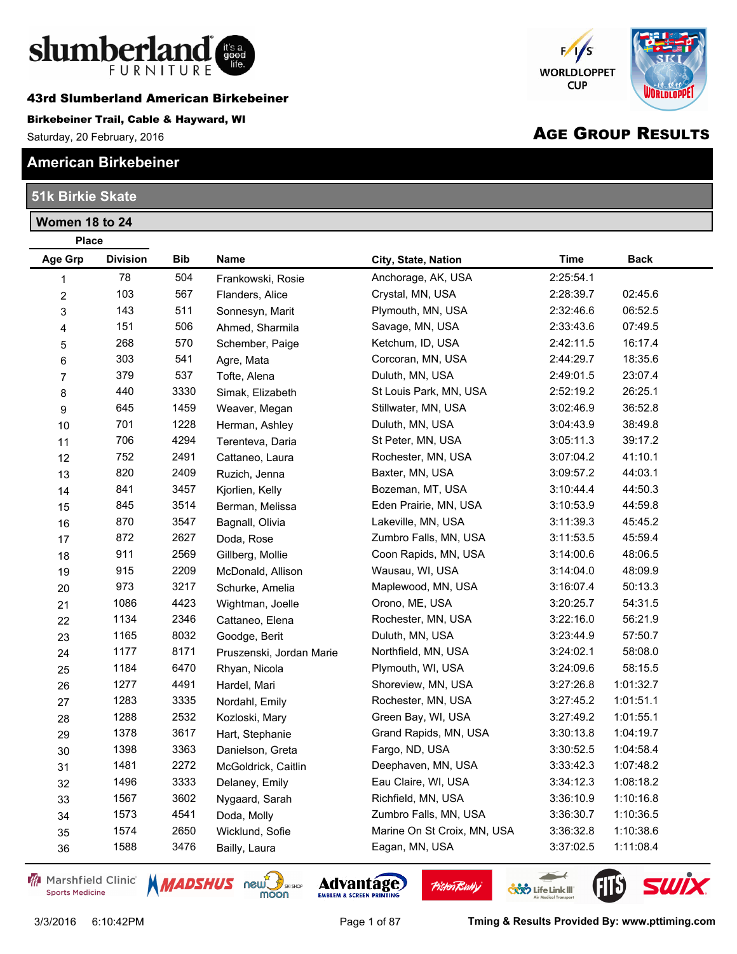

43rd Slumberland American Birkebeiner

#### Birkebeiner Trail, Cable & Hayward, WI

Saturday, 20 February, 2016

## **American Birkebeiner**

## **51k Birkie Skate**

**Women 18 to 24**

## $F/S$ **WORLDLOPPET CUP** liki ni r

# AGE GROUP RESULTS

| <b>Place</b>     |                 |            |                          |                             |             |             |
|------------------|-----------------|------------|--------------------------|-----------------------------|-------------|-------------|
| Age Grp          | <b>Division</b> | <b>Bib</b> | <b>Name</b>              | City, State, Nation         | <b>Time</b> | <b>Back</b> |
| 1                | 78              | 504        | Frankowski, Rosie        | Anchorage, AK, USA          | 2:25:54.1   |             |
| $\boldsymbol{2}$ | 103             | 567        | Flanders, Alice          | Crystal, MN, USA            | 2:28:39.7   | 02:45.6     |
| 3                | 143             | 511        | Sonnesyn, Marit          | Plymouth, MN, USA           | 2:32:46.6   | 06:52.5     |
| 4                | 151             | 506        | Ahmed, Sharmila          | Savage, MN, USA             | 2:33:43.6   | 07:49.5     |
| 5                | 268             | 570        | Schember, Paige          | Ketchum, ID, USA            | 2:42:11.5   | 16:17.4     |
| 6                | 303             | 541        | Agre, Mata               | Corcoran, MN, USA           | 2:44:29.7   | 18:35.6     |
| $\overline{7}$   | 379             | 537        | Tofte, Alena             | Duluth, MN, USA             | 2:49:01.5   | 23:07.4     |
| 8                | 440             | 3330       | Simak, Elizabeth         | St Louis Park, MN, USA      | 2:52:19.2   | 26:25.1     |
| 9                | 645             | 1459       | Weaver, Megan            | Stillwater, MN, USA         | 3:02:46.9   | 36:52.8     |
| 10               | 701             | 1228       | Herman, Ashley           | Duluth, MN, USA             | 3:04:43.9   | 38:49.8     |
| 11               | 706             | 4294       | Terenteva, Daria         | St Peter, MN, USA           | 3:05:11.3   | 39:17.2     |
| 12               | 752             | 2491       | Cattaneo, Laura          | Rochester, MN, USA          | 3:07:04.2   | 41:10.1     |
| 13               | 820             | 2409       | Ruzich, Jenna            | Baxter, MN, USA             | 3:09:57.2   | 44:03.1     |
| 14               | 841             | 3457       | Kjorlien, Kelly          | Bozeman, MT, USA            | 3:10:44.4   | 44:50.3     |
| 15               | 845             | 3514       | Berman, Melissa          | Eden Prairie, MN, USA       | 3:10:53.9   | 44:59.8     |
| 16               | 870             | 3547       | Bagnall, Olivia          | Lakeville, MN, USA          | 3:11:39.3   | 45:45.2     |
| 17               | 872             | 2627       | Doda, Rose               | Zumbro Falls, MN, USA       | 3:11:53.5   | 45:59.4     |
| 18               | 911             | 2569       | Gillberg, Mollie         | Coon Rapids, MN, USA        | 3:14:00.6   | 48:06.5     |
| 19               | 915             | 2209       | McDonald, Allison        | Wausau, WI, USA             | 3:14:04.0   | 48:09.9     |
| 20               | 973             | 3217       | Schurke, Amelia          | Maplewood, MN, USA          | 3:16:07.4   | 50:13.3     |
| 21               | 1086            | 4423       | Wightman, Joelle         | Orono, ME, USA              | 3:20:25.7   | 54:31.5     |
| 22               | 1134            | 2346       | Cattaneo, Elena          | Rochester, MN, USA          | 3:22:16.0   | 56:21.9     |
| 23               | 1165            | 8032       | Goodge, Berit            | Duluth, MN, USA             | 3:23:44.9   | 57:50.7     |
| 24               | 1177            | 8171       | Pruszenski, Jordan Marie | Northfield, MN, USA         | 3:24:02.1   | 58:08.0     |
| 25               | 1184            | 6470       | Rhyan, Nicola            | Plymouth, WI, USA           | 3:24:09.6   | 58:15.5     |
| 26               | 1277            | 4491       | Hardel, Mari             | Shoreview, MN, USA          | 3:27:26.8   | 1:01:32.7   |
| 27               | 1283            | 3335       | Nordahl, Emily           | Rochester, MN, USA          | 3:27:45.2   | 1:01:51.1   |
| 28               | 1288            | 2532       | Kozloski, Mary           | Green Bay, WI, USA          | 3:27:49.2   | 1:01:55.1   |
| 29               | 1378            | 3617       | Hart, Stephanie          | Grand Rapids, MN, USA       | 3:30:13.8   | 1:04:19.7   |
| 30               | 1398            | 3363       | Danielson, Greta         | Fargo, ND, USA              | 3:30:52.5   | 1:04:58.4   |
| 31               | 1481            | 2272       | McGoldrick, Caitlin      | Deephaven, MN, USA          | 3:33:42.3   | 1:07:48.2   |
| 32               | 1496            | 3333       | Delaney, Emily           | Eau Claire, WI, USA         | 3:34:12.3   | 1:08:18.2   |
| 33               | 1567            | 3602       | Nygaard, Sarah           | Richfield, MN, USA          | 3:36:10.9   | 1:10:16.8   |
| 34               | 1573            | 4541       | Doda, Molly              | Zumbro Falls, MN, USA       | 3:36:30.7   | 1:10:36.5   |
| 35               | 1574            | 2650       | Wicklund, Sofie          | Marine On St Croix, MN, USA | 3:36:32.8   | 1:10:38.6   |
| 36               | 1588            | 3476       | Bailly, Laura            | Eagan, MN, USA              | 3:37:02.5   | 1:11:08.4   |

Marshfield Clinic **Sports Medicine** 





**Pisten Bully** 



 $\overline{\phantom{a}}$ 

**CXX** Life Link III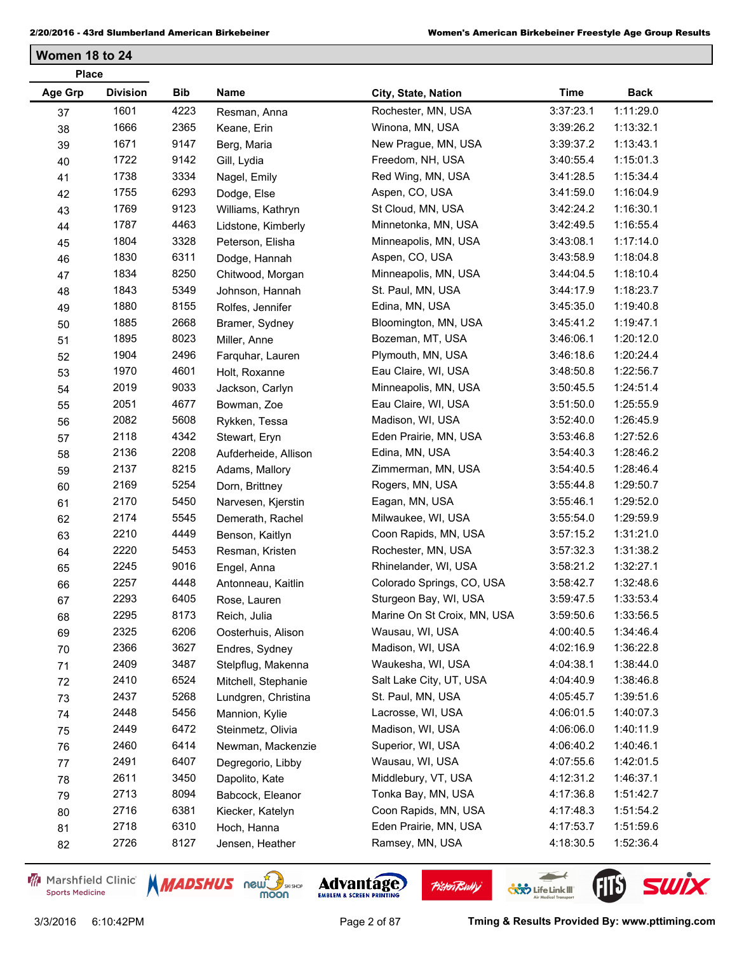**Women 18 to 24**

| <b>Place</b>   |                 |      |                      |                             |             |             |
|----------------|-----------------|------|----------------------|-----------------------------|-------------|-------------|
| <b>Age Grp</b> | <b>Division</b> | Bib  | Name                 | City, State, Nation         | <b>Time</b> | <b>Back</b> |
| 37             | 1601            | 4223 | Resman, Anna         | Rochester, MN, USA          | 3:37:23.1   | 1:11:29.0   |
| 38             | 1666            | 2365 | Keane, Erin          | Winona, MN, USA             | 3:39:26.2   | 1:13:32.1   |
| 39             | 1671            | 9147 | Berg, Maria          | New Prague, MN, USA         | 3:39:37.2   | 1:13:43.1   |
| 40             | 1722            | 9142 | Gill, Lydia          | Freedom, NH, USA            | 3:40:55.4   | 1:15:01.3   |
| 41             | 1738            | 3334 | Nagel, Emily         | Red Wing, MN, USA           | 3:41:28.5   | 1:15:34.4   |
| 42             | 1755            | 6293 | Dodge, Else          | Aspen, CO, USA              | 3:41:59.0   | 1:16:04.9   |
| 43             | 1769            | 9123 | Williams, Kathryn    | St Cloud, MN, USA           | 3:42:24.2   | 1:16:30.1   |
| 44             | 1787            | 4463 | Lidstone, Kimberly   | Minnetonka, MN, USA         | 3:42:49.5   | 1:16:55.4   |
| 45             | 1804            | 3328 | Peterson, Elisha     | Minneapolis, MN, USA        | 3:43:08.1   | 1:17:14.0   |
| 46             | 1830            | 6311 | Dodge, Hannah        | Aspen, CO, USA              | 3:43:58.9   | 1:18:04.8   |
| 47             | 1834            | 8250 | Chitwood, Morgan     | Minneapolis, MN, USA        | 3:44:04.5   | 1:18:10.4   |
| 48             | 1843            | 5349 | Johnson, Hannah      | St. Paul, MN, USA           | 3:44:17.9   | 1:18:23.7   |
| 49             | 1880            | 8155 | Rolfes, Jennifer     | Edina, MN, USA              | 3:45:35.0   | 1:19:40.8   |
| 50             | 1885            | 2668 | Bramer, Sydney       | Bloomington, MN, USA        | 3:45:41.2   | 1:19:47.1   |
| 51             | 1895            | 8023 | Miller, Anne         | Bozeman, MT, USA            | 3:46:06.1   | 1:20:12.0   |
| 52             | 1904            | 2496 | Farquhar, Lauren     | Plymouth, MN, USA           | 3:46:18.6   | 1:20:24.4   |
| 53             | 1970            | 4601 | Holt, Roxanne        | Eau Claire, WI, USA         | 3:48:50.8   | 1:22:56.7   |
| 54             | 2019            | 9033 | Jackson, Carlyn      | Minneapolis, MN, USA        | 3:50:45.5   | 1:24:51.4   |
| 55             | 2051            | 4677 | Bowman, Zoe          | Eau Claire, WI, USA         | 3:51:50.0   | 1:25:55.9   |
| 56             | 2082            | 5608 | Rykken, Tessa        | Madison, WI, USA            | 3:52:40.0   | 1:26:45.9   |
| 57             | 2118            | 4342 | Stewart, Eryn        | Eden Prairie, MN, USA       | 3:53:46.8   | 1:27:52.6   |
| 58             | 2136            | 2208 | Aufderheide, Allison | Edina, MN, USA              | 3:54:40.3   | 1:28:46.2   |
| 59             | 2137            | 8215 | Adams, Mallory       | Zimmerman, MN, USA          | 3:54:40.5   | 1:28:46.4   |
| 60             | 2169            | 5254 | Dorn, Brittney       | Rogers, MN, USA             | 3:55:44.8   | 1:29:50.7   |
| 61             | 2170            | 5450 | Narvesen, Kjerstin   | Eagan, MN, USA              | 3:55:46.1   | 1:29:52.0   |
| 62             | 2174            | 5545 | Demerath, Rachel     | Milwaukee, WI, USA          | 3:55:54.0   | 1:29:59.9   |
| 63             | 2210            | 4449 | Benson, Kaitlyn      | Coon Rapids, MN, USA        | 3:57:15.2   | 1:31:21.0   |
| 64             | 2220            | 5453 | Resman, Kristen      | Rochester, MN, USA          | 3:57:32.3   | 1:31:38.2   |
| 65             | 2245            | 9016 | Engel, Anna          | Rhinelander, WI, USA        | 3:58:21.2   | 1:32:27.1   |
| 66             | 2257            | 4448 | Antonneau, Kaitlin   | Colorado Springs, CO, USA   | 3:58:42.7   | 1:32:48.6   |
| 67             | 2293            | 6405 | Rose, Lauren         | Sturgeon Bay, WI, USA       | 3:59:47.5   | 1:33:53.4   |
| 68             | 2295            | 8173 | Reich, Julia         | Marine On St Croix, MN, USA | 3:59:50.6   | 1:33:56.5   |
| 69             | 2325            | 6206 | Oosterhuis, Alison   | Wausau, WI, USA             | 4:00:40.5   | 1:34:46.4   |
| 70             | 2366            | 3627 | Endres, Sydney       | Madison, WI, USA            | 4:02:16.9   | 1:36:22.8   |
| 71             | 2409            | 3487 | Stelpflug, Makenna   | Waukesha, WI, USA           | 4:04:38.1   | 1:38:44.0   |
| 72             | 2410            | 6524 | Mitchell, Stephanie  | Salt Lake City, UT, USA     | 4:04:40.9   | 1:38:46.8   |
| 73             | 2437            | 5268 | Lundgren, Christina  | St. Paul, MN, USA           | 4:05:45.7   | 1:39:51.6   |
| 74             | 2448            | 5456 | Mannion, Kylie       | Lacrosse, WI, USA           | 4:06:01.5   | 1:40:07.3   |
| 75             | 2449            | 6472 | Steinmetz, Olivia    | Madison, WI, USA            | 4:06:06.0   | 1:40:11.9   |
| 76             | 2460            | 6414 | Newman, Mackenzie    | Superior, WI, USA           | 4:06:40.2   | 1:40:46.1   |
| 77             | 2491            | 6407 | Degregorio, Libby    | Wausau, WI, USA             | 4:07:55.6   | 1:42:01.5   |
| 78             | 2611            | 3450 | Dapolito, Kate       | Middlebury, VT, USA         | 4:12:31.2   | 1:46:37.1   |
| 79             | 2713            | 8094 | Babcock, Eleanor     | Tonka Bay, MN, USA          | 4:17:36.8   | 1:51:42.7   |
| 80             | 2716            | 6381 | Kiecker, Katelyn     | Coon Rapids, MN, USA        | 4:17:48.3   | 1:51:54.2   |
| 81             | 2718            | 6310 | Hoch, Hanna          | Eden Prairie, MN, USA       | 4:17:53.7   | 1:51:59.6   |
| 82             | 2726            | 8127 | Jensen, Heather      | Ramsey, MN, USA             | 4:18:30.5   | 1:52:36.4   |
|                |                 |      |                      |                             |             |             |

Marshfield Clinic **Sports Medicine** 





**Pisten Bully** 



 $\leftarrow$ 

**COND** Life Link III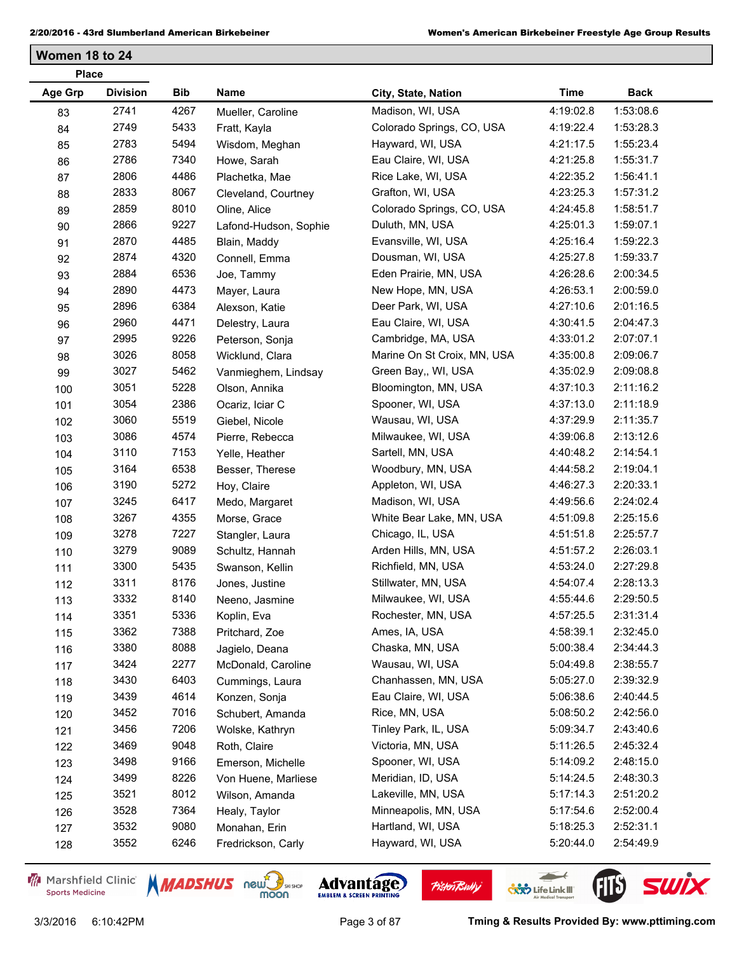**Women 18 to 24**

| <b>Age Grp</b><br><b>Division</b><br>Bib<br>Name<br><b>Time</b><br><b>Back</b><br>City, State, Nation<br>2741<br>4267<br>Madison, WI, USA<br>4:19:02.8<br>1:53:08.6<br>Mueller, Caroline<br>83<br>2749<br>5433<br>Colorado Springs, CO, USA<br>1:53:28.3<br>4:19:22.4<br>84<br>Fratt, Kayla<br>2783<br>5494<br>Hayward, WI, USA<br>1:55:23.4<br>4:21:17.5<br>85<br>Wisdom, Meghan<br>2786<br>7340<br>1:55:31.7<br>Eau Claire, WI, USA<br>4:21:25.8<br>Howe, Sarah<br>86<br>2806<br>4486<br>1:56:41.1<br>Rice Lake, WI, USA<br>4:22:35.2<br>Plachetka, Mae<br>87<br>2833<br>8067<br>1:57:31.2<br>Grafton, WI, USA<br>4:23:25.3<br>88<br>Cleveland, Courtney<br>8010<br>2859<br>Colorado Springs, CO, USA<br>4:24:45.8<br>1:58:51.7<br>89<br>Oline, Alice<br>2866<br>9227<br>Duluth, MN, USA<br>4:25:01.3<br>1:59:07.1<br>Lafond-Hudson, Sophie<br>90<br>2870<br>4485<br>4:25:16.4<br>1:59:22.3<br>Evansville, WI, USA<br>91<br>Blain, Maddy<br>2874<br>4320<br>1:59:33.7<br>Dousman, WI, USA<br>4:25:27.8<br>Connell, Emma<br>92<br>2884<br>6536<br>2:00:34.5<br>Eden Prairie, MN, USA<br>4:26:28.6<br>93<br>Joe, Tammy<br>2890<br>4473<br>2:00:59.0<br>New Hope, MN, USA<br>4:26:53.1<br>94<br>Mayer, Laura<br>2896<br>6384<br>2:01:16.5<br>Deer Park, WI, USA<br>4:27:10.6<br>95<br>Alexson, Katie<br>2960<br>4471<br>2:04:47.3<br>Eau Claire, WI, USA<br>4:30:41.5<br>96<br>Delestry, Laura<br>9226<br>2995<br>Cambridge, MA, USA<br>4:33:01.2<br>2:07:07.1<br>97<br>Peterson, Sonja<br>3026<br>8058<br>2:09:06.7<br>Marine On St Croix, MN, USA<br>4:35:00.8<br>Wicklund, Clara<br>98<br>3027<br>5462<br>2:09:08.8<br>Green Bay,, WI, USA<br>4:35:02.9<br>99<br>Vanmieghem, Lindsay<br>5228<br>3051<br>2:11:16.2<br>Bloomington, MN, USA<br>4:37:10.3<br>Olson, Annika<br>100<br>3054<br>2386<br>2:11:18.9<br>Spooner, WI, USA<br>4:37:13.0<br>Ocariz, Iciar C<br>101<br>3060<br>5519<br>2:11:35.7<br>Wausau, WI, USA<br>4:37:29.9<br>Giebel, Nicole<br>102<br>3086<br>4574<br>2:13:12.6<br>Milwaukee, WI, USA<br>4:39:06.8<br>Pierre, Rebecca<br>103<br>3110<br>7153<br>2:14:54.1<br>Sartell, MN, USA<br>4:40:48.2<br>Yelle, Heather<br>104<br>3164<br>6538<br>Woodbury, MN, USA<br>4:44:58.2<br>2:19:04.1<br>105<br>Besser, Therese<br>3190<br>5272<br>2:20:33.1<br>Appleton, WI, USA<br>4:46:27.3<br>Hoy, Claire<br>106<br>3245<br>6417<br>2:24:02.4<br>Madison, WI, USA<br>4:49:56.6<br>Medo, Margaret<br>107<br>3267<br>4355<br>2:25:15.6<br>White Bear Lake, MN, USA<br>4:51:09.8<br>Morse, Grace<br>108<br>3278<br>7227<br>Chicago, IL, USA<br>4:51:51.8<br>2:25:57.7<br>Stangler, Laura<br>109<br>3279<br>9089<br>2:26:03.1<br>Arden Hills, MN, USA<br>4:51:57.2<br>Schultz, Hannah<br>110<br>3300<br>5435<br>2:27:29.8<br>Richfield, MN, USA<br>4:53:24.0<br>111<br>Swanson, Kellin<br>3311<br>8176<br>2:28:13.3<br>Stillwater, MN, USA<br>4:54:07.4<br>Jones, Justine<br>112<br>3332<br>8140<br>2:29:50.5<br>Milwaukee, WI, USA<br>4:55:44.6<br>113<br>Neeno, Jasmine<br>3351<br>5336<br>2:31:31.4<br>Rochester, MN, USA<br>4:57:25.5<br>Koplin, Eva<br>114<br>3362<br>7388<br>Ames, IA, USA<br>4:58:39.1<br>2:32:45.0<br>Pritchard, Zoe<br>115<br>3380<br>8088<br>Chaska, MN, USA<br>5:00:38.4<br>2:34:44.3<br>116<br>Jagielo, Deana<br>3424<br>2277<br>Wausau, WI, USA<br>5:04:49.8<br>2:38:55.7<br>McDonald, Caroline | <b>Place</b> |  |  |  |
|---------------------------------------------------------------------------------------------------------------------------------------------------------------------------------------------------------------------------------------------------------------------------------------------------------------------------------------------------------------------------------------------------------------------------------------------------------------------------------------------------------------------------------------------------------------------------------------------------------------------------------------------------------------------------------------------------------------------------------------------------------------------------------------------------------------------------------------------------------------------------------------------------------------------------------------------------------------------------------------------------------------------------------------------------------------------------------------------------------------------------------------------------------------------------------------------------------------------------------------------------------------------------------------------------------------------------------------------------------------------------------------------------------------------------------------------------------------------------------------------------------------------------------------------------------------------------------------------------------------------------------------------------------------------------------------------------------------------------------------------------------------------------------------------------------------------------------------------------------------------------------------------------------------------------------------------------------------------------------------------------------------------------------------------------------------------------------------------------------------------------------------------------------------------------------------------------------------------------------------------------------------------------------------------------------------------------------------------------------------------------------------------------------------------------------------------------------------------------------------------------------------------------------------------------------------------------------------------------------------------------------------------------------------------------------------------------------------------------------------------------------------------------------------------------------------------------------------------------------------------------------------------------------------------------------------------------------------------------------------------------------------------------------------------------------------------------------------------------------------------------------------------------------------------------------------------------------------------------------------------------------------------------------------------------------------------------------------|--------------|--|--|--|
|                                                                                                                                                                                                                                                                                                                                                                                                                                                                                                                                                                                                                                                                                                                                                                                                                                                                                                                                                                                                                                                                                                                                                                                                                                                                                                                                                                                                                                                                                                                                                                                                                                                                                                                                                                                                                                                                                                                                                                                                                                                                                                                                                                                                                                                                                                                                                                                                                                                                                                                                                                                                                                                                                                                                                                                                                                                                                                                                                                                                                                                                                                                                                                                                                                                                                                                                       |              |  |  |  |
|                                                                                                                                                                                                                                                                                                                                                                                                                                                                                                                                                                                                                                                                                                                                                                                                                                                                                                                                                                                                                                                                                                                                                                                                                                                                                                                                                                                                                                                                                                                                                                                                                                                                                                                                                                                                                                                                                                                                                                                                                                                                                                                                                                                                                                                                                                                                                                                                                                                                                                                                                                                                                                                                                                                                                                                                                                                                                                                                                                                                                                                                                                                                                                                                                                                                                                                                       |              |  |  |  |
|                                                                                                                                                                                                                                                                                                                                                                                                                                                                                                                                                                                                                                                                                                                                                                                                                                                                                                                                                                                                                                                                                                                                                                                                                                                                                                                                                                                                                                                                                                                                                                                                                                                                                                                                                                                                                                                                                                                                                                                                                                                                                                                                                                                                                                                                                                                                                                                                                                                                                                                                                                                                                                                                                                                                                                                                                                                                                                                                                                                                                                                                                                                                                                                                                                                                                                                                       |              |  |  |  |
|                                                                                                                                                                                                                                                                                                                                                                                                                                                                                                                                                                                                                                                                                                                                                                                                                                                                                                                                                                                                                                                                                                                                                                                                                                                                                                                                                                                                                                                                                                                                                                                                                                                                                                                                                                                                                                                                                                                                                                                                                                                                                                                                                                                                                                                                                                                                                                                                                                                                                                                                                                                                                                                                                                                                                                                                                                                                                                                                                                                                                                                                                                                                                                                                                                                                                                                                       |              |  |  |  |
|                                                                                                                                                                                                                                                                                                                                                                                                                                                                                                                                                                                                                                                                                                                                                                                                                                                                                                                                                                                                                                                                                                                                                                                                                                                                                                                                                                                                                                                                                                                                                                                                                                                                                                                                                                                                                                                                                                                                                                                                                                                                                                                                                                                                                                                                                                                                                                                                                                                                                                                                                                                                                                                                                                                                                                                                                                                                                                                                                                                                                                                                                                                                                                                                                                                                                                                                       |              |  |  |  |
|                                                                                                                                                                                                                                                                                                                                                                                                                                                                                                                                                                                                                                                                                                                                                                                                                                                                                                                                                                                                                                                                                                                                                                                                                                                                                                                                                                                                                                                                                                                                                                                                                                                                                                                                                                                                                                                                                                                                                                                                                                                                                                                                                                                                                                                                                                                                                                                                                                                                                                                                                                                                                                                                                                                                                                                                                                                                                                                                                                                                                                                                                                                                                                                                                                                                                                                                       |              |  |  |  |
|                                                                                                                                                                                                                                                                                                                                                                                                                                                                                                                                                                                                                                                                                                                                                                                                                                                                                                                                                                                                                                                                                                                                                                                                                                                                                                                                                                                                                                                                                                                                                                                                                                                                                                                                                                                                                                                                                                                                                                                                                                                                                                                                                                                                                                                                                                                                                                                                                                                                                                                                                                                                                                                                                                                                                                                                                                                                                                                                                                                                                                                                                                                                                                                                                                                                                                                                       |              |  |  |  |
|                                                                                                                                                                                                                                                                                                                                                                                                                                                                                                                                                                                                                                                                                                                                                                                                                                                                                                                                                                                                                                                                                                                                                                                                                                                                                                                                                                                                                                                                                                                                                                                                                                                                                                                                                                                                                                                                                                                                                                                                                                                                                                                                                                                                                                                                                                                                                                                                                                                                                                                                                                                                                                                                                                                                                                                                                                                                                                                                                                                                                                                                                                                                                                                                                                                                                                                                       |              |  |  |  |
|                                                                                                                                                                                                                                                                                                                                                                                                                                                                                                                                                                                                                                                                                                                                                                                                                                                                                                                                                                                                                                                                                                                                                                                                                                                                                                                                                                                                                                                                                                                                                                                                                                                                                                                                                                                                                                                                                                                                                                                                                                                                                                                                                                                                                                                                                                                                                                                                                                                                                                                                                                                                                                                                                                                                                                                                                                                                                                                                                                                                                                                                                                                                                                                                                                                                                                                                       |              |  |  |  |
|                                                                                                                                                                                                                                                                                                                                                                                                                                                                                                                                                                                                                                                                                                                                                                                                                                                                                                                                                                                                                                                                                                                                                                                                                                                                                                                                                                                                                                                                                                                                                                                                                                                                                                                                                                                                                                                                                                                                                                                                                                                                                                                                                                                                                                                                                                                                                                                                                                                                                                                                                                                                                                                                                                                                                                                                                                                                                                                                                                                                                                                                                                                                                                                                                                                                                                                                       |              |  |  |  |
|                                                                                                                                                                                                                                                                                                                                                                                                                                                                                                                                                                                                                                                                                                                                                                                                                                                                                                                                                                                                                                                                                                                                                                                                                                                                                                                                                                                                                                                                                                                                                                                                                                                                                                                                                                                                                                                                                                                                                                                                                                                                                                                                                                                                                                                                                                                                                                                                                                                                                                                                                                                                                                                                                                                                                                                                                                                                                                                                                                                                                                                                                                                                                                                                                                                                                                                                       |              |  |  |  |
|                                                                                                                                                                                                                                                                                                                                                                                                                                                                                                                                                                                                                                                                                                                                                                                                                                                                                                                                                                                                                                                                                                                                                                                                                                                                                                                                                                                                                                                                                                                                                                                                                                                                                                                                                                                                                                                                                                                                                                                                                                                                                                                                                                                                                                                                                                                                                                                                                                                                                                                                                                                                                                                                                                                                                                                                                                                                                                                                                                                                                                                                                                                                                                                                                                                                                                                                       |              |  |  |  |
|                                                                                                                                                                                                                                                                                                                                                                                                                                                                                                                                                                                                                                                                                                                                                                                                                                                                                                                                                                                                                                                                                                                                                                                                                                                                                                                                                                                                                                                                                                                                                                                                                                                                                                                                                                                                                                                                                                                                                                                                                                                                                                                                                                                                                                                                                                                                                                                                                                                                                                                                                                                                                                                                                                                                                                                                                                                                                                                                                                                                                                                                                                                                                                                                                                                                                                                                       |              |  |  |  |
|                                                                                                                                                                                                                                                                                                                                                                                                                                                                                                                                                                                                                                                                                                                                                                                                                                                                                                                                                                                                                                                                                                                                                                                                                                                                                                                                                                                                                                                                                                                                                                                                                                                                                                                                                                                                                                                                                                                                                                                                                                                                                                                                                                                                                                                                                                                                                                                                                                                                                                                                                                                                                                                                                                                                                                                                                                                                                                                                                                                                                                                                                                                                                                                                                                                                                                                                       |              |  |  |  |
|                                                                                                                                                                                                                                                                                                                                                                                                                                                                                                                                                                                                                                                                                                                                                                                                                                                                                                                                                                                                                                                                                                                                                                                                                                                                                                                                                                                                                                                                                                                                                                                                                                                                                                                                                                                                                                                                                                                                                                                                                                                                                                                                                                                                                                                                                                                                                                                                                                                                                                                                                                                                                                                                                                                                                                                                                                                                                                                                                                                                                                                                                                                                                                                                                                                                                                                                       |              |  |  |  |
|                                                                                                                                                                                                                                                                                                                                                                                                                                                                                                                                                                                                                                                                                                                                                                                                                                                                                                                                                                                                                                                                                                                                                                                                                                                                                                                                                                                                                                                                                                                                                                                                                                                                                                                                                                                                                                                                                                                                                                                                                                                                                                                                                                                                                                                                                                                                                                                                                                                                                                                                                                                                                                                                                                                                                                                                                                                                                                                                                                                                                                                                                                                                                                                                                                                                                                                                       |              |  |  |  |
|                                                                                                                                                                                                                                                                                                                                                                                                                                                                                                                                                                                                                                                                                                                                                                                                                                                                                                                                                                                                                                                                                                                                                                                                                                                                                                                                                                                                                                                                                                                                                                                                                                                                                                                                                                                                                                                                                                                                                                                                                                                                                                                                                                                                                                                                                                                                                                                                                                                                                                                                                                                                                                                                                                                                                                                                                                                                                                                                                                                                                                                                                                                                                                                                                                                                                                                                       |              |  |  |  |
|                                                                                                                                                                                                                                                                                                                                                                                                                                                                                                                                                                                                                                                                                                                                                                                                                                                                                                                                                                                                                                                                                                                                                                                                                                                                                                                                                                                                                                                                                                                                                                                                                                                                                                                                                                                                                                                                                                                                                                                                                                                                                                                                                                                                                                                                                                                                                                                                                                                                                                                                                                                                                                                                                                                                                                                                                                                                                                                                                                                                                                                                                                                                                                                                                                                                                                                                       |              |  |  |  |
|                                                                                                                                                                                                                                                                                                                                                                                                                                                                                                                                                                                                                                                                                                                                                                                                                                                                                                                                                                                                                                                                                                                                                                                                                                                                                                                                                                                                                                                                                                                                                                                                                                                                                                                                                                                                                                                                                                                                                                                                                                                                                                                                                                                                                                                                                                                                                                                                                                                                                                                                                                                                                                                                                                                                                                                                                                                                                                                                                                                                                                                                                                                                                                                                                                                                                                                                       |              |  |  |  |
|                                                                                                                                                                                                                                                                                                                                                                                                                                                                                                                                                                                                                                                                                                                                                                                                                                                                                                                                                                                                                                                                                                                                                                                                                                                                                                                                                                                                                                                                                                                                                                                                                                                                                                                                                                                                                                                                                                                                                                                                                                                                                                                                                                                                                                                                                                                                                                                                                                                                                                                                                                                                                                                                                                                                                                                                                                                                                                                                                                                                                                                                                                                                                                                                                                                                                                                                       |              |  |  |  |
|                                                                                                                                                                                                                                                                                                                                                                                                                                                                                                                                                                                                                                                                                                                                                                                                                                                                                                                                                                                                                                                                                                                                                                                                                                                                                                                                                                                                                                                                                                                                                                                                                                                                                                                                                                                                                                                                                                                                                                                                                                                                                                                                                                                                                                                                                                                                                                                                                                                                                                                                                                                                                                                                                                                                                                                                                                                                                                                                                                                                                                                                                                                                                                                                                                                                                                                                       |              |  |  |  |
|                                                                                                                                                                                                                                                                                                                                                                                                                                                                                                                                                                                                                                                                                                                                                                                                                                                                                                                                                                                                                                                                                                                                                                                                                                                                                                                                                                                                                                                                                                                                                                                                                                                                                                                                                                                                                                                                                                                                                                                                                                                                                                                                                                                                                                                                                                                                                                                                                                                                                                                                                                                                                                                                                                                                                                                                                                                                                                                                                                                                                                                                                                                                                                                                                                                                                                                                       |              |  |  |  |
|                                                                                                                                                                                                                                                                                                                                                                                                                                                                                                                                                                                                                                                                                                                                                                                                                                                                                                                                                                                                                                                                                                                                                                                                                                                                                                                                                                                                                                                                                                                                                                                                                                                                                                                                                                                                                                                                                                                                                                                                                                                                                                                                                                                                                                                                                                                                                                                                                                                                                                                                                                                                                                                                                                                                                                                                                                                                                                                                                                                                                                                                                                                                                                                                                                                                                                                                       |              |  |  |  |
|                                                                                                                                                                                                                                                                                                                                                                                                                                                                                                                                                                                                                                                                                                                                                                                                                                                                                                                                                                                                                                                                                                                                                                                                                                                                                                                                                                                                                                                                                                                                                                                                                                                                                                                                                                                                                                                                                                                                                                                                                                                                                                                                                                                                                                                                                                                                                                                                                                                                                                                                                                                                                                                                                                                                                                                                                                                                                                                                                                                                                                                                                                                                                                                                                                                                                                                                       |              |  |  |  |
|                                                                                                                                                                                                                                                                                                                                                                                                                                                                                                                                                                                                                                                                                                                                                                                                                                                                                                                                                                                                                                                                                                                                                                                                                                                                                                                                                                                                                                                                                                                                                                                                                                                                                                                                                                                                                                                                                                                                                                                                                                                                                                                                                                                                                                                                                                                                                                                                                                                                                                                                                                                                                                                                                                                                                                                                                                                                                                                                                                                                                                                                                                                                                                                                                                                                                                                                       |              |  |  |  |
|                                                                                                                                                                                                                                                                                                                                                                                                                                                                                                                                                                                                                                                                                                                                                                                                                                                                                                                                                                                                                                                                                                                                                                                                                                                                                                                                                                                                                                                                                                                                                                                                                                                                                                                                                                                                                                                                                                                                                                                                                                                                                                                                                                                                                                                                                                                                                                                                                                                                                                                                                                                                                                                                                                                                                                                                                                                                                                                                                                                                                                                                                                                                                                                                                                                                                                                                       |              |  |  |  |
|                                                                                                                                                                                                                                                                                                                                                                                                                                                                                                                                                                                                                                                                                                                                                                                                                                                                                                                                                                                                                                                                                                                                                                                                                                                                                                                                                                                                                                                                                                                                                                                                                                                                                                                                                                                                                                                                                                                                                                                                                                                                                                                                                                                                                                                                                                                                                                                                                                                                                                                                                                                                                                                                                                                                                                                                                                                                                                                                                                                                                                                                                                                                                                                                                                                                                                                                       |              |  |  |  |
|                                                                                                                                                                                                                                                                                                                                                                                                                                                                                                                                                                                                                                                                                                                                                                                                                                                                                                                                                                                                                                                                                                                                                                                                                                                                                                                                                                                                                                                                                                                                                                                                                                                                                                                                                                                                                                                                                                                                                                                                                                                                                                                                                                                                                                                                                                                                                                                                                                                                                                                                                                                                                                                                                                                                                                                                                                                                                                                                                                                                                                                                                                                                                                                                                                                                                                                                       |              |  |  |  |
|                                                                                                                                                                                                                                                                                                                                                                                                                                                                                                                                                                                                                                                                                                                                                                                                                                                                                                                                                                                                                                                                                                                                                                                                                                                                                                                                                                                                                                                                                                                                                                                                                                                                                                                                                                                                                                                                                                                                                                                                                                                                                                                                                                                                                                                                                                                                                                                                                                                                                                                                                                                                                                                                                                                                                                                                                                                                                                                                                                                                                                                                                                                                                                                                                                                                                                                                       |              |  |  |  |
|                                                                                                                                                                                                                                                                                                                                                                                                                                                                                                                                                                                                                                                                                                                                                                                                                                                                                                                                                                                                                                                                                                                                                                                                                                                                                                                                                                                                                                                                                                                                                                                                                                                                                                                                                                                                                                                                                                                                                                                                                                                                                                                                                                                                                                                                                                                                                                                                                                                                                                                                                                                                                                                                                                                                                                                                                                                                                                                                                                                                                                                                                                                                                                                                                                                                                                                                       |              |  |  |  |
|                                                                                                                                                                                                                                                                                                                                                                                                                                                                                                                                                                                                                                                                                                                                                                                                                                                                                                                                                                                                                                                                                                                                                                                                                                                                                                                                                                                                                                                                                                                                                                                                                                                                                                                                                                                                                                                                                                                                                                                                                                                                                                                                                                                                                                                                                                                                                                                                                                                                                                                                                                                                                                                                                                                                                                                                                                                                                                                                                                                                                                                                                                                                                                                                                                                                                                                                       |              |  |  |  |
|                                                                                                                                                                                                                                                                                                                                                                                                                                                                                                                                                                                                                                                                                                                                                                                                                                                                                                                                                                                                                                                                                                                                                                                                                                                                                                                                                                                                                                                                                                                                                                                                                                                                                                                                                                                                                                                                                                                                                                                                                                                                                                                                                                                                                                                                                                                                                                                                                                                                                                                                                                                                                                                                                                                                                                                                                                                                                                                                                                                                                                                                                                                                                                                                                                                                                                                                       |              |  |  |  |
|                                                                                                                                                                                                                                                                                                                                                                                                                                                                                                                                                                                                                                                                                                                                                                                                                                                                                                                                                                                                                                                                                                                                                                                                                                                                                                                                                                                                                                                                                                                                                                                                                                                                                                                                                                                                                                                                                                                                                                                                                                                                                                                                                                                                                                                                                                                                                                                                                                                                                                                                                                                                                                                                                                                                                                                                                                                                                                                                                                                                                                                                                                                                                                                                                                                                                                                                       |              |  |  |  |
|                                                                                                                                                                                                                                                                                                                                                                                                                                                                                                                                                                                                                                                                                                                                                                                                                                                                                                                                                                                                                                                                                                                                                                                                                                                                                                                                                                                                                                                                                                                                                                                                                                                                                                                                                                                                                                                                                                                                                                                                                                                                                                                                                                                                                                                                                                                                                                                                                                                                                                                                                                                                                                                                                                                                                                                                                                                                                                                                                                                                                                                                                                                                                                                                                                                                                                                                       |              |  |  |  |
|                                                                                                                                                                                                                                                                                                                                                                                                                                                                                                                                                                                                                                                                                                                                                                                                                                                                                                                                                                                                                                                                                                                                                                                                                                                                                                                                                                                                                                                                                                                                                                                                                                                                                                                                                                                                                                                                                                                                                                                                                                                                                                                                                                                                                                                                                                                                                                                                                                                                                                                                                                                                                                                                                                                                                                                                                                                                                                                                                                                                                                                                                                                                                                                                                                                                                                                                       |              |  |  |  |
|                                                                                                                                                                                                                                                                                                                                                                                                                                                                                                                                                                                                                                                                                                                                                                                                                                                                                                                                                                                                                                                                                                                                                                                                                                                                                                                                                                                                                                                                                                                                                                                                                                                                                                                                                                                                                                                                                                                                                                                                                                                                                                                                                                                                                                                                                                                                                                                                                                                                                                                                                                                                                                                                                                                                                                                                                                                                                                                                                                                                                                                                                                                                                                                                                                                                                                                                       | 117          |  |  |  |
| 3430<br>6403<br>2:39:32.9<br>Chanhassen, MN, USA<br>5:05:27.0<br>118<br>Cummings, Laura                                                                                                                                                                                                                                                                                                                                                                                                                                                                                                                                                                                                                                                                                                                                                                                                                                                                                                                                                                                                                                                                                                                                                                                                                                                                                                                                                                                                                                                                                                                                                                                                                                                                                                                                                                                                                                                                                                                                                                                                                                                                                                                                                                                                                                                                                                                                                                                                                                                                                                                                                                                                                                                                                                                                                                                                                                                                                                                                                                                                                                                                                                                                                                                                                                               |              |  |  |  |
| 3439<br>4614<br>2:40:44.5<br>Eau Claire, WI, USA<br>5:06:38.6<br>Konzen, Sonja<br>119                                                                                                                                                                                                                                                                                                                                                                                                                                                                                                                                                                                                                                                                                                                                                                                                                                                                                                                                                                                                                                                                                                                                                                                                                                                                                                                                                                                                                                                                                                                                                                                                                                                                                                                                                                                                                                                                                                                                                                                                                                                                                                                                                                                                                                                                                                                                                                                                                                                                                                                                                                                                                                                                                                                                                                                                                                                                                                                                                                                                                                                                                                                                                                                                                                                 |              |  |  |  |
| 7016<br>2:42:56.0<br>3452<br>Rice, MN, USA<br>5:08:50.2<br>Schubert, Amanda<br>120                                                                                                                                                                                                                                                                                                                                                                                                                                                                                                                                                                                                                                                                                                                                                                                                                                                                                                                                                                                                                                                                                                                                                                                                                                                                                                                                                                                                                                                                                                                                                                                                                                                                                                                                                                                                                                                                                                                                                                                                                                                                                                                                                                                                                                                                                                                                                                                                                                                                                                                                                                                                                                                                                                                                                                                                                                                                                                                                                                                                                                                                                                                                                                                                                                                    |              |  |  |  |
| 3456<br>7206<br>Tinley Park, IL, USA<br>5:09:34.7<br>2:43:40.6<br>Wolske, Kathryn<br>121                                                                                                                                                                                                                                                                                                                                                                                                                                                                                                                                                                                                                                                                                                                                                                                                                                                                                                                                                                                                                                                                                                                                                                                                                                                                                                                                                                                                                                                                                                                                                                                                                                                                                                                                                                                                                                                                                                                                                                                                                                                                                                                                                                                                                                                                                                                                                                                                                                                                                                                                                                                                                                                                                                                                                                                                                                                                                                                                                                                                                                                                                                                                                                                                                                              |              |  |  |  |
| 3469<br>9048<br>2:45:32.4<br>Victoria, MN, USA<br>5:11:26.5<br>Roth, Claire<br>122                                                                                                                                                                                                                                                                                                                                                                                                                                                                                                                                                                                                                                                                                                                                                                                                                                                                                                                                                                                                                                                                                                                                                                                                                                                                                                                                                                                                                                                                                                                                                                                                                                                                                                                                                                                                                                                                                                                                                                                                                                                                                                                                                                                                                                                                                                                                                                                                                                                                                                                                                                                                                                                                                                                                                                                                                                                                                                                                                                                                                                                                                                                                                                                                                                                    |              |  |  |  |
| 3498<br>9166<br>Spooner, WI, USA<br>5:14:09.2<br>2:48:15.0<br>Emerson, Michelle<br>123                                                                                                                                                                                                                                                                                                                                                                                                                                                                                                                                                                                                                                                                                                                                                                                                                                                                                                                                                                                                                                                                                                                                                                                                                                                                                                                                                                                                                                                                                                                                                                                                                                                                                                                                                                                                                                                                                                                                                                                                                                                                                                                                                                                                                                                                                                                                                                                                                                                                                                                                                                                                                                                                                                                                                                                                                                                                                                                                                                                                                                                                                                                                                                                                                                                |              |  |  |  |
| 8226<br>Meridian, ID, USA<br>3499<br>5:14:24.5<br>2:48:30.3<br>Von Huene, Marliese<br>124                                                                                                                                                                                                                                                                                                                                                                                                                                                                                                                                                                                                                                                                                                                                                                                                                                                                                                                                                                                                                                                                                                                                                                                                                                                                                                                                                                                                                                                                                                                                                                                                                                                                                                                                                                                                                                                                                                                                                                                                                                                                                                                                                                                                                                                                                                                                                                                                                                                                                                                                                                                                                                                                                                                                                                                                                                                                                                                                                                                                                                                                                                                                                                                                                                             |              |  |  |  |
| 8012<br>3521<br>Lakeville, MN, USA<br>5:17:14.3<br>2:51:20.2<br>Wilson, Amanda<br>125                                                                                                                                                                                                                                                                                                                                                                                                                                                                                                                                                                                                                                                                                                                                                                                                                                                                                                                                                                                                                                                                                                                                                                                                                                                                                                                                                                                                                                                                                                                                                                                                                                                                                                                                                                                                                                                                                                                                                                                                                                                                                                                                                                                                                                                                                                                                                                                                                                                                                                                                                                                                                                                                                                                                                                                                                                                                                                                                                                                                                                                                                                                                                                                                                                                 |              |  |  |  |
| 3528<br>7364<br>Minneapolis, MN, USA<br>5:17:54.6<br>2:52:00.4<br>Healy, Taylor<br>126                                                                                                                                                                                                                                                                                                                                                                                                                                                                                                                                                                                                                                                                                                                                                                                                                                                                                                                                                                                                                                                                                                                                                                                                                                                                                                                                                                                                                                                                                                                                                                                                                                                                                                                                                                                                                                                                                                                                                                                                                                                                                                                                                                                                                                                                                                                                                                                                                                                                                                                                                                                                                                                                                                                                                                                                                                                                                                                                                                                                                                                                                                                                                                                                                                                |              |  |  |  |
| 3532<br>9080<br>Hartland, WI, USA<br>2:52:31.1<br>5:18:25.3<br>Monahan, Erin<br>127                                                                                                                                                                                                                                                                                                                                                                                                                                                                                                                                                                                                                                                                                                                                                                                                                                                                                                                                                                                                                                                                                                                                                                                                                                                                                                                                                                                                                                                                                                                                                                                                                                                                                                                                                                                                                                                                                                                                                                                                                                                                                                                                                                                                                                                                                                                                                                                                                                                                                                                                                                                                                                                                                                                                                                                                                                                                                                                                                                                                                                                                                                                                                                                                                                                   |              |  |  |  |
| 3552<br>6246<br>Hayward, WI, USA<br>5:20:44.0<br>2:54:49.9<br>Fredrickson, Carly<br>128                                                                                                                                                                                                                                                                                                                                                                                                                                                                                                                                                                                                                                                                                                                                                                                                                                                                                                                                                                                                                                                                                                                                                                                                                                                                                                                                                                                                                                                                                                                                                                                                                                                                                                                                                                                                                                                                                                                                                                                                                                                                                                                                                                                                                                                                                                                                                                                                                                                                                                                                                                                                                                                                                                                                                                                                                                                                                                                                                                                                                                                                                                                                                                                                                                               |              |  |  |  |

Marshfield Clinic **Sports Medicine** 





**Pisten Bully** 

3/3/2016 6:10:42PM Page 3 of 87 **Tming & Results Provided By: www.pttiming.com**

 $\leftarrow$ 

**COND** Life Link III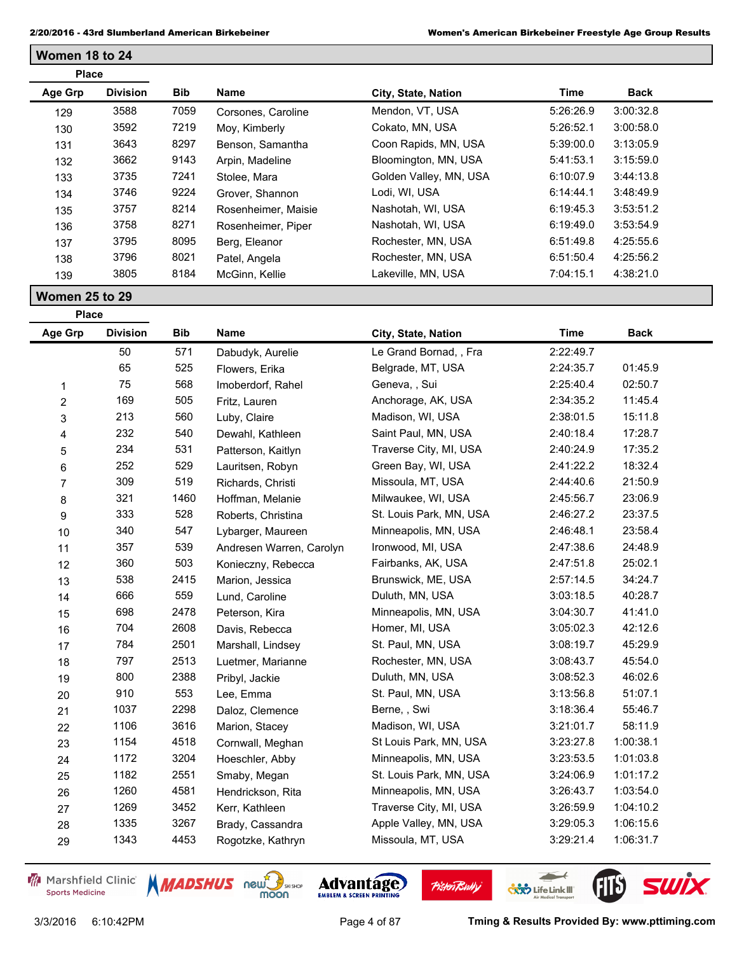| <b>Place</b> |                 |            |                     |                        |           |             |  |
|--------------|-----------------|------------|---------------------|------------------------|-----------|-------------|--|
| Age Grp      | <b>Division</b> | <b>Bib</b> | Name                | City, State, Nation    | Time      | <b>Back</b> |  |
| 129          | 3588            | 7059       | Corsones, Caroline  | Mendon, VT, USA        | 5:26:26.9 | 3:00:32.8   |  |
| 130          | 3592            | 7219       | Moy, Kimberly       | Cokato, MN, USA        | 5:26:52.1 | 3:00:58.0   |  |
| 131          | 3643            | 8297       | Benson, Samantha    | Coon Rapids, MN, USA   | 5:39:00.0 | 3:13:05.9   |  |
| 132          | 3662            | 9143       | Arpin, Madeline     | Bloomington, MN, USA   | 5:41:53.1 | 3:15:59.0   |  |
| 133          | 3735            | 7241       | Stolee, Mara        | Golden Valley, MN, USA | 6:10:07.9 | 3:44:13.8   |  |
| 134          | 3746            | 9224       | Grover, Shannon     | Lodi, WI, USA          | 6:14:44.1 | 3:48:49.9   |  |
| 135          | 3757            | 8214       | Rosenheimer, Maisie | Nashotah, WI, USA      | 6:19:45.3 | 3:53:51.2   |  |
| 136          | 3758            | 8271       | Rosenheimer, Piper  | Nashotah, WI, USA      | 6:19:49.0 | 3:53:54.9   |  |
| 137          | 3795            | 8095       | Berg, Eleanor       | Rochester, MN, USA     | 6:51:49.8 | 4:25:55.6   |  |
| 138          | 3796            | 8021       | Patel, Angela       | Rochester, MN, USA     | 6:51:50.4 | 4:25:56.2   |  |
| 139          | 3805            | 8184       | McGinn, Kellie      | Lakeville, MN, USA     | 7:04:15.1 | 4:38:21.0   |  |

**Women 25 to 29**

**Place**

**Women 18 to 24**

| Age Grp                 | <b>Division</b> | <b>Bib</b> | Name                     | City, State, Nation     | <b>Time</b> | <b>Back</b> |  |
|-------------------------|-----------------|------------|--------------------------|-------------------------|-------------|-------------|--|
|                         | 50              | 571        | Dabudyk, Aurelie         | Le Grand Bornad, , Fra  | 2:22:49.7   |             |  |
|                         | 65              | 525        | Flowers, Erika           | Belgrade, MT, USA       | 2:24:35.7   | 01:45.9     |  |
| 1                       | 75              | 568        | Imoberdorf, Rahel        | Geneva, , Sui           | 2:25:40.4   | 02:50.7     |  |
| $\overline{\mathbf{c}}$ | 169             | 505        | Fritz, Lauren            | Anchorage, AK, USA      | 2:34:35.2   | 11:45.4     |  |
| 3                       | 213             | 560        | Luby, Claire             | Madison, WI, USA        | 2:38:01.5   | 15:11.8     |  |
| 4                       | 232             | 540        | Dewahl, Kathleen         | Saint Paul, MN, USA     | 2:40:18.4   | 17:28.7     |  |
| 5                       | 234             | 531        | Patterson, Kaitlyn       | Traverse City, MI, USA  | 2:40:24.9   | 17:35.2     |  |
| 6                       | 252             | 529        | Lauritsen, Robyn         | Green Bay, WI, USA      | 2:41:22.2   | 18:32.4     |  |
| 7                       | 309             | 519        | Richards, Christi        | Missoula, MT, USA       | 2:44:40.6   | 21:50.9     |  |
| 8                       | 321             | 1460       | Hoffman, Melanie         | Milwaukee, WI, USA      | 2:45:56.7   | 23:06.9     |  |
| 9                       | 333             | 528        | Roberts, Christina       | St. Louis Park, MN, USA | 2:46:27.2   | 23:37.5     |  |
| 10                      | 340             | 547        | Lybarger, Maureen        | Minneapolis, MN, USA    | 2:46:48.1   | 23:58.4     |  |
| 11                      | 357             | 539        | Andresen Warren, Carolyn | Ironwood, MI, USA       | 2:47:38.6   | 24:48.9     |  |
| 12                      | 360             | 503        | Konieczny, Rebecca       | Fairbanks, AK, USA      | 2:47:51.8   | 25:02.1     |  |
| 13                      | 538             | 2415       | Marion, Jessica          | Brunswick, ME, USA      | 2:57:14.5   | 34:24.7     |  |
| 14                      | 666             | 559        | Lund, Caroline           | Duluth, MN, USA         | 3:03:18.5   | 40:28.7     |  |
| 15                      | 698             | 2478       | Peterson, Kira           | Minneapolis, MN, USA    | 3:04:30.7   | 41:41.0     |  |
| 16                      | 704             | 2608       | Davis, Rebecca           | Homer, MI, USA          | 3:05:02.3   | 42:12.6     |  |
| 17                      | 784             | 2501       | Marshall, Lindsey        | St. Paul, MN, USA       | 3:08:19.7   | 45:29.9     |  |
| 18                      | 797             | 2513       | Luetmer, Marianne        | Rochester, MN, USA      | 3:08:43.7   | 45:54.0     |  |
| 19                      | 800             | 2388       | Pribyl, Jackie           | Duluth, MN, USA         | 3:08:52.3   | 46:02.6     |  |
| 20                      | 910             | 553        | Lee, Emma                | St. Paul, MN, USA       | 3:13:56.8   | 51:07.1     |  |
| 21                      | 1037            | 2298       | Daloz, Clemence          | Berne, , Swi            | 3:18:36.4   | 55:46.7     |  |
| 22                      | 1106            | 3616       | Marion, Stacey           | Madison, WI, USA        | 3:21:01.7   | 58:11.9     |  |
| 23                      | 1154            | 4518       | Cornwall, Meghan         | St Louis Park, MN, USA  | 3:23:27.8   | 1:00:38.1   |  |
| 24                      | 1172            | 3204       | Hoeschler, Abby          | Minneapolis, MN, USA    | 3:23:53.5   | 1:01:03.8   |  |
| 25                      | 1182            | 2551       | Smaby, Megan             | St. Louis Park, MN, USA | 3:24:06.9   | 1:01:17.2   |  |
| 26                      | 1260            | 4581       | Hendrickson, Rita        | Minneapolis, MN, USA    | 3:26:43.7   | 1:03:54.0   |  |
| 27                      | 1269            | 3452       | Kerr, Kathleen           | Traverse City, MI, USA  | 3:26:59.9   | 1:04:10.2   |  |
| 28                      | 1335            | 3267       | Brady, Cassandra         | Apple Valley, MN, USA   | 3:29:05.3   | 1:06:15.6   |  |
| 29                      | 1343            | 4453       | Rogotzke, Kathryn        | Missoula, MT, USA       | 3:29:21.4   | 1:06:31.7   |  |

Marshfield Clinic **Sports Medicine** 





**Pisten Bully** 

3/3/2016 6:10:42PM Page 4 of 87 **Tming & Results Provided By: www.pttiming.com**

 $\overline{\phantom{a}}$ 

**COND** Life Link III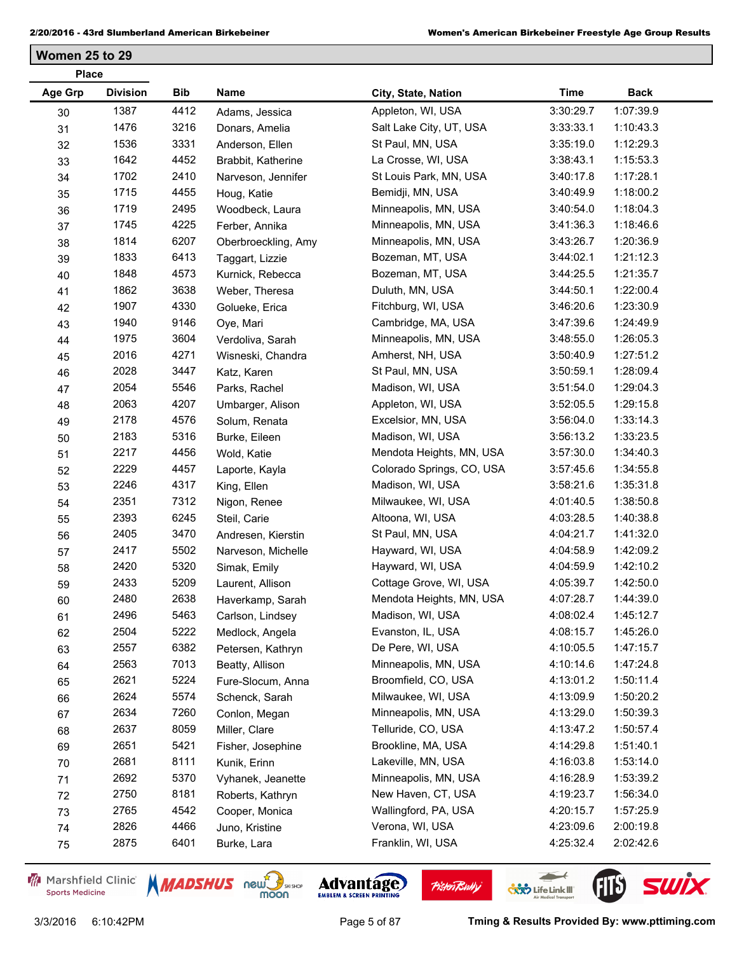**Women 25 to 29**

| <b>Place</b>   |                 |      |                     |                           |             |             |
|----------------|-----------------|------|---------------------|---------------------------|-------------|-------------|
| <b>Age Grp</b> | <b>Division</b> | Bib  | Name                | City, State, Nation       | <b>Time</b> | <b>Back</b> |
| 30             | 1387            | 4412 | Adams, Jessica      | Appleton, WI, USA         | 3:30:29.7   | 1:07:39.9   |
| 31             | 1476            | 3216 | Donars, Amelia      | Salt Lake City, UT, USA   | 3:33:33.1   | 1:10:43.3   |
| 32             | 1536            | 3331 | Anderson, Ellen     | St Paul, MN, USA          | 3:35:19.0   | 1:12:29.3   |
| 33             | 1642            | 4452 | Brabbit, Katherine  | La Crosse, WI, USA        | 3:38:43.1   | 1:15:53.3   |
| 34             | 1702            | 2410 | Narveson, Jennifer  | St Louis Park, MN, USA    | 3:40:17.8   | 1:17:28.1   |
| 35             | 1715            | 4455 | Houg, Katie         | Bemidji, MN, USA          | 3:40:49.9   | 1:18:00.2   |
| 36             | 1719            | 2495 | Woodbeck, Laura     | Minneapolis, MN, USA      | 3:40:54.0   | 1:18:04.3   |
| 37             | 1745            | 4225 | Ferber, Annika      | Minneapolis, MN, USA      | 3:41:36.3   | 1:18:46.6   |
| 38             | 1814            | 6207 | Oberbroeckling, Amy | Minneapolis, MN, USA      | 3:43:26.7   | 1:20:36.9   |
| 39             | 1833            | 6413 | Taggart, Lizzie     | Bozeman, MT, USA          | 3:44:02.1   | 1:21:12.3   |
| 40             | 1848            | 4573 | Kurnick, Rebecca    | Bozeman, MT, USA          | 3:44:25.5   | 1:21:35.7   |
| 41             | 1862            | 3638 | Weber, Theresa      | Duluth, MN, USA           | 3:44:50.1   | 1:22:00.4   |
| 42             | 1907            | 4330 | Golueke, Erica      | Fitchburg, WI, USA        | 3:46:20.6   | 1:23:30.9   |
| 43             | 1940            | 9146 | Oye, Mari           | Cambridge, MA, USA        | 3:47:39.6   | 1:24:49.9   |
| 44             | 1975            | 3604 | Verdoliva, Sarah    | Minneapolis, MN, USA      | 3:48:55.0   | 1:26:05.3   |
| 45             | 2016            | 4271 | Wisneski, Chandra   | Amherst, NH, USA          | 3:50:40.9   | 1:27:51.2   |
| 46             | 2028            | 3447 | Katz, Karen         | St Paul, MN, USA          | 3:50:59.1   | 1:28:09.4   |
| 47             | 2054            | 5546 | Parks, Rachel       | Madison, WI, USA          | 3:51:54.0   | 1:29:04.3   |
| 48             | 2063            | 4207 | Umbarger, Alison    | Appleton, WI, USA         | 3:52:05.5   | 1:29:15.8   |
| 49             | 2178            | 4576 | Solum, Renata       | Excelsior, MN, USA        | 3:56:04.0   | 1:33:14.3   |
| 50             | 2183            | 5316 | Burke, Eileen       | Madison, WI, USA          | 3:56:13.2   | 1:33:23.5   |
| 51             | 2217            | 4456 | Wold, Katie         | Mendota Heights, MN, USA  | 3:57:30.0   | 1:34:40.3   |
| 52             | 2229            | 4457 | Laporte, Kayla      | Colorado Springs, CO, USA | 3:57:45.6   | 1:34:55.8   |
| 53             | 2246            | 4317 | King, Ellen         | Madison, WI, USA          | 3:58:21.6   | 1:35:31.8   |
| 54             | 2351            | 7312 | Nigon, Renee        | Milwaukee, WI, USA        | 4:01:40.5   | 1:38:50.8   |
| 55             | 2393            | 6245 | Steil, Carie        | Altoona, WI, USA          | 4:03:28.5   | 1:40:38.8   |
| 56             | 2405            | 3470 | Andresen, Kierstin  | St Paul, MN, USA          | 4:04:21.7   | 1:41:32.0   |
| 57             | 2417            | 5502 | Narveson, Michelle  | Hayward, WI, USA          | 4:04:58.9   | 1:42:09.2   |
| 58             | 2420            | 5320 | Simak, Emily        | Hayward, WI, USA          | 4:04:59.9   | 1:42:10.2   |
| 59             | 2433            | 5209 | Laurent, Allison    | Cottage Grove, WI, USA    | 4:05:39.7   | 1:42:50.0   |
| 60             | 2480            | 2638 | Haverkamp, Sarah    | Mendota Heights, MN, USA  | 4:07:28.7   | 1:44:39.0   |
| 61             | 2496            | 5463 | Carlson, Lindsey    | Madison, WI, USA          | 4:08:02.4   | 1:45:12.7   |
| 62             | 2504            | 5222 | Medlock, Angela     | Evanston, IL, USA         | 4:08:15.7   | 1:45:26.0   |
| 63             | 2557            | 6382 | Petersen, Kathryn   | De Pere, WI, USA          | 4:10:05.5   | 1:47:15.7   |
| 64             | 2563            | 7013 | Beatty, Allison     | Minneapolis, MN, USA      | 4:10:14.6   | 1:47:24.8   |
| 65             | 2621            | 5224 | Fure-Slocum, Anna   | Broomfield, CO, USA       | 4:13:01.2   | 1:50:11.4   |
| 66             | 2624            | 5574 | Schenck, Sarah      | Milwaukee, WI, USA        | 4:13:09.9   | 1:50:20.2   |
| 67             | 2634            | 7260 | Conlon, Megan       | Minneapolis, MN, USA      | 4:13:29.0   | 1:50:39.3   |
| 68             | 2637            | 8059 | Miller, Clare       | Telluride, CO, USA        | 4:13:47.2   | 1:50:57.4   |
| 69             | 2651            | 5421 | Fisher, Josephine   | Brookline, MA, USA        | 4:14:29.8   | 1:51:40.1   |
| 70             | 2681            | 8111 | Kunik, Erinn        | Lakeville, MN, USA        | 4:16:03.8   | 1:53:14.0   |
| 71             | 2692            | 5370 | Vyhanek, Jeanette   | Minneapolis, MN, USA      | 4:16:28.9   | 1:53:39.2   |
| 72             | 2750            | 8181 | Roberts, Kathryn    | New Haven, CT, USA        | 4:19:23.7   | 1:56:34.0   |
| 73             | 2765            | 4542 | Cooper, Monica      | Wallingford, PA, USA      | 4:20:15.7   | 1:57:25.9   |
| 74             | 2826            | 4466 | Juno, Kristine      | Verona, WI, USA           | 4:23:09.6   | 2:00:19.8   |
| 75             | 2875            | 6401 | Burke, Lara         | Franklin, WI, USA         | 4:25:32.4   | 2:02:42.6   |
|                |                 |      |                     |                           |             |             |

Marshfield Clinic **Sports Medicine** 





**Pisten Bully** 

3/3/2016 6:10:42PM Page 5 of 87 **Tming & Results Provided By: www.pttiming.com**

 $\leftarrow$ 

**COND** Life Link III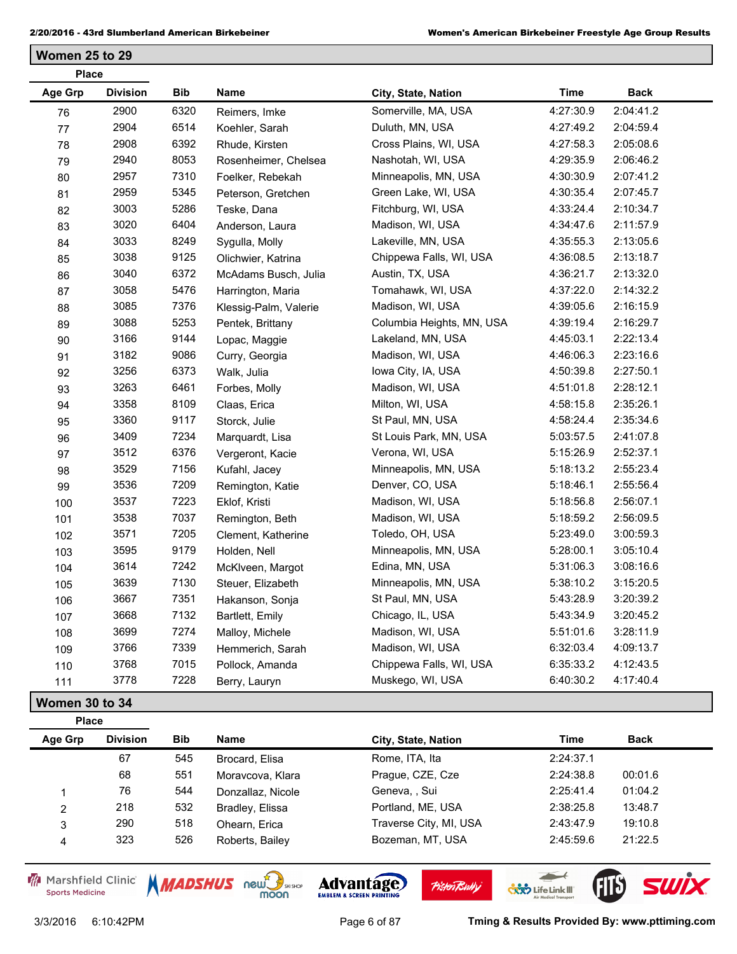**Women 25 to 29**

| <b>Place</b>   |                 |      |                       |                           |             |             |
|----------------|-----------------|------|-----------------------|---------------------------|-------------|-------------|
| <b>Age Grp</b> | <b>Division</b> | Bib  | Name                  | City, State, Nation       | <b>Time</b> | <b>Back</b> |
| 76             | 2900            | 6320 | Reimers, Imke         | Somerville, MA, USA       | 4:27:30.9   | 2:04:41.2   |
| 77             | 2904            | 6514 | Koehler, Sarah        | Duluth, MN, USA           | 4:27:49.2   | 2:04:59.4   |
| 78             | 2908            | 6392 | Rhude, Kirsten        | Cross Plains, WI, USA     | 4:27:58.3   | 2:05:08.6   |
| 79             | 2940            | 8053 | Rosenheimer, Chelsea  | Nashotah, WI, USA         | 4:29:35.9   | 2:06:46.2   |
| 80             | 2957            | 7310 | Foelker, Rebekah      | Minneapolis, MN, USA      | 4:30:30.9   | 2:07:41.2   |
| 81             | 2959            | 5345 | Peterson, Gretchen    | Green Lake, WI, USA       | 4:30:35.4   | 2:07:45.7   |
| 82             | 3003            | 5286 | Teske, Dana           | Fitchburg, WI, USA        | 4:33:24.4   | 2:10:34.7   |
| 83             | 3020            | 6404 | Anderson, Laura       | Madison, WI, USA          | 4:34:47.6   | 2:11:57.9   |
| 84             | 3033            | 8249 | Sygulla, Molly        | Lakeville, MN, USA        | 4:35:55.3   | 2:13:05.6   |
| 85             | 3038            | 9125 | Olichwier, Katrina    | Chippewa Falls, WI, USA   | 4:36:08.5   | 2:13:18.7   |
| 86             | 3040            | 6372 | McAdams Busch, Julia  | Austin, TX, USA           | 4:36:21.7   | 2:13:32.0   |
| 87             | 3058            | 5476 | Harrington, Maria     | Tomahawk, WI, USA         | 4:37:22.0   | 2:14:32.2   |
| 88             | 3085            | 7376 | Klessig-Palm, Valerie | Madison, WI, USA          | 4:39:05.6   | 2:16:15.9   |
| 89             | 3088            | 5253 | Pentek, Brittany      | Columbia Heights, MN, USA | 4:39:19.4   | 2:16:29.7   |
| $90\,$         | 3166            | 9144 | Lopac, Maggie         | Lakeland, MN, USA         | 4:45:03.1   | 2:22:13.4   |
| 91             | 3182            | 9086 | Curry, Georgia        | Madison, WI, USA          | 4:46:06.3   | 2:23:16.6   |
| 92             | 3256            | 6373 | Walk, Julia           | lowa City, IA, USA        | 4:50:39.8   | 2:27:50.1   |
| 93             | 3263            | 6461 | Forbes, Molly         | Madison, WI, USA          | 4:51:01.8   | 2:28:12.1   |
| 94             | 3358            | 8109 | Claas, Erica          | Milton, WI, USA           | 4:58:15.8   | 2:35:26.1   |
| 95             | 3360            | 9117 | Storck, Julie         | St Paul, MN, USA          | 4:58:24.4   | 2:35:34.6   |
| 96             | 3409            | 7234 | Marquardt, Lisa       | St Louis Park, MN, USA    | 5:03:57.5   | 2:41:07.8   |
| 97             | 3512            | 6376 | Vergeront, Kacie      | Verona, WI, USA           | 5:15:26.9   | 2:52:37.1   |
| 98             | 3529            | 7156 | Kufahl, Jacey         | Minneapolis, MN, USA      | 5:18:13.2   | 2:55:23.4   |
| 99             | 3536            | 7209 | Remington, Katie      | Denver, CO, USA           | 5:18:46.1   | 2:55:56.4   |
| 100            | 3537            | 7223 | Eklof, Kristi         | Madison, WI, USA          | 5:18:56.8   | 2:56:07.1   |
| 101            | 3538            | 7037 | Remington, Beth       | Madison, WI, USA          | 5:18:59.2   | 2:56:09.5   |
| 102            | 3571            | 7205 | Clement, Katherine    | Toledo, OH, USA           | 5:23:49.0   | 3:00:59.3   |
| 103            | 3595            | 9179 | Holden, Nell          | Minneapolis, MN, USA      | 5:28:00.1   | 3:05:10.4   |
| 104            | 3614            | 7242 | McKlveen, Margot      | Edina, MN, USA            | 5:31:06.3   | 3:08:16.6   |
| 105            | 3639            | 7130 | Steuer, Elizabeth     | Minneapolis, MN, USA      | 5:38:10.2   | 3:15:20.5   |
| 106            | 3667            | 7351 | Hakanson, Sonja       | St Paul, MN, USA          | 5:43:28.9   | 3:20:39.2   |
| 107            | 3668            | 7132 | Bartlett, Emily       | Chicago, IL, USA          | 5:43:34.9   | 3:20:45.2   |
| 108            | 3699            | 7274 | Malloy, Michele       | Madison, WI, USA          | 5:51:01.6   | 3:28:11.9   |
| 109            | 3766            | 7339 | Hemmerich, Sarah      | Madison, WI, USA          | 6:32:03.4   | 4:09:13.7   |
| 110            | 3768            | 7015 | Pollock, Amanda       | Chippewa Falls, WI, USA   | 6:35:33.2   | 4:12:43.5   |
| 111            | 3778            | 7228 | Berry, Lauryn         | Muskego, WI, USA          | 6:40:30.2   | 4:17:40.4   |

**Women 30 to 34**

**Place**

**Age Grp Division Bib Name City, State, Nation Time Back** 67 545 Brocard, Elisa Rome, ITA, Ita 2:24:37.1 551 Moravcova, Klara Prague, CZE, Cze 2:24:38.8 00:01.6 76 544 Donzallaz, Nicole Geneva, , Sui 2:25:41.4 01:04.2 218 532 Bradley, Elissa Portland, ME, USA 2:38:25.8 13:48.7 290 518 Ohearn, Erica Traverse City, MI, USA 2:43:47.9 19:10.8 323 526 Roberts, Bailey Bozeman, MT, USA 2:45:59.6 21:22.5

Marshfield Clinic **Sports Medicine** 



**PisterTBully** 

 $\overline{\phantom{a}}$  $\overline{\phantom{a}}$ 

**CXX** Life Link III

**SWİX**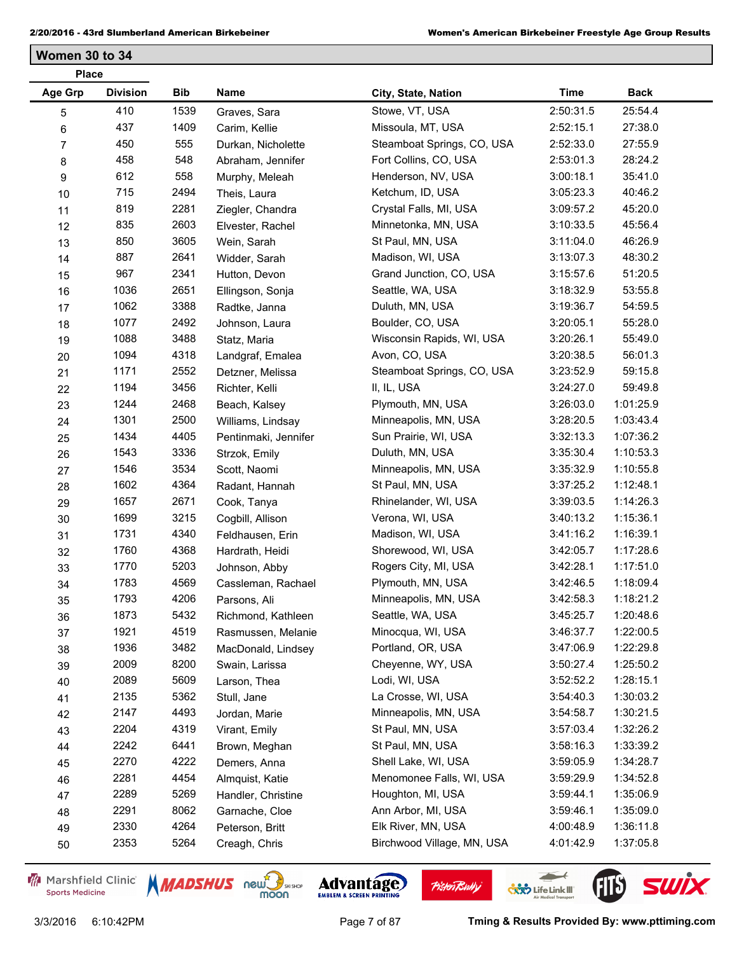**Women 30 to 34**

| <b>Place</b>   |                 |            |                      |                            |             |             |
|----------------|-----------------|------------|----------------------|----------------------------|-------------|-------------|
| Age Grp        | <b>Division</b> | <b>Bib</b> | Name                 | City, State, Nation        | <b>Time</b> | <b>Back</b> |
| 5              | 410             | 1539       | Graves, Sara         | Stowe, VT, USA             | 2:50:31.5   | 25:54.4     |
| 6              | 437             | 1409       | Carim, Kellie        | Missoula, MT, USA          | 2:52:15.1   | 27:38.0     |
| $\overline{7}$ | 450             | 555        | Durkan, Nicholette   | Steamboat Springs, CO, USA | 2:52:33.0   | 27:55.9     |
| 8              | 458             | 548        | Abraham, Jennifer    | Fort Collins, CO, USA      | 2:53:01.3   | 28:24.2     |
| 9              | 612             | 558        | Murphy, Meleah       | Henderson, NV, USA         | 3:00:18.1   | 35:41.0     |
| $10$           | 715             | 2494       | Theis, Laura         | Ketchum, ID, USA           | 3:05:23.3   | 40:46.2     |
| 11             | 819             | 2281       | Ziegler, Chandra     | Crystal Falls, MI, USA     | 3:09:57.2   | 45:20.0     |
| 12             | 835             | 2603       | Elvester, Rachel     | Minnetonka, MN, USA        | 3:10:33.5   | 45:56.4     |
| 13             | 850             | 3605       | Wein, Sarah          | St Paul, MN, USA           | 3:11:04.0   | 46:26.9     |
| 14             | 887             | 2641       | Widder, Sarah        | Madison, WI, USA           | 3:13:07.3   | 48:30.2     |
| 15             | 967             | 2341       | Hutton, Devon        | Grand Junction, CO, USA    | 3:15:57.6   | 51:20.5     |
| 16             | 1036            | 2651       | Ellingson, Sonja     | Seattle, WA, USA           | 3:18:32.9   | 53:55.8     |
| 17             | 1062            | 3388       | Radtke, Janna        | Duluth, MN, USA            | 3:19:36.7   | 54:59.5     |
| 18             | 1077            | 2492       | Johnson, Laura       | Boulder, CO, USA           | 3:20:05.1   | 55:28.0     |
| 19             | 1088            | 3488       | Statz, Maria         | Wisconsin Rapids, WI, USA  | 3:20:26.1   | 55:49.0     |
| 20             | 1094            | 4318       | Landgraf, Emalea     | Avon, CO, USA              | 3:20:38.5   | 56:01.3     |
| 21             | 1171            | 2552       | Detzner, Melissa     | Steamboat Springs, CO, USA | 3:23:52.9   | 59:15.8     |
| 22             | 1194            | 3456       | Richter, Kelli       | II, IL, USA                | 3:24:27.0   | 59:49.8     |
| 23             | 1244            | 2468       | Beach, Kalsey        | Plymouth, MN, USA          | 3:26:03.0   | 1:01:25.9   |
| 24             | 1301            | 2500       | Williams, Lindsay    | Minneapolis, MN, USA       | 3:28:20.5   | 1:03:43.4   |
| 25             | 1434            | 4405       | Pentinmaki, Jennifer | Sun Prairie, WI, USA       | 3:32:13.3   | 1:07:36.2   |
| 26             | 1543            | 3336       | Strzok, Emily        | Duluth, MN, USA            | 3:35:30.4   | 1:10:53.3   |
| 27             | 1546            | 3534       | Scott, Naomi         | Minneapolis, MN, USA       | 3:35:32.9   | 1:10:55.8   |
| 28             | 1602            | 4364       | Radant, Hannah       | St Paul, MN, USA           | 3:37:25.2   | 1:12:48.1   |
| 29             | 1657            | 2671       | Cook, Tanya          | Rhinelander, WI, USA       | 3:39:03.5   | 1:14:26.3   |
| 30             | 1699            | 3215       | Cogbill, Allison     | Verona, WI, USA            | 3:40:13.2   | 1:15:36.1   |
| 31             | 1731            | 4340       | Feldhausen, Erin     | Madison, WI, USA           | 3:41:16.2   | 1:16:39.1   |
| 32             | 1760            | 4368       | Hardrath, Heidi      | Shorewood, WI, USA         | 3:42:05.7   | 1:17:28.6   |
| 33             | 1770            | 5203       | Johnson, Abby        | Rogers City, MI, USA       | 3:42:28.1   | 1:17:51.0   |
| 34             | 1783            | 4569       | Cassleman, Rachael   | Plymouth, MN, USA          | 3:42:46.5   | 1:18:09.4   |
| 35             | 1793            | 4206       | Parsons, Ali         | Minneapolis, MN, USA       | 3:42:58.3   | 1:18:21.2   |
| 36             | 1873            | 5432       | Richmond, Kathleen   | Seattle, WA, USA           | 3:45:25.7   | 1:20:48.6   |
| 37             | 1921            | 4519       | Rasmussen, Melanie   | Minocqua, WI, USA          | 3:46:37.7   | 1:22:00.5   |
| 38             | 1936            | 3482       | MacDonald, Lindsey   | Portland, OR, USA          | 3:47:06.9   | 1:22:29.8   |
| 39             | 2009            | 8200       | Swain, Larissa       | Cheyenne, WY, USA          | 3:50:27.4   | 1:25:50.2   |
| 40             | 2089            | 5609       | Larson, Thea         | Lodi, WI, USA              | 3:52:52.2   | 1:28:15.1   |
| 41             | 2135            | 5362       | Stull, Jane          | La Crosse, WI, USA         | 3:54:40.3   | 1:30:03.2   |
| 42             | 2147            | 4493       | Jordan, Marie        | Minneapolis, MN, USA       | 3:54:58.7   | 1:30:21.5   |
| 43             | 2204            | 4319       | Virant, Emily        | St Paul, MN, USA           | 3:57:03.4   | 1:32:26.2   |
| 44             | 2242            | 6441       | Brown, Meghan        | St Paul, MN, USA           | 3:58:16.3   | 1:33:39.2   |
| 45             | 2270            | 4222       | Demers, Anna         | Shell Lake, WI, USA        | 3:59:05.9   | 1:34:28.7   |
| 46             | 2281            | 4454       | Almquist, Katie      | Menomonee Falls, WI, USA   | 3:59:29.9   | 1:34:52.8   |
| 47             | 2289            | 5269       | Handler, Christine   | Houghton, MI, USA          | 3:59:44.1   | 1:35:06.9   |
| 48             | 2291            | 8062       | Garnache, Cloe       | Ann Arbor, MI, USA         | 3:59:46.1   | 1:35:09.0   |
| 49             | 2330            | 4264       | Peterson, Britt      | Elk River, MN, USA         | 4:00:48.9   | 1:36:11.8   |
| 50             | 2353            | 5264       | Creagh, Chris        | Birchwood Village, MN, USA | 4:01:42.9   | 1:37:05.8   |

Marshfield Clinic **Sports Medicine** 





**Pisten Bully** 



 $\leftarrow$ 

**COND** Life Link III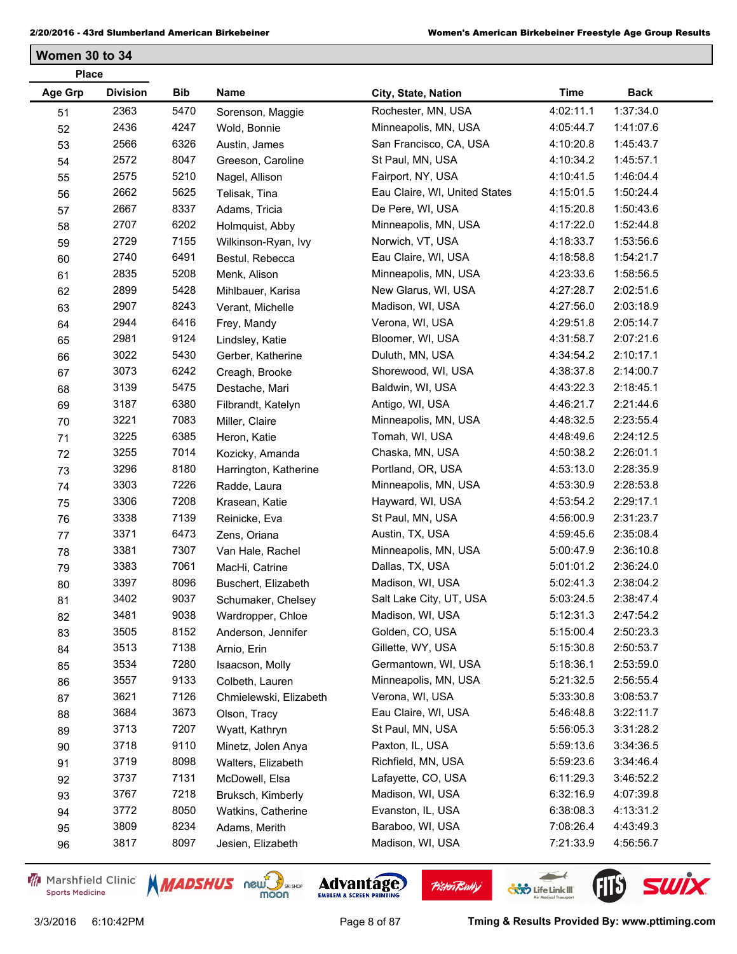**Women 30 to 34**

| <b>Place</b>   |                 |      |                        |                               |             |             |  |
|----------------|-----------------|------|------------------------|-------------------------------|-------------|-------------|--|
| <b>Age Grp</b> | <b>Division</b> | Bib  | Name                   | City, State, Nation           | <b>Time</b> | <b>Back</b> |  |
| 51             | 2363            | 5470 | Sorenson, Maggie       | Rochester, MN, USA            | 4:02:11.1   | 1:37:34.0   |  |
| 52             | 2436            | 4247 | Wold, Bonnie           | Minneapolis, MN, USA          | 4:05:44.7   | 1:41:07.6   |  |
| 53             | 2566            | 6326 | Austin, James          | San Francisco, CA, USA        | 4:10:20.8   | 1:45:43.7   |  |
| 54             | 2572            | 8047 | Greeson, Caroline      | St Paul, MN, USA              | 4:10:34.2   | 1:45:57.1   |  |
| 55             | 2575            | 5210 | Nagel, Allison         | Fairport, NY, USA             | 4:10:41.5   | 1:46:04.4   |  |
| 56             | 2662            | 5625 | Telisak, Tina          | Eau Claire, WI, United States | 4:15:01.5   | 1:50:24.4   |  |
| 57             | 2667            | 8337 | Adams, Tricia          | De Pere, WI, USA              | 4:15:20.8   | 1:50:43.6   |  |
| 58             | 2707            | 6202 | Holmquist, Abby        | Minneapolis, MN, USA          | 4:17:22.0   | 1:52:44.8   |  |
| 59             | 2729            | 7155 | Wilkinson-Ryan, Ivy    | Norwich, VT, USA              | 4:18:33.7   | 1:53:56.6   |  |
| 60             | 2740            | 6491 | Bestul, Rebecca        | Eau Claire, WI, USA           | 4:18:58.8   | 1:54:21.7   |  |
| 61             | 2835            | 5208 | Menk, Alison           | Minneapolis, MN, USA          | 4:23:33.6   | 1:58:56.5   |  |
| 62             | 2899            | 5428 | Mihlbauer, Karisa      | New Glarus, WI, USA           | 4:27:28.7   | 2:02:51.6   |  |
| 63             | 2907            | 8243 | Verant, Michelle       | Madison, WI, USA              | 4:27:56.0   | 2:03:18.9   |  |
| 64             | 2944            | 6416 | Frey, Mandy            | Verona, WI, USA               | 4:29:51.8   | 2:05:14.7   |  |
| 65             | 2981            | 9124 | Lindsley, Katie        | Bloomer, WI, USA              | 4:31:58.7   | 2:07:21.6   |  |
| 66             | 3022            | 5430 | Gerber, Katherine      | Duluth, MN, USA               | 4:34:54.2   | 2:10:17.1   |  |
| 67             | 3073            | 6242 | Creagh, Brooke         | Shorewood, WI, USA            | 4:38:37.8   | 2:14:00.7   |  |
| 68             | 3139            | 5475 | Destache, Mari         | Baldwin, WI, USA              | 4:43:22.3   | 2:18:45.1   |  |
| 69             | 3187            | 6380 | Filbrandt, Katelyn     | Antigo, WI, USA               | 4:46:21.7   | 2:21:44.6   |  |
| 70             | 3221            | 7083 | Miller, Claire         | Minneapolis, MN, USA          | 4:48:32.5   | 2:23:55.4   |  |
| 71             | 3225            | 6385 | Heron, Katie           | Tomah, WI, USA                | 4:48:49.6   | 2:24:12.5   |  |
| 72             | 3255            | 7014 | Kozicky, Amanda        | Chaska, MN, USA               | 4:50:38.2   | 2:26:01.1   |  |
| 73             | 3296            | 8180 | Harrington, Katherine  | Portland, OR, USA             | 4:53:13.0   | 2:28:35.9   |  |
| 74             | 3303            | 7226 | Radde, Laura           | Minneapolis, MN, USA          | 4:53:30.9   | 2:28:53.8   |  |
| 75             | 3306            | 7208 | Krasean, Katie         | Hayward, WI, USA              | 4:53:54.2   | 2:29:17.1   |  |
| 76             | 3338            | 7139 | Reinicke, Eva          | St Paul, MN, USA              | 4:56:00.9   | 2:31:23.7   |  |
| 77             | 3371            | 6473 | Zens, Oriana           | Austin, TX, USA               | 4:59:45.6   | 2:35:08.4   |  |
| 78             | 3381            | 7307 | Van Hale, Rachel       | Minneapolis, MN, USA          | 5:00:47.9   | 2:36:10.8   |  |
| 79             | 3383            | 7061 | MacHi, Catrine         | Dallas, TX, USA               | 5:01:01.2   | 2:36:24.0   |  |
| 80             | 3397            | 8096 | Buschert, Elizabeth    | Madison, WI, USA              | 5:02:41.3   | 2:38:04.2   |  |
| 81             | 3402            | 9037 | Schumaker, Chelsey     | Salt Lake City, UT, USA       | 5:03:24.5   | 2:38:47.4   |  |
| 82             | 3481            | 9038 | Wardropper, Chloe      | Madison, WI, USA              | 5:12:31.3   | 2:47:54.2   |  |
| 83             | 3505            | 8152 | Anderson, Jennifer     | Golden, CO, USA               | 5:15:00.4   | 2:50:23.3   |  |
| 84             | 3513            | 7138 | Arnio, Erin            | Gillette, WY, USA             | 5:15:30.8   | 2:50:53.7   |  |
| 85             | 3534            | 7280 | Isaacson, Molly        | Germantown, WI, USA           | 5:18:36.1   | 2:53:59.0   |  |
| 86             | 3557            | 9133 | Colbeth, Lauren        | Minneapolis, MN, USA          | 5:21:32.5   | 2:56:55.4   |  |
| 87             | 3621            | 7126 | Chmielewski, Elizabeth | Verona, WI, USA               | 5:33:30.8   | 3:08:53.7   |  |
| 88             | 3684            | 3673 | Olson, Tracy           | Eau Claire, WI, USA           | 5:46:48.8   | 3:22:11.7   |  |
| 89             | 3713            | 7207 | Wyatt, Kathryn         | St Paul, MN, USA              | 5:56:05.3   | 3:31:28.2   |  |
| 90             | 3718            | 9110 | Minetz, Jolen Anya     | Paxton, IL, USA               | 5:59:13.6   | 3:34:36.5   |  |
| 91             | 3719            | 8098 | Walters, Elizabeth     | Richfield, MN, USA            | 5:59:23.6   | 3:34:46.4   |  |
| 92             | 3737            | 7131 | McDowell, Elsa         | Lafayette, CO, USA            | 6:11:29.3   | 3:46:52.2   |  |
| 93             | 3767            | 7218 | Bruksch, Kimberly      | Madison, WI, USA              | 6:32:16.9   | 4:07:39.8   |  |
| 94             | 3772            | 8050 | Watkins, Catherine     | Evanston, IL, USA             | 6:38:08.3   | 4:13:31.2   |  |
| 95             | 3809            | 8234 | Adams, Merith          | Baraboo, WI, USA              | 7:08:26.4   | 4:43:49.3   |  |
| 96             | 3817            | 8097 | Jesien, Elizabeth      | Madison, WI, USA              | 7:21:33.9   | 4:56:56.7   |  |
|                |                 |      |                        |                               |             |             |  |

Marshfield Clinic **Sports Medicine** 





**Pisten Bully** 

 $\leftarrow$ 

**COND** Life Link III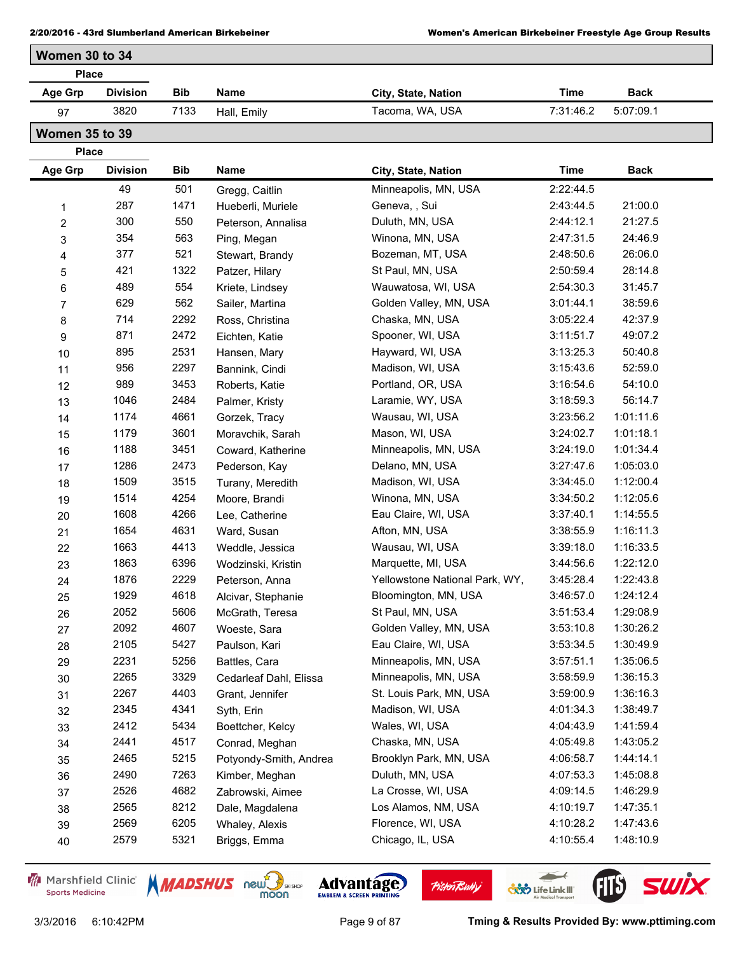| Women 30 to 34 |                 |            |             |                     |           |             |
|----------------|-----------------|------------|-------------|---------------------|-----------|-------------|
| <b>Place</b>   |                 |            |             |                     |           |             |
| Age Grp        | <b>Division</b> | <b>Bib</b> | Name        | City, State, Nation | Time      | <b>Back</b> |
| 97             | 3820            | 7133       | Hall, Emily | Tacoma, WA, USA     | 7:31:46.2 | 5:07:09.1   |

**Women 35 to 39**

**Place**

| <b>Age Grp</b> | <b>Division</b> | Bib  | Name                   | City, State, Nation            | <b>Time</b> | Back      |
|----------------|-----------------|------|------------------------|--------------------------------|-------------|-----------|
|                | 49              | 501  | Gregg, Caitlin         | Minneapolis, MN, USA           | 2:22:44.5   |           |
| 1              | 287             | 1471 | Hueberli, Muriele      | Geneva, , Sui                  | 2:43:44.5   | 21:00.0   |
| $\overline{2}$ | 300             | 550  | Peterson, Annalisa     | Duluth, MN, USA                | 2:44:12.1   | 21:27.5   |
| $\mathbf{3}$   | 354             | 563  | Ping, Megan            | Winona, MN, USA                | 2:47:31.5   | 24:46.9   |
| 4              | 377             | 521  | Stewart, Brandy        | Bozeman, MT, USA               | 2:48:50.6   | 26:06.0   |
| 5              | 421             | 1322 | Patzer, Hilary         | St Paul, MN, USA               | 2:50:59.4   | 28:14.8   |
| 6              | 489             | 554  | Kriete, Lindsey        | Wauwatosa, WI, USA             | 2:54:30.3   | 31:45.7   |
| $\overline{7}$ | 629             | 562  | Sailer, Martina        | Golden Valley, MN, USA         | 3:01:44.1   | 38:59.6   |
| 8              | 714             | 2292 | Ross, Christina        | Chaska, MN, USA                | 3:05:22.4   | 42:37.9   |
| 9              | 871             | 2472 | Eichten, Katie         | Spooner, WI, USA               | 3:11:51.7   | 49:07.2   |
| 10             | 895             | 2531 | Hansen, Mary           | Hayward, WI, USA               | 3:13:25.3   | 50:40.8   |
| 11             | 956             | 2297 | Bannink, Cindi         | Madison, WI, USA               | 3:15:43.6   | 52:59.0   |
| 12             | 989             | 3453 | Roberts, Katie         | Portland, OR, USA              | 3:16:54.6   | 54:10.0   |
| 13             | 1046            | 2484 | Palmer, Kristy         | Laramie, WY, USA               | 3:18:59.3   | 56:14.7   |
| 14             | 1174            | 4661 | Gorzek, Tracy          | Wausau, WI, USA                | 3:23:56.2   | 1:01:11.6 |
| 15             | 1179            | 3601 | Moravchik, Sarah       | Mason, WI, USA                 | 3:24:02.7   | 1:01:18.1 |
| 16             | 1188            | 3451 | Coward, Katherine      | Minneapolis, MN, USA           | 3:24:19.0   | 1:01:34.4 |
| 17             | 1286            | 2473 | Pederson, Kay          | Delano, MN, USA                | 3:27:47.6   | 1:05:03.0 |
| 18             | 1509            | 3515 | Turany, Meredith       | Madison, WI, USA               | 3:34:45.0   | 1:12:00.4 |
| 19             | 1514            | 4254 | Moore, Brandi          | Winona, MN, USA                | 3:34:50.2   | 1:12:05.6 |
| 20             | 1608            | 4266 | Lee, Catherine         | Eau Claire, WI, USA            | 3:37:40.1   | 1:14:55.5 |
| 21             | 1654            | 4631 | Ward, Susan            | Afton, MN, USA                 | 3:38:55.9   | 1:16:11.3 |
| 22             | 1663            | 4413 | Weddle, Jessica        | Wausau, WI, USA                | 3:39:18.0   | 1:16:33.5 |
| 23             | 1863            | 6396 | Wodzinski, Kristin     | Marquette, MI, USA             | 3:44:56.6   | 1:22:12.0 |
| 24             | 1876            | 2229 | Peterson, Anna         | Yellowstone National Park, WY, | 3:45:28.4   | 1:22:43.8 |
| 25             | 1929            | 4618 | Alcivar, Stephanie     | Bloomington, MN, USA           | 3:46:57.0   | 1:24:12.4 |
| 26             | 2052            | 5606 | McGrath, Teresa        | St Paul, MN, USA               | 3:51:53.4   | 1:29:08.9 |
| 27             | 2092            | 4607 | Woeste, Sara           | Golden Valley, MN, USA         | 3:53:10.8   | 1:30:26.2 |
| 28             | 2105            | 5427 | Paulson, Kari          | Eau Claire, WI, USA            | 3:53:34.5   | 1:30:49.9 |
| 29             | 2231            | 5256 | Battles, Cara          | Minneapolis, MN, USA           | 3:57:51.1   | 1:35:06.5 |
| 30             | 2265            | 3329 | Cedarleaf Dahl, Elissa | Minneapolis, MN, USA           | 3:58:59.9   | 1:36:15.3 |
| 31             | 2267            | 4403 | Grant, Jennifer        | St. Louis Park, MN, USA        | 3:59:00.9   | 1:36:16.3 |
| 32             | 2345            | 4341 | Syth, Erin             | Madison, WI, USA               | 4:01:34.3   | 1:38:49.7 |
| 33             | 2412            | 5434 | Boettcher, Kelcy       | Wales, WI, USA                 | 4:04:43.9   | 1:41:59.4 |
| 34             | 2441            | 4517 | Conrad, Meghan         | Chaska, MN, USA                | 4:05:49.8   | 1:43:05.2 |
| 35             | 2465            | 5215 | Potyondy-Smith, Andrea | Brooklyn Park, MN, USA         | 4:06:58.7   | 1:44:14.1 |
| 36             | 2490            | 7263 | Kimber, Meghan         | Duluth, MN, USA                | 4:07:53.3   | 1:45:08.8 |
| 37             | 2526            | 4682 | Zabrowski, Aimee       | La Crosse, WI, USA             | 4:09:14.5   | 1:46:29.9 |
| 38             | 2565            | 8212 | Dale, Magdalena        | Los Alamos, NM, USA            | 4:10:19.7   | 1:47:35.1 |
| 39             | 2569            | 6205 | Whaley, Alexis         | Florence, WI, USA              | 4:10:28.2   | 1:47:43.6 |
| 40             | 2579            | 5321 | Briggs, Emma           | Chicago, IL, USA               | 4:10:55.4   | 1:48:10.9 |

Marshfield Clinic **Sports Medicine** 







**Pisten Bully** 

3/3/2016 6:10:42PM Page 9 of 87 **Tming & Results Provided By: www.pttiming.com**

**FILS** 

 $\overline{\phantom{a}}$ 

**COND** Life Link III

**SWİX**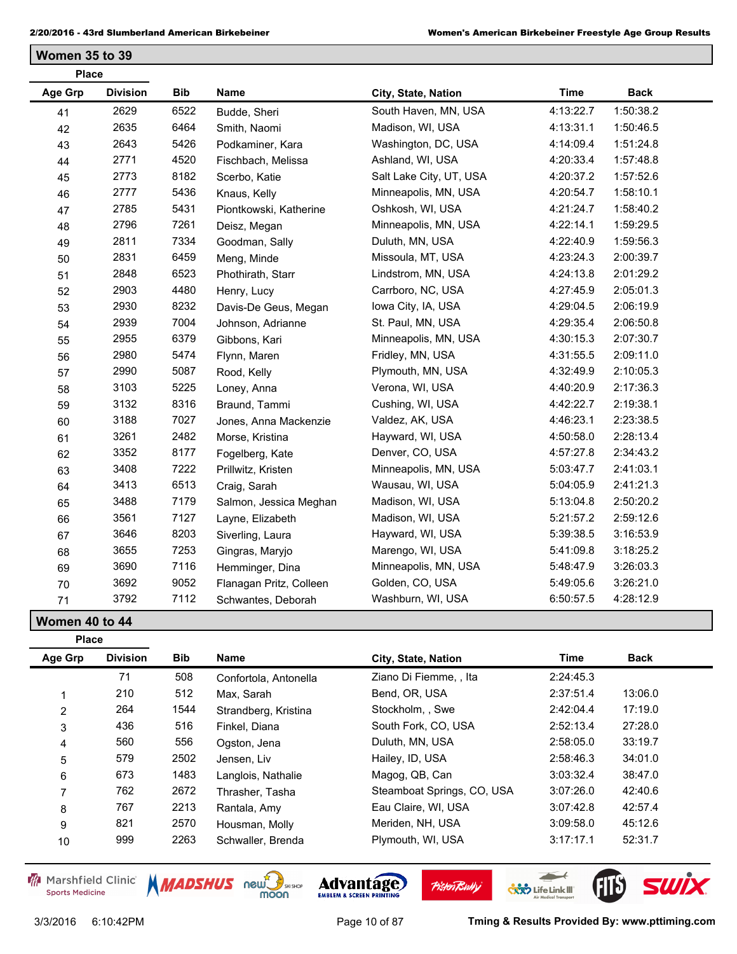**Women 35 to 39**

| <b>Place</b>   |                 |            |                         |                         |             |             |
|----------------|-----------------|------------|-------------------------|-------------------------|-------------|-------------|
| <b>Age Grp</b> | <b>Division</b> | <b>Bib</b> | <b>Name</b>             | City, State, Nation     | <b>Time</b> | <b>Back</b> |
| 41             | 2629            | 6522       | Budde, Sheri            | South Haven, MN, USA    | 4:13:22.7   | 1:50:38.2   |
| 42             | 2635            | 6464       | Smith, Naomi            | Madison, WI, USA        | 4:13:31.1   | 1:50:46.5   |
| 43             | 2643            | 5426       | Podkaminer, Kara        | Washington, DC, USA     | 4:14:09.4   | 1:51:24.8   |
| 44             | 2771            | 4520       | Fischbach, Melissa      | Ashland, WI, USA        | 4:20:33.4   | 1:57:48.8   |
| 45             | 2773            | 8182       | Scerbo, Katie           | Salt Lake City, UT, USA | 4:20:37.2   | 1:57:52.6   |
| 46             | 2777            | 5436       | Knaus, Kelly            | Minneapolis, MN, USA    | 4:20:54.7   | 1:58:10.1   |
| 47             | 2785            | 5431       | Piontkowski, Katherine  | Oshkosh, WI, USA        | 4:21:24.7   | 1:58:40.2   |
| 48             | 2796            | 7261       | Deisz, Megan            | Minneapolis, MN, USA    | 4:22:14.1   | 1:59:29.5   |
| 49             | 2811            | 7334       | Goodman, Sally          | Duluth, MN, USA         | 4:22:40.9   | 1:59:56.3   |
| 50             | 2831            | 6459       | Meng, Minde             | Missoula, MT, USA       | 4:23:24.3   | 2:00:39.7   |
| 51             | 2848            | 6523       | Phothirath, Starr       | Lindstrom, MN, USA      | 4:24:13.8   | 2:01:29.2   |
| 52             | 2903            | 4480       | Henry, Lucy             | Carrboro, NC, USA       | 4:27:45.9   | 2:05:01.3   |
| 53             | 2930            | 8232       | Davis-De Geus, Megan    | Iowa City, IA, USA      | 4:29:04.5   | 2:06:19.9   |
| 54             | 2939            | 7004       | Johnson, Adrianne       | St. Paul, MN, USA       | 4:29:35.4   | 2:06:50.8   |
| 55             | 2955            | 6379       | Gibbons, Kari           | Minneapolis, MN, USA    | 4:30:15.3   | 2:07:30.7   |
| 56             | 2980            | 5474       | Flynn, Maren            | Fridley, MN, USA        | 4:31:55.5   | 2:09:11.0   |
| 57             | 2990            | 5087       | Rood, Kelly             | Plymouth, MN, USA       | 4:32:49.9   | 2:10:05.3   |
| 58             | 3103            | 5225       | Loney, Anna             | Verona, WI, USA         | 4:40:20.9   | 2:17:36.3   |
| 59             | 3132            | 8316       | Braund, Tammi           | Cushing, WI, USA        | 4:42:22.7   | 2:19:38.1   |
| 60             | 3188            | 7027       | Jones, Anna Mackenzie   | Valdez, AK, USA         | 4:46:23.1   | 2:23:38.5   |
| 61             | 3261            | 2482       | Morse, Kristina         | Hayward, WI, USA        | 4:50:58.0   | 2:28:13.4   |
| 62             | 3352            | 8177       | Fogelberg, Kate         | Denver, CO, USA         | 4:57:27.8   | 2:34:43.2   |
| 63             | 3408            | 7222       | Prillwitz, Kristen      | Minneapolis, MN, USA    | 5:03:47.7   | 2:41:03.1   |
| 64             | 3413            | 6513       | Craig, Sarah            | Wausau, WI, USA         | 5:04:05.9   | 2:41:21.3   |
| 65             | 3488            | 7179       | Salmon, Jessica Meghan  | Madison, WI, USA        | 5:13:04.8   | 2:50:20.2   |
| 66             | 3561            | 7127       | Layne, Elizabeth        | Madison, WI, USA        | 5:21:57.2   | 2:59:12.6   |
| 67             | 3646            | 8203       | Siverling, Laura        | Hayward, WI, USA        | 5:39:38.5   | 3:16:53.9   |
| 68             | 3655            | 7253       | Gingras, Maryjo         | Marengo, WI, USA        | 5:41:09.8   | 3:18:25.2   |
| 69             | 3690            | 7116       | Hemminger, Dina         | Minneapolis, MN, USA    | 5:48:47.9   | 3:26:03.3   |
| 70             | 3692            | 9052       | Flanagan Pritz, Colleen | Golden, CO, USA         | 5:49:05.6   | 3:26:21.0   |
| 71             | 3792            | 7112       | Schwantes, Deborah      | Washburn, WI, USA       | 6:50:57.5   | 4:28:12.9   |

**Women 40 to 44**

| <b>Place</b>   |                 |            |                             |                            |             |         |
|----------------|-----------------|------------|-----------------------------|----------------------------|-------------|---------|
| Age Grp        | <b>Division</b> | <b>Bib</b> | Name<br>City, State, Nation | Time                       | <b>Back</b> |         |
|                | 71              | 508        | Confortola, Antonella       | Ziano Di Fiemme, , Ita     | 2:24:45.3   |         |
|                | 210             | 512        | Max. Sarah                  | Bend, OR, USA              | 2:37:51.4   | 13:06.0 |
| 2              | 264             | 1544       | Strandberg, Kristina        | Stockholm, Swe             | 2:42:04.4   | 17:19.0 |
| 3              | 436             | 516        | Finkel, Diana               | South Fork, CO, USA        | 2:52:13.4   | 27:28.0 |
| 4              | 560             | 556        | Ogston, Jena                | Duluth, MN, USA            | 2:58:05.0   | 33:19.7 |
| 5              | 579             | 2502       | Jensen, Liv                 | Hailey, ID, USA            | 2:58:46.3   | 34:01.0 |
| 6              | 673             | 1483       | Langlois, Nathalie          | Magog, QB, Can             | 3:03:32.4   | 38:47.0 |
| $\overline{ }$ | 762             | 2672       | Thrasher, Tasha             | Steamboat Springs, CO, USA | 3:07:26.0   | 42:40.6 |
| 8              | 767             | 2213       | Rantala, Amy                | Eau Claire, WI, USA        | 3:07:42.8   | 42:57.4 |
| 9              | 821             | 2570       | Housman, Molly              | Meriden, NH, USA           | 3:09:58.0   | 45:12.6 |
| 10             | 999             | 2263       | Schwaller, Brenda           | Plymouth, WI, USA          | 3:17:17.1   | 52:31.7 |

Marshfield Clinic **Sports Medicine** 





**Pisten Bully** 

 $\leftarrow$ 

**COND** Life Link III

FIB SWIX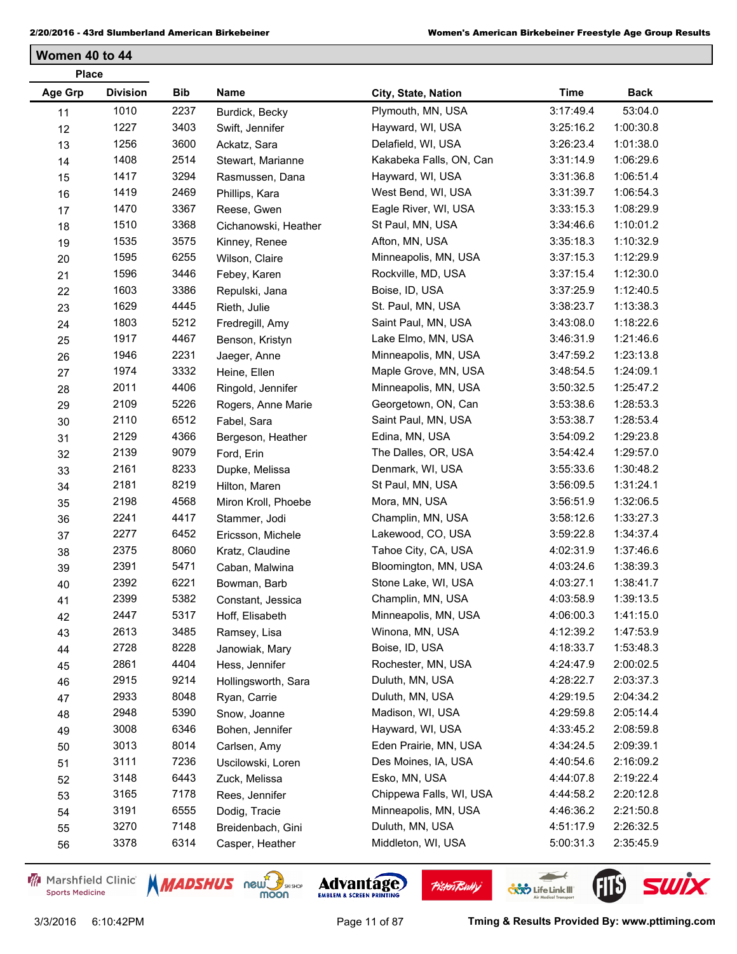**Women 40 to 44**

| <b>Place</b> |                 |      |                      |                         |             |             |
|--------------|-----------------|------|----------------------|-------------------------|-------------|-------------|
| Age Grp      | <b>Division</b> | Bib  | Name                 | City, State, Nation     | <b>Time</b> | <b>Back</b> |
| 11           | 1010            | 2237 | Burdick, Becky       | Plymouth, MN, USA       | 3:17:49.4   | 53:04.0     |
| 12           | 1227            | 3403 | Swift, Jennifer      | Hayward, WI, USA        | 3:25:16.2   | 1:00:30.8   |
| 13           | 1256            | 3600 | Ackatz, Sara         | Delafield, WI, USA      | 3:26:23.4   | 1:01:38.0   |
| 14           | 1408            | 2514 | Stewart, Marianne    | Kakabeka Falls, ON, Can | 3:31:14.9   | 1:06:29.6   |
| 15           | 1417            | 3294 | Rasmussen, Dana      | Hayward, WI, USA        | 3:31:36.8   | 1:06:51.4   |
| 16           | 1419            | 2469 | Phillips, Kara       | West Bend, WI, USA      | 3:31:39.7   | 1:06:54.3   |
| 17           | 1470            | 3367 | Reese, Gwen          | Eagle River, WI, USA    | 3:33:15.3   | 1:08:29.9   |
| 18           | 1510            | 3368 | Cichanowski, Heather | St Paul, MN, USA        | 3:34:46.6   | 1:10:01.2   |
| 19           | 1535            | 3575 | Kinney, Renee        | Afton, MN, USA          | 3:35:18.3   | 1:10:32.9   |
| 20           | 1595            | 6255 | Wilson, Claire       | Minneapolis, MN, USA    | 3:37:15.3   | 1:12:29.9   |
| 21           | 1596            | 3446 | Febey, Karen         | Rockville, MD, USA      | 3:37:15.4   | 1:12:30.0   |
| 22           | 1603            | 3386 | Repulski, Jana       | Boise, ID, USA          | 3:37:25.9   | 1:12:40.5   |
| 23           | 1629            | 4445 | Rieth, Julie         | St. Paul, MN, USA       | 3:38:23.7   | 1:13:38.3   |
| 24           | 1803            | 5212 | Fredregill, Amy      | Saint Paul, MN, USA     | 3:43:08.0   | 1:18:22.6   |
| 25           | 1917            | 4467 | Benson, Kristyn      | Lake Elmo, MN, USA      | 3:46:31.9   | 1:21:46.6   |
| 26           | 1946            | 2231 | Jaeger, Anne         | Minneapolis, MN, USA    | 3:47:59.2   | 1:23:13.8   |
| 27           | 1974            | 3332 | Heine, Ellen         | Maple Grove, MN, USA    | 3:48:54.5   | 1:24:09.1   |
| 28           | 2011            | 4406 | Ringold, Jennifer    | Minneapolis, MN, USA    | 3:50:32.5   | 1:25:47.2   |
| 29           | 2109            | 5226 | Rogers, Anne Marie   | Georgetown, ON, Can     | 3:53:38.6   | 1:28:53.3   |
| 30           | 2110            | 6512 | Fabel, Sara          | Saint Paul, MN, USA     | 3:53:38.7   | 1:28:53.4   |
| 31           | 2129            | 4366 | Bergeson, Heather    | Edina, MN, USA          | 3:54:09.2   | 1:29:23.8   |
| 32           | 2139            | 9079 | Ford, Erin           | The Dalles, OR, USA     | 3:54:42.4   | 1:29:57.0   |
| 33           | 2161            | 8233 | Dupke, Melissa       | Denmark, WI, USA        | 3:55:33.6   | 1:30:48.2   |
| 34           | 2181            | 8219 | Hilton, Maren        | St Paul, MN, USA        | 3:56:09.5   | 1:31:24.1   |
| 35           | 2198            | 4568 | Miron Kroll, Phoebe  | Mora, MN, USA           | 3:56:51.9   | 1:32:06.5   |
| 36           | 2241            | 4417 | Stammer, Jodi        | Champlin, MN, USA       | 3:58:12.6   | 1:33:27.3   |
| 37           | 2277            | 6452 | Ericsson, Michele    | Lakewood, CO, USA       | 3:59:22.8   | 1:34:37.4   |
| 38           | 2375            | 8060 | Kratz, Claudine      | Tahoe City, CA, USA     | 4:02:31.9   | 1:37:46.6   |
| 39           | 2391            | 5471 | Caban, Malwina       | Bloomington, MN, USA    | 4:03:24.6   | 1:38:39.3   |
| 40           | 2392            | 6221 | Bowman, Barb         | Stone Lake, WI, USA     | 4:03:27.1   | 1:38:41.7   |
| 41           | 2399            | 5382 | Constant, Jessica    | Champlin, MN, USA       | 4:03:58.9   | 1:39:13.5   |
| 42           | 2447            | 5317 | Hoff, Elisabeth      | Minneapolis, MN, USA    | 4:06:00.3   | 1:41:15.0   |
| 43           | 2613            | 3485 | Ramsey, Lisa         | Winona, MN, USA         | 4:12:39.2   | 1:47:53.9   |
| 44           | 2728            | 8228 | Janowiak, Mary       | Boise, ID, USA          | 4:18:33.7   | 1:53:48.3   |
| 45           | 2861            | 4404 | Hess, Jennifer       | Rochester, MN, USA      | 4:24:47.9   | 2:00:02.5   |
| 46           | 2915            | 9214 | Hollingsworth, Sara  | Duluth, MN, USA         | 4:28:22.7   | 2:03:37.3   |
| 47           | 2933            | 8048 | Ryan, Carrie         | Duluth, MN, USA         | 4:29:19.5   | 2:04:34.2   |
| 48           | 2948            | 5390 | Snow, Joanne         | Madison, WI, USA        | 4:29:59.8   | 2:05:14.4   |
| 49           | 3008            | 6346 | Bohen, Jennifer      | Hayward, WI, USA        | 4:33:45.2   | 2:08:59.8   |
| 50           | 3013            | 8014 | Carlsen, Amy         | Eden Prairie, MN, USA   | 4:34:24.5   | 2:09:39.1   |
| 51           | 3111            | 7236 | Uscilowski, Loren    | Des Moines, IA, USA     | 4:40:54.6   | 2:16:09.2   |
| 52           | 3148            | 6443 | Zuck, Melissa        | Esko, MN, USA           | 4:44:07.8   | 2:19:22.4   |
| 53           | 3165            | 7178 | Rees, Jennifer       | Chippewa Falls, WI, USA | 4:44:58.2   | 2:20:12.8   |
| 54           | 3191            | 6555 | Dodig, Tracie        | Minneapolis, MN, USA    | 4:46:36.2   | 2:21:50.8   |
| 55           | 3270            | 7148 | Breidenbach, Gini    | Duluth, MN, USA         | 4:51:17.9   | 2:26:32.5   |
| 56           | 3378            | 6314 | Casper, Heather      | Middleton, WI, USA      | 5:00:31.3   | 2:35:45.9   |

Marshfield Clinic **Sports Medicine** 





**Pisten Bully** 

3/3/2016 6:10:42PM Page 11 of 87 **Tming & Results Provided By: www.pttiming.com**

 $\leftarrow$ 

**COND** Life Link III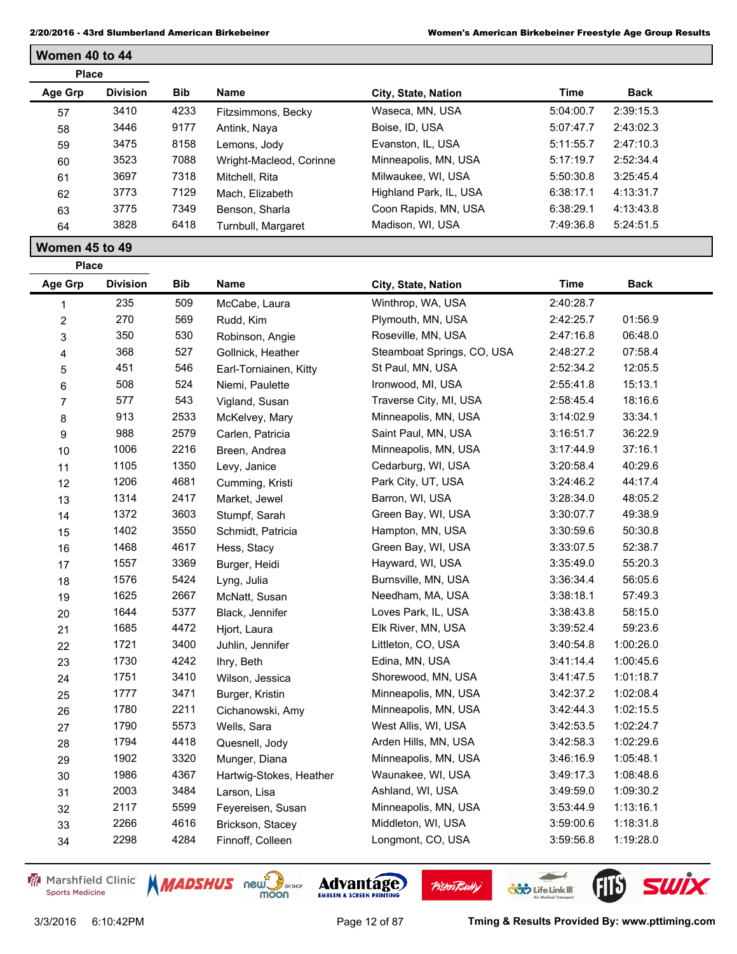| <b>Place</b> |                 |            |                         |                        |           |             |  |
|--------------|-----------------|------------|-------------------------|------------------------|-----------|-------------|--|
| Age Grp      | <b>Division</b> | <b>Bib</b> | Name                    | City, State, Nation    | Time      | <b>Back</b> |  |
| 57           | 3410            | 4233       | Fitzsimmons, Becky      | Waseca, MN, USA        | 5:04:00.7 | 2:39:15.3   |  |
| 58           | 3446            | 9177       | Antink, Nava            | Boise, ID, USA         | 5:07:47.7 | 2:43:02.3   |  |
| 59           | 3475            | 8158       | Lemons, Jody            | Evanston, IL, USA      | 5:11:55.7 | 2:47:10.3   |  |
| 60           | 3523            | 7088       | Wright-Macleod, Corinne | Minneapolis, MN, USA   | 5:17:19.7 | 2:52:34.4   |  |
| 61           | 3697            | 7318       | Mitchell, Rita          | Milwaukee, WI, USA     | 5:50:30.8 | 3:25:45.4   |  |
| 62           | 3773            | 7129       | Mach, Elizabeth         | Highland Park, IL, USA | 6:38:17.1 | 4:13:31.7   |  |
| 63           | 3775            | 7349       | Benson, Sharla          | Coon Rapids, MN, USA   | 6:38:29.1 | 4:13:43.8   |  |
| 64           | 3828            | 6418       | Turnbull, Margaret      | Madison, WI, USA       | 7:49:36.8 | 5:24:51.5   |  |

## **Women 45 to 49**

**Women 40 to 44**

| <b>Place</b>   |                 |            |                         |                            |             |             |  |
|----------------|-----------------|------------|-------------------------|----------------------------|-------------|-------------|--|
| <b>Age Grp</b> | <b>Division</b> | <b>Bib</b> | <b>Name</b>             | City, State, Nation        | <b>Time</b> | <b>Back</b> |  |
| 1              | 235             | 509        | McCabe, Laura           | Winthrop, WA, USA          | 2:40:28.7   |             |  |
| $\overline{c}$ | 270             | 569        | Rudd, Kim               | Plymouth, MN, USA          | 2:42:25.7   | 01:56.9     |  |
| 3              | 350             | 530        | Robinson, Angie         | Roseville, MN, USA         | 2:47:16.8   | 06:48.0     |  |
| 4              | 368             | 527        | Gollnick, Heather       | Steamboat Springs, CO, USA | 2:48:27.2   | 07:58.4     |  |
| 5              | 451             | 546        | Earl-Torniainen, Kitty  | St Paul, MN, USA           | 2:52:34.2   | 12:05.5     |  |
| 6              | 508             | 524        | Niemi, Paulette         | Ironwood, MI, USA          | 2:55:41.8   | 15:13.1     |  |
| $\overline{7}$ | 577             | 543        | Vigland, Susan          | Traverse City, MI, USA     | 2:58:45.4   | 18:16.6     |  |
| 8              | 913             | 2533       | McKelvey, Mary          | Minneapolis, MN, USA       | 3:14:02.9   | 33:34.1     |  |
| 9              | 988             | 2579       | Carlen, Patricia        | Saint Paul, MN, USA        | 3:16:51.7   | 36:22.9     |  |
| 10             | 1006            | 2216       | Breen, Andrea           | Minneapolis, MN, USA       | 3:17:44.9   | 37:16.1     |  |
| 11             | 1105            | 1350       | Levy, Janice            | Cedarburg, WI, USA         | 3:20:58.4   | 40:29.6     |  |
| 12             | 1206            | 4681       | Cumming, Kristi         | Park City, UT, USA         | 3:24:46.2   | 44:17.4     |  |
| 13             | 1314            | 2417       | Market, Jewel           | Barron, WI, USA            | 3:28:34.0   | 48:05.2     |  |
| 14             | 1372            | 3603       | Stumpf, Sarah           | Green Bay, WI, USA         | 3:30:07.7   | 49:38.9     |  |
| 15             | 1402            | 3550       | Schmidt, Patricia       | Hampton, MN, USA           | 3:30:59.6   | 50:30.8     |  |
| 16             | 1468            | 4617       | Hess, Stacy             | Green Bay, WI, USA         | 3:33:07.5   | 52:38.7     |  |
| 17             | 1557            | 3369       | Burger, Heidi           | Hayward, WI, USA           | 3:35:49.0   | 55:20.3     |  |
| 18             | 1576            | 5424       | Lyng, Julia             | Burnsville, MN, USA        | 3:36:34.4   | 56:05.6     |  |
| 19             | 1625            | 2667       | McNatt, Susan           | Needham, MA, USA           | 3:38:18.1   | 57:49.3     |  |
| 20             | 1644            | 5377       | Black, Jennifer         | Loves Park, IL, USA        | 3:38:43.8   | 58:15.0     |  |
| 21             | 1685            | 4472       | Hjort, Laura            | Elk River, MN, USA         | 3:39:52.4   | 59:23.6     |  |
| 22             | 1721            | 3400       | Juhlin, Jennifer        | Littleton, CO, USA         | 3:40:54.8   | 1:00:26.0   |  |
| 23             | 1730            | 4242       | Ihry, Beth              | Edina, MN, USA             | 3:41:14.4   | 1:00:45.6   |  |
| 24             | 1751            | 3410       | Wilson, Jessica         | Shorewood, MN, USA         | 3:41:47.5   | 1:01:18.7   |  |
| 25             | 1777            | 3471       | Burger, Kristin         | Minneapolis, MN, USA       | 3:42:37.2   | 1:02:08.4   |  |
| 26             | 1780            | 2211       | Cichanowski, Amy        | Minneapolis, MN, USA       | 3:42:44.3   | 1:02:15.5   |  |
| 27             | 1790            | 5573       | Wells, Sara             | West Allis, WI, USA        | 3:42:53.5   | 1:02:24.7   |  |
| 28             | 1794            | 4418       | Quesnell, Jody          | Arden Hills, MN, USA       | 3:42:58.3   | 1:02:29.6   |  |
| 29             | 1902            | 3320       | Munger, Diana           | Minneapolis, MN, USA       | 3:46:16.9   | 1:05:48.1   |  |
| 30             | 1986            | 4367       | Hartwig-Stokes, Heather | Waunakee, WI, USA          | 3:49:17.3   | 1:08:48.6   |  |
| 31             | 2003            | 3484       | Larson, Lisa            | Ashland, WI, USA           | 3:49:59.0   | 1:09:30.2   |  |
| 32             | 2117            | 5599       | Feyereisen, Susan       | Minneapolis, MN, USA       | 3:53:44.9   | 1:13:16.1   |  |
| 33             | 2266            | 4616       | Brickson, Stacey        | Middleton, WI, USA         | 3:59:00.6   | 1:18:31.8   |  |
| 34             | 2298            | 4284       | Finnoff, Colleen        | Longmont, CO, USA          | 3:59:56.8   | 1:19:28.0   |  |
|                |                 |            |                         |                            |             |             |  |

Marshfield Clinic **Sports Medicine** 





**Pisten Bully** 

3/3/2016 6:10:42PM Page 12 of 87 **Tming & Results Provided By: www.pttiming.com**

 $\leftarrow$ 

**COND** Life Link III

FIB SWIX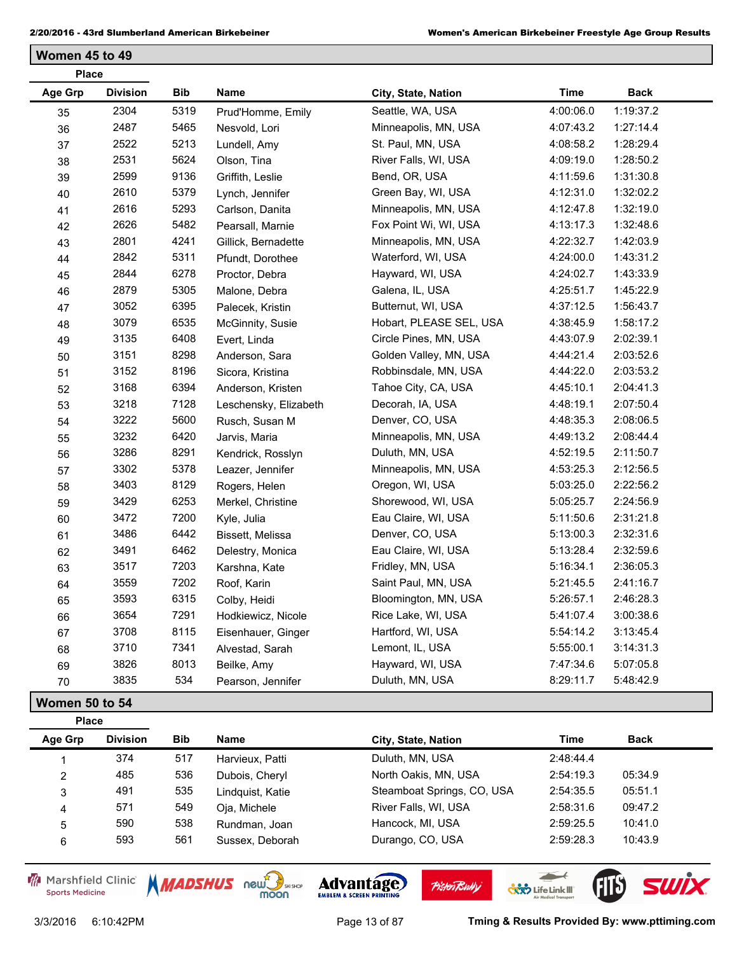**Women 45 to 49**

| <b>Place</b> |                 |            |                       |                         |           |             |
|--------------|-----------------|------------|-----------------------|-------------------------|-----------|-------------|
| Age Grp      | <b>Division</b> | <b>Bib</b> | <b>Name</b>           | City, State, Nation     | Time      | <b>Back</b> |
| 35           | 2304            | 5319       | Prud'Homme, Emily     | Seattle, WA, USA        | 4:00:06.0 | 1:19:37.2   |
| 36           | 2487            | 5465       | Nesvold, Lori         | Minneapolis, MN, USA    | 4:07:43.2 | 1:27:14.4   |
| 37           | 2522            | 5213       | Lundell, Amy          | St. Paul, MN, USA       | 4:08:58.2 | 1:28:29.4   |
| 38           | 2531            | 5624       | Olson, Tina           | River Falls, WI, USA    | 4:09:19.0 | 1:28:50.2   |
| 39           | 2599            | 9136       | Griffith, Leslie      | Bend, OR, USA           | 4:11:59.6 | 1:31:30.8   |
| 40           | 2610            | 5379       | Lynch, Jennifer       | Green Bay, WI, USA      | 4:12:31.0 | 1:32:02.2   |
| 41           | 2616            | 5293       | Carlson, Danita       | Minneapolis, MN, USA    | 4:12:47.8 | 1:32:19.0   |
| 42           | 2626            | 5482       | Pearsall, Marnie      | Fox Point Wi, WI, USA   | 4:13:17.3 | 1:32:48.6   |
| 43           | 2801            | 4241       | Gillick, Bernadette   | Minneapolis, MN, USA    | 4:22:32.7 | 1:42:03.9   |
| 44           | 2842            | 5311       | Pfundt, Dorothee      | Waterford, WI, USA      | 4:24:00.0 | 1:43:31.2   |
| 45           | 2844            | 6278       | Proctor, Debra        | Hayward, WI, USA        | 4:24:02.7 | 1:43:33.9   |
| 46           | 2879            | 5305       | Malone, Debra         | Galena, IL, USA         | 4:25:51.7 | 1:45:22.9   |
| 47           | 3052            | 6395       | Palecek, Kristin      | Butternut, WI, USA      | 4:37:12.5 | 1:56:43.7   |
| 48           | 3079            | 6535       | McGinnity, Susie      | Hobart, PLEASE SEL, USA | 4:38:45.9 | 1:58:17.2   |
| 49           | 3135            | 6408       | Evert, Linda          | Circle Pines, MN, USA   | 4:43:07.9 | 2:02:39.1   |
| 50           | 3151            | 8298       | Anderson, Sara        | Golden Valley, MN, USA  | 4:44:21.4 | 2:03:52.6   |
| 51           | 3152            | 8196       | Sicora, Kristina      | Robbinsdale, MN, USA    | 4:44:22.0 | 2:03:53.2   |
| 52           | 3168            | 6394       | Anderson, Kristen     | Tahoe City, CA, USA     | 4:45:10.1 | 2:04:41.3   |
| 53           | 3218            | 7128       | Leschensky, Elizabeth | Decorah, IA, USA        | 4:48:19.1 | 2:07:50.4   |
| 54           | 3222            | 5600       | Rusch, Susan M        | Denver, CO, USA         | 4:48:35.3 | 2:08:06.5   |
| 55           | 3232            | 6420       | Jarvis, Maria         | Minneapolis, MN, USA    | 4:49:13.2 | 2:08:44.4   |
| 56           | 3286            | 8291       | Kendrick, Rosslyn     | Duluth, MN, USA         | 4:52:19.5 | 2:11:50.7   |
| 57           | 3302            | 5378       | Leazer, Jennifer      | Minneapolis, MN, USA    | 4:53:25.3 | 2:12:56.5   |
| 58           | 3403            | 8129       | Rogers, Helen         | Oregon, WI, USA         | 5:03:25.0 | 2:22:56.2   |
| 59           | 3429            | 6253       | Merkel, Christine     | Shorewood, WI, USA      | 5:05:25.7 | 2:24:56.9   |
| 60           | 3472            | 7200       | Kyle, Julia           | Eau Claire, WI, USA     | 5:11:50.6 | 2:31:21.8   |
| 61           | 3486            | 6442       | Bissett, Melissa      | Denver, CO, USA         | 5:13:00.3 | 2:32:31.6   |
| 62           | 3491            | 6462       | Delestry, Monica      | Eau Claire, WI, USA     | 5:13:28.4 | 2:32:59.6   |
| 63           | 3517            | 7203       | Karshna, Kate         | Fridley, MN, USA        | 5:16:34.1 | 2:36:05.3   |
| 64           | 3559            | 7202       | Roof, Karin           | Saint Paul, MN, USA     | 5:21:45.5 | 2:41:16.7   |
| 65           | 3593            | 6315       | Colby, Heidi          | Bloomington, MN, USA    | 5:26:57.1 | 2:46:28.3   |
| 66           | 3654            | 7291       | Hodkiewicz, Nicole    | Rice Lake, WI, USA      | 5:41:07.4 | 3:00:38.6   |
| 67           | 3708            | 8115       | Eisenhauer, Ginger    | Hartford, WI, USA       | 5:54:14.2 | 3:13:45.4   |
| 68           | 3710            | 7341       | Alvestad, Sarah       | Lemont, IL, USA         | 5:55:00.1 | 3:14:31.3   |
| 69           | 3826            | 8013       | Beilke, Amy           | Hayward, WI, USA        | 7:47:34.6 | 5:07:05.8   |
| 70           | 3835            | 534        | Pearson, Jennifer     | Duluth, MN, USA         | 8:29:11.7 | 5:48:42.9   |

## **Women 50 to 54**

| <b>Place</b> |                 |            |                                    |                            |             |         |
|--------------|-----------------|------------|------------------------------------|----------------------------|-------------|---------|
| Age Grp      | <b>Division</b> | <b>Bib</b> | <b>Name</b><br>City, State, Nation | Time                       | <b>Back</b> |         |
|              | 374             | 517        | Harvieux, Patti                    | Duluth, MN, USA            | 2:48:44.4   |         |
| 2            | 485             | 536        | Dubois, Cheryl                     | North Oakis, MN, USA       | 2:54:19.3   | 05:34.9 |
| 3            | 491             | 535        | Lindquist, Katie                   | Steamboat Springs, CO, USA | 2:54:35.5   | 05:51.1 |
| 4            | 571             | 549        | Oja, Michele                       | River Falls, WI, USA       | 2:58:31.6   | 09:47.2 |
| 5            | 590             | 538        | Rundman, Joan                      | Hancock, MI, USA           | 2:59:25.5   | 10:41.0 |
| 6            | 593             | 561        | Sussex, Deborah                    | Durango, CO, USA           | 2:59:28.3   | 10:43.9 |

Marshfield Clinic **Sports Medicine** 



**Pisten Bully** 

 $\overline{\phantom{a}}$ 

**COND** Life Link III

FIB SWIX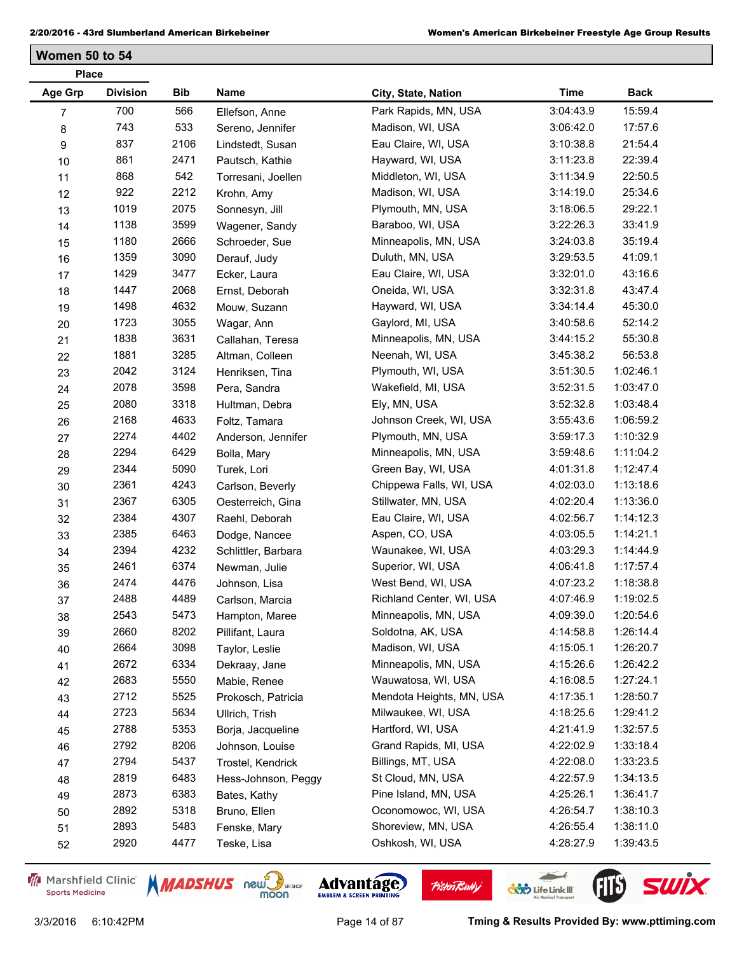**Women 50 to 54**

| <b>Place</b> |                 |            |                     |                          |             |             |
|--------------|-----------------|------------|---------------------|--------------------------|-------------|-------------|
| Age Grp      | <b>Division</b> | <b>Bib</b> | Name                | City, State, Nation      | <b>Time</b> | <b>Back</b> |
| 7            | 700             | 566        | Ellefson, Anne      | Park Rapids, MN, USA     | 3:04:43.9   | 15:59.4     |
| 8            | 743             | 533        | Sereno, Jennifer    | Madison, WI, USA         | 3:06:42.0   | 17:57.6     |
| 9            | 837             | 2106       | Lindstedt, Susan    | Eau Claire, WI, USA      | 3:10:38.8   | 21:54.4     |
| $10$         | 861             | 2471       | Pautsch, Kathie     | Hayward, WI, USA         | 3:11:23.8   | 22:39.4     |
| 11           | 868             | 542        | Torresani, Joellen  | Middleton, WI, USA       | 3:11:34.9   | 22:50.5     |
| 12           | 922             | 2212       | Krohn, Amy          | Madison, WI, USA         | 3:14:19.0   | 25:34.6     |
| 13           | 1019            | 2075       | Sonnesyn, Jill      | Plymouth, MN, USA        | 3:18:06.5   | 29:22.1     |
| 14           | 1138            | 3599       | Wagener, Sandy      | Baraboo, WI, USA         | 3:22:26.3   | 33:41.9     |
| 15           | 1180            | 2666       | Schroeder, Sue      | Minneapolis, MN, USA     | 3:24:03.8   | 35:19.4     |
| 16           | 1359            | 3090       | Derauf, Judy        | Duluth, MN, USA          | 3:29:53.5   | 41:09.1     |
| 17           | 1429            | 3477       | Ecker, Laura        | Eau Claire, WI, USA      | 3:32:01.0   | 43:16.6     |
| 18           | 1447            | 2068       | Ernst, Deborah      | Oneida, WI, USA          | 3:32:31.8   | 43:47.4     |
| 19           | 1498            | 4632       | Mouw, Suzann        | Hayward, WI, USA         | 3:34:14.4   | 45:30.0     |
| 20           | 1723            | 3055       | Wagar, Ann          | Gaylord, MI, USA         | 3:40:58.6   | 52:14.2     |
| 21           | 1838            | 3631       | Callahan, Teresa    | Minneapolis, MN, USA     | 3:44:15.2   | 55:30.8     |
| 22           | 1881            | 3285       | Altman, Colleen     | Neenah, WI, USA          | 3:45:38.2   | 56:53.8     |
| 23           | 2042            | 3124       | Henriksen, Tina     | Plymouth, WI, USA        | 3:51:30.5   | 1:02:46.1   |
| 24           | 2078            | 3598       | Pera, Sandra        | Wakefield, MI, USA       | 3:52:31.5   | 1:03:47.0   |
| 25           | 2080            | 3318       | Hultman, Debra      | Ely, MN, USA             | 3:52:32.8   | 1:03:48.4   |
| 26           | 2168            | 4633       | Foltz, Tamara       | Johnson Creek, WI, USA   | 3:55:43.6   | 1:06:59.2   |
| 27           | 2274            | 4402       | Anderson, Jennifer  | Plymouth, MN, USA        | 3:59:17.3   | 1:10:32.9   |
| 28           | 2294            | 6429       | Bolla, Mary         | Minneapolis, MN, USA     | 3:59:48.6   | 1:11:04.2   |
| 29           | 2344            | 5090       | Turek, Lori         | Green Bay, WI, USA       | 4:01:31.8   | 1:12:47.4   |
| 30           | 2361            | 4243       | Carlson, Beverly    | Chippewa Falls, WI, USA  | 4:02:03.0   | 1:13:18.6   |
| 31           | 2367            | 6305       | Oesterreich, Gina   | Stillwater, MN, USA      | 4:02:20.4   | 1:13:36.0   |
| 32           | 2384            | 4307       | Raehl, Deborah      | Eau Claire, WI, USA      | 4:02:56.7   | 1:14:12.3   |
| 33           | 2385            | 6463       | Dodge, Nancee       | Aspen, CO, USA           | 4:03:05.5   | 1:14:21.1   |
| 34           | 2394            | 4232       | Schlittler, Barbara | Waunakee, WI, USA        | 4:03:29.3   | 1:14:44.9   |
| 35           | 2461            | 6374       | Newman, Julie       | Superior, WI, USA        | 4:06:41.8   | 1:17:57.4   |
| 36           | 2474            | 4476       | Johnson, Lisa       | West Bend, WI, USA       | 4:07:23.2   | 1:18:38.8   |
| 37           | 2488            | 4489       | Carlson, Marcia     | Richland Center, WI, USA | 4:07:46.9   | 1:19:02.5   |
| 38           | 2543            | 5473       | Hampton, Maree      | Minneapolis, MN, USA     | 4:09:39.0   | 1:20:54.6   |
| 39           | 2660            | 8202       | Pillifant, Laura    | Soldotna, AK, USA        | 4:14:58.8   | 1:26:14.4   |
| 40           | 2664            | 3098       | Taylor, Leslie      | Madison, WI, USA         | 4:15:05.1   | 1:26:20.7   |
| 41           | 2672            | 6334       | Dekraay, Jane       | Minneapolis, MN, USA     | 4:15:26.6   | 1:26:42.2   |
| 42           | 2683            | 5550       | Mabie, Renee        | Wauwatosa, WI, USA       | 4:16:08.5   | 1:27:24.1   |
| 43           | 2712            | 5525       | Prokosch, Patricia  | Mendota Heights, MN, USA | 4:17:35.1   | 1:28:50.7   |
| 44           | 2723            | 5634       | Ullrich, Trish      | Milwaukee, WI, USA       | 4:18:25.6   | 1:29:41.2   |
| 45           | 2788            | 5353       | Borja, Jacqueline   | Hartford, WI, USA        | 4:21:41.9   | 1:32:57.5   |
| 46           | 2792            | 8206       | Johnson, Louise     | Grand Rapids, MI, USA    | 4:22:02.9   | 1:33:18.4   |
| 47           | 2794            | 5437       | Trostel, Kendrick   | Billings, MT, USA        | 4:22:08.0   | 1:33:23.5   |
| 48           | 2819            | 6483       | Hess-Johnson, Peggy | St Cloud, MN, USA        | 4:22:57.9   | 1:34:13.5   |
| 49           | 2873            | 6383       | Bates, Kathy        | Pine Island, MN, USA     | 4:25:26.1   | 1:36:41.7   |
| 50           | 2892            | 5318       | Bruno, Ellen        | Oconomowoc, WI, USA      | 4:26:54.7   | 1:38:10.3   |
| 51           | 2893            | 5483       | Fenske, Mary        | Shoreview, MN, USA       | 4:26:55.4   | 1:38:11.0   |
| 52           | 2920            | 4477       | Teske, Lisa         | Oshkosh, WI, USA         | 4:28:27.9   | 1:39:43.5   |
|              |                 |            |                     |                          |             |             |

Marshfield Clinic **Sports Medicine** 





Advantage

**Pisten Bully** 

 $\leftarrow$ 

**COND** Life Link III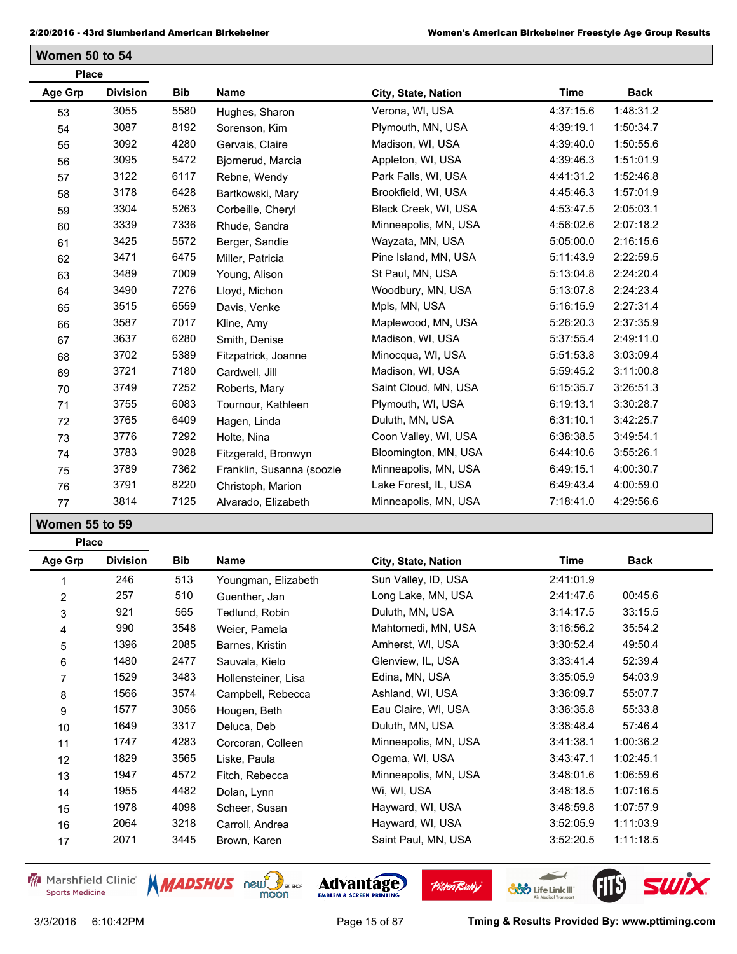**Women 50 to 54**

| <b>Place</b> |                 |            |                           |                      |             |             |
|--------------|-----------------|------------|---------------------------|----------------------|-------------|-------------|
| Age Grp      | <b>Division</b> | <b>Bib</b> | <b>Name</b>               | City, State, Nation  | <b>Time</b> | <b>Back</b> |
| 53           | 3055            | 5580       | Hughes, Sharon            | Verona, WI, USA      | 4:37:15.6   | 1:48:31.2   |
| 54           | 3087            | 8192       | Sorenson, Kim             | Plymouth, MN, USA    | 4:39:19.1   | 1:50:34.7   |
| 55           | 3092            | 4280       | Gervais, Claire           | Madison, WI, USA     | 4:39:40.0   | 1:50:55.6   |
| 56           | 3095            | 5472       | Bjornerud, Marcia         | Appleton, WI, USA    | 4:39:46.3   | 1:51:01.9   |
| 57           | 3122            | 6117       | Rebne, Wendy              | Park Falls, WI, USA  | 4:41:31.2   | 1:52:46.8   |
| 58           | 3178            | 6428       | Bartkowski, Mary          | Brookfield, WI, USA  | 4:45:46.3   | 1:57:01.9   |
| 59           | 3304            | 5263       | Corbeille, Cheryl         | Black Creek, WI, USA | 4:53:47.5   | 2:05:03.1   |
| 60           | 3339            | 7336       | Rhude, Sandra             | Minneapolis, MN, USA | 4:56:02.6   | 2:07:18.2   |
| 61           | 3425            | 5572       | Berger, Sandie            | Wayzata, MN, USA     | 5:05:00.0   | 2:16:15.6   |
| 62           | 3471            | 6475       | Miller, Patricia          | Pine Island, MN, USA | 5:11:43.9   | 2:22:59.5   |
| 63           | 3489            | 7009       | Young, Alison             | St Paul, MN, USA     | 5:13:04.8   | 2:24:20.4   |
| 64           | 3490            | 7276       | Lloyd, Michon             | Woodbury, MN, USA    | 5:13:07.8   | 2:24:23.4   |
| 65           | 3515            | 6559       | Davis, Venke              | Mpls, MN, USA        | 5:16:15.9   | 2:27:31.4   |
| 66           | 3587            | 7017       | Kline, Amy                | Maplewood, MN, USA   | 5:26:20.3   | 2:37:35.9   |
| 67           | 3637            | 6280       | Smith, Denise             | Madison, WI, USA     | 5:37:55.4   | 2:49:11.0   |
| 68           | 3702            | 5389       | Fitzpatrick, Joanne       | Minocqua, WI, USA    | 5:51:53.8   | 3:03:09.4   |
| 69           | 3721            | 7180       | Cardwell, Jill            | Madison, WI, USA     | 5:59:45.2   | 3:11:00.8   |
| 70           | 3749            | 7252       | Roberts, Mary             | Saint Cloud, MN, USA | 6:15:35.7   | 3:26:51.3   |
| 71           | 3755            | 6083       | Tournour, Kathleen        | Plymouth, WI, USA    | 6:19:13.1   | 3:30:28.7   |
| 72           | 3765            | 6409       | Hagen, Linda              | Duluth, MN, USA      | 6:31:10.1   | 3:42:25.7   |
| 73           | 3776            | 7292       | Holte, Nina               | Coon Valley, WI, USA | 6:38:38.5   | 3:49:54.1   |
| 74           | 3783            | 9028       | Fitzgerald, Bronwyn       | Bloomington, MN, USA | 6:44:10.6   | 3:55:26.1   |
| 75           | 3789            | 7362       | Franklin, Susanna (soozie | Minneapolis, MN, USA | 6:49:15.1   | 4:00:30.7   |
| 76           | 3791            | 8220       | Christoph, Marion         | Lake Forest, IL, USA | 6:49:43.4   | 4:00:59.0   |
| 77           | 3814            | 7125       | Alvarado, Elizabeth       | Minneapolis, MN, USA | 7:18:41.0   | 4:29:56.6   |

**Women 55 to 59**

| <b>Place</b> |                 |            |                     |                      |           |           |
|--------------|-----------------|------------|---------------------|----------------------|-----------|-----------|
| Age Grp      | <b>Division</b> | <b>Bib</b> | Name                | City, State, Nation  | Time      | Back      |
|              | 246             | 513        | Youngman, Elizabeth | Sun Valley, ID, USA  | 2:41:01.9 |           |
| 2            | 257             | 510        | Guenther, Jan       | Long Lake, MN, USA   | 2:41:47.6 | 00:45.6   |
| 3            | 921             | 565        | Tedlund, Robin      | Duluth, MN, USA      | 3:14:17.5 | 33:15.5   |
| 4            | 990             | 3548       | Weier, Pamela       | Mahtomedi, MN, USA   | 3:16:56.2 | 35:54.2   |
| 5            | 1396            | 2085       | Barnes, Kristin     | Amherst, WI, USA     | 3:30:52.4 | 49:50.4   |
| 6            | 1480            | 2477       | Sauvala, Kielo      | Glenview, IL, USA    | 3:33:41.4 | 52:39.4   |
| 7            | 1529            | 3483       | Hollensteiner, Lisa | Edina, MN, USA       | 3:35:05.9 | 54:03.9   |
| 8            | 1566            | 3574       | Campbell, Rebecca   | Ashland, WI, USA     | 3:36:09.7 | 55:07.7   |
| 9            | 1577            | 3056       | Hougen, Beth        | Eau Claire, WI, USA  | 3:36:35.8 | 55:33.8   |
| 10           | 1649            | 3317       | Deluca, Deb         | Duluth, MN, USA      | 3:38:48.4 | 57:46.4   |
| 11           | 1747            | 4283       | Corcoran, Colleen   | Minneapolis, MN, USA | 3:41:38.1 | 1:00:36.2 |
| 12           | 1829            | 3565       | Liske, Paula        | Ogema, WI, USA       | 3:43:47.1 | 1:02:45.1 |
| 13           | 1947            | 4572       | Fitch, Rebecca      | Minneapolis, MN, USA | 3:48:01.6 | 1:06:59.6 |
| 14           | 1955            | 4482       | Dolan, Lynn         | Wi, WI, USA          | 3:48:18.5 | 1:07:16.5 |
| 15           | 1978            | 4098       | Scheer, Susan       | Hayward, WI, USA     | 3:48:59.8 | 1:07:57.9 |
| 16           | 2064            | 3218       | Carroll, Andrea     | Hayward, WI, USA     | 3:52:05.9 | 1:11:03.9 |
| 17           | 2071            | 3445       | Brown, Karen        | Saint Paul, MN, USA  | 3:52:20.5 | 1:11:18.5 |

Marshfield Clinic **Sports Medicine** 



**Pisten Bully** 

 $\overline{\phantom{a}}$ 

**COND** Life Link III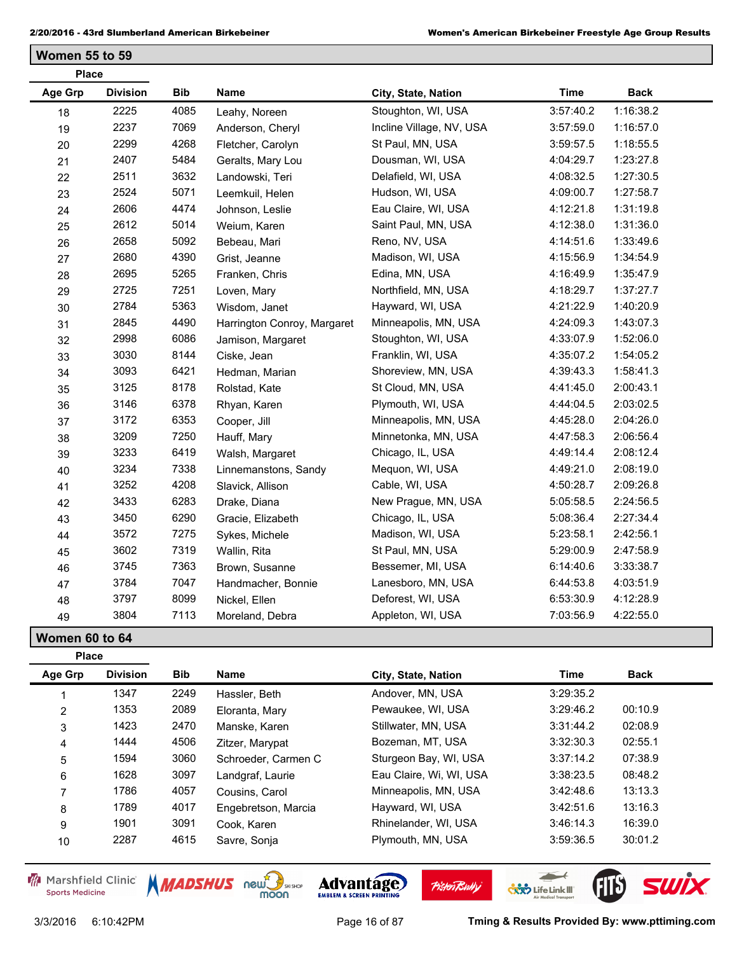**Women 55 to 59**

| <b>Place</b>   |                 |            |                             |                          |             |             |
|----------------|-----------------|------------|-----------------------------|--------------------------|-------------|-------------|
| <b>Age Grp</b> | <b>Division</b> | <b>Bib</b> | <b>Name</b>                 | City, State, Nation      | <b>Time</b> | <b>Back</b> |
| 18             | 2225            | 4085       | Leahy, Noreen               | Stoughton, WI, USA       | 3:57:40.2   | 1:16:38.2   |
| 19             | 2237            | 7069       | Anderson, Cheryl            | Incline Village, NV, USA | 3:57:59.0   | 1:16:57.0   |
| 20             | 2299            | 4268       | Fletcher, Carolyn           | St Paul, MN, USA         | 3:59:57.5   | 1:18:55.5   |
| 21             | 2407            | 5484       | Geralts, Mary Lou           | Dousman, WI, USA         | 4:04:29.7   | 1:23:27.8   |
| 22             | 2511            | 3632       | Landowski, Teri             | Delafield, WI, USA       | 4:08:32.5   | 1:27:30.5   |
| 23             | 2524            | 5071       | Leemkuil, Helen             | Hudson, WI, USA          | 4:09:00.7   | 1:27:58.7   |
| 24             | 2606            | 4474       | Johnson, Leslie             | Eau Claire, WI, USA      | 4:12:21.8   | 1:31:19.8   |
| 25             | 2612            | 5014       | Weium, Karen                | Saint Paul, MN, USA      | 4:12:38.0   | 1:31:36.0   |
| 26             | 2658            | 5092       | Bebeau, Mari                | Reno, NV, USA            | 4:14:51.6   | 1:33:49.6   |
| 27             | 2680            | 4390       | Grist, Jeanne               | Madison, WI, USA         | 4:15:56.9   | 1:34:54.9   |
| 28             | 2695            | 5265       | Franken, Chris              | Edina, MN, USA           | 4:16:49.9   | 1:35:47.9   |
| 29             | 2725            | 7251       | Loven, Mary                 | Northfield, MN, USA      | 4:18:29.7   | 1:37:27.7   |
| 30             | 2784            | 5363       | Wisdom, Janet               | Hayward, WI, USA         | 4:21:22.9   | 1:40:20.9   |
| 31             | 2845            | 4490       | Harrington Conroy, Margaret | Minneapolis, MN, USA     | 4:24:09.3   | 1:43:07.3   |
| 32             | 2998            | 6086       | Jamison, Margaret           | Stoughton, WI, USA       | 4:33:07.9   | 1:52:06.0   |
| 33             | 3030            | 8144       | Ciske, Jean                 | Franklin, WI, USA        | 4:35:07.2   | 1:54:05.2   |
| 34             | 3093            | 6421       | Hedman, Marian              | Shoreview, MN, USA       | 4:39:43.3   | 1:58:41.3   |
| 35             | 3125            | 8178       | Rolstad, Kate               | St Cloud, MN, USA        | 4:41:45.0   | 2:00:43.1   |
| 36             | 3146            | 6378       | Rhyan, Karen                | Plymouth, WI, USA        | 4:44:04.5   | 2:03:02.5   |
| 37             | 3172            | 6353       | Cooper, Jill                | Minneapolis, MN, USA     | 4:45:28.0   | 2:04:26.0   |
| 38             | 3209            | 7250       | Hauff, Mary                 | Minnetonka, MN, USA      | 4:47:58.3   | 2:06:56.4   |
| 39             | 3233            | 6419       | Walsh, Margaret             | Chicago, IL, USA         | 4:49:14.4   | 2:08:12.4   |
| 40             | 3234            | 7338       | Linnemanstons, Sandy        | Mequon, WI, USA          | 4:49:21.0   | 2:08:19.0   |
| 41             | 3252            | 4208       | Slavick, Allison            | Cable, WI, USA           | 4:50:28.7   | 2:09:26.8   |
| 42             | 3433            | 6283       | Drake, Diana                | New Prague, MN, USA      | 5:05:58.5   | 2:24:56.5   |
| 43             | 3450            | 6290       | Gracie, Elizabeth           | Chicago, IL, USA         | 5:08:36.4   | 2:27:34.4   |
| 44             | 3572            | 7275       | Sykes, Michele              | Madison, WI, USA         | 5:23:58.1   | 2:42:56.1   |
| 45             | 3602            | 7319       | Wallin, Rita                | St Paul, MN, USA         | 5:29:00.9   | 2:47:58.9   |
| 46             | 3745            | 7363       | Brown, Susanne              | Bessemer, MI, USA        | 6:14:40.6   | 3:33:38.7   |
| 47             | 3784            | 7047       | Handmacher, Bonnie          | Lanesboro, MN, USA       | 6:44:53.8   | 4:03:51.9   |
| 48             | 3797            | 8099       | Nickel, Ellen               | Deforest, WI, USA        | 6:53:30.9   | 4:12:28.9   |
| 49             | 3804            | 7113       | Moreland, Debra             | Appleton, WI, USA        | 7:03:56.9   | 4:22:55.0   |

**Women 60 to 64**

| <b>Place</b>   |                 |            |                     |                         |           |             |
|----------------|-----------------|------------|---------------------|-------------------------|-----------|-------------|
| Age Grp        | <b>Division</b> | <b>Bib</b> | <b>Name</b>         | City, State, Nation     | Time      | <b>Back</b> |
|                | 1347            | 2249       | Hassler, Beth       | Andover, MN, USA        | 3:29:35.2 |             |
| $\overline{2}$ | 1353            | 2089       | Eloranta, Mary      | Pewaukee, WI, USA       | 3:29:46.2 | 00:10.9     |
| 3              | 1423            | 2470       | Manske, Karen       | Stillwater, MN, USA     | 3:31:44.2 | 02:08.9     |
| $\overline{4}$ | 1444            | 4506       | Zitzer, Marypat     | Bozeman, MT, USA        | 3:32:30.3 | 02:55.1     |
| 5              | 1594            | 3060       | Schroeder, Carmen C | Sturgeon Bay, WI, USA   | 3:37:14.2 | 07:38.9     |
| 6              | 1628            | 3097       | Landgraf, Laurie    | Eau Claire, Wi, WI, USA | 3:38:23.5 | 08:48.2     |
|                | 1786            | 4057       | Cousins, Carol      | Minneapolis, MN, USA    | 3:42:48.6 | 13:13.3     |
| 8              | 1789            | 4017       | Engebretson, Marcia | Hayward, WI, USA        | 3:42:51.6 | 13:16.3     |
| 9              | 1901            | 3091       | Cook. Karen         | Rhinelander, WI, USA    | 3:46:14.3 | 16:39.0     |
| 10             | 2287            | 4615       | Savre, Sonja        | Plymouth, MN, USA       | 3:59:36.5 | 30:01.2     |

Marshfield Clinic **Sports Medicine** 



**Pisten Bully** 

 $\overline{\phantom{a}}$ 

**COND** Life Link III

FIB SWIX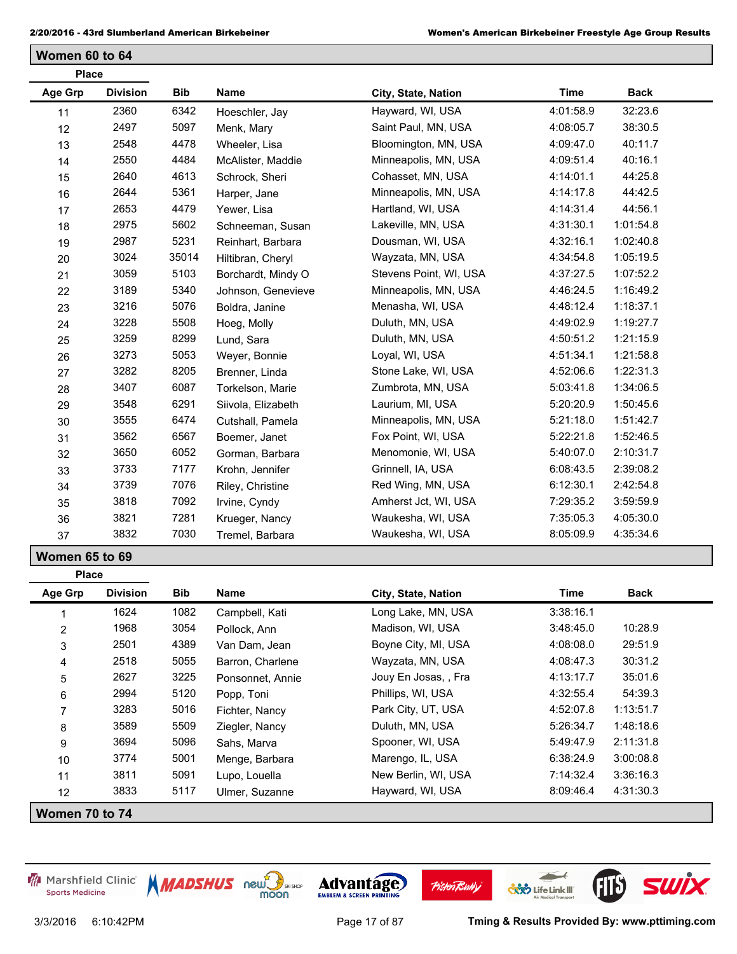**Women 60 to 64**

| <b>Place</b>   |                 |            |                    |                        |             |             |
|----------------|-----------------|------------|--------------------|------------------------|-------------|-------------|
| Age Grp        | <b>Division</b> | <b>Bib</b> | <b>Name</b>        | City, State, Nation    | <b>Time</b> | <b>Back</b> |
| 11             | 2360            | 6342       | Hoeschler, Jay     | Hayward, WI, USA       | 4:01:58.9   | 32:23.6     |
| 12             | 2497            | 5097       | Menk, Mary         | Saint Paul, MN, USA    | 4:08:05.7   | 38:30.5     |
| 13             | 2548            | 4478       | Wheeler, Lisa      | Bloomington, MN, USA   | 4:09:47.0   | 40:11.7     |
| 14             | 2550            | 4484       | McAlister, Maddie  | Minneapolis, MN, USA   | 4:09:51.4   | 40:16.1     |
| 15             | 2640            | 4613       | Schrock, Sheri     | Cohasset, MN, USA      | 4:14:01.1   | 44:25.8     |
| 16             | 2644            | 5361       | Harper, Jane       | Minneapolis, MN, USA   | 4:14:17.8   | 44:42.5     |
| 17             | 2653            | 4479       | Yewer, Lisa        | Hartland, WI, USA      | 4:14:31.4   | 44:56.1     |
| 18             | 2975            | 5602       | Schneeman, Susan   | Lakeville, MN, USA     | 4:31:30.1   | 1:01:54.8   |
| 19             | 2987            | 5231       | Reinhart, Barbara  | Dousman, WI, USA       | 4:32:16.1   | 1:02:40.8   |
| 20             | 3024            | 35014      | Hiltibran, Cheryl  | Wayzata, MN, USA       | 4:34:54.8   | 1:05:19.5   |
| 21             | 3059            | 5103       | Borchardt, Mindy O | Stevens Point, WI, USA | 4:37:27.5   | 1:07:52.2   |
| 22             | 3189            | 5340       | Johnson, Genevieve | Minneapolis, MN, USA   | 4:46:24.5   | 1:16:49.2   |
| 23             | 3216            | 5076       | Boldra, Janine     | Menasha, WI, USA       | 4:48:12.4   | 1:18:37.1   |
| 24             | 3228            | 5508       | Hoeg, Molly        | Duluth, MN, USA        | 4:49:02.9   | 1:19:27.7   |
| 25             | 3259            | 8299       | Lund, Sara         | Duluth, MN, USA        | 4:50:51.2   | 1:21:15.9   |
| 26             | 3273            | 5053       | Weyer, Bonnie      | Loyal, WI, USA         | 4:51:34.1   | 1:21:58.8   |
| 27             | 3282            | 8205       | Brenner, Linda     | Stone Lake, WI, USA    | 4:52:06.6   | 1:22:31.3   |
| 28             | 3407            | 6087       | Torkelson, Marie   | Zumbrota, MN, USA      | 5:03:41.8   | 1:34:06.5   |
| 29             | 3548            | 6291       | Siivola, Elizabeth | Laurium, MI, USA       | 5:20:20.9   | 1:50:45.6   |
| 30             | 3555            | 6474       | Cutshall, Pamela   | Minneapolis, MN, USA   | 5:21:18.0   | 1:51:42.7   |
| 31             | 3562            | 6567       | Boemer, Janet      | Fox Point, WI, USA     | 5:22:21.8   | 1:52:46.5   |
| 32             | 3650            | 6052       | Gorman, Barbara    | Menomonie, WI, USA     | 5:40:07.0   | 2:10:31.7   |
| 33             | 3733            | 7177       | Krohn, Jennifer    | Grinnell, IA, USA      | 6:08:43.5   | 2:39:08.2   |
| 34             | 3739            | 7076       | Riley, Christine   | Red Wing, MN, USA      | 6:12:30.1   | 2:42:54.8   |
| 35             | 3818            | 7092       | Irvine, Cyndy      | Amherst Jct, WI, USA   | 7:29:35.2   | 3:59:59.9   |
| 36             | 3821            | 7281       | Krueger, Nancy     | Waukesha, WI, USA      | 7:35:05.3   | 4:05:30.0   |
| 37             | 3832            | 7030       | Tremel, Barbara    | Waukesha, WI, USA      | 8:05:09.9   | 4:35:34.6   |
| Women 65 to 69 |                 |            |                    |                        |             |             |

| Age Grp         | <b>Division</b> | <b>Bib</b> | Name             | City, State, Nation  | Time      | Back      |
|-----------------|-----------------|------------|------------------|----------------------|-----------|-----------|
|                 | 1624            | 1082       | Campbell, Kati   | Long Lake, MN, USA   | 3:38:16.1 |           |
| $\overline{2}$  | 1968            | 3054       | Pollock, Ann     | Madison, WI, USA     | 3:48:45.0 | 10:28.9   |
| 3               | 2501            | 4389       | Van Dam, Jean    | Boyne City, MI, USA  | 4:08:08.0 | 29:51.9   |
| 4               | 2518            | 5055       | Barron, Charlene | Wayzata, MN, USA     | 4:08:47.3 | 30:31.2   |
| 5               | 2627            | 3225       | Ponsonnet, Annie | Jouy En Josas, , Fra | 4:13:17.7 | 35:01.6   |
| 6               | 2994            | 5120       | Popp, Toni       | Phillips, WI, USA    | 4:32:55.4 | 54:39.3   |
| $\overline{7}$  | 3283            | 5016       | Fichter, Nancy   | Park City, UT, USA   | 4:52:07.8 | 1:13:51.7 |
| 8               | 3589            | 5509       | Ziegler, Nancy   | Duluth, MN, USA      | 5:26:34.7 | 1:48:18.6 |
| 9               | 3694            | 5096       | Sahs, Marva      | Spooner, WI, USA     | 5:49:47.9 | 2:11:31.8 |
| 10              | 3774            | 5001       | Menge, Barbara   | Marengo, IL, USA     | 6:38:24.9 | 3:00:08.8 |
| 11              | 3811            | 5091       | Lupo, Louella    | New Berlin, WI, USA  | 7:14:32.4 | 3:36:16.3 |
| 12 <sup>2</sup> | 3833            | 5117       | Ulmer, Suzanne   | Hayward, WI, USA     | 8:09:46.4 | 4:31:30.3 |

**Women 70 to 74**

**Place**







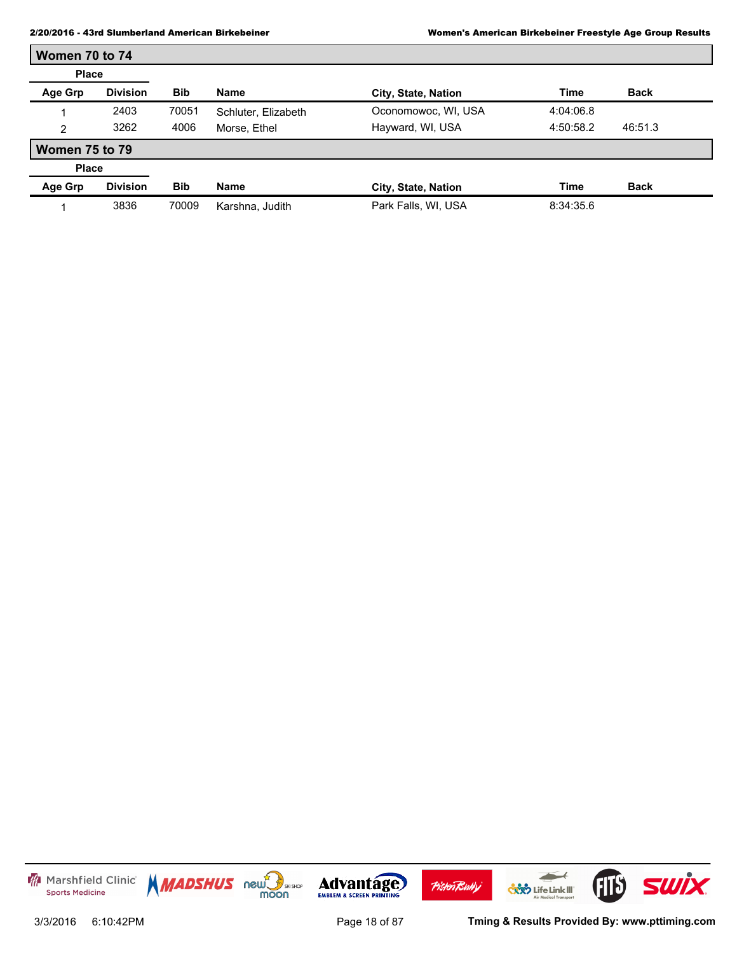r

| Women 70 to 74        |                 |            |                     |                     |             |             |
|-----------------------|-----------------|------------|---------------------|---------------------|-------------|-------------|
| <b>Place</b>          |                 |            |                     |                     |             |             |
| Age Grp               | <b>Division</b> | <b>Bib</b> | <b>Name</b>         | City, State, Nation | Time        | <b>Back</b> |
|                       | 2403            | 70051      | Schluter, Elizabeth | Oconomowoc, WI, USA | 4:04:06.8   |             |
| 2                     | 3262            | 4006       | Morse, Ethel        | Hayward, WI, USA    | 4:50:58.2   | 46:51.3     |
| <b>Women 75 to 79</b> |                 |            |                     |                     |             |             |
| <b>Place</b>          |                 |            |                     |                     |             |             |
| Age Grp               | <b>Division</b> | <b>Bib</b> | <b>Name</b>         | City, State, Nation | <b>Time</b> | <b>Back</b> |
|                       | 3836            | 70009      | Karshna, Judith     | Park Falls, WI, USA | 8:34:35.6   |             |

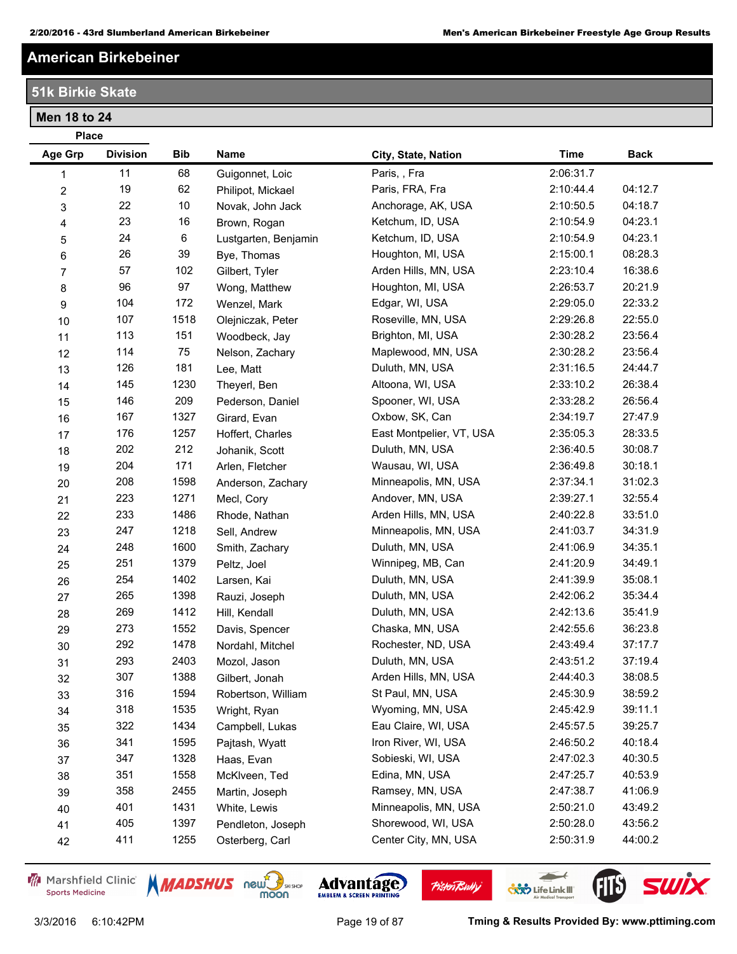# **American Birkebeiner**

**51k Birkie Skate**

**Place**

**Men 18 to 24**

| Age Grp                 | <b>Division</b> | Bib  | <b>Name</b>          | City, State, Nation      | <b>Time</b> | <b>Back</b> |
|-------------------------|-----------------|------|----------------------|--------------------------|-------------|-------------|
| 1                       | 11              | 68   | Guigonnet, Loic      | Paris, , Fra             | 2:06:31.7   |             |
| $\overline{\mathbf{c}}$ | 19              | 62   | Philipot, Mickael    | Paris, FRA, Fra          | 2:10:44.4   | 04:12.7     |
| 3                       | 22              | 10   | Novak, John Jack     | Anchorage, AK, USA       | 2:10:50.5   | 04:18.7     |
| 4                       | 23              | 16   | Brown, Rogan         | Ketchum, ID, USA         | 2:10:54.9   | 04:23.1     |
| $\sqrt{5}$              | 24              | 6    | Lustgarten, Benjamin | Ketchum, ID, USA         | 2:10:54.9   | 04:23.1     |
| $\,6$                   | 26              | 39   | Bye, Thomas          | Houghton, MI, USA        | 2:15:00.1   | 08:28.3     |
| $\overline{7}$          | 57              | 102  | Gilbert, Tyler       | Arden Hills, MN, USA     | 2:23:10.4   | 16:38.6     |
| 8                       | 96              | 97   | Wong, Matthew        | Houghton, MI, USA        | 2:26:53.7   | 20:21.9     |
| 9                       | 104             | 172  | Wenzel, Mark         | Edgar, WI, USA           | 2:29:05.0   | 22:33.2     |
| 10                      | 107             | 1518 | Olejniczak, Peter    | Roseville, MN, USA       | 2:29:26.8   | 22:55.0     |
| 11                      | 113             | 151  | Woodbeck, Jay        | Brighton, MI, USA        | 2:30:28.2   | 23:56.4     |
| 12                      | 114             | 75   | Nelson, Zachary      | Maplewood, MN, USA       | 2:30:28.2   | 23:56.4     |
| 13                      | 126             | 181  | Lee, Matt            | Duluth, MN, USA          | 2:31:16.5   | 24:44.7     |
| 14                      | 145             | 1230 | Theyerl, Ben         | Altoona, WI, USA         | 2:33:10.2   | 26:38.4     |
| 15                      | 146             | 209  | Pederson, Daniel     | Spooner, WI, USA         | 2:33:28.2   | 26:56.4     |
| $16\,$                  | 167             | 1327 | Girard, Evan         | Oxbow, SK, Can           | 2:34:19.7   | 27:47.9     |
| 17                      | 176             | 1257 | Hoffert, Charles     | East Montpelier, VT, USA | 2:35:05.3   | 28:33.5     |
| 18                      | 202             | 212  | Johanik, Scott       | Duluth, MN, USA          | 2:36:40.5   | 30:08.7     |
| 19                      | 204             | 171  | Arlen, Fletcher      | Wausau, WI, USA          | 2:36:49.8   | 30:18.1     |
| 20                      | 208             | 1598 | Anderson, Zachary    | Minneapolis, MN, USA     | 2:37:34.1   | 31:02.3     |
| 21                      | 223             | 1271 | Mecl, Cory           | Andover, MN, USA         | 2:39:27.1   | 32:55.4     |
| 22                      | 233             | 1486 | Rhode, Nathan        | Arden Hills, MN, USA     | 2:40:22.8   | 33:51.0     |
| 23                      | 247             | 1218 | Sell, Andrew         | Minneapolis, MN, USA     | 2:41:03.7   | 34:31.9     |
| 24                      | 248             | 1600 | Smith, Zachary       | Duluth, MN, USA          | 2:41:06.9   | 34:35.1     |
| 25                      | 251             | 1379 | Peltz, Joel          | Winnipeg, MB, Can        | 2:41:20.9   | 34:49.1     |
| 26                      | 254             | 1402 | Larsen, Kai          | Duluth, MN, USA          | 2:41:39.9   | 35:08.1     |
| 27                      | 265             | 1398 | Rauzi, Joseph        | Duluth, MN, USA          | 2:42:06.2   | 35:34.4     |
| 28                      | 269             | 1412 | Hill, Kendall        | Duluth, MN, USA          | 2:42:13.6   | 35:41.9     |
| 29                      | 273             | 1552 | Davis, Spencer       | Chaska, MN, USA          | 2:42:55.6   | 36:23.8     |
| 30                      | 292             | 1478 | Nordahl, Mitchel     | Rochester, ND, USA       | 2:43:49.4   | 37:17.7     |
| 31                      | 293             | 2403 | Mozol, Jason         | Duluth, MN, USA          | 2:43:51.2   | 37:19.4     |
| 32                      | 307             | 1388 | Gilbert, Jonah       | Arden Hills, MN, USA     | 2:44:40.3   | 38:08.5     |
| 33                      | 316             | 1594 | Robertson, William   | St Paul, MN, USA         | 2:45:30.9   | 38:59.2     |
| 34                      | 318             | 1535 | Wright, Ryan         | Wyoming, MN, USA         | 2:45:42.9   | 39:11.1     |
| 35                      | 322             | 1434 | Campbell, Lukas      | Eau Claire, WI, USA      | 2:45:57.5   | 39:25.7     |
| 36                      | 341             | 1595 | Pajtash, Wyatt       | Iron River, WI, USA      | 2:46:50.2   | 40:18.4     |
| 37                      | 347             | 1328 | Haas, Evan           | Sobieski, WI, USA        | 2:47:02.3   | 40:30.5     |
| 38                      | 351             | 1558 | McKlveen, Ted        | Edina, MN, USA           | 2:47:25.7   | 40:53.9     |
| 39                      | 358             | 2455 | Martin, Joseph       | Ramsey, MN, USA          | 2:47:38.7   | 41:06.9     |
| 40                      | 401             | 1431 | White, Lewis         | Minneapolis, MN, USA     | 2:50:21.0   | 43:49.2     |
| 41                      | 405             | 1397 | Pendleton, Joseph    | Shorewood, WI, USA       | 2:50:28.0   | 43:56.2     |
| 42                      | 411             | 1255 | Osterberg, Carl      | Center City, MN, USA     | 2:50:31.9   | 44:00.2     |

Marshfield Clinic **Sports Medicine** 





**Pisten Bully** 

3/3/2016 6:10:42PM Page 19 of 87 **Tming & Results Provided By: www.pttiming.com**

 $\overline{\phantom{a}}$ 

**CXXX** Life Link III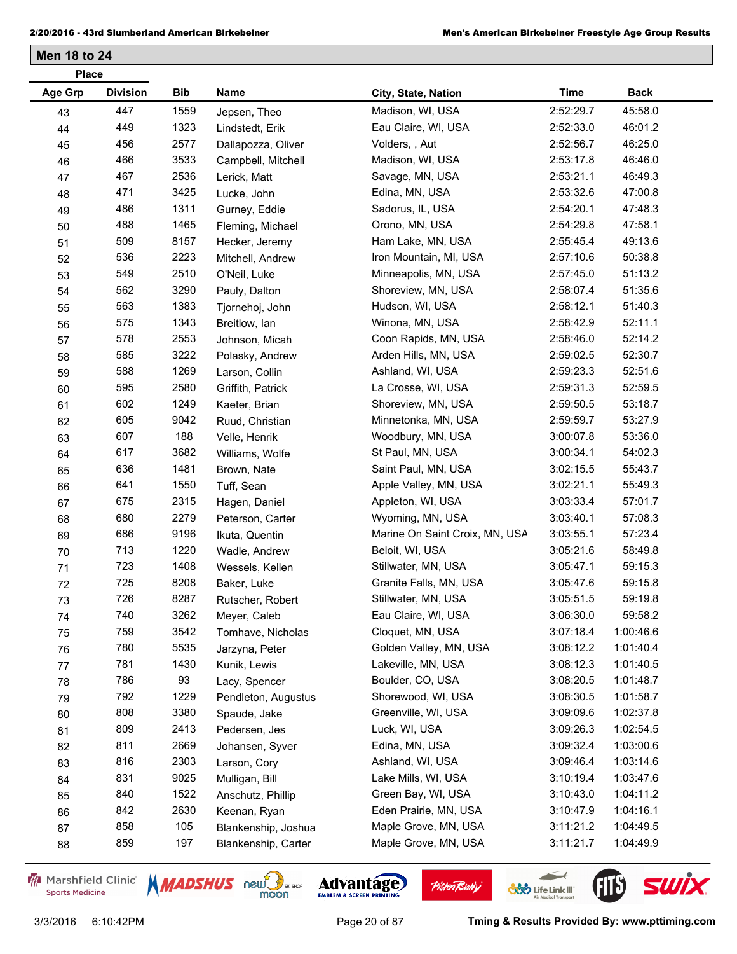| <b>Place</b> |                 |      |                     |                                |             |             |  |
|--------------|-----------------|------|---------------------|--------------------------------|-------------|-------------|--|
| Age Grp      | <b>Division</b> | Bib  | Name                | City, State, Nation            | <b>Time</b> | <b>Back</b> |  |
| 43           | 447             | 1559 | Jepsen, Theo        | Madison, WI, USA               | 2:52:29.7   | 45:58.0     |  |
| 44           | 449             | 1323 | Lindstedt, Erik     | Eau Claire, WI, USA            | 2:52:33.0   | 46:01.2     |  |
| 45           | 456             | 2577 | Dallapozza, Oliver  | Volders, , Aut                 | 2:52:56.7   | 46:25.0     |  |
| 46           | 466             | 3533 | Campbell, Mitchell  | Madison, WI, USA               | 2:53:17.8   | 46:46.0     |  |
| 47           | 467             | 2536 | Lerick, Matt        | Savage, MN, USA                | 2:53:21.1   | 46:49.3     |  |
| 48           | 471             | 3425 | Lucke, John         | Edina, MN, USA                 | 2:53:32.6   | 47:00.8     |  |
| 49           | 486             | 1311 | Gurney, Eddie       | Sadorus, IL, USA               | 2:54:20.1   | 47:48.3     |  |
| 50           | 488             | 1465 | Fleming, Michael    | Orono, MN, USA                 | 2:54:29.8   | 47:58.1     |  |
| 51           | 509             | 8157 | Hecker, Jeremy      | Ham Lake, MN, USA              | 2:55:45.4   | 49:13.6     |  |
| 52           | 536             | 2223 | Mitchell, Andrew    | Iron Mountain, MI, USA         | 2:57:10.6   | 50:38.8     |  |
| 53           | 549             | 2510 | O'Neil, Luke        | Minneapolis, MN, USA           | 2:57:45.0   | 51:13.2     |  |
| 54           | 562             | 3290 | Pauly, Dalton       | Shoreview, MN, USA             | 2:58:07.4   | 51:35.6     |  |
| 55           | 563             | 1383 | Tjornehoj, John     | Hudson, WI, USA                | 2:58:12.1   | 51:40.3     |  |
| 56           | 575             | 1343 | Breitlow, lan       | Winona, MN, USA                | 2:58:42.9   | 52:11.1     |  |
| 57           | 578             | 2553 | Johnson, Micah      | Coon Rapids, MN, USA           | 2:58:46.0   | 52:14.2     |  |
| 58           | 585             | 3222 | Polasky, Andrew     | Arden Hills, MN, USA           | 2:59:02.5   | 52:30.7     |  |
| 59           | 588             | 1269 | Larson, Collin      | Ashland, WI, USA               | 2:59:23.3   | 52:51.6     |  |
| 60           | 595             | 2580 | Griffith, Patrick   | La Crosse, WI, USA             | 2:59:31.3   | 52:59.5     |  |
| 61           | 602             | 1249 | Kaeter, Brian       | Shoreview, MN, USA             | 2:59:50.5   | 53:18.7     |  |
| 62           | 605             | 9042 | Ruud, Christian     | Minnetonka, MN, USA            | 2:59:59.7   | 53:27.9     |  |
| 63           | 607             | 188  | Velle, Henrik       | Woodbury, MN, USA              | 3:00:07.8   | 53:36.0     |  |
| 64           | 617             | 3682 | Williams, Wolfe     | St Paul, MN, USA               | 3:00:34.1   | 54:02.3     |  |
| 65           | 636             | 1481 | Brown, Nate         | Saint Paul, MN, USA            | 3:02:15.5   | 55:43.7     |  |
| 66           | 641             | 1550 | Tuff, Sean          | Apple Valley, MN, USA          | 3:02:21.1   | 55:49.3     |  |
| 67           | 675             | 2315 | Hagen, Daniel       | Appleton, WI, USA              | 3:03:33.4   | 57:01.7     |  |
| 68           | 680             | 2279 | Peterson, Carter    | Wyoming, MN, USA               | 3:03:40.1   | 57:08.3     |  |
| 69           | 686             | 9196 | Ikuta, Quentin      | Marine On Saint Croix, MN, USA | 3:03:55.1   | 57:23.4     |  |
| 70           | 713             | 1220 | Wadle, Andrew       | Beloit, WI, USA                | 3:05:21.6   | 58:49.8     |  |
| 71           | 723             | 1408 | Wessels, Kellen     | Stillwater, MN, USA            | 3:05:47.1   | 59:15.3     |  |
| 72           | 725             | 8208 | Baker, Luke         | Granite Falls, MN, USA         | 3:05:47.6   | 59:15.8     |  |
| 73           | 726             | 8287 | Rutscher, Robert    | Stillwater, MN, USA            | 3:05:51.5   | 59:19.8     |  |
| 74           | 740             | 3262 | Meyer, Caleb        | Eau Claire, WI, USA            | 3:06:30.0   | 59:58.2     |  |
| 75           | 759             | 3542 | Tomhave, Nicholas   | Cloquet, MN, USA               | 3:07:18.4   | 1:00:46.6   |  |
| 76           | 780             | 5535 | Jarzyna, Peter      | Golden Valley, MN, USA         | 3:08:12.2   | 1:01:40.4   |  |
| 77           | 781             | 1430 | Kunik, Lewis        | Lakeville, MN, USA             | 3:08:12.3   | 1:01:40.5   |  |
| 78           | 786             | 93   | Lacy, Spencer       | Boulder, CO, USA               | 3:08:20.5   | 1:01:48.7   |  |
| 79           | 792             | 1229 | Pendleton, Augustus | Shorewood, WI, USA             | 3:08:30.5   | 1:01:58.7   |  |
| 80           | 808             | 3380 | Spaude, Jake        | Greenville, WI, USA            | 3:09:09.6   | 1:02:37.8   |  |
| 81           | 809             | 2413 | Pedersen, Jes       | Luck, WI, USA                  | 3:09:26.3   | 1:02:54.5   |  |
| 82           | 811             | 2669 | Johansen, Syver     | Edina, MN, USA                 | 3:09:32.4   | 1:03:00.6   |  |
| 83           | 816             | 2303 | Larson, Cory        | Ashland, WI, USA               | 3:09:46.4   | 1:03:14.6   |  |
| 84           | 831             | 9025 | Mulligan, Bill      | Lake Mills, WI, USA            | 3:10:19.4   | 1:03:47.6   |  |
| 85           | 840             | 1522 | Anschutz, Phillip   | Green Bay, WI, USA             | 3:10:43.0   | 1:04:11.2   |  |
| 86           | 842             | 2630 | Keenan, Ryan        | Eden Prairie, MN, USA          | 3:10:47.9   | 1:04:16.1   |  |
| 87           | 858             | 105  | Blankenship, Joshua | Maple Grove, MN, USA           | 3:11:21.2   | 1:04:49.5   |  |
| 88           | 859             | 197  | Blankenship, Carter | Maple Grove, MN, USA           | 3:11:21.7   | 1:04:49.9   |  |

Marshfield Clinic **Sports Medicine** 





**Pisten Bully** 

 $\leftarrow$ 

**COND** Life Link III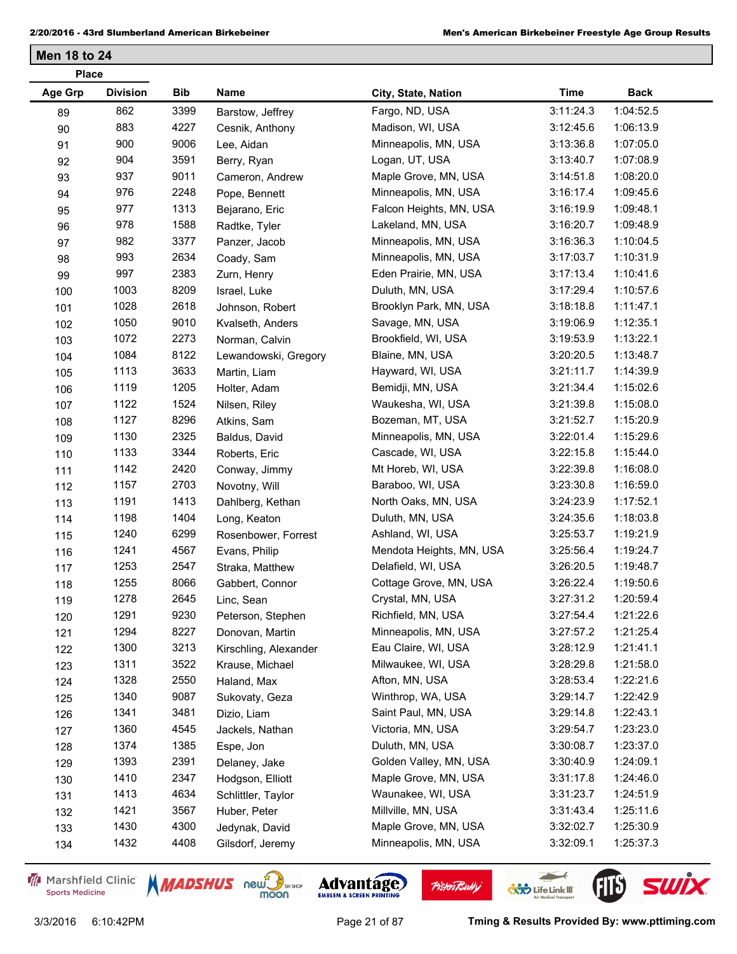| <b>Place</b>   |                 |            |                       |                          |             |             |  |
|----------------|-----------------|------------|-----------------------|--------------------------|-------------|-------------|--|
| <b>Age Grp</b> | <b>Division</b> | <b>Bib</b> | Name                  | City, State, Nation      | <b>Time</b> | <b>Back</b> |  |
| 89             | 862             | 3399       | Barstow, Jeffrey      | Fargo, ND, USA           | 3:11:24.3   | 1:04:52.5   |  |
| 90             | 883             | 4227       | Cesnik, Anthony       | Madison, WI, USA         | 3:12:45.6   | 1:06:13.9   |  |
| 91             | 900             | 9006       | Lee, Aidan            | Minneapolis, MN, USA     | 3:13:36.8   | 1:07:05.0   |  |
| 92             | 904             | 3591       | Berry, Ryan           | Logan, UT, USA           | 3:13:40.7   | 1:07:08.9   |  |
| 93             | 937             | 9011       | Cameron, Andrew       | Maple Grove, MN, USA     | 3:14:51.8   | 1:08:20.0   |  |
| 94             | 976             | 2248       | Pope, Bennett         | Minneapolis, MN, USA     | 3:16:17.4   | 1:09:45.6   |  |
| 95             | 977             | 1313       | Bejarano, Eric        | Falcon Heights, MN, USA  | 3:16:19.9   | 1:09:48.1   |  |
| 96             | 978             | 1588       | Radtke, Tyler         | Lakeland, MN, USA        | 3:16:20.7   | 1:09:48.9   |  |
| 97             | 982             | 3377       | Panzer, Jacob         | Minneapolis, MN, USA     | 3:16:36.3   | 1:10:04.5   |  |
| 98             | 993             | 2634       | Coady, Sam            | Minneapolis, MN, USA     | 3:17:03.7   | 1:10:31.9   |  |
| 99             | 997             | 2383       | Zurn, Henry           | Eden Prairie, MN, USA    | 3:17:13.4   | 1:10:41.6   |  |
| 100            | 1003            | 8209       | Israel, Luke          | Duluth, MN, USA          | 3:17:29.4   | 1:10:57.6   |  |
| 101            | 1028            | 2618       | Johnson, Robert       | Brooklyn Park, MN, USA   | 3:18:18.8   | 1:11:47.1   |  |
| 102            | 1050            | 9010       | Kvalseth, Anders      | Savage, MN, USA          | 3:19:06.9   | 1:12:35.1   |  |
| 103            | 1072            | 2273       | Norman, Calvin        | Brookfield, WI, USA      | 3:19:53.9   | 1:13:22.1   |  |
| 104            | 1084            | 8122       | Lewandowski, Gregory  | Blaine, MN, USA          | 3:20:20.5   | 1:13:48.7   |  |
| 105            | 1113            | 3633       | Martin, Liam          | Hayward, WI, USA         | 3:21:11.7   | 1:14:39.9   |  |
| 106            | 1119            | 1205       | Holter, Adam          | Bemidji, MN, USA         | 3:21:34.4   | 1:15:02.6   |  |
| 107            | 1122            | 1524       | Nilsen, Riley         | Waukesha, WI, USA        | 3:21:39.8   | 1:15:08.0   |  |
| 108            | 1127            | 8296       | Atkins, Sam           | Bozeman, MT, USA         | 3:21:52.7   | 1:15:20.9   |  |
| 109            | 1130            | 2325       | Baldus, David         | Minneapolis, MN, USA     | 3:22:01.4   | 1:15:29.6   |  |
| 110            | 1133            | 3344       | Roberts, Eric         | Cascade, WI, USA         | 3:22:15.8   | 1:15:44.0   |  |
| 111            | 1142            | 2420       | Conway, Jimmy         | Mt Horeb, WI, USA        | 3:22:39.8   | 1:16:08.0   |  |
| 112            | 1157            | 2703       | Novotny, Will         | Baraboo, WI, USA         | 3:23:30.8   | 1:16:59.0   |  |
| 113            | 1191            | 1413       | Dahlberg, Kethan      | North Oaks, MN, USA      | 3:24:23.9   | 1:17:52.1   |  |
| 114            | 1198            | 1404       | Long, Keaton          | Duluth, MN, USA          | 3:24:35.6   | 1:18:03.8   |  |
| 115            | 1240            | 6299       | Rosenbower, Forrest   | Ashland, WI, USA         | 3:25:53.7   | 1:19:21.9   |  |
| 116            | 1241            | 4567       | Evans, Philip         | Mendota Heights, MN, USA | 3:25:56.4   | 1:19:24.7   |  |
| 117            | 1253            | 2547       | Straka, Matthew       | Delafield, WI, USA       | 3:26:20.5   | 1:19:48.7   |  |
| 118            | 1255            | 8066       | Gabbert, Connor       | Cottage Grove, MN, USA   | 3:26:22.4   | 1:19:50.6   |  |
| 119            | 1278            | 2645       | Linc, Sean            | Crystal, MN, USA         | 3:27:31.2   | 1:20:59.4   |  |
| 120            | 1291            | 9230       | Peterson, Stephen     | Richfield, MN, USA       | 3:27:54.4   | 1:21:22.6   |  |
| 121            | 1294            | 8227       | Donovan, Martin       | Minneapolis, MN, USA     | 3:27:57.2   | 1:21:25.4   |  |
| 122            | 1300            | 3213       | Kirschling, Alexander | Eau Claire, WI, USA      | 3:28:12.9   | 1:21:41.1   |  |
| 123            | 1311            | 3522       | Krause, Michael       | Milwaukee, WI, USA       | 3:28:29.8   | 1:21:58.0   |  |
| 124            | 1328            | 2550       | Haland, Max           | Afton, MN, USA           | 3:28:53.4   | 1:22:21.6   |  |
| 125            | 1340            | 9087       | Sukovaty, Geza        | Winthrop, WA, USA        | 3:29:14.7   | 1:22:42.9   |  |
| 126            | 1341            | 3481       | Dizio, Liam           | Saint Paul, MN, USA      | 3:29:14.8   | 1:22:43.1   |  |
| 127            | 1360            | 4545       | Jackels, Nathan       | Victoria, MN, USA        | 3:29:54.7   | 1:23:23.0   |  |
| 128            | 1374            | 1385       | Espe, Jon             | Duluth, MN, USA          | 3:30:08.7   | 1:23:37.0   |  |
| 129            | 1393            | 2391       | Delaney, Jake         | Golden Valley, MN, USA   | 3:30:40.9   | 1:24:09.1   |  |
| 130            | 1410            | 2347       | Hodgson, Elliott      | Maple Grove, MN, USA     | 3:31:17.8   | 1:24:46.0   |  |
| 131            | 1413            | 4634       | Schlittler, Taylor    | Waunakee, WI, USA        | 3:31:23.7   | 1:24:51.9   |  |
| 132            | 1421            | 3567       | Huber, Peter          | Millville, MN, USA       | 3:31:43.4   | 1:25:11.6   |  |
| 133            | 1430            | 4300       | Jedynak, David        | Maple Grove, MN, USA     | 3:32:02.7   | 1:25:30.9   |  |
| 134            | 1432            | 4408       | Gilsdorf, Jeremy      | Minneapolis, MN, USA     | 3:32:09.1   | 1:25:37.3   |  |
|                |                 |            |                       |                          |             |             |  |

Marshfield Clinic **Sports Medicine** 





**Pisten Bully** 

 $\leftarrow$ 

**COND** Life Link III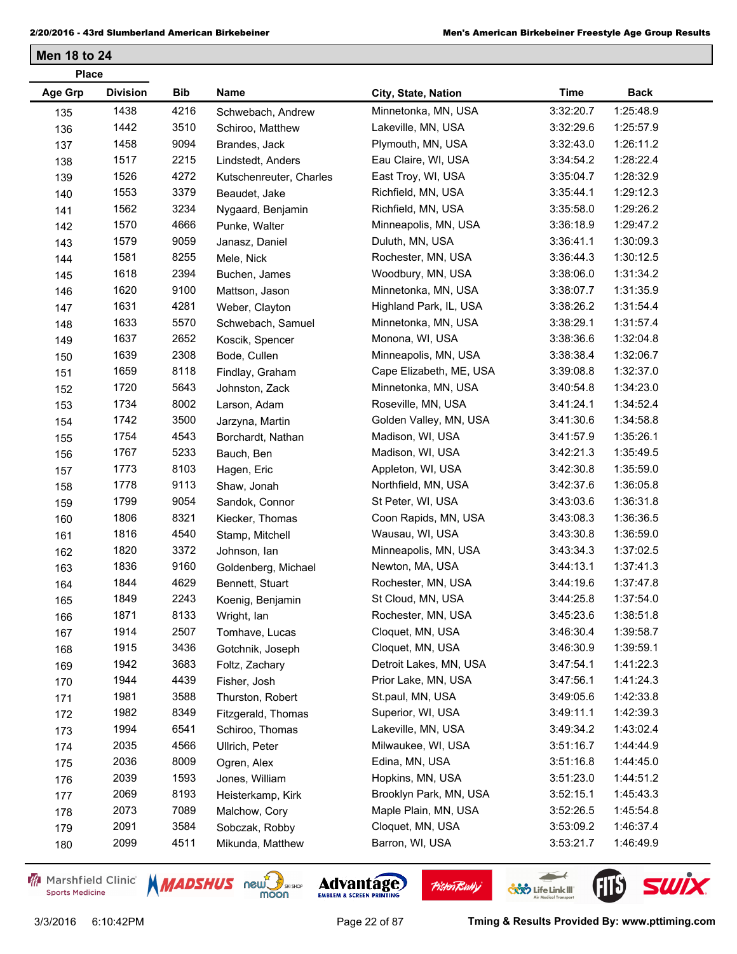| <b>Age Grp</b><br><b>Division</b><br>Bib<br>Name<br>City, State, Nation | <b>Time</b><br><b>Back</b> |
|-------------------------------------------------------------------------|----------------------------|
|                                                                         |                            |
| 1438<br>4216<br>Minnetonka, MN, USA<br>Schwebach, Andrew<br>135         | 1:25:48.9<br>3:32:20.7     |
| 1442<br>3510<br>Lakeville, MN, USA<br>136<br>Schiroo, Matthew           | 3:32:29.6<br>1:25:57.9     |
| 1458<br>9094<br>Plymouth, MN, USA<br>137<br>Brandes, Jack               | 1:26:11.2<br>3:32:43.0     |
| 1517<br>2215<br>Eau Claire, WI, USA<br>138<br>Lindstedt, Anders         | 1:28:22.4<br>3:34:54.2     |
| 1526<br>4272<br>East Troy, WI, USA<br>139<br>Kutschenreuter, Charles    | 1:28:32.9<br>3:35:04.7     |
| 1553<br>3379<br>Richfield, MN, USA<br>140<br>Beaudet, Jake              | 1:29:12.3<br>3:35:44.1     |
| 3234<br>1562<br>Richfield, MN, USA<br>Nygaard, Benjamin<br>141          | 3:35:58.0<br>1:29:26.2     |
| 1570<br>4666<br>Minneapolis, MN, USA<br>Punke, Walter<br>142            | 3:36:18.9<br>1:29:47.2     |
| 1579<br>9059<br>Duluth, MN, USA<br>143<br>Janasz, Daniel                | 1:30:09.3<br>3:36:41.1     |
| 1581<br>8255<br>Rochester, MN, USA<br>Mele, Nick<br>144                 | 1:30:12.5<br>3:36:44.3     |
| 1618<br>2394<br>Woodbury, MN, USA<br>Buchen, James<br>145               | 1:31:34.2<br>3:38:06.0     |
| 1620<br>9100<br>Minnetonka, MN, USA<br>146<br>Mattson, Jason            | 3:38:07.7<br>1:31:35.9     |
| 1631<br>4281<br>Highland Park, IL, USA<br>Weber, Clayton<br>147         | 1:31:54.4<br>3:38:26.2     |
| 1633<br>5570<br>Minnetonka, MN, USA<br>148<br>Schwebach, Samuel         | 3:38:29.1<br>1:31:57.4     |
| 1637<br>2652<br>Monona, WI, USA<br>Koscik, Spencer<br>149               | 3:38:36.6<br>1:32:04.8     |
| 1639<br>2308<br>Minneapolis, MN, USA<br>Bode, Cullen<br>150             | 3:38:38.4<br>1:32:06.7     |
| 1659<br>8118<br>Cape Elizabeth, ME, USA<br>Findlay, Graham<br>151       | 1:32:37.0<br>3:39:08.8     |
| 1720<br>5643<br>Minnetonka, MN, USA<br>Johnston, Zack<br>152            | 3:40:54.8<br>1:34:23.0     |
| 1734<br>8002<br>Roseville, MN, USA<br>Larson, Adam<br>153               | 3:41:24.1<br>1:34:52.4     |
| 3500<br>1742<br>Golden Valley, MN, USA<br>Jarzyna, Martin<br>154        | 3:41:30.6<br>1:34:58.8     |
| 1754<br>4543<br>Madison, WI, USA<br>155<br>Borchardt, Nathan            | 1:35:26.1<br>3:41:57.9     |
| 1767<br>5233<br>Madison, WI, USA<br>Bauch, Ben<br>156                   | 3:42:21.3<br>1:35:49.5     |
| 8103<br>1773<br>Appleton, WI, USA<br>Hagen, Eric<br>157                 | 3:42:30.8<br>1:35:59.0     |
| 1778<br>9113<br>Northfield, MN, USA<br>Shaw, Jonah<br>158               | 3:42:37.6<br>1:36:05.8     |
| 1799<br>9054<br>St Peter, WI, USA<br>Sandok, Connor<br>159              | 1:36:31.8<br>3:43:03.6     |
| 1806<br>8321<br>Coon Rapids, MN, USA<br>Kiecker, Thomas<br>160          | 3:43:08.3<br>1:36:36.5     |
| 1816<br>4540<br>Wausau, WI, USA<br>Stamp, Mitchell<br>161               | 3:43:30.8<br>1:36:59.0     |
| 1820<br>3372<br>Minneapolis, MN, USA<br>Johnson, lan<br>162             | 3:43:34.3<br>1:37:02.5     |
| 1836<br>9160<br>Newton, MA, USA<br>163<br>Goldenberg, Michael           | 3:44:13.1<br>1:37:41.3     |
| 1844<br>4629<br>Rochester, MN, USA<br>Bennett, Stuart<br>164            | 3:44:19.6<br>1:37:47.8     |
| 2243<br>1849<br>St Cloud, MN, USA<br>Koenig, Benjamin<br>165            | 1:37:54.0<br>3:44:25.8     |
| 1871<br>8133<br>Rochester, MN, USA<br>Wright, Ian<br>166                | 1:38:51.8<br>3:45:23.6     |
| 1914<br>2507<br>Cloquet, MN, USA<br>Tomhave, Lucas<br>167               | 3:46:30.4<br>1:39:58.7     |
| 1915<br>3436<br>Cloquet, MN, USA<br>Gotchnik, Joseph<br>168             | 3:46:30.9<br>1:39:59.1     |
| 1942<br>3683<br>Detroit Lakes, MN, USA<br>Foltz, Zachary<br>169         | 3:47:54.1<br>1:41:22.3     |
| 4439<br>Prior Lake, MN, USA<br>1944<br>Fisher, Josh<br>170              | 3:47:56.1<br>1:41:24.3     |
| 1981<br>3588<br>St.paul, MN, USA<br>Thurston, Robert<br>171             | 1:42:33.8<br>3:49:05.6     |
| 1982<br>8349<br>Superior, WI, USA<br>Fitzgerald, Thomas<br>172          | 1:42:39.3<br>3:49:11.1     |
| 1994<br>Lakeville, MN, USA<br>6541<br>Schiroo, Thomas<br>173            | 3:49:34.2<br>1:43:02.4     |
| 2035<br>4566<br>Milwaukee, WI, USA<br>Ullrich, Peter<br>174             | 3:51:16.7<br>1:44:44.9     |
| 2036<br>Edina, MN, USA<br>8009<br>Ogren, Alex<br>175                    | 3:51:16.8<br>1:44:45.0     |
| 2039<br>1593<br>Hopkins, MN, USA<br>Jones, William<br>176               | 3:51:23.0<br>1:44:51.2     |
| Brooklyn Park, MN, USA<br>2069<br>8193<br>Heisterkamp, Kirk<br>177      | 3:52:15.1<br>1:45:43.3     |
| 2073<br>7089<br>Maple Plain, MN, USA<br>Malchow, Cory<br>178            | 3:52:26.5<br>1:45:54.8     |
| 2091<br>3584<br>Cloquet, MN, USA<br>Sobczak, Robby<br>179               | 1:46:37.4<br>3:53:09.2     |
| 2099<br>4511<br>Barron, WI, USA<br>Mikunda, Matthew<br>180              | 1:46:49.9<br>3:53:21.7     |

Marshfield Clinic **Sports Medicine** 





 $\leftarrow$ 

**COND** Life Link III

**Pisten Bully**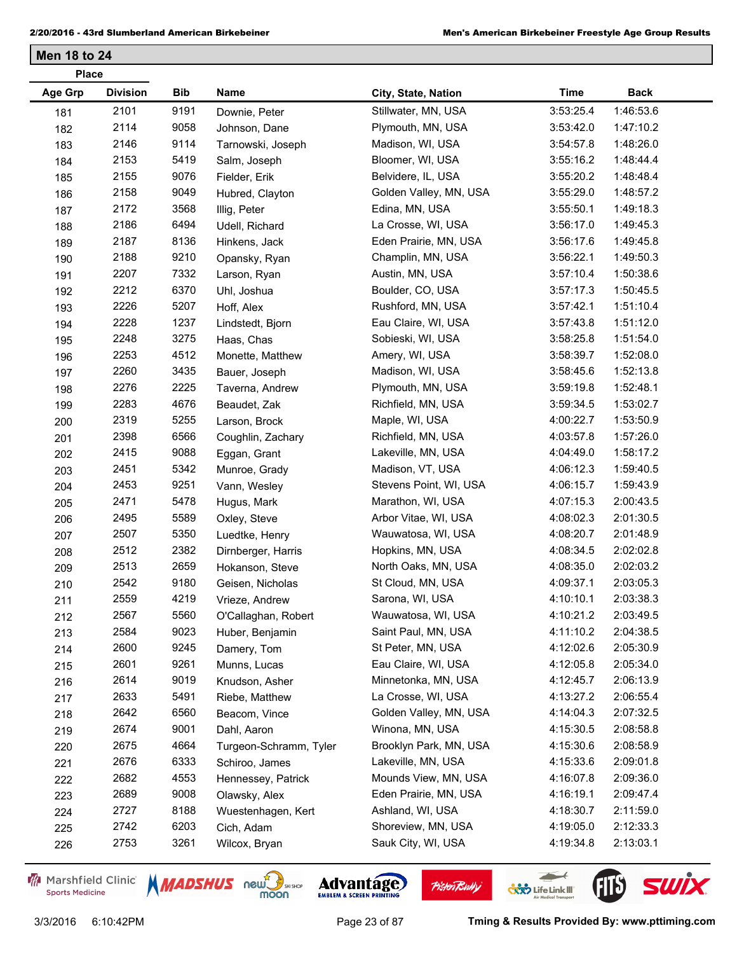| <b>Place</b> |                 |            |                        |                        |             |             |
|--------------|-----------------|------------|------------------------|------------------------|-------------|-------------|
| Age Grp      | <b>Division</b> | <b>Bib</b> | Name                   | City, State, Nation    | <b>Time</b> | <b>Back</b> |
| 181          | 2101            | 9191       | Downie, Peter          | Stillwater, MN, USA    | 3:53:25.4   | 1:46:53.6   |
| 182          | 2114            | 9058       | Johnson, Dane          | Plymouth, MN, USA      | 3:53:42.0   | 1:47:10.2   |
| 183          | 2146            | 9114       | Tarnowski, Joseph      | Madison, WI, USA       | 3:54:57.8   | 1:48:26.0   |
| 184          | 2153            | 5419       | Salm, Joseph           | Bloomer, WI, USA       | 3:55:16.2   | 1:48:44.4   |
| 185          | 2155            | 9076       | Fielder, Erik          | Belvidere, IL, USA     | 3:55:20.2   | 1:48:48.4   |
| 186          | 2158            | 9049       | Hubred, Clayton        | Golden Valley, MN, USA | 3:55:29.0   | 1:48:57.2   |
| 187          | 2172            | 3568       | Illig, Peter           | Edina, MN, USA         | 3:55:50.1   | 1:49:18.3   |
| 188          | 2186            | 6494       | Udell, Richard         | La Crosse, WI, USA     | 3:56:17.0   | 1:49:45.3   |
| 189          | 2187            | 8136       | Hinkens, Jack          | Eden Prairie, MN, USA  | 3:56:17.6   | 1:49:45.8   |
| 190          | 2188            | 9210       | Opansky, Ryan          | Champlin, MN, USA      | 3:56:22.1   | 1:49:50.3   |
| 191          | 2207            | 7332       | Larson, Ryan           | Austin, MN, USA        | 3:57:10.4   | 1:50:38.6   |
| 192          | 2212            | 6370       | Uhl, Joshua            | Boulder, CO, USA       | 3:57:17.3   | 1:50:45.5   |
| 193          | 2226            | 5207       | Hoff, Alex             | Rushford, MN, USA      | 3:57:42.1   | 1:51:10.4   |
| 194          | 2228            | 1237       | Lindstedt, Bjorn       | Eau Claire, WI, USA    | 3:57:43.8   | 1:51:12.0   |
| 195          | 2248            | 3275       | Haas, Chas             | Sobieski, WI, USA      | 3:58:25.8   | 1:51:54.0   |
| 196          | 2253            | 4512       | Monette, Matthew       | Amery, WI, USA         | 3:58:39.7   | 1:52:08.0   |
| 197          | 2260            | 3435       | Bauer, Joseph          | Madison, WI, USA       | 3:58:45.6   | 1:52:13.8   |
| 198          | 2276            | 2225       | Taverna, Andrew        | Plymouth, MN, USA      | 3:59:19.8   | 1:52:48.1   |
| 199          | 2283            | 4676       | Beaudet, Zak           | Richfield, MN, USA     | 3:59:34.5   | 1:53:02.7   |
| 200          | 2319            | 5255       | Larson, Brock          | Maple, WI, USA         | 4:00:22.7   | 1:53:50.9   |
| 201          | 2398            | 6566       | Coughlin, Zachary      | Richfield, MN, USA     | 4:03:57.8   | 1:57:26.0   |
| 202          | 2415            | 9088       | Eggan, Grant           | Lakeville, MN, USA     | 4:04:49.0   | 1:58:17.2   |
| 203          | 2451            | 5342       | Munroe, Grady          | Madison, VT, USA       | 4:06:12.3   | 1:59:40.5   |
| 204          | 2453            | 9251       | Vann, Wesley           | Stevens Point, WI, USA | 4:06:15.7   | 1:59:43.9   |
| 205          | 2471            | 5478       | Hugus, Mark            | Marathon, WI, USA      | 4:07:15.3   | 2:00:43.5   |
| 206          | 2495            | 5589       | Oxley, Steve           | Arbor Vitae, WI, USA   | 4:08:02.3   | 2:01:30.5   |
| 207          | 2507            | 5350       | Luedtke, Henry         | Wauwatosa, WI, USA     | 4:08:20.7   | 2:01:48.9   |
| 208          | 2512            | 2382       | Dirnberger, Harris     | Hopkins, MN, USA       | 4:08:34.5   | 2:02:02.8   |
| 209          | 2513            | 2659       | Hokanson, Steve        | North Oaks, MN, USA    | 4:08:35.0   | 2:02:03.2   |
| 210          | 2542            | 9180       | Geisen, Nicholas       | St Cloud, MN, USA      | 4:09:37.1   | 2:03:05.3   |
| 211          | 2559            | 4219       | Vrieze, Andrew         | Sarona, WI, USA        | 4:10:10.1   | 2:03:38.3   |
| 212          | 2567            | 5560       | O'Callaghan, Robert    | Wauwatosa, WI, USA     | 4:10:21.2   | 2:03:49.5   |
| 213          | 2584            | 9023       | Huber, Benjamin        | Saint Paul, MN, USA    | 4:11:10.2   | 2:04:38.5   |
| 214          | 2600            | 9245       | Damery, Tom            | St Peter, MN, USA      | 4:12:02.6   | 2:05:30.9   |
| 215          | 2601            | 9261       | Munns, Lucas           | Eau Claire, WI, USA    | 4:12:05.8   | 2:05:34.0   |
| 216          | 2614            | 9019       | Knudson, Asher         | Minnetonka, MN, USA    | 4:12:45.7   | 2:06:13.9   |
| 217          | 2633            | 5491       | Riebe, Matthew         | La Crosse, WI, USA     | 4:13:27.2   | 2:06:55.4   |
| 218          | 2642            | 6560       | Beacom, Vince          | Golden Valley, MN, USA | 4:14:04.3   | 2:07:32.5   |
| 219          | 2674            | 9001       | Dahl, Aaron            | Winona, MN, USA        | 4:15:30.5   | 2:08:58.8   |
| 220          | 2675            | 4664       | Turgeon-Schramm, Tyler | Brooklyn Park, MN, USA | 4:15:30.6   | 2:08:58.9   |
| 221          | 2676            | 6333       | Schiroo, James         | Lakeville, MN, USA     | 4:15:33.6   | 2:09:01.8   |
| 222          | 2682            | 4553       | Hennessey, Patrick     | Mounds View, MN, USA   | 4:16:07.8   | 2:09:36.0   |
| 223          | 2689            | 9008       | Olawsky, Alex          | Eden Prairie, MN, USA  | 4:16:19.1   | 2:09:47.4   |
| 224          | 2727            | 8188       | Wuestenhagen, Kert     | Ashland, WI, USA       | 4:18:30.7   | 2:11:59.0   |
| 225          | 2742            | 6203       | Cich, Adam             | Shoreview, MN, USA     | 4:19:05.0   | 2:12:33.3   |
| 226          | 2753            | 3261       | Wilcox, Bryan          | Sauk City, WI, USA     | 4:19:34.8   | 2:13:03.1   |

Marshfield Clinic **Sports Medicine** 







 $\leftarrow$ 

**COND** Life Link III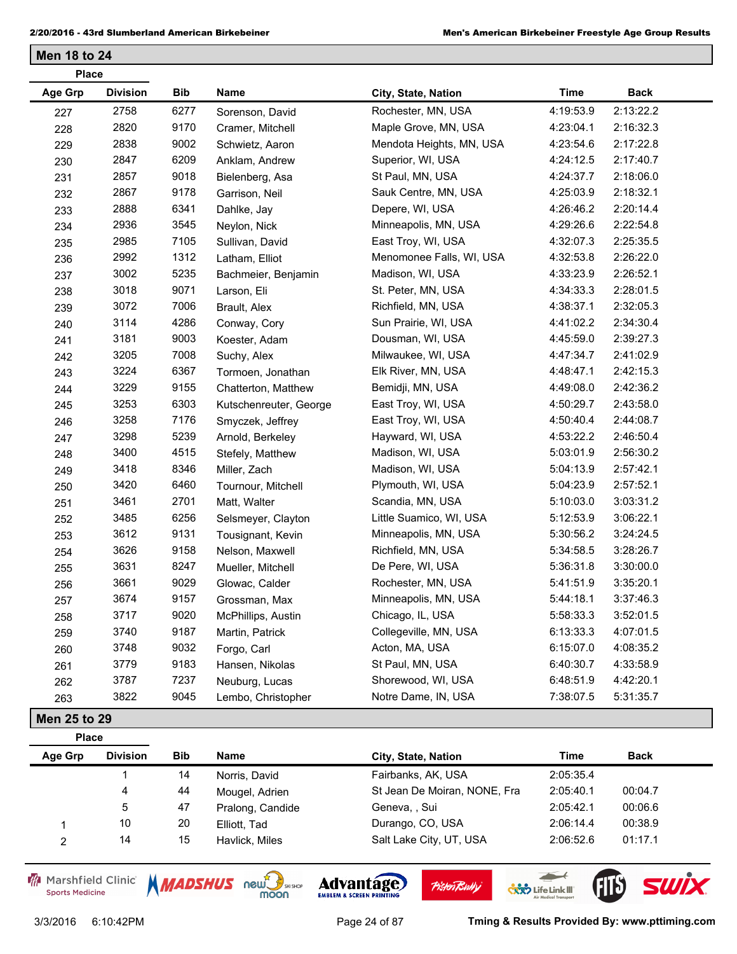|                | <b>Place</b>    |            |                        |                          |             |             |
|----------------|-----------------|------------|------------------------|--------------------------|-------------|-------------|
| <b>Age Grp</b> | <b>Division</b> | <b>Bib</b> | Name                   | City, State, Nation      | <b>Time</b> | <b>Back</b> |
| 227            | 2758            | 6277       | Sorenson, David        | Rochester, MN, USA       | 4:19:53.9   | 2:13:22.2   |
| 228            | 2820            | 9170       | Cramer, Mitchell       | Maple Grove, MN, USA     | 4:23:04.1   | 2:16:32.3   |
| 229            | 2838            | 9002       | Schwietz, Aaron        | Mendota Heights, MN, USA | 4:23:54.6   | 2:17:22.8   |
| 230            | 2847            | 6209       | Anklam, Andrew         | Superior, WI, USA        | 4:24:12.5   | 2:17:40.7   |
| 231            | 2857            | 9018       | Bielenberg, Asa        | St Paul, MN, USA         | 4:24:37.7   | 2:18:06.0   |
| 232            | 2867            | 9178       | Garrison, Neil         | Sauk Centre, MN, USA     | 4:25:03.9   | 2:18:32.1   |
| 233            | 2888            | 6341       | Dahlke, Jay            | Depere, WI, USA          | 4:26:46.2   | 2:20:14.4   |
| 234            | 2936            | 3545       | Neylon, Nick           | Minneapolis, MN, USA     | 4:29:26.6   | 2:22:54.8   |
| 235            | 2985            | 7105       | Sullivan, David        | East Troy, WI, USA       | 4:32:07.3   | 2:25:35.5   |
| 236            | 2992            | 1312       | Latham, Elliot         | Menomonee Falls, WI, USA | 4:32:53.8   | 2:26:22.0   |
| 237            | 3002            | 5235       | Bachmeier, Benjamin    | Madison, WI, USA         | 4:33:23.9   | 2:26:52.1   |
| 238            | 3018            | 9071       | Larson, Eli            | St. Peter, MN, USA       | 4:34:33.3   | 2:28:01.5   |
| 239            | 3072            | 7006       | Brault, Alex           | Richfield, MN, USA       | 4:38:37.1   | 2:32:05.3   |
| 240            | 3114            | 4286       | Conway, Cory           | Sun Prairie, WI, USA     | 4:41:02.2   | 2:34:30.4   |
| 241            | 3181            | 9003       | Koester, Adam          | Dousman, WI, USA         | 4:45:59.0   | 2:39:27.3   |
| 242            | 3205            | 7008       | Suchy, Alex            | Milwaukee, WI, USA       | 4:47:34.7   | 2:41:02.9   |
| 243            | 3224            | 6367       | Tormoen, Jonathan      | Elk River, MN, USA       | 4:48:47.1   | 2:42:15.3   |
| 244            | 3229            | 9155       | Chatterton, Matthew    | Bemidji, MN, USA         | 4:49:08.0   | 2:42:36.2   |
| 245            | 3253            | 6303       | Kutschenreuter, George | East Troy, WI, USA       | 4:50:29.7   | 2:43:58.0   |
| 246            | 3258            | 7176       | Smyczek, Jeffrey       | East Troy, WI, USA       | 4:50:40.4   | 2:44:08.7   |
| 247            | 3298            | 5239       | Arnold, Berkeley       | Hayward, WI, USA         | 4:53:22.2   | 2:46:50.4   |
| 248            | 3400            | 4515       | Stefely, Matthew       | Madison, WI, USA         | 5:03:01.9   | 2:56:30.2   |
| 249            | 3418            | 8346       | Miller, Zach           | Madison, WI, USA         | 5:04:13.9   | 2:57:42.1   |
| 250            | 3420            | 6460       | Tournour, Mitchell     | Plymouth, WI, USA        | 5:04:23.9   | 2:57:52.1   |
| 251            | 3461            | 2701       | Matt, Walter           | Scandia, MN, USA         | 5:10:03.0   | 3:03:31.2   |
| 252            | 3485            | 6256       | Selsmeyer, Clayton     | Little Suamico, WI, USA  | 5:12:53.9   | 3:06:22.1   |
| 253            | 3612            | 9131       | Tousignant, Kevin      | Minneapolis, MN, USA     | 5:30:56.2   | 3:24:24.5   |
| 254            | 3626            | 9158       | Nelson, Maxwell        | Richfield, MN, USA       | 5:34:58.5   | 3:28:26.7   |
| 255            | 3631            | 8247       | Mueller, Mitchell      | De Pere, WI, USA         | 5:36:31.8   | 3:30:00.0   |
| 256            | 3661            | 9029       | Glowac, Calder         | Rochester, MN, USA       | 5:41:51.9   | 3:35:20.1   |
| 257            | 3674            | 9157       | Grossman, Max          | Minneapolis, MN, USA     | 5:44:18.1   | 3:37:46.3   |
| 258            | 3717            | 9020       | McPhillips, Austin     | Chicago, IL, USA         | 5:58:33.3   | 3:52:01.5   |
| 259            | 3740            | 9187       | Martin, Patrick        | Collegeville, MN, USA    | 6:13:33.3   | 4:07:01.5   |
| 260            | 3748            | 9032       | Forgo, Carl            | Acton, MA, USA           | 6:15:07.0   | 4:08:35.2   |
| 261            | 3779            | 9183       | Hansen, Nikolas        | St Paul, MN, USA         | 6:40:30.7   | 4:33:58.9   |
| 262            | 3787            | 7237       | Neuburg, Lucas         | Shorewood, WI, USA       | 6:48:51.9   | 4:42:20.1   |
| 263            | 3822            | 9045       | Lembo, Christopher     | Notre Dame, IN, USA      | 7:38:07.5   | 5:31:35.7   |
| Men 25 to 29   |                 |            |                        |                          |             |             |
| <b>Place</b>   |                 |            |                        |                          |             |             |

| Age Grp | <b>Division</b> | <b>Bib</b> | Name             | City, State, Nation          | Time      | <b>Back</b> |
|---------|-----------------|------------|------------------|------------------------------|-----------|-------------|
|         |                 | 14         | Norris, David    | Fairbanks, AK, USA           | 2:05:35.4 |             |
|         | 4               | 44         | Mougel, Adrien   | St Jean De Moiran, NONE, Fra | 2:05:40.1 | 00:04.7     |
|         | 5               | 47         | Pralong, Candide | Geneva, , Sui                | 2:05:42.1 | 00:06.6     |
|         | 10              | 20         | Elliott, Tad     | Durango, CO, USA             | 2:06:14.4 | 00:38.9     |
|         | 14              | 15         | Havlick, Miles   | Salt Lake City, UT, USA      | 2:06:52.6 | 01:17.1     |

Marshfield Clinic **Sports Medicine** 



**Pisten Bully** 

 $\leftarrow$ 

**COND** Life Link III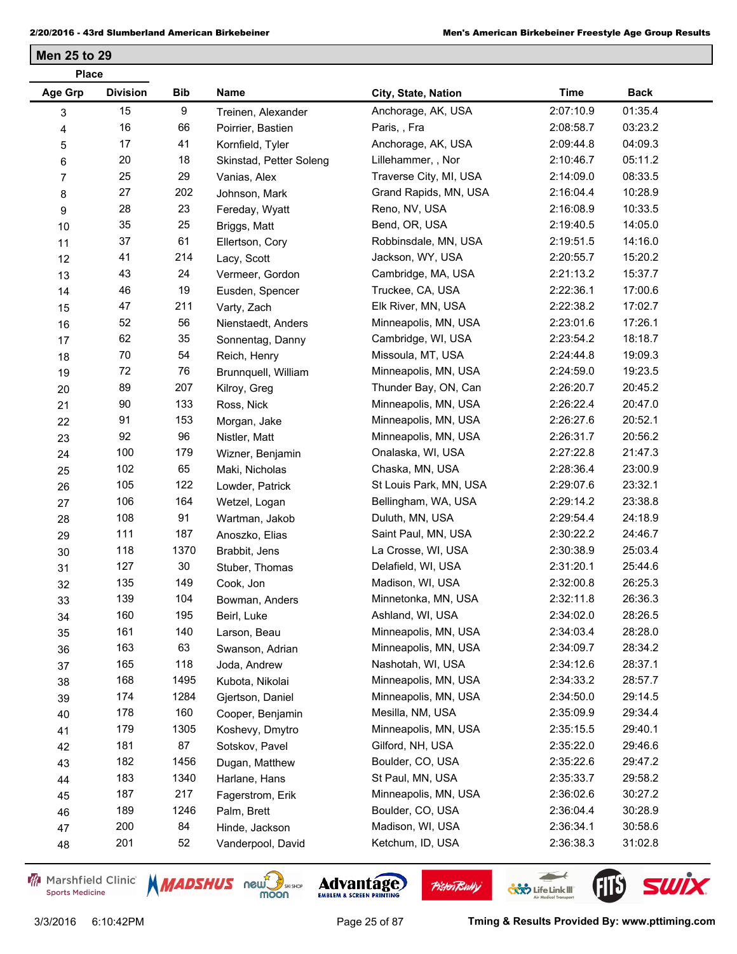| <b>Place</b>   |                 |      |                         |                        |             |             |
|----------------|-----------------|------|-------------------------|------------------------|-------------|-------------|
| <b>Age Grp</b> | <b>Division</b> | Bib  | Name                    | City, State, Nation    | <b>Time</b> | <b>Back</b> |
| 3              | 15              | 9    | Treinen, Alexander      | Anchorage, AK, USA     | 2:07:10.9   | 01:35.4     |
| 4              | 16              | 66   | Poirrier, Bastien       | Paris, , Fra           | 2:08:58.7   | 03:23.2     |
| 5              | 17              | 41   | Kornfield, Tyler        | Anchorage, AK, USA     | 2:09:44.8   | 04:09.3     |
| 6              | 20              | 18   | Skinstad, Petter Soleng | Lillehammer, , Nor     | 2:10:46.7   | 05:11.2     |
| 7              | 25              | 29   | Vanias, Alex            | Traverse City, MI, USA | 2:14:09.0   | 08:33.5     |
| 8              | 27              | 202  | Johnson, Mark           | Grand Rapids, MN, USA  | 2:16:04.4   | 10:28.9     |
| 9              | 28              | 23   | Fereday, Wyatt          | Reno, NV, USA          | 2:16:08.9   | 10:33.5     |
| 10             | 35              | 25   | Briggs, Matt            | Bend, OR, USA          | 2:19:40.5   | 14:05.0     |
| 11             | 37              | 61   | Ellertson, Cory         | Robbinsdale, MN, USA   | 2:19:51.5   | 14:16.0     |
| 12             | 41              | 214  | Lacy, Scott             | Jackson, WY, USA       | 2:20:55.7   | 15:20.2     |
| 13             | 43              | 24   | Vermeer, Gordon         | Cambridge, MA, USA     | 2:21:13.2   | 15:37.7     |
| 14             | 46              | 19   | Eusden, Spencer         | Truckee, CA, USA       | 2:22:36.1   | 17:00.6     |
| 15             | 47              | 211  | Varty, Zach             | Elk River, MN, USA     | 2:22:38.2   | 17:02.7     |
| 16             | 52              | 56   | Nienstaedt, Anders      | Minneapolis, MN, USA   | 2:23:01.6   | 17:26.1     |
| 17             | 62              | 35   | Sonnentag, Danny        | Cambridge, WI, USA     | 2:23:54.2   | 18:18.7     |
| 18             | 70              | 54   | Reich, Henry            | Missoula, MT, USA      | 2:24:44.8   | 19:09.3     |
| 19             | 72              | 76   | Brunnquell, William     | Minneapolis, MN, USA   | 2:24:59.0   | 19:23.5     |
| 20             | 89              | 207  | Kilroy, Greg            | Thunder Bay, ON, Can   | 2:26:20.7   | 20:45.2     |
| 21             | 90              | 133  | Ross, Nick              | Minneapolis, MN, USA   | 2:26:22.4   | 20:47.0     |
| 22             | 91              | 153  | Morgan, Jake            | Minneapolis, MN, USA   | 2:26:27.6   | 20:52.1     |
| 23             | 92              | 96   | Nistler, Matt           | Minneapolis, MN, USA   | 2:26:31.7   | 20:56.2     |
| 24             | 100             | 179  | Wizner, Benjamin        | Onalaska, WI, USA      | 2:27:22.8   | 21:47.3     |
| 25             | 102             | 65   | Maki, Nicholas          | Chaska, MN, USA        | 2:28:36.4   | 23:00.9     |
| 26             | 105             | 122  | Lowder, Patrick         | St Louis Park, MN, USA | 2:29:07.6   | 23:32.1     |
| 27             | 106             | 164  | Wetzel, Logan           | Bellingham, WA, USA    | 2:29:14.2   | 23:38.8     |
| 28             | 108             | 91   | Wartman, Jakob          | Duluth, MN, USA        | 2:29:54.4   | 24:18.9     |
| 29             | 111             | 187  | Anoszko, Elias          | Saint Paul, MN, USA    | 2:30:22.2   | 24:46.7     |
| 30             | 118             | 1370 | Brabbit, Jens           | La Crosse, WI, USA     | 2:30:38.9   | 25:03.4     |
| 31             | 127             | 30   | Stuber, Thomas          | Delafield, WI, USA     | 2:31:20.1   | 25:44.6     |
| 32             | 135             | 149  | Cook, Jon               | Madison, WI, USA       | 2:32:00.8   | 26:25.3     |
| 33             | 139             | 104  | Bowman, Anders          | Minnetonka, MN, USA    | 2:32:11.8   | 26:36.3     |
| 34             | 160             | 195  | Beirl, Luke             | Ashland, WI, USA       | 2:34:02.0   | 28:26.5     |
| 35             | 161             | 140  | Larson, Beau            | Minneapolis, MN, USA   | 2:34:03.4   | 28:28.0     |
| 36             | 163             | 63   | Swanson, Adrian         | Minneapolis, MN, USA   | 2:34:09.7   | 28:34.2     |
| 37             | 165             | 118  | Joda, Andrew            | Nashotah, WI, USA      | 2:34:12.6   | 28:37.1     |
| 38             | 168             | 1495 | Kubota, Nikolai         | Minneapolis, MN, USA   | 2:34:33.2   | 28:57.7     |
| 39             | 174             | 1284 | Gjertson, Daniel        | Minneapolis, MN, USA   | 2:34:50.0   | 29:14.5     |
| 40             | 178             | 160  | Cooper, Benjamin        | Mesilla, NM, USA       | 2:35:09.9   | 29:34.4     |
| 41             | 179             | 1305 | Koshevy, Dmytro         | Minneapolis, MN, USA   | 2:35:15.5   | 29:40.1     |
| 42             | 181             | 87   | Sotskov, Pavel          | Gilford, NH, USA       | 2:35:22.0   | 29:46.6     |
| 43             | 182             | 1456 | Dugan, Matthew          | Boulder, CO, USA       | 2:35:22.6   | 29:47.2     |
| 44             | 183             | 1340 | Harlane, Hans           | St Paul, MN, USA       | 2:35:33.7   | 29:58.2     |
| 45             | 187             | 217  | Fagerstrom, Erik        | Minneapolis, MN, USA   | 2:36:02.6   | 30:27.2     |
| 46             | 189             | 1246 | Palm, Brett             | Boulder, CO, USA       | 2:36:04.4   | 30:28.9     |
| 47             | 200             | 84   | Hinde, Jackson          | Madison, WI, USA       | 2:36:34.1   | 30:58.6     |
| 48             | 201             | 52   | Vanderpool, David       | Ketchum, ID, USA       | 2:36:38.3   | 31:02.8     |

Marshfield Clinic **Sports Medicine** 





**Pisten Bully** 

 $\leftarrow$ 

**COND** Life Link III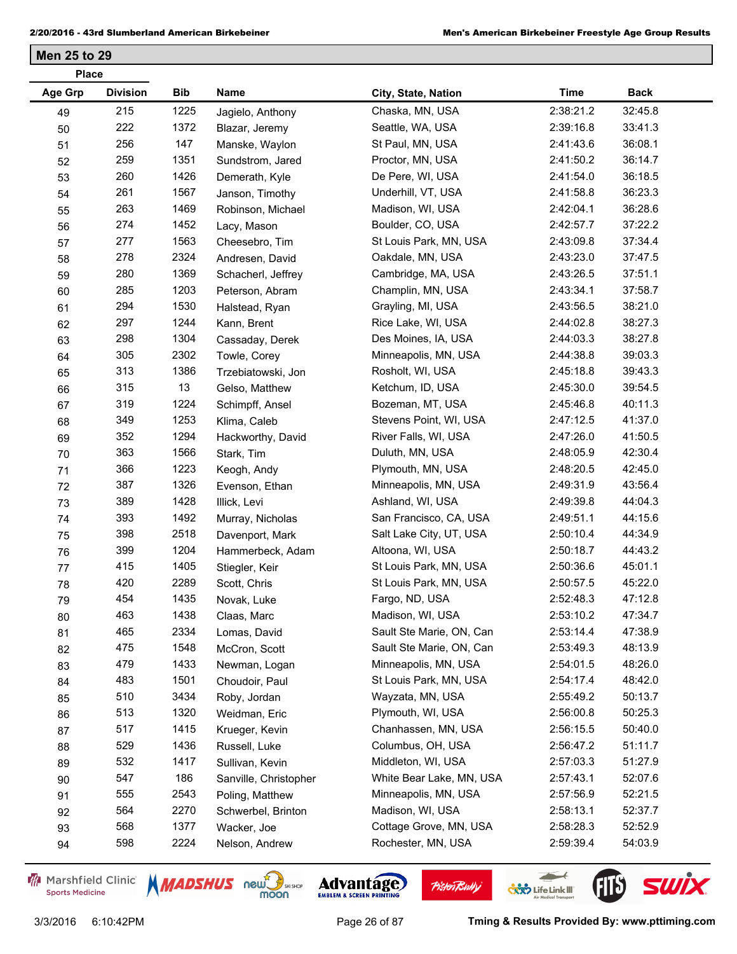| <b>Place</b>   |                 |      |                       |                          |             |             |
|----------------|-----------------|------|-----------------------|--------------------------|-------------|-------------|
| <b>Age Grp</b> | <b>Division</b> | Bib  | Name                  | City, State, Nation      | <b>Time</b> | <b>Back</b> |
| 49             | 215             | 1225 | Jagielo, Anthony      | Chaska, MN, USA          | 2:38:21.2   | 32:45.8     |
| 50             | 222             | 1372 | Blazar, Jeremy        | Seattle, WA, USA         | 2:39:16.8   | 33:41.3     |
| 51             | 256             | 147  | Manske, Waylon        | St Paul, MN, USA         | 2:41:43.6   | 36:08.1     |
| 52             | 259             | 1351 | Sundstrom, Jared      | Proctor, MN, USA         | 2:41:50.2   | 36:14.7     |
| 53             | 260             | 1426 | Demerath, Kyle        | De Pere, WI, USA         | 2:41:54.0   | 36:18.5     |
| 54             | 261             | 1567 | Janson, Timothy       | Underhill, VT, USA       | 2:41:58.8   | 36:23.3     |
| 55             | 263             | 1469 | Robinson, Michael     | Madison, WI, USA         | 2:42:04.1   | 36:28.6     |
| 56             | 274             | 1452 | Lacy, Mason           | Boulder, CO, USA         | 2:42:57.7   | 37:22.2     |
| 57             | 277             | 1563 | Cheesebro, Tim        | St Louis Park, MN, USA   | 2:43:09.8   | 37:34.4     |
| 58             | 278             | 2324 | Andresen, David       | Oakdale, MN, USA         | 2:43:23.0   | 37:47.5     |
| 59             | 280             | 1369 | Schacherl, Jeffrey    | Cambridge, MA, USA       | 2:43:26.5   | 37:51.1     |
| 60             | 285             | 1203 | Peterson, Abram       | Champlin, MN, USA        | 2:43:34.1   | 37:58.7     |
| 61             | 294             | 1530 | Halstead, Ryan        | Grayling, MI, USA        | 2:43:56.5   | 38:21.0     |
| 62             | 297             | 1244 | Kann, Brent           | Rice Lake, WI, USA       | 2:44:02.8   | 38:27.3     |
| 63             | 298             | 1304 | Cassaday, Derek       | Des Moines, IA, USA      | 2:44:03.3   | 38:27.8     |
| 64             | 305             | 2302 | Towle, Corey          | Minneapolis, MN, USA     | 2:44:38.8   | 39:03.3     |
| 65             | 313             | 1386 | Trzebiatowski, Jon    | Rosholt, WI, USA         | 2:45:18.8   | 39:43.3     |
| 66             | 315             | 13   | Gelso, Matthew        | Ketchum, ID, USA         | 2:45:30.0   | 39:54.5     |
| 67             | 319             | 1224 | Schimpff, Ansel       | Bozeman, MT, USA         | 2:45:46.8   | 40:11.3     |
| 68             | 349             | 1253 | Klima, Caleb          | Stevens Point, WI, USA   | 2:47:12.5   | 41:37.0     |
| 69             | 352             | 1294 | Hackworthy, David     | River Falls, WI, USA     | 2:47:26.0   | 41:50.5     |
| 70             | 363             | 1566 | Stark, Tim            | Duluth, MN, USA          | 2:48:05.9   | 42:30.4     |
| 71             | 366             | 1223 | Keogh, Andy           | Plymouth, MN, USA        | 2:48:20.5   | 42:45.0     |
| 72             | 387             | 1326 | Evenson, Ethan        | Minneapolis, MN, USA     | 2:49:31.9   | 43:56.4     |
| 73             | 389             | 1428 | Illick, Levi          | Ashland, WI, USA         | 2:49:39.8   | 44:04.3     |
| 74             | 393             | 1492 | Murray, Nicholas      | San Francisco, CA, USA   | 2:49:51.1   | 44:15.6     |
| 75             | 398             | 2518 | Davenport, Mark       | Salt Lake City, UT, USA  | 2:50:10.4   | 44:34.9     |
| 76             | 399             | 1204 | Hammerbeck, Adam      | Altoona, WI, USA         | 2:50:18.7   | 44:43.2     |
| 77             | 415             | 1405 | Stiegler, Keir        | St Louis Park, MN, USA   | 2:50:36.6   | 45:01.1     |
| 78             | 420             | 2289 | Scott, Chris          | St Louis Park, MN, USA   | 2:50:57.5   | 45:22.0     |
| 79             | 454             | 1435 | Novak, Luke           | Fargo, ND, USA           | 2:52:48.3   | 47:12.8     |
| 80             | 463             | 1438 | Claas, Marc           | Madison, WI, USA         | 2:53:10.2   | 47:34.7     |
| 81             | 465             | 2334 | Lomas, David          | Sault Ste Marie, ON, Can | 2:53:14.4   | 47:38.9     |
| 82             | 475             | 1548 | McCron, Scott         | Sault Ste Marie, ON, Can | 2:53:49.3   | 48:13.9     |
| 83             | 479             | 1433 | Newman, Logan         | Minneapolis, MN, USA     | 2:54:01.5   | 48:26.0     |
| 84             | 483             | 1501 | Choudoir, Paul        | St Louis Park, MN, USA   | 2:54:17.4   | 48:42.0     |
| 85             | 510             | 3434 | Roby, Jordan          | Wayzata, MN, USA         | 2:55:49.2   | 50:13.7     |
| 86             | 513             | 1320 | Weidman, Eric         | Plymouth, WI, USA        | 2:56:00.8   | 50:25.3     |
| 87             | 517             | 1415 | Krueger, Kevin        | Chanhassen, MN, USA      | 2:56:15.5   | 50:40.0     |
| 88             | 529             | 1436 | Russell, Luke         | Columbus, OH, USA        | 2:56:47.2   | 51:11.7     |
| 89             | 532             | 1417 | Sullivan, Kevin       | Middleton, WI, USA       | 2:57:03.3   | 51:27.9     |
| $90\,$         | 547             | 186  | Sanville, Christopher | White Bear Lake, MN, USA | 2:57:43.1   | 52:07.6     |
| 91             | 555             | 2543 | Poling, Matthew       | Minneapolis, MN, USA     | 2:57:56.9   | 52:21.5     |
| 92             | 564             | 2270 | Schwerbel, Brinton    | Madison, WI, USA         | 2:58:13.1   | 52:37.7     |
| 93             | 568             | 1377 | Wacker, Joe           | Cottage Grove, MN, USA   | 2:58:28.3   | 52:52.9     |
| 94             | 598             | 2224 | Nelson, Andrew        | Rochester, MN, USA       | 2:59:39.4   | 54:03.9     |
|                |                 |      |                       |                          |             |             |

Marshfield Clinic **Sports Medicine** 





**Pisten Bully** 

 $\leftarrow$ 

**COND** Life Link III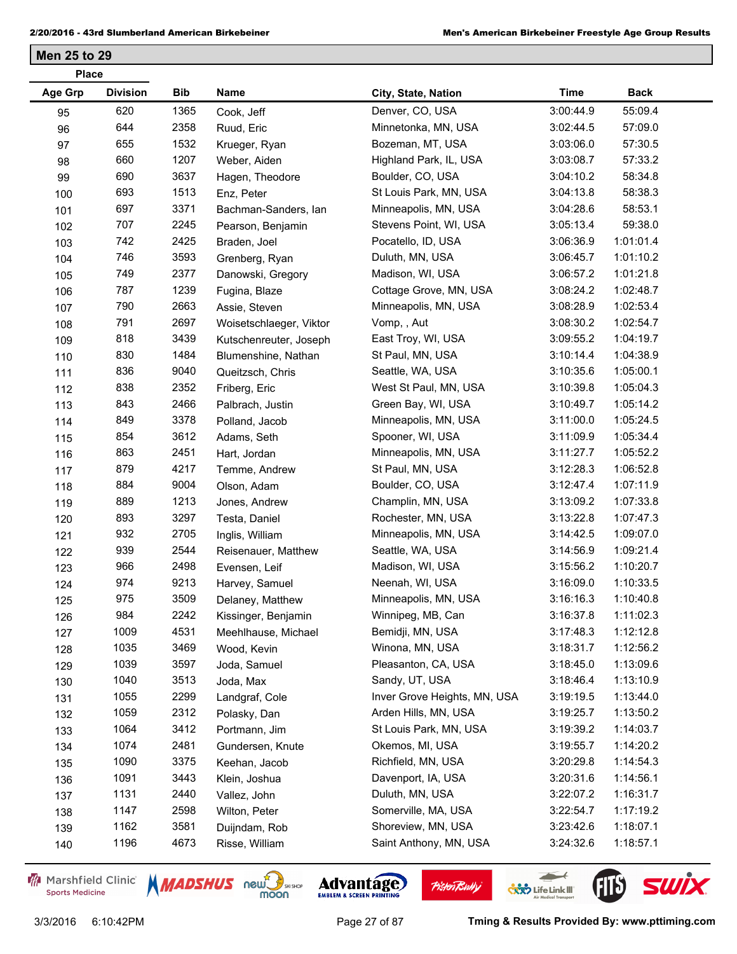| <b>Place</b> |                 |            |                         |                              |             |             |  |
|--------------|-----------------|------------|-------------------------|------------------------------|-------------|-------------|--|
| Age Grp      | <b>Division</b> | <b>Bib</b> | Name                    | City, State, Nation          | <b>Time</b> | <b>Back</b> |  |
| 95           | 620             | 1365       | Cook, Jeff              | Denver, CO, USA              | 3:00:44.9   | 55:09.4     |  |
| 96           | 644             | 2358       | Ruud, Eric              | Minnetonka, MN, USA          | 3:02:44.5   | 57:09.0     |  |
| 97           | 655             | 1532       | Krueger, Ryan           | Bozeman, MT, USA             | 3:03:06.0   | 57:30.5     |  |
| 98           | 660             | 1207       | Weber, Aiden            | Highland Park, IL, USA       | 3:03:08.7   | 57:33.2     |  |
| 99           | 690             | 3637       | Hagen, Theodore         | Boulder, CO, USA             | 3:04:10.2   | 58:34.8     |  |
| 100          | 693             | 1513       | Enz, Peter              | St Louis Park, MN, USA       | 3:04:13.8   | 58:38.3     |  |
| 101          | 697             | 3371       | Bachman-Sanders, Ian    | Minneapolis, MN, USA         | 3:04:28.6   | 58:53.1     |  |
| 102          | 707             | 2245       | Pearson, Benjamin       | Stevens Point, WI, USA       | 3:05:13.4   | 59:38.0     |  |
| 103          | 742             | 2425       | Braden, Joel            | Pocatello, ID, USA           | 3:06:36.9   | 1:01:01.4   |  |
| 104          | 746             | 3593       | Grenberg, Ryan          | Duluth, MN, USA              | 3:06:45.7   | 1:01:10.2   |  |
| 105          | 749             | 2377       | Danowski, Gregory       | Madison, WI, USA             | 3:06:57.2   | 1:01:21.8   |  |
| 106          | 787             | 1239       | Fugina, Blaze           | Cottage Grove, MN, USA       | 3:08:24.2   | 1:02:48.7   |  |
| 107          | 790             | 2663       | Assie, Steven           | Minneapolis, MN, USA         | 3:08:28.9   | 1:02:53.4   |  |
| 108          | 791             | 2697       | Woisetschlaeger, Viktor | Vomp, , Aut                  | 3:08:30.2   | 1:02:54.7   |  |
| 109          | 818             | 3439       | Kutschenreuter, Joseph  | East Troy, WI, USA           | 3:09:55.2   | 1:04:19.7   |  |
| 110          | 830             | 1484       | Blumenshine, Nathan     | St Paul, MN, USA             | 3:10:14.4   | 1:04:38.9   |  |
| 111          | 836             | 9040       | Queitzsch, Chris        | Seattle, WA, USA             | 3:10:35.6   | 1:05:00.1   |  |
| 112          | 838             | 2352       | Friberg, Eric           | West St Paul, MN, USA        | 3:10:39.8   | 1:05:04.3   |  |
| 113          | 843             | 2466       | Palbrach, Justin        | Green Bay, WI, USA           | 3:10:49.7   | 1:05:14.2   |  |
| 114          | 849             | 3378       | Polland, Jacob          | Minneapolis, MN, USA         | 3:11:00.0   | 1:05:24.5   |  |
| 115          | 854             | 3612       | Adams, Seth             | Spooner, WI, USA             | 3:11:09.9   | 1:05:34.4   |  |
| 116          | 863             | 2451       | Hart, Jordan            | Minneapolis, MN, USA         | 3:11:27.7   | 1:05:52.2   |  |
| 117          | 879             | 4217       | Temme, Andrew           | St Paul, MN, USA             | 3:12:28.3   | 1:06:52.8   |  |
| 118          | 884             | 9004       | Olson, Adam             | Boulder, CO, USA             | 3:12:47.4   | 1:07:11.9   |  |
| 119          | 889             | 1213       | Jones, Andrew           | Champlin, MN, USA            | 3:13:09.2   | 1:07:33.8   |  |
| 120          | 893             | 3297       | Testa, Daniel           | Rochester, MN, USA           | 3:13:22.8   | 1:07:47.3   |  |
| 121          | 932             | 2705       | Inglis, William         | Minneapolis, MN, USA         | 3:14:42.5   | 1:09:07.0   |  |
| 122          | 939             | 2544       | Reisenauer, Matthew     | Seattle, WA, USA             | 3:14:56.9   | 1:09:21.4   |  |
| 123          | 966             | 2498       | Evensen, Leif           | Madison, WI, USA             | 3:15:56.2   | 1:10:20.7   |  |
| 124          | 974             | 9213       | Harvey, Samuel          | Neenah, WI, USA              | 3:16:09.0   | 1:10:33.5   |  |
| 125          | 975             | 3509       | Delaney, Matthew        | Minneapolis, MN, USA         | 3:16:16.3   | 1:10:40.8   |  |
| 126          | 984             | 2242       | Kissinger, Benjamin     | Winnipeg, MB, Can            | 3:16:37.8   | 1:11:02.3   |  |
| 127          | 1009            | 4531       | Meehlhause, Michael     | Bemidji, MN, USA             | 3:17:48.3   | 1:12:12.8   |  |
| 128          | 1035            | 3469       | Wood, Kevin             | Winona, MN, USA              | 3:18:31.7   | 1:12:56.2   |  |
| 129          | 1039            | 3597       | Joda, Samuel            | Pleasanton, CA, USA          | 3:18:45.0   | 1:13:09.6   |  |
| 130          | 1040            | 3513       | Joda, Max               | Sandy, UT, USA               | 3:18:46.4   | 1:13:10.9   |  |
| 131          | 1055            | 2299       | Landgraf, Cole          | Inver Grove Heights, MN, USA | 3:19:19.5   | 1:13:44.0   |  |
| 132          | 1059            | 2312       | Polasky, Dan            | Arden Hills, MN, USA         | 3:19:25.7   | 1:13:50.2   |  |
| 133          | 1064            | 3412       | Portmann, Jim           | St Louis Park, MN, USA       | 3:19:39.2   | 1:14:03.7   |  |
| 134          | 1074            | 2481       | Gundersen, Knute        | Okemos, MI, USA              | 3:19:55.7   | 1:14:20.2   |  |
| 135          | 1090            | 3375       | Keehan, Jacob           | Richfield, MN, USA           | 3:20:29.8   | 1:14:54.3   |  |
| 136          | 1091            | 3443       | Klein, Joshua           | Davenport, IA, USA           | 3:20:31.6   | 1:14:56.1   |  |
| 137          | 1131            | 2440       | Vallez, John            | Duluth, MN, USA              | 3:22:07.2   | 1:16:31.7   |  |
| 138          | 1147            | 2598       | Wilton, Peter           | Somerville, MA, USA          | 3:22:54.7   | 1:17:19.2   |  |
| 139          | 1162            | 3581       | Duijndam, Rob           | Shoreview, MN, USA           | 3:23:42.6   | 1:18:07.1   |  |
| 140          | 1196            | 4673       | Risse, William          | Saint Anthony, MN, USA       | 3:24:32.6   | 1:18:57.1   |  |
|              |                 |            |                         |                              |             |             |  |

Marshfield Clinic **Sports Medicine** 





**Pisten Bully** 

 $\leftarrow$ 

**COND** Life Link III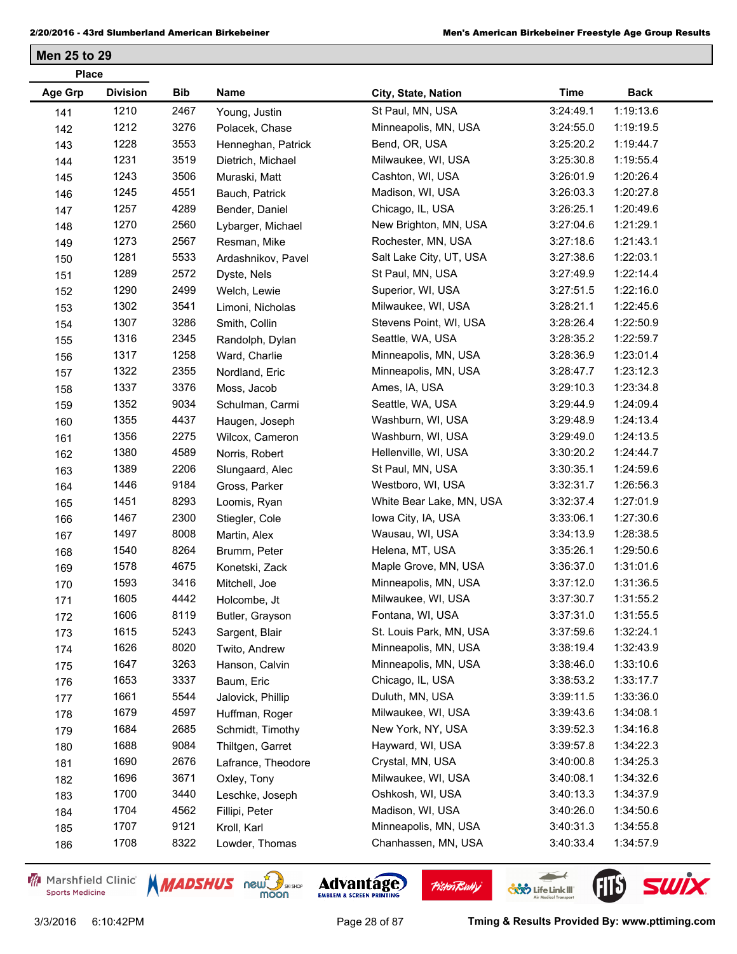| <b>Place</b>   |                 |      |                    |                          |             |             |  |
|----------------|-----------------|------|--------------------|--------------------------|-------------|-------------|--|
| <b>Age Grp</b> | <b>Division</b> | Bib  | Name               | City, State, Nation      | <b>Time</b> | <b>Back</b> |  |
| 141            | 1210            | 2467 | Young, Justin      | St Paul, MN, USA         | 3:24:49.1   | 1:19:13.6   |  |
| 142            | 1212            | 3276 | Polacek, Chase     | Minneapolis, MN, USA     | 3:24:55.0   | 1:19:19.5   |  |
| 143            | 1228            | 3553 | Henneghan, Patrick | Bend, OR, USA            | 3:25:20.2   | 1:19:44.7   |  |
| 144            | 1231            | 3519 | Dietrich, Michael  | Milwaukee, WI, USA       | 3:25:30.8   | 1:19:55.4   |  |
| 145            | 1243            | 3506 | Muraski, Matt      | Cashton, WI, USA         | 3:26:01.9   | 1:20:26.4   |  |
| 146            | 1245            | 4551 | Bauch, Patrick     | Madison, WI, USA         | 3:26:03.3   | 1:20:27.8   |  |
| 147            | 1257            | 4289 | Bender, Daniel     | Chicago, IL, USA         | 3:26:25.1   | 1:20:49.6   |  |
| 148            | 1270            | 2560 | Lybarger, Michael  | New Brighton, MN, USA    | 3:27:04.6   | 1:21:29.1   |  |
| 149            | 1273            | 2567 | Resman, Mike       | Rochester, MN, USA       | 3:27:18.6   | 1:21:43.1   |  |
| 150            | 1281            | 5533 | Ardashnikov, Pavel | Salt Lake City, UT, USA  | 3:27:38.6   | 1:22:03.1   |  |
| 151            | 1289            | 2572 | Dyste, Nels        | St Paul, MN, USA         | 3:27:49.9   | 1:22:14.4   |  |
| 152            | 1290            | 2499 | Welch, Lewie       | Superior, WI, USA        | 3:27:51.5   | 1:22:16.0   |  |
| 153            | 1302            | 3541 | Limoni, Nicholas   | Milwaukee, WI, USA       | 3:28:21.1   | 1:22:45.6   |  |
| 154            | 1307            | 3286 | Smith, Collin      | Stevens Point, WI, USA   | 3:28:26.4   | 1:22:50.9   |  |
| 155            | 1316            | 2345 | Randolph, Dylan    | Seattle, WA, USA         | 3:28:35.2   | 1:22:59.7   |  |
| 156            | 1317            | 1258 | Ward, Charlie      | Minneapolis, MN, USA     | 3:28:36.9   | 1:23:01.4   |  |
| 157            | 1322            | 2355 | Nordland, Eric     | Minneapolis, MN, USA     | 3:28:47.7   | 1:23:12.3   |  |
| 158            | 1337            | 3376 | Moss, Jacob        | Ames, IA, USA            | 3:29:10.3   | 1:23:34.8   |  |
| 159            | 1352            | 9034 | Schulman, Carmi    | Seattle, WA, USA         | 3:29:44.9   | 1:24:09.4   |  |
| 160            | 1355            | 4437 | Haugen, Joseph     | Washburn, WI, USA        | 3:29:48.9   | 1:24:13.4   |  |
| 161            | 1356            | 2275 | Wilcox, Cameron    | Washburn, WI, USA        | 3:29:49.0   | 1:24:13.5   |  |
| 162            | 1380            | 4589 | Norris, Robert     | Hellenville, WI, USA     | 3:30:20.2   | 1:24:44.7   |  |
| 163            | 1389            | 2206 | Slungaard, Alec    | St Paul, MN, USA         | 3:30:35.1   | 1:24:59.6   |  |
| 164            | 1446            | 9184 | Gross, Parker      | Westboro, WI, USA        | 3:32:31.7   | 1:26:56.3   |  |
| 165            | 1451            | 8293 | Loomis, Ryan       | White Bear Lake, MN, USA | 3:32:37.4   | 1:27:01.9   |  |
| 166            | 1467            | 2300 | Stiegler, Cole     | lowa City, IA, USA       | 3:33:06.1   | 1:27:30.6   |  |
| 167            | 1497            | 8008 | Martin, Alex       | Wausau, WI, USA          | 3:34:13.9   | 1:28:38.5   |  |
| 168            | 1540            | 8264 | Brumm, Peter       | Helena, MT, USA          | 3:35:26.1   | 1:29:50.6   |  |
| 169            | 1578            | 4675 | Konetski, Zack     | Maple Grove, MN, USA     | 3:36:37.0   | 1:31:01.6   |  |
| 170            | 1593            | 3416 | Mitchell, Joe      | Minneapolis, MN, USA     | 3:37:12.0   | 1:31:36.5   |  |
| 171            | 1605            | 4442 | Holcombe, Jt       | Milwaukee, WI, USA       | 3:37:30.7   | 1:31:55.2   |  |
| 172            | 1606            | 8119 | Butler, Grayson    | Fontana, WI, USA         | 3:37:31.0   | 1:31:55.5   |  |
| 173            | 1615            | 5243 | Sargent, Blair     | St. Louis Park, MN, USA  | 3:37:59.6   | 1:32:24.1   |  |
| 174            | 1626            | 8020 | Twito, Andrew      | Minneapolis, MN, USA     | 3:38:19.4   | 1:32:43.9   |  |
| 175            | 1647            | 3263 | Hanson, Calvin     | Minneapolis, MN, USA     | 3:38:46.0   | 1:33:10.6   |  |
| 176            | 1653            | 3337 | Baum, Eric         | Chicago, IL, USA         | 3:38:53.2   | 1:33:17.7   |  |
| 177            | 1661            | 5544 | Jalovick, Phillip  | Duluth, MN, USA          | 3:39:11.5   | 1:33:36.0   |  |
| 178            | 1679            | 4597 | Huffman, Roger     | Milwaukee, WI, USA       | 3:39:43.6   | 1:34:08.1   |  |
| 179            | 1684            | 2685 | Schmidt, Timothy   | New York, NY, USA        | 3:39:52.3   | 1:34:16.8   |  |
| 180            | 1688            | 9084 | Thiltgen, Garret   | Hayward, WI, USA         | 3:39:57.8   | 1:34:22.3   |  |
| 181            | 1690            | 2676 | Lafrance, Theodore | Crystal, MN, USA         | 3:40:00.8   | 1:34:25.3   |  |
| 182            | 1696            | 3671 | Oxley, Tony        | Milwaukee, WI, USA       | 3:40:08.1   | 1:34:32.6   |  |
| 183            | 1700            | 3440 | Leschke, Joseph    | Oshkosh, WI, USA         | 3:40:13.3   | 1:34:37.9   |  |
| 184            | 1704            | 4562 | Fillipi, Peter     | Madison, WI, USA         | 3:40:26.0   | 1:34:50.6   |  |
| 185            | 1707            | 9121 | Kroll, Karl        | Minneapolis, MN, USA     | 3:40:31.3   | 1:34:55.8   |  |
| 186            | 1708            | 8322 | Lowder, Thomas     | Chanhassen, MN, USA      | 3:40:33.4   | 1:34:57.9   |  |

Marshfield Clinic **Sports Medicine** 





**Pisten Bully** 

 $\leftarrow$ 

**COND** Life Link III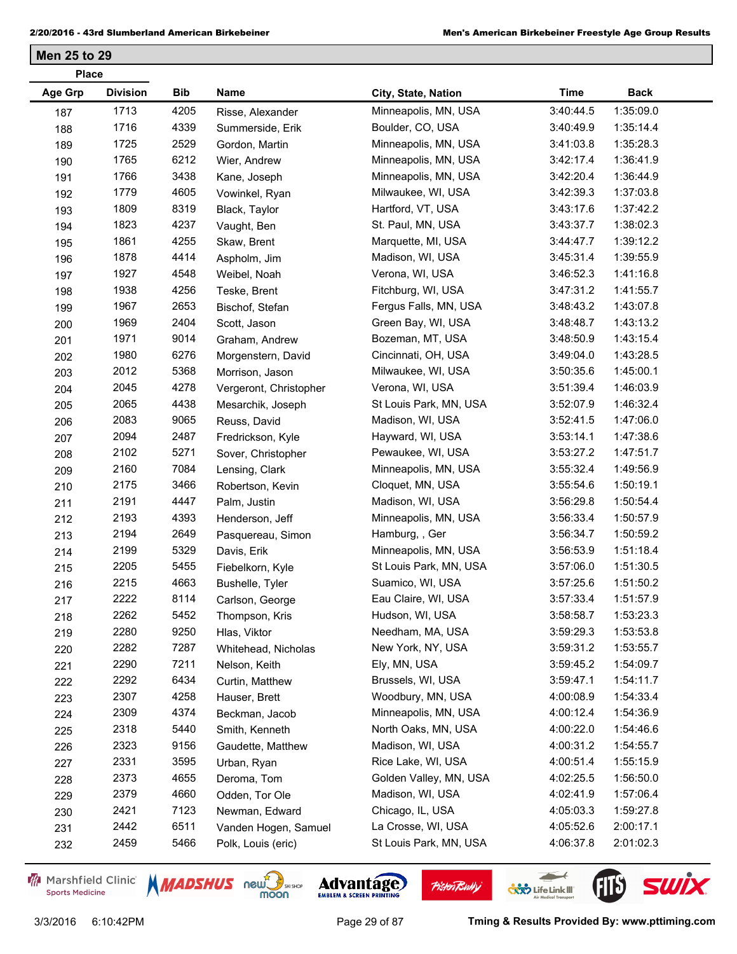| <b>Place</b>   |                 |      |                        |                        |             |             |
|----------------|-----------------|------|------------------------|------------------------|-------------|-------------|
| <b>Age Grp</b> | <b>Division</b> | Bib  | Name                   | City, State, Nation    | <b>Time</b> | <b>Back</b> |
| 187            | 1713            | 4205 | Risse, Alexander       | Minneapolis, MN, USA   | 3:40:44.5   | 1:35:09.0   |
| 188            | 1716            | 4339 | Summerside, Erik       | Boulder, CO, USA       | 3:40:49.9   | 1:35:14.4   |
| 189            | 1725            | 2529 | Gordon, Martin         | Minneapolis, MN, USA   | 3:41:03.8   | 1:35:28.3   |
| 190            | 1765            | 6212 | Wier, Andrew           | Minneapolis, MN, USA   | 3:42:17.4   | 1:36:41.9   |
| 191            | 1766            | 3438 | Kane, Joseph           | Minneapolis, MN, USA   | 3:42:20.4   | 1:36:44.9   |
| 192            | 1779            | 4605 | Vowinkel, Ryan         | Milwaukee, WI, USA     | 3:42:39.3   | 1:37:03.8   |
| 193            | 1809            | 8319 | Black, Taylor          | Hartford, VT, USA      | 3:43:17.6   | 1:37:42.2   |
| 194            | 1823            | 4237 | Vaught, Ben            | St. Paul, MN, USA      | 3:43:37.7   | 1:38:02.3   |
| 195            | 1861            | 4255 | Skaw, Brent            | Marquette, MI, USA     | 3:44:47.7   | 1:39:12.2   |
| 196            | 1878            | 4414 | Aspholm, Jim           | Madison, WI, USA       | 3:45:31.4   | 1:39:55.9   |
| 197            | 1927            | 4548 | Weibel, Noah           | Verona, WI, USA        | 3:46:52.3   | 1:41:16.8   |
| 198            | 1938            | 4256 | Teske, Brent           | Fitchburg, WI, USA     | 3:47:31.2   | 1:41:55.7   |
| 199            | 1967            | 2653 | Bischof, Stefan        | Fergus Falls, MN, USA  | 3:48:43.2   | 1:43:07.8   |
| 200            | 1969            | 2404 | Scott, Jason           | Green Bay, WI, USA     | 3:48:48.7   | 1:43:13.2   |
| 201            | 1971            | 9014 | Graham, Andrew         | Bozeman, MT, USA       | 3:48:50.9   | 1:43:15.4   |
| 202            | 1980            | 6276 | Morgenstern, David     | Cincinnati, OH, USA    | 3:49:04.0   | 1:43:28.5   |
| 203            | 2012            | 5368 | Morrison, Jason        | Milwaukee, WI, USA     | 3:50:35.6   | 1:45:00.1   |
| 204            | 2045            | 4278 | Vergeront, Christopher | Verona, WI, USA        | 3:51:39.4   | 1:46:03.9   |
| 205            | 2065            | 4438 | Mesarchik, Joseph      | St Louis Park, MN, USA | 3:52:07.9   | 1:46:32.4   |
| 206            | 2083            | 9065 | Reuss, David           | Madison, WI, USA       | 3:52:41.5   | 1:47:06.0   |
| 207            | 2094            | 2487 | Fredrickson, Kyle      | Hayward, WI, USA       | 3:53:14.1   | 1:47:38.6   |
| 208            | 2102            | 5271 | Sover, Christopher     | Pewaukee, WI, USA      | 3:53:27.2   | 1:47:51.7   |
| 209            | 2160            | 7084 | Lensing, Clark         | Minneapolis, MN, USA   | 3:55:32.4   | 1:49:56.9   |
| 210            | 2175            | 3466 | Robertson, Kevin       | Cloquet, MN, USA       | 3:55:54.6   | 1:50:19.1   |
| 211            | 2191            | 4447 | Palm, Justin           | Madison, WI, USA       | 3:56:29.8   | 1:50:54.4   |
| 212            | 2193            | 4393 | Henderson, Jeff        | Minneapolis, MN, USA   | 3:56:33.4   | 1:50:57.9   |
| 213            | 2194            | 2649 | Pasquereau, Simon      | Hamburg, , Ger         | 3:56:34.7   | 1:50:59.2   |
| 214            | 2199            | 5329 | Davis, Erik            | Minneapolis, MN, USA   | 3:56:53.9   | 1:51:18.4   |
| 215            | 2205            | 5455 | Fiebelkorn, Kyle       | St Louis Park, MN, USA | 3:57:06.0   | 1:51:30.5   |
| 216            | 2215            | 4663 | Bushelle, Tyler        | Suamico, WI, USA       | 3:57:25.6   | 1:51:50.2   |
| 217            | 2222            | 8114 | Carlson, George        | Eau Claire, WI, USA    | 3:57:33.4   | 1:51:57.9   |
| 218            | 2262            | 5452 | Thompson, Kris         | Hudson, WI, USA        | 3:58:58.7   | 1:53:23.3   |
| 219            | 2280            | 9250 | Hlas, Viktor           | Needham, MA, USA       | 3:59:29.3   | 1:53:53.8   |
| 220            | 2282            | 7287 | Whitehead, Nicholas    | New York, NY, USA      | 3:59:31.2   | 1:53:55.7   |
| 221            | 2290            | 7211 | Nelson, Keith          | Ely, MN, USA           | 3:59:45.2   | 1:54:09.7   |
| 222            | 2292            | 6434 | Curtin, Matthew        | Brussels, WI, USA      | 3:59:47.1   | 1:54:11.7   |
| 223            | 2307            | 4258 | Hauser, Brett          | Woodbury, MN, USA      | 4:00:08.9   | 1:54:33.4   |
| 224            | 2309            | 4374 | Beckman, Jacob         | Minneapolis, MN, USA   | 4:00:12.4   | 1:54:36.9   |
| 225            | 2318            | 5440 | Smith, Kenneth         | North Oaks, MN, USA    | 4:00:22.0   | 1:54:46.6   |
| 226            | 2323            | 9156 | Gaudette, Matthew      | Madison, WI, USA       | 4:00:31.2   | 1:54:55.7   |
| 227            | 2331            | 3595 | Urban, Ryan            | Rice Lake, WI, USA     | 4:00:51.4   | 1:55:15.9   |
| 228            | 2373            | 4655 | Deroma, Tom            | Golden Valley, MN, USA | 4:02:25.5   | 1:56:50.0   |
| 229            | 2379            | 4660 | Odden, Tor Ole         | Madison, WI, USA       | 4:02:41.9   | 1:57:06.4   |
| 230            | 2421            | 7123 | Newman, Edward         | Chicago, IL, USA       | 4:05:03.3   | 1:59:27.8   |
| 231            | 2442            | 6511 | Vanden Hogen, Samuel   | La Crosse, WI, USA     | 4:05:52.6   | 2:00:17.1   |
| 232            | 2459            | 5466 | Polk, Louis (eric)     | St Louis Park, MN, USA | 4:06:37.8   | 2:01:02.3   |
|                |                 |      |                        |                        |             |             |

Marshfield Clinic **Sports Medicine** 







**Pisten Bully** 

3/3/2016 6:10:42PM Page 29 of 87 **Tming & Results Provided By: www.pttiming.com**

 $\leftarrow$ 

**COND** Life Link III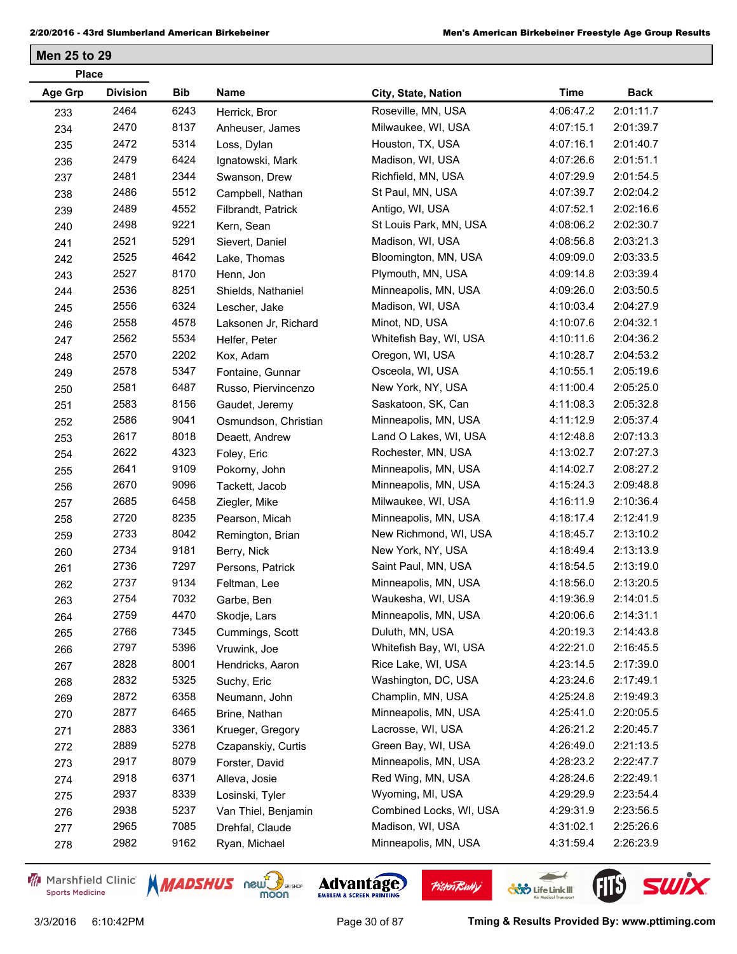| <b>Age Grp</b><br><b>Division</b><br>Bib<br>Name<br><b>Time</b><br><b>Back</b><br>City, State, Nation<br>2464<br>Roseville, MN, USA<br>4:06:47.2<br>2:01:11.7<br>6243<br>Herrick, Bror<br>233<br>2470<br>8137<br>2:01:39.7<br>Milwaukee, WI, USA<br>4:07:15.1<br>234<br>Anheuser, James<br>2472<br>5314<br>Houston, TX, USA<br>4:07:16.1<br>2:01:40.7<br>235<br>Loss, Dylan<br>2479<br>6424<br>4:07:26.6<br>2:01:51.1<br>Madison, WI, USA<br>Ignatowski, Mark<br>236<br>2344<br>2:01:54.5<br>2481<br>Richfield, MN, USA<br>4:07:29.9<br>Swanson, Drew<br>237<br>5512<br>2486<br>2:02:04.2<br>St Paul, MN, USA<br>4:07:39.7<br>Campbell, Nathan<br>238<br>4552<br>2489<br>Antigo, WI, USA<br>4:07:52.1<br>2:02:16.6<br>Filbrandt, Patrick<br>239<br>2498<br>9221<br>2:02:30.7<br>St Louis Park, MN, USA<br>4:08:06.2<br>Kern, Sean<br>240<br>2521<br>5291<br>2:03:21.3<br>Madison, WI, USA<br>4:08:56.8<br>Sievert, Daniel<br>241<br>2525<br>4642<br>2:03:33.5<br>Bloomington, MN, USA<br>4:09:09.0<br>Lake, Thomas<br>242<br>8170<br>2:03:39.4<br>2527<br>Plymouth, MN, USA<br>4:09:14.8<br>Henn, Jon<br>243<br>2536<br>8251<br>2:03:50.5<br>Minneapolis, MN, USA<br>4:09:26.0<br>Shields, Nathaniel<br>244<br>6324<br>2556<br>Madison, WI, USA<br>4:10:03.4<br>2:04:27.9<br>Lescher, Jake<br>245<br>4578<br>2:04:32.1<br>2558<br>Minot, ND, USA<br>4:10:07.6<br>246<br>Laksonen Jr, Richard<br>5534<br>2:04:36.2<br>2562<br>Whitefish Bay, WI, USA<br>4:10:11.6<br>247<br>Helfer, Peter<br>2570<br>2202<br>2:04:53.2<br>Oregon, WI, USA<br>4:10:28.7<br>Kox, Adam<br>248<br>2578<br>5347<br>2:05:19.6<br>Osceola, WI, USA<br>4:10:55.1<br>249<br>Fontaine, Gunnar<br>6487<br>2581<br>2:05:25.0<br>New York, NY, USA<br>4:11:00.4<br>Russo, Piervincenzo<br>250<br>8156<br>2:05:32.8<br>2583<br>Saskatoon, SK, Can<br>4:11:08.3<br>Gaudet, Jeremy<br>251<br>2586<br>9041<br>2:05:37.4<br>Minneapolis, MN, USA<br>4:11:12.9<br>Osmundson, Christian<br>252<br>2617<br>8018<br>2:07:13.3<br>Land O Lakes, WI, USA<br>4:12:48.8<br>Deaett, Andrew<br>253<br>4323<br>2622<br>Rochester, MN, USA<br>4:13:02.7<br>2:07:27.3<br>Foley, Eric<br>254<br>2641<br>9109<br>Minneapolis, MN, USA<br>4:14:02.7<br>2:08:27.2<br>Pokorny, John<br>255<br>2670<br>9096<br>Minneapolis, MN, USA<br>4:15:24.3<br>2:09:48.8<br>Tackett, Jacob<br>256<br>6458<br>2:10:36.4<br>2685<br>Milwaukee, WI, USA<br>4:16:11.9<br>Ziegler, Mike<br>257<br>8235<br>2720<br>2:12:41.9<br>Minneapolis, MN, USA<br>4:18:17.4<br>Pearson, Micah<br>258<br>8042<br>2:13:10.2<br>2733<br>New Richmond, WI, USA<br>4:18:45.7<br>Remington, Brian<br>259<br>2734<br>9181<br>2:13:13.9<br>New York, NY, USA<br>4:18:49.4<br>Berry, Nick<br>260<br>7297<br>2:13:19.0<br>2736<br>Saint Paul, MN, USA<br>4:18:54.5<br>261<br>Persons, Patrick<br>9134<br>2737<br>Minneapolis, MN, USA<br>2:13:20.5<br>4:18:56.0<br>Feltman, Lee<br>262<br>7032<br>Waukesha, WI, USA<br>4:19:36.9<br>2754<br>2:14:01.5<br>Garbe, Ben<br>263<br>2759<br>4470<br>2:14:31.1<br>Minneapolis, MN, USA<br>4:20:06.6<br>Skodje, Lars<br>264<br>2766<br>7345<br>2:14:43.8<br>Duluth, MN, USA<br>4:20:19.3<br>Cummings, Scott<br>265<br>2797<br>5396<br>Whitefish Bay, WI, USA<br>4:22:21.0<br>2:16:45.5<br>Vruwink, Joe<br>266<br>8001<br>2828<br>Rice Lake, WI, USA<br>4:23:14.5<br>2:17:39.0<br>Hendricks, Aaron<br>267<br>2832<br>5325<br>Washington, DC, USA<br>2:17:49.1<br>4:23:24.6<br>Suchy, Eric<br>268<br>2872<br>6358<br>Champlin, MN, USA<br>2:19:49.3<br>4:25:24.8<br>Neumann, John<br>269<br>2877<br>6465<br>Minneapolis, MN, USA<br>2:20:05.5<br>4:25:41.0<br>Brine, Nathan<br>270<br>2883<br>3361<br>Lacrosse, WI, USA<br>4:26:21.2<br>2:20:45.7<br>Krueger, Gregory<br>271 | <b>Place</b> |  |  |  |
|-------------------------------------------------------------------------------------------------------------------------------------------------------------------------------------------------------------------------------------------------------------------------------------------------------------------------------------------------------------------------------------------------------------------------------------------------------------------------------------------------------------------------------------------------------------------------------------------------------------------------------------------------------------------------------------------------------------------------------------------------------------------------------------------------------------------------------------------------------------------------------------------------------------------------------------------------------------------------------------------------------------------------------------------------------------------------------------------------------------------------------------------------------------------------------------------------------------------------------------------------------------------------------------------------------------------------------------------------------------------------------------------------------------------------------------------------------------------------------------------------------------------------------------------------------------------------------------------------------------------------------------------------------------------------------------------------------------------------------------------------------------------------------------------------------------------------------------------------------------------------------------------------------------------------------------------------------------------------------------------------------------------------------------------------------------------------------------------------------------------------------------------------------------------------------------------------------------------------------------------------------------------------------------------------------------------------------------------------------------------------------------------------------------------------------------------------------------------------------------------------------------------------------------------------------------------------------------------------------------------------------------------------------------------------------------------------------------------------------------------------------------------------------------------------------------------------------------------------------------------------------------------------------------------------------------------------------------------------------------------------------------------------------------------------------------------------------------------------------------------------------------------------------------------------------------------------------------------------------------------------------------------------------------------------------------------------------------------------------------------------------------------------------------------------------------------------------------------------------------------------------------------------------------------------------------------------------------------------------------------------------------------------------------------------------------------------------------------------|--------------|--|--|--|
|                                                                                                                                                                                                                                                                                                                                                                                                                                                                                                                                                                                                                                                                                                                                                                                                                                                                                                                                                                                                                                                                                                                                                                                                                                                                                                                                                                                                                                                                                                                                                                                                                                                                                                                                                                                                                                                                                                                                                                                                                                                                                                                                                                                                                                                                                                                                                                                                                                                                                                                                                                                                                                                                                                                                                                                                                                                                                                                                                                                                                                                                                                                                                                                                                                                                                                                                                                                                                                                                                                                                                                                                                                                                                                                         |              |  |  |  |
|                                                                                                                                                                                                                                                                                                                                                                                                                                                                                                                                                                                                                                                                                                                                                                                                                                                                                                                                                                                                                                                                                                                                                                                                                                                                                                                                                                                                                                                                                                                                                                                                                                                                                                                                                                                                                                                                                                                                                                                                                                                                                                                                                                                                                                                                                                                                                                                                                                                                                                                                                                                                                                                                                                                                                                                                                                                                                                                                                                                                                                                                                                                                                                                                                                                                                                                                                                                                                                                                                                                                                                                                                                                                                                                         |              |  |  |  |
|                                                                                                                                                                                                                                                                                                                                                                                                                                                                                                                                                                                                                                                                                                                                                                                                                                                                                                                                                                                                                                                                                                                                                                                                                                                                                                                                                                                                                                                                                                                                                                                                                                                                                                                                                                                                                                                                                                                                                                                                                                                                                                                                                                                                                                                                                                                                                                                                                                                                                                                                                                                                                                                                                                                                                                                                                                                                                                                                                                                                                                                                                                                                                                                                                                                                                                                                                                                                                                                                                                                                                                                                                                                                                                                         |              |  |  |  |
|                                                                                                                                                                                                                                                                                                                                                                                                                                                                                                                                                                                                                                                                                                                                                                                                                                                                                                                                                                                                                                                                                                                                                                                                                                                                                                                                                                                                                                                                                                                                                                                                                                                                                                                                                                                                                                                                                                                                                                                                                                                                                                                                                                                                                                                                                                                                                                                                                                                                                                                                                                                                                                                                                                                                                                                                                                                                                                                                                                                                                                                                                                                                                                                                                                                                                                                                                                                                                                                                                                                                                                                                                                                                                                                         |              |  |  |  |
|                                                                                                                                                                                                                                                                                                                                                                                                                                                                                                                                                                                                                                                                                                                                                                                                                                                                                                                                                                                                                                                                                                                                                                                                                                                                                                                                                                                                                                                                                                                                                                                                                                                                                                                                                                                                                                                                                                                                                                                                                                                                                                                                                                                                                                                                                                                                                                                                                                                                                                                                                                                                                                                                                                                                                                                                                                                                                                                                                                                                                                                                                                                                                                                                                                                                                                                                                                                                                                                                                                                                                                                                                                                                                                                         |              |  |  |  |
|                                                                                                                                                                                                                                                                                                                                                                                                                                                                                                                                                                                                                                                                                                                                                                                                                                                                                                                                                                                                                                                                                                                                                                                                                                                                                                                                                                                                                                                                                                                                                                                                                                                                                                                                                                                                                                                                                                                                                                                                                                                                                                                                                                                                                                                                                                                                                                                                                                                                                                                                                                                                                                                                                                                                                                                                                                                                                                                                                                                                                                                                                                                                                                                                                                                                                                                                                                                                                                                                                                                                                                                                                                                                                                                         |              |  |  |  |
|                                                                                                                                                                                                                                                                                                                                                                                                                                                                                                                                                                                                                                                                                                                                                                                                                                                                                                                                                                                                                                                                                                                                                                                                                                                                                                                                                                                                                                                                                                                                                                                                                                                                                                                                                                                                                                                                                                                                                                                                                                                                                                                                                                                                                                                                                                                                                                                                                                                                                                                                                                                                                                                                                                                                                                                                                                                                                                                                                                                                                                                                                                                                                                                                                                                                                                                                                                                                                                                                                                                                                                                                                                                                                                                         |              |  |  |  |
|                                                                                                                                                                                                                                                                                                                                                                                                                                                                                                                                                                                                                                                                                                                                                                                                                                                                                                                                                                                                                                                                                                                                                                                                                                                                                                                                                                                                                                                                                                                                                                                                                                                                                                                                                                                                                                                                                                                                                                                                                                                                                                                                                                                                                                                                                                                                                                                                                                                                                                                                                                                                                                                                                                                                                                                                                                                                                                                                                                                                                                                                                                                                                                                                                                                                                                                                                                                                                                                                                                                                                                                                                                                                                                                         |              |  |  |  |
|                                                                                                                                                                                                                                                                                                                                                                                                                                                                                                                                                                                                                                                                                                                                                                                                                                                                                                                                                                                                                                                                                                                                                                                                                                                                                                                                                                                                                                                                                                                                                                                                                                                                                                                                                                                                                                                                                                                                                                                                                                                                                                                                                                                                                                                                                                                                                                                                                                                                                                                                                                                                                                                                                                                                                                                                                                                                                                                                                                                                                                                                                                                                                                                                                                                                                                                                                                                                                                                                                                                                                                                                                                                                                                                         |              |  |  |  |
|                                                                                                                                                                                                                                                                                                                                                                                                                                                                                                                                                                                                                                                                                                                                                                                                                                                                                                                                                                                                                                                                                                                                                                                                                                                                                                                                                                                                                                                                                                                                                                                                                                                                                                                                                                                                                                                                                                                                                                                                                                                                                                                                                                                                                                                                                                                                                                                                                                                                                                                                                                                                                                                                                                                                                                                                                                                                                                                                                                                                                                                                                                                                                                                                                                                                                                                                                                                                                                                                                                                                                                                                                                                                                                                         |              |  |  |  |
|                                                                                                                                                                                                                                                                                                                                                                                                                                                                                                                                                                                                                                                                                                                                                                                                                                                                                                                                                                                                                                                                                                                                                                                                                                                                                                                                                                                                                                                                                                                                                                                                                                                                                                                                                                                                                                                                                                                                                                                                                                                                                                                                                                                                                                                                                                                                                                                                                                                                                                                                                                                                                                                                                                                                                                                                                                                                                                                                                                                                                                                                                                                                                                                                                                                                                                                                                                                                                                                                                                                                                                                                                                                                                                                         |              |  |  |  |
|                                                                                                                                                                                                                                                                                                                                                                                                                                                                                                                                                                                                                                                                                                                                                                                                                                                                                                                                                                                                                                                                                                                                                                                                                                                                                                                                                                                                                                                                                                                                                                                                                                                                                                                                                                                                                                                                                                                                                                                                                                                                                                                                                                                                                                                                                                                                                                                                                                                                                                                                                                                                                                                                                                                                                                                                                                                                                                                                                                                                                                                                                                                                                                                                                                                                                                                                                                                                                                                                                                                                                                                                                                                                                                                         |              |  |  |  |
|                                                                                                                                                                                                                                                                                                                                                                                                                                                                                                                                                                                                                                                                                                                                                                                                                                                                                                                                                                                                                                                                                                                                                                                                                                                                                                                                                                                                                                                                                                                                                                                                                                                                                                                                                                                                                                                                                                                                                                                                                                                                                                                                                                                                                                                                                                                                                                                                                                                                                                                                                                                                                                                                                                                                                                                                                                                                                                                                                                                                                                                                                                                                                                                                                                                                                                                                                                                                                                                                                                                                                                                                                                                                                                                         |              |  |  |  |
|                                                                                                                                                                                                                                                                                                                                                                                                                                                                                                                                                                                                                                                                                                                                                                                                                                                                                                                                                                                                                                                                                                                                                                                                                                                                                                                                                                                                                                                                                                                                                                                                                                                                                                                                                                                                                                                                                                                                                                                                                                                                                                                                                                                                                                                                                                                                                                                                                                                                                                                                                                                                                                                                                                                                                                                                                                                                                                                                                                                                                                                                                                                                                                                                                                                                                                                                                                                                                                                                                                                                                                                                                                                                                                                         |              |  |  |  |
|                                                                                                                                                                                                                                                                                                                                                                                                                                                                                                                                                                                                                                                                                                                                                                                                                                                                                                                                                                                                                                                                                                                                                                                                                                                                                                                                                                                                                                                                                                                                                                                                                                                                                                                                                                                                                                                                                                                                                                                                                                                                                                                                                                                                                                                                                                                                                                                                                                                                                                                                                                                                                                                                                                                                                                                                                                                                                                                                                                                                                                                                                                                                                                                                                                                                                                                                                                                                                                                                                                                                                                                                                                                                                                                         |              |  |  |  |
|                                                                                                                                                                                                                                                                                                                                                                                                                                                                                                                                                                                                                                                                                                                                                                                                                                                                                                                                                                                                                                                                                                                                                                                                                                                                                                                                                                                                                                                                                                                                                                                                                                                                                                                                                                                                                                                                                                                                                                                                                                                                                                                                                                                                                                                                                                                                                                                                                                                                                                                                                                                                                                                                                                                                                                                                                                                                                                                                                                                                                                                                                                                                                                                                                                                                                                                                                                                                                                                                                                                                                                                                                                                                                                                         |              |  |  |  |
|                                                                                                                                                                                                                                                                                                                                                                                                                                                                                                                                                                                                                                                                                                                                                                                                                                                                                                                                                                                                                                                                                                                                                                                                                                                                                                                                                                                                                                                                                                                                                                                                                                                                                                                                                                                                                                                                                                                                                                                                                                                                                                                                                                                                                                                                                                                                                                                                                                                                                                                                                                                                                                                                                                                                                                                                                                                                                                                                                                                                                                                                                                                                                                                                                                                                                                                                                                                                                                                                                                                                                                                                                                                                                                                         |              |  |  |  |
|                                                                                                                                                                                                                                                                                                                                                                                                                                                                                                                                                                                                                                                                                                                                                                                                                                                                                                                                                                                                                                                                                                                                                                                                                                                                                                                                                                                                                                                                                                                                                                                                                                                                                                                                                                                                                                                                                                                                                                                                                                                                                                                                                                                                                                                                                                                                                                                                                                                                                                                                                                                                                                                                                                                                                                                                                                                                                                                                                                                                                                                                                                                                                                                                                                                                                                                                                                                                                                                                                                                                                                                                                                                                                                                         |              |  |  |  |
|                                                                                                                                                                                                                                                                                                                                                                                                                                                                                                                                                                                                                                                                                                                                                                                                                                                                                                                                                                                                                                                                                                                                                                                                                                                                                                                                                                                                                                                                                                                                                                                                                                                                                                                                                                                                                                                                                                                                                                                                                                                                                                                                                                                                                                                                                                                                                                                                                                                                                                                                                                                                                                                                                                                                                                                                                                                                                                                                                                                                                                                                                                                                                                                                                                                                                                                                                                                                                                                                                                                                                                                                                                                                                                                         |              |  |  |  |
|                                                                                                                                                                                                                                                                                                                                                                                                                                                                                                                                                                                                                                                                                                                                                                                                                                                                                                                                                                                                                                                                                                                                                                                                                                                                                                                                                                                                                                                                                                                                                                                                                                                                                                                                                                                                                                                                                                                                                                                                                                                                                                                                                                                                                                                                                                                                                                                                                                                                                                                                                                                                                                                                                                                                                                                                                                                                                                                                                                                                                                                                                                                                                                                                                                                                                                                                                                                                                                                                                                                                                                                                                                                                                                                         |              |  |  |  |
|                                                                                                                                                                                                                                                                                                                                                                                                                                                                                                                                                                                                                                                                                                                                                                                                                                                                                                                                                                                                                                                                                                                                                                                                                                                                                                                                                                                                                                                                                                                                                                                                                                                                                                                                                                                                                                                                                                                                                                                                                                                                                                                                                                                                                                                                                                                                                                                                                                                                                                                                                                                                                                                                                                                                                                                                                                                                                                                                                                                                                                                                                                                                                                                                                                                                                                                                                                                                                                                                                                                                                                                                                                                                                                                         |              |  |  |  |
|                                                                                                                                                                                                                                                                                                                                                                                                                                                                                                                                                                                                                                                                                                                                                                                                                                                                                                                                                                                                                                                                                                                                                                                                                                                                                                                                                                                                                                                                                                                                                                                                                                                                                                                                                                                                                                                                                                                                                                                                                                                                                                                                                                                                                                                                                                                                                                                                                                                                                                                                                                                                                                                                                                                                                                                                                                                                                                                                                                                                                                                                                                                                                                                                                                                                                                                                                                                                                                                                                                                                                                                                                                                                                                                         |              |  |  |  |
|                                                                                                                                                                                                                                                                                                                                                                                                                                                                                                                                                                                                                                                                                                                                                                                                                                                                                                                                                                                                                                                                                                                                                                                                                                                                                                                                                                                                                                                                                                                                                                                                                                                                                                                                                                                                                                                                                                                                                                                                                                                                                                                                                                                                                                                                                                                                                                                                                                                                                                                                                                                                                                                                                                                                                                                                                                                                                                                                                                                                                                                                                                                                                                                                                                                                                                                                                                                                                                                                                                                                                                                                                                                                                                                         |              |  |  |  |
|                                                                                                                                                                                                                                                                                                                                                                                                                                                                                                                                                                                                                                                                                                                                                                                                                                                                                                                                                                                                                                                                                                                                                                                                                                                                                                                                                                                                                                                                                                                                                                                                                                                                                                                                                                                                                                                                                                                                                                                                                                                                                                                                                                                                                                                                                                                                                                                                                                                                                                                                                                                                                                                                                                                                                                                                                                                                                                                                                                                                                                                                                                                                                                                                                                                                                                                                                                                                                                                                                                                                                                                                                                                                                                                         |              |  |  |  |
|                                                                                                                                                                                                                                                                                                                                                                                                                                                                                                                                                                                                                                                                                                                                                                                                                                                                                                                                                                                                                                                                                                                                                                                                                                                                                                                                                                                                                                                                                                                                                                                                                                                                                                                                                                                                                                                                                                                                                                                                                                                                                                                                                                                                                                                                                                                                                                                                                                                                                                                                                                                                                                                                                                                                                                                                                                                                                                                                                                                                                                                                                                                                                                                                                                                                                                                                                                                                                                                                                                                                                                                                                                                                                                                         |              |  |  |  |
|                                                                                                                                                                                                                                                                                                                                                                                                                                                                                                                                                                                                                                                                                                                                                                                                                                                                                                                                                                                                                                                                                                                                                                                                                                                                                                                                                                                                                                                                                                                                                                                                                                                                                                                                                                                                                                                                                                                                                                                                                                                                                                                                                                                                                                                                                                                                                                                                                                                                                                                                                                                                                                                                                                                                                                                                                                                                                                                                                                                                                                                                                                                                                                                                                                                                                                                                                                                                                                                                                                                                                                                                                                                                                                                         |              |  |  |  |
|                                                                                                                                                                                                                                                                                                                                                                                                                                                                                                                                                                                                                                                                                                                                                                                                                                                                                                                                                                                                                                                                                                                                                                                                                                                                                                                                                                                                                                                                                                                                                                                                                                                                                                                                                                                                                                                                                                                                                                                                                                                                                                                                                                                                                                                                                                                                                                                                                                                                                                                                                                                                                                                                                                                                                                                                                                                                                                                                                                                                                                                                                                                                                                                                                                                                                                                                                                                                                                                                                                                                                                                                                                                                                                                         |              |  |  |  |
|                                                                                                                                                                                                                                                                                                                                                                                                                                                                                                                                                                                                                                                                                                                                                                                                                                                                                                                                                                                                                                                                                                                                                                                                                                                                                                                                                                                                                                                                                                                                                                                                                                                                                                                                                                                                                                                                                                                                                                                                                                                                                                                                                                                                                                                                                                                                                                                                                                                                                                                                                                                                                                                                                                                                                                                                                                                                                                                                                                                                                                                                                                                                                                                                                                                                                                                                                                                                                                                                                                                                                                                                                                                                                                                         |              |  |  |  |
|                                                                                                                                                                                                                                                                                                                                                                                                                                                                                                                                                                                                                                                                                                                                                                                                                                                                                                                                                                                                                                                                                                                                                                                                                                                                                                                                                                                                                                                                                                                                                                                                                                                                                                                                                                                                                                                                                                                                                                                                                                                                                                                                                                                                                                                                                                                                                                                                                                                                                                                                                                                                                                                                                                                                                                                                                                                                                                                                                                                                                                                                                                                                                                                                                                                                                                                                                                                                                                                                                                                                                                                                                                                                                                                         |              |  |  |  |
|                                                                                                                                                                                                                                                                                                                                                                                                                                                                                                                                                                                                                                                                                                                                                                                                                                                                                                                                                                                                                                                                                                                                                                                                                                                                                                                                                                                                                                                                                                                                                                                                                                                                                                                                                                                                                                                                                                                                                                                                                                                                                                                                                                                                                                                                                                                                                                                                                                                                                                                                                                                                                                                                                                                                                                                                                                                                                                                                                                                                                                                                                                                                                                                                                                                                                                                                                                                                                                                                                                                                                                                                                                                                                                                         |              |  |  |  |
|                                                                                                                                                                                                                                                                                                                                                                                                                                                                                                                                                                                                                                                                                                                                                                                                                                                                                                                                                                                                                                                                                                                                                                                                                                                                                                                                                                                                                                                                                                                                                                                                                                                                                                                                                                                                                                                                                                                                                                                                                                                                                                                                                                                                                                                                                                                                                                                                                                                                                                                                                                                                                                                                                                                                                                                                                                                                                                                                                                                                                                                                                                                                                                                                                                                                                                                                                                                                                                                                                                                                                                                                                                                                                                                         |              |  |  |  |
|                                                                                                                                                                                                                                                                                                                                                                                                                                                                                                                                                                                                                                                                                                                                                                                                                                                                                                                                                                                                                                                                                                                                                                                                                                                                                                                                                                                                                                                                                                                                                                                                                                                                                                                                                                                                                                                                                                                                                                                                                                                                                                                                                                                                                                                                                                                                                                                                                                                                                                                                                                                                                                                                                                                                                                                                                                                                                                                                                                                                                                                                                                                                                                                                                                                                                                                                                                                                                                                                                                                                                                                                                                                                                                                         |              |  |  |  |
|                                                                                                                                                                                                                                                                                                                                                                                                                                                                                                                                                                                                                                                                                                                                                                                                                                                                                                                                                                                                                                                                                                                                                                                                                                                                                                                                                                                                                                                                                                                                                                                                                                                                                                                                                                                                                                                                                                                                                                                                                                                                                                                                                                                                                                                                                                                                                                                                                                                                                                                                                                                                                                                                                                                                                                                                                                                                                                                                                                                                                                                                                                                                                                                                                                                                                                                                                                                                                                                                                                                                                                                                                                                                                                                         |              |  |  |  |
|                                                                                                                                                                                                                                                                                                                                                                                                                                                                                                                                                                                                                                                                                                                                                                                                                                                                                                                                                                                                                                                                                                                                                                                                                                                                                                                                                                                                                                                                                                                                                                                                                                                                                                                                                                                                                                                                                                                                                                                                                                                                                                                                                                                                                                                                                                                                                                                                                                                                                                                                                                                                                                                                                                                                                                                                                                                                                                                                                                                                                                                                                                                                                                                                                                                                                                                                                                                                                                                                                                                                                                                                                                                                                                                         |              |  |  |  |
|                                                                                                                                                                                                                                                                                                                                                                                                                                                                                                                                                                                                                                                                                                                                                                                                                                                                                                                                                                                                                                                                                                                                                                                                                                                                                                                                                                                                                                                                                                                                                                                                                                                                                                                                                                                                                                                                                                                                                                                                                                                                                                                                                                                                                                                                                                                                                                                                                                                                                                                                                                                                                                                                                                                                                                                                                                                                                                                                                                                                                                                                                                                                                                                                                                                                                                                                                                                                                                                                                                                                                                                                                                                                                                                         |              |  |  |  |
|                                                                                                                                                                                                                                                                                                                                                                                                                                                                                                                                                                                                                                                                                                                                                                                                                                                                                                                                                                                                                                                                                                                                                                                                                                                                                                                                                                                                                                                                                                                                                                                                                                                                                                                                                                                                                                                                                                                                                                                                                                                                                                                                                                                                                                                                                                                                                                                                                                                                                                                                                                                                                                                                                                                                                                                                                                                                                                                                                                                                                                                                                                                                                                                                                                                                                                                                                                                                                                                                                                                                                                                                                                                                                                                         |              |  |  |  |
|                                                                                                                                                                                                                                                                                                                                                                                                                                                                                                                                                                                                                                                                                                                                                                                                                                                                                                                                                                                                                                                                                                                                                                                                                                                                                                                                                                                                                                                                                                                                                                                                                                                                                                                                                                                                                                                                                                                                                                                                                                                                                                                                                                                                                                                                                                                                                                                                                                                                                                                                                                                                                                                                                                                                                                                                                                                                                                                                                                                                                                                                                                                                                                                                                                                                                                                                                                                                                                                                                                                                                                                                                                                                                                                         |              |  |  |  |
|                                                                                                                                                                                                                                                                                                                                                                                                                                                                                                                                                                                                                                                                                                                                                                                                                                                                                                                                                                                                                                                                                                                                                                                                                                                                                                                                                                                                                                                                                                                                                                                                                                                                                                                                                                                                                                                                                                                                                                                                                                                                                                                                                                                                                                                                                                                                                                                                                                                                                                                                                                                                                                                                                                                                                                                                                                                                                                                                                                                                                                                                                                                                                                                                                                                                                                                                                                                                                                                                                                                                                                                                                                                                                                                         |              |  |  |  |
|                                                                                                                                                                                                                                                                                                                                                                                                                                                                                                                                                                                                                                                                                                                                                                                                                                                                                                                                                                                                                                                                                                                                                                                                                                                                                                                                                                                                                                                                                                                                                                                                                                                                                                                                                                                                                                                                                                                                                                                                                                                                                                                                                                                                                                                                                                                                                                                                                                                                                                                                                                                                                                                                                                                                                                                                                                                                                                                                                                                                                                                                                                                                                                                                                                                                                                                                                                                                                                                                                                                                                                                                                                                                                                                         |              |  |  |  |
|                                                                                                                                                                                                                                                                                                                                                                                                                                                                                                                                                                                                                                                                                                                                                                                                                                                                                                                                                                                                                                                                                                                                                                                                                                                                                                                                                                                                                                                                                                                                                                                                                                                                                                                                                                                                                                                                                                                                                                                                                                                                                                                                                                                                                                                                                                                                                                                                                                                                                                                                                                                                                                                                                                                                                                                                                                                                                                                                                                                                                                                                                                                                                                                                                                                                                                                                                                                                                                                                                                                                                                                                                                                                                                                         |              |  |  |  |
| 2889<br>5278<br>Green Bay, WI, USA<br>2:21:13.5<br>4:26:49.0<br>Czapanskiy, Curtis<br>272                                                                                                                                                                                                                                                                                                                                                                                                                                                                                                                                                                                                                                                                                                                                                                                                                                                                                                                                                                                                                                                                                                                                                                                                                                                                                                                                                                                                                                                                                                                                                                                                                                                                                                                                                                                                                                                                                                                                                                                                                                                                                                                                                                                                                                                                                                                                                                                                                                                                                                                                                                                                                                                                                                                                                                                                                                                                                                                                                                                                                                                                                                                                                                                                                                                                                                                                                                                                                                                                                                                                                                                                                               |              |  |  |  |
| 2917<br>8079<br>Minneapolis, MN, USA<br>4:28:23.2<br>2:22:47.7<br>Forster, David<br>273                                                                                                                                                                                                                                                                                                                                                                                                                                                                                                                                                                                                                                                                                                                                                                                                                                                                                                                                                                                                                                                                                                                                                                                                                                                                                                                                                                                                                                                                                                                                                                                                                                                                                                                                                                                                                                                                                                                                                                                                                                                                                                                                                                                                                                                                                                                                                                                                                                                                                                                                                                                                                                                                                                                                                                                                                                                                                                                                                                                                                                                                                                                                                                                                                                                                                                                                                                                                                                                                                                                                                                                                                                 |              |  |  |  |
| 6371<br>2:22:49.1<br>2918<br>Red Wing, MN, USA<br>4:28:24.6<br>Alleva, Josie<br>274                                                                                                                                                                                                                                                                                                                                                                                                                                                                                                                                                                                                                                                                                                                                                                                                                                                                                                                                                                                                                                                                                                                                                                                                                                                                                                                                                                                                                                                                                                                                                                                                                                                                                                                                                                                                                                                                                                                                                                                                                                                                                                                                                                                                                                                                                                                                                                                                                                                                                                                                                                                                                                                                                                                                                                                                                                                                                                                                                                                                                                                                                                                                                                                                                                                                                                                                                                                                                                                                                                                                                                                                                                     |              |  |  |  |
| 8339<br>2937<br>Wyoming, MI, USA<br>4:29:29.9<br>2:23:54.4<br>Losinski, Tyler<br>275                                                                                                                                                                                                                                                                                                                                                                                                                                                                                                                                                                                                                                                                                                                                                                                                                                                                                                                                                                                                                                                                                                                                                                                                                                                                                                                                                                                                                                                                                                                                                                                                                                                                                                                                                                                                                                                                                                                                                                                                                                                                                                                                                                                                                                                                                                                                                                                                                                                                                                                                                                                                                                                                                                                                                                                                                                                                                                                                                                                                                                                                                                                                                                                                                                                                                                                                                                                                                                                                                                                                                                                                                                    |              |  |  |  |
| 2938<br>5237<br>2:23:56.5<br>Combined Locks, WI, USA<br>4:29:31.9<br>Van Thiel, Benjamin<br>276                                                                                                                                                                                                                                                                                                                                                                                                                                                                                                                                                                                                                                                                                                                                                                                                                                                                                                                                                                                                                                                                                                                                                                                                                                                                                                                                                                                                                                                                                                                                                                                                                                                                                                                                                                                                                                                                                                                                                                                                                                                                                                                                                                                                                                                                                                                                                                                                                                                                                                                                                                                                                                                                                                                                                                                                                                                                                                                                                                                                                                                                                                                                                                                                                                                                                                                                                                                                                                                                                                                                                                                                                         |              |  |  |  |
| 2965<br>7085<br>Madison, WI, USA<br>2:25:26.6<br>4:31:02.1<br>Drehfal, Claude<br>277                                                                                                                                                                                                                                                                                                                                                                                                                                                                                                                                                                                                                                                                                                                                                                                                                                                                                                                                                                                                                                                                                                                                                                                                                                                                                                                                                                                                                                                                                                                                                                                                                                                                                                                                                                                                                                                                                                                                                                                                                                                                                                                                                                                                                                                                                                                                                                                                                                                                                                                                                                                                                                                                                                                                                                                                                                                                                                                                                                                                                                                                                                                                                                                                                                                                                                                                                                                                                                                                                                                                                                                                                                    |              |  |  |  |
| 2982<br>9162<br>Minneapolis, MN, USA<br>2:26:23.9<br>4:31:59.4<br>Ryan, Michael<br>278                                                                                                                                                                                                                                                                                                                                                                                                                                                                                                                                                                                                                                                                                                                                                                                                                                                                                                                                                                                                                                                                                                                                                                                                                                                                                                                                                                                                                                                                                                                                                                                                                                                                                                                                                                                                                                                                                                                                                                                                                                                                                                                                                                                                                                                                                                                                                                                                                                                                                                                                                                                                                                                                                                                                                                                                                                                                                                                                                                                                                                                                                                                                                                                                                                                                                                                                                                                                                                                                                                                                                                                                                                  |              |  |  |  |

Marshfield Clinic **Sports Medicine** 





**Pisten Bully** 

3/3/2016 6:10:42PM Page 30 of 87 **Tming & Results Provided By: www.pttiming.com**

 $\leftarrow$ 

**COND** Life Link III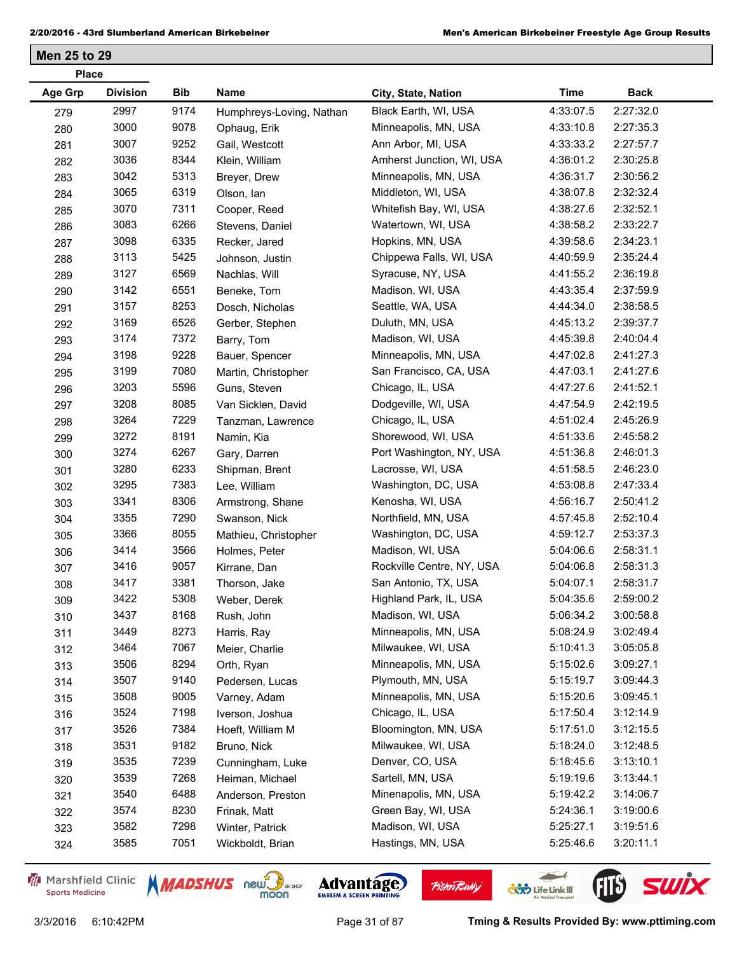| <b>Place</b> |                 |      |                          |                           |             |             |
|--------------|-----------------|------|--------------------------|---------------------------|-------------|-------------|
| Age Grp      | <b>Division</b> | Bib  | Name                     | City, State, Nation       | <b>Time</b> | <b>Back</b> |
| 279          | 2997            | 9174 | Humphreys-Loving, Nathan | Black Earth, WI, USA      | 4:33:07.5   | 2:27:32.0   |
| 280          | 3000            | 9078 | Ophaug, Erik             | Minneapolis, MN, USA      | 4:33:10.8   | 2:27:35.3   |
| 281          | 3007            | 9252 | Gail, Westcott           | Ann Arbor, MI, USA        | 4:33:33.2   | 2:27:57.7   |
| 282          | 3036            | 8344 | Klein, William           | Amherst Junction, WI, USA | 4:36:01.2   | 2:30:25.8   |
| 283          | 3042            | 5313 | Breyer, Drew             | Minneapolis, MN, USA      | 4:36:31.7   | 2:30:56.2   |
| 284          | 3065            | 6319 | Olson, lan               | Middleton, WI, USA        | 4:38:07.8   | 2:32:32.4   |
| 285          | 3070            | 7311 | Cooper, Reed             | Whitefish Bay, WI, USA    | 4:38:27.6   | 2:32:52.1   |
| 286          | 3083            | 6266 | Stevens, Daniel          | Watertown, WI, USA        | 4:38:58.2   | 2:33:22.7   |
| 287          | 3098            | 6335 | Recker, Jared            | Hopkins, MN, USA          | 4:39:58.6   | 2:34:23.1   |
| 288          | 3113            | 5425 | Johnson, Justin          | Chippewa Falls, WI, USA   | 4:40:59.9   | 2:35:24.4   |
| 289          | 3127            | 6569 | Nachlas, Will            | Syracuse, NY, USA         | 4:41:55.2   | 2:36:19.8   |
| 290          | 3142            | 6551 | Beneke, Tom              | Madison, WI, USA          | 4:43:35.4   | 2:37:59.9   |
| 291          | 3157            | 8253 | Dosch, Nicholas          | Seattle, WA, USA          | 4:44:34.0   | 2:38:58.5   |
| 292          | 3169            | 6526 | Gerber, Stephen          | Duluth, MN, USA           | 4:45:13.2   | 2:39:37.7   |
| 293          | 3174            | 7372 | Barry, Tom               | Madison, WI, USA          | 4:45:39.8   | 2:40:04.4   |
| 294          | 3198            | 9228 | Bauer, Spencer           | Minneapolis, MN, USA      | 4:47:02.8   | 2:41:27.3   |
| 295          | 3199            | 7080 | Martin, Christopher      | San Francisco, CA, USA    | 4:47:03.1   | 2:41:27.6   |
| 296          | 3203            | 5596 | Guns, Steven             | Chicago, IL, USA          | 4:47:27.6   | 2:41:52.1   |
| 297          | 3208            | 8085 | Van Sicklen, David       | Dodgeville, WI, USA       | 4:47:54.9   | 2:42:19.5   |
| 298          | 3264            | 7229 | Tanzman, Lawrence        | Chicago, IL, USA          | 4:51:02.4   | 2:45:26.9   |
| 299          | 3272            | 8191 | Namin, Kia               | Shorewood, WI, USA        | 4:51:33.6   | 2:45:58.2   |
| 300          | 3274            | 6267 | Gary, Darren             | Port Washington, NY, USA  | 4:51:36.8   | 2:46:01.3   |
| 301          | 3280            | 6233 | Shipman, Brent           | Lacrosse, WI, USA         | 4:51:58.5   | 2:46:23.0   |
| 302          | 3295            | 7383 | Lee, William             | Washington, DC, USA       | 4:53:08.8   | 2:47:33.4   |
| 303          | 3341            | 8306 | Armstrong, Shane         | Kenosha, WI, USA          | 4:56:16.7   | 2:50:41.2   |
| 304          | 3355            | 7290 | Swanson, Nick            | Northfield, MN, USA       | 4:57:45.8   | 2:52:10.4   |
| 305          | 3366            | 8055 | Mathieu, Christopher     | Washington, DC, USA       | 4:59:12.7   | 2:53:37.3   |
| 306          | 3414            | 3566 | Holmes, Peter            | Madison, WI, USA          | 5:04:06.6   | 2:58:31.1   |
| 307          | 3416            | 9057 | Kirrane, Dan             | Rockville Centre, NY, USA | 5:04:06.8   | 2:58:31.3   |
| 308          | 3417            | 3381 | Thorson, Jake            | San Antonio, TX, USA      | 5:04:07.1   | 2:58:31.7   |
| 309          | 3422            | 5308 | Weber, Derek             | Highland Park, IL, USA    | 5:04:35.6   | 2:59:00.2   |
| 310          | 3437            | 8168 | Rush, John               | Madison, WI, USA          | 5:06:34.2   | 3:00:58.8   |
| 311          | 3449            | 8273 | Harris, Ray              | Minneapolis, MN, USA      | 5:08:24.9   | 3:02:49.4   |
| 312          | 3464            | 7067 | Meier, Charlie           | Milwaukee, WI, USA        | 5:10:41.3   | 3:05:05.8   |
| 313          | 3506            | 8294 | Orth, Ryan               | Minneapolis, MN, USA      | 5:15:02.6   | 3:09:27.1   |
| 314          | 3507            | 9140 | Pedersen, Lucas          | Plymouth, MN, USA         | 5:15:19.7   | 3:09:44.3   |
| 315          | 3508            | 9005 | Varney, Adam             | Minneapolis, MN, USA      | 5:15:20.6   | 3:09:45.1   |
| 316          | 3524            | 7198 | Iverson, Joshua          | Chicago, IL, USA          | 5:17:50.4   | 3:12:14.9   |
| 317          | 3526            | 7384 | Hoeft, William M         | Bloomington, MN, USA      | 5:17:51.0   | 3:12:15.5   |
| 318          | 3531            | 9182 | Bruno, Nick              | Milwaukee, WI, USA        | 5:18:24.0   | 3:12:48.5   |
| 319          | 3535            | 7239 | Cunningham, Luke         | Denver, CO, USA           | 5:18:45.6   | 3:13:10.1   |
| 320          | 3539            | 7268 | Heiman, Michael          | Sartell, MN, USA          | 5:19:19.6   | 3:13:44.1   |
| 321          | 3540            | 6488 | Anderson, Preston        | Minenapolis, MN, USA      | 5:19:42.2   | 3:14:06.7   |
| 322          | 3574            | 8230 | Frinak, Matt             | Green Bay, WI, USA        | 5:24:36.1   | 3:19:00.6   |
| 323          | 3582            | 7298 | Winter, Patrick          | Madison, WI, USA          | 5:25:27.1   | 3:19:51.6   |
| 324          | 3585            | 7051 | Wickboldt, Brian         | Hastings, MN, USA         | 5:25:46.6   | 3:20:11.1   |
|              |                 |      |                          |                           |             |             |

Marshfield Clinic **Sports Medicine** 





**Pisten Bully** 

 $\leftarrow$ 

**COND** Life Link III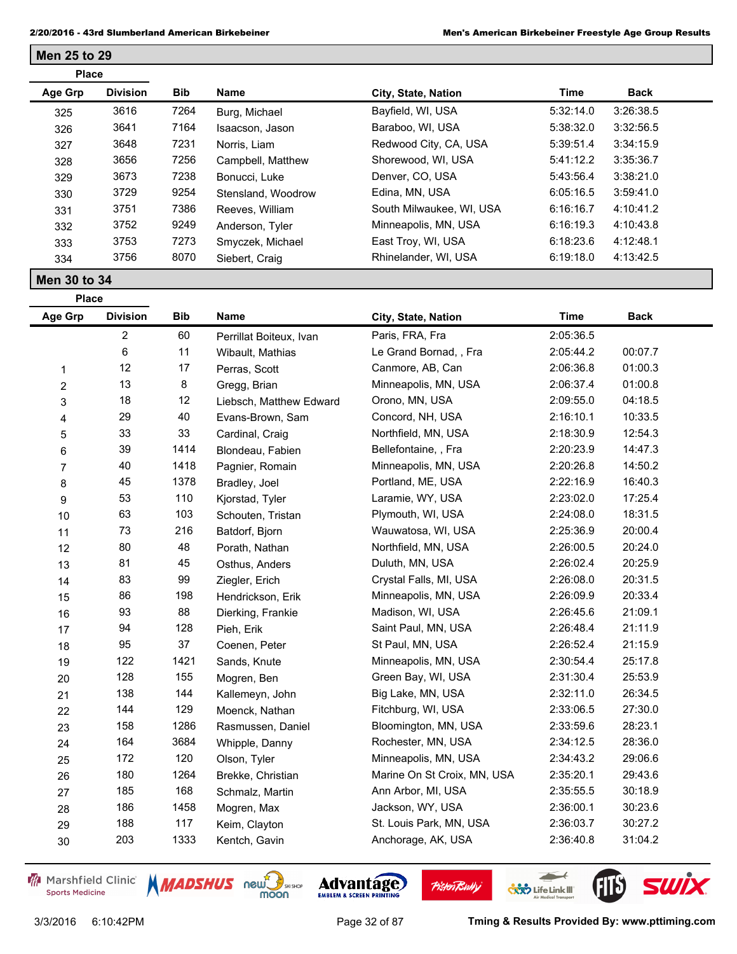| <b>Place</b> |                 |            |                    |                          |           |             |  |
|--------------|-----------------|------------|--------------------|--------------------------|-----------|-------------|--|
| Age Grp      | <b>Division</b> | <b>Bib</b> | Name               | City, State, Nation      | Time      | <b>Back</b> |  |
| 325          | 3616            | 7264       | Burg, Michael      | Bayfield, WI, USA        | 5:32:14.0 | 3:26:38.5   |  |
| 326          | 3641            | 7164       | Isaacson, Jason    | Baraboo, WI, USA         | 5:38:32.0 | 3:32:56.5   |  |
| 327          | 3648            | 7231       | Norris, Liam       | Redwood City, CA, USA    | 5:39:51.4 | 3:34:15.9   |  |
| 328          | 3656            | 7256       | Campbell, Matthew  | Shorewood, WI, USA       | 5:41:12.2 | 3:35:36.7   |  |
| 329          | 3673            | 7238       | Bonucci, Luke      | Denver, CO, USA          | 5:43:56.4 | 3:38:21.0   |  |
| 330          | 3729            | 9254       | Stensland, Woodrow | Edina, MN, USA           | 6:05:16.5 | 3:59:41.0   |  |
| 331          | 3751            | 7386       | Reeves, William    | South Milwaukee, WI, USA | 6:16:16.7 | 4:10:41.2   |  |
| 332          | 3752            | 9249       | Anderson, Tyler    | Minneapolis, MN, USA     | 6:16:19.3 | 4:10:43.8   |  |
| 333          | 3753            | 7273       | Smyczek, Michael   | East Troy, WI, USA       | 6:18:23.6 | 4:12:48.1   |  |
| 334          | 3756            | 8070       | Siebert, Craig     | Rhinelander, WI, USA     | 6:19:18.0 | 4:13:42.5   |  |

**Place**

**Men 25 to 29**

| <b>Age Grp</b>          | <b>Division</b>         | <b>Bib</b> | <b>Name</b>             | City, State, Nation         | <b>Time</b> | <b>Back</b> |
|-------------------------|-------------------------|------------|-------------------------|-----------------------------|-------------|-------------|
|                         | $\overline{\mathbf{c}}$ | 60         | Perrillat Boiteux, Ivan | Paris, FRA, Fra             | 2:05:36.5   |             |
|                         | 6                       | 11         | Wibault, Mathias        | Le Grand Bornad, , Fra      | 2:05:44.2   | 00:07.7     |
| 1                       | 12                      | 17         | Perras, Scott           | Canmore, AB, Can            | 2:06:36.8   | 01:00.3     |
| $\overline{\mathbf{c}}$ | 13                      | 8          | Gregg, Brian            | Minneapolis, MN, USA        | 2:06:37.4   | 01:00.8     |
| 3                       | 18                      | 12         | Liebsch, Matthew Edward | Orono, MN, USA              | 2:09:55.0   | 04:18.5     |
| 4                       | 29                      | 40         | Evans-Brown, Sam        | Concord, NH, USA            | 2:16:10.1   | 10:33.5     |
| 5                       | 33                      | 33         | Cardinal, Craig         | Northfield, MN, USA         | 2:18:30.9   | 12:54.3     |
| 6                       | 39                      | 1414       | Blondeau, Fabien        | Bellefontaine, , Fra        | 2:20:23.9   | 14:47.3     |
| 7                       | 40                      | 1418       | Pagnier, Romain         | Minneapolis, MN, USA        | 2:20:26.8   | 14:50.2     |
| 8                       | 45                      | 1378       | Bradley, Joel           | Portland, ME, USA           | 2:22:16.9   | 16:40.3     |
| 9                       | 53                      | 110        | Kjorstad, Tyler         | Laramie, WY, USA            | 2:23:02.0   | 17:25.4     |
| 10                      | 63                      | 103        | Schouten, Tristan       | Plymouth, WI, USA           | 2:24:08.0   | 18:31.5     |
| 11                      | 73                      | 216        | Batdorf, Bjorn          | Wauwatosa, WI, USA          | 2:25:36.9   | 20:00.4     |
| 12                      | 80                      | 48         | Porath, Nathan          | Northfield, MN, USA         | 2:26:00.5   | 20:24.0     |
| 13                      | 81                      | 45         | Osthus, Anders          | Duluth, MN, USA             | 2:26:02.4   | 20:25.9     |
| 14                      | 83                      | 99         | Ziegler, Erich          | Crystal Falls, MI, USA      | 2:26:08.0   | 20:31.5     |
| 15                      | 86                      | 198        | Hendrickson, Erik       | Minneapolis, MN, USA        | 2:26:09.9   | 20:33.4     |
| 16                      | 93                      | 88         | Dierking, Frankie       | Madison, WI, USA            | 2:26:45.6   | 21:09.1     |
| 17                      | 94                      | 128        | Pieh, Erik              | Saint Paul, MN, USA         | 2:26:48.4   | 21:11.9     |
| 18                      | 95                      | 37         | Coenen, Peter           | St Paul, MN, USA            | 2:26:52.4   | 21:15.9     |
| 19                      | 122                     | 1421       | Sands, Knute            | Minneapolis, MN, USA        | 2:30:54.4   | 25:17.8     |
| 20                      | 128                     | 155        | Mogren, Ben             | Green Bay, WI, USA          | 2:31:30.4   | 25:53.9     |
| 21                      | 138                     | 144        | Kallemeyn, John         | Big Lake, MN, USA           | 2:32:11.0   | 26:34.5     |
| 22                      | 144                     | 129        | Moenck, Nathan          | Fitchburg, WI, USA          | 2:33:06.5   | 27:30.0     |
| 23                      | 158                     | 1286       | Rasmussen, Daniel       | Bloomington, MN, USA        | 2:33:59.6   | 28:23.1     |
| 24                      | 164                     | 3684       | Whipple, Danny          | Rochester, MN, USA          | 2:34:12.5   | 28:36.0     |
| 25                      | 172                     | 120        | Olson, Tyler            | Minneapolis, MN, USA        | 2:34:43.2   | 29:06.6     |
| 26                      | 180                     | 1264       | Brekke, Christian       | Marine On St Croix, MN, USA | 2:35:20.1   | 29:43.6     |
| 27                      | 185                     | 168        | Schmalz, Martin         | Ann Arbor, MI, USA          | 2:35:55.5   | 30:18.9     |
| 28                      | 186                     | 1458       | Mogren, Max             | Jackson, WY, USA            | 2:36:00.1   | 30:23.6     |
| 29                      | 188                     | 117        | Keim, Clayton           | St. Louis Park, MN, USA     | 2:36:03.7   | 30:27.2     |
| 30                      | 203                     | 1333       | Kentch, Gavin           | Anchorage, AK, USA          | 2:36:40.8   | 31:04.2     |

Marshfield Clinic **Sports Medicine** 







**Pisten Bully** 

3/3/2016 6:10:42PM Page 32 of 87 **Tming & Results Provided By: www.pttiming.com**

 $\leftarrow$ 

**COND** Life Link III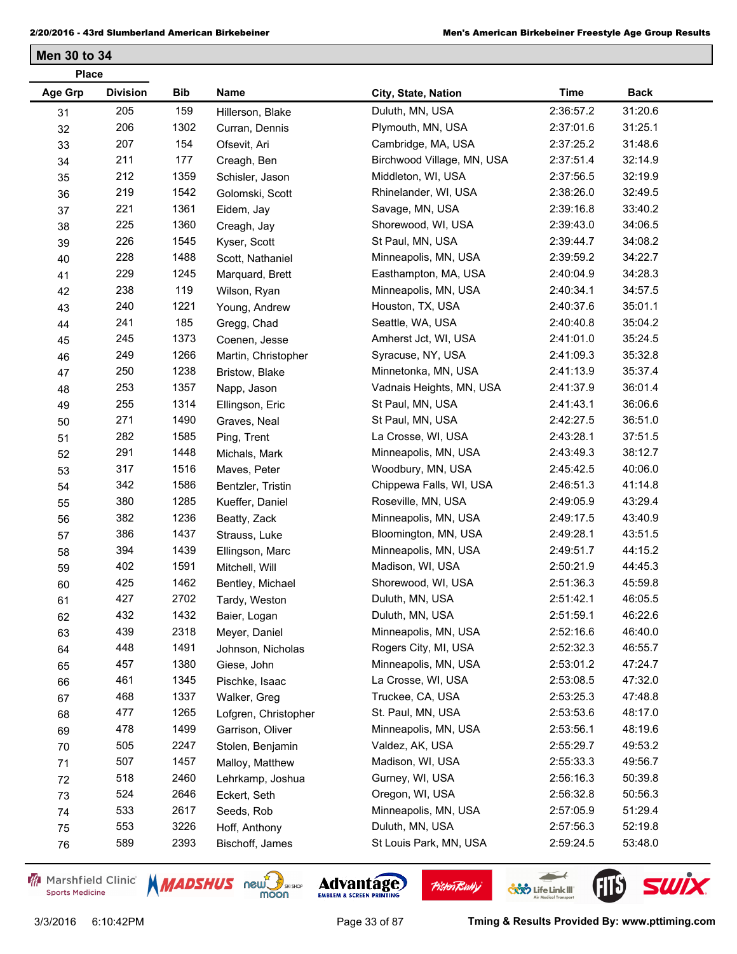| <b>Place</b>   |                 |            |                      |                            |             |             |  |
|----------------|-----------------|------------|----------------------|----------------------------|-------------|-------------|--|
| <b>Age Grp</b> | <b>Division</b> | <b>Bib</b> | Name                 | City, State, Nation        | <b>Time</b> | <b>Back</b> |  |
| 31             | 205             | 159        | Hillerson, Blake     | Duluth, MN, USA            | 2:36:57.2   | 31:20.6     |  |
| 32             | 206             | 1302       | Curran, Dennis       | Plymouth, MN, USA          | 2:37:01.6   | 31:25.1     |  |
| 33             | 207             | 154        | Ofsevit, Ari         | Cambridge, MA, USA         | 2:37:25.2   | 31:48.6     |  |
| 34             | 211             | 177        | Creagh, Ben          | Birchwood Village, MN, USA | 2:37:51.4   | 32:14.9     |  |
| 35             | 212             | 1359       | Schisler, Jason      | Middleton, WI, USA         | 2:37:56.5   | 32:19.9     |  |
| 36             | 219             | 1542       | Golomski, Scott      | Rhinelander, WI, USA       | 2:38:26.0   | 32:49.5     |  |
| 37             | 221             | 1361       | Eidem, Jay           | Savage, MN, USA            | 2:39:16.8   | 33:40.2     |  |
| 38             | 225             | 1360       | Creagh, Jay          | Shorewood, WI, USA         | 2:39:43.0   | 34:06.5     |  |
| 39             | 226             | 1545       | Kyser, Scott         | St Paul, MN, USA           | 2:39:44.7   | 34:08.2     |  |
| 40             | 228             | 1488       | Scott, Nathaniel     | Minneapolis, MN, USA       | 2:39:59.2   | 34:22.7     |  |
| 41             | 229             | 1245       | Marquard, Brett      | Easthampton, MA, USA       | 2:40:04.9   | 34:28.3     |  |
| 42             | 238             | 119        | Wilson, Ryan         | Minneapolis, MN, USA       | 2:40:34.1   | 34:57.5     |  |
| 43             | 240             | 1221       | Young, Andrew        | Houston, TX, USA           | 2:40:37.6   | 35:01.1     |  |
| 44             | 241             | 185        | Gregg, Chad          | Seattle, WA, USA           | 2:40:40.8   | 35:04.2     |  |
| 45             | 245             | 1373       | Coenen, Jesse        | Amherst Jct, WI, USA       | 2:41:01.0   | 35:24.5     |  |
| 46             | 249             | 1266       | Martin, Christopher  | Syracuse, NY, USA          | 2:41:09.3   | 35:32.8     |  |
| 47             | 250             | 1238       | Bristow, Blake       | Minnetonka, MN, USA        | 2:41:13.9   | 35:37.4     |  |
| 48             | 253             | 1357       | Napp, Jason          | Vadnais Heights, MN, USA   | 2:41:37.9   | 36:01.4     |  |
| 49             | 255             | 1314       | Ellingson, Eric      | St Paul, MN, USA           | 2:41:43.1   | 36:06.6     |  |
| 50             | 271             | 1490       | Graves, Neal         | St Paul, MN, USA           | 2:42:27.5   | 36:51.0     |  |
| 51             | 282             | 1585       | Ping, Trent          | La Crosse, WI, USA         | 2:43:28.1   | 37:51.5     |  |
| 52             | 291             | 1448       | Michals, Mark        | Minneapolis, MN, USA       | 2:43:49.3   | 38:12.7     |  |
| 53             | 317             | 1516       | Maves, Peter         | Woodbury, MN, USA          | 2:45:42.5   | 40:06.0     |  |
| 54             | 342             | 1586       | Bentzler, Tristin    | Chippewa Falls, WI, USA    | 2:46:51.3   | 41:14.8     |  |
| 55             | 380             | 1285       | Kueffer, Daniel      | Roseville, MN, USA         | 2:49:05.9   | 43:29.4     |  |
| 56             | 382             | 1236       | Beatty, Zack         | Minneapolis, MN, USA       | 2:49:17.5   | 43:40.9     |  |
| 57             | 386             | 1437       | Strauss, Luke        | Bloomington, MN, USA       | 2:49:28.1   | 43:51.5     |  |
| 58             | 394             | 1439       | Ellingson, Marc      | Minneapolis, MN, USA       | 2:49:51.7   | 44:15.2     |  |
| 59             | 402             | 1591       | Mitchell, Will       | Madison, WI, USA           | 2:50:21.9   | 44:45.3     |  |
| 60             | 425             | 1462       | Bentley, Michael     | Shorewood, WI, USA         | 2:51:36.3   | 45:59.8     |  |
| 61             | 427             | 2702       | Tardy, Weston        | Duluth, MN, USA            | 2:51:42.1   | 46:05.5     |  |
| 62             | 432             | 1432       | Baier, Logan         | Duluth, MN, USA            | 2:51:59.1   | 46:22.6     |  |
| 63             | 439             | 2318       | Meyer, Daniel        | Minneapolis, MN, USA       | 2:52:16.6   | 46:40.0     |  |
| 64             | 448             | 1491       | Johnson, Nicholas    | Rogers City, MI, USA       | 2:52:32.3   | 46:55.7     |  |
| 65             | 457             | 1380       | Giese, John          | Minneapolis, MN, USA       | 2:53:01.2   | 47:24.7     |  |
| 66             | 461             | 1345       | Pischke, Isaac       | La Crosse, WI, USA         | 2:53:08.5   | 47:32.0     |  |
| 67             | 468             | 1337       | Walker, Greg         | Truckee, CA, USA           | 2:53:25.3   | 47:48.8     |  |
| 68             | 477             | 1265       | Lofgren, Christopher | St. Paul, MN, USA          | 2:53:53.6   | 48:17.0     |  |
| 69             | 478             | 1499       | Garrison, Oliver     | Minneapolis, MN, USA       | 2:53:56.1   | 48:19.6     |  |
| 70             | 505             | 2247       | Stolen, Benjamin     | Valdez, AK, USA            | 2:55:29.7   | 49:53.2     |  |
| 71             | 507             | 1457       | Malloy, Matthew      | Madison, WI, USA           | 2:55:33.3   | 49:56.7     |  |
| 72             | 518             | 2460       | Lehrkamp, Joshua     | Gurney, WI, USA            | 2:56:16.3   | 50:39.8     |  |
| 73             | 524             | 2646       | Eckert, Seth         | Oregon, WI, USA            | 2:56:32.8   | 50:56.3     |  |
| 74             | 533             | 2617       | Seeds, Rob           | Minneapolis, MN, USA       | 2:57:05.9   | 51:29.4     |  |
| 75             | 553             | 3226       | Hoff, Anthony        | Duluth, MN, USA            | 2:57:56.3   | 52:19.8     |  |
| 76             | 589             | 2393       | Bischoff, James      | St Louis Park, MN, USA     | 2:59:24.5   | 53:48.0     |  |
|                |                 |            |                      |                            |             |             |  |

Marshfield Clinic **Sports Medicine** 





**Pisten Bully** 



 $\leftarrow$ 

**COND** Life Link III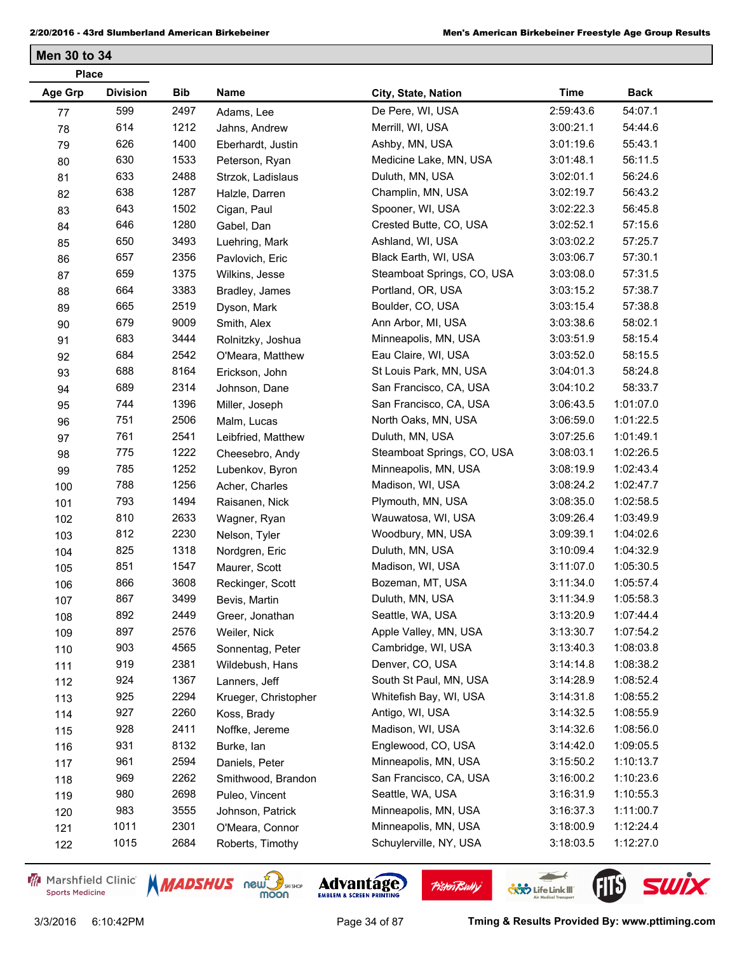| <b>Place</b> |                 |            |                      |                            |           |             |  |
|--------------|-----------------|------------|----------------------|----------------------------|-----------|-------------|--|
| Age Grp      | <b>Division</b> | <b>Bib</b> | Name                 | City, State, Nation        | Time      | <b>Back</b> |  |
| 77           | 599             | 2497       | Adams, Lee           | De Pere, WI, USA           | 2:59:43.6 | 54:07.1     |  |
| 78           | 614             | 1212       | Jahns, Andrew        | Merrill, WI, USA           | 3:00:21.1 | 54:44.6     |  |
| 79           | 626             | 1400       | Eberhardt, Justin    | Ashby, MN, USA             | 3:01:19.6 | 55:43.1     |  |
| 80           | 630             | 1533       | Peterson, Ryan       | Medicine Lake, MN, USA     | 3:01:48.1 | 56:11.5     |  |
| 81           | 633             | 2488       | Strzok, Ladislaus    | Duluth, MN, USA            | 3:02:01.1 | 56:24.6     |  |
| 82           | 638             | 1287       | Halzle, Darren       | Champlin, MN, USA          | 3:02:19.7 | 56:43.2     |  |
| 83           | 643             | 1502       | Cigan, Paul          | Spooner, WI, USA           | 3:02:22.3 | 56:45.8     |  |
| 84           | 646             | 1280       | Gabel, Dan           | Crested Butte, CO, USA     | 3:02:52.1 | 57:15.6     |  |
| 85           | 650             | 3493       | Luehring, Mark       | Ashland, WI, USA           | 3:03:02.2 | 57:25.7     |  |
| 86           | 657             | 2356       | Pavlovich, Eric      | Black Earth, WI, USA       | 3:03:06.7 | 57:30.1     |  |
| 87           | 659             | 1375       | Wilkins, Jesse       | Steamboat Springs, CO, USA | 3:03:08.0 | 57:31.5     |  |
| 88           | 664             | 3383       | Bradley, James       | Portland, OR, USA          | 3:03:15.2 | 57:38.7     |  |
| 89           | 665             | 2519       | Dyson, Mark          | Boulder, CO, USA           | 3:03:15.4 | 57:38.8     |  |
| 90           | 679             | 9009       | Smith, Alex          | Ann Arbor, MI, USA         | 3:03:38.6 | 58:02.1     |  |
| 91           | 683             | 3444       | Rolnitzky, Joshua    | Minneapolis, MN, USA       | 3:03:51.9 | 58:15.4     |  |
| 92           | 684             | 2542       | O'Meara, Matthew     | Eau Claire, WI, USA        | 3:03:52.0 | 58:15.5     |  |
| 93           | 688             | 8164       | Erickson, John       | St Louis Park, MN, USA     | 3:04:01.3 | 58:24.8     |  |
| 94           | 689             | 2314       | Johnson, Dane        | San Francisco, CA, USA     | 3:04:10.2 | 58:33.7     |  |
| 95           | 744             | 1396       | Miller, Joseph       | San Francisco, CA, USA     | 3:06:43.5 | 1:01:07.0   |  |
| 96           | 751             | 2506       | Malm, Lucas          | North Oaks, MN, USA        | 3:06:59.0 | 1:01:22.5   |  |
| 97           | 761             | 2541       | Leibfried, Matthew   | Duluth, MN, USA            | 3:07:25.6 | 1:01:49.1   |  |
| 98           | 775             | 1222       | Cheesebro, Andy      | Steamboat Springs, CO, USA | 3:08:03.1 | 1:02:26.5   |  |
| 99           | 785             | 1252       | Lubenkov, Byron      | Minneapolis, MN, USA       | 3:08:19.9 | 1:02:43.4   |  |
| 100          | 788             | 1256       | Acher, Charles       | Madison, WI, USA           | 3:08:24.2 | 1:02:47.7   |  |
| 101          | 793             | 1494       | Raisanen, Nick       | Plymouth, MN, USA          | 3:08:35.0 | 1:02:58.5   |  |
| 102          | 810             | 2633       | Wagner, Ryan         | Wauwatosa, WI, USA         | 3:09:26.4 | 1:03:49.9   |  |
| 103          | 812             | 2230       | Nelson, Tyler        | Woodbury, MN, USA          | 3:09:39.1 | 1:04:02.6   |  |
| 104          | 825             | 1318       | Nordgren, Eric       | Duluth, MN, USA            | 3:10:09.4 | 1:04:32.9   |  |
| 105          | 851             | 1547       | Maurer, Scott        | Madison, WI, USA           | 3:11:07.0 | 1:05:30.5   |  |
| 106          | 866             | 3608       | Reckinger, Scott     | Bozeman, MT, USA           | 3:11:34.0 | 1:05:57.4   |  |
| 107          | 867             | 3499       | Bevis, Martin        | Duluth, MN, USA            | 3:11:34.9 | 1:05:58.3   |  |
| 108          | 892             | 2449       | Greer, Jonathan      | Seattle, WA, USA           | 3:13:20.9 | 1:07:44.4   |  |
| 109          | 897             | 2576       | Weiler, Nick         | Apple Valley, MN, USA      | 3:13:30.7 | 1:07:54.2   |  |
| 110          | 903             | 4565       | Sonnentag, Peter     | Cambridge, WI, USA         | 3:13:40.3 | 1:08:03.8   |  |
| 111          | 919             | 2381       | Wildebush, Hans      | Denver, CO, USA            | 3:14:14.8 | 1:08:38.2   |  |
| 112          | 924             | 1367       | Lanners, Jeff        | South St Paul, MN, USA     | 3:14:28.9 | 1:08:52.4   |  |
| 113          | 925             | 2294       | Krueger, Christopher | Whitefish Bay, WI, USA     | 3:14:31.8 | 1:08:55.2   |  |
| 114          | 927             | 2260       | Koss, Brady          | Antigo, WI, USA            | 3:14:32.5 | 1:08:55.9   |  |
| 115          | 928             | 2411       | Noffke, Jereme       | Madison, WI, USA           | 3:14:32.6 | 1:08:56.0   |  |
| 116          | 931             | 8132       | Burke, lan           | Englewood, CO, USA         | 3:14:42.0 | 1:09:05.5   |  |
| 117          | 961             | 2594       | Daniels, Peter       | Minneapolis, MN, USA       | 3:15:50.2 | 1:10:13.7   |  |
| 118          | 969             | 2262       | Smithwood, Brandon   | San Francisco, CA, USA     | 3:16:00.2 | 1:10:23.6   |  |
| 119          | 980             | 2698       | Puleo, Vincent       | Seattle, WA, USA           | 3:16:31.9 | 1:10:55.3   |  |
| 120          | 983             | 3555       | Johnson, Patrick     | Minneapolis, MN, USA       | 3:16:37.3 | 1:11:00.7   |  |
| 121          | 1011            | 2301       | O'Meara, Connor      | Minneapolis, MN, USA       | 3:18:00.9 | 1:12:24.4   |  |
| 122          | 1015            | 2684       | Roberts, Timothy     | Schuylerville, NY, USA     | 3:18:03.5 | 1:12:27.0   |  |
|              |                 |            |                      |                            |           |             |  |

Marshfield Clinic **Sports Medicine** 





**Pisten Bully** 

 $\leftarrow$ 

**COND** Life Link III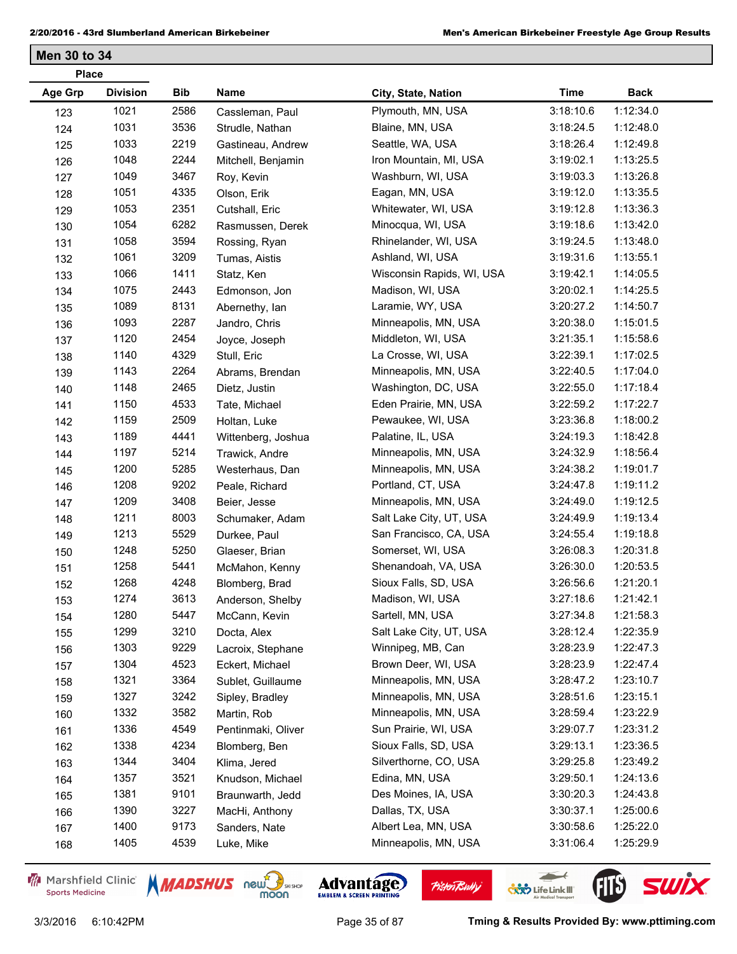| <b>Place</b>   |                 |      |                    |                           |             |             |
|----------------|-----------------|------|--------------------|---------------------------|-------------|-------------|
| <b>Age Grp</b> | <b>Division</b> | Bib  | Name               | City, State, Nation       | <b>Time</b> | <b>Back</b> |
| 123            | 1021            | 2586 | Cassleman, Paul    | Plymouth, MN, USA         | 3:18:10.6   | 1:12:34.0   |
| 124            | 1031            | 3536 | Strudle, Nathan    | Blaine, MN, USA           | 3:18:24.5   | 1:12:48.0   |
| 125            | 1033            | 2219 | Gastineau, Andrew  | Seattle, WA, USA          | 3:18:26.4   | 1:12:49.8   |
| 126            | 1048            | 2244 | Mitchell, Benjamin | Iron Mountain, MI, USA    | 3:19:02.1   | 1:13:25.5   |
| 127            | 1049            | 3467 | Roy, Kevin         | Washburn, WI, USA         | 3:19:03.3   | 1:13:26.8   |
| 128            | 1051            | 4335 | Olson, Erik        | Eagan, MN, USA            | 3:19:12.0   | 1:13:35.5   |
| 129            | 1053            | 2351 | Cutshall, Eric     | Whitewater, WI, USA       | 3:19:12.8   | 1:13:36.3   |
| 130            | 1054            | 6282 | Rasmussen, Derek   | Minocqua, WI, USA         | 3:19:18.6   | 1:13:42.0   |
| 131            | 1058            | 3594 | Rossing, Ryan      | Rhinelander, WI, USA      | 3:19:24.5   | 1:13:48.0   |
| 132            | 1061            | 3209 | Tumas, Aistis      | Ashland, WI, USA          | 3:19:31.6   | 1:13:55.1   |
| 133            | 1066            | 1411 | Statz, Ken         | Wisconsin Rapids, WI, USA | 3:19:42.1   | 1:14:05.5   |
| 134            | 1075            | 2443 | Edmonson, Jon      | Madison, WI, USA          | 3:20:02.1   | 1:14:25.5   |
| 135            | 1089            | 8131 | Abernethy, Ian     | Laramie, WY, USA          | 3:20:27.2   | 1:14:50.7   |
| 136            | 1093            | 2287 | Jandro, Chris      | Minneapolis, MN, USA      | 3:20:38.0   | 1:15:01.5   |
| 137            | 1120            | 2454 | Joyce, Joseph      | Middleton, WI, USA        | 3:21:35.1   | 1:15:58.6   |
| 138            | 1140            | 4329 | Stull, Eric        | La Crosse, WI, USA        | 3:22:39.1   | 1:17:02.5   |
| 139            | 1143            | 2264 | Abrams, Brendan    | Minneapolis, MN, USA      | 3:22:40.5   | 1:17:04.0   |
| 140            | 1148            | 2465 | Dietz, Justin      | Washington, DC, USA       | 3:22:55.0   | 1:17:18.4   |
| 141            | 1150            | 4533 | Tate, Michael      | Eden Prairie, MN, USA     | 3:22:59.2   | 1:17:22.7   |
| 142            | 1159            | 2509 | Holtan, Luke       | Pewaukee, WI, USA         | 3:23:36.8   | 1:18:00.2   |
| 143            | 1189            | 4441 | Wittenberg, Joshua | Palatine, IL, USA         | 3:24:19.3   | 1:18:42.8   |
| 144            | 1197            | 5214 | Trawick, Andre     | Minneapolis, MN, USA      | 3:24:32.9   | 1:18:56.4   |
| 145            | 1200            | 5285 | Westerhaus, Dan    | Minneapolis, MN, USA      | 3:24:38.2   | 1:19:01.7   |
| 146            | 1208            | 9202 | Peale, Richard     | Portland, CT, USA         | 3:24:47.8   | 1:19:11.2   |
| 147            | 1209            | 3408 | Beier, Jesse       | Minneapolis, MN, USA      | 3:24:49.0   | 1:19:12.5   |
| 148            | 1211            | 8003 | Schumaker, Adam    | Salt Lake City, UT, USA   | 3:24:49.9   | 1:19:13.4   |
| 149            | 1213            | 5529 | Durkee, Paul       | San Francisco, CA, USA    | 3:24:55.4   | 1:19:18.8   |
| 150            | 1248            | 5250 | Glaeser, Brian     | Somerset, WI, USA         | 3:26:08.3   | 1:20:31.8   |
| 151            | 1258            | 5441 | McMahon, Kenny     | Shenandoah, VA, USA       | 3:26:30.0   | 1:20:53.5   |
| 152            | 1268            | 4248 | Blomberg, Brad     | Sioux Falls, SD, USA      | 3:26:56.6   | 1:21:20.1   |
| 153            | 1274            | 3613 | Anderson, Shelby   | Madison, WI, USA          | 3:27:18.6   | 1:21:42.1   |
| 154            | 1280            | 5447 | McCann, Kevin      | Sartell, MN, USA          | 3:27:34.8   | 1:21:58.3   |
| 155            | 1299            | 3210 | Docta, Alex        | Salt Lake City, UT, USA   | 3:28:12.4   | 1:22:35.9   |
| 156            | 1303            | 9229 | Lacroix, Stephane  | Winnipeg, MB, Can         | 3:28:23.9   | 1:22:47.3   |
| 157            | 1304            | 4523 | Eckert, Michael    | Brown Deer, WI, USA       | 3:28:23.9   | 1:22:47.4   |
| 158            | 1321            | 3364 | Sublet, Guillaume  | Minneapolis, MN, USA      | 3:28:47.2   | 1:23:10.7   |
| 159            | 1327            | 3242 | Sipley, Bradley    | Minneapolis, MN, USA      | 3:28:51.6   | 1:23:15.1   |
| 160            | 1332            | 3582 | Martin, Rob        | Minneapolis, MN, USA      | 3:28:59.4   | 1:23:22.9   |
| 161            | 1336            | 4549 | Pentinmaki, Oliver | Sun Prairie, WI, USA      | 3:29:07.7   | 1:23:31.2   |
| 162            | 1338            | 4234 | Blomberg, Ben      | Sioux Falls, SD, USA      | 3:29:13.1   | 1:23:36.5   |
| 163            | 1344            | 3404 | Klima, Jered       | Silverthorne, CO, USA     | 3:29:25.8   | 1:23:49.2   |
| 164            | 1357            | 3521 | Knudson, Michael   | Edina, MN, USA            | 3:29:50.1   | 1:24:13.6   |
| 165            | 1381            | 9101 | Braunwarth, Jedd   | Des Moines, IA, USA       | 3:30:20.3   | 1:24:43.8   |
| 166            | 1390            | 3227 | MacHi, Anthony     | Dallas, TX, USA           | 3:30:37.1   | 1:25:00.6   |
| 167            | 1400            | 9173 | Sanders, Nate      | Albert Lea, MN, USA       | 3:30:58.6   | 1:25:22.0   |
| 168            | 1405            | 4539 | Luke, Mike         | Minneapolis, MN, USA      | 3:31:06.4   | 1:25:29.9   |
|                |                 |      |                    |                           |             |             |

Marshfield Clinic **Sports Medicine** 







 $\leftarrow$ 

**COND** Life Link III

FIL'S SWIX

**Pisten Bully**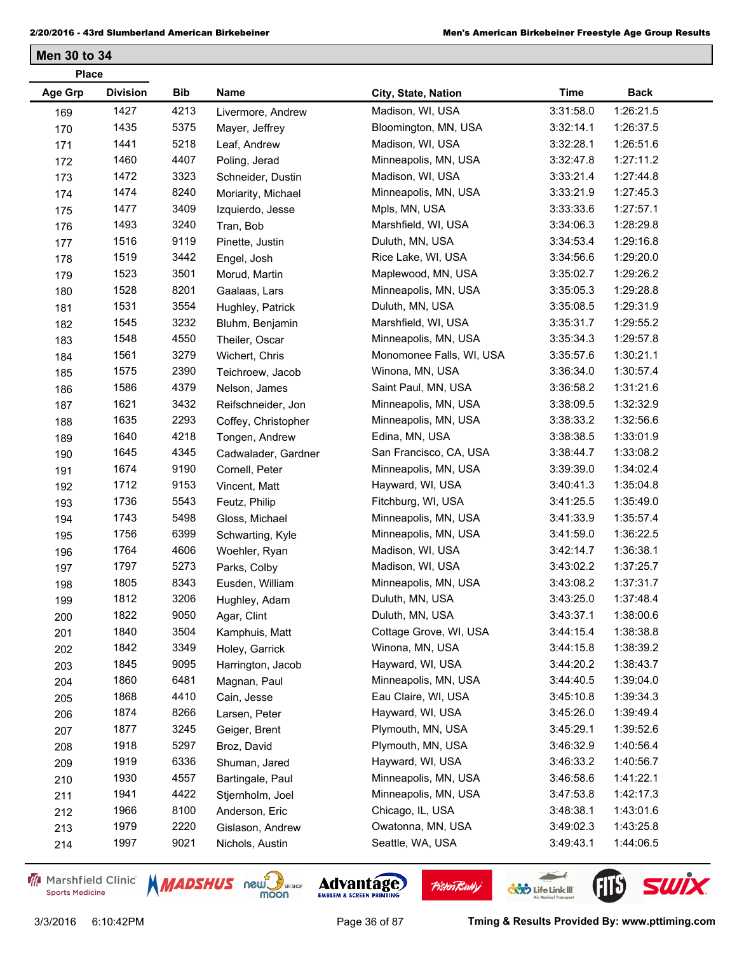| <b>Place</b> |                 |            |                     |                          |             |             |  |
|--------------|-----------------|------------|---------------------|--------------------------|-------------|-------------|--|
| Age Grp      | <b>Division</b> | <b>Bib</b> | Name                | City, State, Nation      | <b>Time</b> | <b>Back</b> |  |
| 169          | 1427            | 4213       | Livermore, Andrew   | Madison, WI, USA         | 3:31:58.0   | 1:26:21.5   |  |
| 170          | 1435            | 5375       | Mayer, Jeffrey      | Bloomington, MN, USA     | 3:32:14.1   | 1:26:37.5   |  |
| 171          | 1441            | 5218       | Leaf, Andrew        | Madison, WI, USA         | 3:32:28.1   | 1:26:51.6   |  |
| 172          | 1460            | 4407       | Poling, Jerad       | Minneapolis, MN, USA     | 3:32:47.8   | 1:27:11.2   |  |
| 173          | 1472            | 3323       | Schneider, Dustin   | Madison, WI, USA         | 3:33:21.4   | 1:27:44.8   |  |
| 174          | 1474            | 8240       | Moriarity, Michael  | Minneapolis, MN, USA     | 3:33:21.9   | 1:27:45.3   |  |
| 175          | 1477            | 3409       | Izquierdo, Jesse    | Mpls, MN, USA            | 3:33:33.6   | 1:27:57.1   |  |
| 176          | 1493            | 3240       | Tran, Bob           | Marshfield, WI, USA      | 3:34:06.3   | 1:28:29.8   |  |
| 177          | 1516            | 9119       | Pinette, Justin     | Duluth, MN, USA          | 3:34:53.4   | 1:29:16.8   |  |
| 178          | 1519            | 3442       | Engel, Josh         | Rice Lake, WI, USA       | 3:34:56.6   | 1:29:20.0   |  |
| 179          | 1523            | 3501       | Morud, Martin       | Maplewood, MN, USA       | 3:35:02.7   | 1:29:26.2   |  |
| 180          | 1528            | 8201       | Gaalaas, Lars       | Minneapolis, MN, USA     | 3:35:05.3   | 1:29:28.8   |  |
| 181          | 1531            | 3554       | Hughley, Patrick    | Duluth, MN, USA          | 3:35:08.5   | 1:29:31.9   |  |
| 182          | 1545            | 3232       | Bluhm, Benjamin     | Marshfield, WI, USA      | 3:35:31.7   | 1:29:55.2   |  |
| 183          | 1548            | 4550       | Theiler, Oscar      | Minneapolis, MN, USA     | 3:35:34.3   | 1:29:57.8   |  |
| 184          | 1561            | 3279       | Wichert, Chris      | Monomonee Falls, WI, USA | 3:35:57.6   | 1:30:21.1   |  |
| 185          | 1575            | 2390       | Teichroew, Jacob    | Winona, MN, USA          | 3:36:34.0   | 1:30:57.4   |  |
| 186          | 1586            | 4379       | Nelson, James       | Saint Paul, MN, USA      | 3:36:58.2   | 1:31:21.6   |  |
| 187          | 1621            | 3432       | Reifschneider, Jon  | Minneapolis, MN, USA     | 3:38:09.5   | 1:32:32.9   |  |
| 188          | 1635            | 2293       | Coffey, Christopher | Minneapolis, MN, USA     | 3:38:33.2   | 1:32:56.6   |  |
| 189          | 1640            | 4218       | Tongen, Andrew      | Edina, MN, USA           | 3:38:38.5   | 1:33:01.9   |  |
| 190          | 1645            | 4345       | Cadwalader, Gardner | San Francisco, CA, USA   | 3:38:44.7   | 1:33:08.2   |  |
| 191          | 1674            | 9190       | Cornell, Peter      | Minneapolis, MN, USA     | 3:39:39.0   | 1:34:02.4   |  |
| 192          | 1712            | 9153       | Vincent, Matt       | Hayward, WI, USA         | 3:40:41.3   | 1:35:04.8   |  |
| 193          | 1736            | 5543       | Feutz, Philip       | Fitchburg, WI, USA       | 3:41:25.5   | 1:35:49.0   |  |
| 194          | 1743            | 5498       | Gloss, Michael      | Minneapolis, MN, USA     | 3:41:33.9   | 1:35:57.4   |  |
| 195          | 1756            | 6399       | Schwarting, Kyle    | Minneapolis, MN, USA     | 3:41:59.0   | 1:36:22.5   |  |
| 196          | 1764            | 4606       | Woehler, Ryan       | Madison, WI, USA         | 3:42:14.7   | 1:36:38.1   |  |
| 197          | 1797            | 5273       | Parks, Colby        | Madison, WI, USA         | 3:43:02.2   | 1:37:25.7   |  |
| 198          | 1805            | 8343       | Eusden, William     | Minneapolis, MN, USA     | 3:43:08.2   | 1:37:31.7   |  |
| 199          | 1812            | 3206       | Hughley, Adam       | Duluth, MN, USA          | 3:43:25.0   | 1:37:48.4   |  |
| 200          | 1822            | 9050       | Agar, Clint         | Duluth, MN, USA          | 3:43:37.1   | 1:38:00.6   |  |
| 201          | 1840            | 3504       | Kamphuis, Matt      | Cottage Grove, WI, USA   | 3:44:15.4   | 1:38:38.8   |  |
| 202          | 1842            | 3349       | Holey, Garrick      | Winona, MN, USA          | 3:44:15.8   | 1:38:39.2   |  |
| 203          | 1845            | 9095       | Harrington, Jacob   | Hayward, WI, USA         | 3:44:20.2   | 1:38:43.7   |  |
| 204          | 1860            | 6481       | Magnan, Paul        | Minneapolis, MN, USA     | 3:44:40.5   | 1:39:04.0   |  |
| 205          | 1868            | 4410       | Cain, Jesse         | Eau Claire, WI, USA      | 3:45:10.8   | 1:39:34.3   |  |
| 206          | 1874            | 8266       | Larsen, Peter       | Hayward, WI, USA         | 3:45:26.0   | 1:39:49.4   |  |
| 207          | 1877            | 3245       | Geiger, Brent       | Plymouth, MN, USA        | 3:45:29.1   | 1:39:52.6   |  |
| 208          | 1918            | 5297       | Broz, David         | Plymouth, MN, USA        | 3:46:32.9   | 1:40:56.4   |  |
| 209          | 1919            | 6336       | Shuman, Jared       | Hayward, WI, USA         | 3:46:33.2   | 1:40:56.7   |  |
| 210          | 1930            | 4557       | Bartingale, Paul    | Minneapolis, MN, USA     | 3:46:58.6   | 1:41:22.1   |  |
| 211          | 1941            | 4422       | Stjernholm, Joel    | Minneapolis, MN, USA     | 3:47:53.8   | 1:42:17.3   |  |
| 212          | 1966            | 8100       | Anderson, Eric      | Chicago, IL, USA         | 3:48:38.1   | 1:43:01.6   |  |
| 213          | 1979            | 2220       | Gislason, Andrew    | Owatonna, MN, USA        | 3:49:02.3   | 1:43:25.8   |  |
| 214          | 1997            | 9021       | Nichols, Austin     | Seattle, WA, USA         | 3:49:43.1   | 1:44:06.5   |  |

Marshfield Clinic **Sports Medicine** 





**Pisten Bully** 

 $\leftarrow$ 

**COND** Life Link III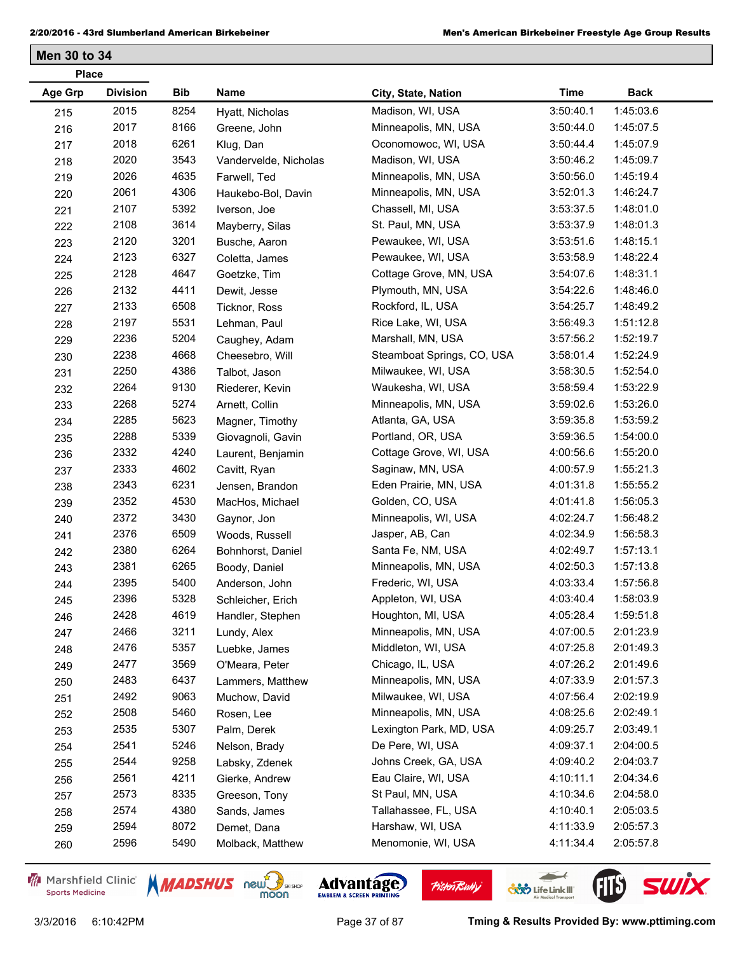**Men 30 to 34**

| <b>Division</b><br><b>Age Grp</b><br>Bib<br>Name<br><b>Time</b><br><b>Back</b><br>City, State, Nation<br>2015<br>8254<br>Madison, WI, USA<br>1:45:03.6<br>3:50:40.1<br>Hyatt, Nicholas<br>215<br>2017<br>8166<br>Minneapolis, MN, USA<br>3:50:44.0<br>1:45:07.5<br>216<br>Greene, John<br>2018<br>6261<br>Oconomowoc, WI, USA<br>3:50:44.4<br>1:45:07.9<br>Klug, Dan<br>217<br>2020<br>3543<br>Madison, WI, USA<br>3:50:46.2<br>1:45:09.7<br>Vandervelde, Nicholas<br>218<br>2026<br>4635<br>1:45:19.4<br>Minneapolis, MN, USA<br>3:50:56.0<br>219<br>Farwell, Ted<br>2061<br>4306<br>1:46:24.7<br>Minneapolis, MN, USA<br>3:52:01.3<br>Haukebo-Bol, Davin<br>220<br>2107<br>5392<br>Chassell, MI, USA<br>3:53:37.5<br>1:48:01.0<br>Iverson, Joe<br>221<br>2108<br>3614<br>1:48:01.3<br>St. Paul, MN, USA<br>3:53:37.9<br>Mayberry, Silas<br>222<br>2120<br>3201<br>1:48:15.1<br>Pewaukee, WI, USA<br>3:53:51.6<br>223<br>Busche, Aaron<br>2123<br>6327<br>1:48:22.4<br>Pewaukee, WI, USA<br>3:53:58.9<br>224<br>Coletta, James<br>2128<br>4647<br>1:48:31.1<br>Cottage Grove, MN, USA<br>3:54:07.6<br>Goetzke, Tim<br>225<br>2132<br>4411<br>1:48:46.0<br>Plymouth, MN, USA<br>3:54:22.6<br>Dewit, Jesse<br>226<br>2133<br>6508<br>1:48:49.2<br>Rockford, IL, USA<br>Ticknor, Ross<br>3:54:25.7<br>227<br>2197<br>5531<br>Rice Lake, WI, USA<br>3:56:49.3<br>1:51:12.8<br>Lehman, Paul<br>228<br>2236<br>5204<br>Marshall, MN, USA<br>3:57:56.2<br>1:52:19.7<br>229<br>Caughey, Adam<br>2238<br>4668<br>1:52:24.9<br>Steamboat Springs, CO, USA<br>3:58:01.4<br>Cheesebro, Will<br>230<br>2250<br>4386<br>1:52:54.0<br>Milwaukee, WI, USA<br>3:58:30.5<br>Talbot, Jason<br>231<br>2264<br>9130<br>1:53:22.9<br>Waukesha, WI, USA<br>3:58:59.4<br>Riederer, Kevin<br>232<br>2268<br>5274<br>1:53:26.0<br>Minneapolis, MN, USA<br>3:59:02.6<br>Arnett, Collin<br>233<br>2285<br>5623<br>1:53:59.2<br>Atlanta, GA, USA<br>3:59:35.8<br>Magner, Timothy<br>234<br>5339<br>1:54:00.0<br>2288<br>Portland, OR, USA<br>3:59:36.5<br>235<br>Giovagnoli, Gavin<br>2332<br>4240<br>Cottage Grove, WI, USA<br>4:00:56.6<br>1:55:20.0<br>Laurent, Benjamin<br>236<br>2333<br>4602<br>Saginaw, MN, USA<br>4:00:57.9<br>1:55:21.3<br>Cavitt, Ryan<br>237<br>2343<br>6231<br>Eden Prairie, MN, USA<br>4:01:31.8<br>1:55:55.2<br>Jensen, Brandon<br>238<br>2352<br>4530<br>1:56:05.3<br>Golden, CO, USA<br>4:01:41.8<br>239<br>MacHos, Michael<br>2372<br>3430<br>Minneapolis, WI, USA<br>4:02:24.7<br>1:56:48.2<br>Gaynor, Jon<br>240<br>2376<br>6509<br>1:56:58.3<br>Jasper, AB, Can<br>4:02:34.9<br>Woods, Russell<br>241<br>2380<br>6264<br>1:57:13.1<br>Santa Fe, NM, USA<br>4:02:49.7<br>Bohnhorst, Daniel<br>242<br>2381<br>6265<br>1:57:13.8<br>Minneapolis, MN, USA<br>4:02:50.3<br>Boody, Daniel<br>243<br>2395<br>5400<br>Frederic, WI, USA<br>4:03:33.4<br>1:57:56.8<br>Anderson, John<br>244<br>2396<br>5328<br>Appleton, WI, USA<br>4:03:40.4<br>1:58:03.9<br>Schleicher, Erich<br>245<br>2428<br>4619<br>Houghton, MI, USA<br>4:05:28.4<br>1:59:51.8<br>Handler, Stephen<br>246<br>2466<br>3211<br>2:01:23.9<br>Minneapolis, MN, USA<br>4:07:00.5<br>Lundy, Alex<br>247<br>2476<br>5357<br>2:01:49.3<br>Middleton, WI, USA<br>4:07:25.8<br>Luebke, James<br>248<br>2477<br>3569<br>Chicago, IL, USA<br>4:07:26.2<br>2:01:49.6<br>O'Meara, Peter<br>249<br>2483<br>6437<br>4:07:33.9<br>2:01:57.3<br>Minneapolis, MN, USA<br>Lammers, Matthew<br>250<br>2492<br>9063<br>2:02:19.9<br>Milwaukee, WI, USA<br>4:07:56.4<br>Muchow, David<br>251<br>2508<br>5460<br>Minneapolis, MN, USA<br>2:02:49.1<br>4:08:25.6<br>Rosen, Lee<br>252<br>2535<br>5307<br>2:03:49.1<br>Lexington Park, MD, USA<br>4:09:25.7<br>Palm, Derek<br>253 | <b>Place</b> |      |      |               |                  |           |           |  |
|-------------------------------------------------------------------------------------------------------------------------------------------------------------------------------------------------------------------------------------------------------------------------------------------------------------------------------------------------------------------------------------------------------------------------------------------------------------------------------------------------------------------------------------------------------------------------------------------------------------------------------------------------------------------------------------------------------------------------------------------------------------------------------------------------------------------------------------------------------------------------------------------------------------------------------------------------------------------------------------------------------------------------------------------------------------------------------------------------------------------------------------------------------------------------------------------------------------------------------------------------------------------------------------------------------------------------------------------------------------------------------------------------------------------------------------------------------------------------------------------------------------------------------------------------------------------------------------------------------------------------------------------------------------------------------------------------------------------------------------------------------------------------------------------------------------------------------------------------------------------------------------------------------------------------------------------------------------------------------------------------------------------------------------------------------------------------------------------------------------------------------------------------------------------------------------------------------------------------------------------------------------------------------------------------------------------------------------------------------------------------------------------------------------------------------------------------------------------------------------------------------------------------------------------------------------------------------------------------------------------------------------------------------------------------------------------------------------------------------------------------------------------------------------------------------------------------------------------------------------------------------------------------------------------------------------------------------------------------------------------------------------------------------------------------------------------------------------------------------------------------------------------------------------------------------------------------------------------------------------------------------------------------------------------------------------------------------------------------------------------------------------------------------------------------------------------------------------------------------------------------------------------------------------------------------------------------------------------------------------------------------------------------------------------------------------------------------------------------------|--------------|------|------|---------------|------------------|-----------|-----------|--|
|                                                                                                                                                                                                                                                                                                                                                                                                                                                                                                                                                                                                                                                                                                                                                                                                                                                                                                                                                                                                                                                                                                                                                                                                                                                                                                                                                                                                                                                                                                                                                                                                                                                                                                                                                                                                                                                                                                                                                                                                                                                                                                                                                                                                                                                                                                                                                                                                                                                                                                                                                                                                                                                                                                                                                                                                                                                                                                                                                                                                                                                                                                                                                                                                                                                                                                                                                                                                                                                                                                                                                                                                                                                                                                                               |              |      |      |               |                  |           |           |  |
|                                                                                                                                                                                                                                                                                                                                                                                                                                                                                                                                                                                                                                                                                                                                                                                                                                                                                                                                                                                                                                                                                                                                                                                                                                                                                                                                                                                                                                                                                                                                                                                                                                                                                                                                                                                                                                                                                                                                                                                                                                                                                                                                                                                                                                                                                                                                                                                                                                                                                                                                                                                                                                                                                                                                                                                                                                                                                                                                                                                                                                                                                                                                                                                                                                                                                                                                                                                                                                                                                                                                                                                                                                                                                                                               |              |      |      |               |                  |           |           |  |
|                                                                                                                                                                                                                                                                                                                                                                                                                                                                                                                                                                                                                                                                                                                                                                                                                                                                                                                                                                                                                                                                                                                                                                                                                                                                                                                                                                                                                                                                                                                                                                                                                                                                                                                                                                                                                                                                                                                                                                                                                                                                                                                                                                                                                                                                                                                                                                                                                                                                                                                                                                                                                                                                                                                                                                                                                                                                                                                                                                                                                                                                                                                                                                                                                                                                                                                                                                                                                                                                                                                                                                                                                                                                                                                               |              |      |      |               |                  |           |           |  |
|                                                                                                                                                                                                                                                                                                                                                                                                                                                                                                                                                                                                                                                                                                                                                                                                                                                                                                                                                                                                                                                                                                                                                                                                                                                                                                                                                                                                                                                                                                                                                                                                                                                                                                                                                                                                                                                                                                                                                                                                                                                                                                                                                                                                                                                                                                                                                                                                                                                                                                                                                                                                                                                                                                                                                                                                                                                                                                                                                                                                                                                                                                                                                                                                                                                                                                                                                                                                                                                                                                                                                                                                                                                                                                                               |              |      |      |               |                  |           |           |  |
|                                                                                                                                                                                                                                                                                                                                                                                                                                                                                                                                                                                                                                                                                                                                                                                                                                                                                                                                                                                                                                                                                                                                                                                                                                                                                                                                                                                                                                                                                                                                                                                                                                                                                                                                                                                                                                                                                                                                                                                                                                                                                                                                                                                                                                                                                                                                                                                                                                                                                                                                                                                                                                                                                                                                                                                                                                                                                                                                                                                                                                                                                                                                                                                                                                                                                                                                                                                                                                                                                                                                                                                                                                                                                                                               |              |      |      |               |                  |           |           |  |
|                                                                                                                                                                                                                                                                                                                                                                                                                                                                                                                                                                                                                                                                                                                                                                                                                                                                                                                                                                                                                                                                                                                                                                                                                                                                                                                                                                                                                                                                                                                                                                                                                                                                                                                                                                                                                                                                                                                                                                                                                                                                                                                                                                                                                                                                                                                                                                                                                                                                                                                                                                                                                                                                                                                                                                                                                                                                                                                                                                                                                                                                                                                                                                                                                                                                                                                                                                                                                                                                                                                                                                                                                                                                                                                               |              |      |      |               |                  |           |           |  |
|                                                                                                                                                                                                                                                                                                                                                                                                                                                                                                                                                                                                                                                                                                                                                                                                                                                                                                                                                                                                                                                                                                                                                                                                                                                                                                                                                                                                                                                                                                                                                                                                                                                                                                                                                                                                                                                                                                                                                                                                                                                                                                                                                                                                                                                                                                                                                                                                                                                                                                                                                                                                                                                                                                                                                                                                                                                                                                                                                                                                                                                                                                                                                                                                                                                                                                                                                                                                                                                                                                                                                                                                                                                                                                                               |              |      |      |               |                  |           |           |  |
|                                                                                                                                                                                                                                                                                                                                                                                                                                                                                                                                                                                                                                                                                                                                                                                                                                                                                                                                                                                                                                                                                                                                                                                                                                                                                                                                                                                                                                                                                                                                                                                                                                                                                                                                                                                                                                                                                                                                                                                                                                                                                                                                                                                                                                                                                                                                                                                                                                                                                                                                                                                                                                                                                                                                                                                                                                                                                                                                                                                                                                                                                                                                                                                                                                                                                                                                                                                                                                                                                                                                                                                                                                                                                                                               |              |      |      |               |                  |           |           |  |
|                                                                                                                                                                                                                                                                                                                                                                                                                                                                                                                                                                                                                                                                                                                                                                                                                                                                                                                                                                                                                                                                                                                                                                                                                                                                                                                                                                                                                                                                                                                                                                                                                                                                                                                                                                                                                                                                                                                                                                                                                                                                                                                                                                                                                                                                                                                                                                                                                                                                                                                                                                                                                                                                                                                                                                                                                                                                                                                                                                                                                                                                                                                                                                                                                                                                                                                                                                                                                                                                                                                                                                                                                                                                                                                               |              |      |      |               |                  |           |           |  |
|                                                                                                                                                                                                                                                                                                                                                                                                                                                                                                                                                                                                                                                                                                                                                                                                                                                                                                                                                                                                                                                                                                                                                                                                                                                                                                                                                                                                                                                                                                                                                                                                                                                                                                                                                                                                                                                                                                                                                                                                                                                                                                                                                                                                                                                                                                                                                                                                                                                                                                                                                                                                                                                                                                                                                                                                                                                                                                                                                                                                                                                                                                                                                                                                                                                                                                                                                                                                                                                                                                                                                                                                                                                                                                                               |              |      |      |               |                  |           |           |  |
|                                                                                                                                                                                                                                                                                                                                                                                                                                                                                                                                                                                                                                                                                                                                                                                                                                                                                                                                                                                                                                                                                                                                                                                                                                                                                                                                                                                                                                                                                                                                                                                                                                                                                                                                                                                                                                                                                                                                                                                                                                                                                                                                                                                                                                                                                                                                                                                                                                                                                                                                                                                                                                                                                                                                                                                                                                                                                                                                                                                                                                                                                                                                                                                                                                                                                                                                                                                                                                                                                                                                                                                                                                                                                                                               |              |      |      |               |                  |           |           |  |
|                                                                                                                                                                                                                                                                                                                                                                                                                                                                                                                                                                                                                                                                                                                                                                                                                                                                                                                                                                                                                                                                                                                                                                                                                                                                                                                                                                                                                                                                                                                                                                                                                                                                                                                                                                                                                                                                                                                                                                                                                                                                                                                                                                                                                                                                                                                                                                                                                                                                                                                                                                                                                                                                                                                                                                                                                                                                                                                                                                                                                                                                                                                                                                                                                                                                                                                                                                                                                                                                                                                                                                                                                                                                                                                               |              |      |      |               |                  |           |           |  |
|                                                                                                                                                                                                                                                                                                                                                                                                                                                                                                                                                                                                                                                                                                                                                                                                                                                                                                                                                                                                                                                                                                                                                                                                                                                                                                                                                                                                                                                                                                                                                                                                                                                                                                                                                                                                                                                                                                                                                                                                                                                                                                                                                                                                                                                                                                                                                                                                                                                                                                                                                                                                                                                                                                                                                                                                                                                                                                                                                                                                                                                                                                                                                                                                                                                                                                                                                                                                                                                                                                                                                                                                                                                                                                                               |              |      |      |               |                  |           |           |  |
|                                                                                                                                                                                                                                                                                                                                                                                                                                                                                                                                                                                                                                                                                                                                                                                                                                                                                                                                                                                                                                                                                                                                                                                                                                                                                                                                                                                                                                                                                                                                                                                                                                                                                                                                                                                                                                                                                                                                                                                                                                                                                                                                                                                                                                                                                                                                                                                                                                                                                                                                                                                                                                                                                                                                                                                                                                                                                                                                                                                                                                                                                                                                                                                                                                                                                                                                                                                                                                                                                                                                                                                                                                                                                                                               |              |      |      |               |                  |           |           |  |
|                                                                                                                                                                                                                                                                                                                                                                                                                                                                                                                                                                                                                                                                                                                                                                                                                                                                                                                                                                                                                                                                                                                                                                                                                                                                                                                                                                                                                                                                                                                                                                                                                                                                                                                                                                                                                                                                                                                                                                                                                                                                                                                                                                                                                                                                                                                                                                                                                                                                                                                                                                                                                                                                                                                                                                                                                                                                                                                                                                                                                                                                                                                                                                                                                                                                                                                                                                                                                                                                                                                                                                                                                                                                                                                               |              |      |      |               |                  |           |           |  |
|                                                                                                                                                                                                                                                                                                                                                                                                                                                                                                                                                                                                                                                                                                                                                                                                                                                                                                                                                                                                                                                                                                                                                                                                                                                                                                                                                                                                                                                                                                                                                                                                                                                                                                                                                                                                                                                                                                                                                                                                                                                                                                                                                                                                                                                                                                                                                                                                                                                                                                                                                                                                                                                                                                                                                                                                                                                                                                                                                                                                                                                                                                                                                                                                                                                                                                                                                                                                                                                                                                                                                                                                                                                                                                                               |              |      |      |               |                  |           |           |  |
|                                                                                                                                                                                                                                                                                                                                                                                                                                                                                                                                                                                                                                                                                                                                                                                                                                                                                                                                                                                                                                                                                                                                                                                                                                                                                                                                                                                                                                                                                                                                                                                                                                                                                                                                                                                                                                                                                                                                                                                                                                                                                                                                                                                                                                                                                                                                                                                                                                                                                                                                                                                                                                                                                                                                                                                                                                                                                                                                                                                                                                                                                                                                                                                                                                                                                                                                                                                                                                                                                                                                                                                                                                                                                                                               |              |      |      |               |                  |           |           |  |
|                                                                                                                                                                                                                                                                                                                                                                                                                                                                                                                                                                                                                                                                                                                                                                                                                                                                                                                                                                                                                                                                                                                                                                                                                                                                                                                                                                                                                                                                                                                                                                                                                                                                                                                                                                                                                                                                                                                                                                                                                                                                                                                                                                                                                                                                                                                                                                                                                                                                                                                                                                                                                                                                                                                                                                                                                                                                                                                                                                                                                                                                                                                                                                                                                                                                                                                                                                                                                                                                                                                                                                                                                                                                                                                               |              |      |      |               |                  |           |           |  |
|                                                                                                                                                                                                                                                                                                                                                                                                                                                                                                                                                                                                                                                                                                                                                                                                                                                                                                                                                                                                                                                                                                                                                                                                                                                                                                                                                                                                                                                                                                                                                                                                                                                                                                                                                                                                                                                                                                                                                                                                                                                                                                                                                                                                                                                                                                                                                                                                                                                                                                                                                                                                                                                                                                                                                                                                                                                                                                                                                                                                                                                                                                                                                                                                                                                                                                                                                                                                                                                                                                                                                                                                                                                                                                                               |              |      |      |               |                  |           |           |  |
|                                                                                                                                                                                                                                                                                                                                                                                                                                                                                                                                                                                                                                                                                                                                                                                                                                                                                                                                                                                                                                                                                                                                                                                                                                                                                                                                                                                                                                                                                                                                                                                                                                                                                                                                                                                                                                                                                                                                                                                                                                                                                                                                                                                                                                                                                                                                                                                                                                                                                                                                                                                                                                                                                                                                                                                                                                                                                                                                                                                                                                                                                                                                                                                                                                                                                                                                                                                                                                                                                                                                                                                                                                                                                                                               |              |      |      |               |                  |           |           |  |
|                                                                                                                                                                                                                                                                                                                                                                                                                                                                                                                                                                                                                                                                                                                                                                                                                                                                                                                                                                                                                                                                                                                                                                                                                                                                                                                                                                                                                                                                                                                                                                                                                                                                                                                                                                                                                                                                                                                                                                                                                                                                                                                                                                                                                                                                                                                                                                                                                                                                                                                                                                                                                                                                                                                                                                                                                                                                                                                                                                                                                                                                                                                                                                                                                                                                                                                                                                                                                                                                                                                                                                                                                                                                                                                               |              |      |      |               |                  |           |           |  |
|                                                                                                                                                                                                                                                                                                                                                                                                                                                                                                                                                                                                                                                                                                                                                                                                                                                                                                                                                                                                                                                                                                                                                                                                                                                                                                                                                                                                                                                                                                                                                                                                                                                                                                                                                                                                                                                                                                                                                                                                                                                                                                                                                                                                                                                                                                                                                                                                                                                                                                                                                                                                                                                                                                                                                                                                                                                                                                                                                                                                                                                                                                                                                                                                                                                                                                                                                                                                                                                                                                                                                                                                                                                                                                                               |              |      |      |               |                  |           |           |  |
|                                                                                                                                                                                                                                                                                                                                                                                                                                                                                                                                                                                                                                                                                                                                                                                                                                                                                                                                                                                                                                                                                                                                                                                                                                                                                                                                                                                                                                                                                                                                                                                                                                                                                                                                                                                                                                                                                                                                                                                                                                                                                                                                                                                                                                                                                                                                                                                                                                                                                                                                                                                                                                                                                                                                                                                                                                                                                                                                                                                                                                                                                                                                                                                                                                                                                                                                                                                                                                                                                                                                                                                                                                                                                                                               |              |      |      |               |                  |           |           |  |
|                                                                                                                                                                                                                                                                                                                                                                                                                                                                                                                                                                                                                                                                                                                                                                                                                                                                                                                                                                                                                                                                                                                                                                                                                                                                                                                                                                                                                                                                                                                                                                                                                                                                                                                                                                                                                                                                                                                                                                                                                                                                                                                                                                                                                                                                                                                                                                                                                                                                                                                                                                                                                                                                                                                                                                                                                                                                                                                                                                                                                                                                                                                                                                                                                                                                                                                                                                                                                                                                                                                                                                                                                                                                                                                               |              |      |      |               |                  |           |           |  |
|                                                                                                                                                                                                                                                                                                                                                                                                                                                                                                                                                                                                                                                                                                                                                                                                                                                                                                                                                                                                                                                                                                                                                                                                                                                                                                                                                                                                                                                                                                                                                                                                                                                                                                                                                                                                                                                                                                                                                                                                                                                                                                                                                                                                                                                                                                                                                                                                                                                                                                                                                                                                                                                                                                                                                                                                                                                                                                                                                                                                                                                                                                                                                                                                                                                                                                                                                                                                                                                                                                                                                                                                                                                                                                                               |              |      |      |               |                  |           |           |  |
|                                                                                                                                                                                                                                                                                                                                                                                                                                                                                                                                                                                                                                                                                                                                                                                                                                                                                                                                                                                                                                                                                                                                                                                                                                                                                                                                                                                                                                                                                                                                                                                                                                                                                                                                                                                                                                                                                                                                                                                                                                                                                                                                                                                                                                                                                                                                                                                                                                                                                                                                                                                                                                                                                                                                                                                                                                                                                                                                                                                                                                                                                                                                                                                                                                                                                                                                                                                                                                                                                                                                                                                                                                                                                                                               |              |      |      |               |                  |           |           |  |
|                                                                                                                                                                                                                                                                                                                                                                                                                                                                                                                                                                                                                                                                                                                                                                                                                                                                                                                                                                                                                                                                                                                                                                                                                                                                                                                                                                                                                                                                                                                                                                                                                                                                                                                                                                                                                                                                                                                                                                                                                                                                                                                                                                                                                                                                                                                                                                                                                                                                                                                                                                                                                                                                                                                                                                                                                                                                                                                                                                                                                                                                                                                                                                                                                                                                                                                                                                                                                                                                                                                                                                                                                                                                                                                               |              |      |      |               |                  |           |           |  |
|                                                                                                                                                                                                                                                                                                                                                                                                                                                                                                                                                                                                                                                                                                                                                                                                                                                                                                                                                                                                                                                                                                                                                                                                                                                                                                                                                                                                                                                                                                                                                                                                                                                                                                                                                                                                                                                                                                                                                                                                                                                                                                                                                                                                                                                                                                                                                                                                                                                                                                                                                                                                                                                                                                                                                                                                                                                                                                                                                                                                                                                                                                                                                                                                                                                                                                                                                                                                                                                                                                                                                                                                                                                                                                                               |              |      |      |               |                  |           |           |  |
|                                                                                                                                                                                                                                                                                                                                                                                                                                                                                                                                                                                                                                                                                                                                                                                                                                                                                                                                                                                                                                                                                                                                                                                                                                                                                                                                                                                                                                                                                                                                                                                                                                                                                                                                                                                                                                                                                                                                                                                                                                                                                                                                                                                                                                                                                                                                                                                                                                                                                                                                                                                                                                                                                                                                                                                                                                                                                                                                                                                                                                                                                                                                                                                                                                                                                                                                                                                                                                                                                                                                                                                                                                                                                                                               |              |      |      |               |                  |           |           |  |
|                                                                                                                                                                                                                                                                                                                                                                                                                                                                                                                                                                                                                                                                                                                                                                                                                                                                                                                                                                                                                                                                                                                                                                                                                                                                                                                                                                                                                                                                                                                                                                                                                                                                                                                                                                                                                                                                                                                                                                                                                                                                                                                                                                                                                                                                                                                                                                                                                                                                                                                                                                                                                                                                                                                                                                                                                                                                                                                                                                                                                                                                                                                                                                                                                                                                                                                                                                                                                                                                                                                                                                                                                                                                                                                               |              |      |      |               |                  |           |           |  |
|                                                                                                                                                                                                                                                                                                                                                                                                                                                                                                                                                                                                                                                                                                                                                                                                                                                                                                                                                                                                                                                                                                                                                                                                                                                                                                                                                                                                                                                                                                                                                                                                                                                                                                                                                                                                                                                                                                                                                                                                                                                                                                                                                                                                                                                                                                                                                                                                                                                                                                                                                                                                                                                                                                                                                                                                                                                                                                                                                                                                                                                                                                                                                                                                                                                                                                                                                                                                                                                                                                                                                                                                                                                                                                                               |              |      |      |               |                  |           |           |  |
|                                                                                                                                                                                                                                                                                                                                                                                                                                                                                                                                                                                                                                                                                                                                                                                                                                                                                                                                                                                                                                                                                                                                                                                                                                                                                                                                                                                                                                                                                                                                                                                                                                                                                                                                                                                                                                                                                                                                                                                                                                                                                                                                                                                                                                                                                                                                                                                                                                                                                                                                                                                                                                                                                                                                                                                                                                                                                                                                                                                                                                                                                                                                                                                                                                                                                                                                                                                                                                                                                                                                                                                                                                                                                                                               |              |      |      |               |                  |           |           |  |
|                                                                                                                                                                                                                                                                                                                                                                                                                                                                                                                                                                                                                                                                                                                                                                                                                                                                                                                                                                                                                                                                                                                                                                                                                                                                                                                                                                                                                                                                                                                                                                                                                                                                                                                                                                                                                                                                                                                                                                                                                                                                                                                                                                                                                                                                                                                                                                                                                                                                                                                                                                                                                                                                                                                                                                                                                                                                                                                                                                                                                                                                                                                                                                                                                                                                                                                                                                                                                                                                                                                                                                                                                                                                                                                               |              |      |      |               |                  |           |           |  |
|                                                                                                                                                                                                                                                                                                                                                                                                                                                                                                                                                                                                                                                                                                                                                                                                                                                                                                                                                                                                                                                                                                                                                                                                                                                                                                                                                                                                                                                                                                                                                                                                                                                                                                                                                                                                                                                                                                                                                                                                                                                                                                                                                                                                                                                                                                                                                                                                                                                                                                                                                                                                                                                                                                                                                                                                                                                                                                                                                                                                                                                                                                                                                                                                                                                                                                                                                                                                                                                                                                                                                                                                                                                                                                                               |              |      |      |               |                  |           |           |  |
|                                                                                                                                                                                                                                                                                                                                                                                                                                                                                                                                                                                                                                                                                                                                                                                                                                                                                                                                                                                                                                                                                                                                                                                                                                                                                                                                                                                                                                                                                                                                                                                                                                                                                                                                                                                                                                                                                                                                                                                                                                                                                                                                                                                                                                                                                                                                                                                                                                                                                                                                                                                                                                                                                                                                                                                                                                                                                                                                                                                                                                                                                                                                                                                                                                                                                                                                                                                                                                                                                                                                                                                                                                                                                                                               |              |      |      |               |                  |           |           |  |
|                                                                                                                                                                                                                                                                                                                                                                                                                                                                                                                                                                                                                                                                                                                                                                                                                                                                                                                                                                                                                                                                                                                                                                                                                                                                                                                                                                                                                                                                                                                                                                                                                                                                                                                                                                                                                                                                                                                                                                                                                                                                                                                                                                                                                                                                                                                                                                                                                                                                                                                                                                                                                                                                                                                                                                                                                                                                                                                                                                                                                                                                                                                                                                                                                                                                                                                                                                                                                                                                                                                                                                                                                                                                                                                               |              |      |      |               |                  |           |           |  |
|                                                                                                                                                                                                                                                                                                                                                                                                                                                                                                                                                                                                                                                                                                                                                                                                                                                                                                                                                                                                                                                                                                                                                                                                                                                                                                                                                                                                                                                                                                                                                                                                                                                                                                                                                                                                                                                                                                                                                                                                                                                                                                                                                                                                                                                                                                                                                                                                                                                                                                                                                                                                                                                                                                                                                                                                                                                                                                                                                                                                                                                                                                                                                                                                                                                                                                                                                                                                                                                                                                                                                                                                                                                                                                                               |              |      |      |               |                  |           |           |  |
|                                                                                                                                                                                                                                                                                                                                                                                                                                                                                                                                                                                                                                                                                                                                                                                                                                                                                                                                                                                                                                                                                                                                                                                                                                                                                                                                                                                                                                                                                                                                                                                                                                                                                                                                                                                                                                                                                                                                                                                                                                                                                                                                                                                                                                                                                                                                                                                                                                                                                                                                                                                                                                                                                                                                                                                                                                                                                                                                                                                                                                                                                                                                                                                                                                                                                                                                                                                                                                                                                                                                                                                                                                                                                                                               |              |      |      |               |                  |           |           |  |
|                                                                                                                                                                                                                                                                                                                                                                                                                                                                                                                                                                                                                                                                                                                                                                                                                                                                                                                                                                                                                                                                                                                                                                                                                                                                                                                                                                                                                                                                                                                                                                                                                                                                                                                                                                                                                                                                                                                                                                                                                                                                                                                                                                                                                                                                                                                                                                                                                                                                                                                                                                                                                                                                                                                                                                                                                                                                                                                                                                                                                                                                                                                                                                                                                                                                                                                                                                                                                                                                                                                                                                                                                                                                                                                               |              |      |      |               |                  |           |           |  |
|                                                                                                                                                                                                                                                                                                                                                                                                                                                                                                                                                                                                                                                                                                                                                                                                                                                                                                                                                                                                                                                                                                                                                                                                                                                                                                                                                                                                                                                                                                                                                                                                                                                                                                                                                                                                                                                                                                                                                                                                                                                                                                                                                                                                                                                                                                                                                                                                                                                                                                                                                                                                                                                                                                                                                                                                                                                                                                                                                                                                                                                                                                                                                                                                                                                                                                                                                                                                                                                                                                                                                                                                                                                                                                                               |              |      |      |               |                  |           |           |  |
|                                                                                                                                                                                                                                                                                                                                                                                                                                                                                                                                                                                                                                                                                                                                                                                                                                                                                                                                                                                                                                                                                                                                                                                                                                                                                                                                                                                                                                                                                                                                                                                                                                                                                                                                                                                                                                                                                                                                                                                                                                                                                                                                                                                                                                                                                                                                                                                                                                                                                                                                                                                                                                                                                                                                                                                                                                                                                                                                                                                                                                                                                                                                                                                                                                                                                                                                                                                                                                                                                                                                                                                                                                                                                                                               | 254          | 2541 | 5246 | Nelson, Brady | De Pere, WI, USA | 4:09:37.1 | 2:04:00.5 |  |
| 9258<br>2544<br>Johns Creek, GA, USA<br>4:09:40.2<br>2:04:03.7<br>Labsky, Zdenek<br>255                                                                                                                                                                                                                                                                                                                                                                                                                                                                                                                                                                                                                                                                                                                                                                                                                                                                                                                                                                                                                                                                                                                                                                                                                                                                                                                                                                                                                                                                                                                                                                                                                                                                                                                                                                                                                                                                                                                                                                                                                                                                                                                                                                                                                                                                                                                                                                                                                                                                                                                                                                                                                                                                                                                                                                                                                                                                                                                                                                                                                                                                                                                                                                                                                                                                                                                                                                                                                                                                                                                                                                                                                                       |              |      |      |               |                  |           |           |  |
| 4211<br>2561<br>Eau Claire, WI, USA<br>4:10:11.1<br>2:04:34.6<br>Gierke, Andrew<br>256                                                                                                                                                                                                                                                                                                                                                                                                                                                                                                                                                                                                                                                                                                                                                                                                                                                                                                                                                                                                                                                                                                                                                                                                                                                                                                                                                                                                                                                                                                                                                                                                                                                                                                                                                                                                                                                                                                                                                                                                                                                                                                                                                                                                                                                                                                                                                                                                                                                                                                                                                                                                                                                                                                                                                                                                                                                                                                                                                                                                                                                                                                                                                                                                                                                                                                                                                                                                                                                                                                                                                                                                                                        |              |      |      |               |                  |           |           |  |
| 8335<br>2573<br>St Paul, MN, USA<br>4:10:34.6<br>2:04:58.0<br>Greeson, Tony<br>257                                                                                                                                                                                                                                                                                                                                                                                                                                                                                                                                                                                                                                                                                                                                                                                                                                                                                                                                                                                                                                                                                                                                                                                                                                                                                                                                                                                                                                                                                                                                                                                                                                                                                                                                                                                                                                                                                                                                                                                                                                                                                                                                                                                                                                                                                                                                                                                                                                                                                                                                                                                                                                                                                                                                                                                                                                                                                                                                                                                                                                                                                                                                                                                                                                                                                                                                                                                                                                                                                                                                                                                                                                            |              |      |      |               |                  |           |           |  |
| 2574<br>4380<br>2:05:03.5<br>Tallahassee, FL, USA<br>4:10:40.1<br>Sands, James<br>258                                                                                                                                                                                                                                                                                                                                                                                                                                                                                                                                                                                                                                                                                                                                                                                                                                                                                                                                                                                                                                                                                                                                                                                                                                                                                                                                                                                                                                                                                                                                                                                                                                                                                                                                                                                                                                                                                                                                                                                                                                                                                                                                                                                                                                                                                                                                                                                                                                                                                                                                                                                                                                                                                                                                                                                                                                                                                                                                                                                                                                                                                                                                                                                                                                                                                                                                                                                                                                                                                                                                                                                                                                         |              |      |      |               |                  |           |           |  |
| 2594<br>8072<br>Harshaw, WI, USA<br>4:11:33.9<br>2:05:57.3<br>Demet, Dana<br>259                                                                                                                                                                                                                                                                                                                                                                                                                                                                                                                                                                                                                                                                                                                                                                                                                                                                                                                                                                                                                                                                                                                                                                                                                                                                                                                                                                                                                                                                                                                                                                                                                                                                                                                                                                                                                                                                                                                                                                                                                                                                                                                                                                                                                                                                                                                                                                                                                                                                                                                                                                                                                                                                                                                                                                                                                                                                                                                                                                                                                                                                                                                                                                                                                                                                                                                                                                                                                                                                                                                                                                                                                                              |              |      |      |               |                  |           |           |  |
| 2596<br>5490<br>2:05:57.8<br>Menomonie, WI, USA<br>4:11:34.4<br>Molback, Matthew<br>260                                                                                                                                                                                                                                                                                                                                                                                                                                                                                                                                                                                                                                                                                                                                                                                                                                                                                                                                                                                                                                                                                                                                                                                                                                                                                                                                                                                                                                                                                                                                                                                                                                                                                                                                                                                                                                                                                                                                                                                                                                                                                                                                                                                                                                                                                                                                                                                                                                                                                                                                                                                                                                                                                                                                                                                                                                                                                                                                                                                                                                                                                                                                                                                                                                                                                                                                                                                                                                                                                                                                                                                                                                       |              |      |      |               |                  |           |           |  |

Marshfield Clinic **Sports Medicine** 





 $\leftarrow$ 

**COND** Life Link III

**Pisten Bully**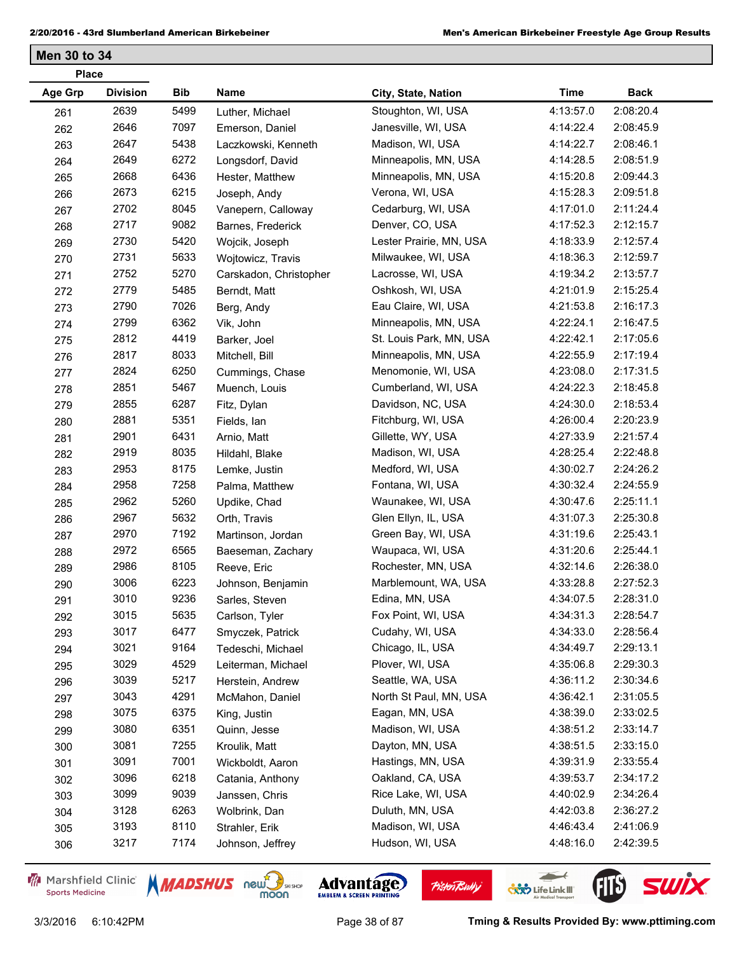**Men 30 to 34**

| <b>Place</b> |                 |      |                        |                         |             |             |  |
|--------------|-----------------|------|------------------------|-------------------------|-------------|-------------|--|
| Age Grp      | <b>Division</b> | Bib  | Name                   | City, State, Nation     | <b>Time</b> | <b>Back</b> |  |
| 261          | 2639            | 5499 | Luther, Michael        | Stoughton, WI, USA      | 4:13:57.0   | 2:08:20.4   |  |
| 262          | 2646            | 7097 | Emerson, Daniel        | Janesville, WI, USA     | 4:14:22.4   | 2:08:45.9   |  |
| 263          | 2647            | 5438 | Laczkowski, Kenneth    | Madison, WI, USA        | 4:14:22.7   | 2:08:46.1   |  |
| 264          | 2649            | 6272 | Longsdorf, David       | Minneapolis, MN, USA    | 4:14:28.5   | 2:08:51.9   |  |
| 265          | 2668            | 6436 | Hester, Matthew        | Minneapolis, MN, USA    | 4:15:20.8   | 2:09:44.3   |  |
| 266          | 2673            | 6215 | Joseph, Andy           | Verona, WI, USA         | 4:15:28.3   | 2:09:51.8   |  |
| 267          | 2702            | 8045 | Vanepern, Calloway     | Cedarburg, WI, USA      | 4:17:01.0   | 2:11:24.4   |  |
| 268          | 2717            | 9082 | Barnes, Frederick      | Denver, CO, USA         | 4:17:52.3   | 2:12:15.7   |  |
| 269          | 2730            | 5420 | Wojcik, Joseph         | Lester Prairie, MN, USA | 4:18:33.9   | 2:12:57.4   |  |
| 270          | 2731            | 5633 | Wojtowicz, Travis      | Milwaukee, WI, USA      | 4:18:36.3   | 2:12:59.7   |  |
| 271          | 2752            | 5270 | Carskadon, Christopher | Lacrosse, WI, USA       | 4:19:34.2   | 2:13:57.7   |  |
| 272          | 2779            | 5485 | Berndt, Matt           | Oshkosh, WI, USA        | 4:21:01.9   | 2:15:25.4   |  |
| 273          | 2790            | 7026 | Berg, Andy             | Eau Claire, WI, USA     | 4:21:53.8   | 2:16:17.3   |  |
| 274          | 2799            | 6362 | Vik, John              | Minneapolis, MN, USA    | 4:22:24.1   | 2:16:47.5   |  |
| 275          | 2812            | 4419 | Barker, Joel           | St. Louis Park, MN, USA | 4:22:42.1   | 2:17:05.6   |  |
| 276          | 2817            | 8033 | Mitchell, Bill         | Minneapolis, MN, USA    | 4:22:55.9   | 2:17:19.4   |  |
| 277          | 2824            | 6250 | Cummings, Chase        | Menomonie, WI, USA      | 4:23:08.0   | 2:17:31.5   |  |
| 278          | 2851            | 5467 | Muench, Louis          | Cumberland, WI, USA     | 4:24:22.3   | 2:18:45.8   |  |
| 279          | 2855            | 6287 | Fitz, Dylan            | Davidson, NC, USA       | 4:24:30.0   | 2:18:53.4   |  |
| 280          | 2881            | 5351 | Fields, Ian            | Fitchburg, WI, USA      | 4:26:00.4   | 2:20:23.9   |  |
| 281          | 2901            | 6431 | Arnio, Matt            | Gillette, WY, USA       | 4:27:33.9   | 2:21:57.4   |  |
| 282          | 2919            | 8035 | Hildahl, Blake         | Madison, WI, USA        | 4:28:25.4   | 2:22:48.8   |  |
| 283          | 2953            | 8175 | Lemke, Justin          | Medford, WI, USA        | 4:30:02.7   | 2:24:26.2   |  |
| 284          | 2958            | 7258 | Palma, Matthew         | Fontana, WI, USA        | 4:30:32.4   | 2:24:55.9   |  |
| 285          | 2962            | 5260 | Updike, Chad           | Waunakee, WI, USA       | 4:30:47.6   | 2:25:11.1   |  |
| 286          | 2967            | 5632 | Orth, Travis           | Glen Ellyn, IL, USA     | 4:31:07.3   | 2:25:30.8   |  |
| 287          | 2970            | 7192 | Martinson, Jordan      | Green Bay, WI, USA      | 4:31:19.6   | 2:25:43.1   |  |
| 288          | 2972            | 6565 | Baeseman, Zachary      | Waupaca, WI, USA        | 4:31:20.6   | 2:25:44.1   |  |
| 289          | 2986            | 8105 | Reeve, Eric            | Rochester, MN, USA      | 4:32:14.6   | 2:26:38.0   |  |
| 290          | 3006            | 6223 | Johnson, Benjamin      | Marblemount, WA, USA    | 4:33:28.8   | 2:27:52.3   |  |
| 291          | 3010            | 9236 | Sarles, Steven         | Edina, MN, USA          | 4:34:07.5   | 2:28:31.0   |  |
| 292          | 3015            | 5635 | Carlson, Tyler         | Fox Point, WI, USA      | 4:34:31.3   | 2:28:54.7   |  |
| 293          | 3017            | 6477 | Smyczek, Patrick       | Cudahy, WI, USA         | 4:34:33.0   | 2:28:56.4   |  |
| 294          | 3021            | 9164 | Tedeschi, Michael      | Chicago, IL, USA        | 4:34:49.7   | 2:29:13.1   |  |
| 295          | 3029            | 4529 | Leiterman, Michael     | Plover, WI, USA         | 4:35:06.8   | 2:29:30.3   |  |
| 296          | 3039            | 5217 | Herstein, Andrew       | Seattle, WA, USA        | 4:36:11.2   | 2:30:34.6   |  |
| 297          | 3043            | 4291 | McMahon, Daniel        | North St Paul, MN, USA  | 4:36:42.1   | 2:31:05.5   |  |
| 298          | 3075            | 6375 | King, Justin           | Eagan, MN, USA          | 4:38:39.0   | 2:33:02.5   |  |
| 299          | 3080            | 6351 | Quinn, Jesse           | Madison, WI, USA        | 4:38:51.2   | 2:33:14.7   |  |
| 300          | 3081            | 7255 | Kroulik, Matt          | Dayton, MN, USA         | 4:38:51.5   | 2:33:15.0   |  |
| 301          | 3091            | 7001 | Wickboldt, Aaron       | Hastings, MN, USA       | 4:39:31.9   | 2:33:55.4   |  |
| 302          | 3096            | 6218 | Catania, Anthony       | Oakland, CA, USA        | 4:39:53.7   | 2:34:17.2   |  |
| 303          | 3099            | 9039 | Janssen, Chris         | Rice Lake, WI, USA      | 4:40:02.9   | 2:34:26.4   |  |
| 304          | 3128            | 6263 | Wolbrink, Dan          | Duluth, MN, USA         | 4:42:03.8   | 2:36:27.2   |  |
| 305          | 3193            | 8110 | Strahler, Erik         | Madison, WI, USA        | 4:46:43.4   | 2:41:06.9   |  |
| 306          | 3217            | 7174 | Johnson, Jeffrey       | Hudson, WI, USA         | 4:48:16.0   | 2:42:39.5   |  |
|              |                 |      |                        |                         |             |             |  |

Marshfield Clinic **Sports Medicine** 





**Pisten Bully** 

3/3/2016 6:10:42PM Page 38 of 87 **Tming & Results Provided By: www.pttiming.com**

 $\leftarrow$ 

**COND** Life Link III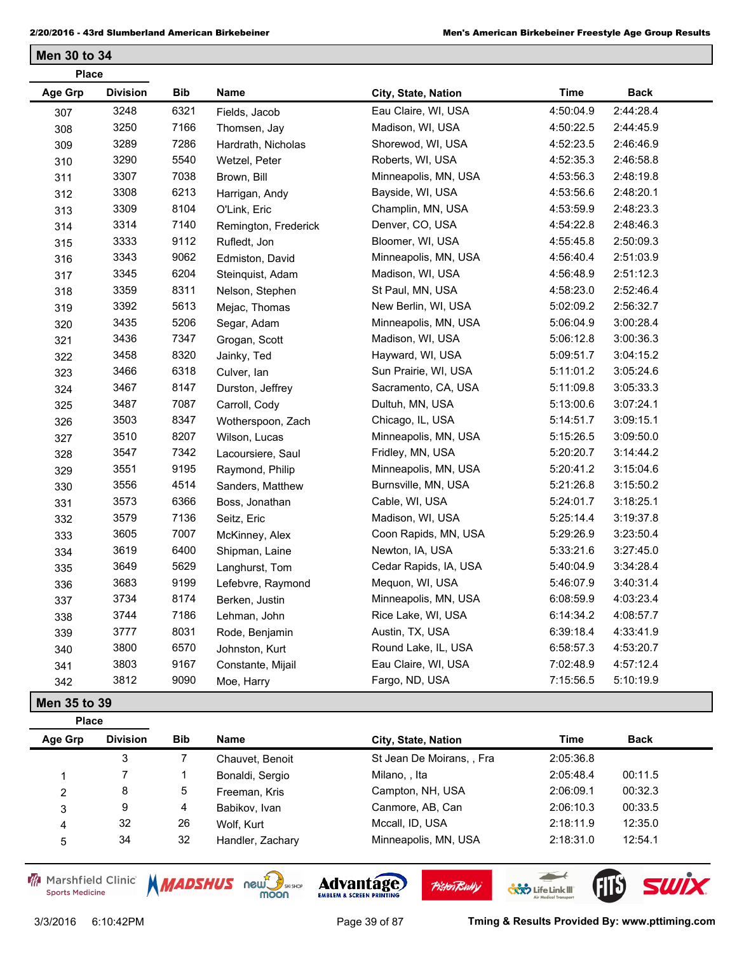**Men 30 to 34**

| <b>Place</b>   |                 |      |                      |                       |             |             |  |  |
|----------------|-----------------|------|----------------------|-----------------------|-------------|-------------|--|--|
| <b>Age Grp</b> | <b>Division</b> | Bib  | Name                 | City, State, Nation   | <b>Time</b> | <b>Back</b> |  |  |
| 307            | 3248            | 6321 | Fields, Jacob        | Eau Claire, WI, USA   | 4:50:04.9   | 2:44:28.4   |  |  |
| 308            | 3250            | 7166 | Thomsen, Jay         | Madison, WI, USA      | 4:50:22.5   | 2:44:45.9   |  |  |
| 309            | 3289            | 7286 | Hardrath, Nicholas   | Shorewod, WI, USA     | 4:52:23.5   | 2:46:46.9   |  |  |
| 310            | 3290            | 5540 | Wetzel, Peter        | Roberts, WI, USA      | 4:52:35.3   | 2:46:58.8   |  |  |
| 311            | 3307            | 7038 | Brown, Bill          | Minneapolis, MN, USA  | 4:53:56.3   | 2:48:19.8   |  |  |
| 312            | 3308            | 6213 | Harrigan, Andy       | Bayside, WI, USA      | 4:53:56.6   | 2:48:20.1   |  |  |
| 313            | 3309            | 8104 | O'Link, Eric         | Champlin, MN, USA     | 4:53:59.9   | 2:48:23.3   |  |  |
| 314            | 3314            | 7140 | Remington, Frederick | Denver, CO, USA       | 4:54:22.8   | 2:48:46.3   |  |  |
| 315            | 3333            | 9112 | Rufledt, Jon         | Bloomer, WI, USA      | 4:55:45.8   | 2:50:09.3   |  |  |
| 316            | 3343            | 9062 | Edmiston, David      | Minneapolis, MN, USA  | 4:56:40.4   | 2:51:03.9   |  |  |
| 317            | 3345            | 6204 | Steinquist, Adam     | Madison, WI, USA      | 4:56:48.9   | 2:51:12.3   |  |  |
| 318            | 3359            | 8311 | Nelson, Stephen      | St Paul, MN, USA      | 4:58:23.0   | 2:52:46.4   |  |  |
| 319            | 3392            | 5613 | Mejac, Thomas        | New Berlin, WI, USA   | 5:02:09.2   | 2:56:32.7   |  |  |
| 320            | 3435            | 5206 | Segar, Adam          | Minneapolis, MN, USA  | 5:06:04.9   | 3:00:28.4   |  |  |
| 321            | 3436            | 7347 | Grogan, Scott        | Madison, WI, USA      | 5:06:12.8   | 3:00:36.3   |  |  |
| 322            | 3458            | 8320 | Jainky, Ted          | Hayward, WI, USA      | 5:09:51.7   | 3:04:15.2   |  |  |
| 323            | 3466            | 6318 | Culver, Ian          | Sun Prairie, WI, USA  | 5:11:01.2   | 3:05:24.6   |  |  |
| 324            | 3467            | 8147 | Durston, Jeffrey     | Sacramento, CA, USA   | 5:11:09.8   | 3:05:33.3   |  |  |
| 325            | 3487            | 7087 | Carroll, Cody        | Dultuh, MN, USA       | 5:13:00.6   | 3:07:24.1   |  |  |
| 326            | 3503            | 8347 | Wotherspoon, Zach    | Chicago, IL, USA      | 5:14:51.7   | 3:09:15.1   |  |  |
| 327            | 3510            | 8207 | Wilson, Lucas        | Minneapolis, MN, USA  | 5:15:26.5   | 3:09:50.0   |  |  |
| 328            | 3547            | 7342 | Lacoursiere, Saul    | Fridley, MN, USA      | 5:20:20.7   | 3:14:44.2   |  |  |
| 329            | 3551            | 9195 | Raymond, Philip      | Minneapolis, MN, USA  | 5:20:41.2   | 3:15:04.6   |  |  |
| 330            | 3556            | 4514 | Sanders, Matthew     | Burnsville, MN, USA   | 5:21:26.8   | 3:15:50.2   |  |  |
| 331            | 3573            | 6366 | Boss, Jonathan       | Cable, WI, USA        | 5:24:01.7   | 3:18:25.1   |  |  |
| 332            | 3579            | 7136 | Seitz, Eric          | Madison, WI, USA      | 5:25:14.4   | 3:19:37.8   |  |  |
| 333            | 3605            | 7007 | McKinney, Alex       | Coon Rapids, MN, USA  | 5:29:26.9   | 3:23:50.4   |  |  |
| 334            | 3619            | 6400 | Shipman, Laine       | Newton, IA, USA       | 5:33:21.6   | 3:27:45.0   |  |  |
| 335            | 3649            | 5629 | Langhurst, Tom       | Cedar Rapids, IA, USA | 5:40:04.9   | 3:34:28.4   |  |  |
| 336            | 3683            | 9199 | Lefebvre, Raymond    | Mequon, WI, USA       | 5:46:07.9   | 3:40:31.4   |  |  |
| 337            | 3734            | 8174 | Berken, Justin       | Minneapolis, MN, USA  | 6:08:59.9   | 4:03:23.4   |  |  |
| 338            | 3744            | 7186 | Lehman, John         | Rice Lake, WI, USA    | 6:14:34.2   | 4:08:57.7   |  |  |
| 339            | 3777            | 8031 | Rode, Benjamin       | Austin, TX, USA       | 6:39:18.4   | 4:33:41.9   |  |  |
| 340            | 3800            | 6570 | Johnston, Kurt       | Round Lake, IL, USA   | 6:58:57.3   | 4:53:20.7   |  |  |
| 341            | 3803            | 9167 | Constante, Mijail    | Eau Claire, WI, USA   | 7:02:48.9   | 4:57:12.4   |  |  |
| 342            | 3812            | 9090 | Moe, Harry           | Fargo, ND, USA        | 7:15:56.5   | 5:10:19.9   |  |  |
| Men 35 to 39   |                 |      |                      |                       |             |             |  |  |

| <b>Place</b> |                 |            |                  |                           |           |             |
|--------------|-----------------|------------|------------------|---------------------------|-----------|-------------|
| Age Grp      | <b>Division</b> | <b>Bib</b> | Name             | City, State, Nation       | Time      | <b>Back</b> |
|              | 3               |            | Chauvet, Benoit  | St Jean De Moirans, , Fra | 2:05:36.8 |             |
|              |                 |            | Bonaldi, Sergio  | Milano, , Ita             | 2:05:48.4 | 00:11.5     |
| 2            | 8               | 5          | Freeman, Kris    | Campton, NH, USA          | 2:06:09.1 | 00:32.3     |
| 3            | 9               | 4          | Babikov, Ivan    | Canmore, AB, Can          | 2:06:10.3 | 00:33.5     |
| 4            | 32              | 26         | Wolf. Kurt       | Mccall, ID, USA           | 2:18:11.9 | 12:35.0     |
| 5            | 34              | 32         | Handler, Zachary | Minneapolis, MN, USA      | 2:18:31.0 | 12:54.1     |

Marshfield Clinic **Sports Medicine** 





**Pisten Bully** 

3/3/2016 6:10:42PM Page 39 of 87 **Tming & Results Provided By: www.pttiming.com**

 $\overline{\phantom{a}}$ 

**COND** Life Link III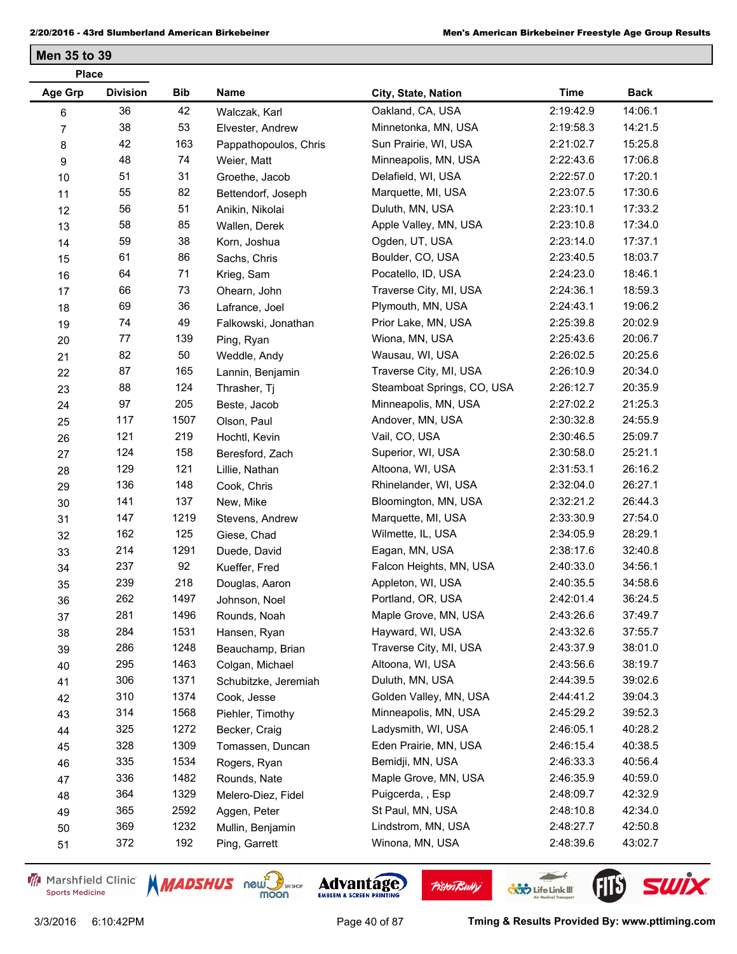| Age Grp<br><b>Division</b><br><b>Bib</b><br>Name<br><b>Time</b><br>City, State, Nation<br>36<br>42<br>Oakland, CA, USA<br>2:19:42.9<br>Walczak, Karl<br>6<br>53<br>38<br>Minnetonka, MN, USA<br>2:19:58.3<br>$\overline{7}$<br>Elvester, Andrew<br>42<br>163<br>Sun Prairie, WI, USA<br>2:21:02.7<br>8<br>Pappathopoulos, Chris<br>48<br>74<br>Minneapolis, MN, USA<br>2:22:43.6<br>9<br>Weier, Matt<br>51<br>31<br>Delafield, WI, USA<br>2:22:57.0<br>10<br>Groethe, Jacob<br>55<br>82<br>Marquette, MI, USA<br>2:23:07.5<br>Bettendorf, Joseph<br>11<br>56<br>51<br>Duluth, MN, USA<br>2:23:10.1 | <b>Back</b> |
|----------------------------------------------------------------------------------------------------------------------------------------------------------------------------------------------------------------------------------------------------------------------------------------------------------------------------------------------------------------------------------------------------------------------------------------------------------------------------------------------------------------------------------------------------------------------------------------------------|-------------|
|                                                                                                                                                                                                                                                                                                                                                                                                                                                                                                                                                                                                    |             |
|                                                                                                                                                                                                                                                                                                                                                                                                                                                                                                                                                                                                    | 14:06.1     |
|                                                                                                                                                                                                                                                                                                                                                                                                                                                                                                                                                                                                    | 14:21.5     |
|                                                                                                                                                                                                                                                                                                                                                                                                                                                                                                                                                                                                    | 15:25.8     |
|                                                                                                                                                                                                                                                                                                                                                                                                                                                                                                                                                                                                    | 17:06.8     |
|                                                                                                                                                                                                                                                                                                                                                                                                                                                                                                                                                                                                    | 17:20.1     |
|                                                                                                                                                                                                                                                                                                                                                                                                                                                                                                                                                                                                    | 17:30.6     |
| 12<br>Anikin, Nikolai                                                                                                                                                                                                                                                                                                                                                                                                                                                                                                                                                                              | 17:33.2     |
| 58<br>85<br>2:23:10.8<br>Apple Valley, MN, USA<br>13<br>Wallen, Derek                                                                                                                                                                                                                                                                                                                                                                                                                                                                                                                              | 17:34.0     |
| 59<br>38<br>Ogden, UT, USA<br>2:23:14.0<br>Korn, Joshua<br>14                                                                                                                                                                                                                                                                                                                                                                                                                                                                                                                                      | 17:37.1     |
| 61<br>86<br>Boulder, CO, USA<br>2:23:40.5<br>Sachs, Chris<br>15                                                                                                                                                                                                                                                                                                                                                                                                                                                                                                                                    | 18:03.7     |
| 64<br>71<br>Pocatello, ID, USA<br>2:24:23.0<br>Krieg, Sam<br>16                                                                                                                                                                                                                                                                                                                                                                                                                                                                                                                                    | 18:46.1     |
| 66<br>73<br>Traverse City, MI, USA<br>2:24:36.1<br>Ohearn, John<br>17                                                                                                                                                                                                                                                                                                                                                                                                                                                                                                                              | 18:59.3     |
| 69<br>36<br>Plymouth, MN, USA<br>2:24:43.1<br>Lafrance, Joel<br>18                                                                                                                                                                                                                                                                                                                                                                                                                                                                                                                                 | 19:06.2     |
| 74<br>49<br>Prior Lake, MN, USA<br>2:25:39.8<br>Falkowski, Jonathan<br>19                                                                                                                                                                                                                                                                                                                                                                                                                                                                                                                          | 20:02.9     |
| 139<br>77<br>Wiona, MN, USA<br>2:25:43.6<br>$20\,$<br>Ping, Ryan                                                                                                                                                                                                                                                                                                                                                                                                                                                                                                                                   | 20:06.7     |
| 82<br>50<br>2:26:02.5<br>Wausau, WI, USA<br>Weddle, Andy<br>21                                                                                                                                                                                                                                                                                                                                                                                                                                                                                                                                     | 20:25.6     |
| 87<br>165<br>Traverse City, MI, USA<br>2:26:10.9<br>22<br>Lannin, Benjamin                                                                                                                                                                                                                                                                                                                                                                                                                                                                                                                         | 20:34.0     |
| 88<br>124<br>Steamboat Springs, CO, USA<br>2:26:12.7<br>Thrasher, Tj<br>23                                                                                                                                                                                                                                                                                                                                                                                                                                                                                                                         | 20:35.9     |
| 97<br>205<br>Minneapolis, MN, USA<br>2:27:02.2<br>Beste, Jacob<br>24                                                                                                                                                                                                                                                                                                                                                                                                                                                                                                                               | 21:25.3     |
| 117<br>1507<br>Andover, MN, USA<br>2:30:32.8<br>Olson, Paul<br>25                                                                                                                                                                                                                                                                                                                                                                                                                                                                                                                                  | 24:55.9     |
| 121<br>219<br>Vail, CO, USA<br>2:30:46.5<br>26<br>Hochtl, Kevin                                                                                                                                                                                                                                                                                                                                                                                                                                                                                                                                    | 25:09.7     |
| 124<br>158<br>Superior, WI, USA<br>2:30:58.0<br>Beresford, Zach<br>27                                                                                                                                                                                                                                                                                                                                                                                                                                                                                                                              | 25:21.1     |
| 129<br>121<br>Altoona, WI, USA<br>2:31:53.1<br>Lillie, Nathan<br>28                                                                                                                                                                                                                                                                                                                                                                                                                                                                                                                                | 26:16.2     |
| 136<br>148<br>Rhinelander, WI, USA<br>2:32:04.0<br>Cook, Chris<br>29                                                                                                                                                                                                                                                                                                                                                                                                                                                                                                                               | 26:27.1     |
| 141<br>137<br>2:32:21.2<br>Bloomington, MN, USA<br>New, Mike<br>30                                                                                                                                                                                                                                                                                                                                                                                                                                                                                                                                 | 26:44.3     |
| 147<br>1219<br>2:33:30.9<br>Marquette, MI, USA<br>31<br>Stevens, Andrew                                                                                                                                                                                                                                                                                                                                                                                                                                                                                                                            | 27:54.0     |
| 162<br>125<br>Wilmette, IL, USA<br>2:34:05.9<br>Giese, Chad<br>32                                                                                                                                                                                                                                                                                                                                                                                                                                                                                                                                  | 28:29.1     |
| 214<br>1291<br>Eagan, MN, USA<br>2:38:17.6<br>Duede, David<br>33                                                                                                                                                                                                                                                                                                                                                                                                                                                                                                                                   | 32:40.8     |
| 237<br>92<br>Falcon Heights, MN, USA<br>2:40:33.0<br>Kueffer, Fred<br>34                                                                                                                                                                                                                                                                                                                                                                                                                                                                                                                           | 34:56.1     |
| 239<br>218<br>Appleton, WI, USA<br>2:40:35.5<br>Douglas, Aaron<br>35                                                                                                                                                                                                                                                                                                                                                                                                                                                                                                                               | 34:58.6     |
| 262<br>1497<br>Portland, OR, USA<br>2:42:01.4<br>36<br>Johnson, Noel                                                                                                                                                                                                                                                                                                                                                                                                                                                                                                                               | 36:24.5     |
| 281<br>1496<br>2:43:26.6<br>Maple Grove, MN, USA<br>Rounds, Noah<br>37                                                                                                                                                                                                                                                                                                                                                                                                                                                                                                                             | 37:49.7     |
| 284<br>1531<br>Hayward, WI, USA<br>2:43:32.6<br>Hansen, Ryan<br>38                                                                                                                                                                                                                                                                                                                                                                                                                                                                                                                                 | 37:55.7     |
| 286<br>1248<br>Traverse City, MI, USA<br>2:43:37.9<br>Beauchamp, Brian<br>39                                                                                                                                                                                                                                                                                                                                                                                                                                                                                                                       | 38:01.0     |
| 295<br>1463<br>Altoona, WI, USA<br>2:43:56.6<br>Colgan, Michael<br>40                                                                                                                                                                                                                                                                                                                                                                                                                                                                                                                              | 38:19.7     |
| 306<br>1371<br>Duluth, MN, USA<br>2:44:39.5<br>Schubitzke, Jeremiah<br>41                                                                                                                                                                                                                                                                                                                                                                                                                                                                                                                          | 39:02.6     |
| 310<br>1374<br>Golden Valley, MN, USA<br>2:44:41.2<br>Cook, Jesse<br>42                                                                                                                                                                                                                                                                                                                                                                                                                                                                                                                            | 39:04.3     |
| 314<br>1568<br>Minneapolis, MN, USA<br>2:45:29.2<br>Piehler, Timothy<br>43                                                                                                                                                                                                                                                                                                                                                                                                                                                                                                                         | 39:52.3     |
| 1272<br>325<br>Ladysmith, WI, USA<br>2:46:05.1<br>Becker, Craig<br>44                                                                                                                                                                                                                                                                                                                                                                                                                                                                                                                              | 40:28.2     |
| 328<br>1309<br>Eden Prairie, MN, USA<br>2:46:15.4<br>Tomassen, Duncan<br>45                                                                                                                                                                                                                                                                                                                                                                                                                                                                                                                        | 40:38.5     |
| 335<br>1534<br>Bemidji, MN, USA<br>2:46:33.3<br>Rogers, Ryan<br>46                                                                                                                                                                                                                                                                                                                                                                                                                                                                                                                                 | 40:56.4     |
| 336<br>1482<br>Maple Grove, MN, USA<br>2:46:35.9<br>Rounds, Nate<br>47                                                                                                                                                                                                                                                                                                                                                                                                                                                                                                                             | 40:59.0     |
| 1329<br>364<br>Puigcerda, , Esp<br>2:48:09.7<br>Melero-Diez, Fidel<br>48                                                                                                                                                                                                                                                                                                                                                                                                                                                                                                                           | 42:32.9     |
| 365<br>2592<br>St Paul, MN, USA<br>2:48:10.8<br>Aggen, Peter<br>49                                                                                                                                                                                                                                                                                                                                                                                                                                                                                                                                 | 42:34.0     |
| 369<br>1232<br>Lindstrom, MN, USA<br>2:48:27.7<br>Mullin, Benjamin<br>50                                                                                                                                                                                                                                                                                                                                                                                                                                                                                                                           | 42:50.8     |
| 372<br>192<br>Winona, MN, USA<br>2:48:39.6<br>Ping, Garrett<br>51                                                                                                                                                                                                                                                                                                                                                                                                                                                                                                                                  | 43:02.7     |

Marshfield Clinic **Sports Medicine** 







 $\leftarrow$ 

**COND** Life Link III

FIL'S SWIX

**Pisten Bully**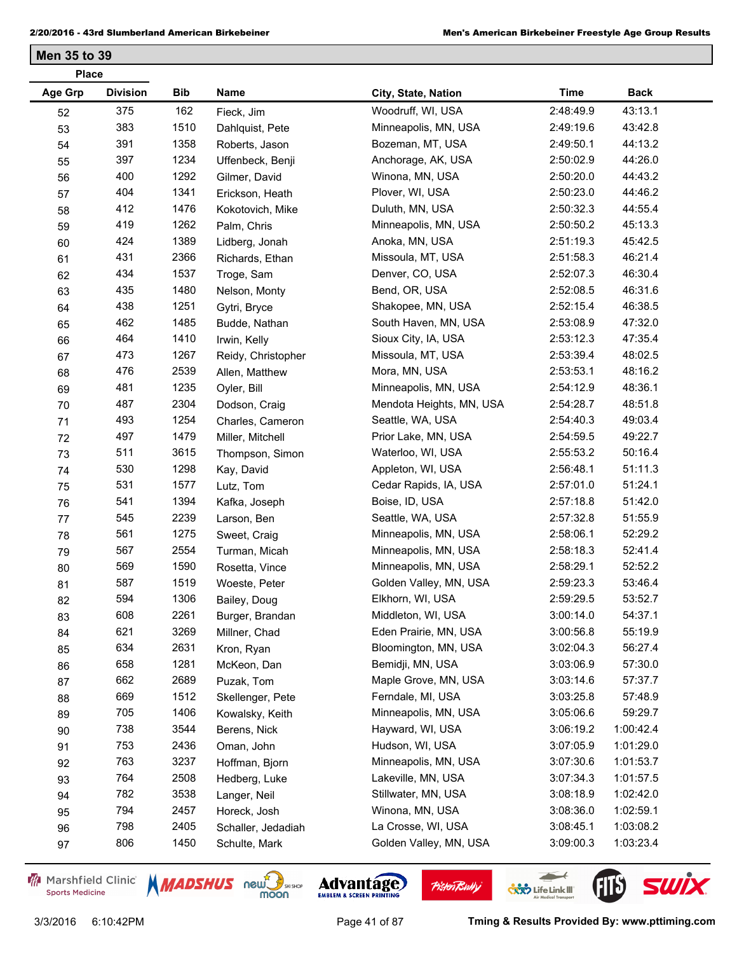|         | <b>Place</b>    |            |                    |                          |             |             |  |  |  |
|---------|-----------------|------------|--------------------|--------------------------|-------------|-------------|--|--|--|
| Age Grp | <b>Division</b> | <b>Bib</b> | Name               | City, State, Nation      | <b>Time</b> | <b>Back</b> |  |  |  |
| 52      | 375             | 162        | Fieck, Jim         | Woodruff, WI, USA        | 2:48:49.9   | 43:13.1     |  |  |  |
| 53      | 383             | 1510       | Dahlquist, Pete    | Minneapolis, MN, USA     | 2:49:19.6   | 43:42.8     |  |  |  |
| 54      | 391             | 1358       | Roberts, Jason     | Bozeman, MT, USA         | 2:49:50.1   | 44:13.2     |  |  |  |
| 55      | 397             | 1234       | Uffenbeck, Benji   | Anchorage, AK, USA       | 2:50:02.9   | 44:26.0     |  |  |  |
| 56      | 400             | 1292       | Gilmer, David      | Winona, MN, USA          | 2:50:20.0   | 44:43.2     |  |  |  |
| 57      | 404             | 1341       | Erickson, Heath    | Plover, WI, USA          | 2:50:23.0   | 44:46.2     |  |  |  |
| 58      | 412             | 1476       | Kokotovich, Mike   | Duluth, MN, USA          | 2:50:32.3   | 44:55.4     |  |  |  |
| 59      | 419             | 1262       | Palm, Chris        | Minneapolis, MN, USA     | 2:50:50.2   | 45:13.3     |  |  |  |
| 60      | 424             | 1389       | Lidberg, Jonah     | Anoka, MN, USA           | 2:51:19.3   | 45:42.5     |  |  |  |
| 61      | 431             | 2366       | Richards, Ethan    | Missoula, MT, USA        | 2:51:58.3   | 46:21.4     |  |  |  |
| 62      | 434             | 1537       | Troge, Sam         | Denver, CO, USA          | 2:52:07.3   | 46:30.4     |  |  |  |
| 63      | 435             | 1480       | Nelson, Monty      | Bend, OR, USA            | 2:52:08.5   | 46:31.6     |  |  |  |
| 64      | 438             | 1251       | Gytri, Bryce       | Shakopee, MN, USA        | 2:52:15.4   | 46:38.5     |  |  |  |
| 65      | 462             | 1485       | Budde, Nathan      | South Haven, MN, USA     | 2:53:08.9   | 47:32.0     |  |  |  |
| 66      | 464             | 1410       | Irwin, Kelly       | Sioux City, IA, USA      | 2:53:12.3   | 47:35.4     |  |  |  |
| 67      | 473             | 1267       | Reidy, Christopher | Missoula, MT, USA        | 2:53:39.4   | 48:02.5     |  |  |  |
| 68      | 476             | 2539       | Allen, Matthew     | Mora, MN, USA            | 2:53:53.1   | 48:16.2     |  |  |  |
| 69      | 481             | 1235       | Oyler, Bill        | Minneapolis, MN, USA     | 2:54:12.9   | 48:36.1     |  |  |  |
| 70      | 487             | 2304       | Dodson, Craig      | Mendota Heights, MN, USA | 2:54:28.7   | 48:51.8     |  |  |  |
| 71      | 493             | 1254       | Charles, Cameron   | Seattle, WA, USA         | 2:54:40.3   | 49:03.4     |  |  |  |
| 72      | 497             | 1479       | Miller, Mitchell   | Prior Lake, MN, USA      | 2:54:59.5   | 49:22.7     |  |  |  |
| 73      | 511             | 3615       | Thompson, Simon    | Waterloo, WI, USA        | 2:55:53.2   | 50:16.4     |  |  |  |
| 74      | 530             | 1298       | Kay, David         | Appleton, WI, USA        | 2:56:48.1   | 51:11.3     |  |  |  |
| 75      | 531             | 1577       | Lutz, Tom          | Cedar Rapids, IA, USA    | 2:57:01.0   | 51:24.1     |  |  |  |
| 76      | 541             | 1394       | Kafka, Joseph      | Boise, ID, USA           | 2:57:18.8   | 51:42.0     |  |  |  |
| 77      | 545             | 2239       | Larson, Ben        | Seattle, WA, USA         | 2:57:32.8   | 51:55.9     |  |  |  |
| 78      | 561             | 1275       | Sweet, Craig       | Minneapolis, MN, USA     | 2:58:06.1   | 52:29.2     |  |  |  |
| 79      | 567             | 2554       | Turman, Micah      | Minneapolis, MN, USA     | 2:58:18.3   | 52:41.4     |  |  |  |
| 80      | 569             | 1590       | Rosetta, Vince     | Minneapolis, MN, USA     | 2:58:29.1   | 52:52.2     |  |  |  |
| 81      | 587             | 1519       | Woeste, Peter      | Golden Valley, MN, USA   | 2:59:23.3   | 53:46.4     |  |  |  |
| 82      | 594             | 1306       | Bailey, Doug       | Elkhorn, WI, USA         | 2:59:29.5   | 53:52.7     |  |  |  |
| 83      | 608             | 2261       | Burger, Brandan    | Middleton, WI, USA       | 3:00:14.0   | 54:37.1     |  |  |  |
| 84      | 621             | 3269       | Millner, Chad      | Eden Prairie, MN, USA    | 3:00:56.8   | 55:19.9     |  |  |  |
| 85      | 634             | 2631       | Kron, Ryan         | Bloomington, MN, USA     | 3:02:04.3   | 56:27.4     |  |  |  |
| 86      | 658             | 1281       | McKeon, Dan        | Bemidji, MN, USA         | 3:03:06.9   | 57:30.0     |  |  |  |
| 87      | 662             | 2689       | Puzak, Tom         | Maple Grove, MN, USA     | 3:03:14.6   | 57:37.7     |  |  |  |
| 88      | 669             | 1512       | Skellenger, Pete   | Ferndale, MI, USA        | 3:03:25.8   | 57:48.9     |  |  |  |
| 89      | 705             | 1406       | Kowalsky, Keith    | Minneapolis, MN, USA     | 3:05:06.6   | 59:29.7     |  |  |  |
| 90      | 738             | 3544       | Berens, Nick       | Hayward, WI, USA         | 3:06:19.2   | 1:00:42.4   |  |  |  |
| 91      | 753             | 2436       | Oman, John         | Hudson, WI, USA          | 3:07:05.9   | 1:01:29.0   |  |  |  |
| 92      | 763             | 3237       | Hoffman, Bjorn     | Minneapolis, MN, USA     | 3:07:30.6   | 1:01:53.7   |  |  |  |
| 93      | 764             | 2508       | Hedberg, Luke      | Lakeville, MN, USA       | 3:07:34.3   | 1:01:57.5   |  |  |  |
| 94      | 782             | 3538       | Langer, Neil       | Stillwater, MN, USA      | 3:08:18.9   | 1:02:42.0   |  |  |  |
| 95      | 794             | 2457       | Horeck, Josh       | Winona, MN, USA          | 3:08:36.0   | 1:02:59.1   |  |  |  |
| 96      | 798             | 2405       | Schaller, Jedadiah | La Crosse, WI, USA       | 3:08:45.1   | 1:03:08.2   |  |  |  |
| 97      | 806             | 1450       | Schulte, Mark      | Golden Valley, MN, USA   | 3:09:00.3   | 1:03:23.4   |  |  |  |
|         |                 |            |                    |                          |             |             |  |  |  |

Marshfield Clinic **Sports Medicine** 







**Pisten Bully** 

3/3/2016 6:10:42PM Page 41 of 87 **Tming & Results Provided By: www.pttiming.com**

 $\leftarrow$ 

**COND** Life Link III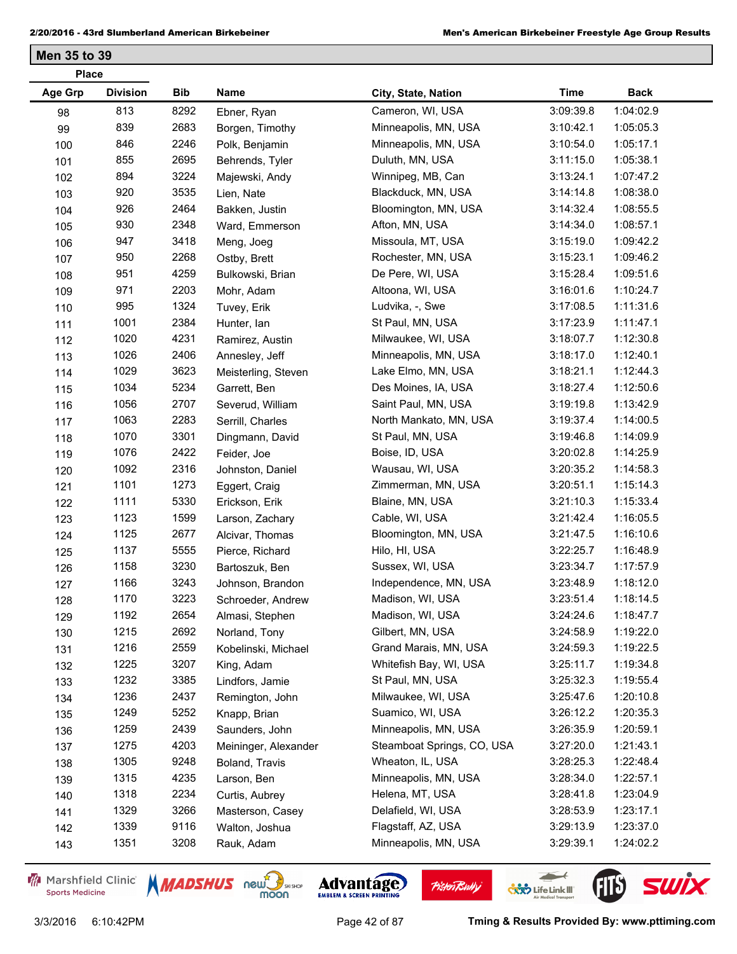| <b>Age Grp</b><br><b>Division</b><br>Bib<br>Name<br><b>Time</b><br><b>Back</b><br>City, State, Nation<br>813<br>8292<br>Cameron, WI, USA<br>3:09:39.8<br>1:04:02.9<br>Ebner, Ryan<br>98<br>839<br>2683<br>Minneapolis, MN, USA<br>3:10:42.1<br>1:05:05.3<br>99<br>Borgen, Timothy<br>846<br>2246<br>Minneapolis, MN, USA<br>1:05:17.1<br>3:10:54.0<br>Polk, Benjamin<br>100<br>855<br>2695<br>1:05:38.1<br>Duluth, MN, USA<br>3:11:15.0<br>Behrends, Tyler<br>101<br>894<br>3224<br>1:07:47.2<br>Winnipeg, MB, Can<br>3:13:24.1<br>102<br>Majewski, Andy<br>920<br>3535<br>Blackduck, MN, USA<br>1:08:38.0<br>3:14:14.8<br>103<br>Lien, Nate<br>926<br>2464<br>Bloomington, MN, USA<br>3:14:32.4<br>1:08:55.5<br>Bakken, Justin<br>104<br>930<br>2348<br>1:08:57.1<br>Afton, MN, USA<br>3:14:34.0<br>105<br>Ward, Emmerson<br>3418<br>947<br>1:09:42.2<br>Missoula, MT, USA<br>3:15:19.0<br>Meng, Joeg<br>106<br>950<br>2268<br>1:09:46.2<br>Rochester, MN, USA<br>3:15:23.1<br>Ostby, Brett<br>107<br>951<br>4259<br>1:09:51.6<br>De Pere, WI, USA<br>3:15:28.4<br>Bulkowski, Brian<br>108<br>971<br>2203<br>1:10:24.7<br>Altoona, WI, USA<br>3:16:01.6<br>109<br>Mohr, Adam<br>995<br>1324<br>1:11:31.6<br>Ludvika, -, Swe<br>3:17:08.5<br>110<br>Tuvey, Erik<br>1001<br>2384<br>1:11:47.1<br>St Paul, MN, USA<br>3:17:23.9<br>111<br>Hunter, Ian<br>1020<br>4231<br>1:12:30.8<br>Milwaukee, WI, USA<br>3:18:07.7<br>112<br>Ramirez, Austin<br>1026<br>2406<br>1:12:40.1<br>Minneapolis, MN, USA<br>3:18:17.0<br>Annesley, Jeff<br>113<br>1029<br>3623<br>Lake Elmo, MN, USA<br>3:18:21.1<br>1:12:44.3<br>114<br>Meisterling, Steven<br>5234<br>1034<br>Des Moines, IA, USA<br>3:18:27.4<br>1:12:50.6<br>Garrett, Ben<br>115<br>1056<br>2707<br>1:13:42.9<br>Saint Paul, MN, USA<br>3:19:19.8<br>Severud, William<br>116<br>1063<br>2283<br>1:14:00.5<br>North Mankato, MN, USA<br>3:19:37.4<br>Serrill, Charles<br>117<br>1070<br>3301<br>1:14:09.9<br>St Paul, MN, USA<br>3:19:46.8<br>Dingmann, David<br>118<br>1076<br>2422<br>1:14:25.9<br>Boise, ID, USA<br>3:20:02.8<br>119<br>Feider, Joe<br>1092<br>2316<br>1:14:58.3<br>Wausau, WI, USA<br>3:20:35.2<br>120<br>Johnston, Daniel<br>1101<br>1273<br>1:15:14.3<br>Zimmerman, MN, USA<br>3:20:51.1<br>Eggert, Craig<br>121<br>1111<br>5330<br>1:15:33.4<br>Blaine, MN, USA<br>3:21:10.3<br>Erickson, Erik<br>122<br>1123<br>1599<br>1:16:05.5<br>Cable, WI, USA<br>3:21:42.4<br>123<br>Larson, Zachary<br>1125<br>2677<br>1:16:10.6<br>Bloomington, MN, USA<br>3:21:47.5<br>Alcivar, Thomas<br>124<br>1137<br>5555<br>3:22:25.7<br>1:16:48.9<br>Hilo, HI, USA<br>Pierce, Richard<br>125<br>1158<br>3230<br>1:17:57.9<br>Sussex, WI, USA<br>3:23:34.7<br>Bartoszuk, Ben<br>126<br>1166<br>3243<br>1:18:12.0<br>Independence, MN, USA<br>3:23:48.9<br>Johnson, Brandon<br>127<br>3223<br>1170<br>Madison, WI, USA<br>1:18:14.5<br>3:23:51.4<br>Schroeder, Andrew<br>128<br>1192<br>2654<br>Madison, WI, USA<br>3:24:24.6<br>1:18:47.7<br>Almasi, Stephen<br>129<br>1215<br>2692<br>1:19:22.0<br>Gilbert, MN, USA<br>3:24:58.9<br>Norland, Tony<br>130<br>1216<br>2559<br>Grand Marais, MN, USA<br>1:19:22.5<br>3:24:59.3<br>Kobelinski, Michael<br>131<br>1225<br>3207<br>Whitefish Bay, WI, USA<br>3:25:11.7<br>1:19:34.8<br>King, Adam<br>132<br>1232<br>3385<br>St Paul, MN, USA<br>3:25:32.3<br>1:19:55.4<br>Lindfors, Jamie<br>133<br>1236<br>2437<br>1:20:10.8<br>Milwaukee, WI, USA<br>3:25:47.6<br>Remington, John<br>134<br>1249<br>5252<br>Suamico, WI, USA<br>1:20:35.3<br>3:26:12.2<br>Knapp, Brian<br>135<br>2439<br>Minneapolis, MN, USA<br>1259<br>3:26:35.9<br>1:20:59.1<br>Saunders, John<br>136<br>1275<br>4203<br>Steamboat Springs, CO, USA<br>1:21:43.1<br>3:27:20.0<br>Meininger, Alexander<br>137<br>1305<br>9248<br>1:22:48.4<br>Wheaton, IL, USA<br>3:28:25.3<br>Boland, Travis<br>138 | <b>Place</b> |  |  |  |  |  |  |  |
|------------------------------------------------------------------------------------------------------------------------------------------------------------------------------------------------------------------------------------------------------------------------------------------------------------------------------------------------------------------------------------------------------------------------------------------------------------------------------------------------------------------------------------------------------------------------------------------------------------------------------------------------------------------------------------------------------------------------------------------------------------------------------------------------------------------------------------------------------------------------------------------------------------------------------------------------------------------------------------------------------------------------------------------------------------------------------------------------------------------------------------------------------------------------------------------------------------------------------------------------------------------------------------------------------------------------------------------------------------------------------------------------------------------------------------------------------------------------------------------------------------------------------------------------------------------------------------------------------------------------------------------------------------------------------------------------------------------------------------------------------------------------------------------------------------------------------------------------------------------------------------------------------------------------------------------------------------------------------------------------------------------------------------------------------------------------------------------------------------------------------------------------------------------------------------------------------------------------------------------------------------------------------------------------------------------------------------------------------------------------------------------------------------------------------------------------------------------------------------------------------------------------------------------------------------------------------------------------------------------------------------------------------------------------------------------------------------------------------------------------------------------------------------------------------------------------------------------------------------------------------------------------------------------------------------------------------------------------------------------------------------------------------------------------------------------------------------------------------------------------------------------------------------------------------------------------------------------------------------------------------------------------------------------------------------------------------------------------------------------------------------------------------------------------------------------------------------------------------------------------------------------------------------------------------------------------------------------------------------------------------------------------------------------------------------------------------------------------------------------------------------------------------------------------------------------------------------------------------------------------|--------------|--|--|--|--|--|--|--|
|                                                                                                                                                                                                                                                                                                                                                                                                                                                                                                                                                                                                                                                                                                                                                                                                                                                                                                                                                                                                                                                                                                                                                                                                                                                                                                                                                                                                                                                                                                                                                                                                                                                                                                                                                                                                                                                                                                                                                                                                                                                                                                                                                                                                                                                                                                                                                                                                                                                                                                                                                                                                                                                                                                                                                                                                                                                                                                                                                                                                                                                                                                                                                                                                                                                                                                                                                                                                                                                                                                                                                                                                                                                                                                                                                                                                                                                                        |              |  |  |  |  |  |  |  |
|                                                                                                                                                                                                                                                                                                                                                                                                                                                                                                                                                                                                                                                                                                                                                                                                                                                                                                                                                                                                                                                                                                                                                                                                                                                                                                                                                                                                                                                                                                                                                                                                                                                                                                                                                                                                                                                                                                                                                                                                                                                                                                                                                                                                                                                                                                                                                                                                                                                                                                                                                                                                                                                                                                                                                                                                                                                                                                                                                                                                                                                                                                                                                                                                                                                                                                                                                                                                                                                                                                                                                                                                                                                                                                                                                                                                                                                                        |              |  |  |  |  |  |  |  |
|                                                                                                                                                                                                                                                                                                                                                                                                                                                                                                                                                                                                                                                                                                                                                                                                                                                                                                                                                                                                                                                                                                                                                                                                                                                                                                                                                                                                                                                                                                                                                                                                                                                                                                                                                                                                                                                                                                                                                                                                                                                                                                                                                                                                                                                                                                                                                                                                                                                                                                                                                                                                                                                                                                                                                                                                                                                                                                                                                                                                                                                                                                                                                                                                                                                                                                                                                                                                                                                                                                                                                                                                                                                                                                                                                                                                                                                                        |              |  |  |  |  |  |  |  |
|                                                                                                                                                                                                                                                                                                                                                                                                                                                                                                                                                                                                                                                                                                                                                                                                                                                                                                                                                                                                                                                                                                                                                                                                                                                                                                                                                                                                                                                                                                                                                                                                                                                                                                                                                                                                                                                                                                                                                                                                                                                                                                                                                                                                                                                                                                                                                                                                                                                                                                                                                                                                                                                                                                                                                                                                                                                                                                                                                                                                                                                                                                                                                                                                                                                                                                                                                                                                                                                                                                                                                                                                                                                                                                                                                                                                                                                                        |              |  |  |  |  |  |  |  |
|                                                                                                                                                                                                                                                                                                                                                                                                                                                                                                                                                                                                                                                                                                                                                                                                                                                                                                                                                                                                                                                                                                                                                                                                                                                                                                                                                                                                                                                                                                                                                                                                                                                                                                                                                                                                                                                                                                                                                                                                                                                                                                                                                                                                                                                                                                                                                                                                                                                                                                                                                                                                                                                                                                                                                                                                                                                                                                                                                                                                                                                                                                                                                                                                                                                                                                                                                                                                                                                                                                                                                                                                                                                                                                                                                                                                                                                                        |              |  |  |  |  |  |  |  |
|                                                                                                                                                                                                                                                                                                                                                                                                                                                                                                                                                                                                                                                                                                                                                                                                                                                                                                                                                                                                                                                                                                                                                                                                                                                                                                                                                                                                                                                                                                                                                                                                                                                                                                                                                                                                                                                                                                                                                                                                                                                                                                                                                                                                                                                                                                                                                                                                                                                                                                                                                                                                                                                                                                                                                                                                                                                                                                                                                                                                                                                                                                                                                                                                                                                                                                                                                                                                                                                                                                                                                                                                                                                                                                                                                                                                                                                                        |              |  |  |  |  |  |  |  |
|                                                                                                                                                                                                                                                                                                                                                                                                                                                                                                                                                                                                                                                                                                                                                                                                                                                                                                                                                                                                                                                                                                                                                                                                                                                                                                                                                                                                                                                                                                                                                                                                                                                                                                                                                                                                                                                                                                                                                                                                                                                                                                                                                                                                                                                                                                                                                                                                                                                                                                                                                                                                                                                                                                                                                                                                                                                                                                                                                                                                                                                                                                                                                                                                                                                                                                                                                                                                                                                                                                                                                                                                                                                                                                                                                                                                                                                                        |              |  |  |  |  |  |  |  |
|                                                                                                                                                                                                                                                                                                                                                                                                                                                                                                                                                                                                                                                                                                                                                                                                                                                                                                                                                                                                                                                                                                                                                                                                                                                                                                                                                                                                                                                                                                                                                                                                                                                                                                                                                                                                                                                                                                                                                                                                                                                                                                                                                                                                                                                                                                                                                                                                                                                                                                                                                                                                                                                                                                                                                                                                                                                                                                                                                                                                                                                                                                                                                                                                                                                                                                                                                                                                                                                                                                                                                                                                                                                                                                                                                                                                                                                                        |              |  |  |  |  |  |  |  |
|                                                                                                                                                                                                                                                                                                                                                                                                                                                                                                                                                                                                                                                                                                                                                                                                                                                                                                                                                                                                                                                                                                                                                                                                                                                                                                                                                                                                                                                                                                                                                                                                                                                                                                                                                                                                                                                                                                                                                                                                                                                                                                                                                                                                                                                                                                                                                                                                                                                                                                                                                                                                                                                                                                                                                                                                                                                                                                                                                                                                                                                                                                                                                                                                                                                                                                                                                                                                                                                                                                                                                                                                                                                                                                                                                                                                                                                                        |              |  |  |  |  |  |  |  |
|                                                                                                                                                                                                                                                                                                                                                                                                                                                                                                                                                                                                                                                                                                                                                                                                                                                                                                                                                                                                                                                                                                                                                                                                                                                                                                                                                                                                                                                                                                                                                                                                                                                                                                                                                                                                                                                                                                                                                                                                                                                                                                                                                                                                                                                                                                                                                                                                                                                                                                                                                                                                                                                                                                                                                                                                                                                                                                                                                                                                                                                                                                                                                                                                                                                                                                                                                                                                                                                                                                                                                                                                                                                                                                                                                                                                                                                                        |              |  |  |  |  |  |  |  |
|                                                                                                                                                                                                                                                                                                                                                                                                                                                                                                                                                                                                                                                                                                                                                                                                                                                                                                                                                                                                                                                                                                                                                                                                                                                                                                                                                                                                                                                                                                                                                                                                                                                                                                                                                                                                                                                                                                                                                                                                                                                                                                                                                                                                                                                                                                                                                                                                                                                                                                                                                                                                                                                                                                                                                                                                                                                                                                                                                                                                                                                                                                                                                                                                                                                                                                                                                                                                                                                                                                                                                                                                                                                                                                                                                                                                                                                                        |              |  |  |  |  |  |  |  |
|                                                                                                                                                                                                                                                                                                                                                                                                                                                                                                                                                                                                                                                                                                                                                                                                                                                                                                                                                                                                                                                                                                                                                                                                                                                                                                                                                                                                                                                                                                                                                                                                                                                                                                                                                                                                                                                                                                                                                                                                                                                                                                                                                                                                                                                                                                                                                                                                                                                                                                                                                                                                                                                                                                                                                                                                                                                                                                                                                                                                                                                                                                                                                                                                                                                                                                                                                                                                                                                                                                                                                                                                                                                                                                                                                                                                                                                                        |              |  |  |  |  |  |  |  |
|                                                                                                                                                                                                                                                                                                                                                                                                                                                                                                                                                                                                                                                                                                                                                                                                                                                                                                                                                                                                                                                                                                                                                                                                                                                                                                                                                                                                                                                                                                                                                                                                                                                                                                                                                                                                                                                                                                                                                                                                                                                                                                                                                                                                                                                                                                                                                                                                                                                                                                                                                                                                                                                                                                                                                                                                                                                                                                                                                                                                                                                                                                                                                                                                                                                                                                                                                                                                                                                                                                                                                                                                                                                                                                                                                                                                                                                                        |              |  |  |  |  |  |  |  |
|                                                                                                                                                                                                                                                                                                                                                                                                                                                                                                                                                                                                                                                                                                                                                                                                                                                                                                                                                                                                                                                                                                                                                                                                                                                                                                                                                                                                                                                                                                                                                                                                                                                                                                                                                                                                                                                                                                                                                                                                                                                                                                                                                                                                                                                                                                                                                                                                                                                                                                                                                                                                                                                                                                                                                                                                                                                                                                                                                                                                                                                                                                                                                                                                                                                                                                                                                                                                                                                                                                                                                                                                                                                                                                                                                                                                                                                                        |              |  |  |  |  |  |  |  |
|                                                                                                                                                                                                                                                                                                                                                                                                                                                                                                                                                                                                                                                                                                                                                                                                                                                                                                                                                                                                                                                                                                                                                                                                                                                                                                                                                                                                                                                                                                                                                                                                                                                                                                                                                                                                                                                                                                                                                                                                                                                                                                                                                                                                                                                                                                                                                                                                                                                                                                                                                                                                                                                                                                                                                                                                                                                                                                                                                                                                                                                                                                                                                                                                                                                                                                                                                                                                                                                                                                                                                                                                                                                                                                                                                                                                                                                                        |              |  |  |  |  |  |  |  |
|                                                                                                                                                                                                                                                                                                                                                                                                                                                                                                                                                                                                                                                                                                                                                                                                                                                                                                                                                                                                                                                                                                                                                                                                                                                                                                                                                                                                                                                                                                                                                                                                                                                                                                                                                                                                                                                                                                                                                                                                                                                                                                                                                                                                                                                                                                                                                                                                                                                                                                                                                                                                                                                                                                                                                                                                                                                                                                                                                                                                                                                                                                                                                                                                                                                                                                                                                                                                                                                                                                                                                                                                                                                                                                                                                                                                                                                                        |              |  |  |  |  |  |  |  |
|                                                                                                                                                                                                                                                                                                                                                                                                                                                                                                                                                                                                                                                                                                                                                                                                                                                                                                                                                                                                                                                                                                                                                                                                                                                                                                                                                                                                                                                                                                                                                                                                                                                                                                                                                                                                                                                                                                                                                                                                                                                                                                                                                                                                                                                                                                                                                                                                                                                                                                                                                                                                                                                                                                                                                                                                                                                                                                                                                                                                                                                                                                                                                                                                                                                                                                                                                                                                                                                                                                                                                                                                                                                                                                                                                                                                                                                                        |              |  |  |  |  |  |  |  |
|                                                                                                                                                                                                                                                                                                                                                                                                                                                                                                                                                                                                                                                                                                                                                                                                                                                                                                                                                                                                                                                                                                                                                                                                                                                                                                                                                                                                                                                                                                                                                                                                                                                                                                                                                                                                                                                                                                                                                                                                                                                                                                                                                                                                                                                                                                                                                                                                                                                                                                                                                                                                                                                                                                                                                                                                                                                                                                                                                                                                                                                                                                                                                                                                                                                                                                                                                                                                                                                                                                                                                                                                                                                                                                                                                                                                                                                                        |              |  |  |  |  |  |  |  |
|                                                                                                                                                                                                                                                                                                                                                                                                                                                                                                                                                                                                                                                                                                                                                                                                                                                                                                                                                                                                                                                                                                                                                                                                                                                                                                                                                                                                                                                                                                                                                                                                                                                                                                                                                                                                                                                                                                                                                                                                                                                                                                                                                                                                                                                                                                                                                                                                                                                                                                                                                                                                                                                                                                                                                                                                                                                                                                                                                                                                                                                                                                                                                                                                                                                                                                                                                                                                                                                                                                                                                                                                                                                                                                                                                                                                                                                                        |              |  |  |  |  |  |  |  |
|                                                                                                                                                                                                                                                                                                                                                                                                                                                                                                                                                                                                                                                                                                                                                                                                                                                                                                                                                                                                                                                                                                                                                                                                                                                                                                                                                                                                                                                                                                                                                                                                                                                                                                                                                                                                                                                                                                                                                                                                                                                                                                                                                                                                                                                                                                                                                                                                                                                                                                                                                                                                                                                                                                                                                                                                                                                                                                                                                                                                                                                                                                                                                                                                                                                                                                                                                                                                                                                                                                                                                                                                                                                                                                                                                                                                                                                                        |              |  |  |  |  |  |  |  |
|                                                                                                                                                                                                                                                                                                                                                                                                                                                                                                                                                                                                                                                                                                                                                                                                                                                                                                                                                                                                                                                                                                                                                                                                                                                                                                                                                                                                                                                                                                                                                                                                                                                                                                                                                                                                                                                                                                                                                                                                                                                                                                                                                                                                                                                                                                                                                                                                                                                                                                                                                                                                                                                                                                                                                                                                                                                                                                                                                                                                                                                                                                                                                                                                                                                                                                                                                                                                                                                                                                                                                                                                                                                                                                                                                                                                                                                                        |              |  |  |  |  |  |  |  |
|                                                                                                                                                                                                                                                                                                                                                                                                                                                                                                                                                                                                                                                                                                                                                                                                                                                                                                                                                                                                                                                                                                                                                                                                                                                                                                                                                                                                                                                                                                                                                                                                                                                                                                                                                                                                                                                                                                                                                                                                                                                                                                                                                                                                                                                                                                                                                                                                                                                                                                                                                                                                                                                                                                                                                                                                                                                                                                                                                                                                                                                                                                                                                                                                                                                                                                                                                                                                                                                                                                                                                                                                                                                                                                                                                                                                                                                                        |              |  |  |  |  |  |  |  |
|                                                                                                                                                                                                                                                                                                                                                                                                                                                                                                                                                                                                                                                                                                                                                                                                                                                                                                                                                                                                                                                                                                                                                                                                                                                                                                                                                                                                                                                                                                                                                                                                                                                                                                                                                                                                                                                                                                                                                                                                                                                                                                                                                                                                                                                                                                                                                                                                                                                                                                                                                                                                                                                                                                                                                                                                                                                                                                                                                                                                                                                                                                                                                                                                                                                                                                                                                                                                                                                                                                                                                                                                                                                                                                                                                                                                                                                                        |              |  |  |  |  |  |  |  |
|                                                                                                                                                                                                                                                                                                                                                                                                                                                                                                                                                                                                                                                                                                                                                                                                                                                                                                                                                                                                                                                                                                                                                                                                                                                                                                                                                                                                                                                                                                                                                                                                                                                                                                                                                                                                                                                                                                                                                                                                                                                                                                                                                                                                                                                                                                                                                                                                                                                                                                                                                                                                                                                                                                                                                                                                                                                                                                                                                                                                                                                                                                                                                                                                                                                                                                                                                                                                                                                                                                                                                                                                                                                                                                                                                                                                                                                                        |              |  |  |  |  |  |  |  |
|                                                                                                                                                                                                                                                                                                                                                                                                                                                                                                                                                                                                                                                                                                                                                                                                                                                                                                                                                                                                                                                                                                                                                                                                                                                                                                                                                                                                                                                                                                                                                                                                                                                                                                                                                                                                                                                                                                                                                                                                                                                                                                                                                                                                                                                                                                                                                                                                                                                                                                                                                                                                                                                                                                                                                                                                                                                                                                                                                                                                                                                                                                                                                                                                                                                                                                                                                                                                                                                                                                                                                                                                                                                                                                                                                                                                                                                                        |              |  |  |  |  |  |  |  |
|                                                                                                                                                                                                                                                                                                                                                                                                                                                                                                                                                                                                                                                                                                                                                                                                                                                                                                                                                                                                                                                                                                                                                                                                                                                                                                                                                                                                                                                                                                                                                                                                                                                                                                                                                                                                                                                                                                                                                                                                                                                                                                                                                                                                                                                                                                                                                                                                                                                                                                                                                                                                                                                                                                                                                                                                                                                                                                                                                                                                                                                                                                                                                                                                                                                                                                                                                                                                                                                                                                                                                                                                                                                                                                                                                                                                                                                                        |              |  |  |  |  |  |  |  |
|                                                                                                                                                                                                                                                                                                                                                                                                                                                                                                                                                                                                                                                                                                                                                                                                                                                                                                                                                                                                                                                                                                                                                                                                                                                                                                                                                                                                                                                                                                                                                                                                                                                                                                                                                                                                                                                                                                                                                                                                                                                                                                                                                                                                                                                                                                                                                                                                                                                                                                                                                                                                                                                                                                                                                                                                                                                                                                                                                                                                                                                                                                                                                                                                                                                                                                                                                                                                                                                                                                                                                                                                                                                                                                                                                                                                                                                                        |              |  |  |  |  |  |  |  |
|                                                                                                                                                                                                                                                                                                                                                                                                                                                                                                                                                                                                                                                                                                                                                                                                                                                                                                                                                                                                                                                                                                                                                                                                                                                                                                                                                                                                                                                                                                                                                                                                                                                                                                                                                                                                                                                                                                                                                                                                                                                                                                                                                                                                                                                                                                                                                                                                                                                                                                                                                                                                                                                                                                                                                                                                                                                                                                                                                                                                                                                                                                                                                                                                                                                                                                                                                                                                                                                                                                                                                                                                                                                                                                                                                                                                                                                                        |              |  |  |  |  |  |  |  |
|                                                                                                                                                                                                                                                                                                                                                                                                                                                                                                                                                                                                                                                                                                                                                                                                                                                                                                                                                                                                                                                                                                                                                                                                                                                                                                                                                                                                                                                                                                                                                                                                                                                                                                                                                                                                                                                                                                                                                                                                                                                                                                                                                                                                                                                                                                                                                                                                                                                                                                                                                                                                                                                                                                                                                                                                                                                                                                                                                                                                                                                                                                                                                                                                                                                                                                                                                                                                                                                                                                                                                                                                                                                                                                                                                                                                                                                                        |              |  |  |  |  |  |  |  |
|                                                                                                                                                                                                                                                                                                                                                                                                                                                                                                                                                                                                                                                                                                                                                                                                                                                                                                                                                                                                                                                                                                                                                                                                                                                                                                                                                                                                                                                                                                                                                                                                                                                                                                                                                                                                                                                                                                                                                                                                                                                                                                                                                                                                                                                                                                                                                                                                                                                                                                                                                                                                                                                                                                                                                                                                                                                                                                                                                                                                                                                                                                                                                                                                                                                                                                                                                                                                                                                                                                                                                                                                                                                                                                                                                                                                                                                                        |              |  |  |  |  |  |  |  |
|                                                                                                                                                                                                                                                                                                                                                                                                                                                                                                                                                                                                                                                                                                                                                                                                                                                                                                                                                                                                                                                                                                                                                                                                                                                                                                                                                                                                                                                                                                                                                                                                                                                                                                                                                                                                                                                                                                                                                                                                                                                                                                                                                                                                                                                                                                                                                                                                                                                                                                                                                                                                                                                                                                                                                                                                                                                                                                                                                                                                                                                                                                                                                                                                                                                                                                                                                                                                                                                                                                                                                                                                                                                                                                                                                                                                                                                                        |              |  |  |  |  |  |  |  |
|                                                                                                                                                                                                                                                                                                                                                                                                                                                                                                                                                                                                                                                                                                                                                                                                                                                                                                                                                                                                                                                                                                                                                                                                                                                                                                                                                                                                                                                                                                                                                                                                                                                                                                                                                                                                                                                                                                                                                                                                                                                                                                                                                                                                                                                                                                                                                                                                                                                                                                                                                                                                                                                                                                                                                                                                                                                                                                                                                                                                                                                                                                                                                                                                                                                                                                                                                                                                                                                                                                                                                                                                                                                                                                                                                                                                                                                                        |              |  |  |  |  |  |  |  |
|                                                                                                                                                                                                                                                                                                                                                                                                                                                                                                                                                                                                                                                                                                                                                                                                                                                                                                                                                                                                                                                                                                                                                                                                                                                                                                                                                                                                                                                                                                                                                                                                                                                                                                                                                                                                                                                                                                                                                                                                                                                                                                                                                                                                                                                                                                                                                                                                                                                                                                                                                                                                                                                                                                                                                                                                                                                                                                                                                                                                                                                                                                                                                                                                                                                                                                                                                                                                                                                                                                                                                                                                                                                                                                                                                                                                                                                                        |              |  |  |  |  |  |  |  |
|                                                                                                                                                                                                                                                                                                                                                                                                                                                                                                                                                                                                                                                                                                                                                                                                                                                                                                                                                                                                                                                                                                                                                                                                                                                                                                                                                                                                                                                                                                                                                                                                                                                                                                                                                                                                                                                                                                                                                                                                                                                                                                                                                                                                                                                                                                                                                                                                                                                                                                                                                                                                                                                                                                                                                                                                                                                                                                                                                                                                                                                                                                                                                                                                                                                                                                                                                                                                                                                                                                                                                                                                                                                                                                                                                                                                                                                                        |              |  |  |  |  |  |  |  |
|                                                                                                                                                                                                                                                                                                                                                                                                                                                                                                                                                                                                                                                                                                                                                                                                                                                                                                                                                                                                                                                                                                                                                                                                                                                                                                                                                                                                                                                                                                                                                                                                                                                                                                                                                                                                                                                                                                                                                                                                                                                                                                                                                                                                                                                                                                                                                                                                                                                                                                                                                                                                                                                                                                                                                                                                                                                                                                                                                                                                                                                                                                                                                                                                                                                                                                                                                                                                                                                                                                                                                                                                                                                                                                                                                                                                                                                                        |              |  |  |  |  |  |  |  |
|                                                                                                                                                                                                                                                                                                                                                                                                                                                                                                                                                                                                                                                                                                                                                                                                                                                                                                                                                                                                                                                                                                                                                                                                                                                                                                                                                                                                                                                                                                                                                                                                                                                                                                                                                                                                                                                                                                                                                                                                                                                                                                                                                                                                                                                                                                                                                                                                                                                                                                                                                                                                                                                                                                                                                                                                                                                                                                                                                                                                                                                                                                                                                                                                                                                                                                                                                                                                                                                                                                                                                                                                                                                                                                                                                                                                                                                                        |              |  |  |  |  |  |  |  |
|                                                                                                                                                                                                                                                                                                                                                                                                                                                                                                                                                                                                                                                                                                                                                                                                                                                                                                                                                                                                                                                                                                                                                                                                                                                                                                                                                                                                                                                                                                                                                                                                                                                                                                                                                                                                                                                                                                                                                                                                                                                                                                                                                                                                                                                                                                                                                                                                                                                                                                                                                                                                                                                                                                                                                                                                                                                                                                                                                                                                                                                                                                                                                                                                                                                                                                                                                                                                                                                                                                                                                                                                                                                                                                                                                                                                                                                                        |              |  |  |  |  |  |  |  |
|                                                                                                                                                                                                                                                                                                                                                                                                                                                                                                                                                                                                                                                                                                                                                                                                                                                                                                                                                                                                                                                                                                                                                                                                                                                                                                                                                                                                                                                                                                                                                                                                                                                                                                                                                                                                                                                                                                                                                                                                                                                                                                                                                                                                                                                                                                                                                                                                                                                                                                                                                                                                                                                                                                                                                                                                                                                                                                                                                                                                                                                                                                                                                                                                                                                                                                                                                                                                                                                                                                                                                                                                                                                                                                                                                                                                                                                                        |              |  |  |  |  |  |  |  |
|                                                                                                                                                                                                                                                                                                                                                                                                                                                                                                                                                                                                                                                                                                                                                                                                                                                                                                                                                                                                                                                                                                                                                                                                                                                                                                                                                                                                                                                                                                                                                                                                                                                                                                                                                                                                                                                                                                                                                                                                                                                                                                                                                                                                                                                                                                                                                                                                                                                                                                                                                                                                                                                                                                                                                                                                                                                                                                                                                                                                                                                                                                                                                                                                                                                                                                                                                                                                                                                                                                                                                                                                                                                                                                                                                                                                                                                                        |              |  |  |  |  |  |  |  |
|                                                                                                                                                                                                                                                                                                                                                                                                                                                                                                                                                                                                                                                                                                                                                                                                                                                                                                                                                                                                                                                                                                                                                                                                                                                                                                                                                                                                                                                                                                                                                                                                                                                                                                                                                                                                                                                                                                                                                                                                                                                                                                                                                                                                                                                                                                                                                                                                                                                                                                                                                                                                                                                                                                                                                                                                                                                                                                                                                                                                                                                                                                                                                                                                                                                                                                                                                                                                                                                                                                                                                                                                                                                                                                                                                                                                                                                                        |              |  |  |  |  |  |  |  |
|                                                                                                                                                                                                                                                                                                                                                                                                                                                                                                                                                                                                                                                                                                                                                                                                                                                                                                                                                                                                                                                                                                                                                                                                                                                                                                                                                                                                                                                                                                                                                                                                                                                                                                                                                                                                                                                                                                                                                                                                                                                                                                                                                                                                                                                                                                                                                                                                                                                                                                                                                                                                                                                                                                                                                                                                                                                                                                                                                                                                                                                                                                                                                                                                                                                                                                                                                                                                                                                                                                                                                                                                                                                                                                                                                                                                                                                                        |              |  |  |  |  |  |  |  |
|                                                                                                                                                                                                                                                                                                                                                                                                                                                                                                                                                                                                                                                                                                                                                                                                                                                                                                                                                                                                                                                                                                                                                                                                                                                                                                                                                                                                                                                                                                                                                                                                                                                                                                                                                                                                                                                                                                                                                                                                                                                                                                                                                                                                                                                                                                                                                                                                                                                                                                                                                                                                                                                                                                                                                                                                                                                                                                                                                                                                                                                                                                                                                                                                                                                                                                                                                                                                                                                                                                                                                                                                                                                                                                                                                                                                                                                                        |              |  |  |  |  |  |  |  |
| 1315<br>4235<br>1:22:57.1<br>Minneapolis, MN, USA<br>3:28:34.0<br>Larson, Ben<br>139                                                                                                                                                                                                                                                                                                                                                                                                                                                                                                                                                                                                                                                                                                                                                                                                                                                                                                                                                                                                                                                                                                                                                                                                                                                                                                                                                                                                                                                                                                                                                                                                                                                                                                                                                                                                                                                                                                                                                                                                                                                                                                                                                                                                                                                                                                                                                                                                                                                                                                                                                                                                                                                                                                                                                                                                                                                                                                                                                                                                                                                                                                                                                                                                                                                                                                                                                                                                                                                                                                                                                                                                                                                                                                                                                                                   |              |  |  |  |  |  |  |  |
| 1318<br>2234<br>Helena, MT, USA<br>3:28:41.8<br>1:23:04.9<br>140<br>Curtis, Aubrey                                                                                                                                                                                                                                                                                                                                                                                                                                                                                                                                                                                                                                                                                                                                                                                                                                                                                                                                                                                                                                                                                                                                                                                                                                                                                                                                                                                                                                                                                                                                                                                                                                                                                                                                                                                                                                                                                                                                                                                                                                                                                                                                                                                                                                                                                                                                                                                                                                                                                                                                                                                                                                                                                                                                                                                                                                                                                                                                                                                                                                                                                                                                                                                                                                                                                                                                                                                                                                                                                                                                                                                                                                                                                                                                                                                     |              |  |  |  |  |  |  |  |
| 1329<br>3266<br>1:23:17.1<br>Delafield, WI, USA<br>3:28:53.9<br>Masterson, Casey<br>141                                                                                                                                                                                                                                                                                                                                                                                                                                                                                                                                                                                                                                                                                                                                                                                                                                                                                                                                                                                                                                                                                                                                                                                                                                                                                                                                                                                                                                                                                                                                                                                                                                                                                                                                                                                                                                                                                                                                                                                                                                                                                                                                                                                                                                                                                                                                                                                                                                                                                                                                                                                                                                                                                                                                                                                                                                                                                                                                                                                                                                                                                                                                                                                                                                                                                                                                                                                                                                                                                                                                                                                                                                                                                                                                                                                |              |  |  |  |  |  |  |  |
| 1339<br>9116<br>Flagstaff, AZ, USA<br>1:23:37.0<br>3:29:13.9<br>Walton, Joshua<br>142                                                                                                                                                                                                                                                                                                                                                                                                                                                                                                                                                                                                                                                                                                                                                                                                                                                                                                                                                                                                                                                                                                                                                                                                                                                                                                                                                                                                                                                                                                                                                                                                                                                                                                                                                                                                                                                                                                                                                                                                                                                                                                                                                                                                                                                                                                                                                                                                                                                                                                                                                                                                                                                                                                                                                                                                                                                                                                                                                                                                                                                                                                                                                                                                                                                                                                                                                                                                                                                                                                                                                                                                                                                                                                                                                                                  |              |  |  |  |  |  |  |  |
| 1351<br>3208<br>Minneapolis, MN, USA<br>1:24:02.2<br>3:29:39.1<br>Rauk, Adam<br>143                                                                                                                                                                                                                                                                                                                                                                                                                                                                                                                                                                                                                                                                                                                                                                                                                                                                                                                                                                                                                                                                                                                                                                                                                                                                                                                                                                                                                                                                                                                                                                                                                                                                                                                                                                                                                                                                                                                                                                                                                                                                                                                                                                                                                                                                                                                                                                                                                                                                                                                                                                                                                                                                                                                                                                                                                                                                                                                                                                                                                                                                                                                                                                                                                                                                                                                                                                                                                                                                                                                                                                                                                                                                                                                                                                                    |              |  |  |  |  |  |  |  |

Marshfield Clinic **Sports Medicine** 







**Pisten Bully** 

 $\leftarrow$ 

**COND** Life Link III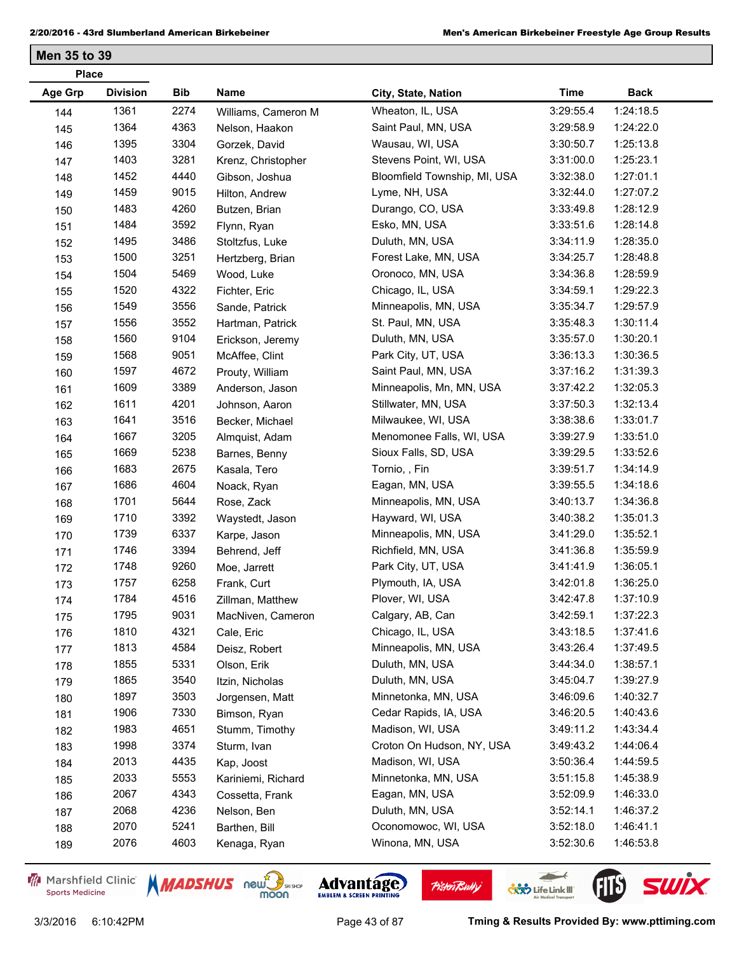| <b>Place</b>   |                 |      |                     |                              |             |             |  |
|----------------|-----------------|------|---------------------|------------------------------|-------------|-------------|--|
| <b>Age Grp</b> | <b>Division</b> | Bib  | Name                | City, State, Nation          | <b>Time</b> | <b>Back</b> |  |
| 144            | 1361            | 2274 | Williams, Cameron M | Wheaton, IL, USA             | 3:29:55.4   | 1:24:18.5   |  |
| 145            | 1364            | 4363 | Nelson, Haakon      | Saint Paul, MN, USA          | 3:29:58.9   | 1:24:22.0   |  |
| 146            | 1395            | 3304 | Gorzek, David       | Wausau, WI, USA              | 3:30:50.7   | 1:25:13.8   |  |
| 147            | 1403            | 3281 | Krenz, Christopher  | Stevens Point, WI, USA       | 3:31:00.0   | 1:25:23.1   |  |
| 148            | 1452            | 4440 | Gibson, Joshua      | Bloomfield Township, MI, USA | 3:32:38.0   | 1:27:01.1   |  |
| 149            | 1459            | 9015 | Hilton, Andrew      | Lyme, NH, USA                | 3:32:44.0   | 1:27:07.2   |  |
| 150            | 1483            | 4260 | Butzen, Brian       | Durango, CO, USA             | 3:33:49.8   | 1:28:12.9   |  |
| 151            | 1484            | 3592 | Flynn, Ryan         | Esko, MN, USA                | 3:33:51.6   | 1:28:14.8   |  |
| 152            | 1495            | 3486 | Stoltzfus, Luke     | Duluth, MN, USA              | 3:34:11.9   | 1:28:35.0   |  |
| 153            | 1500            | 3251 | Hertzberg, Brian    | Forest Lake, MN, USA         | 3:34:25.7   | 1:28:48.8   |  |
| 154            | 1504            | 5469 | Wood, Luke          | Oronoco, MN, USA             | 3:34:36.8   | 1:28:59.9   |  |
| 155            | 1520            | 4322 | Fichter, Eric       | Chicago, IL, USA             | 3:34:59.1   | 1:29:22.3   |  |
| 156            | 1549            | 3556 | Sande, Patrick      | Minneapolis, MN, USA         | 3:35:34.7   | 1:29:57.9   |  |
| 157            | 1556            | 3552 | Hartman, Patrick    | St. Paul, MN, USA            | 3:35:48.3   | 1:30:11.4   |  |
| 158            | 1560            | 9104 | Erickson, Jeremy    | Duluth, MN, USA              | 3:35:57.0   | 1:30:20.1   |  |
| 159            | 1568            | 9051 | McAffee, Clint      | Park City, UT, USA           | 3:36:13.3   | 1:30:36.5   |  |
| 160            | 1597            | 4672 | Prouty, William     | Saint Paul, MN, USA          | 3:37:16.2   | 1:31:39.3   |  |
| 161            | 1609            | 3389 | Anderson, Jason     | Minneapolis, Mn, MN, USA     | 3:37:42.2   | 1:32:05.3   |  |
| 162            | 1611            | 4201 | Johnson, Aaron      | Stillwater, MN, USA          | 3:37:50.3   | 1:32:13.4   |  |
| 163            | 1641            | 3516 | Becker, Michael     | Milwaukee, WI, USA           | 3:38:38.6   | 1:33:01.7   |  |
| 164            | 1667            | 3205 | Almquist, Adam      | Menomonee Falls, WI, USA     | 3:39:27.9   | 1:33:51.0   |  |
| 165            | 1669            | 5238 | Barnes, Benny       | Sioux Falls, SD, USA         | 3:39:29.5   | 1:33:52.6   |  |
| 166            | 1683            | 2675 | Kasala, Tero        | Tornio, , Fin                | 3:39:51.7   | 1:34:14.9   |  |
| 167            | 1686            | 4604 | Noack, Ryan         | Eagan, MN, USA               | 3:39:55.5   | 1:34:18.6   |  |
| 168            | 1701            | 5644 | Rose, Zack          | Minneapolis, MN, USA         | 3:40:13.7   | 1:34:36.8   |  |
| 169            | 1710            | 3392 | Waystedt, Jason     | Hayward, WI, USA             | 3:40:38.2   | 1:35:01.3   |  |
| 170            | 1739            | 6337 | Karpe, Jason        | Minneapolis, MN, USA         | 3:41:29.0   | 1:35:52.1   |  |
| 171            | 1746            | 3394 | Behrend, Jeff       | Richfield, MN, USA           | 3:41:36.8   | 1:35:59.9   |  |
| 172            | 1748            | 9260 | Moe, Jarrett        | Park City, UT, USA           | 3:41:41.9   | 1:36:05.1   |  |
| 173            | 1757            | 6258 | Frank, Curt         | Plymouth, IA, USA            | 3:42:01.8   | 1:36:25.0   |  |
| 174            | 1784            | 4516 | Zillman, Matthew    | Plover, WI, USA              | 3:42:47.8   | 1:37:10.9   |  |
| 175            | 1795            | 9031 | MacNiven, Cameron   | Calgary, AB, Can             | 3:42:59.1   | 1:37:22.3   |  |
| 176            | 1810            | 4321 | Cale, Eric          | Chicago, IL, USA             | 3:43:18.5   | 1:37:41.6   |  |
| 177            | 1813            | 4584 | Deisz, Robert       | Minneapolis, MN, USA         | 3:43:26.4   | 1:37:49.5   |  |
| 178            | 1855            | 5331 | Olson, Erik         | Duluth, MN, USA              | 3:44:34.0   | 1:38:57.1   |  |
| 179            | 1865            | 3540 | Itzin, Nicholas     | Duluth, MN, USA              | 3:45:04.7   | 1:39:27.9   |  |
| 180            | 1897            | 3503 | Jorgensen, Matt     | Minnetonka, MN, USA          | 3:46:09.6   | 1:40:32.7   |  |
| 181            | 1906            | 7330 | Bimson, Ryan        | Cedar Rapids, IA, USA        | 3:46:20.5   | 1:40:43.6   |  |
| 182            | 1983            | 4651 | Stumm, Timothy      | Madison, WI, USA             | 3:49:11.2   | 1:43:34.4   |  |
| 183            | 1998            | 3374 | Sturm, Ivan         | Croton On Hudson, NY, USA    | 3:49:43.2   | 1:44:06.4   |  |
| 184            | 2013            | 4435 | Kap, Joost          | Madison, WI, USA             | 3:50:36.4   | 1:44:59.5   |  |
| 185            | 2033            | 5553 | Kariniemi, Richard  | Minnetonka, MN, USA          | 3:51:15.8   | 1:45:38.9   |  |
| 186            | 2067            | 4343 | Cossetta, Frank     | Eagan, MN, USA               | 3:52:09.9   | 1:46:33.0   |  |
| 187            | 2068            | 4236 | Nelson, Ben         | Duluth, MN, USA              | 3:52:14.1   | 1:46:37.2   |  |
| 188            | 2070            | 5241 | Barthen, Bill       | Oconomowoc, WI, USA          | 3:52:18.0   | 1:46:41.1   |  |
| 189            | 2076            | 4603 | Kenaga, Ryan        | Winona, MN, USA              | 3:52:30.6   | 1:46:53.8   |  |

Marshfield Clinic **Sports Medicine** 





**Pisten Bully** 

 $\leftarrow$ 

**COND** Life Link III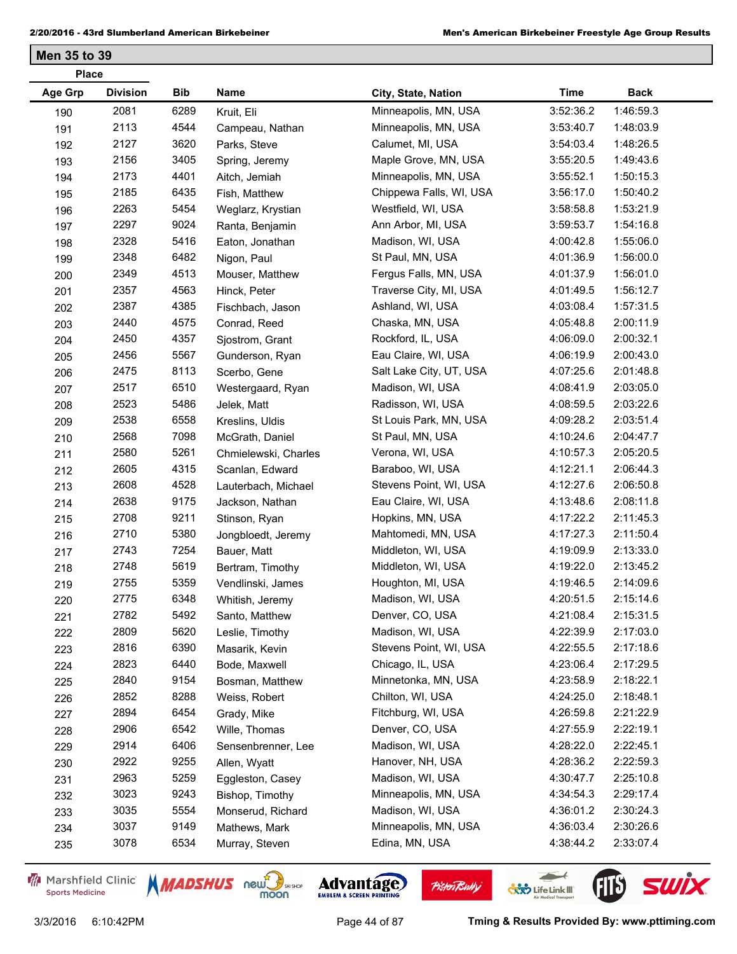| <b>Place</b> |                 |      |                      |                         |             |             |  |
|--------------|-----------------|------|----------------------|-------------------------|-------------|-------------|--|
| Age Grp      | <b>Division</b> | Bib  | Name                 | City, State, Nation     | <b>Time</b> | <b>Back</b> |  |
| 190          | 2081            | 6289 | Kruit, Eli           | Minneapolis, MN, USA    | 3:52:36.2   | 1:46:59.3   |  |
| 191          | 2113            | 4544 | Campeau, Nathan      | Minneapolis, MN, USA    | 3:53:40.7   | 1:48:03.9   |  |
| 192          | 2127            | 3620 | Parks, Steve         | Calumet, MI, USA        | 3:54:03.4   | 1:48:26.5   |  |
| 193          | 2156            | 3405 | Spring, Jeremy       | Maple Grove, MN, USA    | 3:55:20.5   | 1:49:43.6   |  |
| 194          | 2173            | 4401 | Aitch, Jemiah        | Minneapolis, MN, USA    | 3:55:52.1   | 1:50:15.3   |  |
| 195          | 2185            | 6435 | Fish, Matthew        | Chippewa Falls, WI, USA | 3:56:17.0   | 1:50:40.2   |  |
| 196          | 2263            | 5454 | Weglarz, Krystian    | Westfield, WI, USA      | 3:58:58.8   | 1:53:21.9   |  |
| 197          | 2297            | 9024 | Ranta, Benjamin      | Ann Arbor, MI, USA      | 3:59:53.7   | 1:54:16.8   |  |
| 198          | 2328            | 5416 | Eaton, Jonathan      | Madison, WI, USA        | 4:00:42.8   | 1:55:06.0   |  |
| 199          | 2348            | 6482 | Nigon, Paul          | St Paul, MN, USA        | 4:01:36.9   | 1:56:00.0   |  |
| 200          | 2349            | 4513 | Mouser, Matthew      | Fergus Falls, MN, USA   | 4:01:37.9   | 1:56:01.0   |  |
| 201          | 2357            | 4563 | Hinck, Peter         | Traverse City, MI, USA  | 4:01:49.5   | 1:56:12.7   |  |
| 202          | 2387            | 4385 | Fischbach, Jason     | Ashland, WI, USA        | 4:03:08.4   | 1:57:31.5   |  |
| 203          | 2440            | 4575 | Conrad, Reed         | Chaska, MN, USA         | 4:05:48.8   | 2:00:11.9   |  |
| 204          | 2450            | 4357 | Sjostrom, Grant      | Rockford, IL, USA       | 4:06:09.0   | 2:00:32.1   |  |
| 205          | 2456            | 5567 | Gunderson, Ryan      | Eau Claire, WI, USA     | 4:06:19.9   | 2:00:43.0   |  |
| 206          | 2475            | 8113 | Scerbo, Gene         | Salt Lake City, UT, USA | 4:07:25.6   | 2:01:48.8   |  |
| 207          | 2517            | 6510 | Westergaard, Ryan    | Madison, WI, USA        | 4:08:41.9   | 2:03:05.0   |  |
| 208          | 2523            | 5486 | Jelek, Matt          | Radisson, WI, USA       | 4:08:59.5   | 2:03:22.6   |  |
| 209          | 2538            | 6558 | Kreslins, Uldis      | St Louis Park, MN, USA  | 4:09:28.2   | 2:03:51.4   |  |
| 210          | 2568            | 7098 | McGrath, Daniel      | St Paul, MN, USA        | 4:10:24.6   | 2:04:47.7   |  |
| 211          | 2580            | 5261 | Chmielewski, Charles | Verona, WI, USA         | 4:10:57.3   | 2:05:20.5   |  |
| 212          | 2605            | 4315 | Scanlan, Edward      | Baraboo, WI, USA        | 4:12:21.1   | 2:06:44.3   |  |
| 213          | 2608            | 4528 | Lauterbach, Michael  | Stevens Point, WI, USA  | 4:12:27.6   | 2:06:50.8   |  |
| 214          | 2638            | 9175 | Jackson, Nathan      | Eau Claire, WI, USA     | 4:13:48.6   | 2:08:11.8   |  |
| 215          | 2708            | 9211 | Stinson, Ryan        | Hopkins, MN, USA        | 4:17:22.2   | 2:11:45.3   |  |
| 216          | 2710            | 5380 | Jongbloedt, Jeremy   | Mahtomedi, MN, USA      | 4:17:27.3   | 2:11:50.4   |  |
| 217          | 2743            | 7254 | Bauer, Matt          | Middleton, WI, USA      | 4:19:09.9   | 2:13:33.0   |  |
| 218          | 2748            | 5619 | Bertram, Timothy     | Middleton, WI, USA      | 4:19:22.0   | 2:13:45.2   |  |
| 219          | 2755            | 5359 | Vendlinski, James    | Houghton, MI, USA       | 4:19:46.5   | 2:14:09.6   |  |
| 220          | 2775            | 6348 | Whitish, Jeremy      | Madison, WI, USA        | 4:20:51.5   | 2:15:14.6   |  |
| 221          | 2782            | 5492 | Santo, Matthew       | Denver, CO, USA         | 4:21:08.4   | 2:15:31.5   |  |
| 222          | 2809            | 5620 | Leslie, Timothy      | Madison, WI, USA        | 4:22:39.9   | 2:17:03.0   |  |
| 223          | 2816            | 6390 | Masarik, Kevin       | Stevens Point, WI, USA  | 4:22:55.5   | 2:17:18.6   |  |
| 224          | 2823            | 6440 | Bode, Maxwell        | Chicago, IL, USA        | 4:23:06.4   | 2:17:29.5   |  |
| 225          | 2840            | 9154 | Bosman, Matthew      | Minnetonka, MN, USA     | 4:23:58.9   | 2:18:22.1   |  |
| 226          | 2852            | 8288 | Weiss, Robert        | Chilton, WI, USA        | 4:24:25.0   | 2:18:48.1   |  |
| 227          | 2894            | 6454 | Grady, Mike          | Fitchburg, WI, USA      | 4:26:59.8   | 2:21:22.9   |  |
| 228          | 2906            | 6542 | Wille, Thomas        | Denver, CO, USA         | 4:27:55.9   | 2:22:19.1   |  |
| 229          | 2914            | 6406 | Sensenbrenner, Lee   | Madison, WI, USA        | 4:28:22.0   | 2:22:45.1   |  |
| 230          | 2922            | 9255 | Allen, Wyatt         | Hanover, NH, USA        | 4:28:36.2   | 2:22:59.3   |  |
| 231          | 2963            | 5259 | Eggleston, Casey     | Madison, WI, USA        | 4:30:47.7   | 2:25:10.8   |  |
| 232          | 3023            | 9243 | Bishop, Timothy      | Minneapolis, MN, USA    | 4:34:54.3   | 2:29:17.4   |  |
| 233          | 3035            | 5554 | Monserud, Richard    | Madison, WI, USA        | 4:36:01.2   | 2:30:24.3   |  |
| 234          | 3037            | 9149 | Mathews, Mark        | Minneapolis, MN, USA    | 4:36:03.4   | 2:30:26.6   |  |
| 235          | 3078            | 6534 | Murray, Steven       | Edina, MN, USA          | 4:38:44.2   | 2:33:07.4   |  |

Marshfield Clinic **Sports Medicine** 





**Pisten Bully** 

3/3/2016 6:10:42PM Page 44 of 87 **Tming & Results Provided By: www.pttiming.com**

 $\leftarrow$ 

**COND** Life Link III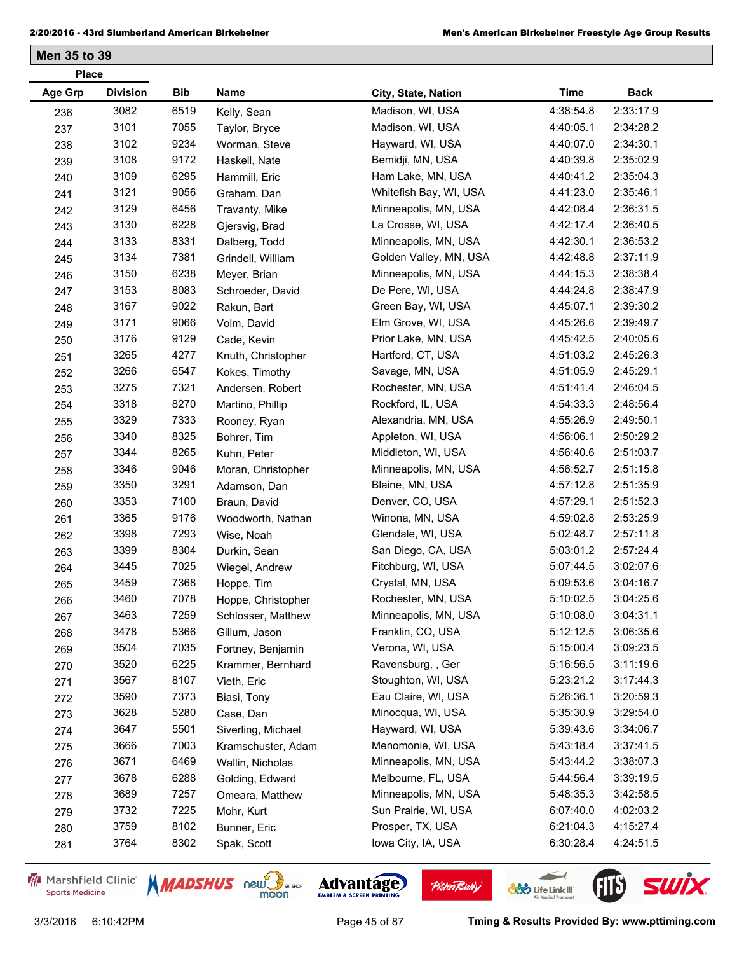| <b>Place</b> |                 |            |                    |                        |             |             |  |  |
|--------------|-----------------|------------|--------------------|------------------------|-------------|-------------|--|--|
| Age Grp      | <b>Division</b> | <b>Bib</b> | Name               | City, State, Nation    | <b>Time</b> | <b>Back</b> |  |  |
| 236          | 3082            | 6519       | Kelly, Sean        | Madison, WI, USA       | 4:38:54.8   | 2:33:17.9   |  |  |
| 237          | 3101            | 7055       | Taylor, Bryce      | Madison, WI, USA       | 4:40:05.1   | 2:34:28.2   |  |  |
| 238          | 3102            | 9234       | Worman, Steve      | Hayward, WI, USA       | 4:40:07.0   | 2:34:30.1   |  |  |
| 239          | 3108            | 9172       | Haskell, Nate      | Bemidji, MN, USA       | 4:40:39.8   | 2:35:02.9   |  |  |
| 240          | 3109            | 6295       | Hammill, Eric      | Ham Lake, MN, USA      | 4:40:41.2   | 2:35:04.3   |  |  |
| 241          | 3121            | 9056       | Graham, Dan        | Whitefish Bay, WI, USA | 4:41:23.0   | 2:35:46.1   |  |  |
| 242          | 3129            | 6456       | Travanty, Mike     | Minneapolis, MN, USA   | 4:42:08.4   | 2:36:31.5   |  |  |
| 243          | 3130            | 6228       | Gjersvig, Brad     | La Crosse, WI, USA     | 4:42:17.4   | 2:36:40.5   |  |  |
| 244          | 3133            | 8331       | Dalberg, Todd      | Minneapolis, MN, USA   | 4:42:30.1   | 2:36:53.2   |  |  |
| 245          | 3134            | 7381       | Grindell, William  | Golden Valley, MN, USA | 4:42:48.8   | 2:37:11.9   |  |  |
| 246          | 3150            | 6238       | Meyer, Brian       | Minneapolis, MN, USA   | 4:44:15.3   | 2:38:38.4   |  |  |
| 247          | 3153            | 8083       | Schroeder, David   | De Pere, WI, USA       | 4:44:24.8   | 2:38:47.9   |  |  |
| 248          | 3167            | 9022       | Rakun, Bart        | Green Bay, WI, USA     | 4:45:07.1   | 2:39:30.2   |  |  |
| 249          | 3171            | 9066       | Volm, David        | Elm Grove, WI, USA     | 4:45:26.6   | 2:39:49.7   |  |  |
| 250          | 3176            | 9129       | Cade, Kevin        | Prior Lake, MN, USA    | 4:45:42.5   | 2:40:05.6   |  |  |
| 251          | 3265            | 4277       | Knuth, Christopher | Hartford, CT, USA      | 4:51:03.2   | 2:45:26.3   |  |  |
| 252          | 3266            | 6547       | Kokes, Timothy     | Savage, MN, USA        | 4:51:05.9   | 2:45:29.1   |  |  |
| 253          | 3275            | 7321       | Andersen, Robert   | Rochester, MN, USA     | 4:51:41.4   | 2:46:04.5   |  |  |
| 254          | 3318            | 8270       | Martino, Phillip   | Rockford, IL, USA      | 4:54:33.3   | 2:48:56.4   |  |  |
| 255          | 3329            | 7333       | Rooney, Ryan       | Alexandria, MN, USA    | 4:55:26.9   | 2:49:50.1   |  |  |
| 256          | 3340            | 8325       | Bohrer, Tim        | Appleton, WI, USA      | 4:56:06.1   | 2:50:29.2   |  |  |
| 257          | 3344            | 8265       | Kuhn, Peter        | Middleton, WI, USA     | 4:56:40.6   | 2:51:03.7   |  |  |
| 258          | 3346            | 9046       | Moran, Christopher | Minneapolis, MN, USA   | 4:56:52.7   | 2:51:15.8   |  |  |
| 259          | 3350            | 3291       | Adamson, Dan       | Blaine, MN, USA        | 4:57:12.8   | 2:51:35.9   |  |  |
| 260          | 3353            | 7100       | Braun, David       | Denver, CO, USA        | 4:57:29.1   | 2:51:52.3   |  |  |
| 261          | 3365            | 9176       | Woodworth, Nathan  | Winona, MN, USA        | 4:59:02.8   | 2:53:25.9   |  |  |
| 262          | 3398            | 7293       | Wise, Noah         | Glendale, WI, USA      | 5:02:48.7   | 2:57:11.8   |  |  |
| 263          | 3399            | 8304       | Durkin, Sean       | San Diego, CA, USA     | 5:03:01.2   | 2:57:24.4   |  |  |
| 264          | 3445            | 7025       | Wiegel, Andrew     | Fitchburg, WI, USA     | 5:07:44.5   | 3:02:07.6   |  |  |
| 265          | 3459            | 7368       | Hoppe, Tim         | Crystal, MN, USA       | 5:09:53.6   | 3:04:16.7   |  |  |
| 266          | 3460            | 7078       | Hoppe, Christopher | Rochester, MN, USA     | 5:10:02.5   | 3:04:25.6   |  |  |
| 267          | 3463            | 7259       | Schlosser, Matthew | Minneapolis, MN, USA   | 5:10:08.0   | 3:04:31.1   |  |  |
| 268          | 3478            | 5366       | Gillum, Jason      | Franklin, CO, USA      | 5:12:12.5   | 3:06:35.6   |  |  |
| 269          | 3504            | 7035       | Fortney, Benjamin  | Verona, WI, USA        | 5:15:00.4   | 3:09:23.5   |  |  |
| 270          | 3520            | 6225       | Krammer, Bernhard  | Ravensburg, , Ger      | 5:16:56.5   | 3:11:19.6   |  |  |
| 271          | 3567            | 8107       | Vieth, Eric        | Stoughton, WI, USA     | 5:23:21.2   | 3:17:44.3   |  |  |
| 272          | 3590            | 7373       | Biasi, Tony        | Eau Claire, WI, USA    | 5:26:36.1   | 3:20:59.3   |  |  |
| 273          | 3628            | 5280       | Case, Dan          | Minocqua, WI, USA      | 5:35:30.9   | 3:29:54.0   |  |  |
| 274          | 3647            | 5501       | Siverling, Michael | Hayward, WI, USA       | 5:39:43.6   | 3:34:06.7   |  |  |
| 275          | 3666            | 7003       | Kramschuster, Adam | Menomonie, WI, USA     | 5:43:18.4   | 3:37:41.5   |  |  |
| 276          | 3671            | 6469       | Wallin, Nicholas   | Minneapolis, MN, USA   | 5:43:44.2   | 3:38:07.3   |  |  |
| 277          | 3678            | 6288       | Golding, Edward    | Melbourne, FL, USA     | 5:44:56.4   | 3:39:19.5   |  |  |
| 278          | 3689            | 7257       | Omeara, Matthew    | Minneapolis, MN, USA   | 5:48:35.3   | 3:42:58.5   |  |  |
| 279          | 3732            | 7225       | Mohr, Kurt         | Sun Prairie, WI, USA   | 6:07:40.0   | 4:02:03.2   |  |  |
| 280          | 3759            | 8102       | Bunner, Eric       | Prosper, TX, USA       | 6:21:04.3   | 4:15:27.4   |  |  |
| 281          | 3764            | 8302       | Spak, Scott        | lowa City, IA, USA     | 6:30:28.4   | 4:24:51.5   |  |  |
|              |                 |            |                    |                        |             |             |  |  |

Marshfield Clinic **Sports Medicine** 





**Pisten Bully** 

3/3/2016 6:10:42PM Page 45 of 87 **Tming & Results Provided By: www.pttiming.com**

 $\leftarrow$ 

**COND** Life Link III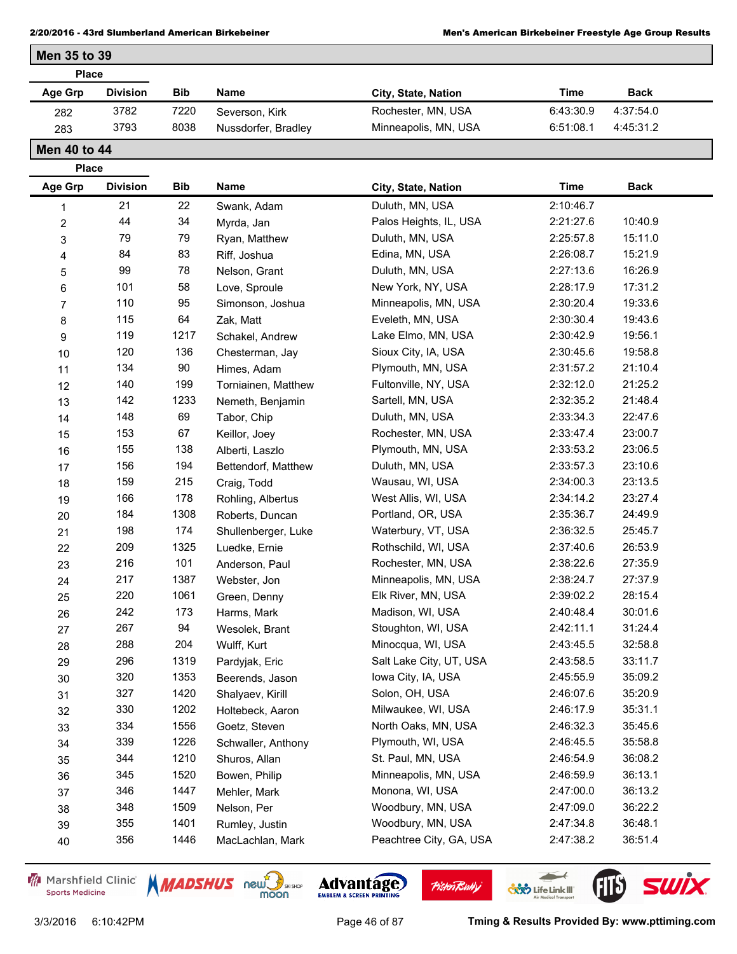| <b>Place</b> |                 |            |                     |                      |           |             |  |
|--------------|-----------------|------------|---------------------|----------------------|-----------|-------------|--|
| Age Grp      | <b>Division</b> | <b>Bib</b> | <b>Name</b>         | City, State, Nation  | Time      | <b>Back</b> |  |
| 282          | 3782            | 7220       | Severson, Kirk      | Rochester, MN, USA   | 6:43:30.9 | 4:37:54.0   |  |
| 283          | 3793            | 8038       | Nussdorfer, Bradley | Minneapolis, MN, USA | 6:51:08.1 | 4:45:31.2   |  |

**Men 40 to 44 Place**

**Men 35 to 39**

| . iace<br><b>Age Grp</b> | <b>Division</b> | <b>Bib</b> | Name                | City, State, Nation     | <b>Time</b> | <b>Back</b> |
|--------------------------|-----------------|------------|---------------------|-------------------------|-------------|-------------|
| 1                        | 21              | 22         | Swank, Adam         | Duluth, MN, USA         | 2:10:46.7   |             |
| $\overline{\mathbf{c}}$  | 44              | 34         | Myrda, Jan          | Palos Heights, IL, USA  | 2:21:27.6   | 10:40.9     |
| 3                        | 79              | 79         | Ryan, Matthew       | Duluth, MN, USA         | 2:25:57.8   | 15:11.0     |
| 4                        | 84              | 83         | Riff, Joshua        | Edina, MN, USA          | 2:26:08.7   | 15:21.9     |
| 5                        | 99              | 78         | Nelson, Grant       | Duluth, MN, USA         | 2:27:13.6   | 16:26.9     |
| 6                        | 101             | 58         | Love, Sproule       | New York, NY, USA       | 2:28:17.9   | 17:31.2     |
| $\overline{7}$           | 110             | 95         | Simonson, Joshua    | Minneapolis, MN, USA    | 2:30:20.4   | 19:33.6     |
| 8                        | 115             | 64         | Zak, Matt           | Eveleth, MN, USA        | 2:30:30.4   | 19:43.6     |
| 9                        | 119             | 1217       | Schakel, Andrew     | Lake Elmo, MN, USA      | 2:30:42.9   | 19:56.1     |
| 10                       | 120             | 136        | Chesterman, Jay     | Sioux City, IA, USA     | 2:30:45.6   | 19:58.8     |
| 11                       | 134             | 90         | Himes, Adam         | Plymouth, MN, USA       | 2:31:57.2   | 21:10.4     |
| 12                       | 140             | 199        | Torniainen, Matthew | Fultonville, NY, USA    | 2:32:12.0   | 21:25.2     |
| 13                       | 142             | 1233       | Nemeth, Benjamin    | Sartell, MN, USA        | 2:32:35.2   | 21:48.4     |
| 14                       | 148             | 69         | Tabor, Chip         | Duluth, MN, USA         | 2:33:34.3   | 22:47.6     |
| 15                       | 153             | 67         | Keillor, Joey       | Rochester, MN, USA      | 2:33:47.4   | 23:00.7     |
| 16                       | 155             | 138        | Alberti, Laszlo     | Plymouth, MN, USA       | 2:33:53.2   | 23:06.5     |
| 17                       | 156             | 194        | Bettendorf, Matthew | Duluth, MN, USA         | 2:33:57.3   | 23:10.6     |
| 18                       | 159             | 215        | Craig, Todd         | Wausau, WI, USA         | 2:34:00.3   | 23:13.5     |
| 19                       | 166             | 178        | Rohling, Albertus   | West Allis, WI, USA     | 2:34:14.2   | 23:27.4     |
| 20                       | 184             | 1308       | Roberts, Duncan     | Portland, OR, USA       | 2:35:36.7   | 24:49.9     |
| 21                       | 198             | 174        | Shullenberger, Luke | Waterbury, VT, USA      | 2:36:32.5   | 25:45.7     |
| 22                       | 209             | 1325       | Luedke, Ernie       | Rothschild, WI, USA     | 2:37:40.6   | 26:53.9     |
| 23                       | 216             | 101        | Anderson, Paul      | Rochester, MN, USA      | 2:38:22.6   | 27:35.9     |
| 24                       | 217             | 1387       | Webster, Jon        | Minneapolis, MN, USA    | 2:38:24.7   | 27:37.9     |
| 25                       | 220             | 1061       | Green, Denny        | Elk River, MN, USA      | 2:39:02.2   | 28:15.4     |
| 26                       | 242             | 173        | Harms, Mark         | Madison, WI, USA        | 2:40:48.4   | 30:01.6     |
| 27                       | 267             | 94         | Wesolek, Brant      | Stoughton, WI, USA      | 2:42:11.1   | 31:24.4     |
| 28                       | 288             | 204        | Wulff, Kurt         | Minocqua, WI, USA       | 2:43:45.5   | 32:58.8     |
| 29                       | 296             | 1319       | Pardyjak, Eric      | Salt Lake City, UT, USA | 2:43:58.5   | 33:11.7     |
| $30\,$                   | 320             | 1353       | Beerends, Jason     | lowa City, IA, USA      | 2:45:55.9   | 35:09.2     |
| 31                       | 327             | 1420       | Shalyaev, Kirill    | Solon, OH, USA          | 2:46:07.6   | 35:20.9     |
| 32                       | 330             | 1202       | Holtebeck, Aaron    | Milwaukee, WI, USA      | 2:46:17.9   | 35:31.1     |
| 33                       | 334             | 1556       | Goetz, Steven       | North Oaks, MN, USA     | 2:46:32.3   | 35:45.6     |
| 34                       | 339             | 1226       | Schwaller, Anthony  | Plymouth, WI, USA       | 2:46:45.5   | 35:58.8     |
| 35                       | 344             | 1210       | Shuros, Allan       | St. Paul, MN, USA       | 2:46:54.9   | 36:08.2     |
| 36                       | 345             | 1520       | Bowen, Philip       | Minneapolis, MN, USA    | 2:46:59.9   | 36:13.1     |
| 37                       | 346             | 1447       | Mehler, Mark        | Monona, WI, USA         | 2:47:00.0   | 36:13.2     |
| 38                       | 348             | 1509       | Nelson, Per         | Woodbury, MN, USA       | 2:47:09.0   | 36:22.2     |
| 39                       | 355             | 1401       | Rumley, Justin      | Woodbury, MN, USA       | 2:47:34.8   | 36:48.1     |
| 40                       | 356             | 1446       | MacLachlan, Mark    | Peachtree City, GA, USA | 2:47:38.2   | 36:51.4     |

Marshfield Clinic **Sports Medicine** 



Advantage

**Pisten Bully** 

3/3/2016 6:10:42PM Page 46 of 87 **Tming & Results Provided By: www.pttiming.com**

 $\overline{\phantom{a}}$ 

**COND** Life Link III

FIB SWIX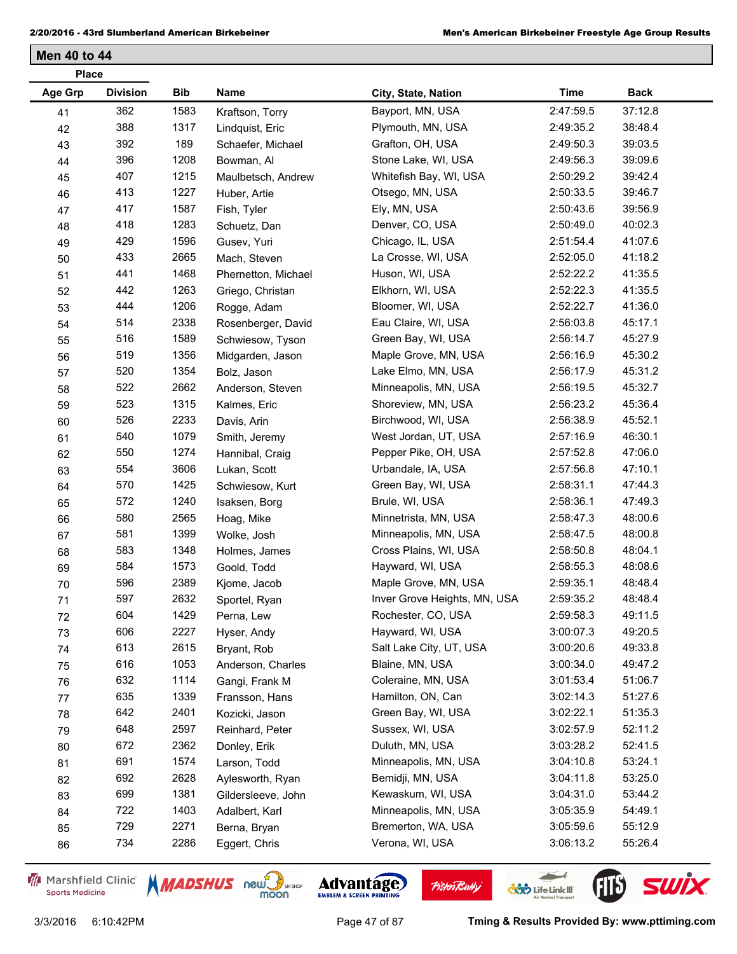| <b>Place</b> |                 |            |                     |                              |             |             |
|--------------|-----------------|------------|---------------------|------------------------------|-------------|-------------|
| Age Grp      | <b>Division</b> | <b>Bib</b> | Name                | City, State, Nation          | <b>Time</b> | <b>Back</b> |
| 41           | 362             | 1583       | Kraftson, Torry     | Bayport, MN, USA             | 2:47:59.5   | 37:12.8     |
| 42           | 388             | 1317       | Lindquist, Eric     | Plymouth, MN, USA            | 2:49:35.2   | 38:48.4     |
| 43           | 392             | 189        | Schaefer, Michael   | Grafton, OH, USA             | 2:49:50.3   | 39:03.5     |
| 44           | 396             | 1208       | Bowman, Al          | Stone Lake, WI, USA          | 2:49:56.3   | 39:09.6     |
| 45           | 407             | 1215       | Maulbetsch, Andrew  | Whitefish Bay, WI, USA       | 2:50:29.2   | 39:42.4     |
| 46           | 413             | 1227       | Huber, Artie        | Otsego, MN, USA              | 2:50:33.5   | 39:46.7     |
| 47           | 417             | 1587       | Fish, Tyler         | Ely, MN, USA                 | 2:50:43.6   | 39:56.9     |
| 48           | 418             | 1283       | Schuetz, Dan        | Denver, CO, USA              | 2:50:49.0   | 40:02.3     |
| 49           | 429             | 1596       | Gusev, Yuri         | Chicago, IL, USA             | 2:51:54.4   | 41:07.6     |
| 50           | 433             | 2665       | Mach, Steven        | La Crosse, WI, USA           | 2:52:05.0   | 41:18.2     |
| 51           | 441             | 1468       | Phernetton, Michael | Huson, WI, USA               | 2:52:22.2   | 41:35.5     |
| 52           | 442             | 1263       | Griego, Christan    | Elkhorn, WI, USA             | 2:52:22.3   | 41:35.5     |
| 53           | 444             | 1206       | Rogge, Adam         | Bloomer, WI, USA             | 2:52:22.7   | 41:36.0     |
| 54           | 514             | 2338       | Rosenberger, David  | Eau Claire, WI, USA          | 2:56:03.8   | 45:17.1     |
| 55           | 516             | 1589       | Schwiesow, Tyson    | Green Bay, WI, USA           | 2:56:14.7   | 45:27.9     |
| 56           | 519             | 1356       | Midgarden, Jason    | Maple Grove, MN, USA         | 2:56:16.9   | 45:30.2     |
| 57           | 520             | 1354       | Bolz, Jason         | Lake Elmo, MN, USA           | 2:56:17.9   | 45:31.2     |
| 58           | 522             | 2662       | Anderson, Steven    | Minneapolis, MN, USA         | 2:56:19.5   | 45:32.7     |
| 59           | 523             | 1315       | Kalmes, Eric        | Shoreview, MN, USA           | 2:56:23.2   | 45:36.4     |
| 60           | 526             | 2233       | Davis, Arin         | Birchwood, WI, USA           | 2:56:38.9   | 45:52.1     |
| 61           | 540             | 1079       | Smith, Jeremy       | West Jordan, UT, USA         | 2:57:16.9   | 46:30.1     |
| 62           | 550             | 1274       | Hannibal, Craig     | Pepper Pike, OH, USA         | 2:57:52.8   | 47:06.0     |
| 63           | 554             | 3606       | Lukan, Scott        | Urbandale, IA, USA           | 2:57:56.8   | 47:10.1     |
| 64           | 570             | 1425       | Schwiesow, Kurt     | Green Bay, WI, USA           | 2:58:31.1   | 47:44.3     |
| 65           | 572             | 1240       | Isaksen, Borg       | Brule, WI, USA               | 2:58:36.1   | 47:49.3     |
| 66           | 580             | 2565       | Hoag, Mike          | Minnetrista, MN, USA         | 2:58:47.3   | 48:00.6     |
| 67           | 581             | 1399       | Wolke, Josh         | Minneapolis, MN, USA         | 2:58:47.5   | 48:00.8     |
| 68           | 583             | 1348       | Holmes, James       | Cross Plains, WI, USA        | 2:58:50.8   | 48:04.1     |
| 69           | 584             | 1573       | Goold, Todd         | Hayward, WI, USA             | 2:58:55.3   | 48:08.6     |
| 70           | 596             | 2389       | Kjome, Jacob        | Maple Grove, MN, USA         | 2:59:35.1   | 48:48.4     |
| 71           | 597             | 2632       | Sportel, Ryan       | Inver Grove Heights, MN, USA | 2:59:35.2   | 48:48.4     |
| 72           | 604             | 1429       | Perna, Lew          | Rochester, CO, USA           | 2:59:58.3   | 49:11.5     |
| 73           | 606             | 2227       | Hyser, Andy         | Hayward, WI, USA             | 3:00:07.3   | 49:20.5     |
| 74           | 613             | 2615       | Bryant, Rob         | Salt Lake City, UT, USA      | 3:00:20.6   | 49:33.8     |
| 75           | 616             | 1053       | Anderson, Charles   | Blaine, MN, USA              | 3:00:34.0   | 49:47.2     |
| 76           | 632             | 1114       | Gangi, Frank M      | Coleraine, MN, USA           | 3:01:53.4   | 51:06.7     |
| $77 \,$      | 635             | 1339       | Fransson, Hans      | Hamilton, ON, Can            | 3:02:14.3   | 51:27.6     |
| 78           | 642             | 2401       | Kozicki, Jason      | Green Bay, WI, USA           | 3:02:22.1   | 51:35.3     |
| 79           | 648             | 2597       | Reinhard, Peter     | Sussex, WI, USA              | 3:02:57.9   | 52:11.2     |
| 80           | 672             | 2362       | Donley, Erik        | Duluth, MN, USA              | 3:03:28.2   | 52:41.5     |
| 81           | 691             | 1574       | Larson, Todd        | Minneapolis, MN, USA         | 3:04:10.8   | 53:24.1     |
| 82           | 692             | 2628       | Aylesworth, Ryan    | Bemidji, MN, USA             | 3:04:11.8   | 53:25.0     |
| 83           | 699             | 1381       | Gildersleeve, John  | Kewaskum, WI, USA            | 3:04:31.0   | 53:44.2     |
| 84           | 722             | 1403       | Adalbert, Karl      | Minneapolis, MN, USA         | 3:05:35.9   | 54:49.1     |
| 85           | 729             | 2271       | Berna, Bryan        | Bremerton, WA, USA           | 3:05:59.6   | 55:12.9     |
| 86           | 734             | 2286       | Eggert, Chris       | Verona, WI, USA              | 3:06:13.2   | 55:26.4     |
|              |                 |            |                     |                              |             |             |

Marshfield Clinic **Sports Medicine** 





**Pisten Bully** 

 $\leftarrow$ 

**COND** Life Link III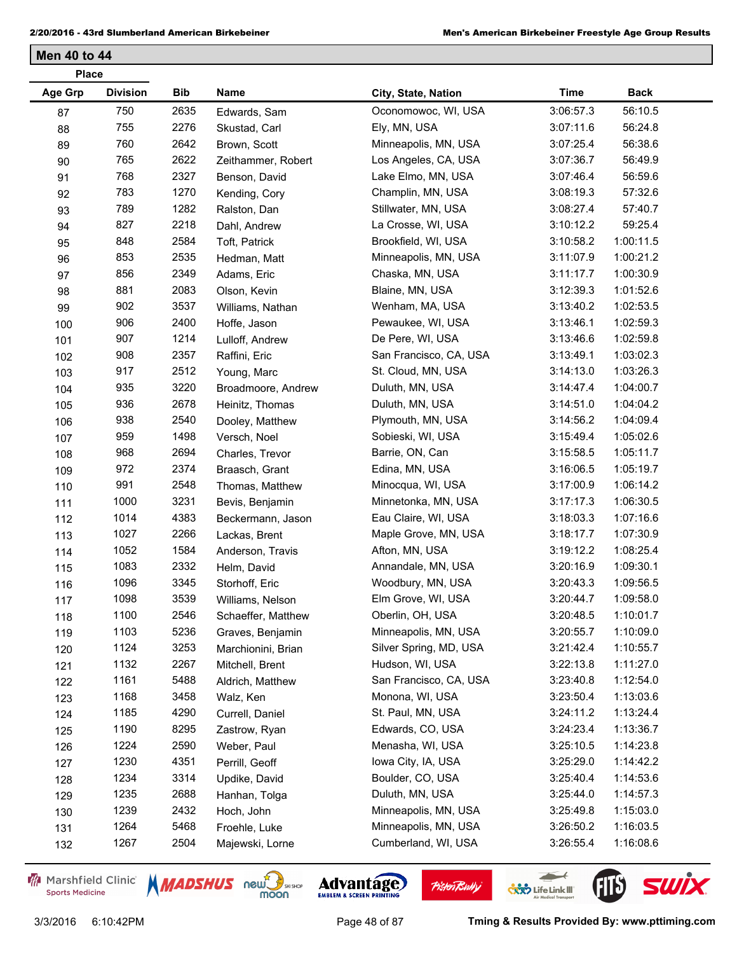| <b>Place</b>   |                 |      |                    |                        |             |             |
|----------------|-----------------|------|--------------------|------------------------|-------------|-------------|
| <b>Age Grp</b> | <b>Division</b> | Bib  | Name               | City, State, Nation    | <b>Time</b> | <b>Back</b> |
| 87             | 750             | 2635 | Edwards, Sam       | Oconomowoc, WI, USA    | 3:06:57.3   | 56:10.5     |
| 88             | 755             | 2276 | Skustad, Carl      | Ely, MN, USA           | 3:07:11.6   | 56:24.8     |
| 89             | 760             | 2642 | Brown, Scott       | Minneapolis, MN, USA   | 3:07:25.4   | 56:38.6     |
| 90             | 765             | 2622 | Zeithammer, Robert | Los Angeles, CA, USA   | 3:07:36.7   | 56:49.9     |
| 91             | 768             | 2327 | Benson, David      | Lake Elmo, MN, USA     | 3:07:46.4   | 56:59.6     |
| 92             | 783             | 1270 | Kending, Cory      | Champlin, MN, USA      | 3:08:19.3   | 57:32.6     |
| 93             | 789             | 1282 | Ralston, Dan       | Stillwater, MN, USA    | 3:08:27.4   | 57:40.7     |
| 94             | 827             | 2218 | Dahl, Andrew       | La Crosse, WI, USA     | 3:10:12.2   | 59:25.4     |
| 95             | 848             | 2584 | Toft, Patrick      | Brookfield, WI, USA    | 3:10:58.2   | 1:00:11.5   |
| 96             | 853             | 2535 | Hedman, Matt       | Minneapolis, MN, USA   | 3:11:07.9   | 1:00:21.2   |
| 97             | 856             | 2349 | Adams, Eric        | Chaska, MN, USA        | 3:11:17.7   | 1:00:30.9   |
| 98             | 881             | 2083 | Olson, Kevin       | Blaine, MN, USA        | 3:12:39.3   | 1:01:52.6   |
| 99             | 902             | 3537 | Williams, Nathan   | Wenham, MA, USA        | 3:13:40.2   | 1:02:53.5   |
| 100            | 906             | 2400 | Hoffe, Jason       | Pewaukee, WI, USA      | 3:13:46.1   | 1:02:59.3   |
| 101            | 907             | 1214 | Lulloff, Andrew    | De Pere, WI, USA       | 3:13:46.6   | 1:02:59.8   |
| 102            | 908             | 2357 | Raffini, Eric      | San Francisco, CA, USA | 3:13:49.1   | 1:03:02.3   |
| 103            | 917             | 2512 | Young, Marc        | St. Cloud, MN, USA     | 3:14:13.0   | 1:03:26.3   |
| 104            | 935             | 3220 | Broadmoore, Andrew | Duluth, MN, USA        | 3:14:47.4   | 1:04:00.7   |
| 105            | 936             | 2678 | Heinitz, Thomas    | Duluth, MN, USA        | 3:14:51.0   | 1:04:04.2   |
| 106            | 938             | 2540 | Dooley, Matthew    | Plymouth, MN, USA      | 3:14:56.2   | 1:04:09.4   |
| 107            | 959             | 1498 | Versch, Noel       | Sobieski, WI, USA      | 3:15:49.4   | 1:05:02.6   |
| 108            | 968             | 2694 | Charles, Trevor    | Barrie, ON, Can        | 3:15:58.5   | 1:05:11.7   |
| 109            | 972             | 2374 | Braasch, Grant     | Edina, MN, USA         | 3:16:06.5   | 1:05:19.7   |
| 110            | 991             | 2548 | Thomas, Matthew    | Minocqua, WI, USA      | 3:17:00.9   | 1:06:14.2   |
| 111            | 1000            | 3231 | Bevis, Benjamin    | Minnetonka, MN, USA    | 3:17:17.3   | 1:06:30.5   |
| 112            | 1014            | 4383 | Beckermann, Jason  | Eau Claire, WI, USA    | 3:18:03.3   | 1:07:16.6   |
| 113            | 1027            | 2266 | Lackas, Brent      | Maple Grove, MN, USA   | 3:18:17.7   | 1:07:30.9   |
| 114            | 1052            | 1584 | Anderson, Travis   | Afton, MN, USA         | 3:19:12.2   | 1:08:25.4   |
| 115            | 1083            | 2332 | Helm, David        | Annandale, MN, USA     | 3:20:16.9   | 1:09:30.1   |
| 116            | 1096            | 3345 | Storhoff, Eric     | Woodbury, MN, USA      | 3:20:43.3   | 1:09:56.5   |
| 117            | 1098            | 3539 | Williams, Nelson   | Elm Grove, WI, USA     | 3:20:44.7   | 1:09:58.0   |
| 118            | 1100            | 2546 | Schaeffer, Matthew | Oberlin, OH, USA       | 3:20:48.5   | 1:10:01.7   |
| 119            | 1103            | 5236 | Graves, Benjamin   | Minneapolis, MN, USA   | 3:20:55.7   | 1:10:09.0   |
| 120            | 1124            | 3253 | Marchionini, Brian | Silver Spring, MD, USA | 3:21:42.4   | 1:10:55.7   |
| 121            | 1132            | 2267 | Mitchell, Brent    | Hudson, WI, USA        | 3:22:13.8   | 1:11:27.0   |
| 122            | 1161            | 5488 | Aldrich, Matthew   | San Francisco, CA, USA | 3:23:40.8   | 1:12:54.0   |
| 123            | 1168            | 3458 | Walz, Ken          | Monona, WI, USA        | 3:23:50.4   | 1:13:03.6   |
| 124            | 1185            | 4290 | Currell, Daniel    | St. Paul, MN, USA      | 3:24:11.2   | 1:13:24.4   |
| 125            | 1190            | 8295 | Zastrow, Ryan      | Edwards, CO, USA       | 3:24:23.4   | 1:13:36.7   |
| 126            | 1224            | 2590 | Weber, Paul        | Menasha, WI, USA       | 3:25:10.5   | 1:14:23.8   |
| 127            | 1230            | 4351 | Perrill, Geoff     | lowa City, IA, USA     | 3:25:29.0   | 1:14:42.2   |
| 128            | 1234            | 3314 | Updike, David      | Boulder, CO, USA       | 3:25:40.4   | 1:14:53.6   |
| 129            | 1235            | 2688 | Hanhan, Tolga      | Duluth, MN, USA        | 3:25:44.0   | 1:14:57.3   |
| 130            | 1239            | 2432 | Hoch, John         | Minneapolis, MN, USA   | 3:25:49.8   | 1:15:03.0   |
| 131            | 1264            | 5468 | Froehle, Luke      | Minneapolis, MN, USA   | 3:26:50.2   | 1:16:03.5   |
| 132            | 1267            | 2504 | Majewski, Lorne    | Cumberland, WI, USA    | 3:26:55.4   | 1:16:08.6   |
|                |                 |      |                    |                        |             |             |

Marshfield Clinic **Sports Medicine** 



**Pisten Bully** 

 $\leftarrow$ 

**COND** Life Link III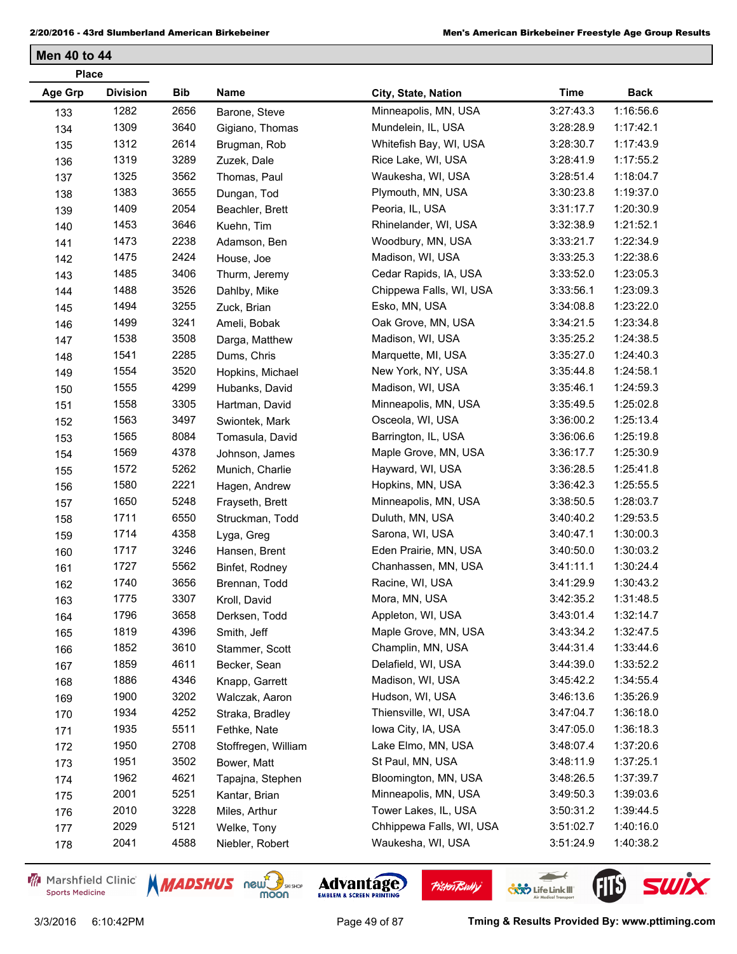| <b>Place</b>   |                 |      |                     |                          |             |             |
|----------------|-----------------|------|---------------------|--------------------------|-------------|-------------|
| <b>Age Grp</b> | <b>Division</b> | Bib  | Name                | City, State, Nation      | <b>Time</b> | <b>Back</b> |
| 133            | 1282            | 2656 | Barone, Steve       | Minneapolis, MN, USA     | 3:27:43.3   | 1:16:56.6   |
| 134            | 1309            | 3640 | Gigiano, Thomas     | Mundelein, IL, USA       | 3:28:28.9   | 1:17:42.1   |
| 135            | 1312            | 2614 | Brugman, Rob        | Whitefish Bay, WI, USA   | 3:28:30.7   | 1:17:43.9   |
| 136            | 1319            | 3289 | Zuzek, Dale         | Rice Lake, WI, USA       | 3:28:41.9   | 1:17:55.2   |
| 137            | 1325            | 3562 | Thomas, Paul        | Waukesha, WI, USA        | 3:28:51.4   | 1:18:04.7   |
| 138            | 1383            | 3655 | Dungan, Tod         | Plymouth, MN, USA        | 3:30:23.8   | 1:19:37.0   |
| 139            | 1409            | 2054 | Beachler, Brett     | Peoria, IL, USA          | 3:31:17.7   | 1:20:30.9   |
| 140            | 1453            | 3646 | Kuehn, Tim          | Rhinelander, WI, USA     | 3:32:38.9   | 1:21:52.1   |
| 141            | 1473            | 2238 | Adamson, Ben        | Woodbury, MN, USA        | 3:33:21.7   | 1:22:34.9   |
| 142            | 1475            | 2424 | House, Joe          | Madison, WI, USA         | 3:33:25.3   | 1:22:38.6   |
| 143            | 1485            | 3406 | Thurm, Jeremy       | Cedar Rapids, IA, USA    | 3:33:52.0   | 1:23:05.3   |
| 144            | 1488            | 3526 | Dahlby, Mike        | Chippewa Falls, WI, USA  | 3:33:56.1   | 1:23:09.3   |
| 145            | 1494            | 3255 | Zuck, Brian         | Esko, MN, USA            | 3:34:08.8   | 1:23:22.0   |
| 146            | 1499            | 3241 | Ameli, Bobak        | Oak Grove, MN, USA       | 3:34:21.5   | 1:23:34.8   |
| 147            | 1538            | 3508 | Darga, Matthew      | Madison, WI, USA         | 3:35:25.2   | 1:24:38.5   |
| 148            | 1541            | 2285 | Dums, Chris         | Marquette, MI, USA       | 3:35:27.0   | 1:24:40.3   |
| 149            | 1554            | 3520 | Hopkins, Michael    | New York, NY, USA        | 3:35:44.8   | 1:24:58.1   |
| 150            | 1555            | 4299 | Hubanks, David      | Madison, WI, USA         | 3:35:46.1   | 1:24:59.3   |
| 151            | 1558            | 3305 | Hartman, David      | Minneapolis, MN, USA     | 3:35:49.5   | 1:25:02.8   |
| 152            | 1563            | 3497 | Swiontek, Mark      | Osceola, WI, USA         | 3:36:00.2   | 1:25:13.4   |
| 153            | 1565            | 8084 | Tomasula, David     | Barrington, IL, USA      | 3:36:06.6   | 1:25:19.8   |
| 154            | 1569            | 4378 | Johnson, James      | Maple Grove, MN, USA     | 3:36:17.7   | 1:25:30.9   |
| 155            | 1572            | 5262 | Munich, Charlie     | Hayward, WI, USA         | 3:36:28.5   | 1:25:41.8   |
| 156            | 1580            | 2221 | Hagen, Andrew       | Hopkins, MN, USA         | 3:36:42.3   | 1:25:55.5   |
| 157            | 1650            | 5248 | Frayseth, Brett     | Minneapolis, MN, USA     | 3:38:50.5   | 1:28:03.7   |
| 158            | 1711            | 6550 | Struckman, Todd     | Duluth, MN, USA          | 3:40:40.2   | 1:29:53.5   |
| 159            | 1714            | 4358 | Lyga, Greg          | Sarona, WI, USA          | 3:40:47.1   | 1:30:00.3   |
| 160            | 1717            | 3246 | Hansen, Brent       | Eden Prairie, MN, USA    | 3:40:50.0   | 1:30:03.2   |
| 161            | 1727            | 5562 | Binfet, Rodney      | Chanhassen, MN, USA      | 3:41:11.1   | 1:30:24.4   |
| 162            | 1740            | 3656 | Brennan, Todd       | Racine, WI, USA          | 3:41:29.9   | 1:30:43.2   |
| 163            | 1775            | 3307 | Kroll, David        | Mora, MN, USA            | 3:42:35.2   | 1:31:48.5   |
| 164            | 1796            | 3658 | Derksen, Todd       | Appleton, WI, USA        | 3:43:01.4   | 1:32:14.7   |
| 165            | 1819            | 4396 | Smith, Jeff         | Maple Grove, MN, USA     | 3:43:34.2   | 1:32:47.5   |
| 166            | 1852            | 3610 | Stammer, Scott      | Champlin, MN, USA        | 3:44:31.4   | 1:33:44.6   |
| 167            | 1859            | 4611 | Becker, Sean        | Delafield, WI, USA       | 3:44:39.0   | 1:33:52.2   |
| 168            | 1886            | 4346 | Knapp, Garrett      | Madison, WI, USA         | 3:45:42.2   | 1:34:55.4   |
| 169            | 1900            | 3202 | Walczak, Aaron      | Hudson, WI, USA          | 3:46:13.6   | 1:35:26.9   |
| 170            | 1934            | 4252 | Straka, Bradley     | Thiensville, WI, USA     | 3:47:04.7   | 1:36:18.0   |
| 171            | 1935            | 5511 | Fethke, Nate        | lowa City, IA, USA       | 3:47:05.0   | 1:36:18.3   |
| 172            | 1950            | 2708 | Stoffregen, William | Lake Elmo, MN, USA       | 3:48:07.4   | 1:37:20.6   |
| 173            | 1951            | 3502 | Bower, Matt         | St Paul, MN, USA         | 3:48:11.9   | 1:37:25.1   |
| 174            | 1962            | 4621 | Tapajna, Stephen    | Bloomington, MN, USA     | 3:48:26.5   | 1:37:39.7   |
| 175            | 2001            | 5251 | Kantar, Brian       | Minneapolis, MN, USA     | 3:49:50.3   | 1:39:03.6   |
| 176            | 2010            | 3228 | Miles, Arthur       | Tower Lakes, IL, USA     | 3:50:31.2   | 1:39:44.5   |
| 177            | 2029            | 5121 | Welke, Tony         | Chhippewa Falls, WI, USA | 3:51:02.7   | 1:40:16.0   |
| 178            | 2041            | 4588 | Niebler, Robert     | Waukesha, WI, USA        | 3:51:24.9   | 1:40:38.2   |
|                |                 |      |                     |                          |             |             |

Marshfield Clinic **Sports Medicine** 





**Pisten Bully** 

 $\leftarrow$ 

**COND** Life Link III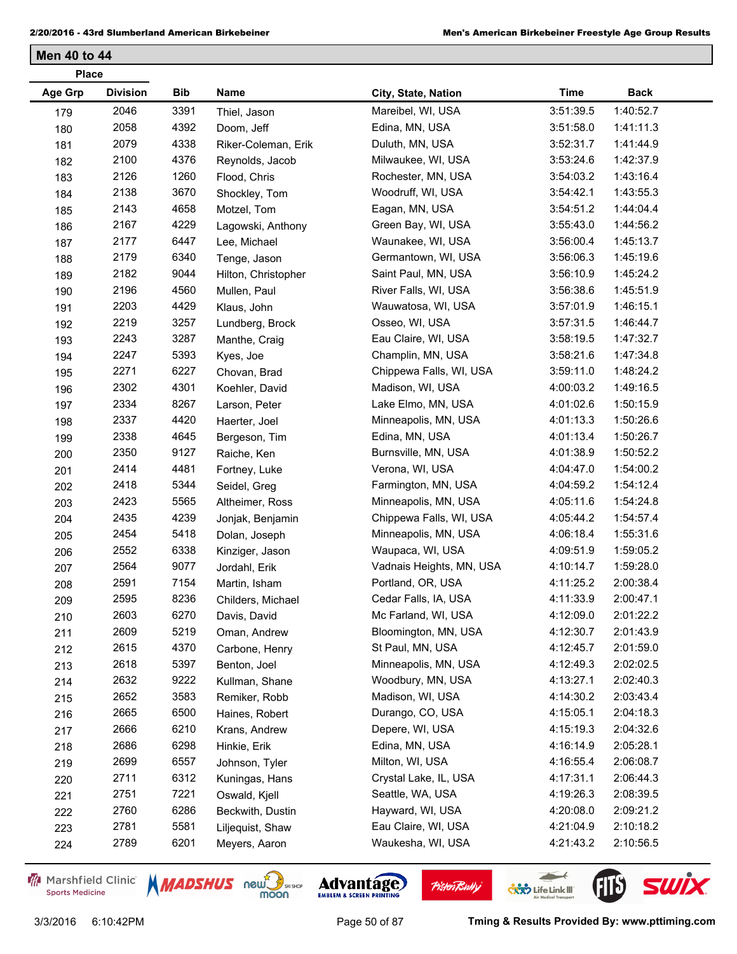| <b>Place</b>   |                 |      |                     |                          |             |             |
|----------------|-----------------|------|---------------------|--------------------------|-------------|-------------|
| <b>Age Grp</b> | <b>Division</b> | Bib  | Name                | City, State, Nation      | <b>Time</b> | <b>Back</b> |
| 179            | 2046            | 3391 | Thiel, Jason        | Mareibel, WI, USA        | 3:51:39.5   | 1:40:52.7   |
| 180            | 2058            | 4392 | Doom, Jeff          | Edina, MN, USA           | 3:51:58.0   | 1:41:11.3   |
| 181            | 2079            | 4338 | Riker-Coleman, Erik | Duluth, MN, USA          | 3:52:31.7   | 1:41:44.9   |
| 182            | 2100            | 4376 | Reynolds, Jacob     | Milwaukee, WI, USA       | 3:53:24.6   | 1:42:37.9   |
| 183            | 2126            | 1260 | Flood, Chris        | Rochester, MN, USA       | 3:54:03.2   | 1:43:16.4   |
| 184            | 2138            | 3670 | Shockley, Tom       | Woodruff, WI, USA        | 3:54:42.1   | 1:43:55.3   |
| 185            | 2143            | 4658 | Motzel, Tom         | Eagan, MN, USA           | 3:54:51.2   | 1:44:04.4   |
| 186            | 2167            | 4229 | Lagowski, Anthony   | Green Bay, WI, USA       | 3:55:43.0   | 1:44:56.2   |
| 187            | 2177            | 6447 | Lee, Michael        | Waunakee, WI, USA        | 3:56:00.4   | 1:45:13.7   |
| 188            | 2179            | 6340 | Tenge, Jason        | Germantown, WI, USA      | 3:56:06.3   | 1:45:19.6   |
| 189            | 2182            | 9044 | Hilton, Christopher | Saint Paul, MN, USA      | 3:56:10.9   | 1:45:24.2   |
| 190            | 2196            | 4560 | Mullen, Paul        | River Falls, WI, USA     | 3:56:38.6   | 1:45:51.9   |
| 191            | 2203            | 4429 | Klaus, John         | Wauwatosa, WI, USA       | 3:57:01.9   | 1:46:15.1   |
| 192            | 2219            | 3257 | Lundberg, Brock     | Osseo, WI, USA           | 3:57:31.5   | 1:46:44.7   |
| 193            | 2243            | 3287 | Manthe, Craig       | Eau Claire, WI, USA      | 3:58:19.5   | 1:47:32.7   |
| 194            | 2247            | 5393 | Kyes, Joe           | Champlin, MN, USA        | 3:58:21.6   | 1:47:34.8   |
| 195            | 2271            | 6227 | Chovan, Brad        | Chippewa Falls, WI, USA  | 3:59:11.0   | 1:48:24.2   |
| 196            | 2302            | 4301 | Koehler, David      | Madison, WI, USA         | 4:00:03.2   | 1:49:16.5   |
| 197            | 2334            | 8267 | Larson, Peter       | Lake Elmo, MN, USA       | 4:01:02.6   | 1:50:15.9   |
| 198            | 2337            | 4420 | Haerter, Joel       | Minneapolis, MN, USA     | 4:01:13.3   | 1:50:26.6   |
| 199            | 2338            | 4645 | Bergeson, Tim       | Edina, MN, USA           | 4:01:13.4   | 1:50:26.7   |
| 200            | 2350            | 9127 | Raiche, Ken         | Burnsville, MN, USA      | 4:01:38.9   | 1:50:52.2   |
| 201            | 2414            | 4481 | Fortney, Luke       | Verona, WI, USA          | 4:04:47.0   | 1:54:00.2   |
| 202            | 2418            | 5344 | Seidel, Greg        | Farmington, MN, USA      | 4:04:59.2   | 1:54:12.4   |
| 203            | 2423            | 5565 | Altheimer, Ross     | Minneapolis, MN, USA     | 4:05:11.6   | 1:54:24.8   |
| 204            | 2435            | 4239 | Jonjak, Benjamin    | Chippewa Falls, WI, USA  | 4:05:44.2   | 1:54:57.4   |
| 205            | 2454            | 5418 | Dolan, Joseph       | Minneapolis, MN, USA     | 4:06:18.4   | 1:55:31.6   |
| 206            | 2552            | 6338 | Kinziger, Jason     | Waupaca, WI, USA         | 4:09:51.9   | 1:59:05.2   |
| 207            | 2564            | 9077 | Jordahl, Erik       | Vadnais Heights, MN, USA | 4:10:14.7   | 1:59:28.0   |
| 208            | 2591            | 7154 | Martin, Isham       | Portland, OR, USA        | 4:11:25.2   | 2:00:38.4   |
| 209            | 2595            | 8236 | Childers, Michael   | Cedar Falls, IA, USA     | 4:11:33.9   | 2:00:47.1   |
| 210            | 2603            | 6270 | Davis, David        | Mc Farland, WI, USA      | 4:12:09.0   | 2:01:22.2   |
| 211            | 2609            | 5219 | Oman, Andrew        | Bloomington, MN, USA     | 4:12:30.7   | 2:01:43.9   |
| 212            | 2615            | 4370 | Carbone, Henry      | St Paul, MN, USA         | 4:12:45.7   | 2:01:59.0   |
| 213            | 2618            | 5397 | Benton, Joel        | Minneapolis, MN, USA     | 4:12:49.3   | 2:02:02.5   |
| 214            | 2632            | 9222 | Kullman, Shane      | Woodbury, MN, USA        | 4:13:27.1   | 2:02:40.3   |
| 215            | 2652            | 3583 | Remiker, Robb       | Madison, WI, USA         | 4:14:30.2   | 2:03:43.4   |
| 216            | 2665            | 6500 | Haines, Robert      | Durango, CO, USA         | 4:15:05.1   | 2:04:18.3   |
| 217            | 2666            | 6210 | Krans, Andrew       | Depere, WI, USA          | 4:15:19.3   | 2:04:32.6   |
| 218            | 2686            | 6298 | Hinkie, Erik        | Edina, MN, USA           | 4:16:14.9   | 2:05:28.1   |
| 219            | 2699            | 6557 | Johnson, Tyler      | Milton, WI, USA          | 4:16:55.4   | 2:06:08.7   |
| 220            | 2711            | 6312 | Kuningas, Hans      | Crystal Lake, IL, USA    | 4:17:31.1   | 2:06:44.3   |
| 221            | 2751            | 7221 | Oswald, Kjell       | Seattle, WA, USA         | 4:19:26.3   | 2:08:39.5   |
| 222            | 2760            | 6286 | Beckwith, Dustin    | Hayward, WI, USA         | 4:20:08.0   | 2:09:21.2   |
| 223            | 2781            | 5581 | Liljequist, Shaw    | Eau Claire, WI, USA      | 4:21:04.9   | 2:10:18.2   |
| 224            | 2789            | 6201 | Meyers, Aaron       | Waukesha, WI, USA        | 4:21:43.2   | 2:10:56.5   |
|                |                 |      |                     |                          |             |             |

Marshfield Clinic **Sports Medicine** 





**Pisten Bully** 

 $\leftarrow$ 

**COND** Life Link III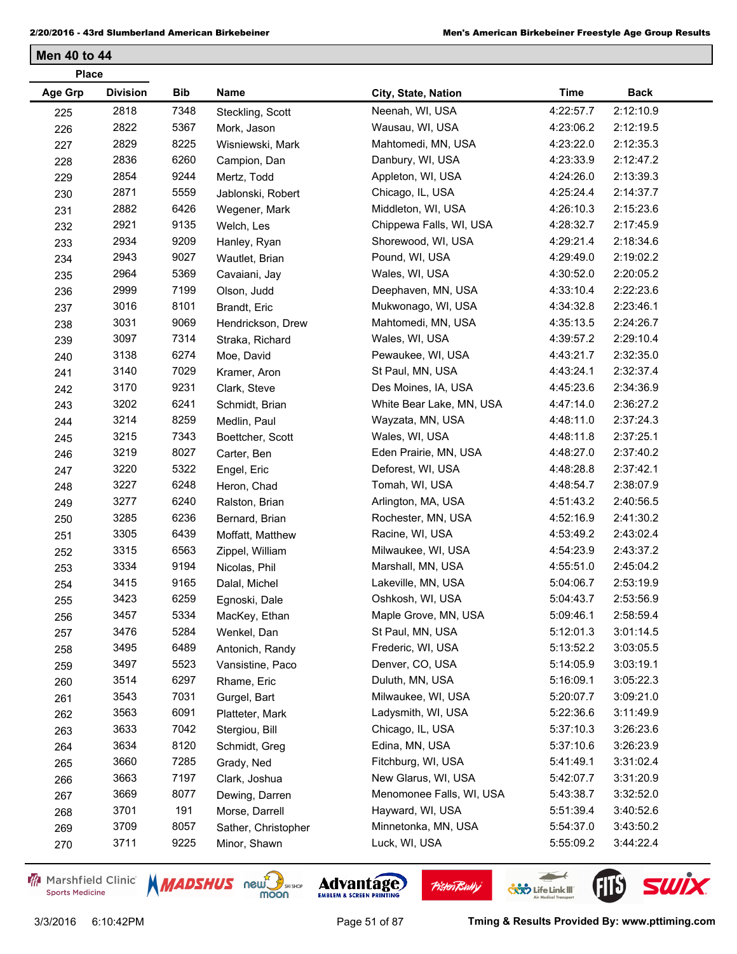|                | <b>Place</b>    |      |                     |                          |             |             |  |
|----------------|-----------------|------|---------------------|--------------------------|-------------|-------------|--|
| <b>Age Grp</b> | <b>Division</b> | Bib  | Name                | City, State, Nation      | <b>Time</b> | <b>Back</b> |  |
| 225            | 2818            | 7348 | Steckling, Scott    | Neenah, WI, USA          | 4:22:57.7   | 2:12:10.9   |  |
| 226            | 2822            | 5367 | Mork, Jason         | Wausau, WI, USA          | 4:23:06.2   | 2:12:19.5   |  |
| 227            | 2829            | 8225 | Wisniewski, Mark    | Mahtomedi, MN, USA       | 4:23:22.0   | 2:12:35.3   |  |
| 228            | 2836            | 6260 | Campion, Dan        | Danbury, WI, USA         | 4:23:33.9   | 2:12:47.2   |  |
| 229            | 2854            | 9244 | Mertz, Todd         | Appleton, WI, USA        | 4:24:26.0   | 2:13:39.3   |  |
| 230            | 2871            | 5559 | Jablonski, Robert   | Chicago, IL, USA         | 4:25:24.4   | 2:14:37.7   |  |
| 231            | 2882            | 6426 | Wegener, Mark       | Middleton, WI, USA       | 4:26:10.3   | 2:15:23.6   |  |
| 232            | 2921            | 9135 | Welch, Les          | Chippewa Falls, WI, USA  | 4:28:32.7   | 2:17:45.9   |  |
| 233            | 2934            | 9209 | Hanley, Ryan        | Shorewood, WI, USA       | 4:29:21.4   | 2:18:34.6   |  |
| 234            | 2943            | 9027 | Wautlet, Brian      | Pound, WI, USA           | 4:29:49.0   | 2:19:02.2   |  |
| 235            | 2964            | 5369 | Cavaiani, Jay       | Wales, WI, USA           | 4:30:52.0   | 2:20:05.2   |  |
| 236            | 2999            | 7199 | Olson, Judd         | Deephaven, MN, USA       | 4:33:10.4   | 2:22:23.6   |  |
| 237            | 3016            | 8101 | Brandt, Eric        | Mukwonago, WI, USA       | 4:34:32.8   | 2:23:46.1   |  |
| 238            | 3031            | 9069 | Hendrickson, Drew   | Mahtomedi, MN, USA       | 4:35:13.5   | 2:24:26.7   |  |
| 239            | 3097            | 7314 | Straka, Richard     | Wales, WI, USA           | 4:39:57.2   | 2:29:10.4   |  |
| 240            | 3138            | 6274 | Moe, David          | Pewaukee, WI, USA        | 4:43:21.7   | 2:32:35.0   |  |
| 241            | 3140            | 7029 | Kramer, Aron        | St Paul, MN, USA         | 4:43:24.1   | 2:32:37.4   |  |
| 242            | 3170            | 9231 | Clark, Steve        | Des Moines, IA, USA      | 4:45:23.6   | 2:34:36.9   |  |
| 243            | 3202            | 6241 | Schmidt, Brian      | White Bear Lake, MN, USA | 4:47:14.0   | 2:36:27.2   |  |
| 244            | 3214            | 8259 | Medlin, Paul        | Wayzata, MN, USA         | 4:48:11.0   | 2:37:24.3   |  |
| 245            | 3215            | 7343 | Boettcher, Scott    | Wales, WI, USA           | 4:48:11.8   | 2:37:25.1   |  |
| 246            | 3219            | 8027 | Carter, Ben         | Eden Prairie, MN, USA    | 4:48:27.0   | 2:37:40.2   |  |
| 247            | 3220            | 5322 | Engel, Eric         | Deforest, WI, USA        | 4:48:28.8   | 2:37:42.1   |  |
| 248            | 3227            | 6248 | Heron, Chad         | Tomah, WI, USA           | 4:48:54.7   | 2:38:07.9   |  |
| 249            | 3277            | 6240 | Ralston, Brian      | Arlington, MA, USA       | 4:51:43.2   | 2:40:56.5   |  |
| 250            | 3285            | 6236 | Bernard, Brian      | Rochester, MN, USA       | 4:52:16.9   | 2:41:30.2   |  |
| 251            | 3305            | 6439 | Moffatt, Matthew    | Racine, WI, USA          | 4:53:49.2   | 2:43:02.4   |  |
| 252            | 3315            | 6563 | Zippel, William     | Milwaukee, WI, USA       | 4:54:23.9   | 2:43:37.2   |  |
| 253            | 3334            | 9194 | Nicolas, Phil       | Marshall, MN, USA        | 4:55:51.0   | 2:45:04.2   |  |
| 254            | 3415            | 9165 | Dalal, Michel       | Lakeville, MN, USA       | 5:04:06.7   | 2:53:19.9   |  |
| 255            | 3423            | 6259 | Egnoski, Dale       | Oshkosh, WI, USA         | 5:04:43.7   | 2:53:56.9   |  |
| 256            | 3457            | 5334 | MacKey, Ethan       | Maple Grove, MN, USA     | 5:09:46.1   | 2:58:59.4   |  |
| 257            | 3476            | 5284 | Wenkel, Dan         | St Paul, MN, USA         | 5:12:01.3   | 3:01:14.5   |  |
| 258            | 3495            | 6489 | Antonich, Randy     | Frederic, WI, USA        | 5:13:52.2   | 3:03:05.5   |  |
| 259            | 3497            | 5523 | Vansistine, Paco    | Denver, CO, USA          | 5:14:05.9   | 3:03:19.1   |  |
| 260            | 3514            | 6297 | Rhame, Eric         | Duluth, MN, USA          | 5:16:09.1   | 3:05:22.3   |  |
| 261            | 3543            | 7031 | Gurgel, Bart        | Milwaukee, WI, USA       | 5:20:07.7   | 3:09:21.0   |  |
| 262            | 3563            | 6091 | Platteter, Mark     | Ladysmith, WI, USA       | 5:22:36.6   | 3:11:49.9   |  |
| 263            | 3633            | 7042 | Stergiou, Bill      | Chicago, IL, USA         | 5:37:10.3   | 3:26:23.6   |  |
| 264            | 3634            | 8120 | Schmidt, Greg       | Edina, MN, USA           | 5:37:10.6   | 3:26:23.9   |  |
| 265            | 3660            | 7285 | Grady, Ned          | Fitchburg, WI, USA       | 5:41:49.1   | 3:31:02.4   |  |
| 266            | 3663            | 7197 | Clark, Joshua       | New Glarus, WI, USA      | 5:42:07.7   | 3:31:20.9   |  |
| 267            | 3669            | 8077 | Dewing, Darren      | Menomonee Falls, WI, USA | 5:43:38.7   | 3:32:52.0   |  |
| 268            | 3701            | 191  | Morse, Darrell      | Hayward, WI, USA         | 5:51:39.4   | 3:40:52.6   |  |
| 269            | 3709            | 8057 | Sather, Christopher | Minnetonka, MN, USA      | 5:54:37.0   | 3:43:50.2   |  |
| 270            | 3711            | 9225 | Minor, Shawn        | Luck, WI, USA            | 5:55:09.2   | 3:44:22.4   |  |

Marshfield Clinic **Sports Medicine** 





**Pisten Bully** 

 $\leftarrow$ 

**COND** Life Link III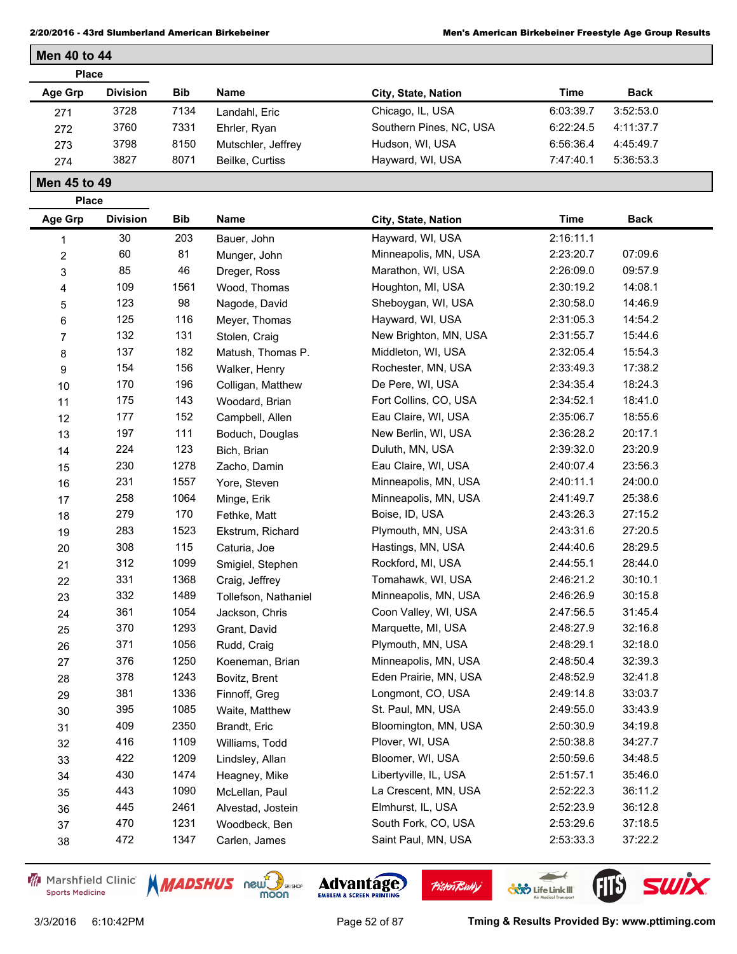| <b>Place</b> |                 |            |                    |                         |           |             |
|--------------|-----------------|------------|--------------------|-------------------------|-----------|-------------|
| Age Grp      | <b>Division</b> | <b>Bib</b> | Name               | City, State, Nation     | Time      | <b>Back</b> |
| 271          | 3728            | 7134       | Landahl, Eric      | Chicago, IL, USA        | 6:03:39.7 | 3:52:53.0   |
| 272          | 3760            | 7331       | Ehrler, Ryan       | Southern Pines, NC, USA | 6:22:24.5 | 4:11:37.7   |
| 273          | 3798            | 8150       | Mutschler, Jeffrey | Hudson, WI, USA         | 6:56:36.4 | 4:45:49.7   |
| 274          | 3827            | 8071       | Beilke, Curtiss    | Hayward, WI, USA        | 7:47:40.1 | 5:36:53.3   |

**Place**

**Men 40 to 44**

| Age Grp                 | <b>Division</b> | Bib  | Name                 | City, State, Nation   | <b>Time</b> | <b>Back</b> |
|-------------------------|-----------------|------|----------------------|-----------------------|-------------|-------------|
| 1                       | 30              | 203  | Bauer, John          | Hayward, WI, USA      | 2:16:11.1   |             |
| $\overline{\mathbf{c}}$ | 60              | 81   | Munger, John         | Minneapolis, MN, USA  | 2:23:20.7   | 07:09.6     |
| 3                       | 85              | 46   | Dreger, Ross         | Marathon, WI, USA     | 2:26:09.0   | 09:57.9     |
| 4                       | 109             | 1561 | Wood, Thomas         | Houghton, MI, USA     | 2:30:19.2   | 14:08.1     |
| 5                       | 123             | 98   | Nagode, David        | Sheboygan, WI, USA    | 2:30:58.0   | 14:46.9     |
| 6                       | 125             | 116  | Meyer, Thomas        | Hayward, WI, USA      | 2:31:05.3   | 14:54.2     |
| 7                       | 132             | 131  | Stolen, Craig        | New Brighton, MN, USA | 2:31:55.7   | 15:44.6     |
| 8                       | 137             | 182  | Matush, Thomas P.    | Middleton, WI, USA    | 2:32:05.4   | 15:54.3     |
| 9                       | 154             | 156  | Walker, Henry        | Rochester, MN, USA    | 2:33:49.3   | 17:38.2     |
| 10                      | 170             | 196  | Colligan, Matthew    | De Pere, WI, USA      | 2:34:35.4   | 18:24.3     |
| 11                      | 175             | 143  | Woodard, Brian       | Fort Collins, CO, USA | 2:34:52.1   | 18:41.0     |
| 12                      | 177             | 152  | Campbell, Allen      | Eau Claire, WI, USA   | 2:35:06.7   | 18:55.6     |
| 13                      | 197             | 111  | Boduch, Douglas      | New Berlin, WI, USA   | 2:36:28.2   | 20:17.1     |
| 14                      | 224             | 123  | Bich, Brian          | Duluth, MN, USA       | 2:39:32.0   | 23:20.9     |
| 15                      | 230             | 1278 | Zacho, Damin         | Eau Claire, WI, USA   | 2:40:07.4   | 23:56.3     |
| 16                      | 231             | 1557 | Yore, Steven         | Minneapolis, MN, USA  | 2:40:11.1   | 24:00.0     |
| 17                      | 258             | 1064 | Minge, Erik          | Minneapolis, MN, USA  | 2:41:49.7   | 25:38.6     |
| 18                      | 279             | 170  | Fethke, Matt         | Boise, ID, USA        | 2:43:26.3   | 27:15.2     |
| 19                      | 283             | 1523 | Ekstrum, Richard     | Plymouth, MN, USA     | 2:43:31.6   | 27:20.5     |
| 20                      | 308             | 115  | Caturia, Joe         | Hastings, MN, USA     | 2:44:40.6   | 28:29.5     |
| 21                      | 312             | 1099 | Smigiel, Stephen     | Rockford, MI, USA     | 2:44:55.1   | 28:44.0     |
| 22                      | 331             | 1368 | Craig, Jeffrey       | Tomahawk, WI, USA     | 2:46:21.2   | 30:10.1     |
| 23                      | 332             | 1489 | Tollefson, Nathaniel | Minneapolis, MN, USA  | 2:46:26.9   | 30:15.8     |
| 24                      | 361             | 1054 | Jackson, Chris       | Coon Valley, WI, USA  | 2:47:56.5   | 31:45.4     |
| 25                      | 370             | 1293 | Grant, David         | Marquette, MI, USA    | 2:48:27.9   | 32:16.8     |
| 26                      | 371             | 1056 | Rudd, Craig          | Plymouth, MN, USA     | 2:48:29.1   | 32:18.0     |
| 27                      | 376             | 1250 | Koeneman, Brian      | Minneapolis, MN, USA  | 2:48:50.4   | 32:39.3     |
| 28                      | 378             | 1243 | Bovitz, Brent        | Eden Prairie, MN, USA | 2:48:52.9   | 32:41.8     |
| 29                      | 381             | 1336 | Finnoff, Greg        | Longmont, CO, USA     | 2:49:14.8   | 33:03.7     |
| 30                      | 395             | 1085 | Waite, Matthew       | St. Paul, MN, USA     | 2:49:55.0   | 33:43.9     |
| 31                      | 409             | 2350 | Brandt, Eric         | Bloomington, MN, USA  | 2:50:30.9   | 34:19.8     |
| 32                      | 416             | 1109 | Williams, Todd       | Plover, WI, USA       | 2:50:38.8   | 34:27.7     |
| 33                      | 422             | 1209 | Lindsley, Allan      | Bloomer, WI, USA      | 2:50:59.6   | 34:48.5     |
| 34                      | 430             | 1474 | Heagney, Mike        | Libertyville, IL, USA | 2:51:57.1   | 35:46.0     |
| 35                      | 443             | 1090 | McLellan, Paul       | La Crescent, MN, USA  | 2:52:22.3   | 36:11.2     |
| 36                      | 445             | 2461 | Alvestad, Jostein    | Elmhurst, IL, USA     | 2:52:23.9   | 36:12.8     |
| 37                      | 470             | 1231 | Woodbeck, Ben        | South Fork, CO, USA   | 2:53:29.6   | 37:18.5     |
| 38                      | 472             | 1347 | Carlen, James        | Saint Paul, MN, USA   | 2:53:33.3   | 37:22.2     |

Marshfield Clinic **Sports Medicine** 





**Pisten Bully** 

 $\leftarrow$ 

**COND** Life Link III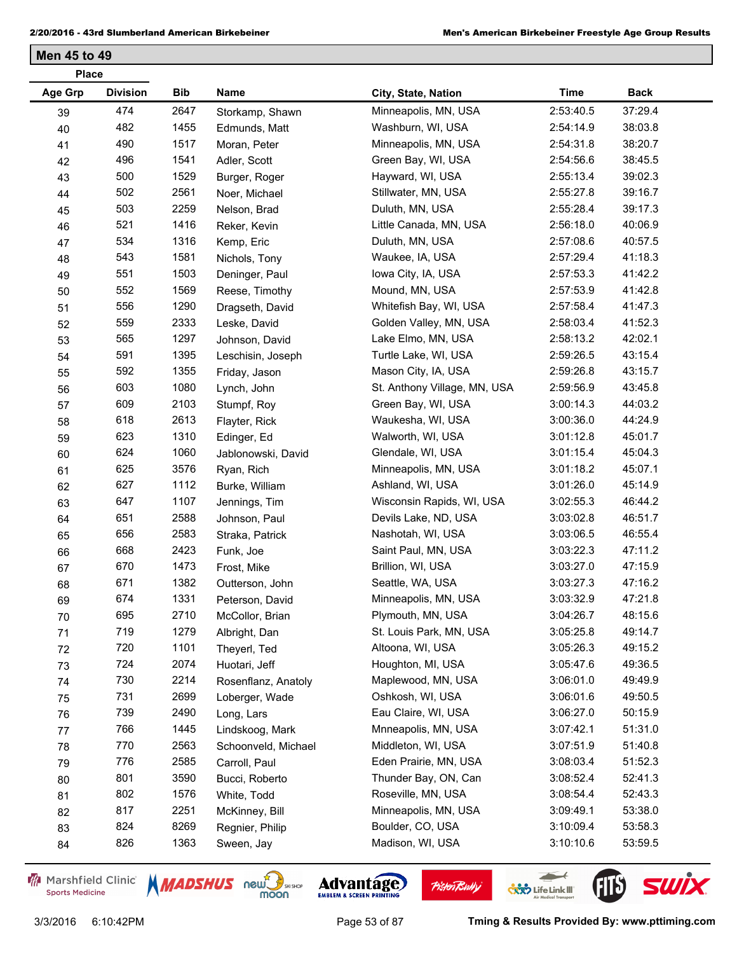| <b>Place</b> |                 |            |                     |                              |           |             |
|--------------|-----------------|------------|---------------------|------------------------------|-----------|-------------|
| Age Grp      | <b>Division</b> | <b>Bib</b> | Name                | City, State, Nation          | Time      | <b>Back</b> |
| 39           | 474             | 2647       | Storkamp, Shawn     | Minneapolis, MN, USA         | 2:53:40.5 | 37:29.4     |
| 40           | 482             | 1455       | Edmunds, Matt       | Washburn, WI, USA            | 2:54:14.9 | 38:03.8     |
| 41           | 490             | 1517       | Moran, Peter        | Minneapolis, MN, USA         | 2:54:31.8 | 38:20.7     |
| 42           | 496             | 1541       | Adler, Scott        | Green Bay, WI, USA           | 2:54:56.6 | 38:45.5     |
| 43           | 500             | 1529       | Burger, Roger       | Hayward, WI, USA             | 2:55:13.4 | 39:02.3     |
| 44           | 502             | 2561       | Noer, Michael       | Stillwater, MN, USA          | 2:55:27.8 | 39:16.7     |
| 45           | 503             | 2259       | Nelson, Brad        | Duluth, MN, USA              | 2:55:28.4 | 39:17.3     |
| 46           | 521             | 1416       | Reker, Kevin        | Little Canada, MN, USA       | 2:56:18.0 | 40:06.9     |
| 47           | 534             | 1316       | Kemp, Eric          | Duluth, MN, USA              | 2:57:08.6 | 40:57.5     |
| 48           | 543             | 1581       | Nichols, Tony       | Waukee, IA, USA              | 2:57:29.4 | 41:18.3     |
| 49           | 551             | 1503       | Deninger, Paul      | lowa City, IA, USA           | 2:57:53.3 | 41:42.2     |
| 50           | 552             | 1569       | Reese, Timothy      | Mound, MN, USA               | 2:57:53.9 | 41:42.8     |
| 51           | 556             | 1290       | Dragseth, David     | Whitefish Bay, WI, USA       | 2:57:58.4 | 41:47.3     |
| 52           | 559             | 2333       | Leske, David        | Golden Valley, MN, USA       | 2:58:03.4 | 41:52.3     |
| 53           | 565             | 1297       | Johnson, David      | Lake Elmo, MN, USA           | 2:58:13.2 | 42:02.1     |
| 54           | 591             | 1395       | Leschisin, Joseph   | Turtle Lake, WI, USA         | 2:59:26.5 | 43:15.4     |
| 55           | 592             | 1355       | Friday, Jason       | Mason City, IA, USA          | 2:59:26.8 | 43:15.7     |
| 56           | 603             | 1080       | Lynch, John         | St. Anthony Village, MN, USA | 2:59:56.9 | 43:45.8     |
| 57           | 609             | 2103       | Stumpf, Roy         | Green Bay, WI, USA           | 3:00:14.3 | 44:03.2     |
| 58           | 618             | 2613       | Flayter, Rick       | Waukesha, WI, USA            | 3:00:36.0 | 44:24.9     |
| 59           | 623             | 1310       | Edinger, Ed         | Walworth, WI, USA            | 3:01:12.8 | 45:01.7     |
| 60           | 624             | 1060       | Jablonowski, David  | Glendale, WI, USA            | 3:01:15.4 | 45:04.3     |
| 61           | 625             | 3576       | Ryan, Rich          | Minneapolis, MN, USA         | 3:01:18.2 | 45:07.1     |
| 62           | 627             | 1112       | Burke, William      | Ashland, WI, USA             | 3:01:26.0 | 45:14.9     |
| 63           | 647             | 1107       | Jennings, Tim       | Wisconsin Rapids, WI, USA    | 3:02:55.3 | 46:44.2     |
| 64           | 651             | 2588       | Johnson, Paul       | Devils Lake, ND, USA         | 3:03:02.8 | 46:51.7     |
| 65           | 656             | 2583       | Straka, Patrick     | Nashotah, WI, USA            | 3:03:06.5 | 46:55.4     |
| 66           | 668             | 2423       | Funk, Joe           | Saint Paul, MN, USA          | 3:03:22.3 | 47:11.2     |
| 67           | 670             | 1473       | Frost, Mike         | Brillion, WI, USA            | 3:03:27.0 | 47:15.9     |
| 68           | 671             | 1382       | Outterson, John     | Seattle, WA, USA             | 3:03:27.3 | 47:16.2     |
| 69           | 674             | 1331       | Peterson, David     | Minneapolis, MN, USA         | 3:03:32.9 | 47:21.8     |
| 70           | 695             | 2710       | McCollor, Brian     | Plymouth, MN, USA            | 3:04:26.7 | 48:15.6     |
| 71           | 719             | 1279       | Albright, Dan       | St. Louis Park, MN, USA      | 3:05:25.8 | 49:14.7     |
| 72           | 720             | 1101       | Theyerl, Ted        | Altoona, WI, USA             | 3:05:26.3 | 49:15.2     |
| 73           | 724             | 2074       | Huotari, Jeff       | Houghton, MI, USA            | 3:05:47.6 | 49:36.5     |
| 74           | 730             | 2214       | Rosenflanz, Anatoly | Maplewood, MN, USA           | 3:06:01.0 | 49:49.9     |
| 75           | 731             | 2699       | Loberger, Wade      | Oshkosh, WI, USA             | 3:06:01.6 | 49:50.5     |
| 76           | 739             | 2490       | Long, Lars          | Eau Claire, WI, USA          | 3:06:27.0 | 50:15.9     |
| 77           | 766             | 1445       | Lindskoog, Mark     | Mnneapolis, MN, USA          | 3:07:42.1 | 51:31.0     |
| 78           | 770             | 2563       | Schoonveld, Michael | Middleton, WI, USA           | 3:07:51.9 | 51:40.8     |
| 79           | 776             | 2585       | Carroll, Paul       | Eden Prairie, MN, USA        | 3:08:03.4 | 51:52.3     |
| 80           | 801             | 3590       | Bucci, Roberto      | Thunder Bay, ON, Can         | 3:08:52.4 | 52:41.3     |
| 81           | 802             | 1576       | White, Todd         | Roseville, MN, USA           | 3:08:54.4 | 52:43.3     |
| 82           | 817             | 2251       | McKinney, Bill      | Minneapolis, MN, USA         | 3:09:49.1 | 53:38.0     |
| 83           | 824             | 8269       | Regnier, Philip     | Boulder, CO, USA             | 3:10:09.4 | 53:58.3     |
| 84           | 826             | 1363       | Sween, Jay          | Madison, WI, USA             | 3:10:10.6 | 53:59.5     |
|              |                 |            |                     |                              |           |             |

Marshfield Clinic **Sports Medicine** 



**Pisten Bully** 

 $\leftarrow$ 

**COND** Life Link III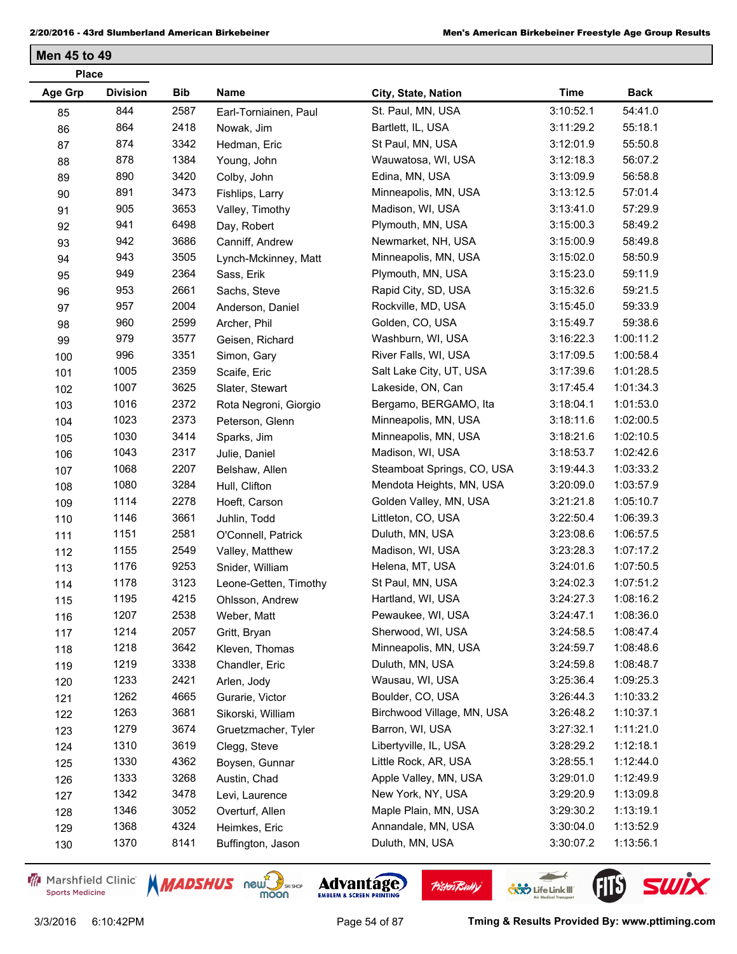| <b>Place</b>   |                 |      |                       |                            |             |             |
|----------------|-----------------|------|-----------------------|----------------------------|-------------|-------------|
| <b>Age Grp</b> | <b>Division</b> | Bib  | Name                  | City, State, Nation        | <b>Time</b> | <b>Back</b> |
| 85             | 844             | 2587 | Earl-Torniainen, Paul | St. Paul, MN, USA          | 3:10:52.1   | 54:41.0     |
| 86             | 864             | 2418 | Nowak, Jim            | Bartlett, IL, USA          | 3:11:29.2   | 55:18.1     |
| 87             | 874             | 3342 | Hedman, Eric          | St Paul, MN, USA           | 3:12:01.9   | 55:50.8     |
| 88             | 878             | 1384 | Young, John           | Wauwatosa, WI, USA         | 3:12:18.3   | 56:07.2     |
| 89             | 890             | 3420 | Colby, John           | Edina, MN, USA             | 3:13:09.9   | 56:58.8     |
| 90             | 891             | 3473 | Fishlips, Larry       | Minneapolis, MN, USA       | 3:13:12.5   | 57:01.4     |
| 91             | 905             | 3653 | Valley, Timothy       | Madison, WI, USA           | 3:13:41.0   | 57:29.9     |
| 92             | 941             | 6498 | Day, Robert           | Plymouth, MN, USA          | 3:15:00.3   | 58:49.2     |
| 93             | 942             | 3686 | Canniff, Andrew       | Newmarket, NH, USA         | 3:15:00.9   | 58:49.8     |
| 94             | 943             | 3505 | Lynch-Mckinney, Matt  | Minneapolis, MN, USA       | 3:15:02.0   | 58:50.9     |
| 95             | 949             | 2364 | Sass, Erik            | Plymouth, MN, USA          | 3:15:23.0   | 59:11.9     |
| 96             | 953             | 2661 | Sachs, Steve          | Rapid City, SD, USA        | 3:15:32.6   | 59:21.5     |
| 97             | 957             | 2004 | Anderson, Daniel      | Rockville, MD, USA         | 3:15:45.0   | 59:33.9     |
| 98             | 960             | 2599 | Archer, Phil          | Golden, CO, USA            | 3:15:49.7   | 59:38.6     |
| 99             | 979             | 3577 | Geisen, Richard       | Washburn, WI, USA          | 3:16:22.3   | 1:00:11.2   |
| 100            | 996             | 3351 | Simon, Gary           | River Falls, WI, USA       | 3:17:09.5   | 1:00:58.4   |
| 101            | 1005            | 2359 | Scaife, Eric          | Salt Lake City, UT, USA    | 3:17:39.6   | 1:01:28.5   |
| 102            | 1007            | 3625 | Slater, Stewart       | Lakeside, ON, Can          | 3:17:45.4   | 1:01:34.3   |
| 103            | 1016            | 2372 | Rota Negroni, Giorgio | Bergamo, BERGAMO, Ita      | 3:18:04.1   | 1:01:53.0   |
| 104            | 1023            | 2373 | Peterson, Glenn       | Minneapolis, MN, USA       | 3:18:11.6   | 1:02:00.5   |
| 105            | 1030            | 3414 | Sparks, Jim           | Minneapolis, MN, USA       | 3:18:21.6   | 1:02:10.5   |
| 106            | 1043            | 2317 | Julie, Daniel         | Madison, WI, USA           | 3:18:53.7   | 1:02:42.6   |
| 107            | 1068            | 2207 | Belshaw, Allen        | Steamboat Springs, CO, USA | 3:19:44.3   | 1:03:33.2   |
| 108            | 1080            | 3284 | Hull, Clifton         | Mendota Heights, MN, USA   | 3:20:09.0   | 1:03:57.9   |
| 109            | 1114            | 2278 | Hoeft, Carson         | Golden Valley, MN, USA     | 3:21:21.8   | 1:05:10.7   |
| 110            | 1146            | 3661 | Juhlin, Todd          | Littleton, CO, USA         | 3:22:50.4   | 1:06:39.3   |
| 111            | 1151            | 2581 | O'Connell, Patrick    | Duluth, MN, USA            | 3:23:08.6   | 1:06:57.5   |
| 112            | 1155            | 2549 | Valley, Matthew       | Madison, WI, USA           | 3:23:28.3   | 1:07:17.2   |
| 113            | 1176            | 9253 | Snider, William       | Helena, MT, USA            | 3:24:01.6   | 1:07:50.5   |
| 114            | 1178            | 3123 | Leone-Getten, Timothy | St Paul, MN, USA           | 3:24:02.3   | 1:07:51.2   |
| 115            | 1195            | 4215 | Ohlsson, Andrew       | Hartland, WI, USA          | 3:24:27.3   | 1:08:16.2   |
| 116            | 1207            | 2538 | Weber, Matt           | Pewaukee, WI, USA          | 3:24:47.1   | 1:08:36.0   |
| 117            | 1214            | 2057 | Gritt, Bryan          | Sherwood, WI, USA          | 3:24:58.5   | 1:08:47.4   |
| 118            | 1218            | 3642 | Kleven, Thomas        | Minneapolis, MN, USA       | 3:24:59.7   | 1:08:48.6   |
| 119            | 1219            | 3338 | Chandler, Eric        | Duluth, MN, USA            | 3:24:59.8   | 1:08:48.7   |
| 120            | 1233            | 2421 | Arlen, Jody           | Wausau, WI, USA            | 3:25:36.4   | 1:09:25.3   |
| 121            | 1262            | 4665 | Gurarie, Victor       | Boulder, CO, USA           | 3:26:44.3   | 1:10:33.2   |
| 122            | 1263            | 3681 | Sikorski, William     | Birchwood Village, MN, USA | 3:26:48.2   | 1:10:37.1   |
| 123            | 1279            | 3674 | Gruetzmacher, Tyler   | Barron, WI, USA            | 3:27:32.1   | 1:11:21.0   |
| 124            | 1310            | 3619 | Clegg, Steve          | Libertyville, IL, USA      | 3:28:29.2   | 1:12:18.1   |
| 125            | 1330            | 4362 | Boysen, Gunnar        | Little Rock, AR, USA       | 3:28:55.1   | 1:12:44.0   |
| 126            | 1333            | 3268 | Austin, Chad          | Apple Valley, MN, USA      | 3:29:01.0   | 1:12:49.9   |
| 127            | 1342            | 3478 | Levi, Laurence        | New York, NY, USA          | 3:29:20.9   | 1:13:09.8   |
| 128            | 1346            | 3052 | Overturf, Allen       | Maple Plain, MN, USA       | 3:29:30.2   | 1:13:19.1   |
| 129            | 1368            | 4324 | Heimkes, Eric         | Annandale, MN, USA         | 3:30:04.0   | 1:13:52.9   |
| 130            | 1370            | 8141 | Buffington, Jason     | Duluth, MN, USA            | 3:30:07.2   | 1:13:56.1   |
|                |                 |      |                       |                            |             |             |

Marshfield Clinic **Sports Medicine** 





**Pisten Bully** 

 $\leftarrow$ 

**COND** Life Link III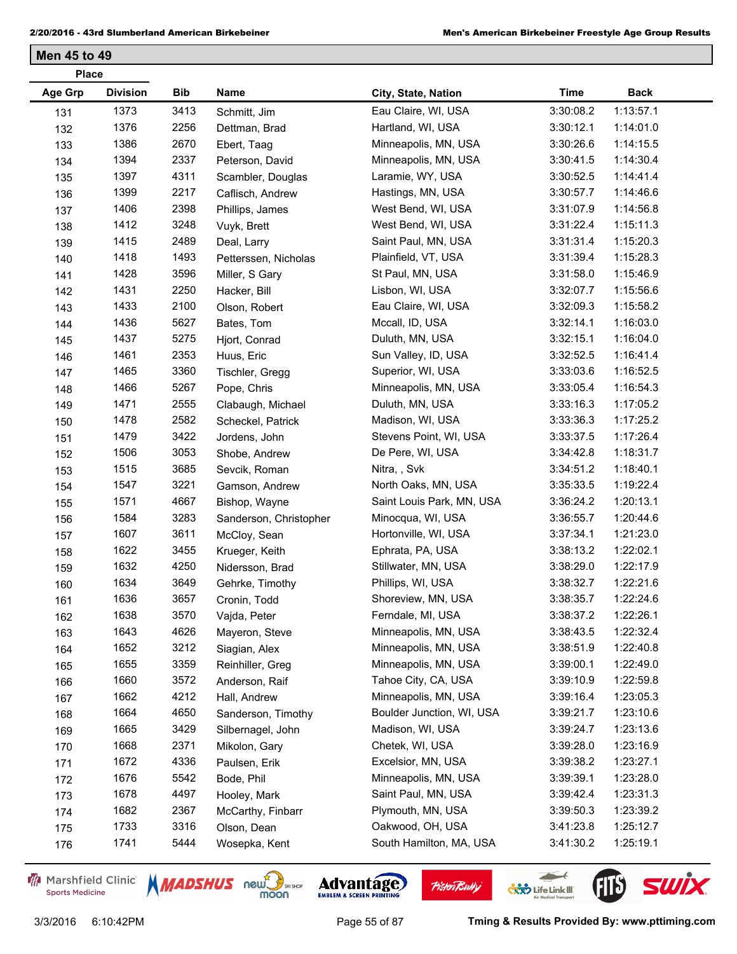| <b>Place</b>   |                 |      |                        |                           |             |             |
|----------------|-----------------|------|------------------------|---------------------------|-------------|-------------|
| <b>Age Grp</b> | <b>Division</b> | Bib  | Name                   | City, State, Nation       | <b>Time</b> | <b>Back</b> |
| 131            | 1373            | 3413 | Schmitt, Jim           | Eau Claire, WI, USA       | 3:30:08.2   | 1:13:57.1   |
| 132            | 1376            | 2256 | Dettman, Brad          | Hartland, WI, USA         | 3:30:12.1   | 1:14:01.0   |
| 133            | 1386            | 2670 | Ebert, Taag            | Minneapolis, MN, USA      | 3:30:26.6   | 1:14:15.5   |
| 134            | 1394            | 2337 | Peterson, David        | Minneapolis, MN, USA      | 3:30:41.5   | 1:14:30.4   |
| 135            | 1397            | 4311 | Scambler, Douglas      | Laramie, WY, USA          | 3:30:52.5   | 1:14:41.4   |
| 136            | 1399            | 2217 | Caflisch, Andrew       | Hastings, MN, USA         | 3:30:57.7   | 1:14:46.6   |
| 137            | 1406            | 2398 | Phillips, James        | West Bend, WI, USA        | 3:31:07.9   | 1:14:56.8   |
| 138            | 1412            | 3248 | Vuyk, Brett            | West Bend, WI, USA        | 3:31:22.4   | 1:15:11.3   |
| 139            | 1415            | 2489 | Deal, Larry            | Saint Paul, MN, USA       | 3:31:31.4   | 1:15:20.3   |
| 140            | 1418            | 1493 | Petterssen, Nicholas   | Plainfield, VT, USA       | 3:31:39.4   | 1:15:28.3   |
| 141            | 1428            | 3596 | Miller, S Gary         | St Paul, MN, USA          | 3:31:58.0   | 1:15:46.9   |
| 142            | 1431            | 2250 | Hacker, Bill           | Lisbon, WI, USA           | 3:32:07.7   | 1:15:56.6   |
| 143            | 1433            | 2100 | Olson, Robert          | Eau Claire, WI, USA       | 3:32:09.3   | 1:15:58.2   |
| 144            | 1436            | 5627 | Bates, Tom             | Mccall, ID, USA           | 3:32:14.1   | 1:16:03.0   |
| 145            | 1437            | 5275 | Hjort, Conrad          | Duluth, MN, USA           | 3:32:15.1   | 1:16:04.0   |
| 146            | 1461            | 2353 | Huus, Eric             | Sun Valley, ID, USA       | 3:32:52.5   | 1:16:41.4   |
| 147            | 1465            | 3360 | Tischler, Gregg        | Superior, WI, USA         | 3:33:03.6   | 1:16:52.5   |
| 148            | 1466            | 5267 | Pope, Chris            | Minneapolis, MN, USA      | 3:33:05.4   | 1:16:54.3   |
| 149            | 1471            | 2555 | Clabaugh, Michael      | Duluth, MN, USA           | 3:33:16.3   | 1:17:05.2   |
| 150            | 1478            | 2582 | Scheckel, Patrick      | Madison, WI, USA          | 3:33:36.3   | 1:17:25.2   |
| 151            | 1479            | 3422 | Jordens, John          | Stevens Point, WI, USA    | 3:33:37.5   | 1:17:26.4   |
| 152            | 1506            | 3053 | Shobe, Andrew          | De Pere, WI, USA          | 3:34:42.8   | 1:18:31.7   |
| 153            | 1515            | 3685 | Sevcik, Roman          | Nitra, , Svk              | 3:34:51.2   | 1:18:40.1   |
| 154            | 1547            | 3221 | Gamson, Andrew         | North Oaks, MN, USA       | 3:35:33.5   | 1:19:22.4   |
| 155            | 1571            | 4667 | Bishop, Wayne          | Saint Louis Park, MN, USA | 3:36:24.2   | 1:20:13.1   |
| 156            | 1584            | 3283 | Sanderson, Christopher | Minocqua, WI, USA         | 3:36:55.7   | 1:20:44.6   |
| 157            | 1607            | 3611 | McCloy, Sean           | Hortonville, WI, USA      | 3:37:34.1   | 1:21:23.0   |
| 158            | 1622            | 3455 | Krueger, Keith         | Ephrata, PA, USA          | 3:38:13.2   | 1:22:02.1   |
| 159            | 1632            | 4250 | Nidersson, Brad        | Stillwater, MN, USA       | 3:38:29.0   | 1:22:17.9   |
| 160            | 1634            | 3649 | Gehrke, Timothy        | Phillips, WI, USA         | 3:38:32.7   | 1:22:21.6   |
| 161            | 1636            | 3657 | Cronin, Todd           | Shoreview, MN, USA        | 3:38:35.7   | 1:22:24.6   |
| 162            | 1638            | 3570 | Vajda, Peter           | Ferndale, MI, USA         | 3:38:37.2   | 1:22:26.1   |
| 163            | 1643            | 4626 | Mayeron, Steve         | Minneapolis, MN, USA      | 3:38:43.5   | 1:22:32.4   |
| 164            | 1652            | 3212 | Siagian, Alex          | Minneapolis, MN, USA      | 3:38:51.9   | 1:22:40.8   |
| 165            | 1655            | 3359 | Reinhiller, Greg       | Minneapolis, MN, USA      | 3:39:00.1   | 1:22:49.0   |
| 166            | 1660            | 3572 | Anderson, Raif         | Tahoe City, CA, USA       | 3:39:10.9   | 1:22:59.8   |
| 167            | 1662            | 4212 | Hall, Andrew           | Minneapolis, MN, USA      | 3:39:16.4   | 1:23:05.3   |
| 168            | 1664            | 4650 | Sanderson, Timothy     | Boulder Junction, WI, USA | 3:39:21.7   | 1:23:10.6   |
| 169            | 1665            | 3429 | Silbernagel, John      | Madison, WI, USA          | 3:39:24.7   | 1:23:13.6   |
| 170            | 1668            | 2371 | Mikolon, Gary          | Chetek, WI, USA           | 3:39:28.0   | 1:23:16.9   |
| 171            | 1672            | 4336 | Paulsen, Erik          | Excelsior, MN, USA        | 3:39:38.2   | 1:23:27.1   |
| 172            | 1676            | 5542 | Bode, Phil             | Minneapolis, MN, USA      | 3:39:39.1   | 1:23:28.0   |
| 173            | 1678            | 4497 | Hooley, Mark           | Saint Paul, MN, USA       | 3:39:42.4   | 1:23:31.3   |
| 174            | 1682            | 2367 | McCarthy, Finbarr      | Plymouth, MN, USA         | 3:39:50.3   | 1:23:39.2   |
| 175            | 1733            | 3316 | Olson, Dean            | Oakwood, OH, USA          | 3:41:23.8   | 1:25:12.7   |
| 176            | 1741            | 5444 | Wosepka, Kent          | South Hamilton, MA, USA   | 3:41:30.2   | 1:25:19.1   |

Marshfield Clinic **Sports Medicine** 







 $\leftarrow$ 

**COND** Life Link III

FIL'S SWIX

**Pisten Bully**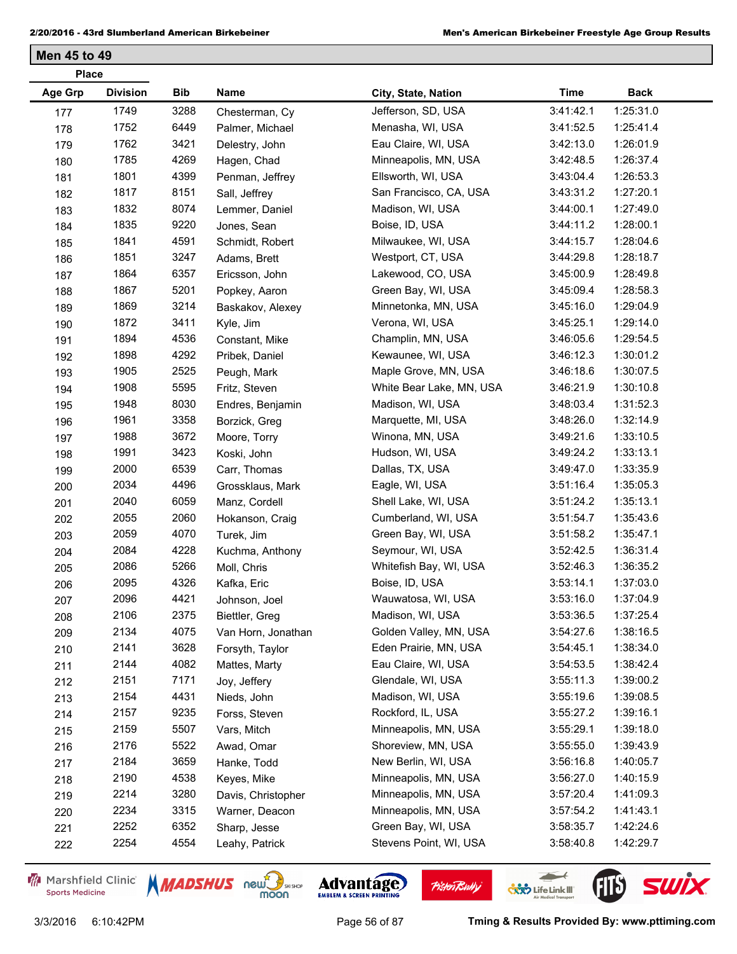| <b>Division</b><br><b>Age Grp</b><br>Bib<br>Name<br><b>Time</b><br><b>Back</b><br>City, State, Nation<br>1749<br>3288<br>Jefferson, SD, USA<br>3:41:42.1<br>1:25:31.0<br>Chesterman, Cy<br>177<br>1752<br>6449<br>1:25:41.4<br>Menasha, WI, USA<br>3:41:52.5<br>Palmer, Michael<br>178<br>1762<br>3421<br>1:26:01.9<br>Eau Claire, WI, USA |  |
|--------------------------------------------------------------------------------------------------------------------------------------------------------------------------------------------------------------------------------------------------------------------------------------------------------------------------------------------|--|
|                                                                                                                                                                                                                                                                                                                                            |  |
|                                                                                                                                                                                                                                                                                                                                            |  |
|                                                                                                                                                                                                                                                                                                                                            |  |
| 3:42:13.0<br>179<br>Delestry, John                                                                                                                                                                                                                                                                                                         |  |
| 1785<br>4269<br>Minneapolis, MN, USA<br>1:26:37.4<br>3:42:48.5<br>Hagen, Chad<br>180                                                                                                                                                                                                                                                       |  |
| 1801<br>4399<br>1:26:53.3<br>Ellsworth, WI, USA<br>3:43:04.4<br>Penman, Jeffrey<br>181                                                                                                                                                                                                                                                     |  |
| 1817<br>8151<br>San Francisco, CA, USA<br>1:27:20.1<br>3:43:31.2<br>Sall, Jeffrey<br>182                                                                                                                                                                                                                                                   |  |
| 1832<br>8074<br>Madison, WI, USA<br>3:44:00.1<br>1:27:49.0<br>Lemmer, Daniel<br>183                                                                                                                                                                                                                                                        |  |
| 1835<br>9220<br>1:28:00.1<br>Boise, ID, USA<br>3:44:11.2<br>Jones, Sean<br>184                                                                                                                                                                                                                                                             |  |
| 1841<br>4591<br>1:28:04.6<br>Milwaukee, WI, USA<br>3:44:15.7<br>Schmidt, Robert<br>185                                                                                                                                                                                                                                                     |  |
| 1851<br>3247<br>3:44:29.8<br>1:28:18.7<br>Westport, CT, USA<br>Adams, Brett<br>186                                                                                                                                                                                                                                                         |  |
| 1864<br>6357<br>1:28:49.8<br>Lakewood, CO, USA<br>3:45:00.9<br>187<br>Ericsson, John                                                                                                                                                                                                                                                       |  |
| 1867<br>5201<br>Green Bay, WI, USA<br>1:28:58.3<br>3:45:09.4<br>Popkey, Aaron<br>188                                                                                                                                                                                                                                                       |  |
| 3214<br>1869<br>1:29:04.9<br>Minnetonka, MN, USA<br>3:45:16.0<br>189<br>Baskakov, Alexey                                                                                                                                                                                                                                                   |  |
| 1872<br>3411<br>1:29:14.0<br>Verona, WI, USA<br>3:45:25.1<br>190<br>Kyle, Jim                                                                                                                                                                                                                                                              |  |
| 1894<br>4536<br>Champlin, MN, USA<br>3:46:05.6<br>1:29:54.5<br>Constant, Mike<br>191                                                                                                                                                                                                                                                       |  |
| 1898<br>4292<br>1:30:01.2<br>Kewaunee, WI, USA<br>3:46:12.3<br>Pribek, Daniel<br>192                                                                                                                                                                                                                                                       |  |
| 1905<br>2525<br>1:30:07.5<br>Maple Grove, MN, USA<br>3:46:18.6<br>193<br>Peugh, Mark                                                                                                                                                                                                                                                       |  |
| 5595<br>1908<br>3:46:21.9<br>1:30:10.8<br>White Bear Lake, MN, USA<br>Fritz, Steven<br>194                                                                                                                                                                                                                                                 |  |
| 8030<br>Madison, WI, USA<br>1:31:52.3<br>1948<br>3:48:03.4<br>Endres, Benjamin<br>195                                                                                                                                                                                                                                                      |  |
| 1961<br>3358<br>1:32:14.9<br>Marquette, MI, USA<br>3:48:26.0<br>Borzick, Greg<br>196                                                                                                                                                                                                                                                       |  |
| 3672<br>1:33:10.5<br>1988<br>Winona, MN, USA<br>3:49:21.6<br>Moore, Torry<br>197                                                                                                                                                                                                                                                           |  |
| 1991<br>3423<br>1:33:13.1<br>Hudson, WI, USA<br>3:49:24.2<br>Koski, John<br>198                                                                                                                                                                                                                                                            |  |
| 2000<br>6539<br>Dallas, TX, USA<br>3:49:47.0<br>1:33:35.9<br>199<br>Carr, Thomas                                                                                                                                                                                                                                                           |  |
| 2034<br>4496<br>1:35:05.3<br>Eagle, WI, USA<br>3:51:16.4<br>Grossklaus, Mark<br>200                                                                                                                                                                                                                                                        |  |
| 2040<br>6059<br>1:35:13.1<br>Shell Lake, WI, USA<br>3:51:24.2<br>Manz, Cordell<br>201                                                                                                                                                                                                                                                      |  |
| 2060<br>2055<br>1:35:43.6<br>Cumberland, WI, USA<br>3:51:54.7<br>Hokanson, Craig<br>202                                                                                                                                                                                                                                                    |  |
| 2059<br>4070<br>Green Bay, WI, USA<br>1:35:47.1<br>3:51:58.2<br>Turek, Jim<br>203                                                                                                                                                                                                                                                          |  |
| 2084<br>4228<br>Seymour, WI, USA<br>1:36:31.4<br>3:52:42.5<br>Kuchma, Anthony<br>204                                                                                                                                                                                                                                                       |  |
| 2086<br>5266<br>1:36:35.2<br>Whitefish Bay, WI, USA<br>3:52:46.3<br>Moll, Chris<br>205                                                                                                                                                                                                                                                     |  |
| 2095<br>4326<br>3:53:14.1<br>1:37:03.0<br>Boise, ID, USA<br>Kafka, Eric<br>206                                                                                                                                                                                                                                                             |  |
| 4421<br>2096<br>1:37:04.9<br>Wauwatosa, WI, USA<br>3:53:16.0<br>207<br>Johnson, Joel                                                                                                                                                                                                                                                       |  |
| 2106<br>1:37:25.4<br>2375<br>Madison, WI, USA<br>3:53:36.5<br>Biettler, Greg<br>208                                                                                                                                                                                                                                                        |  |
| 2134<br>4075<br>1:38:16.5<br>Golden Valley, MN, USA<br>3:54:27.6<br>Van Horn, Jonathan<br>209                                                                                                                                                                                                                                              |  |
| 2141<br>3628<br>1:38:34.0<br>Eden Prairie, MN, USA<br>3:54:45.1<br>Forsyth, Taylor<br>210                                                                                                                                                                                                                                                  |  |
| 2144<br>4082<br>Eau Claire, WI, USA<br>3:54:53.5<br>1:38:42.4<br>Mattes, Marty<br>211                                                                                                                                                                                                                                                      |  |
| 2151<br>7171<br>Glendale, WI, USA<br>3:55:11.3<br>1:39:00.2<br>Joy, Jeffery<br>212                                                                                                                                                                                                                                                         |  |
| 2154<br>4431<br>Madison, WI, USA<br>1:39:08.5<br>3:55:19.6<br>Nieds, John<br>213                                                                                                                                                                                                                                                           |  |
| 2157<br>9235<br>Rockford, IL, USA<br>1:39:16.1<br>3:55:27.2<br>Forss, Steven<br>214                                                                                                                                                                                                                                                        |  |
| 2159<br>5507<br>1:39:18.0<br>Minneapolis, MN, USA<br>3:55:29.1<br>Vars, Mitch<br>215                                                                                                                                                                                                                                                       |  |
| 2176<br>5522<br>Shoreview, MN, USA<br>3:55:55.0<br>1:39:43.9<br>Awad, Omar<br>216                                                                                                                                                                                                                                                          |  |
| 2184<br>3659<br>New Berlin, WI, USA<br>3:56:16.8<br>1:40:05.7<br>Hanke, Todd<br>217                                                                                                                                                                                                                                                        |  |
| 2190<br>4538<br>Minneapolis, MN, USA<br>3:56:27.0<br>1:40:15.9<br>Keyes, Mike<br>218                                                                                                                                                                                                                                                       |  |
| 3280<br>2214<br>Minneapolis, MN, USA<br>3:57:20.4<br>1:41:09.3<br>Davis, Christopher<br>219                                                                                                                                                                                                                                                |  |
| 3315<br>Minneapolis, MN, USA<br>2234<br>3:57:54.2<br>1:41:43.1<br>Warner, Deacon<br>220                                                                                                                                                                                                                                                    |  |
| 6352<br>Green Bay, WI, USA<br>2252<br>3:58:35.7<br>1:42:24.6<br>Sharp, Jesse<br>221                                                                                                                                                                                                                                                        |  |
| 2254<br>4554<br>Stevens Point, WI, USA<br>1:42:29.7<br>3:58:40.8<br>Leahy, Patrick<br>222                                                                                                                                                                                                                                                  |  |

Marshfield Clinic **Sports Medicine** 



Advantage

**Pisten Bully** 

3/3/2016 6:10:42PM Page 56 of 87 **Tming & Results Provided By: www.pttiming.com**

 $\leftarrow$ 

**COND** Life Link III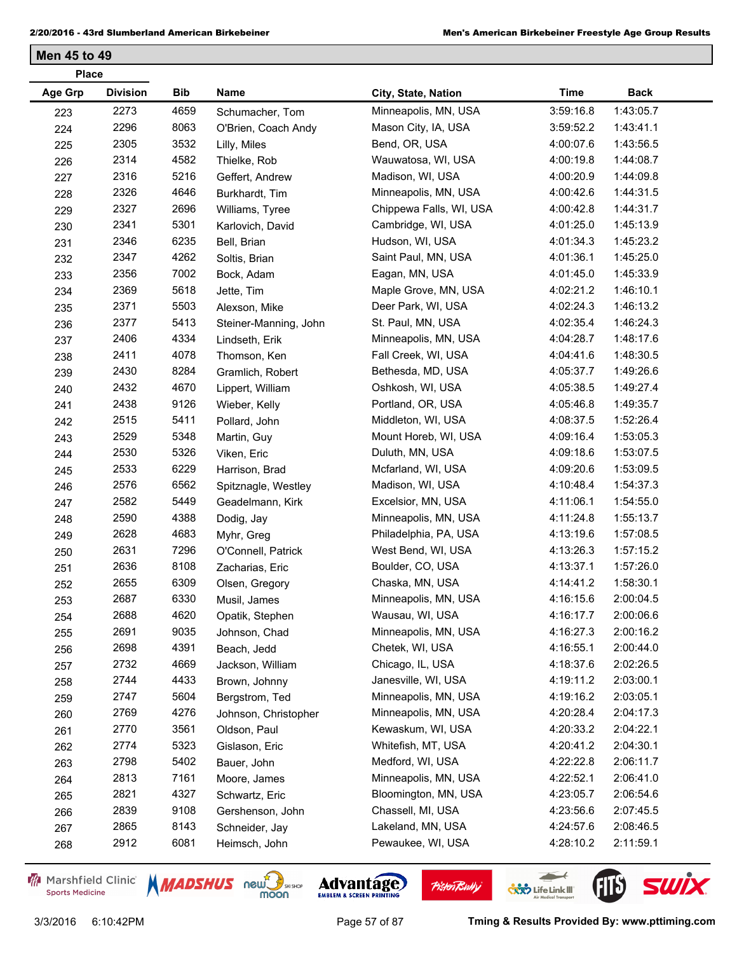| <b>Place</b>   |                 |      |                       |                         |             |             |
|----------------|-----------------|------|-----------------------|-------------------------|-------------|-------------|
| <b>Age Grp</b> | <b>Division</b> | Bib  | Name                  | City, State, Nation     | <b>Time</b> | <b>Back</b> |
| 223            | 2273            | 4659 | Schumacher, Tom       | Minneapolis, MN, USA    | 3:59:16.8   | 1:43:05.7   |
| 224            | 2296            | 8063 | O'Brien, Coach Andy   | Mason City, IA, USA     | 3:59:52.2   | 1:43:41.1   |
| 225            | 2305            | 3532 | Lilly, Miles          | Bend, OR, USA           | 4:00:07.6   | 1:43:56.5   |
| 226            | 2314            | 4582 | Thielke, Rob          | Wauwatosa, WI, USA      | 4:00:19.8   | 1:44:08.7   |
| 227            | 2316            | 5216 | Geffert, Andrew       | Madison, WI, USA        | 4:00:20.9   | 1:44:09.8   |
| 228            | 2326            | 4646 | Burkhardt, Tim        | Minneapolis, MN, USA    | 4:00:42.6   | 1:44:31.5   |
| 229            | 2327            | 2696 | Williams, Tyree       | Chippewa Falls, WI, USA | 4:00:42.8   | 1:44:31.7   |
| 230            | 2341            | 5301 | Karlovich, David      | Cambridge, WI, USA      | 4:01:25.0   | 1:45:13.9   |
| 231            | 2346            | 6235 | Bell, Brian           | Hudson, WI, USA         | 4:01:34.3   | 1:45:23.2   |
| 232            | 2347            | 4262 | Soltis, Brian         | Saint Paul, MN, USA     | 4:01:36.1   | 1:45:25.0   |
| 233            | 2356            | 7002 | Bock, Adam            | Eagan, MN, USA          | 4:01:45.0   | 1:45:33.9   |
| 234            | 2369            | 5618 | Jette, Tim            | Maple Grove, MN, USA    | 4:02:21.2   | 1:46:10.1   |
| 235            | 2371            | 5503 | Alexson, Mike         | Deer Park, WI, USA      | 4:02:24.3   | 1:46:13.2   |
| 236            | 2377            | 5413 | Steiner-Manning, John | St. Paul, MN, USA       | 4:02:35.4   | 1:46:24.3   |
| 237            | 2406            | 4334 | Lindseth, Erik        | Minneapolis, MN, USA    | 4:04:28.7   | 1:48:17.6   |
| 238            | 2411            | 4078 | Thomson, Ken          | Fall Creek, WI, USA     | 4:04:41.6   | 1:48:30.5   |
| 239            | 2430            | 8284 | Gramlich, Robert      | Bethesda, MD, USA       | 4:05:37.7   | 1:49:26.6   |
| 240            | 2432            | 4670 | Lippert, William      | Oshkosh, WI, USA        | 4:05:38.5   | 1:49:27.4   |
| 241            | 2438            | 9126 | Wieber, Kelly         | Portland, OR, USA       | 4:05:46.8   | 1:49:35.7   |
| 242            | 2515            | 5411 | Pollard, John         | Middleton, WI, USA      | 4:08:37.5   | 1:52:26.4   |
| 243            | 2529            | 5348 | Martin, Guy           | Mount Horeb, WI, USA    | 4:09:16.4   | 1:53:05.3   |
| 244            | 2530            | 5326 | Viken, Eric           | Duluth, MN, USA         | 4:09:18.6   | 1:53:07.5   |
| 245            | 2533            | 6229 | Harrison, Brad        | Mcfarland, WI, USA      | 4:09:20.6   | 1:53:09.5   |
| 246            | 2576            | 6562 | Spitznagle, Westley   | Madison, WI, USA        | 4:10:48.4   | 1:54:37.3   |
| 247            | 2582            | 5449 | Geadelmann, Kirk      | Excelsior, MN, USA      | 4:11:06.1   | 1:54:55.0   |
| 248            | 2590            | 4388 | Dodig, Jay            | Minneapolis, MN, USA    | 4:11:24.8   | 1:55:13.7   |
| 249            | 2628            | 4683 | Myhr, Greg            | Philadelphia, PA, USA   | 4:13:19.6   | 1:57:08.5   |
| 250            | 2631            | 7296 | O'Connell, Patrick    | West Bend, WI, USA      | 4:13:26.3   | 1:57:15.2   |
| 251            | 2636            | 8108 | Zacharias, Eric       | Boulder, CO, USA        | 4:13:37.1   | 1:57:26.0   |
| 252            | 2655            | 6309 | Olsen, Gregory        | Chaska, MN, USA         | 4:14:41.2   | 1:58:30.1   |
| 253            | 2687            | 6330 | Musil, James          | Minneapolis, MN, USA    | 4:16:15.6   | 2:00:04.5   |
| 254            | 2688            | 4620 | Opatik, Stephen       | Wausau, WI, USA         | 4:16:17.7   | 2:00:06.6   |
| 255            | 2691            | 9035 | Johnson, Chad         | Minneapolis, MN, USA    | 4:16:27.3   | 2:00:16.2   |
| 256            | 2698            | 4391 | Beach, Jedd           | Chetek, WI, USA         | 4:16:55.1   | 2:00:44.0   |
| 257            | 2732            | 4669 | Jackson, William      | Chicago, IL, USA        | 4:18:37.6   | 2:02:26.5   |
| 258            | 2744            | 4433 | Brown, Johnny         | Janesville, WI, USA     | 4:19:11.2   | 2:03:00.1   |
| 259            | 2747            | 5604 | Bergstrom, Ted        | Minneapolis, MN, USA    | 4:19:16.2   | 2:03:05.1   |
| 260            | 2769            | 4276 | Johnson, Christopher  | Minneapolis, MN, USA    | 4:20:28.4   | 2:04:17.3   |
| 261            | 2770            | 3561 | Oldson, Paul          | Kewaskum, WI, USA       | 4:20:33.2   | 2:04:22.1   |
| 262            | 2774            | 5323 | Gislason, Eric        | Whitefish, MT, USA      | 4:20:41.2   | 2:04:30.1   |
| 263            | 2798            | 5402 | Bauer, John           | Medford, WI, USA        | 4:22:22.8   | 2:06:11.7   |
| 264            | 2813            | 7161 | Moore, James          | Minneapolis, MN, USA    | 4:22:52.1   | 2:06:41.0   |
| 265            | 2821            | 4327 | Schwartz, Eric        | Bloomington, MN, USA    | 4:23:05.7   | 2:06:54.6   |
| 266            | 2839            | 9108 | Gershenson, John      | Chassell, MI, USA       | 4:23:56.6   | 2:07:45.5   |
| 267            | 2865            | 8143 | Schneider, Jay        | Lakeland, MN, USA       | 4:24:57.6   | 2:08:46.5   |
| 268            | 2912            | 6081 | Heimsch, John         | Pewaukee, WI, USA       | 4:28:10.2   | 2:11:59.1   |
|                |                 |      |                       |                         |             |             |

Marshfield Clinic **Sports Medicine** 





**Pisten Bully** 

 $\leftarrow$ 

**COND** Life Link III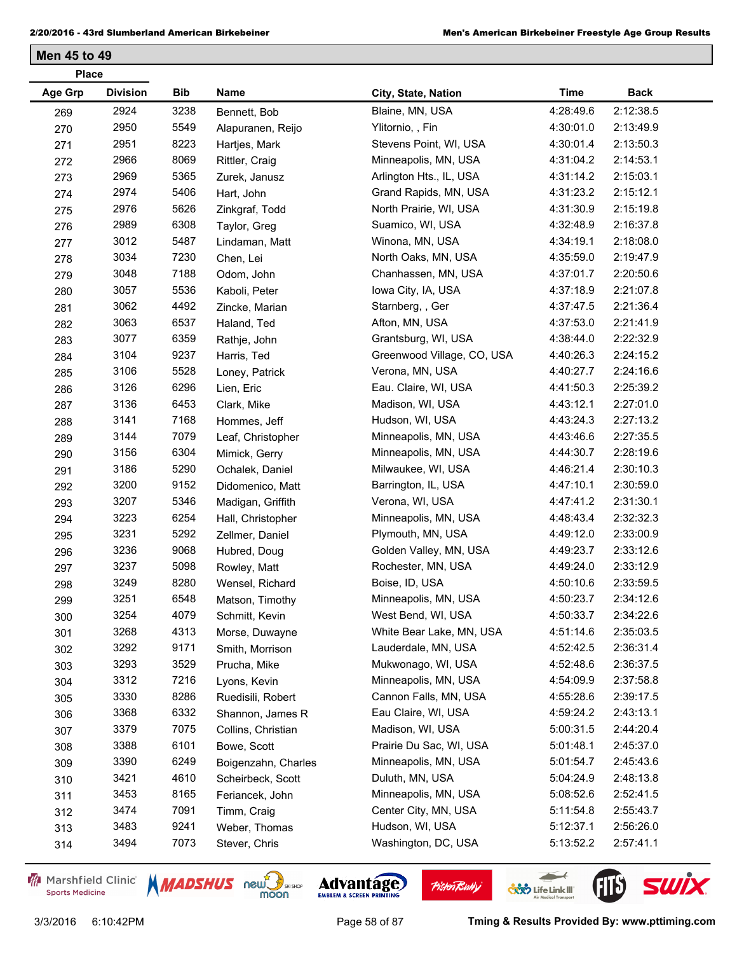| <b>Place</b>   |                 |            |                     |                            |             |             |
|----------------|-----------------|------------|---------------------|----------------------------|-------------|-------------|
| <b>Age Grp</b> | <b>Division</b> | <b>Bib</b> | Name                | City, State, Nation        | <b>Time</b> | <b>Back</b> |
| 269            | 2924            | 3238       | Bennett, Bob        | Blaine, MN, USA            | 4:28:49.6   | 2:12:38.5   |
| 270            | 2950            | 5549       | Alapuranen, Reijo   | Ylitornio, , Fin           | 4:30:01.0   | 2:13:49.9   |
| 271            | 2951            | 8223       | Hartjes, Mark       | Stevens Point, WI, USA     | 4:30:01.4   | 2:13:50.3   |
| 272            | 2966            | 8069       | Rittler, Craig      | Minneapolis, MN, USA       | 4:31:04.2   | 2:14:53.1   |
| 273            | 2969            | 5365       | Zurek, Janusz       | Arlington Hts., IL, USA    | 4:31:14.2   | 2:15:03.1   |
| 274            | 2974            | 5406       | Hart, John          | Grand Rapids, MN, USA      | 4:31:23.2   | 2:15:12.1   |
| 275            | 2976            | 5626       | Zinkgraf, Todd      | North Prairie, WI, USA     | 4:31:30.9   | 2:15:19.8   |
| 276            | 2989            | 6308       | Taylor, Greg        | Suamico, WI, USA           | 4:32:48.9   | 2:16:37.8   |
| 277            | 3012            | 5487       | Lindaman, Matt      | Winona, MN, USA            | 4:34:19.1   | 2:18:08.0   |
| 278            | 3034            | 7230       | Chen, Lei           | North Oaks, MN, USA        | 4:35:59.0   | 2:19:47.9   |
| 279            | 3048            | 7188       | Odom, John          | Chanhassen, MN, USA        | 4:37:01.7   | 2:20:50.6   |
| 280            | 3057            | 5536       | Kaboli, Peter       | Iowa City, IA, USA         | 4:37:18.9   | 2:21:07.8   |
| 281            | 3062            | 4492       | Zincke, Marian      | Starnberg, , Ger           | 4:37:47.5   | 2:21:36.4   |
| 282            | 3063            | 6537       | Haland, Ted         | Afton, MN, USA             | 4:37:53.0   | 2:21:41.9   |
| 283            | 3077            | 6359       | Rathje, John        | Grantsburg, WI, USA        | 4:38:44.0   | 2:22:32.9   |
| 284            | 3104            | 9237       | Harris, Ted         | Greenwood Village, CO, USA | 4:40:26.3   | 2:24:15.2   |
| 285            | 3106            | 5528       | Loney, Patrick      | Verona, MN, USA            | 4:40:27.7   | 2:24:16.6   |
| 286            | 3126            | 6296       | Lien, Eric          | Eau. Claire, WI, USA       | 4:41:50.3   | 2:25:39.2   |
| 287            | 3136            | 6453       | Clark, Mike         | Madison, WI, USA           | 4:43:12.1   | 2:27:01.0   |
| 288            | 3141            | 7168       | Hommes, Jeff        | Hudson, WI, USA            | 4:43:24.3   | 2:27:13.2   |
| 289            | 3144            | 7079       | Leaf, Christopher   | Minneapolis, MN, USA       | 4:43:46.6   | 2:27:35.5   |
| 290            | 3156            | 6304       | Mimick, Gerry       | Minneapolis, MN, USA       | 4:44:30.7   | 2:28:19.6   |
| 291            | 3186            | 5290       | Ochalek, Daniel     | Milwaukee, WI, USA         | 4:46:21.4   | 2:30:10.3   |
| 292            | 3200            | 9152       | Didomenico, Matt    | Barrington, IL, USA        | 4:47:10.1   | 2:30:59.0   |
| 293            | 3207            | 5346       | Madigan, Griffith   | Verona, WI, USA            | 4:47:41.2   | 2:31:30.1   |
| 294            | 3223            | 6254       | Hall, Christopher   | Minneapolis, MN, USA       | 4:48:43.4   | 2:32:32.3   |
| 295            | 3231            | 5292       | Zellmer, Daniel     | Plymouth, MN, USA          | 4:49:12.0   | 2:33:00.9   |
| 296            | 3236            | 9068       | Hubred, Doug        | Golden Valley, MN, USA     | 4:49:23.7   | 2:33:12.6   |
| 297            | 3237            | 5098       | Rowley, Matt        | Rochester, MN, USA         | 4:49:24.0   | 2:33:12.9   |
| 298            | 3249            | 8280       | Wensel, Richard     | Boise, ID, USA             | 4:50:10.6   | 2:33:59.5   |
| 299            | 3251            | 6548       | Matson, Timothy     | Minneapolis, MN, USA       | 4:50:23.7   | 2:34:12.6   |
| 300            | 3254            | 4079       | Schmitt, Kevin      | West Bend, WI, USA         | 4:50:33.7   | 2:34:22.6   |
| 301            | 3268            | 4313       | Morse, Duwayne      | White Bear Lake, MN, USA   | 4:51:14.6   | 2:35:03.5   |
| 302            | 3292            | 9171       | Smith, Morrison     | Lauderdale, MN, USA        | 4:52:42.5   | 2:36:31.4   |
| 303            | 3293            | 3529       | Prucha, Mike        | Mukwonago, WI, USA         | 4:52:48.6   | 2:36:37.5   |
| 304            | 3312            | 7216       | Lyons, Kevin        | Minneapolis, MN, USA       | 4:54:09.9   | 2:37:58.8   |
| 305            | 3330            | 8286       | Ruedisili, Robert   | Cannon Falls, MN, USA      | 4:55:28.6   | 2:39:17.5   |
| 306            | 3368            | 6332       | Shannon, James R    | Eau Claire, WI, USA        | 4:59:24.2   | 2:43:13.1   |
| 307            | 3379            | 7075       | Collins, Christian  | Madison, WI, USA           | 5:00:31.5   | 2:44:20.4   |
| 308            | 3388            | 6101       | Bowe, Scott         | Prairie Du Sac, WI, USA    | 5:01:48.1   | 2:45:37.0   |
| 309            | 3390            | 6249       | Boigenzahn, Charles | Minneapolis, MN, USA       | 5:01:54.7   | 2:45:43.6   |
| 310            | 3421            | 4610       | Scheirbeck, Scott   | Duluth, MN, USA            | 5:04:24.9   | 2:48:13.8   |
| 311            | 3453            | 8165       | Feriancek, John     | Minneapolis, MN, USA       | 5:08:52.6   | 2:52:41.5   |
| 312            | 3474            | 7091       | Timm, Craig         | Center City, MN, USA       | 5:11:54.8   | 2:55:43.7   |
| 313            | 3483            | 9241       | Weber, Thomas       | Hudson, WI, USA            | 5:12:37.1   | 2:56:26.0   |
| 314            | 3494            | 7073       | Stever, Chris       | Washington, DC, USA        | 5:13:52.2   | 2:57:41.1   |
|                |                 |            |                     |                            |             |             |

Marshfield Clinic **Sports Medicine** 





**Pisten Bully** 

 $\leftarrow$ 

**COND** Life Link III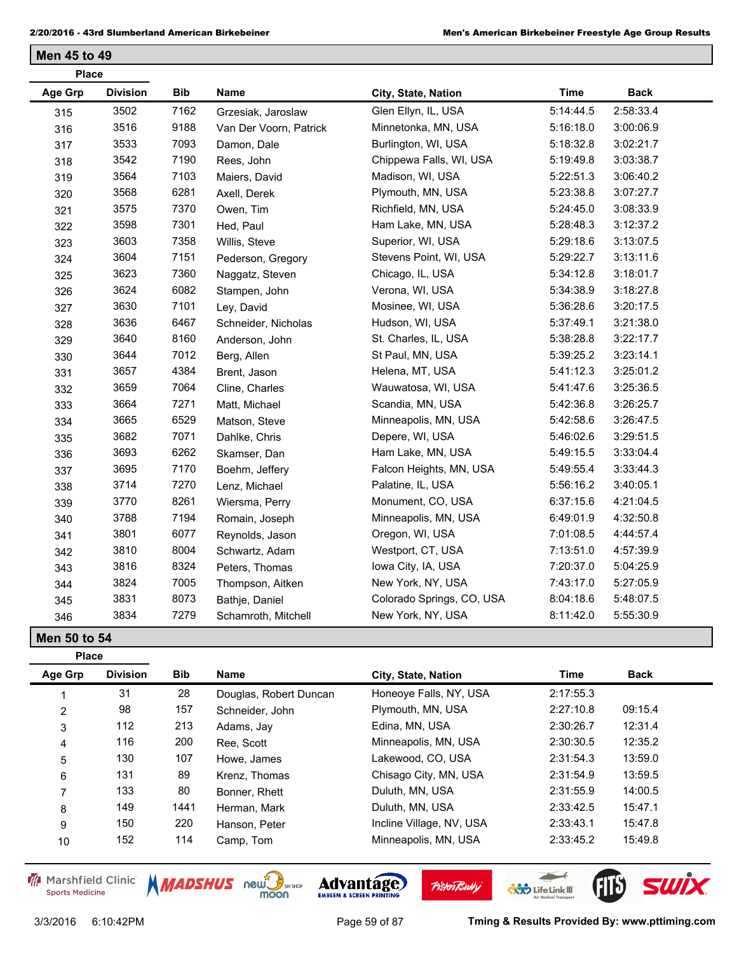| <b>Place</b>   |                 |            |                        |                           |             |             |
|----------------|-----------------|------------|------------------------|---------------------------|-------------|-------------|
| <b>Age Grp</b> | <b>Division</b> | <b>Bib</b> | Name                   | City, State, Nation       | <b>Time</b> | <b>Back</b> |
| 315            | 3502            | 7162       | Grzesiak, Jaroslaw     | Glen Ellyn, IL, USA       | 5:14:44.5   | 2:58:33.4   |
| 316            | 3516            | 9188       | Van Der Voorn, Patrick | Minnetonka, MN, USA       | 5:16:18.0   | 3:00:06.9   |
| 317            | 3533            | 7093       | Damon, Dale            | Burlington, WI, USA       | 5:18:32.8   | 3:02:21.7   |
| 318            | 3542            | 7190       | Rees, John             | Chippewa Falls, WI, USA   | 5:19:49.8   | 3:03:38.7   |
| 319            | 3564            | 7103       | Maiers, David          | Madison, WI, USA          | 5:22:51.3   | 3:06:40.2   |
| 320            | 3568            | 6281       | Axell, Derek           | Plymouth, MN, USA         | 5:23:38.8   | 3:07:27.7   |
| 321            | 3575            | 7370       | Owen, Tim              | Richfield, MN, USA        | 5:24:45.0   | 3:08:33.9   |
| 322            | 3598            | 7301       | Hed, Paul              | Ham Lake, MN, USA         | 5:28:48.3   | 3:12:37.2   |
| 323            | 3603            | 7358       | Willis, Steve          | Superior, WI, USA         | 5:29:18.6   | 3:13:07.5   |
| 324            | 3604            | 7151       | Pederson, Gregory      | Stevens Point, WI, USA    | 5:29:22.7   | 3:13:11.6   |
| 325            | 3623            | 7360       | Naggatz, Steven        | Chicago, IL, USA          | 5:34:12.8   | 3:18:01.7   |
| 326            | 3624            | 6082       | Stampen, John          | Verona, WI, USA           | 5:34:38.9   | 3:18:27.8   |
| 327            | 3630            | 7101       | Ley, David             | Mosinee, WI, USA          | 5:36:28.6   | 3:20:17.5   |
| 328            | 3636            | 6467       | Schneider, Nicholas    | Hudson, WI, USA           | 5:37:49.1   | 3:21:38.0   |
| 329            | 3640            | 8160       | Anderson, John         | St. Charles, IL, USA      | 5:38:28.8   | 3:22:17.7   |
| 330            | 3644            | 7012       | Berg, Allen            | St Paul, MN, USA          | 5:39:25.2   | 3:23:14.1   |
| 331            | 3657            | 4384       | Brent, Jason           | Helena, MT, USA           | 5:41:12.3   | 3:25:01.2   |
| 332            | 3659            | 7064       | Cline, Charles         | Wauwatosa, WI, USA        | 5:41:47.6   | 3:25:36.5   |
| 333            | 3664            | 7271       | Matt, Michael          | Scandia, MN, USA          | 5:42:36.8   | 3:26:25.7   |
| 334            | 3665            | 6529       | Matson, Steve          | Minneapolis, MN, USA      | 5:42:58.6   | 3:26:47.5   |
| 335            | 3682            | 7071       | Dahlke, Chris          | Depere, WI, USA           | 5:46:02.6   | 3:29:51.5   |
| 336            | 3693            | 6262       | Skamser, Dan           | Ham Lake, MN, USA         | 5:49:15.5   | 3:33:04.4   |
| 337            | 3695            | 7170       | Boehm, Jeffery         | Falcon Heights, MN, USA   | 5:49:55.4   | 3:33:44.3   |
| 338            | 3714            | 7270       | Lenz, Michael          | Palatine, IL, USA         | 5:56:16.2   | 3:40:05.1   |
| 339            | 3770            | 8261       | Wiersma, Perry         | Monument, CO, USA         | 6:37:15.6   | 4:21:04.5   |
| 340            | 3788            | 7194       | Romain, Joseph         | Minneapolis, MN, USA      | 6:49:01.9   | 4:32:50.8   |
| 341            | 3801            | 6077       | Reynolds, Jason        | Oregon, WI, USA           | 7:01:08.5   | 4:44:57.4   |
| 342            | 3810            | 8004       | Schwartz, Adam         | Westport, CT, USA         | 7:13:51.0   | 4:57:39.9   |
| 343            | 3816            | 8324       | Peters, Thomas         | Iowa City, IA, USA        | 7:20:37.0   | 5:04:25.9   |
| 344            | 3824            | 7005       | Thompson, Aitken       | New York, NY, USA         | 7:43:17.0   | 5:27:05.9   |
| 345            | 3831            | 8073       | Bathje, Daniel         | Colorado Springs, CO, USA | 8:04:18.6   | 5:48:07.5   |
| 346            | 3834            | 7279       | Schamroth, Mitchell    | New York, NY, USA         | 8:11:42.0   | 5:55:30.9   |

**Men 50 to 54**

| <b>Place</b>   |                 |            |                        |                          |           |             |
|----------------|-----------------|------------|------------------------|--------------------------|-----------|-------------|
| Age Grp        | <b>Division</b> | <b>Bib</b> | <b>Name</b>            | City, State, Nation      | Time      | <b>Back</b> |
|                | 31              | 28         | Douglas, Robert Duncan | Honeove Falls, NY, USA   | 2:17:55.3 |             |
| $\overline{2}$ | 98              | 157        | Schneider, John        | Plymouth, MN, USA        | 2:27:10.8 | 09:15.4     |
| 3              | 112             | 213        | Adams, Jay             | Edina, MN, USA           | 2:30:26.7 | 12:31.4     |
| 4              | 116             | 200        | Ree. Scott             | Minneapolis, MN, USA     | 2:30:30.5 | 12:35.2     |
| 5              | 130             | 107        | Howe, James            | Lakewood, CO, USA        | 2:31:54.3 | 13:59.0     |
| 6              | 131             | 89         | Krenz. Thomas          | Chisago City, MN, USA    | 2:31:54.9 | 13:59.5     |
| 7              | 133             | 80         | Bonner, Rhett          | Duluth, MN, USA          | 2:31:55.9 | 14:00.5     |
| 8              | 149             | 1441       | Herman, Mark           | Duluth, MN, USA          | 2:33:42.5 | 15:47.1     |
| 9              | 150             | 220        | Hanson, Peter          | Incline Village, NV, USA | 2:33:43.1 | 15:47.8     |
| 10             | 152             | 114        | Camp, Tom              | Minneapolis, MN, USA     | 2:33:45.2 | 15:49.8     |

Marshfield Clinic **Sports Medicine** 



**Pisten Bully** 

 $\leftarrow$ 

**COND** Life Link III

FIB SWIX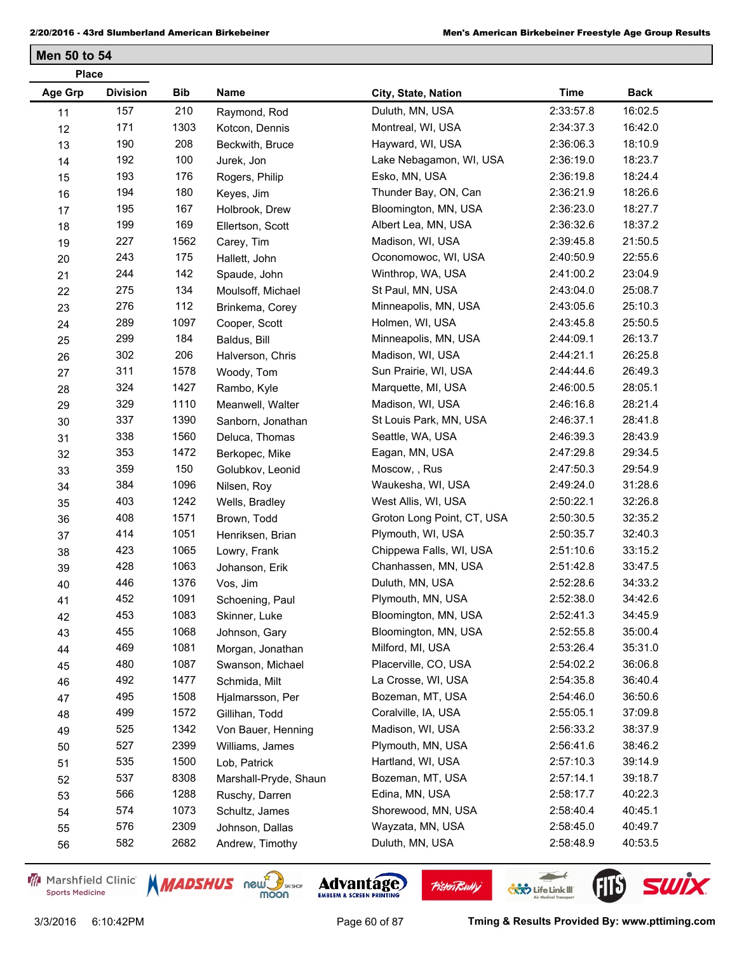| <b>Place</b>   |                 |      |                       |                            |             |             |
|----------------|-----------------|------|-----------------------|----------------------------|-------------|-------------|
| <b>Age Grp</b> | <b>Division</b> | Bib  | Name                  | City, State, Nation        | <b>Time</b> | <b>Back</b> |
| 11             | 157             | 210  | Raymond, Rod          | Duluth, MN, USA            | 2:33:57.8   | 16:02.5     |
| 12             | 171             | 1303 | Kotcon, Dennis        | Montreal, WI, USA          | 2:34:37.3   | 16:42.0     |
| 13             | 190             | 208  | Beckwith, Bruce       | Hayward, WI, USA           | 2:36:06.3   | 18:10.9     |
| 14             | 192             | 100  | Jurek, Jon            | Lake Nebagamon, WI, USA    | 2:36:19.0   | 18:23.7     |
| 15             | 193             | 176  | Rogers, Philip        | Esko, MN, USA              | 2:36:19.8   | 18:24.4     |
| $16\,$         | 194             | 180  | Keyes, Jim            | Thunder Bay, ON, Can       | 2:36:21.9   | 18:26.6     |
| 17             | 195             | 167  | Holbrook, Drew        | Bloomington, MN, USA       | 2:36:23.0   | 18:27.7     |
| 18             | 199             | 169  | Ellertson, Scott      | Albert Lea, MN, USA        | 2:36:32.6   | 18:37.2     |
| 19             | 227             | 1562 | Carey, Tim            | Madison, WI, USA           | 2:39:45.8   | 21:50.5     |
| 20             | 243             | 175  | Hallett, John         | Oconomowoc, WI, USA        | 2:40:50.9   | 22:55.6     |
| 21             | 244             | 142  | Spaude, John          | Winthrop, WA, USA          | 2:41:00.2   | 23:04.9     |
| 22             | 275             | 134  | Moulsoff, Michael     | St Paul, MN, USA           | 2:43:04.0   | 25:08.7     |
| 23             | 276             | 112  | Brinkema, Corey       | Minneapolis, MN, USA       | 2:43:05.6   | 25:10.3     |
| 24             | 289             | 1097 | Cooper, Scott         | Holmen, WI, USA            | 2:43:45.8   | 25:50.5     |
| 25             | 299             | 184  | Baldus, Bill          | Minneapolis, MN, USA       | 2:44:09.1   | 26:13.7     |
| 26             | 302             | 206  | Halverson, Chris      | Madison, WI, USA           | 2:44:21.1   | 26:25.8     |
| 27             | 311             | 1578 | Woody, Tom            | Sun Prairie, WI, USA       | 2:44:44.6   | 26:49.3     |
| 28             | 324             | 1427 | Rambo, Kyle           | Marquette, MI, USA         | 2:46:00.5   | 28:05.1     |
| 29             | 329             | 1110 | Meanwell, Walter      | Madison, WI, USA           | 2:46:16.8   | 28:21.4     |
| 30             | 337             | 1390 | Sanborn, Jonathan     | St Louis Park, MN, USA     | 2:46:37.1   | 28:41.8     |
| 31             | 338             | 1560 | Deluca, Thomas        | Seattle, WA, USA           | 2:46:39.3   | 28:43.9     |
| 32             | 353             | 1472 | Berkopec, Mike        | Eagan, MN, USA             | 2:47:29.8   | 29:34.5     |
| 33             | 359             | 150  | Golubkov, Leonid      | Moscow, , Rus              | 2:47:50.3   | 29:54.9     |
| 34             | 384             | 1096 | Nilsen, Roy           | Waukesha, WI, USA          | 2:49:24.0   | 31:28.6     |
| 35             | 403             | 1242 | Wells, Bradley        | West Allis, WI, USA        | 2:50:22.1   | 32:26.8     |
| 36             | 408             | 1571 | Brown, Todd           | Groton Long Point, CT, USA | 2:50:30.5   | 32:35.2     |
| 37             | 414             | 1051 | Henriksen, Brian      | Plymouth, WI, USA          | 2:50:35.7   | 32:40.3     |
| 38             | 423             | 1065 | Lowry, Frank          | Chippewa Falls, WI, USA    | 2:51:10.6   | 33:15.2     |
| 39             | 428             | 1063 | Johanson, Erik        | Chanhassen, MN, USA        | 2:51:42.8   | 33:47.5     |
| 40             | 446             | 1376 | Vos, Jim              | Duluth, MN, USA            | 2:52:28.6   | 34:33.2     |
| 41             | 452             | 1091 | Schoening, Paul       | Plymouth, MN, USA          | 2:52:38.0   | 34:42.6     |
| 42             | 453             | 1083 | Skinner, Luke         | Bloomington, MN, USA       | 2:52:41.3   | 34:45.9     |
| 43             | 455             | 1068 | Johnson, Gary         | Bloomington, MN, USA       | 2:52:55.8   | 35:00.4     |
| 44             | 469             | 1081 | Morgan, Jonathan      | Milford, MI, USA           | 2:53:26.4   | 35:31.0     |
| 45             | 480             | 1087 | Swanson, Michael      | Placerville, CO, USA       | 2:54:02.2   | 36:06.8     |
| 46             | 492             | 1477 | Schmida, Milt         | La Crosse, WI, USA         | 2:54:35.8   | 36:40.4     |
| 47             | 495             | 1508 | Hjalmarsson, Per      | Bozeman, MT, USA           | 2:54:46.0   | 36:50.6     |
| 48             | 499             | 1572 | Gillihan, Todd        | Coralville, IA, USA        | 2:55:05.1   | 37:09.8     |
| 49             | 525             | 1342 | Von Bauer, Henning    | Madison, WI, USA           | 2:56:33.2   | 38:37.9     |
| 50             | 527             | 2399 | Williams, James       | Plymouth, MN, USA          | 2:56:41.6   | 38:46.2     |
| 51             | 535             | 1500 | Lob, Patrick          | Hartland, WI, USA          | 2:57:10.3   | 39:14.9     |
| 52             | 537             | 8308 | Marshall-Pryde, Shaun | Bozeman, MT, USA           | 2:57:14.1   | 39:18.7     |
| 53             | 566             | 1288 | Ruschy, Darren        | Edina, MN, USA             | 2:58:17.7   | 40:22.3     |
| 54             | 574             | 1073 | Schultz, James        | Shorewood, MN, USA         | 2:58:40.4   | 40:45.1     |
| 55             | 576             | 2309 | Johnson, Dallas       | Wayzata, MN, USA           | 2:58:45.0   | 40:49.7     |
| 56             | 582             | 2682 | Andrew, Timothy       | Duluth, MN, USA            | 2:58:48.9   | 40:53.5     |
|                |                 |      |                       |                            |             |             |

Marshfield Clinic **Sports Medicine** 





 $\leftarrow$ 

**COND** Life Link III

FIL'S SWIX

**Pisten Bully**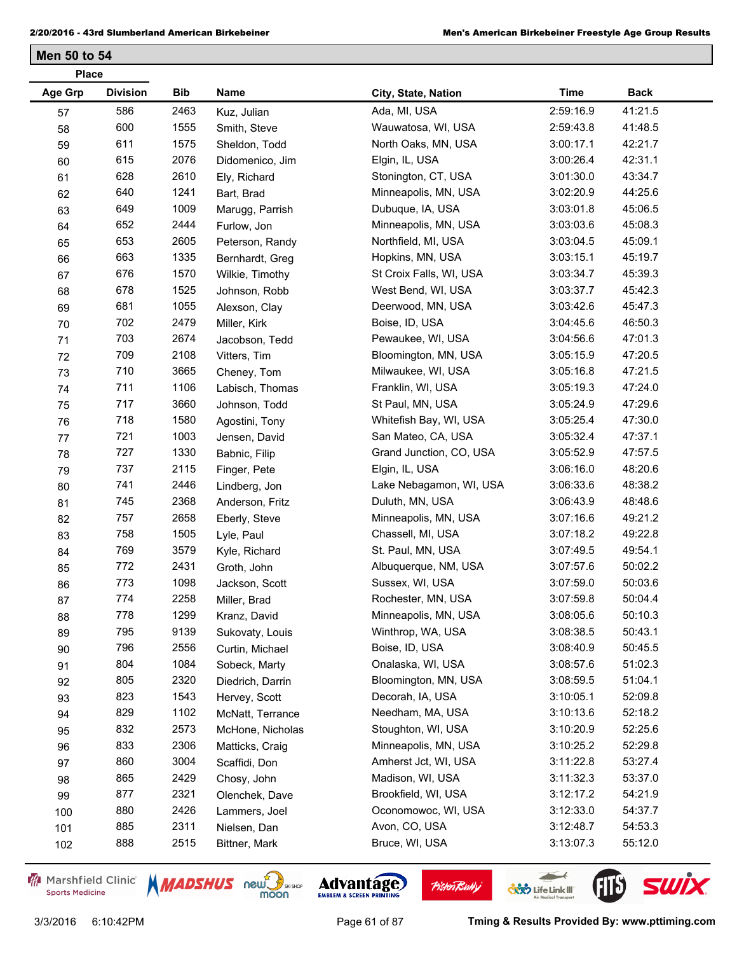| <b>Place</b>   |                 |      |                  |                         |             |             |
|----------------|-----------------|------|------------------|-------------------------|-------------|-------------|
| <b>Age Grp</b> | <b>Division</b> | Bib  | Name             | City, State, Nation     | <b>Time</b> | <b>Back</b> |
| 57             | 586             | 2463 | Kuz, Julian      | Ada, MI, USA            | 2:59:16.9   | 41:21.5     |
| 58             | 600             | 1555 | Smith, Steve     | Wauwatosa, WI, USA      | 2:59:43.8   | 41:48.5     |
| 59             | 611             | 1575 | Sheldon, Todd    | North Oaks, MN, USA     | 3:00:17.1   | 42:21.7     |
| 60             | 615             | 2076 | Didomenico, Jim  | Elgin, IL, USA          | 3:00:26.4   | 42:31.1     |
| 61             | 628             | 2610 | Ely, Richard     | Stonington, CT, USA     | 3:01:30.0   | 43:34.7     |
| 62             | 640             | 1241 | Bart, Brad       | Minneapolis, MN, USA    | 3:02:20.9   | 44:25.6     |
| 63             | 649             | 1009 | Marugg, Parrish  | Dubuque, IA, USA        | 3:03:01.8   | 45:06.5     |
| 64             | 652             | 2444 | Furlow, Jon      | Minneapolis, MN, USA    | 3:03:03.6   | 45:08.3     |
| 65             | 653             | 2605 | Peterson, Randy  | Northfield, MI, USA     | 3:03:04.5   | 45:09.1     |
| 66             | 663             | 1335 | Bernhardt, Greg  | Hopkins, MN, USA        | 3:03:15.1   | 45:19.7     |
| 67             | 676             | 1570 | Wilkie, Timothy  | St Croix Falls, WI, USA | 3:03:34.7   | 45:39.3     |
| 68             | 678             | 1525 | Johnson, Robb    | West Bend, WI, USA      | 3:03:37.7   | 45:42.3     |
| 69             | 681             | 1055 | Alexson, Clay    | Deerwood, MN, USA       | 3:03:42.6   | 45:47.3     |
| $70\,$         | 702             | 2479 | Miller, Kirk     | Boise, ID, USA          | 3:04:45.6   | 46:50.3     |
| 71             | 703             | 2674 | Jacobson, Tedd   | Pewaukee, WI, USA       | 3:04:56.6   | 47:01.3     |
| 72             | 709             | 2108 | Vitters, Tim     | Bloomington, MN, USA    | 3:05:15.9   | 47:20.5     |
| 73             | 710             | 3665 | Cheney, Tom      | Milwaukee, WI, USA      | 3:05:16.8   | 47:21.5     |
| 74             | 711             | 1106 | Labisch, Thomas  | Franklin, WI, USA       | 3:05:19.3   | 47:24.0     |
| 75             | 717             | 3660 | Johnson, Todd    | St Paul, MN, USA        | 3:05:24.9   | 47:29.6     |
| 76             | 718             | 1580 | Agostini, Tony   | Whitefish Bay, WI, USA  | 3:05:25.4   | 47:30.0     |
| 77             | 721             | 1003 | Jensen, David    | San Mateo, CA, USA      | 3:05:32.4   | 47:37.1     |
| 78             | 727             | 1330 | Babnic, Filip    | Grand Junction, CO, USA | 3:05:52.9   | 47:57.5     |
| 79             | 737             | 2115 | Finger, Pete     | Elgin, IL, USA          | 3:06:16.0   | 48:20.6     |
| 80             | 741             | 2446 | Lindberg, Jon    | Lake Nebagamon, WI, USA | 3:06:33.6   | 48:38.2     |
| 81             | 745             | 2368 | Anderson, Fritz  | Duluth, MN, USA         | 3:06:43.9   | 48:48.6     |
| 82             | 757             | 2658 | Eberly, Steve    | Minneapolis, MN, USA    | 3:07:16.6   | 49:21.2     |
| 83             | 758             | 1505 | Lyle, Paul       | Chassell, MI, USA       | 3:07:18.2   | 49:22.8     |
| 84             | 769             | 3579 | Kyle, Richard    | St. Paul, MN, USA       | 3:07:49.5   | 49:54.1     |
| 85             | 772             | 2431 | Groth, John      | Albuquerque, NM, USA    | 3:07:57.6   | 50:02.2     |
| 86             | 773             | 1098 | Jackson, Scott   | Sussex, WI, USA         | 3:07:59.0   | 50:03.6     |
| 87             | 774             | 2258 | Miller, Brad     | Rochester, MN, USA      | 3:07:59.8   | 50:04.4     |
| 88             | 778             | 1299 | Kranz, David     | Minneapolis, MN, USA    | 3:08:05.6   | 50:10.3     |
| 89             | 795             | 9139 | Sukovaty, Louis  | Winthrop, WA, USA       | 3:08:38.5   | 50:43.1     |
| $90\,$         | 796             | 2556 | Curtin, Michael  | Boise, ID, USA          | 3:08:40.9   | 50:45.5     |
| 91             | 804             | 1084 | Sobeck, Marty    | Onalaska, WI, USA       | 3:08:57.6   | 51:02.3     |
| 92             | 805             | 2320 | Diedrich, Darrin | Bloomington, MN, USA    | 3:08:59.5   | 51:04.1     |
| 93             | 823             | 1543 | Hervey, Scott    | Decorah, IA, USA        | 3:10:05.1   | 52:09.8     |
| 94             | 829             | 1102 | McNatt, Terrance | Needham, MA, USA        | 3:10:13.6   | 52:18.2     |
| 95             | 832             | 2573 | McHone, Nicholas | Stoughton, WI, USA      | 3:10:20.9   | 52:25.6     |
| 96             | 833             | 2306 | Matticks, Craig  | Minneapolis, MN, USA    | 3:10:25.2   | 52:29.8     |
| 97             | 860             | 3004 | Scaffidi, Don    | Amherst Jct, WI, USA    | 3:11:22.8   | 53:27.4     |
| 98             | 865             | 2429 | Chosy, John      | Madison, WI, USA        | 3:11:32.3   | 53:37.0     |
| 99             | 877             | 2321 | Olenchek, Dave   | Brookfield, WI, USA     | 3:12:17.2   | 54:21.9     |
| 100            | 880             | 2426 | Lammers, Joel    | Oconomowoc, WI, USA     | 3:12:33.0   | 54:37.7     |
| 101            | 885             | 2311 | Nielsen, Dan     | Avon, CO, USA           | 3:12:48.7   | 54:53.3     |
| 102            | 888             | 2515 | Bittner, Mark    | Bruce, WI, USA          | 3:13:07.3   | 55:12.0     |

Marshfield Clinic **Sports Medicine** 





**Pisten Bully** 

 $\leftarrow$ 

**COND** Life Link III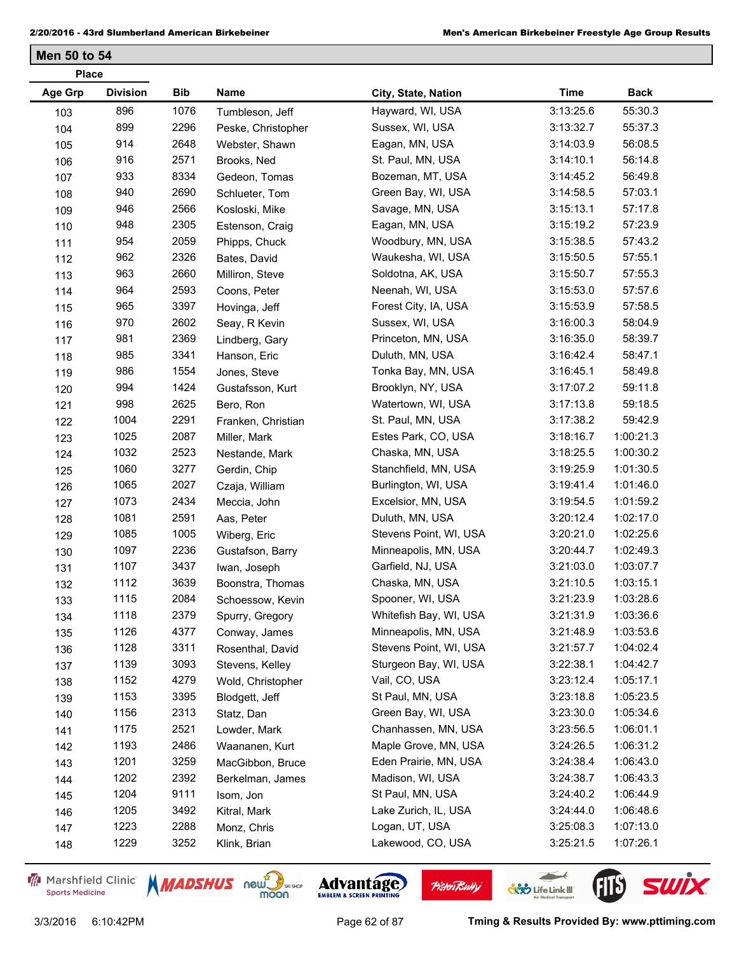| <b>Place</b>   |                 |      |                    |                        |             |             |
|----------------|-----------------|------|--------------------|------------------------|-------------|-------------|
| <b>Age Grp</b> | <b>Division</b> | Bib  | Name               | City, State, Nation    | <b>Time</b> | <b>Back</b> |
| 103            | 896             | 1076 | Tumbleson, Jeff    | Hayward, WI, USA       | 3:13:25.6   | 55:30.3     |
| 104            | 899             | 2296 | Peske, Christopher | Sussex, WI, USA        | 3:13:32.7   | 55:37.3     |
| 105            | 914             | 2648 | Webster, Shawn     | Eagan, MN, USA         | 3:14:03.9   | 56:08.5     |
| 106            | 916             | 2571 | Brooks, Ned        | St. Paul, MN, USA      | 3:14:10.1   | 56:14.8     |
| 107            | 933             | 8334 | Gedeon, Tomas      | Bozeman, MT, USA       | 3:14:45.2   | 56:49.8     |
| 108            | 940             | 2690 | Schlueter, Tom     | Green Bay, WI, USA     | 3:14:58.5   | 57:03.1     |
| 109            | 946             | 2566 | Kosloski, Mike     | Savage, MN, USA        | 3:15:13.1   | 57:17.8     |
| 110            | 948             | 2305 | Estenson, Craig    | Eagan, MN, USA         | 3:15:19.2   | 57:23.9     |
| 111            | 954             | 2059 | Phipps, Chuck      | Woodbury, MN, USA      | 3:15:38.5   | 57:43.2     |
| 112            | 962             | 2326 | Bates, David       | Waukesha, WI, USA      | 3:15:50.5   | 57:55.1     |
| 113            | 963             | 2660 | Milliron, Steve    | Soldotna, AK, USA      | 3:15:50.7   | 57:55.3     |
| 114            | 964             | 2593 | Coons, Peter       | Neenah, WI, USA        | 3:15:53.0   | 57:57.6     |
| 115            | 965             | 3397 | Hovinga, Jeff      | Forest City, IA, USA   | 3:15:53.9   | 57:58.5     |
| 116            | 970             | 2602 | Seay, R Kevin      | Sussex, WI, USA        | 3:16:00.3   | 58:04.9     |
| 117            | 981             | 2369 | Lindberg, Gary     | Princeton, MN, USA     | 3:16:35.0   | 58:39.7     |
| 118            | 985             | 3341 | Hanson, Eric       | Duluth, MN, USA        | 3:16:42.4   | 58:47.1     |
| 119            | 986             | 1554 | Jones, Steve       | Tonka Bay, MN, USA     | 3:16:45.1   | 58:49.8     |
| 120            | 994             | 1424 | Gustafsson, Kurt   | Brooklyn, NY, USA      | 3:17:07.2   | 59:11.8     |
| 121            | 998             | 2625 | Bero, Ron          | Watertown, WI, USA     | 3:17:13.8   | 59:18.5     |
| 122            | 1004            | 2291 | Franken, Christian | St. Paul, MN, USA      | 3:17:38.2   | 59:42.9     |
| 123            | 1025            | 2087 | Miller, Mark       | Estes Park, CO, USA    | 3:18:16.7   | 1:00:21.3   |
| 124            | 1032            | 2523 | Nestande, Mark     | Chaska, MN, USA        | 3:18:25.5   | 1:00:30.2   |
| 125            | 1060            | 3277 | Gerdin, Chip       | Stanchfield, MN, USA   | 3:19:25.9   | 1:01:30.5   |
| 126            | 1065            | 2027 | Czaja, William     | Burlington, WI, USA    | 3:19:41.4   | 1:01:46.0   |
| 127            | 1073            | 2434 | Meccia, John       | Excelsior, MN, USA     | 3:19:54.5   | 1:01:59.2   |
| 128            | 1081            | 2591 | Aas, Peter         | Duluth, MN, USA        | 3:20:12.4   | 1:02:17.0   |
| 129            | 1085            | 1005 | Wiberg, Eric       | Stevens Point, WI, USA | 3:20:21.0   | 1:02:25.6   |
| 130            | 1097            | 2236 | Gustafson, Barry   | Minneapolis, MN, USA   | 3:20:44.7   | 1:02:49.3   |
| 131            | 1107            | 3437 | Iwan, Joseph       | Garfield, NJ, USA      | 3:21:03.0   | 1:03:07.7   |
| 132            | 1112            | 3639 | Boonstra, Thomas   | Chaska, MN, USA        | 3:21:10.5   | 1:03:15.1   |
| 133            | 1115            | 2084 | Schoessow, Kevin   | Spooner, WI, USA       | 3:21:23.9   | 1:03:28.6   |
| 134            | 1118            | 2379 | Spurry, Gregory    | Whitefish Bay, WI, USA | 3:21:31.9   | 1:03:36.6   |
| 135            | 1126            | 4377 | Conway, James      | Minneapolis, MN, USA   | 3:21:48.9   | 1:03:53.6   |
| 136            | 1128            | 3311 | Rosenthal, David   | Stevens Point, WI, USA | 3:21:57.7   | 1:04:02.4   |
| 137            | 1139            | 3093 | Stevens, Kelley    | Sturgeon Bay, WI, USA  | 3:22:38.1   | 1:04:42.7   |
| 138            | 1152            | 4279 | Wold, Christopher  | Vail, CO, USA          | 3:23:12.4   | 1:05:17.1   |
| 139            | 1153            | 3395 | Blodgett, Jeff     | St Paul, MN, USA       | 3:23:18.8   | 1:05:23.5   |
| 140            | 1156            | 2313 | Statz, Dan         | Green Bay, WI, USA     | 3:23:30.0   | 1:05:34.6   |
| 141            | 1175            | 2521 | Lowder, Mark       | Chanhassen, MN, USA    | 3:23:56.5   | 1:06:01.1   |
| 142            | 1193            | 2486 | Waananen, Kurt     | Maple Grove, MN, USA   | 3:24:26.5   | 1:06:31.2   |
| 143            | 1201            | 3259 | MacGibbon, Bruce   | Eden Prairie, MN, USA  | 3:24:38.4   | 1:06:43.0   |
| 144            | 1202            | 2392 | Berkelman, James   | Madison, WI, USA       | 3:24:38.7   | 1:06:43.3   |
| 145            | 1204            | 9111 | Isom, Jon          | St Paul, MN, USA       | 3:24:40.2   | 1:06:44.9   |
| 146            | 1205            | 3492 | Kitral, Mark       | Lake Zurich, IL, USA   | 3:24:44.0   | 1:06:48.6   |
| 147            | 1223            | 2288 | Monz, Chris        | Logan, UT, USA         | 3:25:08.3   | 1:07:13.0   |
| 148            | 1229            | 3252 | Klink, Brian       | Lakewood, CO, USA      | 3:25:21.5   | 1:07:26.1   |
|                |                 |      |                    |                        |             |             |

Marshfield Clinic **Sports Medicine** 





**Pisten Bully** 

3/3/2016 6:10:42PM Page 62 of 87 **Tming & Results Provided By: www.pttiming.com**

 $\leftarrow$ 

**COND** Life Link III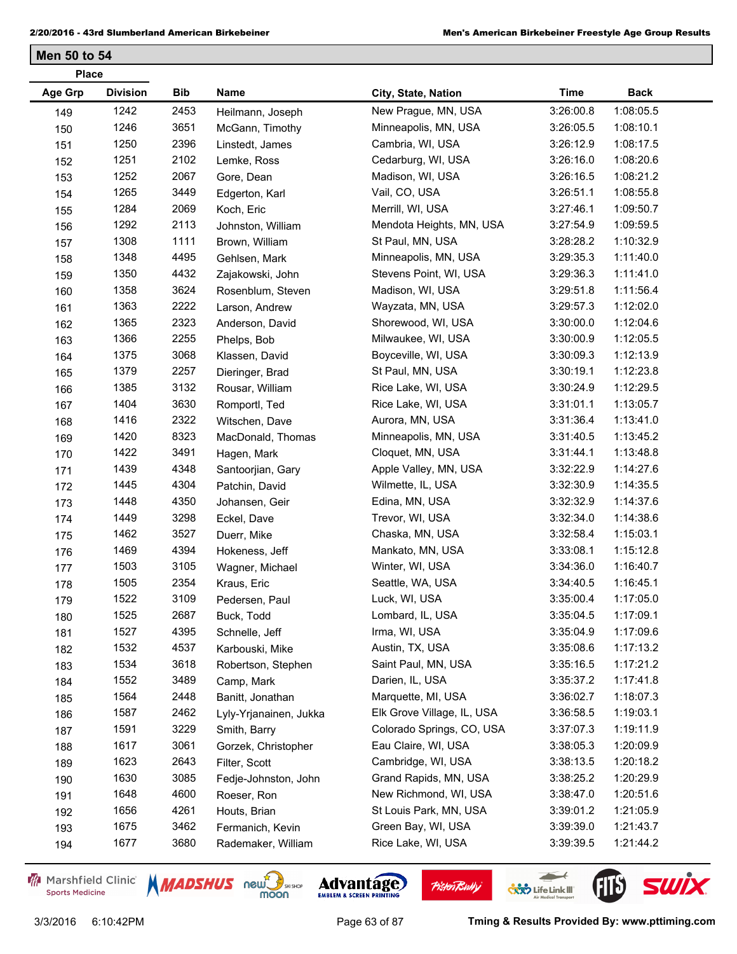| <b>Division</b><br>Age Grp<br>Bib<br>Name<br>Time<br><b>Back</b><br>City, State, Nation<br>1242<br>New Prague, MN, USA<br>1:08:05.5<br>2453<br>3:26:00.8<br>Heilmann, Joseph<br>149<br>1246<br>3651<br>1:08:10.1<br>Minneapolis, MN, USA<br>3:26:05.5<br>McGann, Timothy<br>150<br>1250<br>2396<br>Cambria, WI, USA<br>1:08:17.5<br>3:26:12.9<br>Linstedt, James<br>151<br>1251<br>2102<br>1:08:20.6<br>Cedarburg, WI, USA<br>3:26:16.0<br>Lemke, Ross<br>152<br>1252<br>2067<br>Madison, WI, USA<br>1:08:21.2<br>3:26:16.5<br>Gore, Dean<br>153<br>1265<br>3449<br>Vail, CO, USA<br>1:08:55.8<br>3:26:51.1<br>Edgerton, Karl<br>154<br>1284<br>2069<br>Merrill, WI, USA<br>3:27:46.1<br>1:09:50.7<br>Koch, Eric<br>155<br>1292<br>2113<br>1:09:59.5<br>3:27:54.9<br>Mendota Heights, MN, USA<br>Johnston, William<br>156<br>1308<br>1111<br>1:10:32.9<br>St Paul, MN, USA<br>3:28:28.2<br>Brown, William<br>157<br>4495<br>1348<br>1:11:40.0<br>Minneapolis, MN, USA<br>3:29:35.3<br>Gehlsen, Mark<br>158<br>1350<br>4432<br>1:11:41.0<br>Stevens Point, WI, USA<br>3:29:36.3<br>Zajakowski, John<br>159<br>1358<br>3624<br>1:11:56.4<br>Madison, WI, USA<br>3:29:51.8<br>Rosenblum, Steven<br>160<br>1363<br>2222<br>1:12:02.0<br>Wayzata, MN, USA<br>3:29:57.3<br>Larson, Andrew<br>161<br>1365<br>2323<br>1:12:04.6<br>Shorewood, WI, USA<br>3:30:00.0<br>162<br>Anderson, David<br>1366<br>2255<br>Milwaukee, WI, USA<br>3:30:00.9<br>1:12:05.5<br>163<br>Phelps, Bob<br>1375<br>3068<br>1:12:13.9<br>Boyceville, WI, USA<br>3:30:09.3<br>Klassen, David<br>164<br>1379<br>2257<br>1:12:23.8<br>St Paul, MN, USA<br>3:30:19.1<br>Dieringer, Brad<br>165<br>3132<br>1385<br>1:12:29.5<br>Rice Lake, WI, USA<br>3:30:24.9<br>Rousar, William<br>166<br>1404<br>3630<br>1:13:05.7<br>Rice Lake, WI, USA<br>3:31:01.1<br>Romportl, Ted<br>167<br>1416<br>2322<br>Aurora, MN, USA<br>1:13:41.0<br>3:31:36.4<br>Witschen, Dave<br>168<br>8323<br>1:13:45.2<br>1420<br>Minneapolis, MN, USA<br>MacDonald, Thomas<br>3:31:40.5<br>169<br>3491<br>1422<br>1:13:48.8<br>Cloquet, MN, USA<br>Hagen, Mark<br>3:31:44.1<br>170<br>1439<br>4348<br>Apple Valley, MN, USA<br>3:32:22.9<br>1:14:27.6<br>Santoorjian, Gary<br>171<br>1445<br>4304<br>1:14:35.5<br>Wilmette, IL, USA<br>3:32:30.9<br>Patchin, David<br>172<br>1448<br>4350<br>1:14:37.6<br>Edina, MN, USA<br>3:32:32.9<br>173<br>Johansen, Geir<br>3298<br>1:14:38.6<br>1449<br>Trevor, WI, USA<br>3:32:34.0<br>Eckel, Dave<br>174<br>1462<br>3527<br>1:15:03.1<br>Chaska, MN, USA<br>3:32:58.4<br>Duerr, Mike<br>175<br>1469<br>4394<br>1:15:12.8<br>Mankato, MN, USA<br>3:33:08.1<br>Hokeness, Jeff<br>176<br>3105<br>1:16:40.7<br>1503<br>Winter, WI, USA<br>3:34:36.0<br>177<br>Wagner, Michael<br>1505<br>2354<br>1:16:45.1<br>Seattle, WA, USA<br>3:34:40.5<br>Kraus, Eric<br>178<br>1522<br>3109<br>Luck, WI, USA<br>3:35:00.4<br>1:17:05.0<br>Pedersen, Paul<br>179<br>1525<br>2687<br>1:17:09.1<br>Lombard, IL, USA<br>3:35:04.5<br>Buck, Todd<br>180<br>1527<br>4395<br>Irma, WI, USA<br>1:17:09.6<br>3:35:04.9<br>Schnelle, Jeff<br>181<br>1532<br>4537<br>1:17:13.2<br>Austin, TX, USA<br>3:35:08.6<br>Karbouski, Mike<br>182<br>1534<br>3618<br>Saint Paul, MN, USA<br>3:35:16.5<br>1:17:21.2<br>Robertson, Stephen<br>183<br>1552<br>3489<br>Darien, IL, USA<br>3:35:37.2<br>1:17:41.8<br>Camp, Mark<br>184<br>1564<br>2448<br>Marquette, MI, USA<br>1:18:07.3<br>3:36:02.7<br>Banitt, Jonathan<br>185<br>1587<br>2462<br>Elk Grove Village, IL, USA<br>1:19:03.1<br>3:36:58.5<br>Lyly-Yrjanainen, Jukka<br>186<br>1591<br>3229<br>1:19:11.9<br>Colorado Springs, CO, USA<br>3:37:07.3<br>Smith, Barry<br>187<br>1617<br>3061<br>1:20:09.9<br>Eau Claire, WI, USA<br>3:38:05.3<br>Gorzek, Christopher<br>188<br>1623<br>2643<br>1:20:18.2<br>Cambridge, WI, USA<br>3:38:13.5<br>Filter, Scott<br>189<br>1630<br>3085<br>Grand Rapids, MN, USA<br>1:20:29.9<br>3:38:25.2<br>Fedje-Johnston, John<br>190<br>4600<br>1648<br>New Richmond, WI, USA<br>1:20:51.6<br>3:38:47.0<br>Roeser, Ron<br>191<br>1656<br>4261<br>1:21:05.9<br>St Louis Park, MN, USA<br>3:39:01.2<br>Houts, Brian<br>192<br>1675<br>3462<br>Green Bay, WI, USA<br>1:21:43.7<br>3:39:39.0<br>Fermanich, Kevin<br>193 | <b>Place</b> |      |      |                    |                    |           |           |  |
|--------------------------------------------------------------------------------------------------------------------------------------------------------------------------------------------------------------------------------------------------------------------------------------------------------------------------------------------------------------------------------------------------------------------------------------------------------------------------------------------------------------------------------------------------------------------------------------------------------------------------------------------------------------------------------------------------------------------------------------------------------------------------------------------------------------------------------------------------------------------------------------------------------------------------------------------------------------------------------------------------------------------------------------------------------------------------------------------------------------------------------------------------------------------------------------------------------------------------------------------------------------------------------------------------------------------------------------------------------------------------------------------------------------------------------------------------------------------------------------------------------------------------------------------------------------------------------------------------------------------------------------------------------------------------------------------------------------------------------------------------------------------------------------------------------------------------------------------------------------------------------------------------------------------------------------------------------------------------------------------------------------------------------------------------------------------------------------------------------------------------------------------------------------------------------------------------------------------------------------------------------------------------------------------------------------------------------------------------------------------------------------------------------------------------------------------------------------------------------------------------------------------------------------------------------------------------------------------------------------------------------------------------------------------------------------------------------------------------------------------------------------------------------------------------------------------------------------------------------------------------------------------------------------------------------------------------------------------------------------------------------------------------------------------------------------------------------------------------------------------------------------------------------------------------------------------------------------------------------------------------------------------------------------------------------------------------------------------------------------------------------------------------------------------------------------------------------------------------------------------------------------------------------------------------------------------------------------------------------------------------------------------------------------------------------------------------------------------------------------------------------------------------------------------------------------------------------------------------------------------------------------------------------------------------------------------------------------------------------------------------------------------------------------------------------------------------------------------------------------------------------------------------------------------------------------------------------------------------------------------------------|--------------|------|------|--------------------|--------------------|-----------|-----------|--|
|                                                                                                                                                                                                                                                                                                                                                                                                                                                                                                                                                                                                                                                                                                                                                                                                                                                                                                                                                                                                                                                                                                                                                                                                                                                                                                                                                                                                                                                                                                                                                                                                                                                                                                                                                                                                                                                                                                                                                                                                                                                                                                                                                                                                                                                                                                                                                                                                                                                                                                                                                                                                                                                                                                                                                                                                                                                                                                                                                                                                                                                                                                                                                                                                                                                                                                                                                                                                                                                                                                                                                                                                                                                                                                                                                                                                                                                                                                                                                                                                                                                                                                                                                                                                                                                        |              |      |      |                    |                    |           |           |  |
|                                                                                                                                                                                                                                                                                                                                                                                                                                                                                                                                                                                                                                                                                                                                                                                                                                                                                                                                                                                                                                                                                                                                                                                                                                                                                                                                                                                                                                                                                                                                                                                                                                                                                                                                                                                                                                                                                                                                                                                                                                                                                                                                                                                                                                                                                                                                                                                                                                                                                                                                                                                                                                                                                                                                                                                                                                                                                                                                                                                                                                                                                                                                                                                                                                                                                                                                                                                                                                                                                                                                                                                                                                                                                                                                                                                                                                                                                                                                                                                                                                                                                                                                                                                                                                                        |              |      |      |                    |                    |           |           |  |
|                                                                                                                                                                                                                                                                                                                                                                                                                                                                                                                                                                                                                                                                                                                                                                                                                                                                                                                                                                                                                                                                                                                                                                                                                                                                                                                                                                                                                                                                                                                                                                                                                                                                                                                                                                                                                                                                                                                                                                                                                                                                                                                                                                                                                                                                                                                                                                                                                                                                                                                                                                                                                                                                                                                                                                                                                                                                                                                                                                                                                                                                                                                                                                                                                                                                                                                                                                                                                                                                                                                                                                                                                                                                                                                                                                                                                                                                                                                                                                                                                                                                                                                                                                                                                                                        |              |      |      |                    |                    |           |           |  |
|                                                                                                                                                                                                                                                                                                                                                                                                                                                                                                                                                                                                                                                                                                                                                                                                                                                                                                                                                                                                                                                                                                                                                                                                                                                                                                                                                                                                                                                                                                                                                                                                                                                                                                                                                                                                                                                                                                                                                                                                                                                                                                                                                                                                                                                                                                                                                                                                                                                                                                                                                                                                                                                                                                                                                                                                                                                                                                                                                                                                                                                                                                                                                                                                                                                                                                                                                                                                                                                                                                                                                                                                                                                                                                                                                                                                                                                                                                                                                                                                                                                                                                                                                                                                                                                        |              |      |      |                    |                    |           |           |  |
|                                                                                                                                                                                                                                                                                                                                                                                                                                                                                                                                                                                                                                                                                                                                                                                                                                                                                                                                                                                                                                                                                                                                                                                                                                                                                                                                                                                                                                                                                                                                                                                                                                                                                                                                                                                                                                                                                                                                                                                                                                                                                                                                                                                                                                                                                                                                                                                                                                                                                                                                                                                                                                                                                                                                                                                                                                                                                                                                                                                                                                                                                                                                                                                                                                                                                                                                                                                                                                                                                                                                                                                                                                                                                                                                                                                                                                                                                                                                                                                                                                                                                                                                                                                                                                                        |              |      |      |                    |                    |           |           |  |
|                                                                                                                                                                                                                                                                                                                                                                                                                                                                                                                                                                                                                                                                                                                                                                                                                                                                                                                                                                                                                                                                                                                                                                                                                                                                                                                                                                                                                                                                                                                                                                                                                                                                                                                                                                                                                                                                                                                                                                                                                                                                                                                                                                                                                                                                                                                                                                                                                                                                                                                                                                                                                                                                                                                                                                                                                                                                                                                                                                                                                                                                                                                                                                                                                                                                                                                                                                                                                                                                                                                                                                                                                                                                                                                                                                                                                                                                                                                                                                                                                                                                                                                                                                                                                                                        |              |      |      |                    |                    |           |           |  |
|                                                                                                                                                                                                                                                                                                                                                                                                                                                                                                                                                                                                                                                                                                                                                                                                                                                                                                                                                                                                                                                                                                                                                                                                                                                                                                                                                                                                                                                                                                                                                                                                                                                                                                                                                                                                                                                                                                                                                                                                                                                                                                                                                                                                                                                                                                                                                                                                                                                                                                                                                                                                                                                                                                                                                                                                                                                                                                                                                                                                                                                                                                                                                                                                                                                                                                                                                                                                                                                                                                                                                                                                                                                                                                                                                                                                                                                                                                                                                                                                                                                                                                                                                                                                                                                        |              |      |      |                    |                    |           |           |  |
|                                                                                                                                                                                                                                                                                                                                                                                                                                                                                                                                                                                                                                                                                                                                                                                                                                                                                                                                                                                                                                                                                                                                                                                                                                                                                                                                                                                                                                                                                                                                                                                                                                                                                                                                                                                                                                                                                                                                                                                                                                                                                                                                                                                                                                                                                                                                                                                                                                                                                                                                                                                                                                                                                                                                                                                                                                                                                                                                                                                                                                                                                                                                                                                                                                                                                                                                                                                                                                                                                                                                                                                                                                                                                                                                                                                                                                                                                                                                                                                                                                                                                                                                                                                                                                                        |              |      |      |                    |                    |           |           |  |
|                                                                                                                                                                                                                                                                                                                                                                                                                                                                                                                                                                                                                                                                                                                                                                                                                                                                                                                                                                                                                                                                                                                                                                                                                                                                                                                                                                                                                                                                                                                                                                                                                                                                                                                                                                                                                                                                                                                                                                                                                                                                                                                                                                                                                                                                                                                                                                                                                                                                                                                                                                                                                                                                                                                                                                                                                                                                                                                                                                                                                                                                                                                                                                                                                                                                                                                                                                                                                                                                                                                                                                                                                                                                                                                                                                                                                                                                                                                                                                                                                                                                                                                                                                                                                                                        |              |      |      |                    |                    |           |           |  |
|                                                                                                                                                                                                                                                                                                                                                                                                                                                                                                                                                                                                                                                                                                                                                                                                                                                                                                                                                                                                                                                                                                                                                                                                                                                                                                                                                                                                                                                                                                                                                                                                                                                                                                                                                                                                                                                                                                                                                                                                                                                                                                                                                                                                                                                                                                                                                                                                                                                                                                                                                                                                                                                                                                                                                                                                                                                                                                                                                                                                                                                                                                                                                                                                                                                                                                                                                                                                                                                                                                                                                                                                                                                                                                                                                                                                                                                                                                                                                                                                                                                                                                                                                                                                                                                        |              |      |      |                    |                    |           |           |  |
|                                                                                                                                                                                                                                                                                                                                                                                                                                                                                                                                                                                                                                                                                                                                                                                                                                                                                                                                                                                                                                                                                                                                                                                                                                                                                                                                                                                                                                                                                                                                                                                                                                                                                                                                                                                                                                                                                                                                                                                                                                                                                                                                                                                                                                                                                                                                                                                                                                                                                                                                                                                                                                                                                                                                                                                                                                                                                                                                                                                                                                                                                                                                                                                                                                                                                                                                                                                                                                                                                                                                                                                                                                                                                                                                                                                                                                                                                                                                                                                                                                                                                                                                                                                                                                                        |              |      |      |                    |                    |           |           |  |
|                                                                                                                                                                                                                                                                                                                                                                                                                                                                                                                                                                                                                                                                                                                                                                                                                                                                                                                                                                                                                                                                                                                                                                                                                                                                                                                                                                                                                                                                                                                                                                                                                                                                                                                                                                                                                                                                                                                                                                                                                                                                                                                                                                                                                                                                                                                                                                                                                                                                                                                                                                                                                                                                                                                                                                                                                                                                                                                                                                                                                                                                                                                                                                                                                                                                                                                                                                                                                                                                                                                                                                                                                                                                                                                                                                                                                                                                                                                                                                                                                                                                                                                                                                                                                                                        |              |      |      |                    |                    |           |           |  |
|                                                                                                                                                                                                                                                                                                                                                                                                                                                                                                                                                                                                                                                                                                                                                                                                                                                                                                                                                                                                                                                                                                                                                                                                                                                                                                                                                                                                                                                                                                                                                                                                                                                                                                                                                                                                                                                                                                                                                                                                                                                                                                                                                                                                                                                                                                                                                                                                                                                                                                                                                                                                                                                                                                                                                                                                                                                                                                                                                                                                                                                                                                                                                                                                                                                                                                                                                                                                                                                                                                                                                                                                                                                                                                                                                                                                                                                                                                                                                                                                                                                                                                                                                                                                                                                        |              |      |      |                    |                    |           |           |  |
|                                                                                                                                                                                                                                                                                                                                                                                                                                                                                                                                                                                                                                                                                                                                                                                                                                                                                                                                                                                                                                                                                                                                                                                                                                                                                                                                                                                                                                                                                                                                                                                                                                                                                                                                                                                                                                                                                                                                                                                                                                                                                                                                                                                                                                                                                                                                                                                                                                                                                                                                                                                                                                                                                                                                                                                                                                                                                                                                                                                                                                                                                                                                                                                                                                                                                                                                                                                                                                                                                                                                                                                                                                                                                                                                                                                                                                                                                                                                                                                                                                                                                                                                                                                                                                                        |              |      |      |                    |                    |           |           |  |
|                                                                                                                                                                                                                                                                                                                                                                                                                                                                                                                                                                                                                                                                                                                                                                                                                                                                                                                                                                                                                                                                                                                                                                                                                                                                                                                                                                                                                                                                                                                                                                                                                                                                                                                                                                                                                                                                                                                                                                                                                                                                                                                                                                                                                                                                                                                                                                                                                                                                                                                                                                                                                                                                                                                                                                                                                                                                                                                                                                                                                                                                                                                                                                                                                                                                                                                                                                                                                                                                                                                                                                                                                                                                                                                                                                                                                                                                                                                                                                                                                                                                                                                                                                                                                                                        |              |      |      |                    |                    |           |           |  |
|                                                                                                                                                                                                                                                                                                                                                                                                                                                                                                                                                                                                                                                                                                                                                                                                                                                                                                                                                                                                                                                                                                                                                                                                                                                                                                                                                                                                                                                                                                                                                                                                                                                                                                                                                                                                                                                                                                                                                                                                                                                                                                                                                                                                                                                                                                                                                                                                                                                                                                                                                                                                                                                                                                                                                                                                                                                                                                                                                                                                                                                                                                                                                                                                                                                                                                                                                                                                                                                                                                                                                                                                                                                                                                                                                                                                                                                                                                                                                                                                                                                                                                                                                                                                                                                        |              |      |      |                    |                    |           |           |  |
|                                                                                                                                                                                                                                                                                                                                                                                                                                                                                                                                                                                                                                                                                                                                                                                                                                                                                                                                                                                                                                                                                                                                                                                                                                                                                                                                                                                                                                                                                                                                                                                                                                                                                                                                                                                                                                                                                                                                                                                                                                                                                                                                                                                                                                                                                                                                                                                                                                                                                                                                                                                                                                                                                                                                                                                                                                                                                                                                                                                                                                                                                                                                                                                                                                                                                                                                                                                                                                                                                                                                                                                                                                                                                                                                                                                                                                                                                                                                                                                                                                                                                                                                                                                                                                                        |              |      |      |                    |                    |           |           |  |
|                                                                                                                                                                                                                                                                                                                                                                                                                                                                                                                                                                                                                                                                                                                                                                                                                                                                                                                                                                                                                                                                                                                                                                                                                                                                                                                                                                                                                                                                                                                                                                                                                                                                                                                                                                                                                                                                                                                                                                                                                                                                                                                                                                                                                                                                                                                                                                                                                                                                                                                                                                                                                                                                                                                                                                                                                                                                                                                                                                                                                                                                                                                                                                                                                                                                                                                                                                                                                                                                                                                                                                                                                                                                                                                                                                                                                                                                                                                                                                                                                                                                                                                                                                                                                                                        |              |      |      |                    |                    |           |           |  |
|                                                                                                                                                                                                                                                                                                                                                                                                                                                                                                                                                                                                                                                                                                                                                                                                                                                                                                                                                                                                                                                                                                                                                                                                                                                                                                                                                                                                                                                                                                                                                                                                                                                                                                                                                                                                                                                                                                                                                                                                                                                                                                                                                                                                                                                                                                                                                                                                                                                                                                                                                                                                                                                                                                                                                                                                                                                                                                                                                                                                                                                                                                                                                                                                                                                                                                                                                                                                                                                                                                                                                                                                                                                                                                                                                                                                                                                                                                                                                                                                                                                                                                                                                                                                                                                        |              |      |      |                    |                    |           |           |  |
|                                                                                                                                                                                                                                                                                                                                                                                                                                                                                                                                                                                                                                                                                                                                                                                                                                                                                                                                                                                                                                                                                                                                                                                                                                                                                                                                                                                                                                                                                                                                                                                                                                                                                                                                                                                                                                                                                                                                                                                                                                                                                                                                                                                                                                                                                                                                                                                                                                                                                                                                                                                                                                                                                                                                                                                                                                                                                                                                                                                                                                                                                                                                                                                                                                                                                                                                                                                                                                                                                                                                                                                                                                                                                                                                                                                                                                                                                                                                                                                                                                                                                                                                                                                                                                                        |              |      |      |                    |                    |           |           |  |
|                                                                                                                                                                                                                                                                                                                                                                                                                                                                                                                                                                                                                                                                                                                                                                                                                                                                                                                                                                                                                                                                                                                                                                                                                                                                                                                                                                                                                                                                                                                                                                                                                                                                                                                                                                                                                                                                                                                                                                                                                                                                                                                                                                                                                                                                                                                                                                                                                                                                                                                                                                                                                                                                                                                                                                                                                                                                                                                                                                                                                                                                                                                                                                                                                                                                                                                                                                                                                                                                                                                                                                                                                                                                                                                                                                                                                                                                                                                                                                                                                                                                                                                                                                                                                                                        |              |      |      |                    |                    |           |           |  |
|                                                                                                                                                                                                                                                                                                                                                                                                                                                                                                                                                                                                                                                                                                                                                                                                                                                                                                                                                                                                                                                                                                                                                                                                                                                                                                                                                                                                                                                                                                                                                                                                                                                                                                                                                                                                                                                                                                                                                                                                                                                                                                                                                                                                                                                                                                                                                                                                                                                                                                                                                                                                                                                                                                                                                                                                                                                                                                                                                                                                                                                                                                                                                                                                                                                                                                                                                                                                                                                                                                                                                                                                                                                                                                                                                                                                                                                                                                                                                                                                                                                                                                                                                                                                                                                        |              |      |      |                    |                    |           |           |  |
|                                                                                                                                                                                                                                                                                                                                                                                                                                                                                                                                                                                                                                                                                                                                                                                                                                                                                                                                                                                                                                                                                                                                                                                                                                                                                                                                                                                                                                                                                                                                                                                                                                                                                                                                                                                                                                                                                                                                                                                                                                                                                                                                                                                                                                                                                                                                                                                                                                                                                                                                                                                                                                                                                                                                                                                                                                                                                                                                                                                                                                                                                                                                                                                                                                                                                                                                                                                                                                                                                                                                                                                                                                                                                                                                                                                                                                                                                                                                                                                                                                                                                                                                                                                                                                                        |              |      |      |                    |                    |           |           |  |
|                                                                                                                                                                                                                                                                                                                                                                                                                                                                                                                                                                                                                                                                                                                                                                                                                                                                                                                                                                                                                                                                                                                                                                                                                                                                                                                                                                                                                                                                                                                                                                                                                                                                                                                                                                                                                                                                                                                                                                                                                                                                                                                                                                                                                                                                                                                                                                                                                                                                                                                                                                                                                                                                                                                                                                                                                                                                                                                                                                                                                                                                                                                                                                                                                                                                                                                                                                                                                                                                                                                                                                                                                                                                                                                                                                                                                                                                                                                                                                                                                                                                                                                                                                                                                                                        |              |      |      |                    |                    |           |           |  |
|                                                                                                                                                                                                                                                                                                                                                                                                                                                                                                                                                                                                                                                                                                                                                                                                                                                                                                                                                                                                                                                                                                                                                                                                                                                                                                                                                                                                                                                                                                                                                                                                                                                                                                                                                                                                                                                                                                                                                                                                                                                                                                                                                                                                                                                                                                                                                                                                                                                                                                                                                                                                                                                                                                                                                                                                                                                                                                                                                                                                                                                                                                                                                                                                                                                                                                                                                                                                                                                                                                                                                                                                                                                                                                                                                                                                                                                                                                                                                                                                                                                                                                                                                                                                                                                        |              |      |      |                    |                    |           |           |  |
|                                                                                                                                                                                                                                                                                                                                                                                                                                                                                                                                                                                                                                                                                                                                                                                                                                                                                                                                                                                                                                                                                                                                                                                                                                                                                                                                                                                                                                                                                                                                                                                                                                                                                                                                                                                                                                                                                                                                                                                                                                                                                                                                                                                                                                                                                                                                                                                                                                                                                                                                                                                                                                                                                                                                                                                                                                                                                                                                                                                                                                                                                                                                                                                                                                                                                                                                                                                                                                                                                                                                                                                                                                                                                                                                                                                                                                                                                                                                                                                                                                                                                                                                                                                                                                                        |              |      |      |                    |                    |           |           |  |
|                                                                                                                                                                                                                                                                                                                                                                                                                                                                                                                                                                                                                                                                                                                                                                                                                                                                                                                                                                                                                                                                                                                                                                                                                                                                                                                                                                                                                                                                                                                                                                                                                                                                                                                                                                                                                                                                                                                                                                                                                                                                                                                                                                                                                                                                                                                                                                                                                                                                                                                                                                                                                                                                                                                                                                                                                                                                                                                                                                                                                                                                                                                                                                                                                                                                                                                                                                                                                                                                                                                                                                                                                                                                                                                                                                                                                                                                                                                                                                                                                                                                                                                                                                                                                                                        |              |      |      |                    |                    |           |           |  |
|                                                                                                                                                                                                                                                                                                                                                                                                                                                                                                                                                                                                                                                                                                                                                                                                                                                                                                                                                                                                                                                                                                                                                                                                                                                                                                                                                                                                                                                                                                                                                                                                                                                                                                                                                                                                                                                                                                                                                                                                                                                                                                                                                                                                                                                                                                                                                                                                                                                                                                                                                                                                                                                                                                                                                                                                                                                                                                                                                                                                                                                                                                                                                                                                                                                                                                                                                                                                                                                                                                                                                                                                                                                                                                                                                                                                                                                                                                                                                                                                                                                                                                                                                                                                                                                        |              |      |      |                    |                    |           |           |  |
|                                                                                                                                                                                                                                                                                                                                                                                                                                                                                                                                                                                                                                                                                                                                                                                                                                                                                                                                                                                                                                                                                                                                                                                                                                                                                                                                                                                                                                                                                                                                                                                                                                                                                                                                                                                                                                                                                                                                                                                                                                                                                                                                                                                                                                                                                                                                                                                                                                                                                                                                                                                                                                                                                                                                                                                                                                                                                                                                                                                                                                                                                                                                                                                                                                                                                                                                                                                                                                                                                                                                                                                                                                                                                                                                                                                                                                                                                                                                                                                                                                                                                                                                                                                                                                                        |              |      |      |                    |                    |           |           |  |
|                                                                                                                                                                                                                                                                                                                                                                                                                                                                                                                                                                                                                                                                                                                                                                                                                                                                                                                                                                                                                                                                                                                                                                                                                                                                                                                                                                                                                                                                                                                                                                                                                                                                                                                                                                                                                                                                                                                                                                                                                                                                                                                                                                                                                                                                                                                                                                                                                                                                                                                                                                                                                                                                                                                                                                                                                                                                                                                                                                                                                                                                                                                                                                                                                                                                                                                                                                                                                                                                                                                                                                                                                                                                                                                                                                                                                                                                                                                                                                                                                                                                                                                                                                                                                                                        |              |      |      |                    |                    |           |           |  |
|                                                                                                                                                                                                                                                                                                                                                                                                                                                                                                                                                                                                                                                                                                                                                                                                                                                                                                                                                                                                                                                                                                                                                                                                                                                                                                                                                                                                                                                                                                                                                                                                                                                                                                                                                                                                                                                                                                                                                                                                                                                                                                                                                                                                                                                                                                                                                                                                                                                                                                                                                                                                                                                                                                                                                                                                                                                                                                                                                                                                                                                                                                                                                                                                                                                                                                                                                                                                                                                                                                                                                                                                                                                                                                                                                                                                                                                                                                                                                                                                                                                                                                                                                                                                                                                        |              |      |      |                    |                    |           |           |  |
|                                                                                                                                                                                                                                                                                                                                                                                                                                                                                                                                                                                                                                                                                                                                                                                                                                                                                                                                                                                                                                                                                                                                                                                                                                                                                                                                                                                                                                                                                                                                                                                                                                                                                                                                                                                                                                                                                                                                                                                                                                                                                                                                                                                                                                                                                                                                                                                                                                                                                                                                                                                                                                                                                                                                                                                                                                                                                                                                                                                                                                                                                                                                                                                                                                                                                                                                                                                                                                                                                                                                                                                                                                                                                                                                                                                                                                                                                                                                                                                                                                                                                                                                                                                                                                                        |              |      |      |                    |                    |           |           |  |
|                                                                                                                                                                                                                                                                                                                                                                                                                                                                                                                                                                                                                                                                                                                                                                                                                                                                                                                                                                                                                                                                                                                                                                                                                                                                                                                                                                                                                                                                                                                                                                                                                                                                                                                                                                                                                                                                                                                                                                                                                                                                                                                                                                                                                                                                                                                                                                                                                                                                                                                                                                                                                                                                                                                                                                                                                                                                                                                                                                                                                                                                                                                                                                                                                                                                                                                                                                                                                                                                                                                                                                                                                                                                                                                                                                                                                                                                                                                                                                                                                                                                                                                                                                                                                                                        |              |      |      |                    |                    |           |           |  |
|                                                                                                                                                                                                                                                                                                                                                                                                                                                                                                                                                                                                                                                                                                                                                                                                                                                                                                                                                                                                                                                                                                                                                                                                                                                                                                                                                                                                                                                                                                                                                                                                                                                                                                                                                                                                                                                                                                                                                                                                                                                                                                                                                                                                                                                                                                                                                                                                                                                                                                                                                                                                                                                                                                                                                                                                                                                                                                                                                                                                                                                                                                                                                                                                                                                                                                                                                                                                                                                                                                                                                                                                                                                                                                                                                                                                                                                                                                                                                                                                                                                                                                                                                                                                                                                        |              |      |      |                    |                    |           |           |  |
|                                                                                                                                                                                                                                                                                                                                                                                                                                                                                                                                                                                                                                                                                                                                                                                                                                                                                                                                                                                                                                                                                                                                                                                                                                                                                                                                                                                                                                                                                                                                                                                                                                                                                                                                                                                                                                                                                                                                                                                                                                                                                                                                                                                                                                                                                                                                                                                                                                                                                                                                                                                                                                                                                                                                                                                                                                                                                                                                                                                                                                                                                                                                                                                                                                                                                                                                                                                                                                                                                                                                                                                                                                                                                                                                                                                                                                                                                                                                                                                                                                                                                                                                                                                                                                                        |              |      |      |                    |                    |           |           |  |
|                                                                                                                                                                                                                                                                                                                                                                                                                                                                                                                                                                                                                                                                                                                                                                                                                                                                                                                                                                                                                                                                                                                                                                                                                                                                                                                                                                                                                                                                                                                                                                                                                                                                                                                                                                                                                                                                                                                                                                                                                                                                                                                                                                                                                                                                                                                                                                                                                                                                                                                                                                                                                                                                                                                                                                                                                                                                                                                                                                                                                                                                                                                                                                                                                                                                                                                                                                                                                                                                                                                                                                                                                                                                                                                                                                                                                                                                                                                                                                                                                                                                                                                                                                                                                                                        |              |      |      |                    |                    |           |           |  |
|                                                                                                                                                                                                                                                                                                                                                                                                                                                                                                                                                                                                                                                                                                                                                                                                                                                                                                                                                                                                                                                                                                                                                                                                                                                                                                                                                                                                                                                                                                                                                                                                                                                                                                                                                                                                                                                                                                                                                                                                                                                                                                                                                                                                                                                                                                                                                                                                                                                                                                                                                                                                                                                                                                                                                                                                                                                                                                                                                                                                                                                                                                                                                                                                                                                                                                                                                                                                                                                                                                                                                                                                                                                                                                                                                                                                                                                                                                                                                                                                                                                                                                                                                                                                                                                        |              |      |      |                    |                    |           |           |  |
|                                                                                                                                                                                                                                                                                                                                                                                                                                                                                                                                                                                                                                                                                                                                                                                                                                                                                                                                                                                                                                                                                                                                                                                                                                                                                                                                                                                                                                                                                                                                                                                                                                                                                                                                                                                                                                                                                                                                                                                                                                                                                                                                                                                                                                                                                                                                                                                                                                                                                                                                                                                                                                                                                                                                                                                                                                                                                                                                                                                                                                                                                                                                                                                                                                                                                                                                                                                                                                                                                                                                                                                                                                                                                                                                                                                                                                                                                                                                                                                                                                                                                                                                                                                                                                                        |              |      |      |                    |                    |           |           |  |
|                                                                                                                                                                                                                                                                                                                                                                                                                                                                                                                                                                                                                                                                                                                                                                                                                                                                                                                                                                                                                                                                                                                                                                                                                                                                                                                                                                                                                                                                                                                                                                                                                                                                                                                                                                                                                                                                                                                                                                                                                                                                                                                                                                                                                                                                                                                                                                                                                                                                                                                                                                                                                                                                                                                                                                                                                                                                                                                                                                                                                                                                                                                                                                                                                                                                                                                                                                                                                                                                                                                                                                                                                                                                                                                                                                                                                                                                                                                                                                                                                                                                                                                                                                                                                                                        |              |      |      |                    |                    |           |           |  |
|                                                                                                                                                                                                                                                                                                                                                                                                                                                                                                                                                                                                                                                                                                                                                                                                                                                                                                                                                                                                                                                                                                                                                                                                                                                                                                                                                                                                                                                                                                                                                                                                                                                                                                                                                                                                                                                                                                                                                                                                                                                                                                                                                                                                                                                                                                                                                                                                                                                                                                                                                                                                                                                                                                                                                                                                                                                                                                                                                                                                                                                                                                                                                                                                                                                                                                                                                                                                                                                                                                                                                                                                                                                                                                                                                                                                                                                                                                                                                                                                                                                                                                                                                                                                                                                        |              |      |      |                    |                    |           |           |  |
|                                                                                                                                                                                                                                                                                                                                                                                                                                                                                                                                                                                                                                                                                                                                                                                                                                                                                                                                                                                                                                                                                                                                                                                                                                                                                                                                                                                                                                                                                                                                                                                                                                                                                                                                                                                                                                                                                                                                                                                                                                                                                                                                                                                                                                                                                                                                                                                                                                                                                                                                                                                                                                                                                                                                                                                                                                                                                                                                                                                                                                                                                                                                                                                                                                                                                                                                                                                                                                                                                                                                                                                                                                                                                                                                                                                                                                                                                                                                                                                                                                                                                                                                                                                                                                                        |              |      |      |                    |                    |           |           |  |
|                                                                                                                                                                                                                                                                                                                                                                                                                                                                                                                                                                                                                                                                                                                                                                                                                                                                                                                                                                                                                                                                                                                                                                                                                                                                                                                                                                                                                                                                                                                                                                                                                                                                                                                                                                                                                                                                                                                                                                                                                                                                                                                                                                                                                                                                                                                                                                                                                                                                                                                                                                                                                                                                                                                                                                                                                                                                                                                                                                                                                                                                                                                                                                                                                                                                                                                                                                                                                                                                                                                                                                                                                                                                                                                                                                                                                                                                                                                                                                                                                                                                                                                                                                                                                                                        |              |      |      |                    |                    |           |           |  |
|                                                                                                                                                                                                                                                                                                                                                                                                                                                                                                                                                                                                                                                                                                                                                                                                                                                                                                                                                                                                                                                                                                                                                                                                                                                                                                                                                                                                                                                                                                                                                                                                                                                                                                                                                                                                                                                                                                                                                                                                                                                                                                                                                                                                                                                                                                                                                                                                                                                                                                                                                                                                                                                                                                                                                                                                                                                                                                                                                                                                                                                                                                                                                                                                                                                                                                                                                                                                                                                                                                                                                                                                                                                                                                                                                                                                                                                                                                                                                                                                                                                                                                                                                                                                                                                        |              |      |      |                    |                    |           |           |  |
|                                                                                                                                                                                                                                                                                                                                                                                                                                                                                                                                                                                                                                                                                                                                                                                                                                                                                                                                                                                                                                                                                                                                                                                                                                                                                                                                                                                                                                                                                                                                                                                                                                                                                                                                                                                                                                                                                                                                                                                                                                                                                                                                                                                                                                                                                                                                                                                                                                                                                                                                                                                                                                                                                                                                                                                                                                                                                                                                                                                                                                                                                                                                                                                                                                                                                                                                                                                                                                                                                                                                                                                                                                                                                                                                                                                                                                                                                                                                                                                                                                                                                                                                                                                                                                                        |              |      |      |                    |                    |           |           |  |
|                                                                                                                                                                                                                                                                                                                                                                                                                                                                                                                                                                                                                                                                                                                                                                                                                                                                                                                                                                                                                                                                                                                                                                                                                                                                                                                                                                                                                                                                                                                                                                                                                                                                                                                                                                                                                                                                                                                                                                                                                                                                                                                                                                                                                                                                                                                                                                                                                                                                                                                                                                                                                                                                                                                                                                                                                                                                                                                                                                                                                                                                                                                                                                                                                                                                                                                                                                                                                                                                                                                                                                                                                                                                                                                                                                                                                                                                                                                                                                                                                                                                                                                                                                                                                                                        |              |      |      |                    |                    |           |           |  |
|                                                                                                                                                                                                                                                                                                                                                                                                                                                                                                                                                                                                                                                                                                                                                                                                                                                                                                                                                                                                                                                                                                                                                                                                                                                                                                                                                                                                                                                                                                                                                                                                                                                                                                                                                                                                                                                                                                                                                                                                                                                                                                                                                                                                                                                                                                                                                                                                                                                                                                                                                                                                                                                                                                                                                                                                                                                                                                                                                                                                                                                                                                                                                                                                                                                                                                                                                                                                                                                                                                                                                                                                                                                                                                                                                                                                                                                                                                                                                                                                                                                                                                                                                                                                                                                        |              |      |      |                    |                    |           |           |  |
|                                                                                                                                                                                                                                                                                                                                                                                                                                                                                                                                                                                                                                                                                                                                                                                                                                                                                                                                                                                                                                                                                                                                                                                                                                                                                                                                                                                                                                                                                                                                                                                                                                                                                                                                                                                                                                                                                                                                                                                                                                                                                                                                                                                                                                                                                                                                                                                                                                                                                                                                                                                                                                                                                                                                                                                                                                                                                                                                                                                                                                                                                                                                                                                                                                                                                                                                                                                                                                                                                                                                                                                                                                                                                                                                                                                                                                                                                                                                                                                                                                                                                                                                                                                                                                                        | 194          | 1677 | 3680 | Rademaker, William | Rice Lake, WI, USA | 3:39:39.5 | 1:21:44.2 |  |

Marshfield Clinic **Sports Medicine** 





**Pisten Bully** 

3/3/2016 6:10:42PM Page 63 of 87 **Tming & Results Provided By: www.pttiming.com**

 $\leftarrow$ 

**COND** Life Link III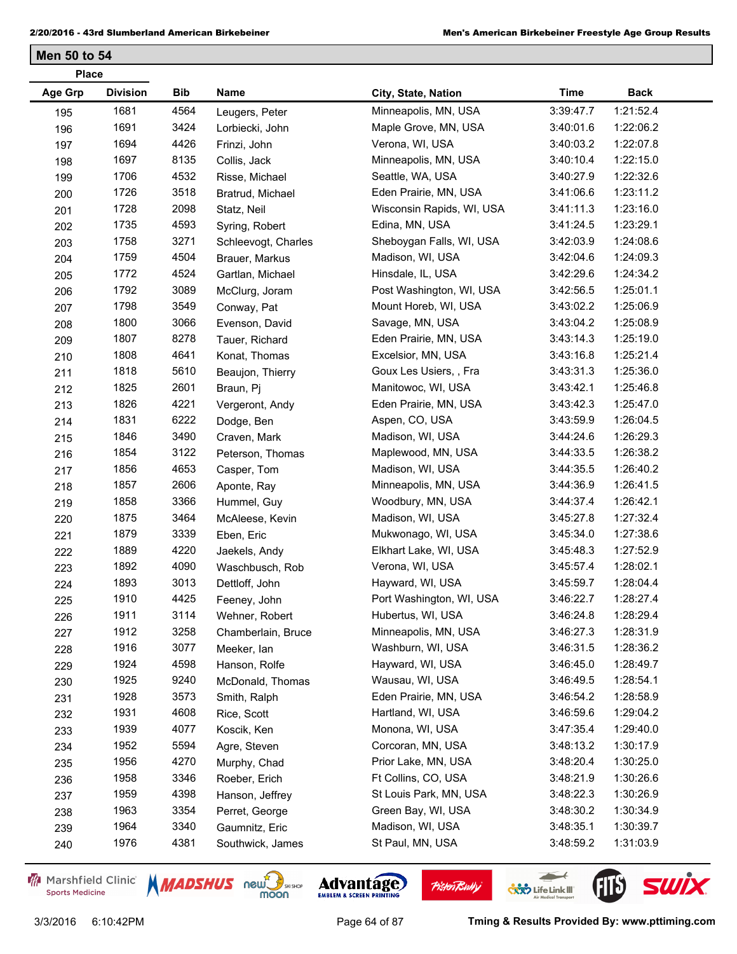| <b>Place</b>   |                 |      |                     |                           |             |             |  |
|----------------|-----------------|------|---------------------|---------------------------|-------------|-------------|--|
| <b>Age Grp</b> | <b>Division</b> | Bib  | Name                | City, State, Nation       | <b>Time</b> | <b>Back</b> |  |
| 195            | 1681            | 4564 | Leugers, Peter      | Minneapolis, MN, USA      | 3:39:47.7   | 1:21:52.4   |  |
| 196            | 1691            | 3424 | Lorbiecki, John     | Maple Grove, MN, USA      | 3:40:01.6   | 1:22:06.2   |  |
| 197            | 1694            | 4426 | Frinzi, John        | Verona, WI, USA           | 3:40:03.2   | 1:22:07.8   |  |
| 198            | 1697            | 8135 | Collis, Jack        | Minneapolis, MN, USA      | 3:40:10.4   | 1:22:15.0   |  |
| 199            | 1706            | 4532 | Risse, Michael      | Seattle, WA, USA          | 3:40:27.9   | 1:22:32.6   |  |
| 200            | 1726            | 3518 | Bratrud, Michael    | Eden Prairie, MN, USA     | 3:41:06.6   | 1:23:11.2   |  |
| 201            | 1728            | 2098 | Statz, Neil         | Wisconsin Rapids, WI, USA | 3:41:11.3   | 1:23:16.0   |  |
| 202            | 1735            | 4593 | Syring, Robert      | Edina, MN, USA            | 3:41:24.5   | 1:23:29.1   |  |
| 203            | 1758            | 3271 | Schleevogt, Charles | Sheboygan Falls, WI, USA  | 3:42:03.9   | 1:24:08.6   |  |
| 204            | 1759            | 4504 | Brauer, Markus      | Madison, WI, USA          | 3:42:04.6   | 1:24:09.3   |  |
| 205            | 1772            | 4524 | Gartlan, Michael    | Hinsdale, IL, USA         | 3:42:29.6   | 1:24:34.2   |  |
| 206            | 1792            | 3089 | McClurg, Joram      | Post Washington, WI, USA  | 3:42:56.5   | 1:25:01.1   |  |
| 207            | 1798            | 3549 | Conway, Pat         | Mount Horeb, WI, USA      | 3:43:02.2   | 1:25:06.9   |  |
| 208            | 1800            | 3066 | Evenson, David      | Savage, MN, USA           | 3:43:04.2   | 1:25:08.9   |  |
| 209            | 1807            | 8278 | Tauer, Richard      | Eden Prairie, MN, USA     | 3:43:14.3   | 1:25:19.0   |  |
| 210            | 1808            | 4641 | Konat, Thomas       | Excelsior, MN, USA        | 3:43:16.8   | 1:25:21.4   |  |
| 211            | 1818            | 5610 | Beaujon, Thierry    | Goux Les Usiers, , Fra    | 3:43:31.3   | 1:25:36.0   |  |
| 212            | 1825            | 2601 | Braun, Pj           | Manitowoc, WI, USA        | 3:43:42.1   | 1:25:46.8   |  |
| 213            | 1826            | 4221 | Vergeront, Andy     | Eden Prairie, MN, USA     | 3:43:42.3   | 1:25:47.0   |  |
| 214            | 1831            | 6222 | Dodge, Ben          | Aspen, CO, USA            | 3:43:59.9   | 1:26:04.5   |  |
| 215            | 1846            | 3490 | Craven, Mark        | Madison, WI, USA          | 3:44:24.6   | 1:26:29.3   |  |
| 216            | 1854            | 3122 | Peterson, Thomas    | Maplewood, MN, USA        | 3:44:33.5   | 1:26:38.2   |  |
| 217            | 1856            | 4653 | Casper, Tom         | Madison, WI, USA          | 3:44:35.5   | 1:26:40.2   |  |
| 218            | 1857            | 2606 | Aponte, Ray         | Minneapolis, MN, USA      | 3:44:36.9   | 1:26:41.5   |  |
| 219            | 1858            | 3366 | Hummel, Guy         | Woodbury, MN, USA         | 3:44:37.4   | 1:26:42.1   |  |
| 220            | 1875            | 3464 | McAleese, Kevin     | Madison, WI, USA          | 3:45:27.8   | 1:27:32.4   |  |
| 221            | 1879            | 3339 | Eben, Eric          | Mukwonago, WI, USA        | 3:45:34.0   | 1:27:38.6   |  |
| 222            | 1889            | 4220 | Jaekels, Andy       | Elkhart Lake, WI, USA     | 3:45:48.3   | 1:27:52.9   |  |
| 223            | 1892            | 4090 | Waschbusch, Rob     | Verona, WI, USA           | 3:45:57.4   | 1:28:02.1   |  |
| 224            | 1893            | 3013 | Dettloff, John      | Hayward, WI, USA          | 3:45:59.7   | 1:28:04.4   |  |
| 225            | 1910            | 4425 | Feeney, John        | Port Washington, WI, USA  | 3:46:22.7   | 1:28:27.4   |  |
| 226            | 1911            | 3114 | Wehner, Robert      | Hubertus, WI, USA         | 3:46:24.8   | 1:28:29.4   |  |
| 227            | 1912            | 3258 | Chamberlain, Bruce  | Minneapolis, MN, USA      | 3:46:27.3   | 1:28:31.9   |  |
| 228            | 1916            | 3077 | Meeker, lan         | Washburn, WI, USA         | 3:46:31.5   | 1:28:36.2   |  |
| 229            | 1924            | 4598 | Hanson, Rolfe       | Hayward, WI, USA          | 3:46:45.0   | 1:28:49.7   |  |
| 230            | 1925            | 9240 | McDonald, Thomas    | Wausau, WI, USA           | 3:46:49.5   | 1:28:54.1   |  |
| 231            | 1928            | 3573 | Smith, Ralph        | Eden Prairie, MN, USA     | 3:46:54.2   | 1:28:58.9   |  |
| 232            | 1931            | 4608 | Rice, Scott         | Hartland, WI, USA         | 3:46:59.6   | 1:29:04.2   |  |
| 233            | 1939            | 4077 | Koscik, Ken         | Monona, WI, USA           | 3:47:35.4   | 1:29:40.0   |  |
| 234            | 1952            | 5594 | Agre, Steven        | Corcoran, MN, USA         | 3:48:13.2   | 1:30:17.9   |  |
| 235            | 1956            | 4270 | Murphy, Chad        | Prior Lake, MN, USA       | 3:48:20.4   | 1:30:25.0   |  |
| 236            | 1958            | 3346 | Roeber, Erich       | Ft Collins, CO, USA       | 3:48:21.9   | 1:30:26.6   |  |
| 237            | 1959            | 4398 | Hanson, Jeffrey     | St Louis Park, MN, USA    | 3:48:22.3   | 1:30:26.9   |  |
| 238            | 1963            | 3354 | Perret, George      | Green Bay, WI, USA        | 3:48:30.2   | 1:30:34.9   |  |
| 239            | 1964            | 3340 | Gaumnitz, Eric      | Madison, WI, USA          | 3:48:35.1   | 1:30:39.7   |  |
| 240            | 1976            | 4381 | Southwick, James    | St Paul, MN, USA          | 3:48:59.2   | 1:31:03.9   |  |

Marshfield Clinic **Sports Medicine** 





**Pisten Bully** 

 $\leftarrow$ 

**COND** Life Link III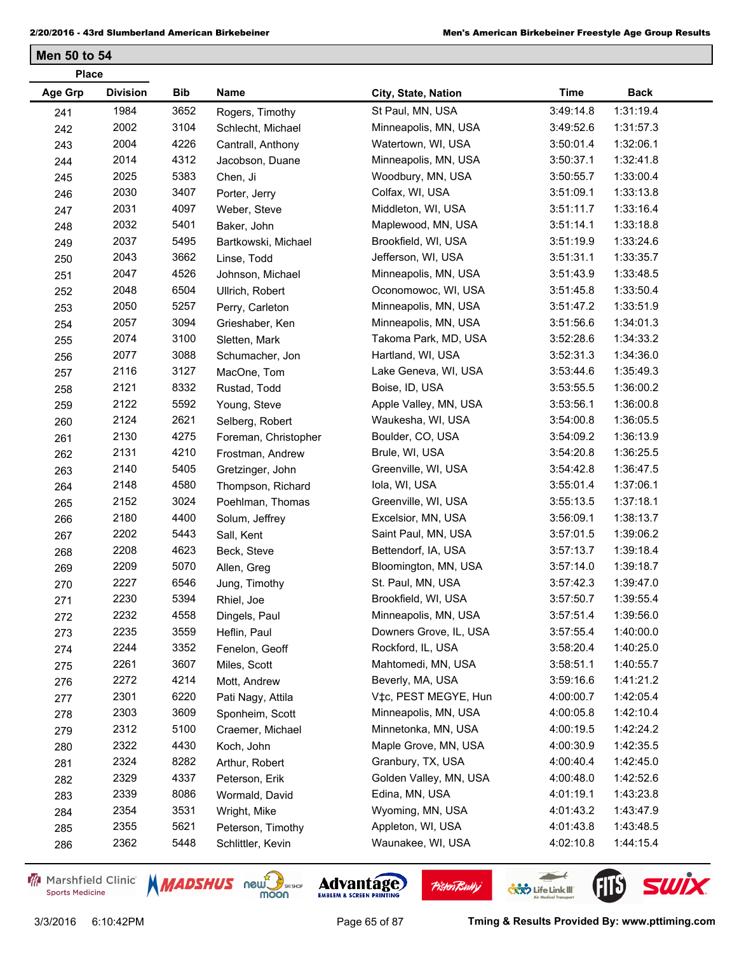| <b>Division</b><br><b>Age Grp</b><br>Bib<br>Name<br><b>Time</b><br><b>Back</b><br>City, State, Nation<br>1984<br>3652<br>St Paul, MN, USA<br>3:49:14.8<br>1:31:19.4<br>Rogers, Timothy<br>241<br>3104<br>2002<br>Minneapolis, MN, USA<br>1:31:57.3<br>3:49:52.6<br>242<br>Schlecht, Michael<br>2004<br>4226<br>1:32:06.1<br>Watertown, WI, USA<br>3:50:01.4<br>Cantrall, Anthony<br>243<br>2014<br>4312<br>1:32:41.8<br>Minneapolis, MN, USA<br>3:50:37.1<br>Jacobson, Duane<br>244<br>2025<br>5383<br>1:33:00.4<br>Woodbury, MN, USA<br>3:50:55.7<br>Chen, Ji<br>245<br>3407<br>2030<br>1:33:13.8<br>Colfax, WI, USA<br>3:51:09.1<br>246<br>Porter, Jerry<br>2031<br>4097<br>Middleton, WI, USA<br>3:51:11.7<br>1:33:16.4<br>Weber, Steve<br>247<br>5401<br>2032<br>1:33:18.8<br>Maplewood, MN, USA<br>3:51:14.1<br>Baker, John<br>248<br>2037<br>5495<br>1:33:24.6<br>Brookfield, WI, USA<br>3:51:19.9<br>249<br>Bartkowski, Michael<br>3662<br>2043<br>1:33:35.7<br>Jefferson, WI, USA<br>3:51:31.1<br>Linse, Todd<br>250<br>2047<br>4526<br>1:33:48.5<br>Minneapolis, MN, USA<br>3:51:43.9<br>Johnson, Michael<br>251<br>2048<br>6504<br>1:33:50.4<br>Oconomowoc, WI, USA<br>3:51:45.8<br>Ullrich, Robert<br>252<br>2050<br>5257<br>1:33:51.9<br>Minneapolis, MN, USA<br>Perry, Carleton<br>3:51:47.2<br>253<br>2057<br>3094<br>1:34:01.3<br>Minneapolis, MN, USA<br>3:51:56.6<br>Grieshaber, Ken<br>254<br>3100<br>2074<br>Takoma Park, MD, USA<br>3:52:28.6<br>1:34:33.2<br>Sletten, Mark<br>255<br>2077<br>3088<br>3:52:31.3<br>1:34:36.0<br>Hartland, WI, USA<br>Schumacher, Jon<br>256<br>2116<br>3127<br>1:35:49.3<br>Lake Geneva, WI, USA<br>3:53:44.6<br>MacOne, Tom<br>257<br>2121<br>8332<br>1:36:00.2<br>Boise, ID, USA<br>3:53:55.5<br>Rustad, Todd<br>258<br>2122<br>5592<br>1:36:00.8<br>Apple Valley, MN, USA<br>3:53:56.1<br>Young, Steve<br>259<br>2124<br>2621<br>1:36:05.5<br>Waukesha, WI, USA<br>3:54:00.8<br>Selberg, Robert<br>260<br>2130<br>4275<br>1:36:13.9<br>Boulder, CO, USA<br>Foreman, Christopher<br>3:54:09.2<br>261<br>2131<br>4210<br>Brule, WI, USA<br>3:54:20.8<br>1:36:25.5<br>262<br>Frostman, Andrew<br>2140<br>5405<br>Greenville, WI, USA<br>3:54:42.8<br>1:36:47.5<br>Gretzinger, John<br>263<br>2148<br>4580<br>Iola, WI, USA<br>3:55:01.4<br>1:37:06.1<br>Thompson, Richard<br>264<br>2152<br>3024<br>1:37:18.1<br>Greenville, WI, USA<br>3:55:13.5<br>Poehlman, Thomas<br>265<br>4400<br>2180<br>1:38:13.7<br>Excelsior, MN, USA<br>3:56:09.1<br>Solum, Jeffrey<br>266<br>2202<br>5443<br>Saint Paul, MN, USA<br>3:57:01.5<br>1:39:06.2<br>Sall, Kent<br>267<br>2208<br>4623<br>Bettendorf, IA, USA<br>3:57:13.7<br>1:39:18.4<br>Beck, Steve<br>268<br>2209<br>5070<br>1:39:18.7<br>Bloomington, MN, USA<br>Allen, Greg<br>3:57:14.0<br>269<br>2227<br>6546<br>St. Paul, MN, USA<br>3:57:42.3<br>1:39:47.0<br>Jung, Timothy<br>270 |
|---------------------------------------------------------------------------------------------------------------------------------------------------------------------------------------------------------------------------------------------------------------------------------------------------------------------------------------------------------------------------------------------------------------------------------------------------------------------------------------------------------------------------------------------------------------------------------------------------------------------------------------------------------------------------------------------------------------------------------------------------------------------------------------------------------------------------------------------------------------------------------------------------------------------------------------------------------------------------------------------------------------------------------------------------------------------------------------------------------------------------------------------------------------------------------------------------------------------------------------------------------------------------------------------------------------------------------------------------------------------------------------------------------------------------------------------------------------------------------------------------------------------------------------------------------------------------------------------------------------------------------------------------------------------------------------------------------------------------------------------------------------------------------------------------------------------------------------------------------------------------------------------------------------------------------------------------------------------------------------------------------------------------------------------------------------------------------------------------------------------------------------------------------------------------------------------------------------------------------------------------------------------------------------------------------------------------------------------------------------------------------------------------------------------------------------------------------------------------------------------------------------------------------------------------------------------------------------------------------------------------------------------------------------------------------------------------------------------------------------------------------------------------------------------------------------------------------------------------------------------------------------|
|                                                                                                                                                                                                                                                                                                                                                                                                                                                                                                                                                                                                                                                                                                                                                                                                                                                                                                                                                                                                                                                                                                                                                                                                                                                                                                                                                                                                                                                                                                                                                                                                                                                                                                                                                                                                                                                                                                                                                                                                                                                                                                                                                                                                                                                                                                                                                                                                                                                                                                                                                                                                                                                                                                                                                                                                                                                                                       |
|                                                                                                                                                                                                                                                                                                                                                                                                                                                                                                                                                                                                                                                                                                                                                                                                                                                                                                                                                                                                                                                                                                                                                                                                                                                                                                                                                                                                                                                                                                                                                                                                                                                                                                                                                                                                                                                                                                                                                                                                                                                                                                                                                                                                                                                                                                                                                                                                                                                                                                                                                                                                                                                                                                                                                                                                                                                                                       |
|                                                                                                                                                                                                                                                                                                                                                                                                                                                                                                                                                                                                                                                                                                                                                                                                                                                                                                                                                                                                                                                                                                                                                                                                                                                                                                                                                                                                                                                                                                                                                                                                                                                                                                                                                                                                                                                                                                                                                                                                                                                                                                                                                                                                                                                                                                                                                                                                                                                                                                                                                                                                                                                                                                                                                                                                                                                                                       |
|                                                                                                                                                                                                                                                                                                                                                                                                                                                                                                                                                                                                                                                                                                                                                                                                                                                                                                                                                                                                                                                                                                                                                                                                                                                                                                                                                                                                                                                                                                                                                                                                                                                                                                                                                                                                                                                                                                                                                                                                                                                                                                                                                                                                                                                                                                                                                                                                                                                                                                                                                                                                                                                                                                                                                                                                                                                                                       |
|                                                                                                                                                                                                                                                                                                                                                                                                                                                                                                                                                                                                                                                                                                                                                                                                                                                                                                                                                                                                                                                                                                                                                                                                                                                                                                                                                                                                                                                                                                                                                                                                                                                                                                                                                                                                                                                                                                                                                                                                                                                                                                                                                                                                                                                                                                                                                                                                                                                                                                                                                                                                                                                                                                                                                                                                                                                                                       |
|                                                                                                                                                                                                                                                                                                                                                                                                                                                                                                                                                                                                                                                                                                                                                                                                                                                                                                                                                                                                                                                                                                                                                                                                                                                                                                                                                                                                                                                                                                                                                                                                                                                                                                                                                                                                                                                                                                                                                                                                                                                                                                                                                                                                                                                                                                                                                                                                                                                                                                                                                                                                                                                                                                                                                                                                                                                                                       |
|                                                                                                                                                                                                                                                                                                                                                                                                                                                                                                                                                                                                                                                                                                                                                                                                                                                                                                                                                                                                                                                                                                                                                                                                                                                                                                                                                                                                                                                                                                                                                                                                                                                                                                                                                                                                                                                                                                                                                                                                                                                                                                                                                                                                                                                                                                                                                                                                                                                                                                                                                                                                                                                                                                                                                                                                                                                                                       |
|                                                                                                                                                                                                                                                                                                                                                                                                                                                                                                                                                                                                                                                                                                                                                                                                                                                                                                                                                                                                                                                                                                                                                                                                                                                                                                                                                                                                                                                                                                                                                                                                                                                                                                                                                                                                                                                                                                                                                                                                                                                                                                                                                                                                                                                                                                                                                                                                                                                                                                                                                                                                                                                                                                                                                                                                                                                                                       |
|                                                                                                                                                                                                                                                                                                                                                                                                                                                                                                                                                                                                                                                                                                                                                                                                                                                                                                                                                                                                                                                                                                                                                                                                                                                                                                                                                                                                                                                                                                                                                                                                                                                                                                                                                                                                                                                                                                                                                                                                                                                                                                                                                                                                                                                                                                                                                                                                                                                                                                                                                                                                                                                                                                                                                                                                                                                                                       |
|                                                                                                                                                                                                                                                                                                                                                                                                                                                                                                                                                                                                                                                                                                                                                                                                                                                                                                                                                                                                                                                                                                                                                                                                                                                                                                                                                                                                                                                                                                                                                                                                                                                                                                                                                                                                                                                                                                                                                                                                                                                                                                                                                                                                                                                                                                                                                                                                                                                                                                                                                                                                                                                                                                                                                                                                                                                                                       |
|                                                                                                                                                                                                                                                                                                                                                                                                                                                                                                                                                                                                                                                                                                                                                                                                                                                                                                                                                                                                                                                                                                                                                                                                                                                                                                                                                                                                                                                                                                                                                                                                                                                                                                                                                                                                                                                                                                                                                                                                                                                                                                                                                                                                                                                                                                                                                                                                                                                                                                                                                                                                                                                                                                                                                                                                                                                                                       |
|                                                                                                                                                                                                                                                                                                                                                                                                                                                                                                                                                                                                                                                                                                                                                                                                                                                                                                                                                                                                                                                                                                                                                                                                                                                                                                                                                                                                                                                                                                                                                                                                                                                                                                                                                                                                                                                                                                                                                                                                                                                                                                                                                                                                                                                                                                                                                                                                                                                                                                                                                                                                                                                                                                                                                                                                                                                                                       |
|                                                                                                                                                                                                                                                                                                                                                                                                                                                                                                                                                                                                                                                                                                                                                                                                                                                                                                                                                                                                                                                                                                                                                                                                                                                                                                                                                                                                                                                                                                                                                                                                                                                                                                                                                                                                                                                                                                                                                                                                                                                                                                                                                                                                                                                                                                                                                                                                                                                                                                                                                                                                                                                                                                                                                                                                                                                                                       |
|                                                                                                                                                                                                                                                                                                                                                                                                                                                                                                                                                                                                                                                                                                                                                                                                                                                                                                                                                                                                                                                                                                                                                                                                                                                                                                                                                                                                                                                                                                                                                                                                                                                                                                                                                                                                                                                                                                                                                                                                                                                                                                                                                                                                                                                                                                                                                                                                                                                                                                                                                                                                                                                                                                                                                                                                                                                                                       |
|                                                                                                                                                                                                                                                                                                                                                                                                                                                                                                                                                                                                                                                                                                                                                                                                                                                                                                                                                                                                                                                                                                                                                                                                                                                                                                                                                                                                                                                                                                                                                                                                                                                                                                                                                                                                                                                                                                                                                                                                                                                                                                                                                                                                                                                                                                                                                                                                                                                                                                                                                                                                                                                                                                                                                                                                                                                                                       |
|                                                                                                                                                                                                                                                                                                                                                                                                                                                                                                                                                                                                                                                                                                                                                                                                                                                                                                                                                                                                                                                                                                                                                                                                                                                                                                                                                                                                                                                                                                                                                                                                                                                                                                                                                                                                                                                                                                                                                                                                                                                                                                                                                                                                                                                                                                                                                                                                                                                                                                                                                                                                                                                                                                                                                                                                                                                                                       |
|                                                                                                                                                                                                                                                                                                                                                                                                                                                                                                                                                                                                                                                                                                                                                                                                                                                                                                                                                                                                                                                                                                                                                                                                                                                                                                                                                                                                                                                                                                                                                                                                                                                                                                                                                                                                                                                                                                                                                                                                                                                                                                                                                                                                                                                                                                                                                                                                                                                                                                                                                                                                                                                                                                                                                                                                                                                                                       |
|                                                                                                                                                                                                                                                                                                                                                                                                                                                                                                                                                                                                                                                                                                                                                                                                                                                                                                                                                                                                                                                                                                                                                                                                                                                                                                                                                                                                                                                                                                                                                                                                                                                                                                                                                                                                                                                                                                                                                                                                                                                                                                                                                                                                                                                                                                                                                                                                                                                                                                                                                                                                                                                                                                                                                                                                                                                                                       |
|                                                                                                                                                                                                                                                                                                                                                                                                                                                                                                                                                                                                                                                                                                                                                                                                                                                                                                                                                                                                                                                                                                                                                                                                                                                                                                                                                                                                                                                                                                                                                                                                                                                                                                                                                                                                                                                                                                                                                                                                                                                                                                                                                                                                                                                                                                                                                                                                                                                                                                                                                                                                                                                                                                                                                                                                                                                                                       |
|                                                                                                                                                                                                                                                                                                                                                                                                                                                                                                                                                                                                                                                                                                                                                                                                                                                                                                                                                                                                                                                                                                                                                                                                                                                                                                                                                                                                                                                                                                                                                                                                                                                                                                                                                                                                                                                                                                                                                                                                                                                                                                                                                                                                                                                                                                                                                                                                                                                                                                                                                                                                                                                                                                                                                                                                                                                                                       |
|                                                                                                                                                                                                                                                                                                                                                                                                                                                                                                                                                                                                                                                                                                                                                                                                                                                                                                                                                                                                                                                                                                                                                                                                                                                                                                                                                                                                                                                                                                                                                                                                                                                                                                                                                                                                                                                                                                                                                                                                                                                                                                                                                                                                                                                                                                                                                                                                                                                                                                                                                                                                                                                                                                                                                                                                                                                                                       |
|                                                                                                                                                                                                                                                                                                                                                                                                                                                                                                                                                                                                                                                                                                                                                                                                                                                                                                                                                                                                                                                                                                                                                                                                                                                                                                                                                                                                                                                                                                                                                                                                                                                                                                                                                                                                                                                                                                                                                                                                                                                                                                                                                                                                                                                                                                                                                                                                                                                                                                                                                                                                                                                                                                                                                                                                                                                                                       |
|                                                                                                                                                                                                                                                                                                                                                                                                                                                                                                                                                                                                                                                                                                                                                                                                                                                                                                                                                                                                                                                                                                                                                                                                                                                                                                                                                                                                                                                                                                                                                                                                                                                                                                                                                                                                                                                                                                                                                                                                                                                                                                                                                                                                                                                                                                                                                                                                                                                                                                                                                                                                                                                                                                                                                                                                                                                                                       |
|                                                                                                                                                                                                                                                                                                                                                                                                                                                                                                                                                                                                                                                                                                                                                                                                                                                                                                                                                                                                                                                                                                                                                                                                                                                                                                                                                                                                                                                                                                                                                                                                                                                                                                                                                                                                                                                                                                                                                                                                                                                                                                                                                                                                                                                                                                                                                                                                                                                                                                                                                                                                                                                                                                                                                                                                                                                                                       |
|                                                                                                                                                                                                                                                                                                                                                                                                                                                                                                                                                                                                                                                                                                                                                                                                                                                                                                                                                                                                                                                                                                                                                                                                                                                                                                                                                                                                                                                                                                                                                                                                                                                                                                                                                                                                                                                                                                                                                                                                                                                                                                                                                                                                                                                                                                                                                                                                                                                                                                                                                                                                                                                                                                                                                                                                                                                                                       |
|                                                                                                                                                                                                                                                                                                                                                                                                                                                                                                                                                                                                                                                                                                                                                                                                                                                                                                                                                                                                                                                                                                                                                                                                                                                                                                                                                                                                                                                                                                                                                                                                                                                                                                                                                                                                                                                                                                                                                                                                                                                                                                                                                                                                                                                                                                                                                                                                                                                                                                                                                                                                                                                                                                                                                                                                                                                                                       |
|                                                                                                                                                                                                                                                                                                                                                                                                                                                                                                                                                                                                                                                                                                                                                                                                                                                                                                                                                                                                                                                                                                                                                                                                                                                                                                                                                                                                                                                                                                                                                                                                                                                                                                                                                                                                                                                                                                                                                                                                                                                                                                                                                                                                                                                                                                                                                                                                                                                                                                                                                                                                                                                                                                                                                                                                                                                                                       |
|                                                                                                                                                                                                                                                                                                                                                                                                                                                                                                                                                                                                                                                                                                                                                                                                                                                                                                                                                                                                                                                                                                                                                                                                                                                                                                                                                                                                                                                                                                                                                                                                                                                                                                                                                                                                                                                                                                                                                                                                                                                                                                                                                                                                                                                                                                                                                                                                                                                                                                                                                                                                                                                                                                                                                                                                                                                                                       |
|                                                                                                                                                                                                                                                                                                                                                                                                                                                                                                                                                                                                                                                                                                                                                                                                                                                                                                                                                                                                                                                                                                                                                                                                                                                                                                                                                                                                                                                                                                                                                                                                                                                                                                                                                                                                                                                                                                                                                                                                                                                                                                                                                                                                                                                                                                                                                                                                                                                                                                                                                                                                                                                                                                                                                                                                                                                                                       |
|                                                                                                                                                                                                                                                                                                                                                                                                                                                                                                                                                                                                                                                                                                                                                                                                                                                                                                                                                                                                                                                                                                                                                                                                                                                                                                                                                                                                                                                                                                                                                                                                                                                                                                                                                                                                                                                                                                                                                                                                                                                                                                                                                                                                                                                                                                                                                                                                                                                                                                                                                                                                                                                                                                                                                                                                                                                                                       |
|                                                                                                                                                                                                                                                                                                                                                                                                                                                                                                                                                                                                                                                                                                                                                                                                                                                                                                                                                                                                                                                                                                                                                                                                                                                                                                                                                                                                                                                                                                                                                                                                                                                                                                                                                                                                                                                                                                                                                                                                                                                                                                                                                                                                                                                                                                                                                                                                                                                                                                                                                                                                                                                                                                                                                                                                                                                                                       |
| 2230<br>5394<br>Brookfield, WI, USA<br>3:57:50.7<br>1:39:55.4<br>Rhiel, Joe<br>271                                                                                                                                                                                                                                                                                                                                                                                                                                                                                                                                                                                                                                                                                                                                                                                                                                                                                                                                                                                                                                                                                                                                                                                                                                                                                                                                                                                                                                                                                                                                                                                                                                                                                                                                                                                                                                                                                                                                                                                                                                                                                                                                                                                                                                                                                                                                                                                                                                                                                                                                                                                                                                                                                                                                                                                                    |
| 2232<br>4558<br>Minneapolis, MN, USA<br>3:57:51.4<br>1:39:56.0<br>Dingels, Paul<br>272                                                                                                                                                                                                                                                                                                                                                                                                                                                                                                                                                                                                                                                                                                                                                                                                                                                                                                                                                                                                                                                                                                                                                                                                                                                                                                                                                                                                                                                                                                                                                                                                                                                                                                                                                                                                                                                                                                                                                                                                                                                                                                                                                                                                                                                                                                                                                                                                                                                                                                                                                                                                                                                                                                                                                                                                |
| 2235<br>3559<br>Downers Grove, IL, USA<br>1:40:00.0<br>3:57:55.4<br>Heflin, Paul<br>273                                                                                                                                                                                                                                                                                                                                                                                                                                                                                                                                                                                                                                                                                                                                                                                                                                                                                                                                                                                                                                                                                                                                                                                                                                                                                                                                                                                                                                                                                                                                                                                                                                                                                                                                                                                                                                                                                                                                                                                                                                                                                                                                                                                                                                                                                                                                                                                                                                                                                                                                                                                                                                                                                                                                                                                               |
| 3352<br>Rockford, IL, USA<br>1:40:25.0<br>2244<br>3:58:20.4<br>Fenelon, Geoff<br>274                                                                                                                                                                                                                                                                                                                                                                                                                                                                                                                                                                                                                                                                                                                                                                                                                                                                                                                                                                                                                                                                                                                                                                                                                                                                                                                                                                                                                                                                                                                                                                                                                                                                                                                                                                                                                                                                                                                                                                                                                                                                                                                                                                                                                                                                                                                                                                                                                                                                                                                                                                                                                                                                                                                                                                                                  |
| 3607<br>2261<br>Mahtomedi, MN, USA<br>3:58:51.1<br>1:40:55.7<br>Miles, Scott<br>275                                                                                                                                                                                                                                                                                                                                                                                                                                                                                                                                                                                                                                                                                                                                                                                                                                                                                                                                                                                                                                                                                                                                                                                                                                                                                                                                                                                                                                                                                                                                                                                                                                                                                                                                                                                                                                                                                                                                                                                                                                                                                                                                                                                                                                                                                                                                                                                                                                                                                                                                                                                                                                                                                                                                                                                                   |
| 2272<br>4214<br>1:41:21.2<br>Beverly, MA, USA<br>3:59:16.6<br>Mott, Andrew<br>276                                                                                                                                                                                                                                                                                                                                                                                                                                                                                                                                                                                                                                                                                                                                                                                                                                                                                                                                                                                                                                                                                                                                                                                                                                                                                                                                                                                                                                                                                                                                                                                                                                                                                                                                                                                                                                                                                                                                                                                                                                                                                                                                                                                                                                                                                                                                                                                                                                                                                                                                                                                                                                                                                                                                                                                                     |
| 2301<br>6220<br>V‡c, PEST MEGYE, Hun<br>1:42:05.4<br>4:00:00.7<br>Pati Nagy, Attila<br>277                                                                                                                                                                                                                                                                                                                                                                                                                                                                                                                                                                                                                                                                                                                                                                                                                                                                                                                                                                                                                                                                                                                                                                                                                                                                                                                                                                                                                                                                                                                                                                                                                                                                                                                                                                                                                                                                                                                                                                                                                                                                                                                                                                                                                                                                                                                                                                                                                                                                                                                                                                                                                                                                                                                                                                                            |
| 2303<br>3609<br>1:42:10.4<br>Minneapolis, MN, USA<br>4:00:05.8<br>Sponheim, Scott<br>278                                                                                                                                                                                                                                                                                                                                                                                                                                                                                                                                                                                                                                                                                                                                                                                                                                                                                                                                                                                                                                                                                                                                                                                                                                                                                                                                                                                                                                                                                                                                                                                                                                                                                                                                                                                                                                                                                                                                                                                                                                                                                                                                                                                                                                                                                                                                                                                                                                                                                                                                                                                                                                                                                                                                                                                              |
| 5100<br>1:42:24.2<br>2312<br>Minnetonka, MN, USA<br>4:00:19.5<br>Craemer, Michael<br>279                                                                                                                                                                                                                                                                                                                                                                                                                                                                                                                                                                                                                                                                                                                                                                                                                                                                                                                                                                                                                                                                                                                                                                                                                                                                                                                                                                                                                                                                                                                                                                                                                                                                                                                                                                                                                                                                                                                                                                                                                                                                                                                                                                                                                                                                                                                                                                                                                                                                                                                                                                                                                                                                                                                                                                                              |
| 2322<br>4430<br>Maple Grove, MN, USA<br>1:42:35.5<br>4:00:30.9<br>Koch, John<br>280                                                                                                                                                                                                                                                                                                                                                                                                                                                                                                                                                                                                                                                                                                                                                                                                                                                                                                                                                                                                                                                                                                                                                                                                                                                                                                                                                                                                                                                                                                                                                                                                                                                                                                                                                                                                                                                                                                                                                                                                                                                                                                                                                                                                                                                                                                                                                                                                                                                                                                                                                                                                                                                                                                                                                                                                   |
| 2324<br>8282<br>1:42:45.0<br>Granbury, TX, USA<br>4:00:40.4<br>Arthur, Robert<br>281                                                                                                                                                                                                                                                                                                                                                                                                                                                                                                                                                                                                                                                                                                                                                                                                                                                                                                                                                                                                                                                                                                                                                                                                                                                                                                                                                                                                                                                                                                                                                                                                                                                                                                                                                                                                                                                                                                                                                                                                                                                                                                                                                                                                                                                                                                                                                                                                                                                                                                                                                                                                                                                                                                                                                                                                  |
| 2329<br>4337<br>Golden Valley, MN, USA<br>1:42:52.6<br>4:00:48.0<br>Peterson, Erik<br>282                                                                                                                                                                                                                                                                                                                                                                                                                                                                                                                                                                                                                                                                                                                                                                                                                                                                                                                                                                                                                                                                                                                                                                                                                                                                                                                                                                                                                                                                                                                                                                                                                                                                                                                                                                                                                                                                                                                                                                                                                                                                                                                                                                                                                                                                                                                                                                                                                                                                                                                                                                                                                                                                                                                                                                                             |
| 8086<br>2339<br>Edina, MN, USA<br>4:01:19.1<br>1:43:23.8<br>Wormald, David<br>283                                                                                                                                                                                                                                                                                                                                                                                                                                                                                                                                                                                                                                                                                                                                                                                                                                                                                                                                                                                                                                                                                                                                                                                                                                                                                                                                                                                                                                                                                                                                                                                                                                                                                                                                                                                                                                                                                                                                                                                                                                                                                                                                                                                                                                                                                                                                                                                                                                                                                                                                                                                                                                                                                                                                                                                                     |
| 2354<br>3531<br>1:43:47.9<br>Wyoming, MN, USA<br>4:01:43.2<br>Wright, Mike<br>284                                                                                                                                                                                                                                                                                                                                                                                                                                                                                                                                                                                                                                                                                                                                                                                                                                                                                                                                                                                                                                                                                                                                                                                                                                                                                                                                                                                                                                                                                                                                                                                                                                                                                                                                                                                                                                                                                                                                                                                                                                                                                                                                                                                                                                                                                                                                                                                                                                                                                                                                                                                                                                                                                                                                                                                                     |
| 2355<br>5621<br>Appleton, WI, USA<br>4:01:43.8<br>1:43:48.5<br>Peterson, Timothy<br>285                                                                                                                                                                                                                                                                                                                                                                                                                                                                                                                                                                                                                                                                                                                                                                                                                                                                                                                                                                                                                                                                                                                                                                                                                                                                                                                                                                                                                                                                                                                                                                                                                                                                                                                                                                                                                                                                                                                                                                                                                                                                                                                                                                                                                                                                                                                                                                                                                                                                                                                                                                                                                                                                                                                                                                                               |
| 2362<br>5448<br>Waunakee, WI, USA<br>4:02:10.8<br>1:44:15.4<br>Schlittler, Kevin<br>286                                                                                                                                                                                                                                                                                                                                                                                                                                                                                                                                                                                                                                                                                                                                                                                                                                                                                                                                                                                                                                                                                                                                                                                                                                                                                                                                                                                                                                                                                                                                                                                                                                                                                                                                                                                                                                                                                                                                                                                                                                                                                                                                                                                                                                                                                                                                                                                                                                                                                                                                                                                                                                                                                                                                                                                               |

Marshfield Clinic **Sports Medicine** 







 $\leftarrow$ 

**COND** Life Link III

**Pisten Bully**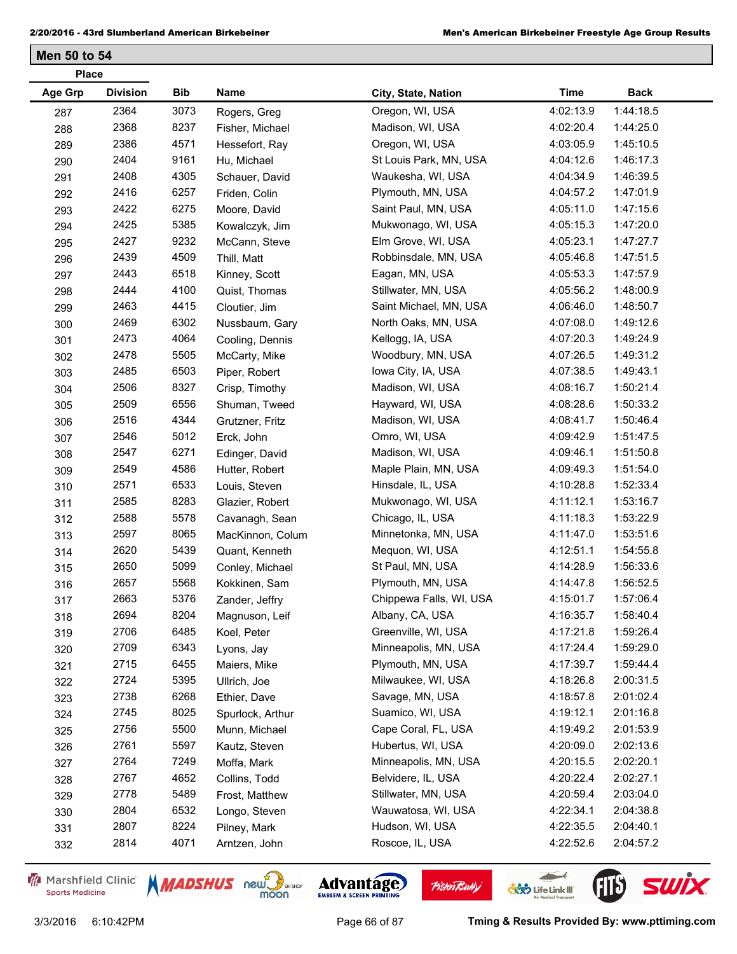| <b>Place</b>   |                 |            |                  |                         |             |             |
|----------------|-----------------|------------|------------------|-------------------------|-------------|-------------|
| <b>Age Grp</b> | <b>Division</b> | <b>Bib</b> | Name             | City, State, Nation     | <b>Time</b> | <b>Back</b> |
| 287            | 2364            | 3073       | Rogers, Greg     | Oregon, WI, USA         | 4:02:13.9   | 1:44:18.5   |
| 288            | 2368            | 8237       | Fisher, Michael  | Madison, WI, USA        | 4:02:20.4   | 1:44:25.0   |
| 289            | 2386            | 4571       | Hessefort, Ray   | Oregon, WI, USA         | 4:03:05.9   | 1:45:10.5   |
| 290            | 2404            | 9161       | Hu, Michael      | St Louis Park, MN, USA  | 4:04:12.6   | 1:46:17.3   |
| 291            | 2408            | 4305       | Schauer, David   | Waukesha, WI, USA       | 4:04:34.9   | 1:46:39.5   |
| 292            | 2416            | 6257       | Friden, Colin    | Plymouth, MN, USA       | 4:04:57.2   | 1:47:01.9   |
| 293            | 2422            | 6275       | Moore, David     | Saint Paul, MN, USA     | 4:05:11.0   | 1:47:15.6   |
| 294            | 2425            | 5385       | Kowalczyk, Jim   | Mukwonago, WI, USA      | 4:05:15.3   | 1:47:20.0   |
| 295            | 2427            | 9232       | McCann, Steve    | Elm Grove, WI, USA      | 4:05:23.1   | 1:47:27.7   |
| 296            | 2439            | 4509       | Thill, Matt      | Robbinsdale, MN, USA    | 4:05:46.8   | 1:47:51.5   |
| 297            | 2443            | 6518       | Kinney, Scott    | Eagan, MN, USA          | 4:05:53.3   | 1:47:57.9   |
| 298            | 2444            | 4100       | Quist, Thomas    | Stillwater, MN, USA     | 4:05:56.2   | 1:48:00.9   |
| 299            | 2463            | 4415       | Cloutier, Jim    | Saint Michael, MN, USA  | 4:06:46.0   | 1:48:50.7   |
| 300            | 2469            | 6302       | Nussbaum, Gary   | North Oaks, MN, USA     | 4:07:08.0   | 1:49:12.6   |
| 301            | 2473            | 4064       | Cooling, Dennis  | Kellogg, IA, USA        | 4:07:20.3   | 1:49:24.9   |
| 302            | 2478            | 5505       | McCarty, Mike    | Woodbury, MN, USA       | 4:07:26.5   | 1:49:31.2   |
| 303            | 2485            | 6503       | Piper, Robert    | lowa City, IA, USA      | 4:07:38.5   | 1:49:43.1   |
| 304            | 2506            | 8327       | Crisp, Timothy   | Madison, WI, USA        | 4:08:16.7   | 1:50:21.4   |
| 305            | 2509            | 6556       | Shuman, Tweed    | Hayward, WI, USA        | 4:08:28.6   | 1:50:33.2   |
| 306            | 2516            | 4344       | Grutzner, Fritz  | Madison, WI, USA        | 4:08:41.7   | 1:50:46.4   |
| 307            | 2546            | 5012       | Erck, John       | Omro, WI, USA           | 4:09:42.9   | 1:51:47.5   |
| 308            | 2547            | 6271       | Edinger, David   | Madison, WI, USA        | 4:09:46.1   | 1:51:50.8   |
| 309            | 2549            | 4586       | Hutter, Robert   | Maple Plain, MN, USA    | 4:09:49.3   | 1:51:54.0   |
| 310            | 2571            | 6533       | Louis, Steven    | Hinsdale, IL, USA       | 4:10:28.8   | 1:52:33.4   |
| 311            | 2585            | 8283       | Glazier, Robert  | Mukwonago, WI, USA      | 4:11:12.1   | 1:53:16.7   |
| 312            | 2588            | 5578       | Cavanagh, Sean   | Chicago, IL, USA        | 4:11:18.3   | 1:53:22.9   |
| 313            | 2597            | 8065       | MacKinnon, Colum | Minnetonka, MN, USA     | 4:11:47.0   | 1:53:51.6   |
| 314            | 2620            | 5439       | Quant, Kenneth   | Mequon, WI, USA         | 4:12:51.1   | 1:54:55.8   |
| 315            | 2650            | 5099       | Conley, Michael  | St Paul, MN, USA        | 4:14:28.9   | 1:56:33.6   |
| 316            | 2657            | 5568       | Kokkinen, Sam    | Plymouth, MN, USA       | 4:14:47.8   | 1:56:52.5   |
| 317            | 2663            | 5376       | Zander, Jeffry   | Chippewa Falls, WI, USA | 4:15:01.7   | 1:57:06.4   |
| 318            | 2694            | 8204       | Magnuson, Leif   | Albany, CA, USA         | 4:16:35.7   | 1:58:40.4   |
| 319            | 2706            | 6485       | Koel, Peter      | Greenville, WI, USA     | 4:17:21.8   | 1:59:26.4   |
| 320            | 2709            | 6343       | Lyons, Jay       | Minneapolis, MN, USA    | 4:17:24.4   | 1:59:29.0   |
| 321            | 2715            | 6455       | Maiers, Mike     | Plymouth, MN, USA       | 4:17:39.7   | 1:59:44.4   |
| 322            | 2724            | 5395       | Ullrich, Joe     | Milwaukee, WI, USA      | 4:18:26.8   | 2:00:31.5   |
| 323            | 2738            | 6268       | Ethier, Dave     | Savage, MN, USA         | 4:18:57.8   | 2:01:02.4   |
| 324            | 2745            | 8025       | Spurlock, Arthur | Suamico, WI, USA        | 4:19:12.1   | 2:01:16.8   |
| 325            | 2756            | 5500       | Munn, Michael    | Cape Coral, FL, USA     | 4:19:49.2   | 2:01:53.9   |
| 326            | 2761            | 5597       | Kautz, Steven    | Hubertus, WI, USA       | 4:20:09.0   | 2:02:13.6   |
| 327            | 2764            | 7249       | Moffa, Mark      | Minneapolis, MN, USA    | 4:20:15.5   | 2:02:20.1   |
| 328            | 2767            | 4652       | Collins, Todd    | Belvidere, IL, USA      | 4:20:22.4   | 2:02:27.1   |
| 329            | 2778            | 5489       | Frost, Matthew   | Stillwater, MN, USA     | 4:20:59.4   | 2:03:04.0   |
| 330            | 2804            | 6532       | Longo, Steven    | Wauwatosa, WI, USA      | 4:22:34.1   | 2:04:38.8   |
| 331            | 2807            | 8224       | Pilney, Mark     | Hudson, WI, USA         | 4:22:35.5   | 2:04:40.1   |
| 332            | 2814            | 4071       | Arntzen, John    | Roscoe, IL, USA         | 4:22:52.6   | 2:04:57.2   |
|                |                 |            |                  |                         |             |             |

Marshfield Clinic **Sports Medicine** 





**Pisten Bully** 

3/3/2016 6:10:42PM Page 66 of 87 **Tming & Results Provided By: www.pttiming.com**

 $\leftarrow$ 

**COND** Life Link III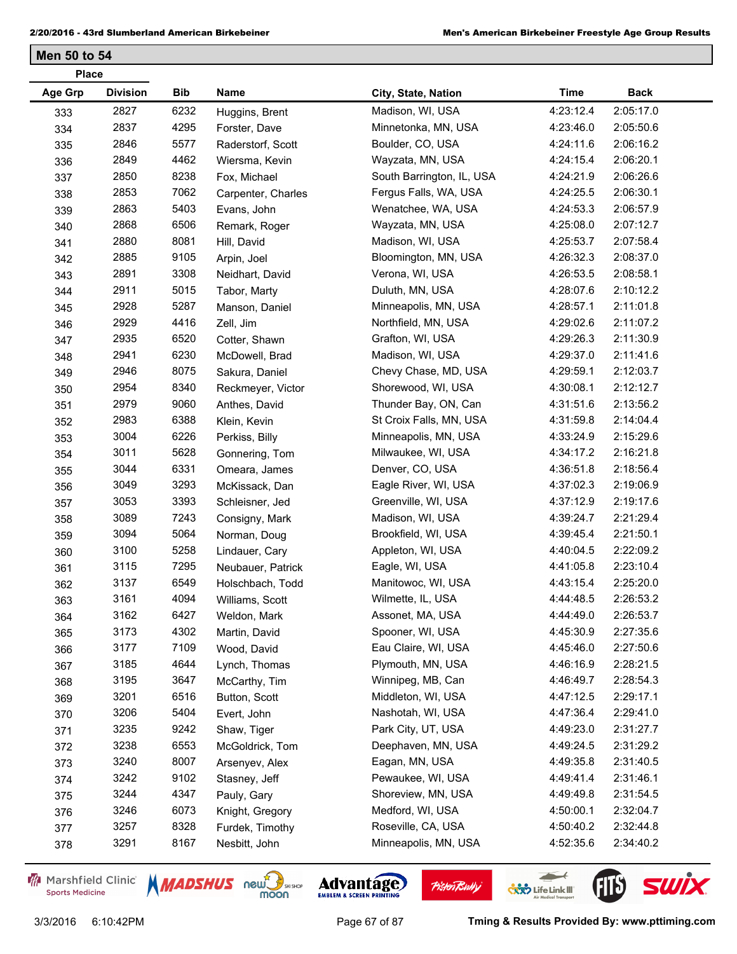| <b>Place</b> |                 |            |                    |                           |             |             |
|--------------|-----------------|------------|--------------------|---------------------------|-------------|-------------|
| Age Grp      | <b>Division</b> | <b>Bib</b> | Name               | City, State, Nation       | <b>Time</b> | <b>Back</b> |
| 333          | 2827            | 6232       | Huggins, Brent     | Madison, WI, USA          | 4:23:12.4   | 2:05:17.0   |
| 334          | 2837            | 4295       | Forster, Dave      | Minnetonka, MN, USA       | 4:23:46.0   | 2:05:50.6   |
| 335          | 2846            | 5577       | Raderstorf, Scott  | Boulder, CO, USA          | 4:24:11.6   | 2:06:16.2   |
| 336          | 2849            | 4462       | Wiersma, Kevin     | Wayzata, MN, USA          | 4:24:15.4   | 2:06:20.1   |
| 337          | 2850            | 8238       | Fox, Michael       | South Barrington, IL, USA | 4:24:21.9   | 2:06:26.6   |
| 338          | 2853            | 7062       | Carpenter, Charles | Fergus Falls, WA, USA     | 4:24:25.5   | 2:06:30.1   |
| 339          | 2863            | 5403       | Evans, John        | Wenatchee, WA, USA        | 4:24:53.3   | 2:06:57.9   |
| 340          | 2868            | 6506       | Remark, Roger      | Wayzata, MN, USA          | 4:25:08.0   | 2:07:12.7   |
| 341          | 2880            | 8081       | Hill, David        | Madison, WI, USA          | 4:25:53.7   | 2:07:58.4   |
| 342          | 2885            | 9105       | Arpin, Joel        | Bloomington, MN, USA      | 4:26:32.3   | 2:08:37.0   |
| 343          | 2891            | 3308       | Neidhart, David    | Verona, WI, USA           | 4:26:53.5   | 2:08:58.1   |
| 344          | 2911            | 5015       | Tabor, Marty       | Duluth, MN, USA           | 4:28:07.6   | 2:10:12.2   |
| 345          | 2928            | 5287       | Manson, Daniel     | Minneapolis, MN, USA      | 4:28:57.1   | 2:11:01.8   |
| 346          | 2929            | 4416       | Zell, Jim          | Northfield, MN, USA       | 4:29:02.6   | 2:11:07.2   |
| 347          | 2935            | 6520       | Cotter, Shawn      | Grafton, WI, USA          | 4:29:26.3   | 2:11:30.9   |
| 348          | 2941            | 6230       | McDowell, Brad     | Madison, WI, USA          | 4:29:37.0   | 2:11:41.6   |
| 349          | 2946            | 8075       | Sakura, Daniel     | Chevy Chase, MD, USA      | 4:29:59.1   | 2:12:03.7   |
| 350          | 2954            | 8340       | Reckmeyer, Victor  | Shorewood, WI, USA        | 4:30:08.1   | 2:12:12.7   |
| 351          | 2979            | 9060       | Anthes, David      | Thunder Bay, ON, Can      | 4:31:51.6   | 2:13:56.2   |
| 352          | 2983            | 6388       | Klein, Kevin       | St Croix Falls, MN, USA   | 4:31:59.8   | 2:14:04.4   |
| 353          | 3004            | 6226       | Perkiss, Billy     | Minneapolis, MN, USA      | 4:33:24.9   | 2:15:29.6   |
| 354          | 3011            | 5628       | Gonnering, Tom     | Milwaukee, WI, USA        | 4:34:17.2   | 2:16:21.8   |
| 355          | 3044            | 6331       | Omeara, James      | Denver, CO, USA           | 4:36:51.8   | 2:18:56.4   |
| 356          | 3049            | 3293       | McKissack, Dan     | Eagle River, WI, USA      | 4:37:02.3   | 2:19:06.9   |
| 357          | 3053            | 3393       | Schleisner, Jed    | Greenville, WI, USA       | 4:37:12.9   | 2:19:17.6   |
| 358          | 3089            | 7243       | Consigny, Mark     | Madison, WI, USA          | 4:39:24.7   | 2:21:29.4   |
| 359          | 3094            | 5064       | Norman, Doug       | Brookfield, WI, USA       | 4:39:45.4   | 2:21:50.1   |
| 360          | 3100            | 5258       | Lindauer, Cary     | Appleton, WI, USA         | 4:40:04.5   | 2:22:09.2   |
| 361          | 3115            | 7295       | Neubauer, Patrick  | Eagle, WI, USA            | 4:41:05.8   | 2:23:10.4   |
| 362          | 3137            | 6549       | Holschbach, Todd   | Manitowoc, WI, USA        | 4:43:15.4   | 2:25:20.0   |
| 363          | 3161            | 4094       | Williams, Scott    | Wilmette, IL, USA         | 4:44:48.5   | 2:26:53.2   |
| 364          | 3162            | 6427       | Weldon, Mark       | Assonet, MA, USA          | 4:44:49.0   | 2:26:53.7   |
| 365          | 3173            | 4302       | Martin, David      | Spooner, WI, USA          | 4:45:30.9   | 2:27:35.6   |
| 366          | 3177            | 7109       | Wood, David        | Eau Claire, WI, USA       | 4:45:46.0   | 2:27:50.6   |
| 367          | 3185            | 4644       | Lynch, Thomas      | Plymouth, MN, USA         | 4:46:16.9   | 2:28:21.5   |
| 368          | 3195            | 3647       | McCarthy, Tim      | Winnipeg, MB, Can         | 4:46:49.7   | 2:28:54.3   |
| 369          | 3201            | 6516       | Button, Scott      | Middleton, WI, USA        | 4:47:12.5   | 2:29:17.1   |
| 370          | 3206            | 5404       | Evert, John        | Nashotah, WI, USA         | 4:47:36.4   | 2:29:41.0   |
| 371          | 3235            | 9242       | Shaw, Tiger        | Park City, UT, USA        | 4:49:23.0   | 2:31:27.7   |
| 372          | 3238            | 6553       | McGoldrick, Tom    | Deephaven, MN, USA        | 4:49:24.5   | 2:31:29.2   |
| 373          | 3240            | 8007       | Arsenyev, Alex     | Eagan, MN, USA            | 4:49:35.8   | 2:31:40.5   |
| 374          | 3242            | 9102       | Stasney, Jeff      | Pewaukee, WI, USA         | 4:49:41.4   | 2:31:46.1   |
| 375          | 3244            | 4347       | Pauly, Gary        | Shoreview, MN, USA        | 4:49:49.8   | 2:31:54.5   |
| 376          | 3246            | 6073       | Knight, Gregory    | Medford, WI, USA          | 4:50:00.1   | 2:32:04.7   |
| 377          | 3257            | 8328       | Furdek, Timothy    | Roseville, CA, USA        | 4:50:40.2   | 2:32:44.8   |
| 378          | 3291            | 8167       | Nesbitt, John      | Minneapolis, MN, USA      | 4:52:35.6   | 2:34:40.2   |
|              |                 |            |                    |                           |             |             |

Marshfield Clinic **Sports Medicine** 





**Pisten Bully** 

 $\leftarrow$ 

**COND** Life Link III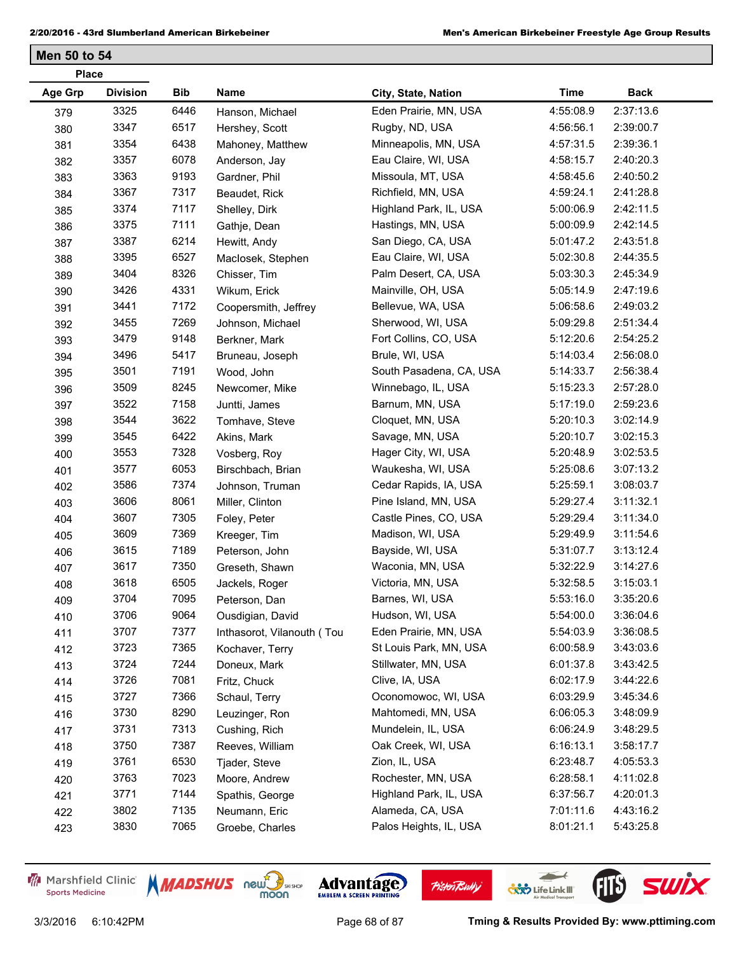| <b>Place</b>   |                 |      |                            |                         |             |             |
|----------------|-----------------|------|----------------------------|-------------------------|-------------|-------------|
| <b>Age Grp</b> | <b>Division</b> | Bib  | Name                       | City, State, Nation     | <b>Time</b> | <b>Back</b> |
| 379            | 3325            | 6446 | Hanson, Michael            | Eden Prairie, MN, USA   | 4:55:08.9   | 2:37:13.6   |
| 380            | 3347            | 6517 | Hershey, Scott             | Rugby, ND, USA          | 4:56:56.1   | 2:39:00.7   |
| 381            | 3354            | 6438 | Mahoney, Matthew           | Minneapolis, MN, USA    | 4:57:31.5   | 2:39:36.1   |
| 382            | 3357            | 6078 | Anderson, Jay              | Eau Claire, WI, USA     | 4:58:15.7   | 2:40:20.3   |
| 383            | 3363            | 9193 | Gardner, Phil              | Missoula, MT, USA       | 4:58:45.6   | 2:40:50.2   |
| 384            | 3367            | 7317 | Beaudet, Rick              | Richfield, MN, USA      | 4:59:24.1   | 2:41:28.8   |
| 385            | 3374            | 7117 | Shelley, Dirk              | Highland Park, IL, USA  | 5:00:06.9   | 2:42:11.5   |
| 386            | 3375            | 7111 | Gathje, Dean               | Hastings, MN, USA       | 5:00:09.9   | 2:42:14.5   |
| 387            | 3387            | 6214 | Hewitt, Andy               | San Diego, CA, USA      | 5:01:47.2   | 2:43:51.8   |
| 388            | 3395            | 6527 | Maclosek, Stephen          | Eau Claire, WI, USA     | 5:02:30.8   | 2:44:35.5   |
| 389            | 3404            | 8326 | Chisser, Tim               | Palm Desert, CA, USA    | 5:03:30.3   | 2:45:34.9   |
| 390            | 3426            | 4331 | Wikum, Erick               | Mainville, OH, USA      | 5:05:14.9   | 2:47:19.6   |
| 391            | 3441            | 7172 | Coopersmith, Jeffrey       | Bellevue, WA, USA       | 5:06:58.6   | 2:49:03.2   |
| 392            | 3455            | 7269 | Johnson, Michael           | Sherwood, WI, USA       | 5:09:29.8   | 2:51:34.4   |
| 393            | 3479            | 9148 | Berkner, Mark              | Fort Collins, CO, USA   | 5:12:20.6   | 2:54:25.2   |
| 394            | 3496            | 5417 | Bruneau, Joseph            | Brule, WI, USA          | 5:14:03.4   | 2:56:08.0   |
| 395            | 3501            | 7191 | Wood, John                 | South Pasadena, CA, USA | 5:14:33.7   | 2:56:38.4   |
| 396            | 3509            | 8245 | Newcomer, Mike             | Winnebago, IL, USA      | 5:15:23.3   | 2:57:28.0   |
| 397            | 3522            | 7158 | Juntti, James              | Barnum, MN, USA         | 5:17:19.0   | 2:59:23.6   |
| 398            | 3544            | 3622 | Tomhave, Steve             | Cloquet, MN, USA        | 5:20:10.3   | 3:02:14.9   |
| 399            | 3545            | 6422 | Akins, Mark                | Savage, MN, USA         | 5:20:10.7   | 3:02:15.3   |
| 400            | 3553            | 7328 | Vosberg, Roy               | Hager City, WI, USA     | 5:20:48.9   | 3:02:53.5   |
| 401            | 3577            | 6053 | Birschbach, Brian          | Waukesha, WI, USA       | 5:25:08.6   | 3:07:13.2   |
| 402            | 3586            | 7374 | Johnson, Truman            | Cedar Rapids, IA, USA   | 5:25:59.1   | 3:08:03.7   |
| 403            | 3606            | 8061 | Miller, Clinton            | Pine Island, MN, USA    | 5:29:27.4   | 3:11:32.1   |
| 404            | 3607            | 7305 | Foley, Peter               | Castle Pines, CO, USA   | 5:29:29.4   | 3:11:34.0   |
| 405            | 3609            | 7369 | Kreeger, Tim               | Madison, WI, USA        | 5:29:49.9   | 3:11:54.6   |
| 406            | 3615            | 7189 | Peterson, John             | Bayside, WI, USA        | 5:31:07.7   | 3:13:12.4   |
| 407            | 3617            | 7350 | Greseth, Shawn             | Waconia, MN, USA        | 5:32:22.9   | 3:14:27.6   |
| 408            | 3618            | 6505 | Jackels, Roger             | Victoria, MN, USA       | 5:32:58.5   | 3:15:03.1   |
| 409            | 3704            | 7095 | Peterson, Dan              | Barnes, WI, USA         | 5:53:16.0   | 3:35:20.6   |
| 410            | 3706            | 9064 | Ousdigian, David           | Hudson, WI, USA         | 5:54:00.0   | 3:36:04.6   |
| 411            | 3707            | 7377 | Inthasorot, Vilanouth (Tou | Eden Prairie, MN, USA   | 5:54:03.9   | 3:36:08.5   |
| 412            | 3723            | 7365 | Kochaver, Terry            | St Louis Park, MN, USA  | 6:00:58.9   | 3:43:03.6   |
| 413            | 3724            | 7244 | Doneux, Mark               | Stillwater, MN, USA     | 6:01:37.8   | 3:43:42.5   |
| 414            | 3726            | 7081 | Fritz, Chuck               | Clive, IA, USA          | 6:02:17.9   | 3:44:22.6   |
| 415            | 3727            | 7366 | Schaul, Terry              | Oconomowoc, WI, USA     | 6:03:29.9   | 3:45:34.6   |
| 416            | 3730            | 8290 | Leuzinger, Ron             | Mahtomedi, MN, USA      | 6:06:05.3   | 3:48:09.9   |
| 417            | 3731            | 7313 | Cushing, Rich              | Mundelein, IL, USA      | 6:06:24.9   | 3:48:29.5   |
| 418            | 3750            | 7387 | Reeves, William            | Oak Creek, WI, USA      | 6:16:13.1   | 3:58:17.7   |
| 419            | 3761            | 6530 | Tjader, Steve              | Zion, IL, USA           | 6:23:48.7   | 4:05:53.3   |
| 420            | 3763            | 7023 | Moore, Andrew              | Rochester, MN, USA      | 6:28:58.1   | 4:11:02.8   |
| 421            | 3771            | 7144 | Spathis, George            | Highland Park, IL, USA  | 6:37:56.7   | 4:20:01.3   |
| 422            | 3802            | 7135 | Neumann, Eric              | Alameda, CA, USA        | 7:01:11.6   | 4:43:16.2   |
| 423            | 3830            | 7065 | Groebe, Charles            | Palos Heights, IL, USA  | 8:01:21.1   | 5:43:25.8   |

Marshfield Clinic **Sports Medicine** 





**Pisten Bully** 

3/3/2016 6:10:42PM Page 68 of 87 **Tming & Results Provided By: www.pttiming.com**

 $\leftarrow$ 

**COND** Life Link III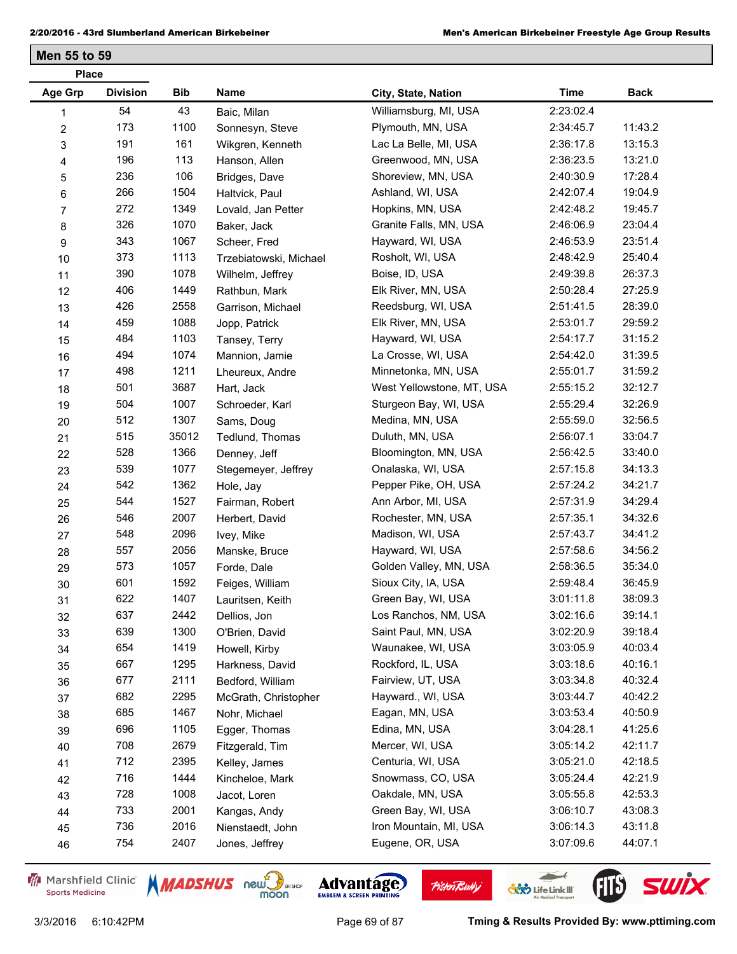| <b>Place</b>            |                 |       |                        |                           |             |             |
|-------------------------|-----------------|-------|------------------------|---------------------------|-------------|-------------|
| Age Grp                 | <b>Division</b> | Bib   | Name                   | City, State, Nation       | <b>Time</b> | <b>Back</b> |
| 1                       | 54              | 43    | Baic, Milan            | Williamsburg, MI, USA     | 2:23:02.4   |             |
| $\overline{\mathbf{c}}$ | 173             | 1100  | Sonnesyn, Steve        | Plymouth, MN, USA         | 2:34:45.7   | 11:43.2     |
| 3                       | 191             | 161   | Wikgren, Kenneth       | Lac La Belle, MI, USA     | 2:36:17.8   | 13:15.3     |
| 4                       | 196             | 113   | Hanson, Allen          | Greenwood, MN, USA        | 2:36:23.5   | 13:21.0     |
| 5                       | 236             | 106   | Bridges, Dave          | Shoreview, MN, USA        | 2:40:30.9   | 17:28.4     |
| 6                       | 266             | 1504  | Haltvick, Paul         | Ashland, WI, USA          | 2:42:07.4   | 19:04.9     |
| 7                       | 272             | 1349  | Lovald, Jan Petter     | Hopkins, MN, USA          | 2:42:48.2   | 19:45.7     |
| 8                       | 326             | 1070  | Baker, Jack            | Granite Falls, MN, USA    | 2:46:06.9   | 23:04.4     |
| 9                       | 343             | 1067  | Scheer, Fred           | Hayward, WI, USA          | 2:46:53.9   | 23:51.4     |
| 10                      | 373             | 1113  | Trzebiatowski, Michael | Rosholt, WI, USA          | 2:48:42.9   | 25:40.4     |
| 11                      | 390             | 1078  | Wilhelm, Jeffrey       | Boise, ID, USA            | 2:49:39.8   | 26:37.3     |
| 12                      | 406             | 1449  | Rathbun, Mark          | Elk River, MN, USA        | 2:50:28.4   | 27:25.9     |
| 13                      | 426             | 2558  | Garrison, Michael      | Reedsburg, WI, USA        | 2:51:41.5   | 28:39.0     |
| 14                      | 459             | 1088  | Jopp, Patrick          | Elk River, MN, USA        | 2:53:01.7   | 29:59.2     |
| 15                      | 484             | 1103  | Tansey, Terry          | Hayward, WI, USA          | 2:54:17.7   | 31:15.2     |
| 16                      | 494             | 1074  | Mannion, Jamie         | La Crosse, WI, USA        | 2:54:42.0   | 31:39.5     |
| 17                      | 498             | 1211  | Lheureux, Andre        | Minnetonka, MN, USA       | 2:55:01.7   | 31:59.2     |
| 18                      | 501             | 3687  | Hart, Jack             | West Yellowstone, MT, USA | 2:55:15.2   | 32:12.7     |
| 19                      | 504             | 1007  | Schroeder, Karl        | Sturgeon Bay, WI, USA     | 2:55:29.4   | 32:26.9     |
| 20                      | 512             | 1307  | Sams, Doug             | Medina, MN, USA           | 2:55:59.0   | 32:56.5     |
| 21                      | 515             | 35012 | Tedlund, Thomas        | Duluth, MN, USA           | 2:56:07.1   | 33:04.7     |
| 22                      | 528             | 1366  | Denney, Jeff           | Bloomington, MN, USA      | 2:56:42.5   | 33:40.0     |
| 23                      | 539             | 1077  | Stegemeyer, Jeffrey    | Onalaska, WI, USA         | 2:57:15.8   | 34:13.3     |
| 24                      | 542             | 1362  | Hole, Jay              | Pepper Pike, OH, USA      | 2:57:24.2   | 34:21.7     |
| 25                      | 544             | 1527  | Fairman, Robert        | Ann Arbor, MI, USA        | 2:57:31.9   | 34:29.4     |
| 26                      | 546             | 2007  | Herbert, David         | Rochester, MN, USA        | 2:57:35.1   | 34:32.6     |
| 27                      | 548             | 2096  | Ivey, Mike             | Madison, WI, USA          | 2:57:43.7   | 34:41.2     |
| 28                      | 557             | 2056  | Manske, Bruce          | Hayward, WI, USA          | 2:57:58.6   | 34:56.2     |
| 29                      | 573             | 1057  | Forde, Dale            | Golden Valley, MN, USA    | 2:58:36.5   | 35:34.0     |
| 30                      | 601             | 1592  | Feiges, William        | Sioux City, IA, USA       | 2:59:48.4   | 36:45.9     |
| 31                      | 622             | 1407  | Lauritsen, Keith       | Green Bay, WI, USA        | 3:01:11.8   | 38:09.3     |
| 32                      | 637             | 2442  | Dellios, Jon           | Los Ranchos, NM, USA      | 3:02:16.6   | 39:14.1     |
| 33                      | 639             | 1300  | O'Brien, David         | Saint Paul, MN, USA       | 3:02:20.9   | 39:18.4     |
| 34                      | 654             | 1419  | Howell, Kirby          | Waunakee, WI, USA         | 3:03:05.9   | 40:03.4     |
| 35                      | 667             | 1295  | Harkness, David        | Rockford, IL, USA         | 3:03:18.6   | 40:16.1     |
| 36                      | 677             | 2111  | Bedford, William       | Fairview, UT, USA         | 3:03:34.8   | 40:32.4     |
| 37                      | 682             | 2295  | McGrath, Christopher   | Hayward., WI, USA         | 3:03:44.7   | 40:42.2     |
| 38                      | 685             | 1467  | Nohr, Michael          | Eagan, MN, USA            | 3:03:53.4   | 40:50.9     |
| 39                      | 696             | 1105  | Egger, Thomas          | Edina, MN, USA            | 3:04:28.1   | 41:25.6     |
| 40                      | 708             | 2679  | Fitzgerald, Tim        | Mercer, WI, USA           | 3:05:14.2   | 42:11.7     |
| 41                      | 712             | 2395  | Kelley, James          | Centuria, WI, USA         | 3:05:21.0   | 42:18.5     |
| 42                      | 716             | 1444  | Kincheloe, Mark        | Snowmass, CO, USA         | 3:05:24.4   | 42:21.9     |
| 43                      | 728             | 1008  | Jacot, Loren           | Oakdale, MN, USA          | 3:05:55.8   | 42:53.3     |
| 44                      | 733             | 2001  | Kangas, Andy           | Green Bay, WI, USA        | 3:06:10.7   | 43:08.3     |
| 45                      | 736             | 2016  | Nienstaedt, John       | Iron Mountain, MI, USA    | 3:06:14.3   | 43:11.8     |
| 46                      | 754             | 2407  | Jones, Jeffrey         | Eugene, OR, USA           | 3:07:09.6   | 44:07.1     |
|                         |                 |       |                        |                           |             |             |

Marshfield Clinic **Sports Medicine** 





**Pisten Bully** 

 $\leftarrow$ 

**COND** Life Link III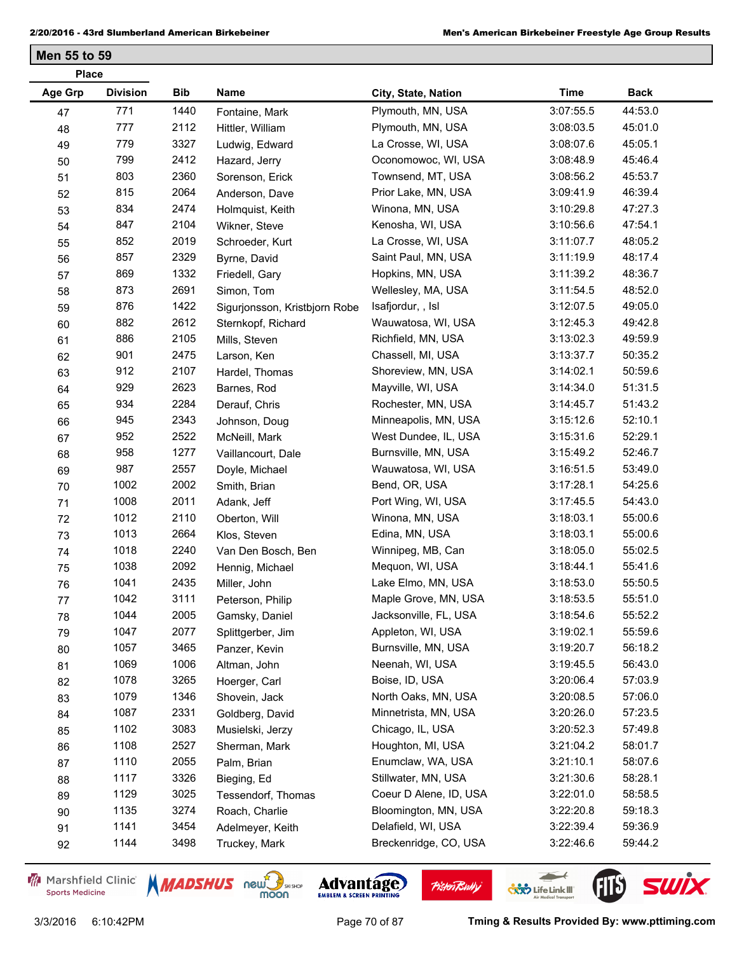| <b>Place</b>   |                 |      |                               |                        |             |             |
|----------------|-----------------|------|-------------------------------|------------------------|-------------|-------------|
| <b>Age Grp</b> | <b>Division</b> | Bib  | Name                          | City, State, Nation    | <b>Time</b> | <b>Back</b> |
| 47             | 771             | 1440 | Fontaine, Mark                | Plymouth, MN, USA      | 3:07:55.5   | 44:53.0     |
| 48             | 777             | 2112 | Hittler, William              | Plymouth, MN, USA      | 3:08:03.5   | 45:01.0     |
| 49             | 779             | 3327 | Ludwig, Edward                | La Crosse, WI, USA     | 3:08:07.6   | 45:05.1     |
| 50             | 799             | 2412 | Hazard, Jerry                 | Oconomowoc, WI, USA    | 3:08:48.9   | 45:46.4     |
| 51             | 803             | 2360 | Sorenson, Erick               | Townsend, MT, USA      | 3:08:56.2   | 45:53.7     |
| 52             | 815             | 2064 | Anderson, Dave                | Prior Lake, MN, USA    | 3:09:41.9   | 46:39.4     |
| 53             | 834             | 2474 | Holmquist, Keith              | Winona, MN, USA        | 3:10:29.8   | 47:27.3     |
| 54             | 847             | 2104 | Wikner, Steve                 | Kenosha, WI, USA       | 3:10:56.6   | 47:54.1     |
| 55             | 852             | 2019 | Schroeder, Kurt               | La Crosse, WI, USA     | 3:11:07.7   | 48:05.2     |
| 56             | 857             | 2329 | Byrne, David                  | Saint Paul, MN, USA    | 3:11:19.9   | 48:17.4     |
| 57             | 869             | 1332 | Friedell, Gary                | Hopkins, MN, USA       | 3:11:39.2   | 48:36.7     |
| 58             | 873             | 2691 | Simon, Tom                    | Wellesley, MA, USA     | 3:11:54.5   | 48:52.0     |
| 59             | 876             | 1422 | Sigurjonsson, Kristbjorn Robe | Isafjordur,, Isl       | 3:12:07.5   | 49:05.0     |
| 60             | 882             | 2612 | Sternkopf, Richard            | Wauwatosa, WI, USA     | 3:12:45.3   | 49:42.8     |
| 61             | 886             | 2105 | Mills, Steven                 | Richfield, MN, USA     | 3:13:02.3   | 49:59.9     |
| 62             | 901             | 2475 | Larson, Ken                   | Chassell, MI, USA      | 3:13:37.7   | 50:35.2     |
| 63             | 912             | 2107 | Hardel, Thomas                | Shoreview, MN, USA     | 3:14:02.1   | 50:59.6     |
| 64             | 929             | 2623 | Barnes, Rod                   | Mayville, WI, USA      | 3:14:34.0   | 51:31.5     |
| 65             | 934             | 2284 | Derauf, Chris                 | Rochester, MN, USA     | 3:14:45.7   | 51:43.2     |
| 66             | 945             | 2343 | Johnson, Doug                 | Minneapolis, MN, USA   | 3:15:12.6   | 52:10.1     |
| 67             | 952             | 2522 | McNeill, Mark                 | West Dundee, IL, USA   | 3:15:31.6   | 52:29.1     |
| 68             | 958             | 1277 | Vaillancourt, Dale            | Burnsville, MN, USA    | 3:15:49.2   | 52:46.7     |
| 69             | 987             | 2557 | Doyle, Michael                | Wauwatosa, WI, USA     | 3:16:51.5   | 53:49.0     |
| 70             | 1002            | 2002 | Smith, Brian                  | Bend, OR, USA          | 3:17:28.1   | 54:25.6     |
| 71             | 1008            | 2011 | Adank, Jeff                   | Port Wing, WI, USA     | 3:17:45.5   | 54:43.0     |
| 72             | 1012            | 2110 | Oberton, Will                 | Winona, MN, USA        | 3:18:03.1   | 55:00.6     |
| 73             | 1013            | 2664 | Klos, Steven                  | Edina, MN, USA         | 3:18:03.1   | 55:00.6     |
| 74             | 1018            | 2240 | Van Den Bosch, Ben            | Winnipeg, MB, Can      | 3:18:05.0   | 55:02.5     |
| 75             | 1038            | 2092 | Hennig, Michael               | Mequon, WI, USA        | 3:18:44.1   | 55:41.6     |
| 76             | 1041            | 2435 | Miller, John                  | Lake Elmo, MN, USA     | 3:18:53.0   | 55:50.5     |
| 77             | 1042            | 3111 | Peterson, Philip              | Maple Grove, MN, USA   | 3:18:53.5   | 55:51.0     |
| 78             | 1044            | 2005 | Gamsky, Daniel                | Jacksonville, FL, USA  | 3:18:54.6   | 55:52.2     |
| 79             | 1047            | 2077 | Splittgerber, Jim             | Appleton, WI, USA      | 3:19:02.1   | 55:59.6     |
| 80             | 1057            | 3465 | Panzer, Kevin                 | Burnsville, MN, USA    | 3:19:20.7   | 56:18.2     |
| 81             | 1069            | 1006 | Altman, John                  | Neenah, WI, USA        | 3:19:45.5   | 56:43.0     |
| 82             | 1078            | 3265 | Hoerger, Carl                 | Boise, ID, USA         | 3:20:06.4   | 57:03.9     |
| 83             | 1079            | 1346 | Shovein, Jack                 | North Oaks, MN, USA    | 3:20:08.5   | 57:06.0     |
| 84             | 1087            | 2331 | Goldberg, David               | Minnetrista, MN, USA   | 3:20:26.0   | 57:23.5     |
| 85             | 1102            | 3083 | Musielski, Jerzy              | Chicago, IL, USA       | 3:20:52.3   | 57:49.8     |
| 86             | 1108            | 2527 | Sherman, Mark                 | Houghton, MI, USA      | 3:21:04.2   | 58:01.7     |
| 87             | 1110            | 2055 | Palm, Brian                   | Enumclaw, WA, USA      | 3:21:10.1   | 58:07.6     |
| 88             | 1117            | 3326 | Bieging, Ed                   | Stillwater, MN, USA    | 3:21:30.6   | 58:28.1     |
| 89             | 1129            | 3025 | Tessendorf, Thomas            | Coeur D Alene, ID, USA | 3:22:01.0   | 58:58.5     |
| 90             | 1135            | 3274 | Roach, Charlie                | Bloomington, MN, USA   | 3:22:20.8   | 59:18.3     |
| 91             | 1141            | 3454 | Adelmeyer, Keith              | Delafield, WI, USA     | 3:22:39.4   | 59:36.9     |
| 92             | 1144            | 3498 | Truckey, Mark                 | Breckenridge, CO, USA  | 3:22:46.6   | 59:44.2     |
|                |                 |      |                               |                        |             |             |

Marshfield Clinic **Sports Medicine** 





**Pisten Bully** 

 $\leftarrow$ 

**COND** Life Link III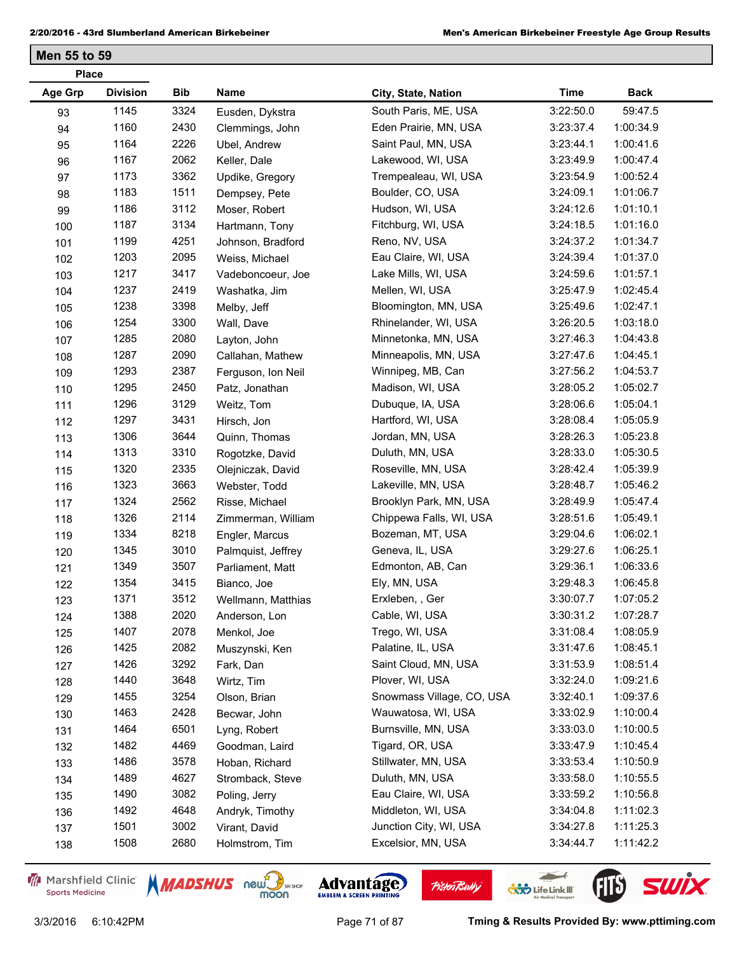| <b>Place</b> |                 |            |                    |                           |             |             |  |
|--------------|-----------------|------------|--------------------|---------------------------|-------------|-------------|--|
| Age Grp      | <b>Division</b> | <b>Bib</b> | Name               | City, State, Nation       | <b>Time</b> | <b>Back</b> |  |
| 93           | 1145            | 3324       | Eusden, Dykstra    | South Paris, ME, USA      | 3:22:50.0   | 59:47.5     |  |
| 94           | 1160            | 2430       | Clemmings, John    | Eden Prairie, MN, USA     | 3:23:37.4   | 1:00:34.9   |  |
| 95           | 1164            | 2226       | Ubel, Andrew       | Saint Paul, MN, USA       | 3:23:44.1   | 1:00:41.6   |  |
| 96           | 1167            | 2062       | Keller, Dale       | Lakewood, WI, USA         | 3:23:49.9   | 1:00:47.4   |  |
| 97           | 1173            | 3362       | Updike, Gregory    | Trempealeau, WI, USA      | 3:23:54.9   | 1:00:52.4   |  |
| 98           | 1183            | 1511       | Dempsey, Pete      | Boulder, CO, USA          | 3:24:09.1   | 1:01:06.7   |  |
| 99           | 1186            | 3112       | Moser, Robert      | Hudson, WI, USA           | 3:24:12.6   | 1:01:10.1   |  |
| 100          | 1187            | 3134       | Hartmann, Tony     | Fitchburg, WI, USA        | 3:24:18.5   | 1:01:16.0   |  |
| 101          | 1199            | 4251       | Johnson, Bradford  | Reno, NV, USA             | 3:24:37.2   | 1:01:34.7   |  |
| 102          | 1203            | 2095       | Weiss, Michael     | Eau Claire, WI, USA       | 3:24:39.4   | 1:01:37.0   |  |
| 103          | 1217            | 3417       | Vadeboncoeur, Joe  | Lake Mills, WI, USA       | 3:24:59.6   | 1:01:57.1   |  |
| 104          | 1237            | 2419       | Washatka, Jim      | Mellen, WI, USA           | 3:25:47.9   | 1:02:45.4   |  |
| 105          | 1238            | 3398       | Melby, Jeff        | Bloomington, MN, USA      | 3:25:49.6   | 1:02:47.1   |  |
| 106          | 1254            | 3300       | Wall, Dave         | Rhinelander, WI, USA      | 3:26:20.5   | 1:03:18.0   |  |
| 107          | 1285            | 2080       | Layton, John       | Minnetonka, MN, USA       | 3:27:46.3   | 1:04:43.8   |  |
| 108          | 1287            | 2090       | Callahan, Mathew   | Minneapolis, MN, USA      | 3:27:47.6   | 1:04:45.1   |  |
| 109          | 1293            | 2387       | Ferguson, Ion Neil | Winnipeg, MB, Can         | 3:27:56.2   | 1:04:53.7   |  |
| 110          | 1295            | 2450       | Patz, Jonathan     | Madison, WI, USA          | 3:28:05.2   | 1:05:02.7   |  |
| 111          | 1296            | 3129       | Weitz, Tom         | Dubuque, IA, USA          | 3:28:06.6   | 1:05:04.1   |  |
| 112          | 1297            | 3431       | Hirsch, Jon        | Hartford, WI, USA         | 3:28:08.4   | 1:05:05.9   |  |
| 113          | 1306            | 3644       | Quinn, Thomas      | Jordan, MN, USA           | 3:28:26.3   | 1:05:23.8   |  |
| 114          | 1313            | 3310       | Rogotzke, David    | Duluth, MN, USA           | 3:28:33.0   | 1:05:30.5   |  |
| 115          | 1320            | 2335       | Olejniczak, David  | Roseville, MN, USA        | 3:28:42.4   | 1:05:39.9   |  |
| 116          | 1323            | 3663       | Webster, Todd      | Lakeville, MN, USA        | 3:28:48.7   | 1:05:46.2   |  |
| 117          | 1324            | 2562       | Risse, Michael     | Brooklyn Park, MN, USA    | 3:28:49.9   | 1:05:47.4   |  |
| 118          | 1326            | 2114       | Zimmerman, William | Chippewa Falls, WI, USA   | 3:28:51.6   | 1:05:49.1   |  |
| 119          | 1334            | 8218       | Engler, Marcus     | Bozeman, MT, USA          | 3:29:04.6   | 1:06:02.1   |  |
| 120          | 1345            | 3010       | Palmquist, Jeffrey | Geneva, IL, USA           | 3:29:27.6   | 1:06:25.1   |  |
| 121          | 1349            | 3507       | Parliament, Matt   | Edmonton, AB, Can         | 3:29:36.1   | 1:06:33.6   |  |
| 122          | 1354            | 3415       | Bianco, Joe        | Ely, MN, USA              | 3:29:48.3   | 1:06:45.8   |  |
| 123          | 1371            | 3512       | Wellmann, Matthias | Erxleben, , Ger           | 3:30:07.7   | 1:07:05.2   |  |
| 124          | 1388            | 2020       | Anderson, Lon      | Cable, WI, USA            | 3:30:31.2   | 1:07:28.7   |  |
| 125          | 1407            | 2078       | Menkol, Joe        | Trego, WI, USA            | 3:31:08.4   | 1:08:05.9   |  |
| 126          | 1425            | 2082       | Muszynski, Ken     | Palatine, IL, USA         | 3:31:47.6   | 1:08:45.1   |  |
| 127          | 1426            | 3292       | Fark, Dan          | Saint Cloud, MN, USA      | 3:31:53.9   | 1:08:51.4   |  |
| 128          | 1440            | 3648       | Wirtz, Tim         | Plover, WI, USA           | 3:32:24.0   | 1:09:21.6   |  |
| 129          | 1455            | 3254       | Olson, Brian       | Snowmass Village, CO, USA | 3:32:40.1   | 1:09:37.6   |  |
| 130          | 1463            | 2428       | Becwar, John       | Wauwatosa, WI, USA        | 3:33:02.9   | 1:10:00.4   |  |
| 131          | 1464            | 6501       | Lyng, Robert       | Burnsville, MN, USA       | 3:33:03.0   | 1:10:00.5   |  |
| 132          | 1482            | 4469       | Goodman, Laird     | Tigard, OR, USA           | 3:33:47.9   | 1:10:45.4   |  |
| 133          | 1486            | 3578       | Hoban, Richard     | Stillwater, MN, USA       | 3:33:53.4   | 1:10:50.9   |  |
| 134          | 1489            | 4627       | Stromback, Steve   | Duluth, MN, USA           | 3:33:58.0   | 1:10:55.5   |  |
| 135          | 1490            | 3082       | Poling, Jerry      | Eau Claire, WI, USA       | 3:33:59.2   | 1:10:56.8   |  |
| 136          | 1492            | 4648       | Andryk, Timothy    | Middleton, WI, USA        | 3:34:04.8   | 1:11:02.3   |  |
| 137          | 1501            | 3002       | Virant, David      | Junction City, WI, USA    | 3:34:27.8   | 1:11:25.3   |  |
| 138          | 1508            | 2680       | Holmstrom, Tim     | Excelsior, MN, USA        | 3:34:44.7   | 1:11:42.2   |  |
|              |                 |            |                    |                           |             |             |  |

Marshfield Clinic **Sports Medicine** 





**Pisten Bully** 

 $\leftarrow$ 

**COND** Life Link III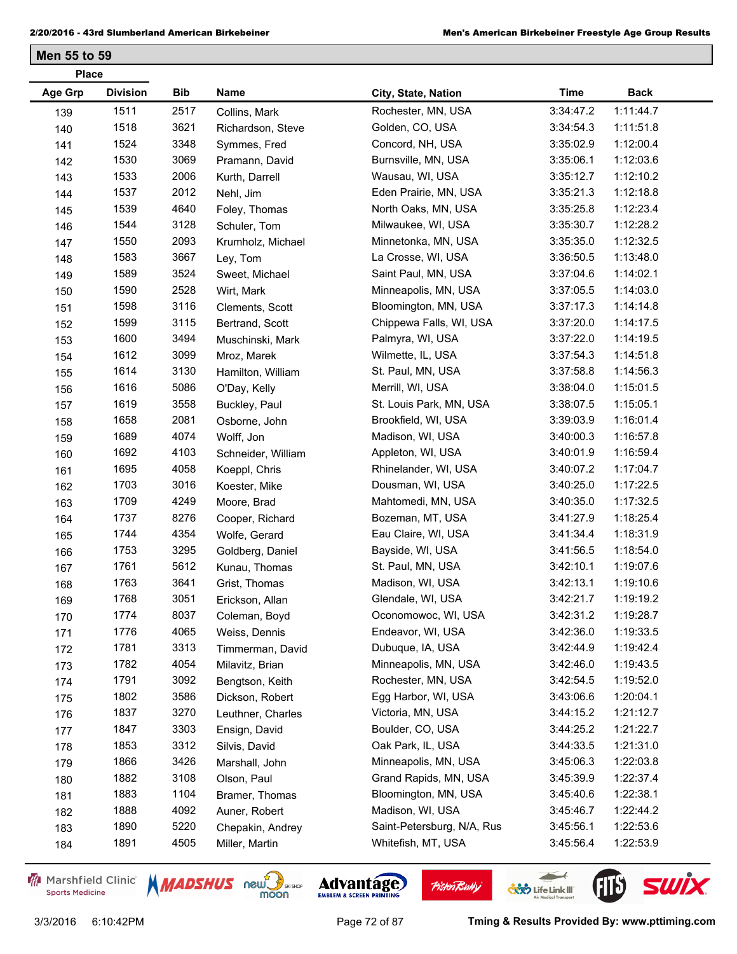| <b>Place</b> |                 |            |                    |                            |             |             |  |
|--------------|-----------------|------------|--------------------|----------------------------|-------------|-------------|--|
| Age Grp      | <b>Division</b> | <b>Bib</b> | Name               | City, State, Nation        | <b>Time</b> | <b>Back</b> |  |
| 139          | 1511            | 2517       | Collins, Mark      | Rochester, MN, USA         | 3:34:47.2   | 1:11:44.7   |  |
| 140          | 1518            | 3621       | Richardson, Steve  | Golden, CO, USA            | 3:34:54.3   | 1:11:51.8   |  |
| 141          | 1524            | 3348       | Symmes, Fred       | Concord, NH, USA           | 3:35:02.9   | 1:12:00.4   |  |
| 142          | 1530            | 3069       | Pramann, David     | Burnsville, MN, USA        | 3:35:06.1   | 1:12:03.6   |  |
| 143          | 1533            | 2006       | Kurth, Darrell     | Wausau, WI, USA            | 3:35:12.7   | 1:12:10.2   |  |
| 144          | 1537            | 2012       | Nehl, Jim          | Eden Prairie, MN, USA      | 3:35:21.3   | 1:12:18.8   |  |
| 145          | 1539            | 4640       | Foley, Thomas      | North Oaks, MN, USA        | 3:35:25.8   | 1:12:23.4   |  |
| 146          | 1544            | 3128       | Schuler, Tom       | Milwaukee, WI, USA         | 3:35:30.7   | 1:12:28.2   |  |
| 147          | 1550            | 2093       | Krumholz, Michael  | Minnetonka, MN, USA        | 3:35:35.0   | 1:12:32.5   |  |
| 148          | 1583            | 3667       | Ley, Tom           | La Crosse, WI, USA         | 3:36:50.5   | 1:13:48.0   |  |
| 149          | 1589            | 3524       | Sweet, Michael     | Saint Paul, MN, USA        | 3:37:04.6   | 1:14:02.1   |  |
| 150          | 1590            | 2528       | Wirt, Mark         | Minneapolis, MN, USA       | 3:37:05.5   | 1:14:03.0   |  |
| 151          | 1598            | 3116       | Clements, Scott    | Bloomington, MN, USA       | 3:37:17.3   | 1:14:14.8   |  |
| 152          | 1599            | 3115       | Bertrand, Scott    | Chippewa Falls, WI, USA    | 3:37:20.0   | 1:14:17.5   |  |
| 153          | 1600            | 3494       | Muschinski, Mark   | Palmyra, WI, USA           | 3:37:22.0   | 1:14:19.5   |  |
| 154          | 1612            | 3099       | Mroz, Marek        | Wilmette, IL, USA          | 3:37:54.3   | 1:14:51.8   |  |
| 155          | 1614            | 3130       | Hamilton, William  | St. Paul, MN, USA          | 3:37:58.8   | 1:14:56.3   |  |
| 156          | 1616            | 5086       | O'Day, Kelly       | Merrill, WI, USA           | 3:38:04.0   | 1:15:01.5   |  |
| 157          | 1619            | 3558       | Buckley, Paul      | St. Louis Park, MN, USA    | 3:38:07.5   | 1:15:05.1   |  |
| 158          | 1658            | 2081       | Osborne, John      | Brookfield, WI, USA        | 3:39:03.9   | 1:16:01.4   |  |
| 159          | 1689            | 4074       | Wolff, Jon         | Madison, WI, USA           | 3:40:00.3   | 1:16:57.8   |  |
| 160          | 1692            | 4103       | Schneider, William | Appleton, WI, USA          | 3:40:01.9   | 1:16:59.4   |  |
| 161          | 1695            | 4058       | Koeppl, Chris      | Rhinelander, WI, USA       | 3:40:07.2   | 1:17:04.7   |  |
| 162          | 1703            | 3016       | Koester, Mike      | Dousman, WI, USA           | 3:40:25.0   | 1:17:22.5   |  |
| 163          | 1709            | 4249       | Moore, Brad        | Mahtomedi, MN, USA         | 3:40:35.0   | 1:17:32.5   |  |
| 164          | 1737            | 8276       | Cooper, Richard    | Bozeman, MT, USA           | 3:41:27.9   | 1:18:25.4   |  |
| 165          | 1744            | 4354       | Wolfe, Gerard      | Eau Claire, WI, USA        | 3:41:34.4   | 1:18:31.9   |  |
| 166          | 1753            | 3295       | Goldberg, Daniel   | Bayside, WI, USA           | 3:41:56.5   | 1:18:54.0   |  |
| 167          | 1761            | 5612       | Kunau, Thomas      | St. Paul, MN, USA          | 3:42:10.1   | 1:19:07.6   |  |
| 168          | 1763            | 3641       | Grist, Thomas      | Madison, WI, USA           | 3:42:13.1   | 1:19:10.6   |  |
| 169          | 1768            | 3051       | Erickson, Allan    | Glendale, WI, USA          | 3:42:21.7   | 1:19:19.2   |  |
| 170          | 1774            | 8037       | Coleman, Boyd      | Oconomowoc, WI, USA        | 3:42:31.2   | 1:19:28.7   |  |
| 171          | 1776            | 4065       | Weiss, Dennis      | Endeavor, WI, USA          | 3:42:36.0   | 1:19:33.5   |  |
| 172          | 1781            | 3313       | Timmerman, David   | Dubuque, IA, USA           | 3:42:44.9   | 1:19:42.4   |  |
| 173          | 1782            | 4054       | Milavitz, Brian    | Minneapolis, MN, USA       | 3:42:46.0   | 1:19:43.5   |  |
| 174          | 1791            | 3092       | Bengtson, Keith    | Rochester, MN, USA         | 3:42:54.5   | 1:19:52.0   |  |
| 175          | 1802            | 3586       | Dickson, Robert    | Egg Harbor, WI, USA        | 3:43:06.6   | 1:20:04.1   |  |
| 176          | 1837            | 3270       | Leuthner, Charles  | Victoria, MN, USA          | 3:44:15.2   | 1:21:12.7   |  |
| 177          | 1847            | 3303       | Ensign, David      | Boulder, CO, USA           | 3:44:25.2   | 1:21:22.7   |  |
| 178          | 1853            | 3312       | Silvis, David      | Oak Park, IL, USA          | 3:44:33.5   | 1:21:31.0   |  |
| 179          | 1866            | 3426       | Marshall, John     | Minneapolis, MN, USA       | 3:45:06.3   | 1:22:03.8   |  |
| 180          | 1882            | 3108       | Olson, Paul        | Grand Rapids, MN, USA      | 3:45:39.9   | 1:22:37.4   |  |
| 181          | 1883            | 1104       | Bramer, Thomas     | Bloomington, MN, USA       | 3:45:40.6   | 1:22:38.1   |  |
| 182          | 1888            | 4092       | Auner, Robert      | Madison, WI, USA           | 3:45:46.7   | 1:22:44.2   |  |
| 183          | 1890            | 5220       | Chepakin, Andrey   | Saint-Petersburg, N/A, Rus | 3:45:56.1   | 1:22:53.6   |  |
| 184          | 1891            | 4505       | Miller, Martin     | Whitefish, MT, USA         | 3:45:56.4   | 1:22:53.9   |  |

Marshfield Clinic **Sports Medicine** 





**Pisten Bully** 

 $\leftarrow$ 

**COND** Life Link III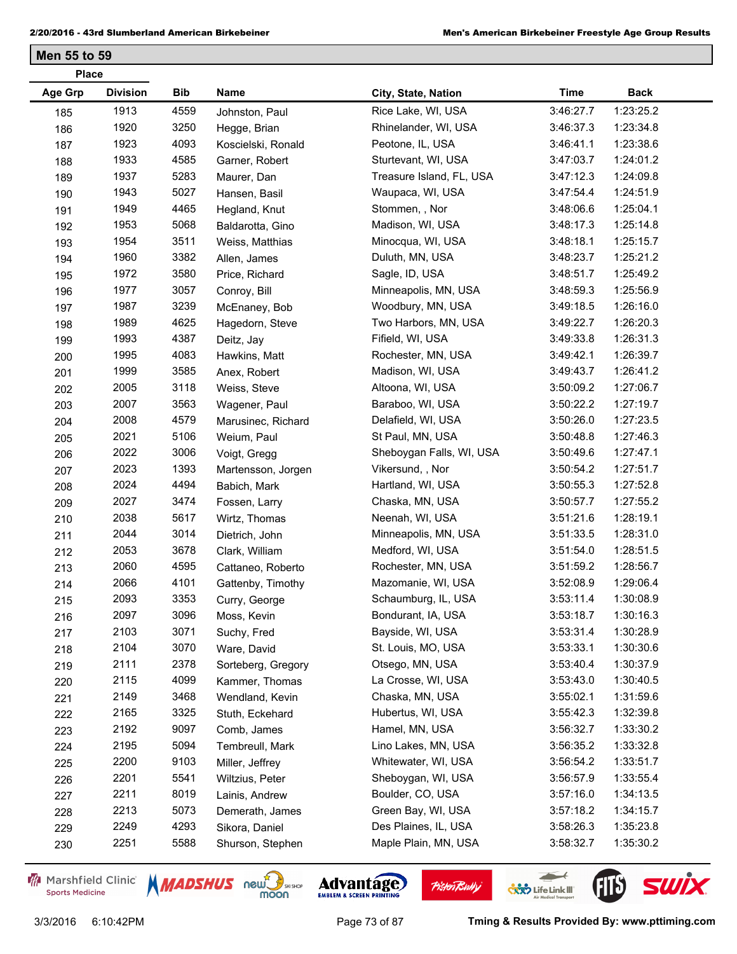|                | <b>Place</b>    |            |                    |                          |             |             |  |  |  |
|----------------|-----------------|------------|--------------------|--------------------------|-------------|-------------|--|--|--|
| <b>Age Grp</b> | <b>Division</b> | <b>Bib</b> | Name               | City, State, Nation      | <b>Time</b> | <b>Back</b> |  |  |  |
| 185            | 1913            | 4559       | Johnston, Paul     | Rice Lake, WI, USA       | 3:46:27.7   | 1:23:25.2   |  |  |  |
| 186            | 1920            | 3250       | Hegge, Brian       | Rhinelander, WI, USA     | 3:46:37.3   | 1:23:34.8   |  |  |  |
| 187            | 1923            | 4093       | Koscielski, Ronald | Peotone, IL, USA         | 3:46:41.1   | 1:23:38.6   |  |  |  |
| 188            | 1933            | 4585       | Garner, Robert     | Sturtevant, WI, USA      | 3:47:03.7   | 1:24:01.2   |  |  |  |
| 189            | 1937            | 5283       | Maurer, Dan        | Treasure Island, FL, USA | 3:47:12.3   | 1:24:09.8   |  |  |  |
| 190            | 1943            | 5027       | Hansen, Basil      | Waupaca, WI, USA         | 3:47:54.4   | 1:24:51.9   |  |  |  |
| 191            | 1949            | 4465       | Hegland, Knut      | Stommen, , Nor           | 3:48:06.6   | 1:25:04.1   |  |  |  |
| 192            | 1953            | 5068       | Baldarotta, Gino   | Madison, WI, USA         | 3:48:17.3   | 1:25:14.8   |  |  |  |
| 193            | 1954            | 3511       | Weiss, Matthias    | Minocqua, WI, USA        | 3:48:18.1   | 1:25:15.7   |  |  |  |
| 194            | 1960            | 3382       | Allen, James       | Duluth, MN, USA          | 3:48:23.7   | 1:25:21.2   |  |  |  |
| 195            | 1972            | 3580       | Price, Richard     | Sagle, ID, USA           | 3:48:51.7   | 1:25:49.2   |  |  |  |
| 196            | 1977            | 3057       | Conroy, Bill       | Minneapolis, MN, USA     | 3:48:59.3   | 1:25:56.9   |  |  |  |
| 197            | 1987            | 3239       | McEnaney, Bob      | Woodbury, MN, USA        | 3:49:18.5   | 1:26:16.0   |  |  |  |
| 198            | 1989            | 4625       | Hagedorn, Steve    | Two Harbors, MN, USA     | 3:49:22.7   | 1:26:20.3   |  |  |  |
| 199            | 1993            | 4387       | Deitz, Jay         | Fifield, WI, USA         | 3:49:33.8   | 1:26:31.3   |  |  |  |
| 200            | 1995            | 4083       | Hawkins, Matt      | Rochester, MN, USA       | 3:49:42.1   | 1:26:39.7   |  |  |  |
| 201            | 1999            | 3585       | Anex, Robert       | Madison, WI, USA         | 3:49:43.7   | 1:26:41.2   |  |  |  |
| 202            | 2005            | 3118       | Weiss, Steve       | Altoona, WI, USA         | 3:50:09.2   | 1:27:06.7   |  |  |  |
| 203            | 2007            | 3563       | Wagener, Paul      | Baraboo, WI, USA         | 3:50:22.2   | 1:27:19.7   |  |  |  |
| 204            | 2008            | 4579       | Marusinec, Richard | Delafield, WI, USA       | 3:50:26.0   | 1:27:23.5   |  |  |  |
| 205            | 2021            | 5106       | Weium, Paul        | St Paul, MN, USA         | 3:50:48.8   | 1:27:46.3   |  |  |  |
| 206            | 2022            | 3006       | Voigt, Gregg       | Sheboygan Falls, WI, USA | 3:50:49.6   | 1:27:47.1   |  |  |  |
| 207            | 2023            | 1393       | Martensson, Jorgen | Vikersund, , Nor         | 3:50:54.2   | 1:27:51.7   |  |  |  |
| 208            | 2024            | 4494       | Babich, Mark       | Hartland, WI, USA        | 3:50:55.3   | 1:27:52.8   |  |  |  |
| 209            | 2027            | 3474       | Fossen, Larry      | Chaska, MN, USA          | 3:50:57.7   | 1:27:55.2   |  |  |  |
| 210            | 2038            | 5617       | Wirtz, Thomas      | Neenah, WI, USA          | 3:51:21.6   | 1:28:19.1   |  |  |  |
| 211            | 2044            | 3014       | Dietrich, John     | Minneapolis, MN, USA     | 3:51:33.5   | 1:28:31.0   |  |  |  |
| 212            | 2053            | 3678       | Clark, William     | Medford, WI, USA         | 3:51:54.0   | 1:28:51.5   |  |  |  |
| 213            | 2060            | 4595       | Cattaneo, Roberto  | Rochester, MN, USA       | 3:51:59.2   | 1:28:56.7   |  |  |  |
| 214            | 2066            | 4101       | Gattenby, Timothy  | Mazomanie, WI, USA       | 3:52:08.9   | 1:29:06.4   |  |  |  |
| 215            | 2093            | 3353       | Curry, George      | Schaumburg, IL, USA      | 3:53:11.4   | 1:30:08.9   |  |  |  |
| 216            | 2097            | 3096       | Moss, Kevin        | Bondurant, IA, USA       | 3:53:18.7   | 1:30:16.3   |  |  |  |
| 217            | 2103            | 3071       | Suchy, Fred        | Bayside, WI, USA         | 3:53:31.4   | 1:30:28.9   |  |  |  |
| 218            | 2104            | 3070       | Ware, David        | St. Louis, MO, USA       | 3:53:33.1   | 1:30:30.6   |  |  |  |
| 219            | 2111            | 2378       | Sorteberg, Gregory | Otsego, MN, USA          | 3:53:40.4   | 1:30:37.9   |  |  |  |
| 220            | 2115            | 4099       | Kammer, Thomas     | La Crosse, WI, USA       | 3:53:43.0   | 1:30:40.5   |  |  |  |
| 221            | 2149            | 3468       | Wendland, Kevin    | Chaska, MN, USA          | 3:55:02.1   | 1:31:59.6   |  |  |  |
| 222            | 2165            | 3325       | Stuth, Eckehard    | Hubertus, WI, USA        | 3:55:42.3   | 1:32:39.8   |  |  |  |
| 223            | 2192            | 9097       | Comb, James        | Hamel, MN, USA           | 3:56:32.7   | 1:33:30.2   |  |  |  |
| 224            | 2195            | 5094       | Tembreull, Mark    | Lino Lakes, MN, USA      | 3:56:35.2   | 1:33:32.8   |  |  |  |
| 225            | 2200            | 9103       | Miller, Jeffrey    | Whitewater, WI, USA      | 3:56:54.2   | 1:33:51.7   |  |  |  |
| 226            | 2201            | 5541       | Wiltzius, Peter    | Sheboygan, WI, USA       | 3:56:57.9   | 1:33:55.4   |  |  |  |
| 227            | 2211            | 8019       | Lainis, Andrew     | Boulder, CO, USA         | 3:57:16.0   | 1:34:13.5   |  |  |  |
| 228            | 2213            | 5073       | Demerath, James    | Green Bay, WI, USA       | 3:57:18.2   | 1:34:15.7   |  |  |  |
| 229            | 2249            | 4293       | Sikora, Daniel     | Des Plaines, IL, USA     | 3:58:26.3   | 1:35:23.8   |  |  |  |
| 230            | 2251            | 5588       | Shurson, Stephen   | Maple Plain, MN, USA     | 3:58:32.7   | 1:35:30.2   |  |  |  |

Marshfield Clinic **Sports Medicine** 





**Pisten Bully** 

 $\leftarrow$ 

**COND** Life Link III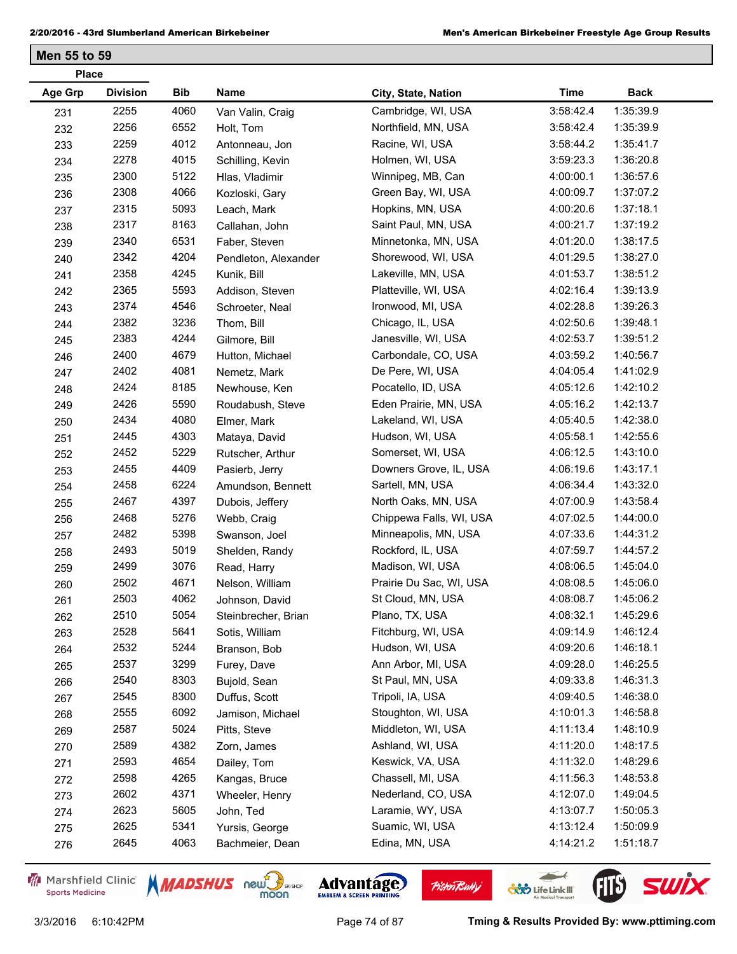|                | <b>Place</b>    |            |                      |                         |             |             |  |  |  |
|----------------|-----------------|------------|----------------------|-------------------------|-------------|-------------|--|--|--|
| <b>Age Grp</b> | <b>Division</b> | <b>Bib</b> | Name                 | City, State, Nation     | <b>Time</b> | <b>Back</b> |  |  |  |
| 231            | 2255            | 4060       | Van Valin, Craig     | Cambridge, WI, USA      | 3:58:42.4   | 1:35:39.9   |  |  |  |
| 232            | 2256            | 6552       | Holt, Tom            | Northfield, MN, USA     | 3:58:42.4   | 1:35:39.9   |  |  |  |
| 233            | 2259            | 4012       | Antonneau, Jon       | Racine, WI, USA         | 3:58:44.2   | 1:35:41.7   |  |  |  |
| 234            | 2278            | 4015       | Schilling, Kevin     | Holmen, WI, USA         | 3:59:23.3   | 1:36:20.8   |  |  |  |
| 235            | 2300            | 5122       | Hlas, Vladimir       | Winnipeg, MB, Can       | 4:00:00.1   | 1:36:57.6   |  |  |  |
| 236            | 2308            | 4066       | Kozloski, Gary       | Green Bay, WI, USA      | 4:00:09.7   | 1:37:07.2   |  |  |  |
| 237            | 2315            | 5093       | Leach, Mark          | Hopkins, MN, USA        | 4:00:20.6   | 1:37:18.1   |  |  |  |
| 238            | 2317            | 8163       | Callahan, John       | Saint Paul, MN, USA     | 4:00:21.7   | 1:37:19.2   |  |  |  |
| 239            | 2340            | 6531       | Faber, Steven        | Minnetonka, MN, USA     | 4:01:20.0   | 1:38:17.5   |  |  |  |
| 240            | 2342            | 4204       | Pendleton, Alexander | Shorewood, WI, USA      | 4:01:29.5   | 1:38:27.0   |  |  |  |
| 241            | 2358            | 4245       | Kunik, Bill          | Lakeville, MN, USA      | 4:01:53.7   | 1:38:51.2   |  |  |  |
| 242            | 2365            | 5593       | Addison, Steven      | Platteville, WI, USA    | 4:02:16.4   | 1:39:13.9   |  |  |  |
| 243            | 2374            | 4546       | Schroeter, Neal      | Ironwood, MI, USA       | 4:02:28.8   | 1:39:26.3   |  |  |  |
| 244            | 2382            | 3236       | Thom, Bill           | Chicago, IL, USA        | 4:02:50.6   | 1:39:48.1   |  |  |  |
| 245            | 2383            | 4244       | Gilmore, Bill        | Janesville, WI, USA     | 4:02:53.7   | 1:39:51.2   |  |  |  |
| 246            | 2400            | 4679       | Hutton, Michael      | Carbondale, CO, USA     | 4:03:59.2   | 1:40:56.7   |  |  |  |
| 247            | 2402            | 4081       | Nemetz, Mark         | De Pere, WI, USA        | 4:04:05.4   | 1:41:02.9   |  |  |  |
| 248            | 2424            | 8185       | Newhouse, Ken        | Pocatello, ID, USA      | 4:05:12.6   | 1:42:10.2   |  |  |  |
| 249            | 2426            | 5590       | Roudabush, Steve     | Eden Prairie, MN, USA   | 4:05:16.2   | 1:42:13.7   |  |  |  |
| 250            | 2434            | 4080       | Elmer, Mark          | Lakeland, WI, USA       | 4:05:40.5   | 1:42:38.0   |  |  |  |
| 251            | 2445            | 4303       | Mataya, David        | Hudson, WI, USA         | 4:05:58.1   | 1:42:55.6   |  |  |  |
| 252            | 2452            | 5229       | Rutscher, Arthur     | Somerset, WI, USA       | 4:06:12.5   | 1:43:10.0   |  |  |  |
| 253            | 2455            | 4409       | Pasierb, Jerry       | Downers Grove, IL, USA  | 4:06:19.6   | 1:43:17.1   |  |  |  |
| 254            | 2458            | 6224       | Amundson, Bennett    | Sartell, MN, USA        | 4:06:34.4   | 1:43:32.0   |  |  |  |
| 255            | 2467            | 4397       | Dubois, Jeffery      | North Oaks, MN, USA     | 4:07:00.9   | 1:43:58.4   |  |  |  |
| 256            | 2468            | 5276       | Webb, Craig          | Chippewa Falls, WI, USA | 4:07:02.5   | 1:44:00.0   |  |  |  |
| 257            | 2482            | 5398       | Swanson, Joel        | Minneapolis, MN, USA    | 4:07:33.6   | 1:44:31.2   |  |  |  |
| 258            | 2493            | 5019       | Shelden, Randy       | Rockford, IL, USA       | 4:07:59.7   | 1:44:57.2   |  |  |  |
| 259            | 2499            | 3076       | Read, Harry          | Madison, WI, USA        | 4:08:06.5   | 1:45:04.0   |  |  |  |
| 260            | 2502            | 4671       | Nelson, William      | Prairie Du Sac, WI, USA | 4:08:08.5   | 1:45:06.0   |  |  |  |
| 261            | 2503            | 4062       | Johnson, David       | St Cloud, MN, USA       | 4:08:08.7   | 1:45:06.2   |  |  |  |
| 262            | 2510            | 5054       | Steinbrecher, Brian  | Plano, TX, USA          | 4:08:32.1   | 1:45:29.6   |  |  |  |
| 263            | 2528            | 5641       | Sotis, William       | Fitchburg, WI, USA      | 4:09:14.9   | 1:46:12.4   |  |  |  |
| 264            | 2532            | 5244       | Branson, Bob         | Hudson, WI, USA         | 4:09:20.6   | 1:46:18.1   |  |  |  |
| 265            | 2537            | 3299       | Furey, Dave          | Ann Arbor, MI, USA      | 4:09:28.0   | 1:46:25.5   |  |  |  |
| 266            | 2540            | 8303       | Bujold, Sean         | St Paul, MN, USA        | 4:09:33.8   | 1:46:31.3   |  |  |  |
| 267            | 2545            | 8300       | Duffus, Scott        | Tripoli, IA, USA        | 4:09:40.5   | 1:46:38.0   |  |  |  |
| 268            | 2555            | 6092       | Jamison, Michael     | Stoughton, WI, USA      | 4:10:01.3   | 1:46:58.8   |  |  |  |
| 269            | 2587            | 5024       | Pitts, Steve         | Middleton, WI, USA      | 4:11:13.4   | 1:48:10.9   |  |  |  |
| 270            | 2589            | 4382       | Zorn, James          | Ashland, WI, USA        | 4:11:20.0   | 1:48:17.5   |  |  |  |
| 271            | 2593            | 4654       | Dailey, Tom          | Keswick, VA, USA        | 4:11:32.0   | 1:48:29.6   |  |  |  |
| 272            | 2598            | 4265       | Kangas, Bruce        | Chassell, MI, USA       | 4:11:56.3   | 1:48:53.8   |  |  |  |
| 273            | 2602            | 4371       | Wheeler, Henry       | Nederland, CO, USA      | 4:12:07.0   | 1:49:04.5   |  |  |  |
| 274            | 2623            | 5605       | John, Ted            | Laramie, WY, USA        | 4:13:07.7   | 1:50:05.3   |  |  |  |
| 275            | 2625            | 5341       | Yursis, George       | Suamic, WI, USA         | 4:13:12.4   | 1:50:09.9   |  |  |  |
| 276            | 2645            | 4063       | Bachmeier, Dean      | Edina, MN, USA          | 4:14:21.2   | 1:51:18.7   |  |  |  |
|                |                 |            |                      |                         |             |             |  |  |  |

Marshfield Clinic **Sports Medicine** 







 $\leftarrow$ 

**COND** Life Link III

**Pisten Bully**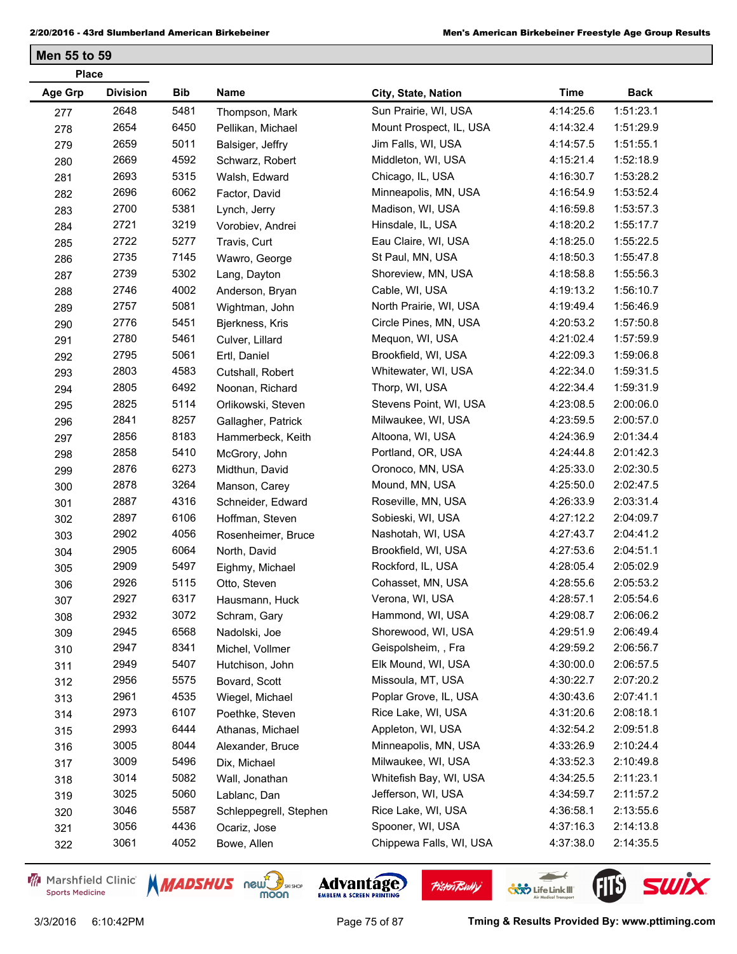| <b>Place</b> |                 |      |                        |                         |             |             |
|--------------|-----------------|------|------------------------|-------------------------|-------------|-------------|
| Age Grp      | <b>Division</b> | Bib  | Name                   | City, State, Nation     | <b>Time</b> | <b>Back</b> |
| 277          | 2648            | 5481 | Thompson, Mark         | Sun Prairie, WI, USA    | 4:14:25.6   | 1:51:23.1   |
| 278          | 2654            | 6450 | Pellikan, Michael      | Mount Prospect, IL, USA | 4:14:32.4   | 1:51:29.9   |
| 279          | 2659            | 5011 | Balsiger, Jeffry       | Jim Falls, WI, USA      | 4:14:57.5   | 1:51:55.1   |
| 280          | 2669            | 4592 | Schwarz, Robert        | Middleton, WI, USA      | 4:15:21.4   | 1:52:18.9   |
| 281          | 2693            | 5315 | Walsh, Edward          | Chicago, IL, USA        | 4:16:30.7   | 1:53:28.2   |
| 282          | 2696            | 6062 | Factor, David          | Minneapolis, MN, USA    | 4:16:54.9   | 1:53:52.4   |
| 283          | 2700            | 5381 | Lynch, Jerry           | Madison, WI, USA        | 4:16:59.8   | 1:53:57.3   |
| 284          | 2721            | 3219 | Vorobiev, Andrei       | Hinsdale, IL, USA       | 4:18:20.2   | 1:55:17.7   |
| 285          | 2722            | 5277 | Travis, Curt           | Eau Claire, WI, USA     | 4:18:25.0   | 1:55:22.5   |
| 286          | 2735            | 7145 | Wawro, George          | St Paul, MN, USA        | 4:18:50.3   | 1:55:47.8   |
| 287          | 2739            | 5302 | Lang, Dayton           | Shoreview, MN, USA      | 4:18:58.8   | 1:55:56.3   |
| 288          | 2746            | 4002 | Anderson, Bryan        | Cable, WI, USA          | 4:19:13.2   | 1:56:10.7   |
| 289          | 2757            | 5081 | Wightman, John         | North Prairie, WI, USA  | 4:19:49.4   | 1:56:46.9   |
| 290          | 2776            | 5451 | Bjerkness, Kris        | Circle Pines, MN, USA   | 4:20:53.2   | 1:57:50.8   |
| 291          | 2780            | 5461 | Culver, Lillard        | Mequon, WI, USA         | 4:21:02.4   | 1:57:59.9   |
| 292          | 2795            | 5061 | Ertl, Daniel           | Brookfield, WI, USA     | 4:22:09.3   | 1:59:06.8   |
| 293          | 2803            | 4583 | Cutshall, Robert       | Whitewater, WI, USA     | 4:22:34.0   | 1:59:31.5   |
| 294          | 2805            | 6492 | Noonan, Richard        | Thorp, WI, USA          | 4:22:34.4   | 1:59:31.9   |
| 295          | 2825            | 5114 | Orlikowski, Steven     | Stevens Point, WI, USA  | 4:23:08.5   | 2:00:06.0   |
| 296          | 2841            | 8257 | Gallagher, Patrick     | Milwaukee, WI, USA      | 4:23:59.5   | 2:00:57.0   |
| 297          | 2856            | 8183 | Hammerbeck, Keith      | Altoona, WI, USA        | 4:24:36.9   | 2:01:34.4   |
| 298          | 2858            | 5410 | McGrory, John          | Portland, OR, USA       | 4:24:44.8   | 2:01:42.3   |
| 299          | 2876            | 6273 | Midthun, David         | Oronoco, MN, USA        | 4:25:33.0   | 2:02:30.5   |
| 300          | 2878            | 3264 | Manson, Carey          | Mound, MN, USA          | 4:25:50.0   | 2:02:47.5   |
| 301          | 2887            | 4316 | Schneider, Edward      | Roseville, MN, USA      | 4:26:33.9   | 2:03:31.4   |
| 302          | 2897            | 6106 | Hoffman, Steven        | Sobieski, WI, USA       | 4:27:12.2   | 2:04:09.7   |
| 303          | 2902            | 4056 | Rosenheimer, Bruce     | Nashotah, WI, USA       | 4:27:43.7   | 2:04:41.2   |
| 304          | 2905            | 6064 | North, David           | Brookfield, WI, USA     | 4:27:53.6   | 2:04:51.1   |
| 305          | 2909            | 5497 | Eighmy, Michael        | Rockford, IL, USA       | 4:28:05.4   | 2:05:02.9   |
| 306          | 2926            | 5115 | Otto, Steven           | Cohasset, MN, USA       | 4:28:55.6   | 2:05:53.2   |
| 307          | 2927            | 6317 | Hausmann, Huck         | Verona, WI, USA         | 4:28:57.1   | 2:05:54.6   |
| 308          | 2932            | 3072 | Schram, Gary           | Hammond, WI, USA        | 4:29:08.7   | 2:06:06.2   |
| 309          | 2945            | 6568 | Nadolski, Joe          | Shorewood, WI, USA      | 4:29:51.9   | 2:06:49.4   |
| 310          | 2947            | 8341 | Michel, Vollmer        | Geispolsheim, , Fra     | 4:29:59.2   | 2:06:56.7   |
| 311          | 2949            | 5407 | Hutchison, John        | Elk Mound, WI, USA      | 4:30:00.0   | 2:06:57.5   |
| 312          | 2956            | 5575 | Bovard, Scott          | Missoula, MT, USA       | 4:30:22.7   | 2:07:20.2   |
| 313          | 2961            | 4535 | Wiegel, Michael        | Poplar Grove, IL, USA   | 4:30:43.6   | 2:07:41.1   |
| 314          | 2973            | 6107 | Poethke, Steven        | Rice Lake, WI, USA      | 4:31:20.6   | 2:08:18.1   |
| 315          | 2993            | 6444 | Athanas, Michael       | Appleton, WI, USA       | 4:32:54.2   | 2:09:51.8   |
| 316          | 3005            | 8044 | Alexander, Bruce       | Minneapolis, MN, USA    | 4:33:26.9   | 2:10:24.4   |
| 317          | 3009            | 5496 | Dix, Michael           | Milwaukee, WI, USA      | 4:33:52.3   | 2:10:49.8   |
| 318          | 3014            | 5082 | Wall, Jonathan         | Whitefish Bay, WI, USA  | 4:34:25.5   | 2:11:23.1   |
| 319          | 3025            | 5060 | Lablanc, Dan           | Jefferson, WI, USA      | 4:34:59.7   | 2:11:57.2   |
| 320          | 3046            | 5587 | Schleppegrell, Stephen | Rice Lake, WI, USA      | 4:36:58.1   | 2:13:55.6   |
| 321          | 3056            | 4436 | Ocariz, Jose           | Spooner, WI, USA        | 4:37:16.3   | 2:14:13.8   |
| 322          | 3061            | 4052 | Bowe, Allen            | Chippewa Falls, WI, USA | 4:37:38.0   | 2:14:35.5   |
|              |                 |      |                        |                         |             |             |

Marshfield Clinic **Sports Medicine** 









3/3/2016 6:10:42PM Page 75 of 87 **Tming & Results Provided By: www.pttiming.com**

 $\leftarrow$ 

**COND** Life Link III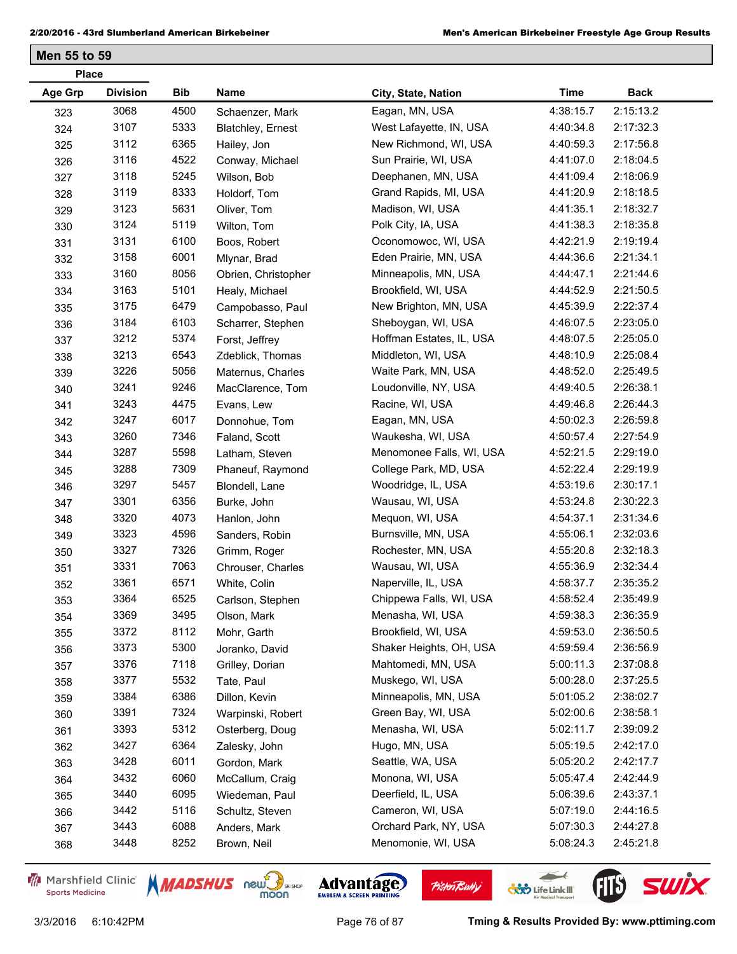| <b>Age Grp</b><br><b>Division</b><br>Bib<br>Name<br><b>Time</b><br><b>Back</b><br>City, State, Nation<br>3068<br>4500<br>Eagan, MN, USA<br>2:15:13.2<br>4:38:15.7<br>Schaenzer, Mark<br>323<br>3107<br>5333<br>2:17:32.3<br>West Lafayette, IN, USA<br>4:40:34.8<br><b>Blatchley, Ernest</b><br>324<br>3112<br>6365<br>2:17:56.8<br>New Richmond, WI, USA<br>4:40:59.3<br>Hailey, Jon<br>325<br>3116<br>4522<br>2:18:04.5<br>Sun Prairie, WI, USA<br>4:41:07.0<br>Conway, Michael<br>326<br>3118<br>5245<br>2:18:06.9<br>Deephanen, MN, USA<br>4:41:09.4<br>Wilson, Bob<br>327<br>3119<br>8333<br>Grand Rapids, MI, USA<br>2:18:18.5<br>4:41:20.9<br>Holdorf, Tom<br>328<br>3123<br>5631<br>Madison, WI, USA<br>2:18:32.7<br>4:41:35.1<br>Oliver, Tom<br>329<br>3124<br>5119<br>2:18:35.8<br>Polk City, IA, USA<br>4:41:38.3<br>Wilton, Tom<br>330<br>3131<br>6100<br>2:19:19.4<br>Oconomowoc, WI, USA<br>4:42:21.9<br>Boos, Robert<br>331<br>3158<br>6001<br>Eden Prairie, MN, USA<br>2:21:34.1<br>4:44:36.6<br>Mlynar, Brad<br>332<br>3160<br>8056<br>2:21:44.6<br>Minneapolis, MN, USA<br>4:44:47.1<br>Obrien, Christopher<br>333<br>3163<br>5101<br>2:21:50.5<br>Brookfield, WI, USA<br>4:44:52.9<br>Healy, Michael<br>334<br>3175<br>6479<br>2:22:37.4<br>New Brighton, MN, USA<br>4:45:39.9<br>Campobasso, Paul<br>335<br>3184<br>6103<br>2:23:05.0<br>Sheboygan, WI, USA<br>4:46:07.5<br>Scharrer, Stephen<br>336<br>5374<br>3212<br>Hoffman Estates, IL, USA<br>4:48:07.5<br>2:25:05.0<br>Forst, Jeffrey<br>337<br>3213<br>6543<br>2:25:08.4<br>Middleton, WI, USA<br>4:48:10.9<br>Zdeblick, Thomas<br>338<br>3226<br>5056<br>2:25:49.5<br>Waite Park, MN, USA<br>4:48:52.0<br>Maternus, Charles<br>339<br>3241<br>9246<br>Loudonville, NY, USA<br>2:26:38.1<br>4:49:40.5<br>MacClarence, Tom<br>340<br>3243<br>4475<br>2:26:44.3<br>Racine, WI, USA<br>4:49:46.8<br>Evans, Lew<br>341<br>3247<br>6017<br>2:26:59.8<br>Eagan, MN, USA<br>4:50:02.3<br>Donnohue, Tom<br>342<br>3260<br>7346<br>2:27:54.9<br>Waukesha, WI, USA<br>Faland, Scott<br>4:50:57.4<br>343<br>3287<br>5598<br>2:29:19.0<br>Menomonee Falls, WI, USA<br>4:52:21.5<br>344<br>Latham, Steven<br>3288<br>7309<br>2:29:19.9<br>College Park, MD, USA<br>4:52:22.4<br>Phaneuf, Raymond<br>345<br>3297<br>5457<br>2:30:17.1<br>Woodridge, IL, USA<br>4:53:19.6<br>Blondell, Lane<br>346<br>3301<br>6356<br>2:30:22.3<br>Wausau, WI, USA<br>4:53:24.8<br>Burke, John<br>347<br>3320<br>4073<br>Mequon, WI, USA<br>2:31:34.6<br>4:54:37.1<br>Hanlon, John<br>348<br>4596<br>2:32:03.6<br>3323<br>Burnsville, MN, USA<br>4:55:06.1<br>Sanders, Robin<br>349<br>3327<br>7326<br>2:32:18.3<br>Rochester, MN, USA<br>4:55:20.8<br>Grimm, Roger<br>350<br>3331<br>7063<br>2:32:34.4<br>Wausau, WI, USA<br>4:55:36.9<br>Chrouser, Charles<br>351<br>3361<br>6571<br>Naperville, IL, USA<br>2:35:35.2<br>4:58:37.7<br>White, Colin<br>352<br>3364<br>6525<br>2:35:49.9<br>Chippewa Falls, WI, USA<br>4:58:52.4<br>Carlson, Stephen<br>353<br>3369<br>3495<br>4:59:38.3<br>2:36:35.9<br>Menasha, WI, USA<br>Olson, Mark<br>354<br>3372<br>8112<br>Brookfield, WI, USA<br>4:59:53.0<br>2:36:50.5<br>Mohr, Garth<br>355<br>5300<br>Shaker Heights, OH, USA<br>3373<br>4:59:59.4<br>2:36:56.9<br>Joranko, David<br>356<br>7118<br>3376<br>Mahtomedi, MN, USA<br>5:00:11.3<br>2:37:08.8<br>Grilley, Dorian<br>357<br>3377<br>5532<br>2:37:25.5<br>Muskego, WI, USA<br>5:00:28.0<br>Tate, Paul<br>358<br>3384<br>6386<br>Minneapolis, MN, USA<br>5:01:05.2<br>2:38:02.7<br>Dillon, Kevin<br>359<br>3391<br>7324<br>Green Bay, WI, USA<br>5:02:00.6<br>2:38:58.1<br>Warpinski, Robert<br>360<br>5312<br>3393<br>Menasha, WI, USA<br>5:02:11.7<br>2:39:09.2<br>Osterberg, Doug<br>361<br>3427<br>6364<br>2:42:17.0<br>Hugo, MN, USA<br>5:05:19.5<br>Zalesky, John<br>362<br>3428<br>6011<br>Seattle, WA, USA<br>5:05:20.2<br>2:42:17.7<br>Gordon, Mark<br>363<br>6060<br>2:42:44.9<br>3432<br>Monona, WI, USA<br>5:05:47.4<br>McCallum, Craig<br>364<br>6095<br>3440<br>Deerfield, IL, USA<br>5:06:39.6<br>2:43:37.1<br>Wiedeman, Paul<br>365<br>3442<br>5116<br>Cameron, WI, USA<br>5:07:19.0<br>2:44:16.5<br>Schultz, Steven<br>366<br>3443<br>6088<br>Orchard Park, NY, USA<br>2:44:27.8<br>5:07:30.3<br>Anders, Mark<br>367<br>3448<br>8252<br>5:08:24.3<br>2:45:21.8<br>Menomonie, WI, USA<br>Brown, Neil | <b>Place</b> |  |  |  |
|-----------------------------------------------------------------------------------------------------------------------------------------------------------------------------------------------------------------------------------------------------------------------------------------------------------------------------------------------------------------------------------------------------------------------------------------------------------------------------------------------------------------------------------------------------------------------------------------------------------------------------------------------------------------------------------------------------------------------------------------------------------------------------------------------------------------------------------------------------------------------------------------------------------------------------------------------------------------------------------------------------------------------------------------------------------------------------------------------------------------------------------------------------------------------------------------------------------------------------------------------------------------------------------------------------------------------------------------------------------------------------------------------------------------------------------------------------------------------------------------------------------------------------------------------------------------------------------------------------------------------------------------------------------------------------------------------------------------------------------------------------------------------------------------------------------------------------------------------------------------------------------------------------------------------------------------------------------------------------------------------------------------------------------------------------------------------------------------------------------------------------------------------------------------------------------------------------------------------------------------------------------------------------------------------------------------------------------------------------------------------------------------------------------------------------------------------------------------------------------------------------------------------------------------------------------------------------------------------------------------------------------------------------------------------------------------------------------------------------------------------------------------------------------------------------------------------------------------------------------------------------------------------------------------------------------------------------------------------------------------------------------------------------------------------------------------------------------------------------------------------------------------------------------------------------------------------------------------------------------------------------------------------------------------------------------------------------------------------------------------------------------------------------------------------------------------------------------------------------------------------------------------------------------------------------------------------------------------------------------------------------------------------------------------------------------------------------------------------------------------------------------------------------------------------------------------------------------------------------------------------------------------------------------------------------------------------------------------------------------------------------------------------------------------------------------------------------------------------------------------------------------------------------------------------------------------------------------------------------------------------------------------------------------------------------------------------------------------------------------------------|--------------|--|--|--|
|                                                                                                                                                                                                                                                                                                                                                                                                                                                                                                                                                                                                                                                                                                                                                                                                                                                                                                                                                                                                                                                                                                                                                                                                                                                                                                                                                                                                                                                                                                                                                                                                                                                                                                                                                                                                                                                                                                                                                                                                                                                                                                                                                                                                                                                                                                                                                                                                                                                                                                                                                                                                                                                                                                                                                                                                                                                                                                                                                                                                                                                                                                                                                                                                                                                                                                                                                                                                                                                                                                                                                                                                                                                                                                                                                                                                                                                                                                                                                                                                                                                                                                                                                                                                                                                                                                                                                                       |              |  |  |  |
|                                                                                                                                                                                                                                                                                                                                                                                                                                                                                                                                                                                                                                                                                                                                                                                                                                                                                                                                                                                                                                                                                                                                                                                                                                                                                                                                                                                                                                                                                                                                                                                                                                                                                                                                                                                                                                                                                                                                                                                                                                                                                                                                                                                                                                                                                                                                                                                                                                                                                                                                                                                                                                                                                                                                                                                                                                                                                                                                                                                                                                                                                                                                                                                                                                                                                                                                                                                                                                                                                                                                                                                                                                                                                                                                                                                                                                                                                                                                                                                                                                                                                                                                                                                                                                                                                                                                                                       |              |  |  |  |
|                                                                                                                                                                                                                                                                                                                                                                                                                                                                                                                                                                                                                                                                                                                                                                                                                                                                                                                                                                                                                                                                                                                                                                                                                                                                                                                                                                                                                                                                                                                                                                                                                                                                                                                                                                                                                                                                                                                                                                                                                                                                                                                                                                                                                                                                                                                                                                                                                                                                                                                                                                                                                                                                                                                                                                                                                                                                                                                                                                                                                                                                                                                                                                                                                                                                                                                                                                                                                                                                                                                                                                                                                                                                                                                                                                                                                                                                                                                                                                                                                                                                                                                                                                                                                                                                                                                                                                       |              |  |  |  |
|                                                                                                                                                                                                                                                                                                                                                                                                                                                                                                                                                                                                                                                                                                                                                                                                                                                                                                                                                                                                                                                                                                                                                                                                                                                                                                                                                                                                                                                                                                                                                                                                                                                                                                                                                                                                                                                                                                                                                                                                                                                                                                                                                                                                                                                                                                                                                                                                                                                                                                                                                                                                                                                                                                                                                                                                                                                                                                                                                                                                                                                                                                                                                                                                                                                                                                                                                                                                                                                                                                                                                                                                                                                                                                                                                                                                                                                                                                                                                                                                                                                                                                                                                                                                                                                                                                                                                                       |              |  |  |  |
|                                                                                                                                                                                                                                                                                                                                                                                                                                                                                                                                                                                                                                                                                                                                                                                                                                                                                                                                                                                                                                                                                                                                                                                                                                                                                                                                                                                                                                                                                                                                                                                                                                                                                                                                                                                                                                                                                                                                                                                                                                                                                                                                                                                                                                                                                                                                                                                                                                                                                                                                                                                                                                                                                                                                                                                                                                                                                                                                                                                                                                                                                                                                                                                                                                                                                                                                                                                                                                                                                                                                                                                                                                                                                                                                                                                                                                                                                                                                                                                                                                                                                                                                                                                                                                                                                                                                                                       |              |  |  |  |
|                                                                                                                                                                                                                                                                                                                                                                                                                                                                                                                                                                                                                                                                                                                                                                                                                                                                                                                                                                                                                                                                                                                                                                                                                                                                                                                                                                                                                                                                                                                                                                                                                                                                                                                                                                                                                                                                                                                                                                                                                                                                                                                                                                                                                                                                                                                                                                                                                                                                                                                                                                                                                                                                                                                                                                                                                                                                                                                                                                                                                                                                                                                                                                                                                                                                                                                                                                                                                                                                                                                                                                                                                                                                                                                                                                                                                                                                                                                                                                                                                                                                                                                                                                                                                                                                                                                                                                       |              |  |  |  |
|                                                                                                                                                                                                                                                                                                                                                                                                                                                                                                                                                                                                                                                                                                                                                                                                                                                                                                                                                                                                                                                                                                                                                                                                                                                                                                                                                                                                                                                                                                                                                                                                                                                                                                                                                                                                                                                                                                                                                                                                                                                                                                                                                                                                                                                                                                                                                                                                                                                                                                                                                                                                                                                                                                                                                                                                                                                                                                                                                                                                                                                                                                                                                                                                                                                                                                                                                                                                                                                                                                                                                                                                                                                                                                                                                                                                                                                                                                                                                                                                                                                                                                                                                                                                                                                                                                                                                                       |              |  |  |  |
|                                                                                                                                                                                                                                                                                                                                                                                                                                                                                                                                                                                                                                                                                                                                                                                                                                                                                                                                                                                                                                                                                                                                                                                                                                                                                                                                                                                                                                                                                                                                                                                                                                                                                                                                                                                                                                                                                                                                                                                                                                                                                                                                                                                                                                                                                                                                                                                                                                                                                                                                                                                                                                                                                                                                                                                                                                                                                                                                                                                                                                                                                                                                                                                                                                                                                                                                                                                                                                                                                                                                                                                                                                                                                                                                                                                                                                                                                                                                                                                                                                                                                                                                                                                                                                                                                                                                                                       |              |  |  |  |
|                                                                                                                                                                                                                                                                                                                                                                                                                                                                                                                                                                                                                                                                                                                                                                                                                                                                                                                                                                                                                                                                                                                                                                                                                                                                                                                                                                                                                                                                                                                                                                                                                                                                                                                                                                                                                                                                                                                                                                                                                                                                                                                                                                                                                                                                                                                                                                                                                                                                                                                                                                                                                                                                                                                                                                                                                                                                                                                                                                                                                                                                                                                                                                                                                                                                                                                                                                                                                                                                                                                                                                                                                                                                                                                                                                                                                                                                                                                                                                                                                                                                                                                                                                                                                                                                                                                                                                       |              |  |  |  |
|                                                                                                                                                                                                                                                                                                                                                                                                                                                                                                                                                                                                                                                                                                                                                                                                                                                                                                                                                                                                                                                                                                                                                                                                                                                                                                                                                                                                                                                                                                                                                                                                                                                                                                                                                                                                                                                                                                                                                                                                                                                                                                                                                                                                                                                                                                                                                                                                                                                                                                                                                                                                                                                                                                                                                                                                                                                                                                                                                                                                                                                                                                                                                                                                                                                                                                                                                                                                                                                                                                                                                                                                                                                                                                                                                                                                                                                                                                                                                                                                                                                                                                                                                                                                                                                                                                                                                                       |              |  |  |  |
|                                                                                                                                                                                                                                                                                                                                                                                                                                                                                                                                                                                                                                                                                                                                                                                                                                                                                                                                                                                                                                                                                                                                                                                                                                                                                                                                                                                                                                                                                                                                                                                                                                                                                                                                                                                                                                                                                                                                                                                                                                                                                                                                                                                                                                                                                                                                                                                                                                                                                                                                                                                                                                                                                                                                                                                                                                                                                                                                                                                                                                                                                                                                                                                                                                                                                                                                                                                                                                                                                                                                                                                                                                                                                                                                                                                                                                                                                                                                                                                                                                                                                                                                                                                                                                                                                                                                                                       |              |  |  |  |
|                                                                                                                                                                                                                                                                                                                                                                                                                                                                                                                                                                                                                                                                                                                                                                                                                                                                                                                                                                                                                                                                                                                                                                                                                                                                                                                                                                                                                                                                                                                                                                                                                                                                                                                                                                                                                                                                                                                                                                                                                                                                                                                                                                                                                                                                                                                                                                                                                                                                                                                                                                                                                                                                                                                                                                                                                                                                                                                                                                                                                                                                                                                                                                                                                                                                                                                                                                                                                                                                                                                                                                                                                                                                                                                                                                                                                                                                                                                                                                                                                                                                                                                                                                                                                                                                                                                                                                       |              |  |  |  |
|                                                                                                                                                                                                                                                                                                                                                                                                                                                                                                                                                                                                                                                                                                                                                                                                                                                                                                                                                                                                                                                                                                                                                                                                                                                                                                                                                                                                                                                                                                                                                                                                                                                                                                                                                                                                                                                                                                                                                                                                                                                                                                                                                                                                                                                                                                                                                                                                                                                                                                                                                                                                                                                                                                                                                                                                                                                                                                                                                                                                                                                                                                                                                                                                                                                                                                                                                                                                                                                                                                                                                                                                                                                                                                                                                                                                                                                                                                                                                                                                                                                                                                                                                                                                                                                                                                                                                                       |              |  |  |  |
|                                                                                                                                                                                                                                                                                                                                                                                                                                                                                                                                                                                                                                                                                                                                                                                                                                                                                                                                                                                                                                                                                                                                                                                                                                                                                                                                                                                                                                                                                                                                                                                                                                                                                                                                                                                                                                                                                                                                                                                                                                                                                                                                                                                                                                                                                                                                                                                                                                                                                                                                                                                                                                                                                                                                                                                                                                                                                                                                                                                                                                                                                                                                                                                                                                                                                                                                                                                                                                                                                                                                                                                                                                                                                                                                                                                                                                                                                                                                                                                                                                                                                                                                                                                                                                                                                                                                                                       |              |  |  |  |
|                                                                                                                                                                                                                                                                                                                                                                                                                                                                                                                                                                                                                                                                                                                                                                                                                                                                                                                                                                                                                                                                                                                                                                                                                                                                                                                                                                                                                                                                                                                                                                                                                                                                                                                                                                                                                                                                                                                                                                                                                                                                                                                                                                                                                                                                                                                                                                                                                                                                                                                                                                                                                                                                                                                                                                                                                                                                                                                                                                                                                                                                                                                                                                                                                                                                                                                                                                                                                                                                                                                                                                                                                                                                                                                                                                                                                                                                                                                                                                                                                                                                                                                                                                                                                                                                                                                                                                       |              |  |  |  |
|                                                                                                                                                                                                                                                                                                                                                                                                                                                                                                                                                                                                                                                                                                                                                                                                                                                                                                                                                                                                                                                                                                                                                                                                                                                                                                                                                                                                                                                                                                                                                                                                                                                                                                                                                                                                                                                                                                                                                                                                                                                                                                                                                                                                                                                                                                                                                                                                                                                                                                                                                                                                                                                                                                                                                                                                                                                                                                                                                                                                                                                                                                                                                                                                                                                                                                                                                                                                                                                                                                                                                                                                                                                                                                                                                                                                                                                                                                                                                                                                                                                                                                                                                                                                                                                                                                                                                                       |              |  |  |  |
|                                                                                                                                                                                                                                                                                                                                                                                                                                                                                                                                                                                                                                                                                                                                                                                                                                                                                                                                                                                                                                                                                                                                                                                                                                                                                                                                                                                                                                                                                                                                                                                                                                                                                                                                                                                                                                                                                                                                                                                                                                                                                                                                                                                                                                                                                                                                                                                                                                                                                                                                                                                                                                                                                                                                                                                                                                                                                                                                                                                                                                                                                                                                                                                                                                                                                                                                                                                                                                                                                                                                                                                                                                                                                                                                                                                                                                                                                                                                                                                                                                                                                                                                                                                                                                                                                                                                                                       |              |  |  |  |
|                                                                                                                                                                                                                                                                                                                                                                                                                                                                                                                                                                                                                                                                                                                                                                                                                                                                                                                                                                                                                                                                                                                                                                                                                                                                                                                                                                                                                                                                                                                                                                                                                                                                                                                                                                                                                                                                                                                                                                                                                                                                                                                                                                                                                                                                                                                                                                                                                                                                                                                                                                                                                                                                                                                                                                                                                                                                                                                                                                                                                                                                                                                                                                                                                                                                                                                                                                                                                                                                                                                                                                                                                                                                                                                                                                                                                                                                                                                                                                                                                                                                                                                                                                                                                                                                                                                                                                       |              |  |  |  |
|                                                                                                                                                                                                                                                                                                                                                                                                                                                                                                                                                                                                                                                                                                                                                                                                                                                                                                                                                                                                                                                                                                                                                                                                                                                                                                                                                                                                                                                                                                                                                                                                                                                                                                                                                                                                                                                                                                                                                                                                                                                                                                                                                                                                                                                                                                                                                                                                                                                                                                                                                                                                                                                                                                                                                                                                                                                                                                                                                                                                                                                                                                                                                                                                                                                                                                                                                                                                                                                                                                                                                                                                                                                                                                                                                                                                                                                                                                                                                                                                                                                                                                                                                                                                                                                                                                                                                                       |              |  |  |  |
|                                                                                                                                                                                                                                                                                                                                                                                                                                                                                                                                                                                                                                                                                                                                                                                                                                                                                                                                                                                                                                                                                                                                                                                                                                                                                                                                                                                                                                                                                                                                                                                                                                                                                                                                                                                                                                                                                                                                                                                                                                                                                                                                                                                                                                                                                                                                                                                                                                                                                                                                                                                                                                                                                                                                                                                                                                                                                                                                                                                                                                                                                                                                                                                                                                                                                                                                                                                                                                                                                                                                                                                                                                                                                                                                                                                                                                                                                                                                                                                                                                                                                                                                                                                                                                                                                                                                                                       |              |  |  |  |
|                                                                                                                                                                                                                                                                                                                                                                                                                                                                                                                                                                                                                                                                                                                                                                                                                                                                                                                                                                                                                                                                                                                                                                                                                                                                                                                                                                                                                                                                                                                                                                                                                                                                                                                                                                                                                                                                                                                                                                                                                                                                                                                                                                                                                                                                                                                                                                                                                                                                                                                                                                                                                                                                                                                                                                                                                                                                                                                                                                                                                                                                                                                                                                                                                                                                                                                                                                                                                                                                                                                                                                                                                                                                                                                                                                                                                                                                                                                                                                                                                                                                                                                                                                                                                                                                                                                                                                       |              |  |  |  |
|                                                                                                                                                                                                                                                                                                                                                                                                                                                                                                                                                                                                                                                                                                                                                                                                                                                                                                                                                                                                                                                                                                                                                                                                                                                                                                                                                                                                                                                                                                                                                                                                                                                                                                                                                                                                                                                                                                                                                                                                                                                                                                                                                                                                                                                                                                                                                                                                                                                                                                                                                                                                                                                                                                                                                                                                                                                                                                                                                                                                                                                                                                                                                                                                                                                                                                                                                                                                                                                                                                                                                                                                                                                                                                                                                                                                                                                                                                                                                                                                                                                                                                                                                                                                                                                                                                                                                                       |              |  |  |  |
|                                                                                                                                                                                                                                                                                                                                                                                                                                                                                                                                                                                                                                                                                                                                                                                                                                                                                                                                                                                                                                                                                                                                                                                                                                                                                                                                                                                                                                                                                                                                                                                                                                                                                                                                                                                                                                                                                                                                                                                                                                                                                                                                                                                                                                                                                                                                                                                                                                                                                                                                                                                                                                                                                                                                                                                                                                                                                                                                                                                                                                                                                                                                                                                                                                                                                                                                                                                                                                                                                                                                                                                                                                                                                                                                                                                                                                                                                                                                                                                                                                                                                                                                                                                                                                                                                                                                                                       |              |  |  |  |
|                                                                                                                                                                                                                                                                                                                                                                                                                                                                                                                                                                                                                                                                                                                                                                                                                                                                                                                                                                                                                                                                                                                                                                                                                                                                                                                                                                                                                                                                                                                                                                                                                                                                                                                                                                                                                                                                                                                                                                                                                                                                                                                                                                                                                                                                                                                                                                                                                                                                                                                                                                                                                                                                                                                                                                                                                                                                                                                                                                                                                                                                                                                                                                                                                                                                                                                                                                                                                                                                                                                                                                                                                                                                                                                                                                                                                                                                                                                                                                                                                                                                                                                                                                                                                                                                                                                                                                       |              |  |  |  |
|                                                                                                                                                                                                                                                                                                                                                                                                                                                                                                                                                                                                                                                                                                                                                                                                                                                                                                                                                                                                                                                                                                                                                                                                                                                                                                                                                                                                                                                                                                                                                                                                                                                                                                                                                                                                                                                                                                                                                                                                                                                                                                                                                                                                                                                                                                                                                                                                                                                                                                                                                                                                                                                                                                                                                                                                                                                                                                                                                                                                                                                                                                                                                                                                                                                                                                                                                                                                                                                                                                                                                                                                                                                                                                                                                                                                                                                                                                                                                                                                                                                                                                                                                                                                                                                                                                                                                                       |              |  |  |  |
|                                                                                                                                                                                                                                                                                                                                                                                                                                                                                                                                                                                                                                                                                                                                                                                                                                                                                                                                                                                                                                                                                                                                                                                                                                                                                                                                                                                                                                                                                                                                                                                                                                                                                                                                                                                                                                                                                                                                                                                                                                                                                                                                                                                                                                                                                                                                                                                                                                                                                                                                                                                                                                                                                                                                                                                                                                                                                                                                                                                                                                                                                                                                                                                                                                                                                                                                                                                                                                                                                                                                                                                                                                                                                                                                                                                                                                                                                                                                                                                                                                                                                                                                                                                                                                                                                                                                                                       |              |  |  |  |
|                                                                                                                                                                                                                                                                                                                                                                                                                                                                                                                                                                                                                                                                                                                                                                                                                                                                                                                                                                                                                                                                                                                                                                                                                                                                                                                                                                                                                                                                                                                                                                                                                                                                                                                                                                                                                                                                                                                                                                                                                                                                                                                                                                                                                                                                                                                                                                                                                                                                                                                                                                                                                                                                                                                                                                                                                                                                                                                                                                                                                                                                                                                                                                                                                                                                                                                                                                                                                                                                                                                                                                                                                                                                                                                                                                                                                                                                                                                                                                                                                                                                                                                                                                                                                                                                                                                                                                       |              |  |  |  |
|                                                                                                                                                                                                                                                                                                                                                                                                                                                                                                                                                                                                                                                                                                                                                                                                                                                                                                                                                                                                                                                                                                                                                                                                                                                                                                                                                                                                                                                                                                                                                                                                                                                                                                                                                                                                                                                                                                                                                                                                                                                                                                                                                                                                                                                                                                                                                                                                                                                                                                                                                                                                                                                                                                                                                                                                                                                                                                                                                                                                                                                                                                                                                                                                                                                                                                                                                                                                                                                                                                                                                                                                                                                                                                                                                                                                                                                                                                                                                                                                                                                                                                                                                                                                                                                                                                                                                                       |              |  |  |  |
|                                                                                                                                                                                                                                                                                                                                                                                                                                                                                                                                                                                                                                                                                                                                                                                                                                                                                                                                                                                                                                                                                                                                                                                                                                                                                                                                                                                                                                                                                                                                                                                                                                                                                                                                                                                                                                                                                                                                                                                                                                                                                                                                                                                                                                                                                                                                                                                                                                                                                                                                                                                                                                                                                                                                                                                                                                                                                                                                                                                                                                                                                                                                                                                                                                                                                                                                                                                                                                                                                                                                                                                                                                                                                                                                                                                                                                                                                                                                                                                                                                                                                                                                                                                                                                                                                                                                                                       |              |  |  |  |
|                                                                                                                                                                                                                                                                                                                                                                                                                                                                                                                                                                                                                                                                                                                                                                                                                                                                                                                                                                                                                                                                                                                                                                                                                                                                                                                                                                                                                                                                                                                                                                                                                                                                                                                                                                                                                                                                                                                                                                                                                                                                                                                                                                                                                                                                                                                                                                                                                                                                                                                                                                                                                                                                                                                                                                                                                                                                                                                                                                                                                                                                                                                                                                                                                                                                                                                                                                                                                                                                                                                                                                                                                                                                                                                                                                                                                                                                                                                                                                                                                                                                                                                                                                                                                                                                                                                                                                       |              |  |  |  |
|                                                                                                                                                                                                                                                                                                                                                                                                                                                                                                                                                                                                                                                                                                                                                                                                                                                                                                                                                                                                                                                                                                                                                                                                                                                                                                                                                                                                                                                                                                                                                                                                                                                                                                                                                                                                                                                                                                                                                                                                                                                                                                                                                                                                                                                                                                                                                                                                                                                                                                                                                                                                                                                                                                                                                                                                                                                                                                                                                                                                                                                                                                                                                                                                                                                                                                                                                                                                                                                                                                                                                                                                                                                                                                                                                                                                                                                                                                                                                                                                                                                                                                                                                                                                                                                                                                                                                                       |              |  |  |  |
|                                                                                                                                                                                                                                                                                                                                                                                                                                                                                                                                                                                                                                                                                                                                                                                                                                                                                                                                                                                                                                                                                                                                                                                                                                                                                                                                                                                                                                                                                                                                                                                                                                                                                                                                                                                                                                                                                                                                                                                                                                                                                                                                                                                                                                                                                                                                                                                                                                                                                                                                                                                                                                                                                                                                                                                                                                                                                                                                                                                                                                                                                                                                                                                                                                                                                                                                                                                                                                                                                                                                                                                                                                                                                                                                                                                                                                                                                                                                                                                                                                                                                                                                                                                                                                                                                                                                                                       |              |  |  |  |
|                                                                                                                                                                                                                                                                                                                                                                                                                                                                                                                                                                                                                                                                                                                                                                                                                                                                                                                                                                                                                                                                                                                                                                                                                                                                                                                                                                                                                                                                                                                                                                                                                                                                                                                                                                                                                                                                                                                                                                                                                                                                                                                                                                                                                                                                                                                                                                                                                                                                                                                                                                                                                                                                                                                                                                                                                                                                                                                                                                                                                                                                                                                                                                                                                                                                                                                                                                                                                                                                                                                                                                                                                                                                                                                                                                                                                                                                                                                                                                                                                                                                                                                                                                                                                                                                                                                                                                       |              |  |  |  |
|                                                                                                                                                                                                                                                                                                                                                                                                                                                                                                                                                                                                                                                                                                                                                                                                                                                                                                                                                                                                                                                                                                                                                                                                                                                                                                                                                                                                                                                                                                                                                                                                                                                                                                                                                                                                                                                                                                                                                                                                                                                                                                                                                                                                                                                                                                                                                                                                                                                                                                                                                                                                                                                                                                                                                                                                                                                                                                                                                                                                                                                                                                                                                                                                                                                                                                                                                                                                                                                                                                                                                                                                                                                                                                                                                                                                                                                                                                                                                                                                                                                                                                                                                                                                                                                                                                                                                                       |              |  |  |  |
|                                                                                                                                                                                                                                                                                                                                                                                                                                                                                                                                                                                                                                                                                                                                                                                                                                                                                                                                                                                                                                                                                                                                                                                                                                                                                                                                                                                                                                                                                                                                                                                                                                                                                                                                                                                                                                                                                                                                                                                                                                                                                                                                                                                                                                                                                                                                                                                                                                                                                                                                                                                                                                                                                                                                                                                                                                                                                                                                                                                                                                                                                                                                                                                                                                                                                                                                                                                                                                                                                                                                                                                                                                                                                                                                                                                                                                                                                                                                                                                                                                                                                                                                                                                                                                                                                                                                                                       |              |  |  |  |
|                                                                                                                                                                                                                                                                                                                                                                                                                                                                                                                                                                                                                                                                                                                                                                                                                                                                                                                                                                                                                                                                                                                                                                                                                                                                                                                                                                                                                                                                                                                                                                                                                                                                                                                                                                                                                                                                                                                                                                                                                                                                                                                                                                                                                                                                                                                                                                                                                                                                                                                                                                                                                                                                                                                                                                                                                                                                                                                                                                                                                                                                                                                                                                                                                                                                                                                                                                                                                                                                                                                                                                                                                                                                                                                                                                                                                                                                                                                                                                                                                                                                                                                                                                                                                                                                                                                                                                       |              |  |  |  |
|                                                                                                                                                                                                                                                                                                                                                                                                                                                                                                                                                                                                                                                                                                                                                                                                                                                                                                                                                                                                                                                                                                                                                                                                                                                                                                                                                                                                                                                                                                                                                                                                                                                                                                                                                                                                                                                                                                                                                                                                                                                                                                                                                                                                                                                                                                                                                                                                                                                                                                                                                                                                                                                                                                                                                                                                                                                                                                                                                                                                                                                                                                                                                                                                                                                                                                                                                                                                                                                                                                                                                                                                                                                                                                                                                                                                                                                                                                                                                                                                                                                                                                                                                                                                                                                                                                                                                                       |              |  |  |  |
|                                                                                                                                                                                                                                                                                                                                                                                                                                                                                                                                                                                                                                                                                                                                                                                                                                                                                                                                                                                                                                                                                                                                                                                                                                                                                                                                                                                                                                                                                                                                                                                                                                                                                                                                                                                                                                                                                                                                                                                                                                                                                                                                                                                                                                                                                                                                                                                                                                                                                                                                                                                                                                                                                                                                                                                                                                                                                                                                                                                                                                                                                                                                                                                                                                                                                                                                                                                                                                                                                                                                                                                                                                                                                                                                                                                                                                                                                                                                                                                                                                                                                                                                                                                                                                                                                                                                                                       |              |  |  |  |
|                                                                                                                                                                                                                                                                                                                                                                                                                                                                                                                                                                                                                                                                                                                                                                                                                                                                                                                                                                                                                                                                                                                                                                                                                                                                                                                                                                                                                                                                                                                                                                                                                                                                                                                                                                                                                                                                                                                                                                                                                                                                                                                                                                                                                                                                                                                                                                                                                                                                                                                                                                                                                                                                                                                                                                                                                                                                                                                                                                                                                                                                                                                                                                                                                                                                                                                                                                                                                                                                                                                                                                                                                                                                                                                                                                                                                                                                                                                                                                                                                                                                                                                                                                                                                                                                                                                                                                       |              |  |  |  |
|                                                                                                                                                                                                                                                                                                                                                                                                                                                                                                                                                                                                                                                                                                                                                                                                                                                                                                                                                                                                                                                                                                                                                                                                                                                                                                                                                                                                                                                                                                                                                                                                                                                                                                                                                                                                                                                                                                                                                                                                                                                                                                                                                                                                                                                                                                                                                                                                                                                                                                                                                                                                                                                                                                                                                                                                                                                                                                                                                                                                                                                                                                                                                                                                                                                                                                                                                                                                                                                                                                                                                                                                                                                                                                                                                                                                                                                                                                                                                                                                                                                                                                                                                                                                                                                                                                                                                                       |              |  |  |  |
|                                                                                                                                                                                                                                                                                                                                                                                                                                                                                                                                                                                                                                                                                                                                                                                                                                                                                                                                                                                                                                                                                                                                                                                                                                                                                                                                                                                                                                                                                                                                                                                                                                                                                                                                                                                                                                                                                                                                                                                                                                                                                                                                                                                                                                                                                                                                                                                                                                                                                                                                                                                                                                                                                                                                                                                                                                                                                                                                                                                                                                                                                                                                                                                                                                                                                                                                                                                                                                                                                                                                                                                                                                                                                                                                                                                                                                                                                                                                                                                                                                                                                                                                                                                                                                                                                                                                                                       |              |  |  |  |
|                                                                                                                                                                                                                                                                                                                                                                                                                                                                                                                                                                                                                                                                                                                                                                                                                                                                                                                                                                                                                                                                                                                                                                                                                                                                                                                                                                                                                                                                                                                                                                                                                                                                                                                                                                                                                                                                                                                                                                                                                                                                                                                                                                                                                                                                                                                                                                                                                                                                                                                                                                                                                                                                                                                                                                                                                                                                                                                                                                                                                                                                                                                                                                                                                                                                                                                                                                                                                                                                                                                                                                                                                                                                                                                                                                                                                                                                                                                                                                                                                                                                                                                                                                                                                                                                                                                                                                       |              |  |  |  |
|                                                                                                                                                                                                                                                                                                                                                                                                                                                                                                                                                                                                                                                                                                                                                                                                                                                                                                                                                                                                                                                                                                                                                                                                                                                                                                                                                                                                                                                                                                                                                                                                                                                                                                                                                                                                                                                                                                                                                                                                                                                                                                                                                                                                                                                                                                                                                                                                                                                                                                                                                                                                                                                                                                                                                                                                                                                                                                                                                                                                                                                                                                                                                                                                                                                                                                                                                                                                                                                                                                                                                                                                                                                                                                                                                                                                                                                                                                                                                                                                                                                                                                                                                                                                                                                                                                                                                                       |              |  |  |  |
|                                                                                                                                                                                                                                                                                                                                                                                                                                                                                                                                                                                                                                                                                                                                                                                                                                                                                                                                                                                                                                                                                                                                                                                                                                                                                                                                                                                                                                                                                                                                                                                                                                                                                                                                                                                                                                                                                                                                                                                                                                                                                                                                                                                                                                                                                                                                                                                                                                                                                                                                                                                                                                                                                                                                                                                                                                                                                                                                                                                                                                                                                                                                                                                                                                                                                                                                                                                                                                                                                                                                                                                                                                                                                                                                                                                                                                                                                                                                                                                                                                                                                                                                                                                                                                                                                                                                                                       |              |  |  |  |
|                                                                                                                                                                                                                                                                                                                                                                                                                                                                                                                                                                                                                                                                                                                                                                                                                                                                                                                                                                                                                                                                                                                                                                                                                                                                                                                                                                                                                                                                                                                                                                                                                                                                                                                                                                                                                                                                                                                                                                                                                                                                                                                                                                                                                                                                                                                                                                                                                                                                                                                                                                                                                                                                                                                                                                                                                                                                                                                                                                                                                                                                                                                                                                                                                                                                                                                                                                                                                                                                                                                                                                                                                                                                                                                                                                                                                                                                                                                                                                                                                                                                                                                                                                                                                                                                                                                                                                       |              |  |  |  |
|                                                                                                                                                                                                                                                                                                                                                                                                                                                                                                                                                                                                                                                                                                                                                                                                                                                                                                                                                                                                                                                                                                                                                                                                                                                                                                                                                                                                                                                                                                                                                                                                                                                                                                                                                                                                                                                                                                                                                                                                                                                                                                                                                                                                                                                                                                                                                                                                                                                                                                                                                                                                                                                                                                                                                                                                                                                                                                                                                                                                                                                                                                                                                                                                                                                                                                                                                                                                                                                                                                                                                                                                                                                                                                                                                                                                                                                                                                                                                                                                                                                                                                                                                                                                                                                                                                                                                                       |              |  |  |  |
|                                                                                                                                                                                                                                                                                                                                                                                                                                                                                                                                                                                                                                                                                                                                                                                                                                                                                                                                                                                                                                                                                                                                                                                                                                                                                                                                                                                                                                                                                                                                                                                                                                                                                                                                                                                                                                                                                                                                                                                                                                                                                                                                                                                                                                                                                                                                                                                                                                                                                                                                                                                                                                                                                                                                                                                                                                                                                                                                                                                                                                                                                                                                                                                                                                                                                                                                                                                                                                                                                                                                                                                                                                                                                                                                                                                                                                                                                                                                                                                                                                                                                                                                                                                                                                                                                                                                                                       | 368          |  |  |  |

Marshfield Clinic **Sports Medicine** 



**Pisten Bully** 

3/3/2016 6:10:42PM Page 76 of 87 **Tming & Results Provided By: www.pttiming.com**

 $\leftarrow$ 

**COND** Life Link III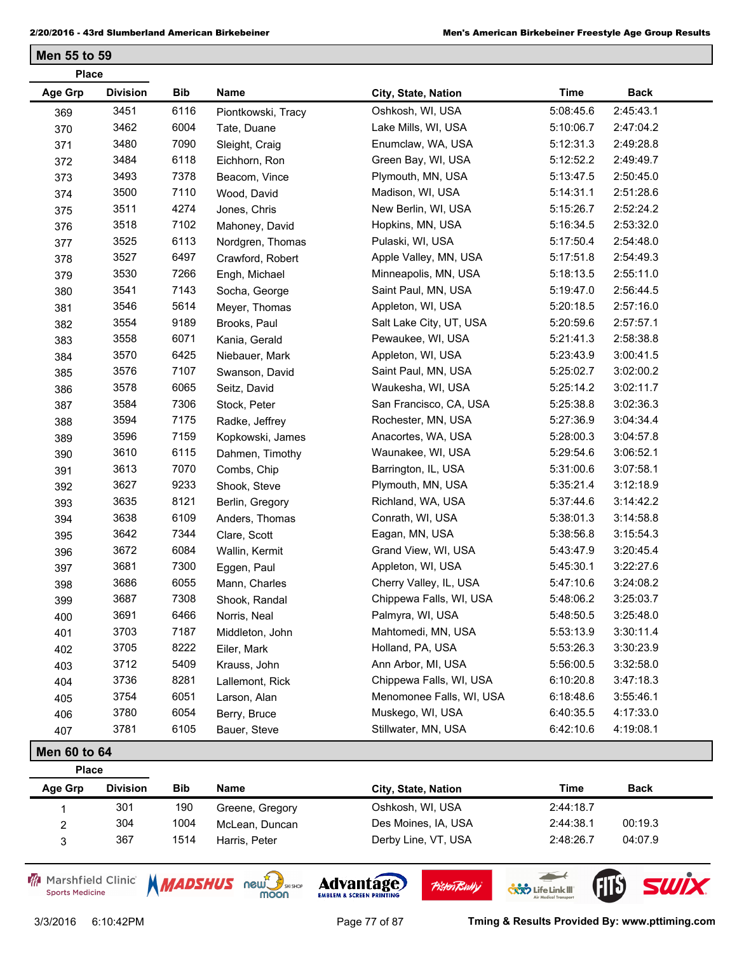| <b>Place</b> |                 |            |                    |                          |             |             |
|--------------|-----------------|------------|--------------------|--------------------------|-------------|-------------|
| Age Grp      | <b>Division</b> | <b>Bib</b> | Name               | City, State, Nation      | <b>Time</b> | <b>Back</b> |
| 369          | 3451            | 6116       | Piontkowski, Tracy | Oshkosh, WI, USA         | 5:08:45.6   | 2:45:43.1   |
| 370          | 3462            | 6004       | Tate, Duane        | Lake Mills, WI, USA      | 5:10:06.7   | 2:47:04.2   |
| 371          | 3480            | 7090       | Sleight, Craig     | Enumclaw, WA, USA        | 5:12:31.3   | 2:49:28.8   |
| 372          | 3484            | 6118       | Eichhorn, Ron      | Green Bay, WI, USA       | 5:12:52.2   | 2:49:49.7   |
| 373          | 3493            | 7378       | Beacom, Vince      | Plymouth, MN, USA        | 5:13:47.5   | 2:50:45.0   |
| 374          | 3500            | 7110       | Wood, David        | Madison, WI, USA         | 5:14:31.1   | 2:51:28.6   |
| 375          | 3511            | 4274       | Jones, Chris       | New Berlin, WI, USA      | 5:15:26.7   | 2:52:24.2   |
| 376          | 3518            | 7102       | Mahoney, David     | Hopkins, MN, USA         | 5:16:34.5   | 2:53:32.0   |
| 377          | 3525            | 6113       | Nordgren, Thomas   | Pulaski, WI, USA         | 5:17:50.4   | 2:54:48.0   |
| 378          | 3527            | 6497       | Crawford, Robert   | Apple Valley, MN, USA    | 5:17:51.8   | 2:54:49.3   |
| 379          | 3530            | 7266       | Engh, Michael      | Minneapolis, MN, USA     | 5:18:13.5   | 2:55:11.0   |
| 380          | 3541            | 7143       | Socha, George      | Saint Paul, MN, USA      | 5:19:47.0   | 2:56:44.5   |
| 381          | 3546            | 5614       | Meyer, Thomas      | Appleton, WI, USA        | 5:20:18.5   | 2:57:16.0   |
| 382          | 3554            | 9189       | Brooks, Paul       | Salt Lake City, UT, USA  | 5:20:59.6   | 2:57:57.1   |
| 383          | 3558            | 6071       | Kania, Gerald      | Pewaukee, WI, USA        | 5:21:41.3   | 2:58:38.8   |
| 384          | 3570            | 6425       | Niebauer, Mark     | Appleton, WI, USA        | 5:23:43.9   | 3:00:41.5   |
| 385          | 3576            | 7107       | Swanson, David     | Saint Paul, MN, USA      | 5:25:02.7   | 3:02:00.2   |
| 386          | 3578            | 6065       | Seitz, David       | Waukesha, WI, USA        | 5:25:14.2   | 3:02:11.7   |
| 387          | 3584            | 7306       | Stock, Peter       | San Francisco, CA, USA   | 5:25:38.8   | 3:02:36.3   |
| 388          | 3594            | 7175       | Radke, Jeffrey     | Rochester, MN, USA       | 5:27:36.9   | 3:04:34.4   |
| 389          | 3596            | 7159       | Kopkowski, James   | Anacortes, WA, USA       | 5:28:00.3   | 3:04:57.8   |
| 390          | 3610            | 6115       | Dahmen, Timothy    | Waunakee, WI, USA        | 5:29:54.6   | 3:06:52.1   |
| 391          | 3613            | 7070       | Combs, Chip        | Barrington, IL, USA      | 5:31:00.6   | 3:07:58.1   |
| 392          | 3627            | 9233       | Shook, Steve       | Plymouth, MN, USA        | 5:35:21.4   | 3:12:18.9   |
| 393          | 3635            | 8121       | Berlin, Gregory    | Richland, WA, USA        | 5:37:44.6   | 3:14:42.2   |
| 394          | 3638            | 6109       | Anders, Thomas     | Conrath, WI, USA         | 5:38:01.3   | 3:14:58.8   |
| 395          | 3642            | 7344       | Clare, Scott       | Eagan, MN, USA           | 5:38:56.8   | 3:15:54.3   |
| 396          | 3672            | 6084       | Wallin, Kermit     | Grand View, WI, USA      | 5:43:47.9   | 3:20:45.4   |
| 397          | 3681            | 7300       | Eggen, Paul        | Appleton, WI, USA        | 5:45:30.1   | 3:22:27.6   |
| 398          | 3686            | 6055       | Mann, Charles      | Cherry Valley, IL, USA   | 5:47:10.6   | 3:24:08.2   |
| 399          | 3687            | 7308       | Shook, Randal      | Chippewa Falls, WI, USA  | 5:48:06.2   | 3:25:03.7   |
| 400          | 3691            | 6466       | Norris, Neal       | Palmyra, WI, USA         | 5:48:50.5   | 3:25:48.0   |
| 401          | 3703            | 7187       | Middleton, John    | Mahtomedi, MN, USA       | 5:53:13.9   | 3:30:11.4   |
| 402          | 3705            | 8222       | Eiler, Mark        | Holland, PA, USA         | 5:53:26.3   | 3:30:23.9   |
| 403          | 3712            | 5409       | Krauss, John       | Ann Arbor, MI, USA       | 5:56:00.5   | 3:32:58.0   |
| 404          | 3736            | 8281       | Lallemont, Rick    | Chippewa Falls, WI, USA  | 6:10:20.8   | 3:47:18.3   |
| 405          | 3754            | 6051       | Larson, Alan       | Menomonee Falls, WI, USA | 6:18:48.6   | 3:55:46.1   |
| 406          | 3780            | 6054       | Berry, Bruce       | Muskego, WI, USA         | 6:40:35.5   | 4:17:33.0   |
| 407          | 3781            | 6105       | Bauer, Steve       | Stillwater, MN, USA      | 6:42:10.6   | 4:19:08.1   |

## **Men 60 to 64**

| <b>Place</b> |                 |            |                 |                     |           |             |
|--------------|-----------------|------------|-----------------|---------------------|-----------|-------------|
| Age Grp      | <b>Division</b> | <b>Bib</b> | Name            | City, State, Nation | Time      | <b>Back</b> |
|              | 301             | 190        | Greene, Gregory | Oshkosh, WI, USA    | 2:44:18.7 |             |
| 2            | 304             | 1004       | McLean, Duncan  | Des Moines, IA, USA | 2:44:38.1 | 00:19.3     |
|              | 367             | 1514       | Harris, Peter   | Derby Line, VT, USA | 2:48:26.7 | 04:07.9     |

Marshfield Clinic **Sports Medicine** 





**Pisten Bully** 

3/3/2016 6:10:42PM Page 77 of 87 **Tming & Results Provided By: www.pttiming.com**

 $\overline{\phantom{a}}$ 

**COND** Life Link III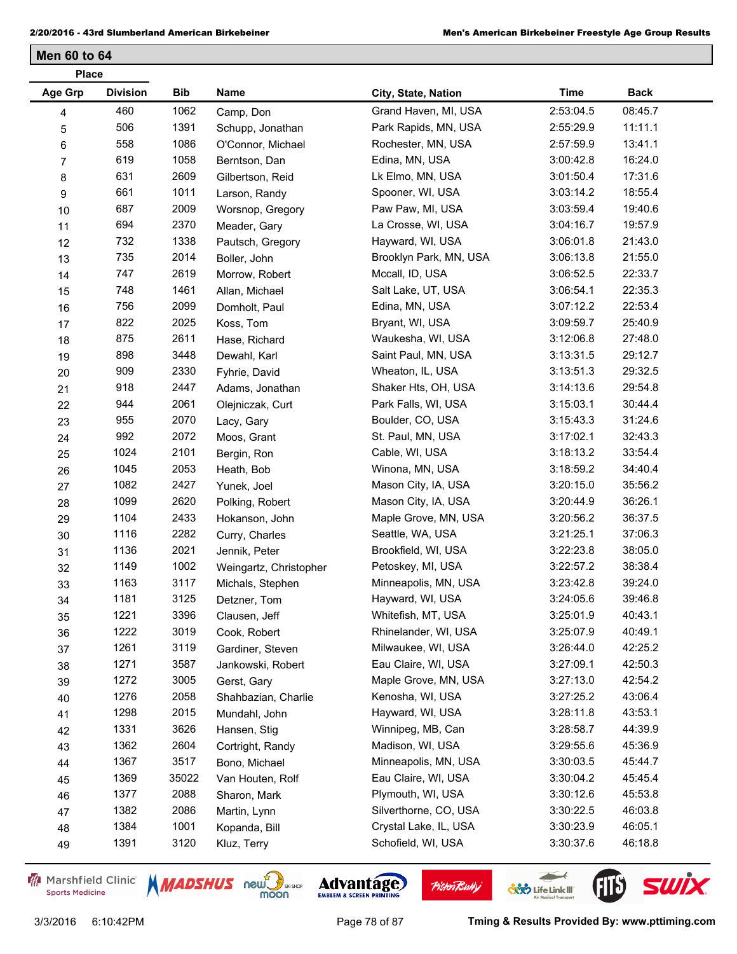| <b>Place</b>   |                 |            |                        |                        |             |             |
|----------------|-----------------|------------|------------------------|------------------------|-------------|-------------|
| Age Grp        | <b>Division</b> | <b>Bib</b> | Name                   | City, State, Nation    | <b>Time</b> | <b>Back</b> |
| 4              | 460             | 1062       | Camp, Don              | Grand Haven, MI, USA   | 2:53:04.5   | 08:45.7     |
| $\mathbf 5$    | 506             | 1391       | Schupp, Jonathan       | Park Rapids, MN, USA   | 2:55:29.9   | 11:11.1     |
| 6              | 558             | 1086       | O'Connor, Michael      | Rochester, MN, USA     | 2:57:59.9   | 13:41.1     |
| $\overline{7}$ | 619             | 1058       | Berntson, Dan          | Edina, MN, USA         | 3:00:42.8   | 16:24.0     |
| 8              | 631             | 2609       | Gilbertson, Reid       | Lk Elmo, MN, USA       | 3:01:50.4   | 17:31.6     |
| 9              | 661             | 1011       | Larson, Randy          | Spooner, WI, USA       | 3:03:14.2   | 18:55.4     |
| $10$           | 687             | 2009       | Worsnop, Gregory       | Paw Paw, MI, USA       | 3:03:59.4   | 19:40.6     |
| 11             | 694             | 2370       | Meader, Gary           | La Crosse, WI, USA     | 3:04:16.7   | 19:57.9     |
| 12             | 732             | 1338       | Pautsch, Gregory       | Hayward, WI, USA       | 3:06:01.8   | 21:43.0     |
| 13             | 735             | 2014       | Boller, John           | Brooklyn Park, MN, USA | 3:06:13.8   | 21:55.0     |
| $14$           | 747             | 2619       | Morrow, Robert         | Mccall, ID, USA        | 3:06:52.5   | 22:33.7     |
| 15             | 748             | 1461       | Allan, Michael         | Salt Lake, UT, USA     | 3:06:54.1   | 22:35.3     |
| 16             | 756             | 2099       | Domholt, Paul          | Edina, MN, USA         | 3:07:12.2   | 22:53.4     |
| 17             | 822             | 2025       | Koss, Tom              | Bryant, WI, USA        | 3:09:59.7   | 25:40.9     |
| 18             | 875             | 2611       | Hase, Richard          | Waukesha, WI, USA      | 3:12:06.8   | 27:48.0     |
| 19             | 898             | 3448       | Dewahl, Karl           | Saint Paul, MN, USA    | 3:13:31.5   | 29:12.7     |
| 20             | 909             | 2330       | Fyhrie, David          | Wheaton, IL, USA       | 3:13:51.3   | 29:32.5     |
| 21             | 918             | 2447       | Adams, Jonathan        | Shaker Hts, OH, USA    | 3:14:13.6   | 29:54.8     |
| 22             | 944             | 2061       | Olejniczak, Curt       | Park Falls, WI, USA    | 3:15:03.1   | 30:44.4     |
| 23             | 955             | 2070       | Lacy, Gary             | Boulder, CO, USA       | 3:15:43.3   | 31:24.6     |
| 24             | 992             | 2072       | Moos, Grant            | St. Paul, MN, USA      | 3:17:02.1   | 32:43.3     |
| 25             | 1024            | 2101       | Bergin, Ron            | Cable, WI, USA         | 3:18:13.2   | 33:54.4     |
| 26             | 1045            | 2053       | Heath, Bob             | Winona, MN, USA        | 3:18:59.2   | 34:40.4     |
| 27             | 1082            | 2427       | Yunek, Joel            | Mason City, IA, USA    | 3:20:15.0   | 35:56.2     |
| 28             | 1099            | 2620       | Polking, Robert        | Mason City, IA, USA    | 3:20:44.9   | 36:26.1     |
| 29             | 1104            | 2433       | Hokanson, John         | Maple Grove, MN, USA   | 3:20:56.2   | 36:37.5     |
| 30             | 1116            | 2282       | Curry, Charles         | Seattle, WA, USA       | 3:21:25.1   | 37:06.3     |
| 31             | 1136            | 2021       | Jennik, Peter          | Brookfield, WI, USA    | 3:22:23.8   | 38:05.0     |
| 32             | 1149            | 1002       | Weingartz, Christopher | Petoskey, MI, USA      | 3:22:57.2   | 38:38.4     |
| 33             | 1163            | 3117       | Michals, Stephen       | Minneapolis, MN, USA   | 3:23:42.8   | 39:24.0     |
| 34             | 1181            | 3125       | Detzner, Tom           | Hayward, WI, USA       | 3:24:05.6   | 39:46.8     |
| 35             | 1221            | 3396       | Clausen, Jeff          | Whitefish, MT, USA     | 3:25:01.9   | 40:43.1     |
| 36             | 1222            | 3019       | Cook, Robert           | Rhinelander, WI, USA   | 3:25:07.9   | 40:49.1     |
| 37             | 1261            | 3119       | Gardiner, Steven       | Milwaukee, WI, USA     | 3:26:44.0   | 42:25.2     |
| 38             | 1271            | 3587       | Jankowski, Robert      | Eau Claire, WI, USA    | 3:27:09.1   | 42:50.3     |
| 39             | 1272            | 3005       | Gerst, Gary            | Maple Grove, MN, USA   | 3:27:13.0   | 42:54.2     |
| 40             | 1276            | 2058       | Shahbazian, Charlie    | Kenosha, WI, USA       | 3:27:25.2   | 43:06.4     |
| 41             | 1298            | 2015       | Mundahl, John          | Hayward, WI, USA       | 3:28:11.8   | 43:53.1     |
| 42             | 1331            | 3626       | Hansen, Stig           | Winnipeg, MB, Can      | 3:28:58.7   | 44:39.9     |
| 43             | 1362            | 2604       | Cortright, Randy       | Madison, WI, USA       | 3:29:55.6   | 45:36.9     |
| 44             | 1367            | 3517       | Bono, Michael          | Minneapolis, MN, USA   | 3:30:03.5   | 45:44.7     |
| 45             | 1369            | 35022      | Van Houten, Rolf       | Eau Claire, WI, USA    | 3:30:04.2   | 45:45.4     |
| 46             | 1377            | 2088       | Sharon, Mark           | Plymouth, WI, USA      | 3:30:12.6   | 45:53.8     |
| 47             | 1382            | 2086       | Martin, Lynn           | Silverthorne, CO, USA  | 3:30:22.5   | 46:03.8     |
| 48             | 1384            | 1001       | Kopanda, Bill          | Crystal Lake, IL, USA  | 3:30:23.9   | 46:05.1     |
| 49             | 1391            | 3120       | Kluz, Terry            | Schofield, WI, USA     | 3:30:37.6   | 46:18.8     |

Marshfield Clinic **Sports Medicine** 





**Pisten Bully** 

 $\leftarrow$ 

**COND** Life Link III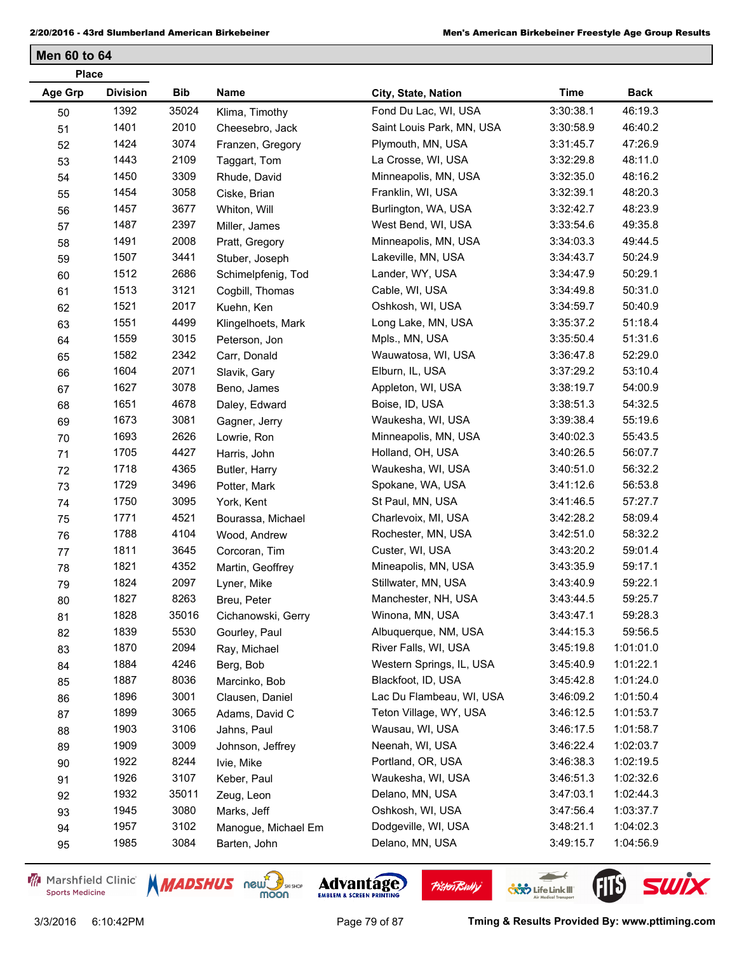| <b>Place</b>   |                 |       |                     |                           |             |             |
|----------------|-----------------|-------|---------------------|---------------------------|-------------|-------------|
| <b>Age Grp</b> | <b>Division</b> | Bib   | Name                | City, State, Nation       | <b>Time</b> | <b>Back</b> |
| 50             | 1392            | 35024 | Klima, Timothy      | Fond Du Lac, WI, USA      | 3:30:38.1   | 46:19.3     |
| 51             | 1401            | 2010  | Cheesebro, Jack     | Saint Louis Park, MN, USA | 3:30:58.9   | 46:40.2     |
| 52             | 1424            | 3074  | Franzen, Gregory    | Plymouth, MN, USA         | 3:31:45.7   | 47:26.9     |
| 53             | 1443            | 2109  | Taggart, Tom        | La Crosse, WI, USA        | 3:32:29.8   | 48:11.0     |
| 54             | 1450            | 3309  | Rhude, David        | Minneapolis, MN, USA      | 3:32:35.0   | 48:16.2     |
| 55             | 1454            | 3058  | Ciske, Brian        | Franklin, WI, USA         | 3:32:39.1   | 48:20.3     |
| 56             | 1457            | 3677  | Whiton, Will        | Burlington, WA, USA       | 3:32:42.7   | 48:23.9     |
| 57             | 1487            | 2397  | Miller, James       | West Bend, WI, USA        | 3:33:54.6   | 49:35.8     |
| 58             | 1491            | 2008  | Pratt, Gregory      | Minneapolis, MN, USA      | 3:34:03.3   | 49:44.5     |
| 59             | 1507            | 3441  | Stuber, Joseph      | Lakeville, MN, USA        | 3:34:43.7   | 50:24.9     |
| 60             | 1512            | 2686  | Schimelpfenig, Tod  | Lander, WY, USA           | 3:34:47.9   | 50:29.1     |
| 61             | 1513            | 3121  | Cogbill, Thomas     | Cable, WI, USA            | 3:34:49.8   | 50:31.0     |
| 62             | 1521            | 2017  | Kuehn, Ken          | Oshkosh, WI, USA          | 3:34:59.7   | 50:40.9     |
| 63             | 1551            | 4499  | Klingelhoets, Mark  | Long Lake, MN, USA        | 3:35:37.2   | 51:18.4     |
| 64             | 1559            | 3015  | Peterson, Jon       | Mpls., MN, USA            | 3:35:50.4   | 51:31.6     |
| 65             | 1582            | 2342  | Carr, Donald        | Wauwatosa, WI, USA        | 3:36:47.8   | 52:29.0     |
| 66             | 1604            | 2071  | Slavik, Gary        | Elburn, IL, USA           | 3:37:29.2   | 53:10.4     |
| 67             | 1627            | 3078  | Beno, James         | Appleton, WI, USA         | 3:38:19.7   | 54:00.9     |
| 68             | 1651            | 4678  | Daley, Edward       | Boise, ID, USA            | 3:38:51.3   | 54:32.5     |
| 69             | 1673            | 3081  | Gagner, Jerry       | Waukesha, WI, USA         | 3:39:38.4   | 55:19.6     |
| $70\,$         | 1693            | 2626  | Lowrie, Ron         | Minneapolis, MN, USA      | 3:40:02.3   | 55:43.5     |
| 71             | 1705            | 4427  | Harris, John        | Holland, OH, USA          | 3:40:26.5   | 56:07.7     |
| 72             | 1718            | 4365  | Butler, Harry       | Waukesha, WI, USA         | 3:40:51.0   | 56:32.2     |
| 73             | 1729            | 3496  | Potter, Mark        | Spokane, WA, USA          | 3:41:12.6   | 56:53.8     |
| 74             | 1750            | 3095  | York, Kent          | St Paul, MN, USA          | 3:41:46.5   | 57:27.7     |
| 75             | 1771            | 4521  | Bourassa, Michael   | Charlevoix, MI, USA       | 3:42:28.2   | 58:09.4     |
| 76             | 1788            | 4104  | Wood, Andrew        | Rochester, MN, USA        | 3:42:51.0   | 58:32.2     |
| 77             | 1811            | 3645  | Corcoran, Tim       | Custer, WI, USA           | 3:43:20.2   | 59:01.4     |
| 78             | 1821            | 4352  | Martin, Geoffrey    | Mineapolis, MN, USA       | 3:43:35.9   | 59:17.1     |
| 79             | 1824            | 2097  | Lyner, Mike         | Stillwater, MN, USA       | 3:43:40.9   | 59:22.1     |
| 80             | 1827            | 8263  | Breu, Peter         | Manchester, NH, USA       | 3:43:44.5   | 59:25.7     |
| 81             | 1828            | 35016 | Cichanowski, Gerry  | Winona, MN, USA           | 3:43:47.1   | 59:28.3     |
| 82             | 1839            | 5530  | Gourley, Paul       | Albuquerque, NM, USA      | 3:44:15.3   | 59:56.5     |
| 83             | 1870            | 2094  | Ray, Michael        | River Falls, WI, USA      | 3:45:19.8   | 1:01:01.0   |
| 84             | 1884            | 4246  | Berg, Bob           | Western Springs, IL, USA  | 3:45:40.9   | 1:01:22.1   |
| 85             | 1887            | 8036  | Marcinko, Bob       | Blackfoot, ID, USA        | 3:45:42.8   | 1:01:24.0   |
| 86             | 1896            | 3001  | Clausen, Daniel     | Lac Du Flambeau, WI, USA  | 3:46:09.2   | 1:01:50.4   |
| 87             | 1899            | 3065  | Adams, David C      | Teton Village, WY, USA    | 3:46:12.5   | 1:01:53.7   |
| 88             | 1903            | 3106  | Jahns, Paul         | Wausau, WI, USA           | 3:46:17.5   | 1:01:58.7   |
| 89             | 1909            | 3009  | Johnson, Jeffrey    | Neenah, WI, USA           | 3:46:22.4   | 1:02:03.7   |
| 90             | 1922            | 8244  | Ivie, Mike          | Portland, OR, USA         | 3:46:38.3   | 1:02:19.5   |
| 91             | 1926            | 3107  | Keber, Paul         | Waukesha, WI, USA         | 3:46:51.3   | 1:02:32.6   |
| 92             | 1932            | 35011 | Zeug, Leon          | Delano, MN, USA           | 3:47:03.1   | 1:02:44.3   |
| 93             | 1945            | 3080  | Marks, Jeff         | Oshkosh, WI, USA          | 3:47:56.4   | 1:03:37.7   |
| 94             | 1957            | 3102  | Manogue, Michael Em | Dodgeville, WI, USA       | 3:48:21.1   | 1:04:02.3   |
| 95             | 1985            | 3084  | Barten, John        | Delano, MN, USA           | 3:49:15.7   | 1:04:56.9   |
|                |                 |       |                     |                           |             |             |

Marshfield Clinic **Sports Medicine** 





**Pisten Bully** 

 $\leftarrow$ 

**COND** Life Link III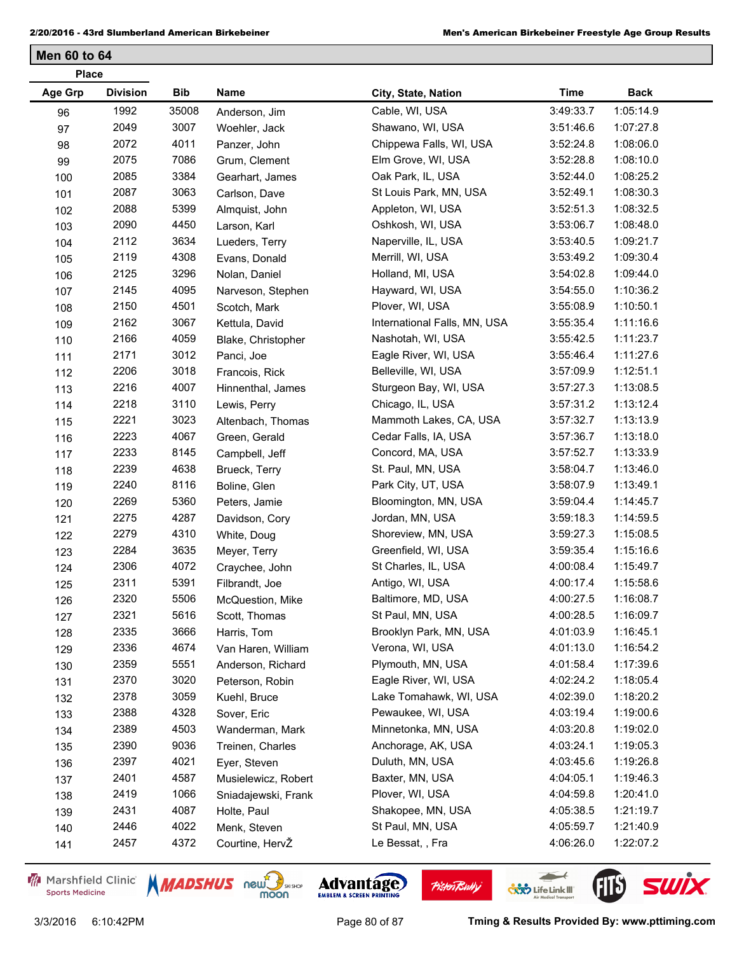| <b>Place</b>   |                 |       |                     |                              |             |             |
|----------------|-----------------|-------|---------------------|------------------------------|-------------|-------------|
| <b>Age Grp</b> | <b>Division</b> | Bib   | Name                | City, State, Nation          | <b>Time</b> | <b>Back</b> |
| 96             | 1992            | 35008 | Anderson, Jim       | Cable, WI, USA               | 3:49:33.7   | 1:05:14.9   |
| 97             | 2049            | 3007  | Woehler, Jack       | Shawano, WI, USA             | 3:51:46.6   | 1:07:27.8   |
| 98             | 2072            | 4011  | Panzer, John        | Chippewa Falls, WI, USA      | 3:52:24.8   | 1:08:06.0   |
| 99             | 2075            | 7086  | Grum, Clement       | Elm Grove, WI, USA           | 3:52:28.8   | 1:08:10.0   |
| 100            | 2085            | 3384  | Gearhart, James     | Oak Park, IL, USA            | 3:52:44.0   | 1:08:25.2   |
| 101            | 2087            | 3063  | Carlson, Dave       | St Louis Park, MN, USA       | 3:52:49.1   | 1:08:30.3   |
| 102            | 2088            | 5399  | Almquist, John      | Appleton, WI, USA            | 3:52:51.3   | 1:08:32.5   |
| 103            | 2090            | 4450  | Larson, Karl        | Oshkosh, WI, USA             | 3:53:06.7   | 1:08:48.0   |
| 104            | 2112            | 3634  | Lueders, Terry      | Naperville, IL, USA          | 3:53:40.5   | 1:09:21.7   |
| 105            | 2119            | 4308  | Evans, Donald       | Merrill, WI, USA             | 3:53:49.2   | 1:09:30.4   |
| 106            | 2125            | 3296  | Nolan, Daniel       | Holland, MI, USA             | 3:54:02.8   | 1:09:44.0   |
| 107            | 2145            | 4095  | Narveson, Stephen   | Hayward, WI, USA             | 3:54:55.0   | 1:10:36.2   |
| 108            | 2150            | 4501  | Scotch, Mark        | Plover, WI, USA              | 3:55:08.9   | 1:10:50.1   |
| 109            | 2162            | 3067  | Kettula, David      | International Falls, MN, USA | 3:55:35.4   | 1:11:16.6   |
| 110            | 2166            | 4059  | Blake, Christopher  | Nashotah, WI, USA            | 3:55:42.5   | 1:11:23.7   |
| 111            | 2171            | 3012  | Panci, Joe          | Eagle River, WI, USA         | 3:55:46.4   | 1:11:27.6   |
| 112            | 2206            | 3018  | Francois, Rick      | Belleville, WI, USA          | 3:57:09.9   | 1:12:51.1   |
| 113            | 2216            | 4007  | Hinnenthal, James   | Sturgeon Bay, WI, USA        | 3:57:27.3   | 1:13:08.5   |
| 114            | 2218            | 3110  | Lewis, Perry        | Chicago, IL, USA             | 3:57:31.2   | 1:13:12.4   |
| 115            | 2221            | 3023  | Altenbach, Thomas   | Mammoth Lakes, CA, USA       | 3:57:32.7   | 1:13:13.9   |
| 116            | 2223            | 4067  | Green, Gerald       | Cedar Falls, IA, USA         | 3:57:36.7   | 1:13:18.0   |
| 117            | 2233            | 8145  | Campbell, Jeff      | Concord, MA, USA             | 3:57:52.7   | 1:13:33.9   |
| 118            | 2239            | 4638  | Brueck, Terry       | St. Paul, MN, USA            | 3:58:04.7   | 1:13:46.0   |
| 119            | 2240            | 8116  | Boline, Glen        | Park City, UT, USA           | 3:58:07.9   | 1:13:49.1   |
| 120            | 2269            | 5360  | Peters, Jamie       | Bloomington, MN, USA         | 3:59:04.4   | 1:14:45.7   |
| 121            | 2275            | 4287  | Davidson, Cory      | Jordan, MN, USA              | 3:59:18.3   | 1:14:59.5   |
| 122            | 2279            | 4310  | White, Doug         | Shoreview, MN, USA           | 3:59:27.3   | 1:15:08.5   |
| 123            | 2284            | 3635  | Meyer, Terry        | Greenfield, WI, USA          | 3:59:35.4   | 1:15:16.6   |
| 124            | 2306            | 4072  | Craychee, John      | St Charles, IL, USA          | 4:00:08.4   | 1:15:49.7   |
| 125            | 2311            | 5391  | Filbrandt, Joe      | Antigo, WI, USA              | 4:00:17.4   | 1:15:58.6   |
| 126            | 2320            | 5506  | McQuestion, Mike    | Baltimore, MD, USA           | 4:00:27.5   | 1:16:08.7   |
| 127            | 2321            | 5616  | Scott, Thomas       | St Paul, MN, USA             | 4:00:28.5   | 1:16:09.7   |
| 128            | 2335            | 3666  | Harris, Tom         | Brooklyn Park, MN, USA       | 4:01:03.9   | 1:16:45.1   |
| 129            | 2336            | 4674  | Van Haren, William  | Verona, WI, USA              | 4:01:13.0   | 1:16:54.2   |
| 130            | 2359            | 5551  | Anderson, Richard   | Plymouth, MN, USA            | 4:01:58.4   | 1:17:39.6   |
| 131            | 2370            | 3020  | Peterson, Robin     | Eagle River, WI, USA         | 4:02:24.2   | 1:18:05.4   |
| 132            | 2378            | 3059  | Kuehl, Bruce        | Lake Tomahawk, WI, USA       | 4:02:39.0   | 1:18:20.2   |
| 133            | 2388            | 4328  | Sover, Eric         | Pewaukee, WI, USA            | 4:03:19.4   | 1:19:00.6   |
| 134            | 2389            | 4503  | Wanderman, Mark     | Minnetonka, MN, USA          | 4:03:20.8   | 1:19:02.0   |
| 135            | 2390            | 9036  | Treinen, Charles    | Anchorage, AK, USA           | 4:03:24.1   | 1:19:05.3   |
| 136            | 2397            | 4021  | Eyer, Steven        | Duluth, MN, USA              | 4:03:45.6   | 1:19:26.8   |
| 137            | 2401            | 4587  | Musielewicz, Robert | Baxter, MN, USA              | 4:04:05.1   | 1:19:46.3   |
| 138            | 2419            | 1066  | Sniadajewski, Frank | Plover, WI, USA              | 4:04:59.8   | 1:20:41.0   |
| 139            | 2431            | 4087  | Holte, Paul         | Shakopee, MN, USA            | 4:05:38.5   | 1:21:19.7   |
| 140            | 2446            | 4022  | Menk, Steven        | St Paul, MN, USA             | 4:05:59.7   | 1:21:40.9   |
| 141            | 2457            | 4372  | Courtine, HervŽ     | Le Bessat, , Fra             | 4:06:26.0   | 1:22:07.2   |

Marshfield Clinic **Sports Medicine** 





**Pisten Bully** 

 $\leftarrow$ 

**COND** Life Link III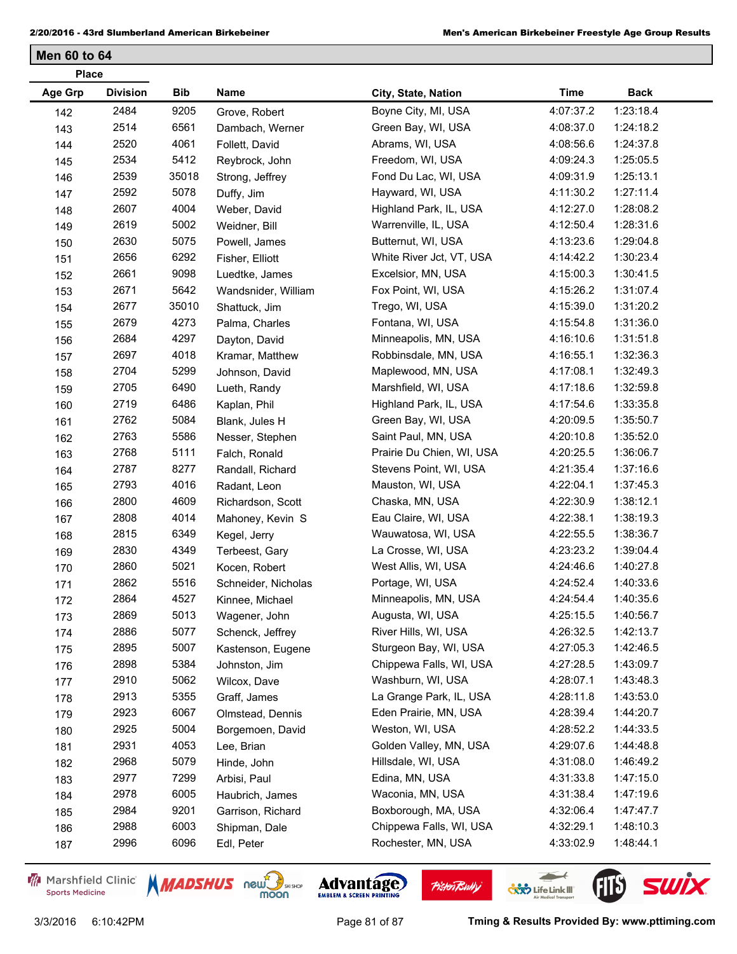| <b>Place</b>   |                 |            |                     |                           |             |             |
|----------------|-----------------|------------|---------------------|---------------------------|-------------|-------------|
| <b>Age Grp</b> | <b>Division</b> | <b>Bib</b> | Name                | City, State, Nation       | <b>Time</b> | <b>Back</b> |
| 142            | 2484            | 9205       | Grove, Robert       | Boyne City, MI, USA       | 4:07:37.2   | 1:23:18.4   |
| 143            | 2514            | 6561       | Dambach, Werner     | Green Bay, WI, USA        | 4:08:37.0   | 1:24:18.2   |
| 144            | 2520            | 4061       | Follett, David      | Abrams, WI, USA           | 4:08:56.6   | 1:24:37.8   |
| 145            | 2534            | 5412       | Reybrock, John      | Freedom, WI, USA          | 4:09:24.3   | 1:25:05.5   |
| 146            | 2539            | 35018      | Strong, Jeffrey     | Fond Du Lac, WI, USA      | 4:09:31.9   | 1:25:13.1   |
| 147            | 2592            | 5078       | Duffy, Jim          | Hayward, WI, USA          | 4:11:30.2   | 1:27:11.4   |
| 148            | 2607            | 4004       | Weber, David        | Highland Park, IL, USA    | 4:12:27.0   | 1:28:08.2   |
| 149            | 2619            | 5002       | Weidner, Bill       | Warrenville, IL, USA      | 4:12:50.4   | 1:28:31.6   |
| 150            | 2630            | 5075       | Powell, James       | Butternut, WI, USA        | 4:13:23.6   | 1:29:04.8   |
| 151            | 2656            | 6292       | Fisher, Elliott     | White River Jct, VT, USA  | 4:14:42.2   | 1:30:23.4   |
| 152            | 2661            | 9098       | Luedtke, James      | Excelsior, MN, USA        | 4:15:00.3   | 1:30:41.5   |
| 153            | 2671            | 5642       | Wandsnider, William | Fox Point, WI, USA        | 4:15:26.2   | 1:31:07.4   |
| 154            | 2677            | 35010      | Shattuck, Jim       | Trego, WI, USA            | 4:15:39.0   | 1:31:20.2   |
| 155            | 2679            | 4273       | Palma, Charles      | Fontana, WI, USA          | 4:15:54.8   | 1:31:36.0   |
| 156            | 2684            | 4297       | Dayton, David       | Minneapolis, MN, USA      | 4:16:10.6   | 1:31:51.8   |
| 157            | 2697            | 4018       | Kramar, Matthew     | Robbinsdale, MN, USA      | 4:16:55.1   | 1:32:36.3   |
| 158            | 2704            | 5299       | Johnson, David      | Maplewood, MN, USA        | 4:17:08.1   | 1:32:49.3   |
| 159            | 2705            | 6490       | Lueth, Randy        | Marshfield, WI, USA       | 4:17:18.6   | 1:32:59.8   |
| 160            | 2719            | 6486       | Kaplan, Phil        | Highland Park, IL, USA    | 4:17:54.6   | 1:33:35.8   |
| 161            | 2762            | 5084       | Blank, Jules H      | Green Bay, WI, USA        | 4:20:09.5   | 1:35:50.7   |
| 162            | 2763            | 5586       | Nesser, Stephen     | Saint Paul, MN, USA       | 4:20:10.8   | 1:35:52.0   |
| 163            | 2768            | 5111       | Falch, Ronald       | Prairie Du Chien, WI, USA | 4:20:25.5   | 1:36:06.7   |
| 164            | 2787            | 8277       | Randall, Richard    | Stevens Point, WI, USA    | 4:21:35.4   | 1:37:16.6   |
| 165            | 2793            | 4016       | Radant, Leon        | Mauston, WI, USA          | 4:22:04.1   | 1:37:45.3   |
| 166            | 2800            | 4609       | Richardson, Scott   | Chaska, MN, USA           | 4:22:30.9   | 1:38:12.1   |
| 167            | 2808            | 4014       | Mahoney, Kevin S    | Eau Claire, WI, USA       | 4:22:38.1   | 1:38:19.3   |
| 168            | 2815            | 6349       | Kegel, Jerry        | Wauwatosa, WI, USA        | 4:22:55.5   | 1:38:36.7   |
| 169            | 2830            | 4349       | Terbeest, Gary      | La Crosse, WI, USA        | 4:23:23.2   | 1:39:04.4   |
| 170            | 2860            | 5021       | Kocen, Robert       | West Allis, WI, USA       | 4:24:46.6   | 1:40:27.8   |
| 171            | 2862            | 5516       | Schneider, Nicholas | Portage, WI, USA          | 4:24:52.4   | 1:40:33.6   |
| 172            | 2864            | 4527       | Kinnee, Michael     | Minneapolis, MN, USA      | 4:24:54.4   | 1:40:35.6   |
| 173            | 2869            | 5013       | Wagener, John       | Augusta, WI, USA          | 4:25:15.5   | 1:40:56.7   |
| 174            | 2886            | 5077       | Schenck, Jeffrey    | River Hills, WI, USA      | 4:26:32.5   | 1:42:13.7   |
| 175            | 2895            | 5007       | Kastenson, Eugene   | Sturgeon Bay, WI, USA     | 4:27:05.3   | 1:42:46.5   |
| 176            | 2898            | 5384       | Johnston, Jim       | Chippewa Falls, WI, USA   | 4:27:28.5   | 1:43:09.7   |
| 177            | 2910            | 5062       | Wilcox, Dave        | Washburn, WI, USA         | 4:28:07.1   | 1:43:48.3   |
| 178            | 2913            | 5355       | Graff, James        | La Grange Park, IL, USA   | 4:28:11.8   | 1:43:53.0   |
| 179            | 2923            | 6067       | Olmstead, Dennis    | Eden Prairie, MN, USA     | 4:28:39.4   | 1:44:20.7   |
| 180            | 2925            | 5004       | Borgemoen, David    | Weston, WI, USA           | 4:28:52.2   | 1:44:33.5   |
| 181            | 2931            | 4053       | Lee, Brian          | Golden Valley, MN, USA    | 4:29:07.6   | 1:44:48.8   |
| 182            | 2968            | 5079       | Hinde, John         | Hillsdale, WI, USA        | 4:31:08.0   | 1:46:49.2   |
| 183            | 2977            | 7299       | Arbisi, Paul        | Edina, MN, USA            | 4:31:33.8   | 1:47:15.0   |
| 184            | 2978            | 6005       | Haubrich, James     | Waconia, MN, USA          | 4:31:38.4   | 1:47:19.6   |
| 185            | 2984            | 9201       | Garrison, Richard   | Boxborough, MA, USA       | 4:32:06.4   | 1:47:47.7   |
| 186            | 2988            | 6003       | Shipman, Dale       | Chippewa Falls, WI, USA   | 4:32:29.1   | 1:48:10.3   |
| 187            | 2996            | 6096       | Edl, Peter          | Rochester, MN, USA        | 4:33:02.9   | 1:48:44.1   |
|                |                 |            |                     |                           |             |             |

Marshfield Clinic **Sports Medicine** 





**Pisten Bully** 

 $\leftarrow$ 

**COND** Life Link III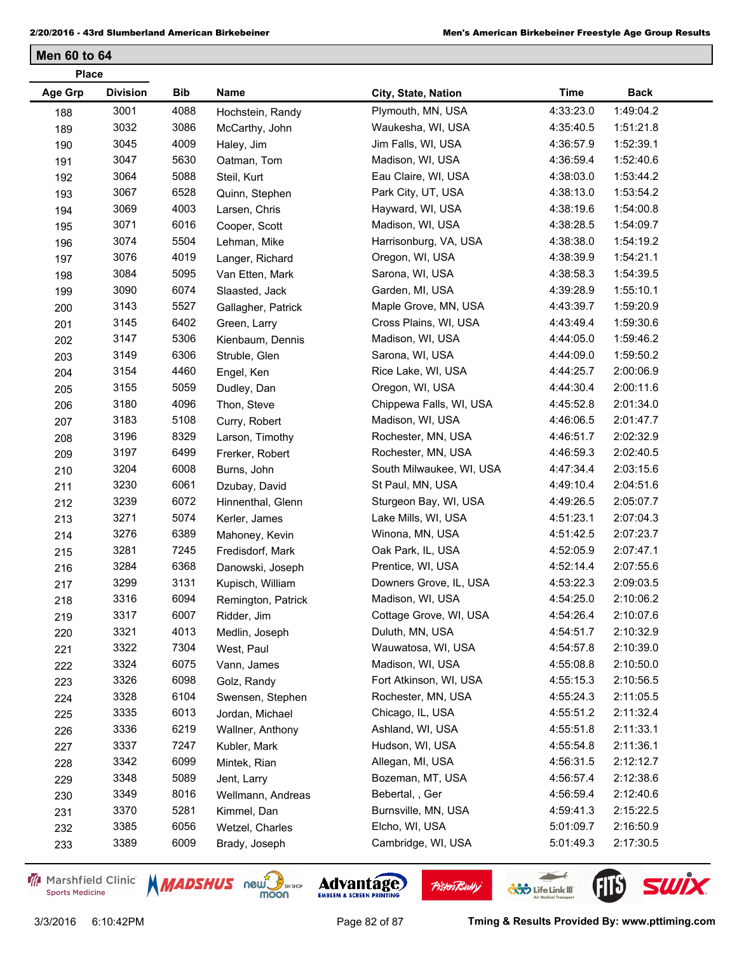| <b>Place</b>   |                 |      |                    |                          |             |             |
|----------------|-----------------|------|--------------------|--------------------------|-------------|-------------|
| <b>Age Grp</b> | <b>Division</b> | Bib  | Name               | City, State, Nation      | <b>Time</b> | <b>Back</b> |
| 188            | 3001            | 4088 | Hochstein, Randy   | Plymouth, MN, USA        | 4:33:23.0   | 1:49:04.2   |
| 189            | 3032            | 3086 | McCarthy, John     | Waukesha, WI, USA        | 4:35:40.5   | 1:51:21.8   |
| 190            | 3045            | 4009 | Haley, Jim         | Jim Falls, WI, USA       | 4:36:57.9   | 1:52:39.1   |
| 191            | 3047            | 5630 | Oatman, Tom        | Madison, WI, USA         | 4:36:59.4   | 1:52:40.6   |
| 192            | 3064            | 5088 | Steil, Kurt        | Eau Claire, WI, USA      | 4:38:03.0   | 1:53:44.2   |
| 193            | 3067            | 6528 | Quinn, Stephen     | Park City, UT, USA       | 4:38:13.0   | 1:53:54.2   |
| 194            | 3069            | 4003 | Larsen, Chris      | Hayward, WI, USA         | 4:38:19.6   | 1:54:00.8   |
| 195            | 3071            | 6016 | Cooper, Scott      | Madison, WI, USA         | 4:38:28.5   | 1:54:09.7   |
| 196            | 3074            | 5504 | Lehman, Mike       | Harrisonburg, VA, USA    | 4:38:38.0   | 1:54:19.2   |
| 197            | 3076            | 4019 | Langer, Richard    | Oregon, WI, USA          | 4:38:39.9   | 1:54:21.1   |
| 198            | 3084            | 5095 | Van Etten, Mark    | Sarona, WI, USA          | 4:38:58.3   | 1:54:39.5   |
| 199            | 3090            | 6074 | Slaasted, Jack     | Garden, MI, USA          | 4:39:28.9   | 1:55:10.1   |
| 200            | 3143            | 5527 | Gallagher, Patrick | Maple Grove, MN, USA     | 4:43:39.7   | 1:59:20.9   |
| 201            | 3145            | 6402 | Green, Larry       | Cross Plains, WI, USA    | 4:43:49.4   | 1:59:30.6   |
| 202            | 3147            | 5306 | Kienbaum, Dennis   | Madison, WI, USA         | 4:44:05.0   | 1:59:46.2   |
| 203            | 3149            | 6306 | Struble, Glen      | Sarona, WI, USA          | 4:44:09.0   | 1:59:50.2   |
| 204            | 3154            | 4460 | Engel, Ken         | Rice Lake, WI, USA       | 4:44:25.7   | 2:00:06.9   |
| 205            | 3155            | 5059 | Dudley, Dan        | Oregon, WI, USA          | 4:44:30.4   | 2:00:11.6   |
| 206            | 3180            | 4096 | Thon, Steve        | Chippewa Falls, WI, USA  | 4:45:52.8   | 2:01:34.0   |
| 207            | 3183            | 5108 | Curry, Robert      | Madison, WI, USA         | 4:46:06.5   | 2:01:47.7   |
| 208            | 3196            | 8329 | Larson, Timothy    | Rochester, MN, USA       | 4:46:51.7   | 2:02:32.9   |
| 209            | 3197            | 6499 | Frerker, Robert    | Rochester, MN, USA       | 4:46:59.3   | 2:02:40.5   |
| 210            | 3204            | 6008 | Burns, John        | South Milwaukee, WI, USA | 4:47:34.4   | 2:03:15.6   |
| 211            | 3230            | 6061 | Dzubay, David      | St Paul, MN, USA         | 4:49:10.4   | 2:04:51.6   |
| 212            | 3239            | 6072 | Hinnenthal, Glenn  | Sturgeon Bay, WI, USA    | 4:49:26.5   | 2:05:07.7   |
| 213            | 3271            | 5074 | Kerler, James      | Lake Mills, WI, USA      | 4:51:23.1   | 2:07:04.3   |
| 214            | 3276            | 6389 | Mahoney, Kevin     | Winona, MN, USA          | 4:51:42.5   | 2:07:23.7   |
| 215            | 3281            | 7245 | Fredisdorf, Mark   | Oak Park, IL, USA        | 4:52:05.9   | 2:07:47.1   |
| 216            | 3284            | 6368 | Danowski, Joseph   | Prentice, WI, USA        | 4:52:14.4   | 2:07:55.6   |
| 217            | 3299            | 3131 | Kupisch, William   | Downers Grove, IL, USA   | 4:53:22.3   | 2:09:03.5   |
| 218            | 3316            | 6094 | Remington, Patrick | Madison, WI, USA         | 4:54:25.0   | 2:10:06.2   |
| 219            | 3317            | 6007 | Ridder, Jim        | Cottage Grove, WI, USA   | 4:54:26.4   | 2:10:07.6   |
| 220            | 3321            | 4013 | Medlin, Joseph     | Duluth, MN, USA          | 4:54:51.7   | 2:10:32.9   |
| 221            | 3322            | 7304 | West, Paul         | Wauwatosa, WI, USA       | 4:54:57.8   | 2:10:39.0   |
| 222            | 3324            | 6075 | Vann, James        | Madison, WI, USA         | 4:55:08.8   | 2:10:50.0   |
| 223            | 3326            | 6098 | Golz, Randy        | Fort Atkinson, WI, USA   | 4:55:15.3   | 2:10:56.5   |
| 224            | 3328            | 6104 | Swensen, Stephen   | Rochester, MN, USA       | 4:55:24.3   | 2:11:05.5   |
| 225            | 3335            | 6013 | Jordan, Michael    | Chicago, IL, USA         | 4:55:51.2   | 2:11:32.4   |
| 226            | 3336            | 6219 | Wallner, Anthony   | Ashland, WI, USA         | 4:55:51.8   | 2:11:33.1   |
| 227            | 3337            | 7247 | Kubler, Mark       | Hudson, WI, USA          | 4:55:54.8   | 2:11:36.1   |
| 228            | 3342            | 6099 | Mintek, Rian       | Allegan, MI, USA         | 4:56:31.5   | 2:12:12.7   |
| 229            | 3348            | 5089 | Jent, Larry        | Bozeman, MT, USA         | 4:56:57.4   | 2:12:38.6   |
| 230            | 3349            | 8016 | Wellmann, Andreas  | Bebertal, , Ger          | 4:56:59.4   | 2:12:40.6   |
| 231            | 3370            | 5281 | Kimmel, Dan        | Burnsville, MN, USA      | 4:59:41.3   | 2:15:22.5   |
| 232            | 3385            | 6056 | Wetzel, Charles    | Elcho, WI, USA           | 5:01:09.7   | 2:16:50.9   |
| 233            | 3389            | 6009 | Brady, Joseph      | Cambridge, WI, USA       | 5:01:49.3   | 2:17:30.5   |

Marshfield Clinic **Sports Medicine** 





**Pisten Bully** 

 $\leftarrow$ 

**COND** Life Link III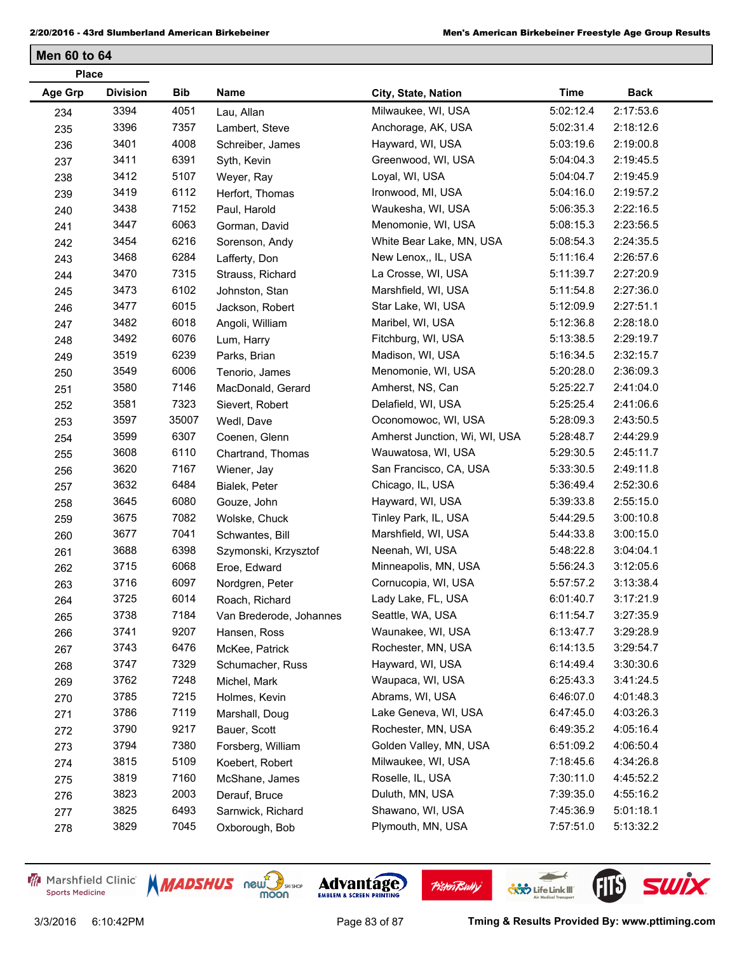| <b>Place</b>   |                 |            |                         |                               |             |             |
|----------------|-----------------|------------|-------------------------|-------------------------------|-------------|-------------|
| <b>Age Grp</b> | <b>Division</b> | <b>Bib</b> | Name                    | City, State, Nation           | <b>Time</b> | <b>Back</b> |
| 234            | 3394            | 4051       | Lau, Allan              | Milwaukee, WI, USA            | 5:02:12.4   | 2:17:53.6   |
| 235            | 3396            | 7357       | Lambert, Steve          | Anchorage, AK, USA            | 5:02:31.4   | 2:18:12.6   |
| 236            | 3401            | 4008       | Schreiber, James        | Hayward, WI, USA              | 5:03:19.6   | 2:19:00.8   |
| 237            | 3411            | 6391       | Syth, Kevin             | Greenwood, WI, USA            | 5:04:04.3   | 2:19:45.5   |
| 238            | 3412            | 5107       | Weyer, Ray              | Loyal, WI, USA                | 5:04:04.7   | 2:19:45.9   |
| 239            | 3419            | 6112       | Herfort, Thomas         | Ironwood, MI, USA             | 5:04:16.0   | 2:19:57.2   |
| 240            | 3438            | 7152       | Paul, Harold            | Waukesha, WI, USA             | 5:06:35.3   | 2:22:16.5   |
| 241            | 3447            | 6063       | Gorman, David           | Menomonie, WI, USA            | 5:08:15.3   | 2:23:56.5   |
| 242            | 3454            | 6216       | Sorenson, Andy          | White Bear Lake, MN, USA      | 5:08:54.3   | 2:24:35.5   |
| 243            | 3468            | 6284       | Lafferty, Don           | New Lenox,, IL, USA           | 5:11:16.4   | 2:26:57.6   |
| 244            | 3470            | 7315       | Strauss, Richard        | La Crosse, WI, USA            | 5:11:39.7   | 2:27:20.9   |
| 245            | 3473            | 6102       | Johnston, Stan          | Marshfield, WI, USA           | 5:11:54.8   | 2:27:36.0   |
| 246            | 3477            | 6015       | Jackson, Robert         | Star Lake, WI, USA            | 5:12:09.9   | 2:27:51.1   |
| 247            | 3482            | 6018       | Angoli, William         | Maribel, WI, USA              | 5:12:36.8   | 2:28:18.0   |
| 248            | 3492            | 6076       | Lum, Harry              | Fitchburg, WI, USA            | 5:13:38.5   | 2:29:19.7   |
| 249            | 3519            | 6239       | Parks, Brian            | Madison, WI, USA              | 5:16:34.5   | 2:32:15.7   |
| 250            | 3549            | 6006       | Tenorio, James          | Menomonie, WI, USA            | 5:20:28.0   | 2:36:09.3   |
| 251            | 3580            | 7146       | MacDonald, Gerard       | Amherst, NS, Can              | 5:25:22.7   | 2:41:04.0   |
| 252            | 3581            | 7323       | Sievert, Robert         | Delafield, WI, USA            | 5:25:25.4   | 2:41:06.6   |
| 253            | 3597            | 35007      | Wedl, Dave              | Oconomowoc, WI, USA           | 5:28:09.3   | 2:43:50.5   |
| 254            | 3599            | 6307       | Coenen, Glenn           | Amherst Junction, Wi, WI, USA | 5:28:48.7   | 2:44:29.9   |
| 255            | 3608            | 6110       | Chartrand, Thomas       | Wauwatosa, WI, USA            | 5:29:30.5   | 2:45:11.7   |
| 256            | 3620            | 7167       | Wiener, Jay             | San Francisco, CA, USA        | 5:33:30.5   | 2:49:11.8   |
| 257            | 3632            | 6484       | Bialek, Peter           | Chicago, IL, USA              | 5:36:49.4   | 2:52:30.6   |
| 258            | 3645            | 6080       | Gouze, John             | Hayward, WI, USA              | 5:39:33.8   | 2:55:15.0   |
| 259            | 3675            | 7082       | Wolske, Chuck           | Tinley Park, IL, USA          | 5:44:29.5   | 3:00:10.8   |
| 260            | 3677            | 7041       | Schwantes, Bill         | Marshfield, WI, USA           | 5:44:33.8   | 3:00:15.0   |
| 261            | 3688            | 6398       | Szymonski, Krzysztof    | Neenah, WI, USA               | 5:48:22.8   | 3:04:04.1   |
| 262            | 3715            | 6068       | Eroe, Edward            | Minneapolis, MN, USA          | 5:56:24.3   | 3:12:05.6   |
| 263            | 3716            | 6097       | Nordgren, Peter         | Cornucopia, WI, USA           | 5:57:57.2   | 3:13:38.4   |
| 264            | 3725            | 6014       | Roach, Richard          | Lady Lake, FL, USA            | 6:01:40.7   | 3:17:21.9   |
| 265            | 3738            | 7184       | Van Brederode, Johannes | Seattle, WA, USA              | 6:11:54.7   | 3:27:35.9   |
| 266            | 3741            | 9207       | Hansen, Ross            | Waunakee, WI, USA             | 6:13:47.7   | 3:29:28.9   |
| 267            | 3743            | 6476       | McKee, Patrick          | Rochester, MN, USA            | 6:14:13.5   | 3:29:54.7   |
| 268            | 3747            | 7329       | Schumacher, Russ        | Hayward, WI, USA              | 6:14:49.4   | 3:30:30.6   |
| 269            | 3762            | 7248       | Michel, Mark            | Waupaca, WI, USA              | 6:25:43.3   | 3:41:24.5   |
| 270            | 3785            | 7215       | Holmes, Kevin           | Abrams, WI, USA               | 6:46:07.0   | 4:01:48.3   |
| 271            | 3786            | 7119       | Marshall, Doug          | Lake Geneva, WI, USA          | 6:47:45.0   | 4:03:26.3   |
| 272            | 3790            | 9217       | Bauer, Scott            | Rochester, MN, USA            | 6:49:35.2   | 4:05:16.4   |
| 273            | 3794            | 7380       | Forsberg, William       | Golden Valley, MN, USA        | 6:51:09.2   | 4:06:50.4   |
| 274            | 3815            | 5109       | Koebert, Robert         | Milwaukee, WI, USA            | 7:18:45.6   | 4:34:26.8   |
| 275            | 3819            | 7160       | McShane, James          | Roselle, IL, USA              | 7:30:11.0   | 4:45:52.2   |
| 276            | 3823            | 2003       | Derauf, Bruce           | Duluth, MN, USA               | 7:39:35.0   | 4:55:16.2   |
| 277            | 3825            | 6493       | Sarnwick, Richard       | Shawano, WI, USA              | 7:45:36.9   | 5:01:18.1   |
| 278            | 3829            | 7045       | Oxborough, Bob          | Plymouth, MN, USA             | 7:57:51.0   | 5:13:32.2   |

Marshfield Clinic **Sports Medicine** 











3/3/2016 6:10:42PM Page 83 of 87 **Tming & Results Provided By: www.pttiming.com**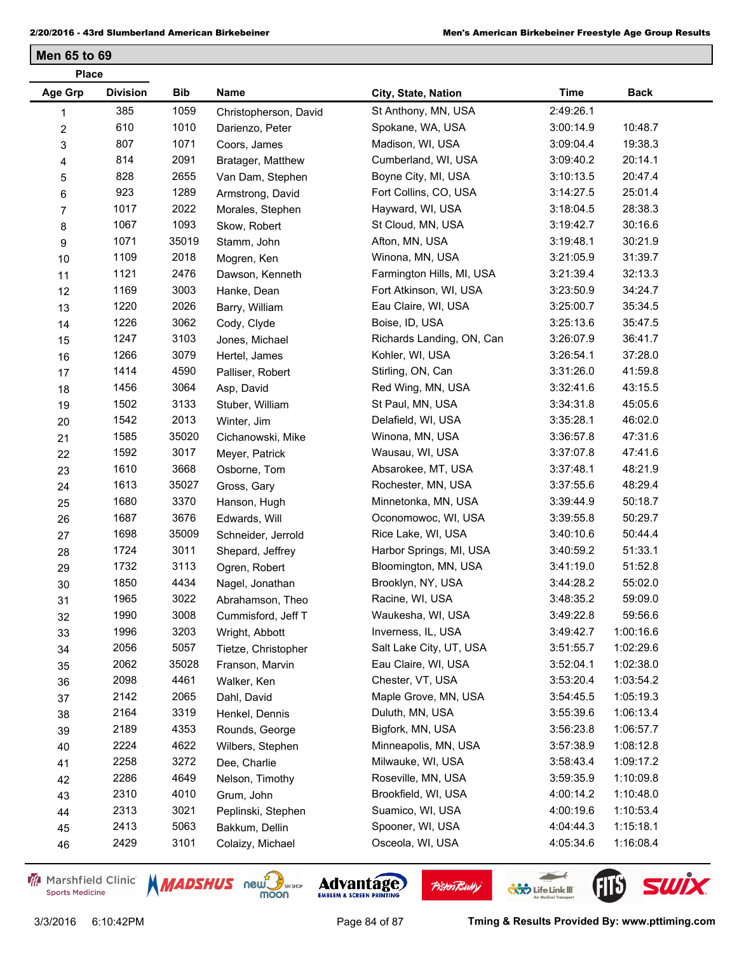**Men 65 to 69**

| <b>Place</b>     |                 |       |                       |                           |             |             |  |
|------------------|-----------------|-------|-----------------------|---------------------------|-------------|-------------|--|
| Age Grp          | <b>Division</b> | Bib   | Name                  | City, State, Nation       | <b>Time</b> | <b>Back</b> |  |
| 1                | 385             | 1059  | Christopherson, David | St Anthony, MN, USA       | 2:49:26.1   |             |  |
| $\boldsymbol{2}$ | 610             | 1010  | Darienzo, Peter       | Spokane, WA, USA          | 3:00:14.9   | 10:48.7     |  |
| 3                | 807             | 1071  | Coors, James          | Madison, WI, USA          | 3:09:04.4   | 19:38.3     |  |
| 4                | 814             | 2091  | Bratager, Matthew     | Cumberland, WI, USA       | 3:09:40.2   | 20:14.1     |  |
| 5                | 828             | 2655  | Van Dam, Stephen      | Boyne City, MI, USA       | 3:10:13.5   | 20:47.4     |  |
| 6                | 923             | 1289  | Armstrong, David      | Fort Collins, CO, USA     | 3:14:27.5   | 25:01.4     |  |
| 7                | 1017            | 2022  | Morales, Stephen      | Hayward, WI, USA          | 3:18:04.5   | 28:38.3     |  |
| 8                | 1067            | 1093  | Skow, Robert          | St Cloud, MN, USA         | 3:19:42.7   | 30:16.6     |  |
| 9                | 1071            | 35019 | Stamm, John           | Afton, MN, USA            | 3:19:48.1   | 30:21.9     |  |
| 10               | 1109            | 2018  | Mogren, Ken           | Winona, MN, USA           | 3:21:05.9   | 31:39.7     |  |
| 11               | 1121            | 2476  | Dawson, Kenneth       | Farmington Hills, MI, USA | 3:21:39.4   | 32:13.3     |  |
| 12               | 1169            | 3003  | Hanke, Dean           | Fort Atkinson, WI, USA    | 3:23:50.9   | 34:24.7     |  |
| 13               | 1220            | 2026  | Barry, William        | Eau Claire, WI, USA       | 3:25:00.7   | 35:34.5     |  |
| 14               | 1226            | 3062  | Cody, Clyde           | Boise, ID, USA            | 3:25:13.6   | 35:47.5     |  |
| 15               | 1247            | 3103  | Jones, Michael        | Richards Landing, ON, Can | 3:26:07.9   | 36:41.7     |  |
| 16               | 1266            | 3079  | Hertel, James         | Kohler, WI, USA           | 3:26:54.1   | 37:28.0     |  |
| 17               | 1414            | 4590  | Palliser, Robert      | Stirling, ON, Can         | 3:31:26.0   | 41:59.8     |  |
| 18               | 1456            | 3064  | Asp, David            | Red Wing, MN, USA         | 3:32:41.6   | 43:15.5     |  |
| 19               | 1502            | 3133  | Stuber, William       | St Paul, MN, USA          | 3:34:31.8   | 45:05.6     |  |
| 20               | 1542            | 2013  | Winter, Jim           | Delafield, WI, USA        | 3:35:28.1   | 46:02.0     |  |
| 21               | 1585            | 35020 | Cichanowski, Mike     | Winona, MN, USA           | 3:36:57.8   | 47:31.6     |  |
| 22               | 1592            | 3017  | Meyer, Patrick        | Wausau, WI, USA           | 3:37:07.8   | 47:41.6     |  |
| 23               | 1610            | 3668  | Osborne, Tom          | Absarokee, MT, USA        | 3:37:48.1   | 48:21.9     |  |
| 24               | 1613            | 35027 | Gross, Gary           | Rochester, MN, USA        | 3:37:55.6   | 48:29.4     |  |
| 25               | 1680            | 3370  | Hanson, Hugh          | Minnetonka, MN, USA       | 3:39:44.9   | 50:18.7     |  |
| 26               | 1687            | 3676  | Edwards, Will         | Oconomowoc, WI, USA       | 3:39:55.8   | 50:29.7     |  |
| 27               | 1698            | 35009 | Schneider, Jerrold    | Rice Lake, WI, USA        | 3:40:10.6   | 50:44.4     |  |
| 28               | 1724            | 3011  | Shepard, Jeffrey      | Harbor Springs, MI, USA   | 3:40:59.2   | 51:33.1     |  |
| 29               | 1732            | 3113  | Ogren, Robert         | Bloomington, MN, USA      | 3:41:19.0   | 51:52.8     |  |
| 30               | 1850            | 4434  | Nagel, Jonathan       | Brooklyn, NY, USA         | 3:44:28.2   | 55:02.0     |  |
| 31               | 1965            | 3022  | Abrahamson, Theo      | Racine, WI, USA           | 3:48:35.2   | 59:09.0     |  |
| 32               | 1990            | 3008  | Cummisford, Jeff T    | Waukesha, WI, USA         | 3:49:22.8   | 59:56.6     |  |
| 33               | 1996            | 3203  | Wright, Abbott        | Inverness, IL, USA        | 3:49:42.7   | 1:00:16.6   |  |
| 34               | 2056            | 5057  | Tietze, Christopher   | Salt Lake City, UT, USA   | 3:51:55.7   | 1:02:29.6   |  |
| 35               | 2062            | 35028 | Franson, Marvin       | Eau Claire, WI, USA       | 3:52:04.1   | 1:02:38.0   |  |
| 36               | 2098            | 4461  | Walker, Ken           | Chester, VT, USA          | 3:53:20.4   | 1:03:54.2   |  |
| 37               | 2142            | 2065  | Dahl, David           | Maple Grove, MN, USA      | 3:54:45.5   | 1:05:19.3   |  |
| 38               | 2164            | 3319  | Henkel, Dennis        | Duluth, MN, USA           | 3:55:39.6   | 1:06:13.4   |  |
| 39               | 2189            | 4353  | Rounds, George        | Bigfork, MN, USA          | 3:56:23.8   | 1:06:57.7   |  |
| 40               | 2224            | 4622  | Wilbers, Stephen      | Minneapolis, MN, USA      | 3:57:38.9   | 1:08:12.8   |  |
| 41               | 2258            | 3272  | Dee, Charlie          | Milwauke, WI, USA         | 3:58:43.4   | 1:09:17.2   |  |
| 42               | 2286            | 4649  | Nelson, Timothy       | Roseville, MN, USA        | 3:59:35.9   | 1:10:09.8   |  |
| 43               | 2310            | 4010  | Grum, John            | Brookfield, WI, USA       | 4:00:14.2   | 1:10:48.0   |  |
| 44               | 2313            | 3021  | Peplinski, Stephen    | Suamico, WI, USA          | 4:00:19.6   | 1:10:53.4   |  |
| 45               | 2413            | 5063  | Bakkum, Dellin        | Spooner, WI, USA          | 4:04:44.3   | 1:15:18.1   |  |
| 46               | 2429            | 3101  | Colaizy, Michael      | Osceola, WI, USA          | 4:05:34.6   | 1:16:08.4   |  |
|                  |                 |       |                       |                           |             |             |  |

Marshfield Clinic **Sports Medicine** 





**Pisten Bully** 

 $\leftarrow$ 

**COND** Life Link III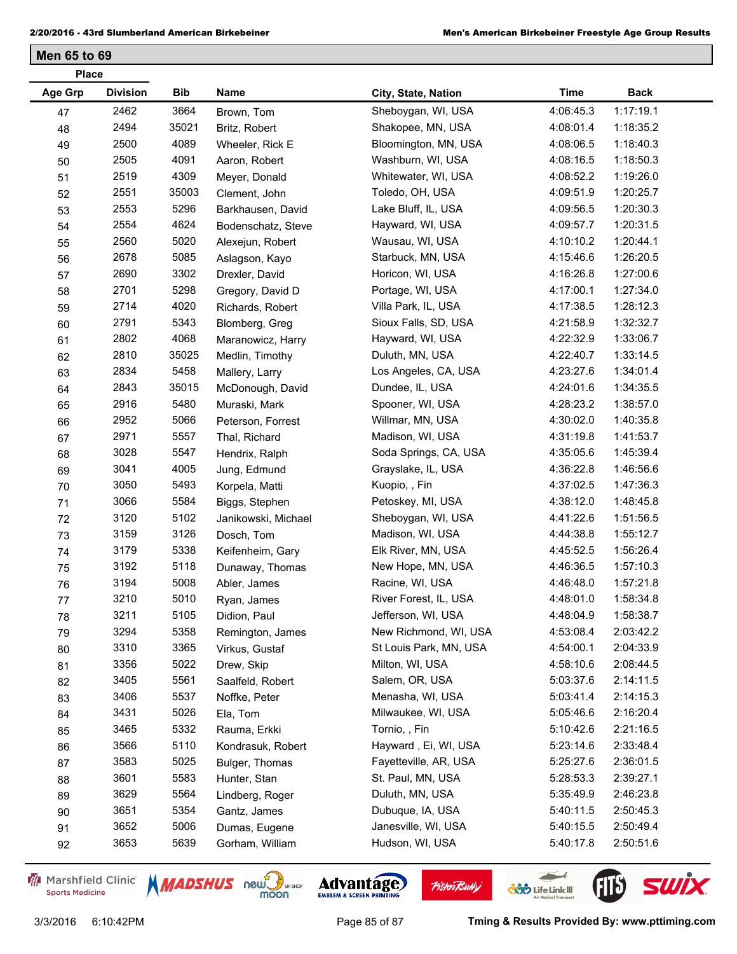**Men 65 to 69**

| <b>Place</b> |                 |       |                     |                        |             |             |
|--------------|-----------------|-------|---------------------|------------------------|-------------|-------------|
| Age Grp      | <b>Division</b> | Bib   | Name                | City, State, Nation    | <b>Time</b> | <b>Back</b> |
| 47           | 2462            | 3664  | Brown, Tom          | Sheboygan, WI, USA     | 4:06:45.3   | 1:17:19.1   |
| 48           | 2494            | 35021 | Britz, Robert       | Shakopee, MN, USA      | 4:08:01.4   | 1:18:35.2   |
| 49           | 2500            | 4089  | Wheeler, Rick E     | Bloomington, MN, USA   | 4:08:06.5   | 1:18:40.3   |
| 50           | 2505            | 4091  | Aaron, Robert       | Washburn, WI, USA      | 4:08:16.5   | 1:18:50.3   |
| 51           | 2519            | 4309  | Meyer, Donald       | Whitewater, WI, USA    | 4:08:52.2   | 1:19:26.0   |
| 52           | 2551            | 35003 | Clement, John       | Toledo, OH, USA        | 4:09:51.9   | 1:20:25.7   |
| 53           | 2553            | 5296  | Barkhausen, David   | Lake Bluff, IL, USA    | 4:09:56.5   | 1:20:30.3   |
| 54           | 2554            | 4624  | Bodenschatz, Steve  | Hayward, WI, USA       | 4:09:57.7   | 1:20:31.5   |
| 55           | 2560            | 5020  | Alexejun, Robert    | Wausau, WI, USA        | 4:10:10.2   | 1:20:44.1   |
| 56           | 2678            | 5085  | Aslagson, Kayo      | Starbuck, MN, USA      | 4:15:46.6   | 1:26:20.5   |
| 57           | 2690            | 3302  | Drexler, David      | Horicon, WI, USA       | 4:16:26.8   | 1:27:00.6   |
| 58           | 2701            | 5298  | Gregory, David D    | Portage, WI, USA       | 4:17:00.1   | 1:27:34.0   |
| 59           | 2714            | 4020  | Richards, Robert    | Villa Park, IL, USA    | 4:17:38.5   | 1:28:12.3   |
| 60           | 2791            | 5343  | Blomberg, Greg      | Sioux Falls, SD, USA   | 4:21:58.9   | 1:32:32.7   |
| 61           | 2802            | 4068  | Maranowicz, Harry   | Hayward, WI, USA       | 4:22:32.9   | 1:33:06.7   |
| 62           | 2810            | 35025 | Medlin, Timothy     | Duluth, MN, USA        | 4:22:40.7   | 1:33:14.5   |
| 63           | 2834            | 5458  | Mallery, Larry      | Los Angeles, CA, USA   | 4:23:27.6   | 1:34:01.4   |
| 64           | 2843            | 35015 | McDonough, David    | Dundee, IL, USA        | 4:24:01.6   | 1:34:35.5   |
| 65           | 2916            | 5480  | Muraski, Mark       | Spooner, WI, USA       | 4:28:23.2   | 1:38:57.0   |
| 66           | 2952            | 5066  | Peterson, Forrest   | Willmar, MN, USA       | 4:30:02.0   | 1:40:35.8   |
| 67           | 2971            | 5557  | Thal, Richard       | Madison, WI, USA       | 4:31:19.8   | 1:41:53.7   |
| 68           | 3028            | 5547  | Hendrix, Ralph      | Soda Springs, CA, USA  | 4:35:05.6   | 1:45:39.4   |
| 69           | 3041            | 4005  | Jung, Edmund        | Grayslake, IL, USA     | 4:36:22.8   | 1:46:56.6   |
| 70           | 3050            | 5493  | Korpela, Matti      | Kuopio, , Fin          | 4:37:02.5   | 1:47:36.3   |
| 71           | 3066            | 5584  | Biggs, Stephen      | Petoskey, MI, USA      | 4:38:12.0   | 1:48:45.8   |
| 72           | 3120            | 5102  | Janikowski, Michael | Sheboygan, WI, USA     | 4:41:22.6   | 1:51:56.5   |
| 73           | 3159            | 3126  | Dosch, Tom          | Madison, WI, USA       | 4:44:38.8   | 1:55:12.7   |
| 74           | 3179            | 5338  | Keifenheim, Gary    | Elk River, MN, USA     | 4:45:52.5   | 1:56:26.4   |
| 75           | 3192            | 5118  | Dunaway, Thomas     | New Hope, MN, USA      | 4:46:36.5   | 1:57:10.3   |
| 76           | 3194            | 5008  | Abler, James        | Racine, WI, USA        | 4:46:48.0   | 1:57:21.8   |
| 77           | 3210            | 5010  | Ryan, James         | River Forest, IL, USA  | 4:48:01.0   | 1:58:34.8   |
| 78           | 3211            | 5105  | Didion, Paul        | Jefferson, WI, USA     | 4:48:04.9   | 1:58:38.7   |
| 79           | 3294            | 5358  | Remington, James    | New Richmond, WI, USA  | 4:53:08.4   | 2:03:42.2   |
| 80           | 3310            | 3365  | Virkus, Gustaf      | St Louis Park, MN, USA | 4:54:00.1   | 2:04:33.9   |
| 81           | 3356            | 5022  | Drew, Skip          | Milton, WI, USA        | 4:58:10.6   | 2:08:44.5   |
| 82           | 3405            | 5561  | Saalfeld, Robert    | Salem, OR, USA         | 5:03:37.6   | 2:14:11.5   |
| 83           | 3406            | 5537  | Noffke, Peter       | Menasha, WI, USA       | 5:03:41.4   | 2:14:15.3   |
| 84           | 3431            | 5026  | Ela, Tom            | Milwaukee, WI, USA     | 5:05:46.6   | 2:16:20.4   |
| 85           | 3465            | 5332  | Rauma, Erkki        | Tornio, , Fin          | 5:10:42.6   | 2:21:16.5   |
| 86           | 3566            | 5110  | Kondrasuk, Robert   | Hayward, Ei, WI, USA   | 5:23:14.6   | 2:33:48.4   |
| 87           | 3583            | 5025  | Bulger, Thomas      | Fayetteville, AR, USA  | 5:25:27.6   | 2:36:01.5   |
| 88           | 3601            | 5583  | Hunter, Stan        | St. Paul, MN, USA      | 5:28:53.3   | 2:39:27.1   |
| 89           | 3629            | 5564  | Lindberg, Roger     | Duluth, MN, USA        | 5:35:49.9   | 2:46:23.8   |
| 90           | 3651            | 5354  | Gantz, James        | Dubuque, IA, USA       | 5:40:11.5   | 2:50:45.3   |
| 91           | 3652            | 5006  | Dumas, Eugene       | Janesville, WI, USA    | 5:40:15.5   | 2:50:49.4   |
| 92           | 3653            | 5639  | Gorham, William     | Hudson, WI, USA        | 5:40:17.8   | 2:50:51.6   |
|              |                 |       |                     |                        |             |             |

Marshfield Clinic **Sports Medicine** 





**Pisten Bully** 

 $\leftarrow$ 

**COND** Life Link III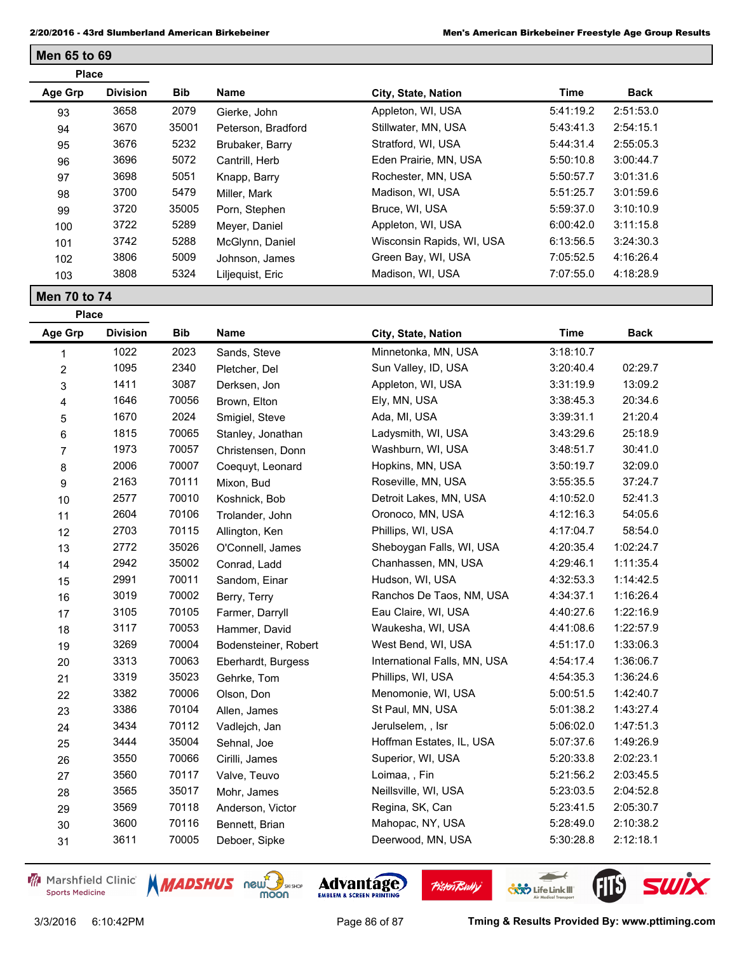| <b>Place</b> |                 |       |                    |                           |           |             |  |
|--------------|-----------------|-------|--------------------|---------------------------|-----------|-------------|--|
| Age Grp      | <b>Division</b> | Bib   | Name               | City, State, Nation       | Time      | <b>Back</b> |  |
| 93           | 3658            | 2079  | Gierke, John       | Appleton, WI, USA         | 5:41:19.2 | 2:51:53.0   |  |
| 94           | 3670            | 35001 | Peterson, Bradford | Stillwater, MN, USA       | 5:43:41.3 | 2:54:15.1   |  |
| 95           | 3676            | 5232  | Brubaker, Barry    | Stratford, WI, USA        | 5:44:31.4 | 2:55:05.3   |  |
| 96           | 3696            | 5072  | Cantrill, Herb     | Eden Prairie, MN, USA     | 5:50:10.8 | 3:00:44.7   |  |
| 97           | 3698            | 5051  | Knapp, Barry       | Rochester, MN, USA        | 5:50:57.7 | 3:01:31.6   |  |
| 98           | 3700            | 5479  | Miller, Mark       | Madison, WI, USA          | 5:51:25.7 | 3:01:59.6   |  |
| 99           | 3720            | 35005 | Porn, Stephen      | Bruce, WI, USA            | 5:59:37.0 | 3:10:10.9   |  |
| 100          | 3722            | 5289  | Meyer, Daniel      | Appleton, WI, USA         | 6:00:42.0 | 3:11:15.8   |  |
| 101          | 3742            | 5288  | McGlynn, Daniel    | Wisconsin Rapids, WI, USA | 6:13:56.5 | 3:24:30.3   |  |
| 102          | 3806            | 5009  | Johnson, James     | Green Bay, WI, USA        | 7:05:52.5 | 4:16:26.4   |  |
| 103          | 3808            | 5324  | Liljequist, Eric   | Madison, WI, USA          | 7:07:55.0 | 4:18:28.9   |  |

**Men 70 to 74**

**Place**

**Men 65 to 69**

| Age Grp        | <b>Division</b> | <b>Bib</b> | <b>Name</b>          | City, State, Nation          | <b>Time</b> | <b>Back</b> |
|----------------|-----------------|------------|----------------------|------------------------------|-------------|-------------|
| 1              | 1022            | 2023       | Sands, Steve         | Minnetonka, MN, USA          | 3:18:10.7   |             |
| $\overline{2}$ | 1095            | 2340       | Pletcher, Del        | Sun Valley, ID, USA          | 3:20:40.4   | 02:29.7     |
| 3              | 1411            | 3087       | Derksen, Jon         | Appleton, WI, USA            | 3:31:19.9   | 13:09.2     |
| 4              | 1646            | 70056      | Brown, Elton         | Ely, MN, USA                 | 3:38:45.3   | 20:34.6     |
| 5              | 1670            | 2024       | Smigiel, Steve       | Ada, MI, USA                 | 3:39:31.1   | 21:20.4     |
| 6              | 1815            | 70065      | Stanley, Jonathan    | Ladysmith, WI, USA           | 3:43:29.6   | 25:18.9     |
| $\overline{7}$ | 1973            | 70057      | Christensen, Donn    | Washburn, WI, USA            | 3:48:51.7   | 30:41.0     |
| 8              | 2006            | 70007      | Coequyt, Leonard     | Hopkins, MN, USA             | 3:50:19.7   | 32:09.0     |
| 9              | 2163            | 70111      | Mixon, Bud           | Roseville, MN, USA           | 3:55:35.5   | 37:24.7     |
| 10             | 2577            | 70010      | Koshnick, Bob        | Detroit Lakes, MN, USA       | 4:10:52.0   | 52:41.3     |
| 11             | 2604            | 70106      | Trolander, John      | Oronoco, MN, USA             | 4:12:16.3   | 54:05.6     |
| 12             | 2703            | 70115      | Allington, Ken       | Phillips, WI, USA            | 4:17:04.7   | 58:54.0     |
| 13             | 2772            | 35026      | O'Connell, James     | Sheboygan Falls, WI, USA     | 4:20:35.4   | 1:02:24.7   |
| 14             | 2942            | 35002      | Conrad, Ladd         | Chanhassen, MN, USA          | 4:29:46.1   | 1:11:35.4   |
| 15             | 2991            | 70011      | Sandom, Einar        | Hudson, WI, USA              | 4:32:53.3   | 1:14:42.5   |
| 16             | 3019            | 70002      | Berry, Terry         | Ranchos De Taos, NM, USA     | 4:34:37.1   | 1:16:26.4   |
| 17             | 3105            | 70105      | Farmer, Darryll      | Eau Claire, WI, USA          | 4:40:27.6   | 1:22:16.9   |
| 18             | 3117            | 70053      | Hammer, David        | Waukesha, WI, USA            | 4:41:08.6   | 1:22:57.9   |
| 19             | 3269            | 70004      | Bodensteiner, Robert | West Bend, WI, USA           | 4:51:17.0   | 1:33:06.3   |
| 20             | 3313            | 70063      | Eberhardt, Burgess   | International Falls, MN, USA | 4:54:17.4   | 1:36:06.7   |
| 21             | 3319            | 35023      | Gehrke, Tom          | Phillips, WI, USA            | 4:54:35.3   | 1:36:24.6   |
| 22             | 3382            | 70006      | Olson, Don           | Menomonie, WI, USA           | 5:00:51.5   | 1:42:40.7   |
| 23             | 3386            | 70104      | Allen, James         | St Paul, MN, USA             | 5:01:38.2   | 1:43:27.4   |
| 24             | 3434            | 70112      | Vadlejch, Jan        | Jerulselem, , Isr            | 5:06:02.0   | 1:47:51.3   |
| 25             | 3444            | 35004      | Sehnal, Joe          | Hoffman Estates, IL, USA     | 5:07:37.6   | 1:49:26.9   |
| 26             | 3550            | 70066      | Cirilli, James       | Superior, WI, USA            | 5:20:33.8   | 2:02:23.1   |
| 27             | 3560            | 70117      | Valve, Teuvo         | Loimaa,, Fin                 | 5:21:56.2   | 2:03:45.5   |
| 28             | 3565            | 35017      | Mohr, James          | Neillsville, WI, USA         | 5:23:03.5   | 2:04:52.8   |
| 29             | 3569            | 70118      | Anderson, Victor     | Regina, SK, Can              | 5:23:41.5   | 2:05:30.7   |
| $30\,$         | 3600            | 70116      | Bennett, Brian       | Mahopac, NY, USA             | 5:28:49.0   | 2:10:38.2   |
| 31             | 3611            | 70005      | Deboer, Sipke        | Deerwood, MN, USA            | 5:30:28.8   | 2:12:18.1   |

Marshfield Clinic **Sports Medicine** 





**Pisten Bully** 

3/3/2016 6:10:42PM Page 86 of 87 **Tming & Results Provided By: www.pttiming.com**

 $\overline{\phantom{a}}$ 

**COND** Life Link III